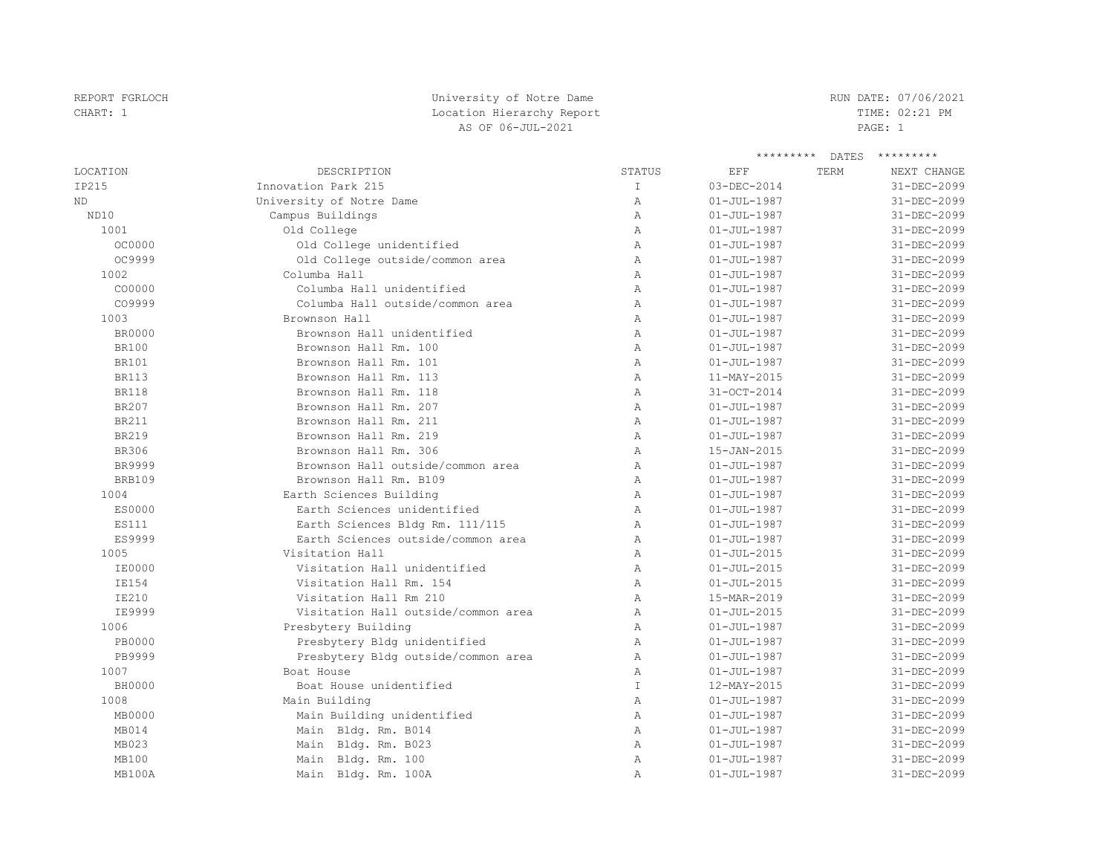| REPORT FGRLOCH | University of Notre Dame  | RUN DATE: 07/06/2021 |
|----------------|---------------------------|----------------------|
|                |                           |                      |
| CHART: 1       | Location Hierarchy Report | TIME: 02:21 PM       |
|                | AS OF 06-JUL-2021         | PAGE: 1              |

|                 |                                     |              | *********         | DATES | *********         |
|-----------------|-------------------------------------|--------------|-------------------|-------|-------------------|
| <b>LOCATION</b> | <b>DESCRIPTION</b>                  | STATUS       | EFF               | TERM  | NEXT CHANGE       |
| IP215           | Innovation Park 215                 | $\mathbb{I}$ | 03-DEC-2014       |       | 31-DEC-2099       |
| <b>ND</b>       | University of Notre Dame            | $\mathbb{A}$ | $01 - JUL - 1987$ |       | 31-DEC-2099       |
| ND10            | Campus Buildings                    | $\mathbb{A}$ | $01 - JUL - 1987$ |       | 31-DEC-2099       |
| 1001            | Old College                         | $\mathbb{A}$ | $01 - JUL - 1987$ |       | 31-DEC-2099       |
| OC0000          | Old College unidentified            | $\mathbb{A}$ | $01 - JUL - 1987$ |       | 31-DEC-2099       |
| OC9999          | Old College outside/common area     | $\mathbb{A}$ | $01 - JUL - 1987$ |       | 31-DEC-2099       |
| 1002            | Columba Hall                        | $\mathbb{A}$ | $01 - JUL - 1987$ |       | 31-DEC-2099       |
| CO0000          | Columba Hall unidentified           | $\mathbb{A}$ | $01 - JUL - 1987$ |       | 31-DEC-2099       |
| CO9999          | Columba Hall outside/common area    | Α            | $01 - JUL - 1987$ |       | 31-DEC-2099       |
| 1003            | Brownson Hall                       | $\mathbb{A}$ | $01 - JUL - 1987$ |       | 31-DEC-2099       |
| <b>BR0000</b>   | Brownson Hall unidentified          | Α            | $01 - JUL - 1987$ |       | 31-DEC-2099       |
| <b>BR100</b>    | Brownson Hall Rm. 100               | Α            | $01 - JUL - 1987$ |       | 31-DEC-2099       |
| <b>BR101</b>    | Brownson Hall Rm. 101               | $\mathbb{A}$ | $01 - JUL - 1987$ |       | 31-DEC-2099       |
| <b>BR113</b>    | Brownson Hall Rm. 113               | $\mathbb{A}$ | 11-MAY-2015       |       | 31-DEC-2099       |
| <b>BR118</b>    | Brownson Hall Rm. 118               | $\mathbb{A}$ | 31-OCT-2014       |       | 31-DEC-2099       |
| BR207           | Brownson Hall Rm. 207               | $\mathbb{A}$ | $01 - JUL - 1987$ |       | 31-DEC-2099       |
| <b>BR211</b>    | Brownson Hall Rm. 211               | $\mathbb{A}$ | $01 - JUL - 1987$ |       | 31-DEC-2099       |
| <b>BR219</b>    | Brownson Hall Rm. 219               | $\mathbb{A}$ | $01 - JUL - 1987$ |       | 31-DEC-2099       |
| <b>BR306</b>    | Brownson Hall Rm. 306               | $\mathbb{A}$ | 15-JAN-2015       |       | 31-DEC-2099       |
| BR9999          | Brownson Hall outside/common area   | $\mathbb{A}$ | $01 - JUL - 1987$ |       | $31 - DEC - 2099$ |
| <b>BRB109</b>   | Brownson Hall Rm. B109              | $\mathbb{A}$ | $01 - JUL - 1987$ |       | 31-DEC-2099       |
| 1004            | Earth Sciences Building             | $\mathbb{A}$ | $01 - JUL - 1987$ |       | 31-DEC-2099       |
| ES0000          | Earth Sciences unidentified         | $\mathbb{A}$ | $01 - JUL - 1987$ |       | 31-DEC-2099       |
| ES111           | Earth Sciences Bldg Rm. 111/115     | $\mathbb{A}$ | $01 - JUL - 1987$ |       | 31-DEC-2099       |
| ES9999          | Earth Sciences outside/common area  | $\mathbb{A}$ | $01 - JUL - 1987$ |       | 31-DEC-2099       |
| 1005            | Visitation Hall                     | $\mathbb{A}$ | $01 - JUL - 2015$ |       | 31-DEC-2099       |
| <b>IE0000</b>   | Visitation Hall unidentified        | $\mathbb{A}$ | $01 - JUL - 2015$ |       | 31-DEC-2099       |
| <b>IE154</b>    | Visitation Hall Rm. 154             | $\mathbb{A}$ | $01 - JUL - 2015$ |       | 31-DEC-2099       |
| <b>IE210</b>    | Visitation Hall Rm 210              | $\mathbb{A}$ | 15-MAR-2019       |       | 31-DEC-2099       |
| IE9999          | Visitation Hall outside/common area | $\mathbb{A}$ | $01 - JUL - 2015$ |       | 31-DEC-2099       |
| 1006            | Presbytery Building                 | $\mathbb{A}$ | $01 - JUL - 1987$ |       | 31-DEC-2099       |
| <b>PB0000</b>   | Presbytery Bldg unidentified        | $\mathbb{A}$ | $01 - JUL - 1987$ |       | 31-DEC-2099       |
| PB9999          | Presbytery Bldg outside/common area | $\mathbb{A}$ | $01 - JUL - 1987$ |       | 31-DEC-2099       |
| 1007            | Boat House                          | $\mathbb{A}$ | $01 - JUL - 1987$ |       | 31-DEC-2099       |
| <b>BH0000</b>   | Boat House unidentified             | $\mathbb T$  | 12-MAY-2015       |       | 31-DEC-2099       |
| 1008            | Main Building                       | $\mathbb{A}$ | $01 - JUL - 1987$ |       | 31-DEC-2099       |
| MB0000          | Main Building unidentified          | Α            | $01 - JUL - 1987$ |       | 31-DEC-2099       |
| MB014           | Main Bldg. Rm. B014                 | Α            | $01 - JUL - 1987$ |       | 31-DEC-2099       |
| MB023           | Main Bldg. Rm. B023                 | $\mathbb{A}$ | $01 - JUL - 1987$ |       | 31-DEC-2099       |
| <b>MB100</b>    | Main Bldg. Rm. 100                  | $\mathbb{A}$ | $01 - JUL - 1987$ |       | 31-DEC-2099       |
| MB100A          | Main Bldg. Rm. 100A                 | $\mathbb{A}$ | $01 - JUL - 1987$ |       | 31-DEC-2099       |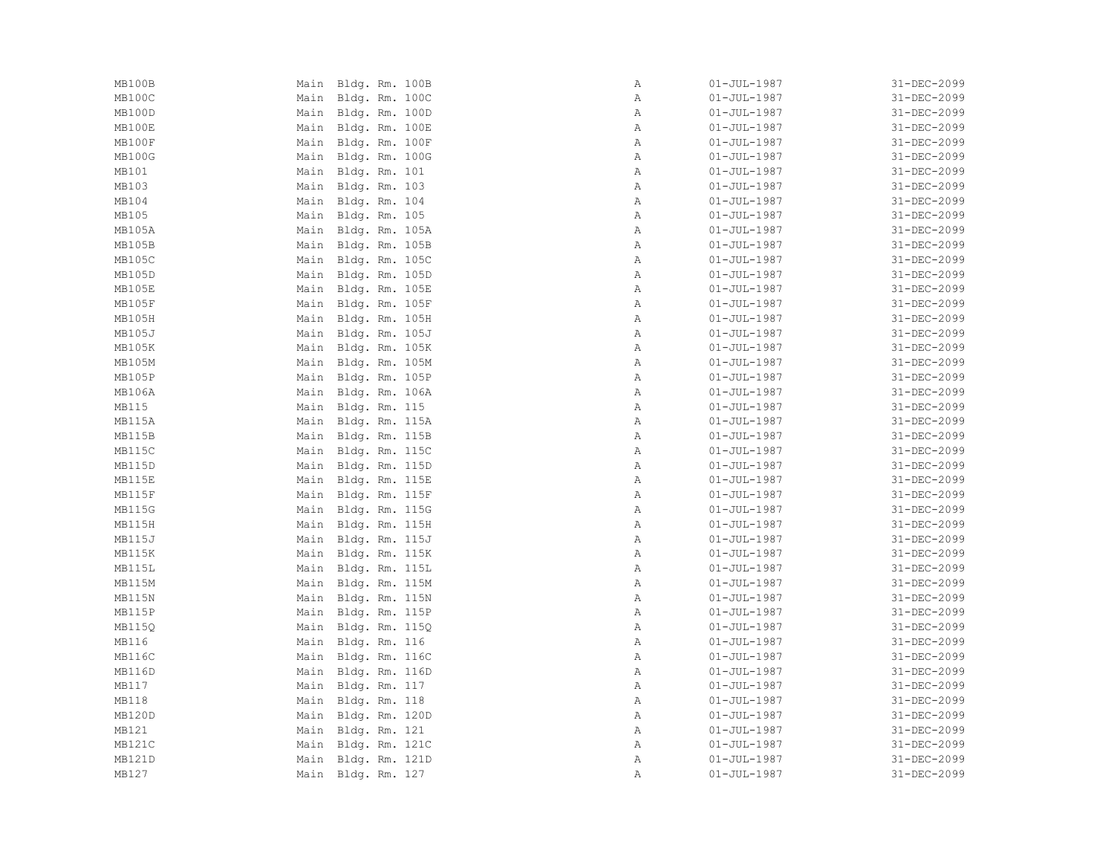| MB100B        | Main Bldg. Rm. 100B | Α            | $01 - JUL - 1987$ | 31-DEC-2099 |
|---------------|---------------------|--------------|-------------------|-------------|
| MB100C        | Main Bldg. Rm. 100C | Α            | $01 - JUL - 1987$ | 31-DEC-2099 |
| MB100D        | Main Bldg. Rm. 100D | Α            | $01 - JUL - 1987$ | 31-DEC-2099 |
| MB100E        | Main Bldg. Rm. 100E | Α            | $01 - JUL - 1987$ | 31-DEC-2099 |
| MB100F        | Main Bldg. Rm. 100F | Α            | $01 - JUL - 1987$ | 31-DEC-2099 |
| MB100G        | Main Bldg. Rm. 100G | Α            | $01 - JUL - 1987$ | 31-DEC-2099 |
| MB101         | Main Bldg. Rm. 101  | Α            | $01 - JUL - 1987$ | 31-DEC-2099 |
| MB103         | Main Bldg. Rm. 103  | Α            | $01 - JUL - 1987$ | 31-DEC-2099 |
| MB104         | Main Bldg. Rm. 104  | $\mathbb{A}$ | $01 - JUL - 1987$ | 31-DEC-2099 |
| MB105         | Main Bldg. Rm. 105  | Α            | $01 - JUL - 1987$ | 31-DEC-2099 |
| MB105A        | Main Bldg. Rm. 105A | Α            | $01 - JUL - 1987$ | 31-DEC-2099 |
| MB105B        | Main Bldg. Rm. 105B | Α            | $01 - JUL - 1987$ | 31-DEC-2099 |
| MB105C        | Main Bldg. Rm. 105C | Α            | $01 - JUL - 1987$ | 31-DEC-2099 |
| MB105D        | Main Bldg. Rm. 105D | $\mathbb A$  | $01 - JUL - 1987$ | 31-DEC-2099 |
| MB105E        | Main Bldg. Rm. 105E | Α            | $01 - JUL - 1987$ | 31-DEC-2099 |
| MB105F        | Main Bldg. Rm. 105F | Α            | $01 - JUL - 1987$ | 31-DEC-2099 |
| MB105H        | Main Bldg. Rm. 105H | Α            | $01 - JUL - 1987$ | 31-DEC-2099 |
| MB105J        | Main Bldg. Rm. 105J | Α            | $01 - JUL - 1987$ | 31-DEC-2099 |
| MB105K        | Main Bldg. Rm. 105K | Α            | $01 - JUL - 1987$ | 31-DEC-2099 |
| MB105M        | Main Bldg. Rm. 105M | Α            | $01 - JUL - 1987$ | 31-DEC-2099 |
| MB105P        | Main Bldg. Rm. 105P | Α            | $01 - JUL - 1987$ | 31-DEC-2099 |
| MB106A        | Main Bldg. Rm. 106A | Α            | $01 - JUL - 1987$ | 31-DEC-2099 |
| MB115         | Main Bldg. Rm. 115  | $\mathbb{A}$ | $01 - JUL - 1987$ | 31-DEC-2099 |
| MB115A        | Main Bldg. Rm. 115A | Α            | $01 - JUL - 1987$ | 31-DEC-2099 |
| MB115B        | Main Bldg. Rm. 115B | Α            | $01 - JUL - 1987$ | 31-DEC-2099 |
| MB115C        | Main Bldg. Rm. 115C | $\mathbb A$  | $01 - JUL - 1987$ | 31-DEC-2099 |
| MB115D        | Main Bldg. Rm. 115D | Α            | $01 - JUL - 1987$ | 31-DEC-2099 |
| MB115E        | Main Bldg. Rm. 115E | Α            | $01 - JUL - 1987$ | 31-DEC-2099 |
| MB115F        | Main Bldg. Rm. 115F | $\mathbb{A}$ | $01 - JUL - 1987$ | 31-DEC-2099 |
| <b>MB115G</b> | Main Bldg. Rm. 115G | $\mathbb{A}$ | $01 - JUL - 1987$ | 31-DEC-2099 |
| MB115H        | Main Bldg. Rm. 115H | Α            | $01 - JUL - 1987$ | 31-DEC-2099 |
| <b>MB115J</b> | Main Bldg. Rm. 115J | Α            | $01 - JUL - 1987$ | 31-DEC-2099 |
| MB115K        | Main Bldg. Rm. 115K | $\, {\bf A}$ | $01 - JUL - 1987$ | 31-DEC-2099 |
| MB115L        | Main Bldg. Rm. 115L | Α            | $01 - JUL - 1987$ | 31-DEC-2099 |
| MB115M        | Main Bldg. Rm. 115M | Α            | $01 - JUL - 1987$ | 31-DEC-2099 |
| MB115N        | Main Bldg. Rm. 115N | Α            | $01 - JUL - 1987$ | 31-DEC-2099 |
| MB115P        | Main Bldg. Rm. 115P | $\mathbb{A}$ | $01 - JUL - 1987$ | 31-DEC-2099 |
| MB1150        | Main Bldg. Rm. 115Q | Α            | $01 - JUL - 1987$ | 31-DEC-2099 |
| MB116         | Main Bldg. Rm. 116  | $\mathbb{A}$ | $01 - JUL - 1987$ | 31-DEC-2099 |
| <b>MB116C</b> | Main Bldg. Rm. 116C | Α            | $01 - JUL - 1987$ | 31-DEC-2099 |
| <b>MB116D</b> | Main Bldg. Rm. 116D | Α            | $01 - JUL - 1987$ | 31-DEC-2099 |
| MB117         | Main Bldg. Rm. 117  | Α            | $01 - JUL - 1987$ | 31-DEC-2099 |
| MB118         | Main Bldg. Rm. 118  | Α            | $01 - JUL - 1987$ | 31-DEC-2099 |
| MB120D        | Main Bldg. Rm. 120D | Α            | $01 - JUL - 1987$ | 31-DEC-2099 |
| MB121         | Main Bldg. Rm. 121  | Α            | $01 - JUL - 1987$ | 31-DEC-2099 |
| MB121C        | Main Bldg. Rm. 121C | $\mathbb{A}$ | $01 - JUL - 1987$ | 31-DEC-2099 |
| MB121D        | Main Bldg. Rm. 121D | Α            | $01 - JUL - 1987$ | 31-DEC-2099 |
| MB127         | Main Bldg. Rm. 127  | Α            | $01 - JUL - 1987$ | 31-DEC-2099 |
|               |                     |              |                   |             |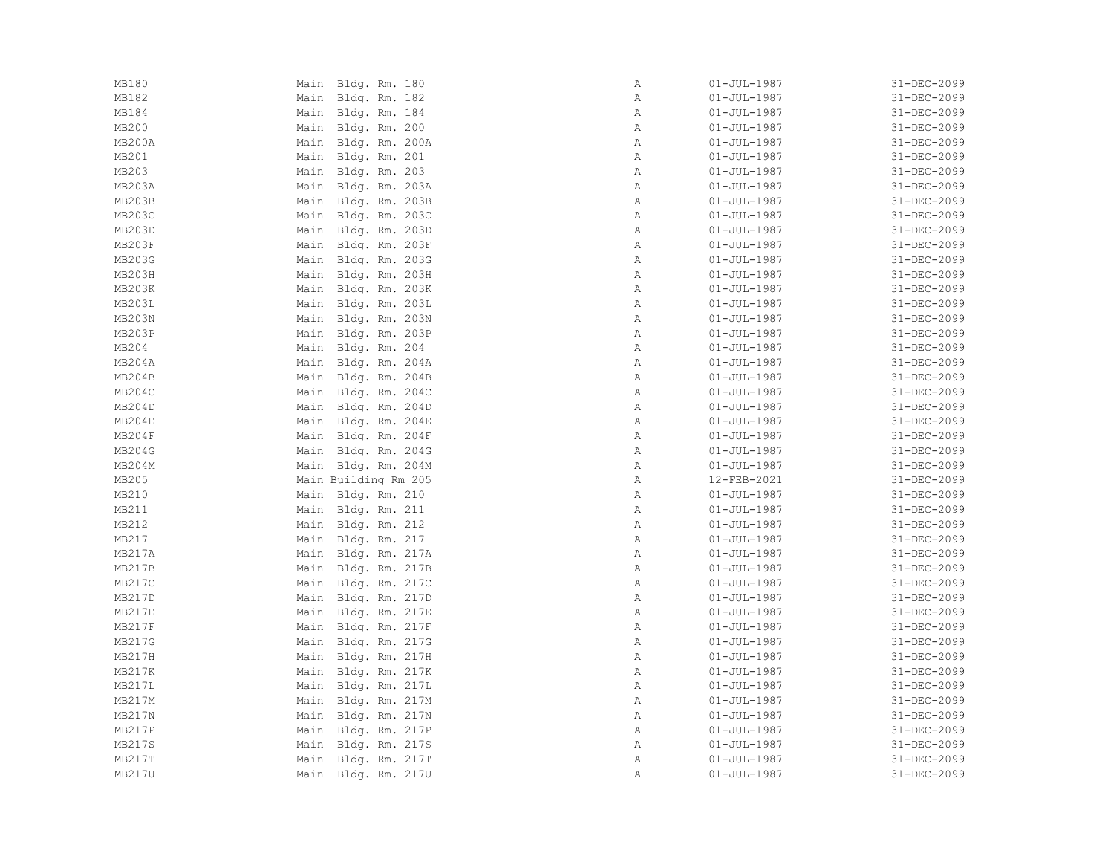| MB180<br>Main Bldg. Rm. 180          | Α            | $01 - JUL - 1987$ | 31-DEC-2099 |
|--------------------------------------|--------------|-------------------|-------------|
| MB182<br>Main Bldg. Rm. 182          | Α            | $01 - JUL - 1987$ | 31-DEC-2099 |
| MB184<br>Main Bldg. Rm. 184          | Α            | $01 - JUL - 1987$ | 31-DEC-2099 |
| MB200<br>Main Bldg. Rm. 200          | Α            | $01 - JUL - 1987$ | 31-DEC-2099 |
| <b>MB200A</b><br>Main Bldg. Rm. 200A | $\mathbb{A}$ | $01 - JUL - 1987$ | 31-DEC-2099 |
| MB201<br>Main Bldg. Rm. 201          | Α            | $01 - JUL - 1987$ | 31-DEC-2099 |
| MB203<br>Main Bldg. Rm. 203          | Α            | $01 - JUL - 1987$ | 31-DEC-2099 |
| MB203A<br>Main Bldg. Rm. 203A        | Α            | $01 - JUL - 1987$ | 31-DEC-2099 |
| <b>MB203B</b><br>Main Bldg. Rm. 203B | $\mathbb{A}$ | $01 - JUL - 1987$ | 31-DEC-2099 |
| MB203C<br>Main Bldg. Rm. 203C        | Α            | $01 - JUL - 1987$ | 31-DEC-2099 |
| MB203D<br>Main Bldg. Rm. 203D        | $\mathbb{A}$ | $01 - JUL - 1987$ | 31-DEC-2099 |
| MB203F<br>Main Bldg. Rm. 203F        | Α            | $01 - JUL - 1987$ | 31-DEC-2099 |
| MB203G<br>Main Bldg. Rm. 203G        | $\mathbb{A}$ | $01 - JUL - 1987$ | 31-DEC-2099 |
| MB203H<br>Main Bldg. Rm. 203H        | $\mathbb{A}$ | $01 - JUL - 1987$ | 31-DEC-2099 |
| MB203K<br>Main Bldg. Rm. 203K        | Α            | $01 - JUL - 1987$ | 31-DEC-2099 |
| MB203L<br>Main Bldg. Rm. 203L        | $\mathbb{A}$ | $01 - JUL - 1987$ | 31-DEC-2099 |
| MB203N<br>Main Bldg. Rm. 203N        | Α            | $01 - JUL - 1987$ | 31-DEC-2099 |
| MB203P<br>Main Bldg. Rm. 203P        | $\mathbb{A}$ | $01 - JUL - 1987$ | 31-DEC-2099 |
| MB204<br>Main Bldg. Rm. 204          | Α            | $01 - JUL - 1987$ | 31-DEC-2099 |
| MB204A<br>Main Bldg. Rm. 204A        | Α            | $01 - JUL - 1987$ | 31-DEC-2099 |
| MB204B<br>Main Bldg. Rm. 204B        | Α            | $01 - JUL - 1987$ | 31-DEC-2099 |
| MB204C<br>Main Bldg. Rm. 204C        | Α            | $01 - JUL - 1987$ | 31-DEC-2099 |
| MB204D<br>Main Bldg. Rm. 204D        | $\mathbb{A}$ | $01 - JUL - 1987$ | 31-DEC-2099 |
| MB204E<br>Main Bldg. Rm. 204E        | Α            | $01 - JUL - 1987$ | 31-DEC-2099 |
| MB204F<br>Main Bldg. Rm. 204F        | $\mathbb{A}$ | $01 - JUL - 1987$ | 31-DEC-2099 |
| MB204G<br>Main Bldg. Rm. 204G        | $\mathbb A$  | $01 - JUL - 1987$ | 31-DEC-2099 |
| MB204M<br>Main Bldg. Rm. 204M        | Α            | $01 - JUL - 1987$ | 31-DEC-2099 |
| MB205<br>Main Building Rm 205        | Α            | 12-FEB-2021       | 31-DEC-2099 |
| MB210<br>Main Bldg. Rm. 210          | $\mathbb{A}$ | $01 - JUL - 1987$ | 31-DEC-2099 |
| MB211<br>Main Bldg. Rm. 211          | $\mathbb{A}$ | $01 - JUL - 1987$ | 31-DEC-2099 |
| MB212<br>Main Bldg. Rm. 212          | Α            | $01 - JUL - 1987$ | 31-DEC-2099 |
| MB217<br>Main Bldg. Rm. 217          | $\mathbb{A}$ | $01 - JUL - 1987$ | 31-DEC-2099 |
| <b>MB217A</b><br>Main Bldg. Rm. 217A | Α            | $01 - JUL - 1987$ | 31-DEC-2099 |
| MB217B<br>Main Bldg. Rm. 217B        | $\mathbb A$  | $01 - JUL - 1987$ | 31-DEC-2099 |
| MB217C<br>Main Bldg. Rm. 217C        | Α            | $01 - JUL - 1987$ | 31-DEC-2099 |
| MB217D<br>Main Bldg. Rm. 217D        | $\mathbb{A}$ | $01 - JUL - 1987$ | 31-DEC-2099 |
| MB217E<br>Main Bldg. Rm. 217E        | $\mathbb{A}$ | $01 - JUL - 1987$ | 31-DEC-2099 |
| MB217F<br>Main Bldg. Rm. 217F        | $\mathbb{A}$ | $01 - JUL - 1987$ | 31-DEC-2099 |
| MB217G<br>Main Bldg. Rm. 217G        | $\mathbb{A}$ | $01 - JUL - 1987$ | 31-DEC-2099 |
| MB217H<br>Main Bldg. Rm. 217H        | Α            | $01 - JUL - 1987$ | 31-DEC-2099 |
| MB217K<br>Main Bldg. Rm. 217K        | Α            | $01 - JUL - 1987$ | 31-DEC-2099 |
| MB217L<br>Main Bldg. Rm. 217L        | Α            | $01 - JUL - 1987$ | 31-DEC-2099 |
| MB217M<br>Main Bldg. Rm. 217M        | $\mathbb{A}$ | $01 - JUL - 1987$ | 31-DEC-2099 |
| MB217N<br>Main Bldg. Rm. 217N        | Α            | $01 - JUL - 1987$ | 31-DEC-2099 |
| MB217P<br>Main Bldg. Rm. 217P        | Α            | $01 - JUL - 1987$ | 31-DEC-2099 |
| MB217S<br>Main Bldg. Rm. 217S        | $\mathbb{A}$ | $01 - JUL - 1987$ | 31-DEC-2099 |
| MB217T<br>Main Bldg. Rm. 217T        | Α            | $01 - JUL - 1987$ | 31-DEC-2099 |
| MB217U<br>Main Bldg. Rm. 217U        | Α            | $01 - JUL - 1987$ | 31-DEC-2099 |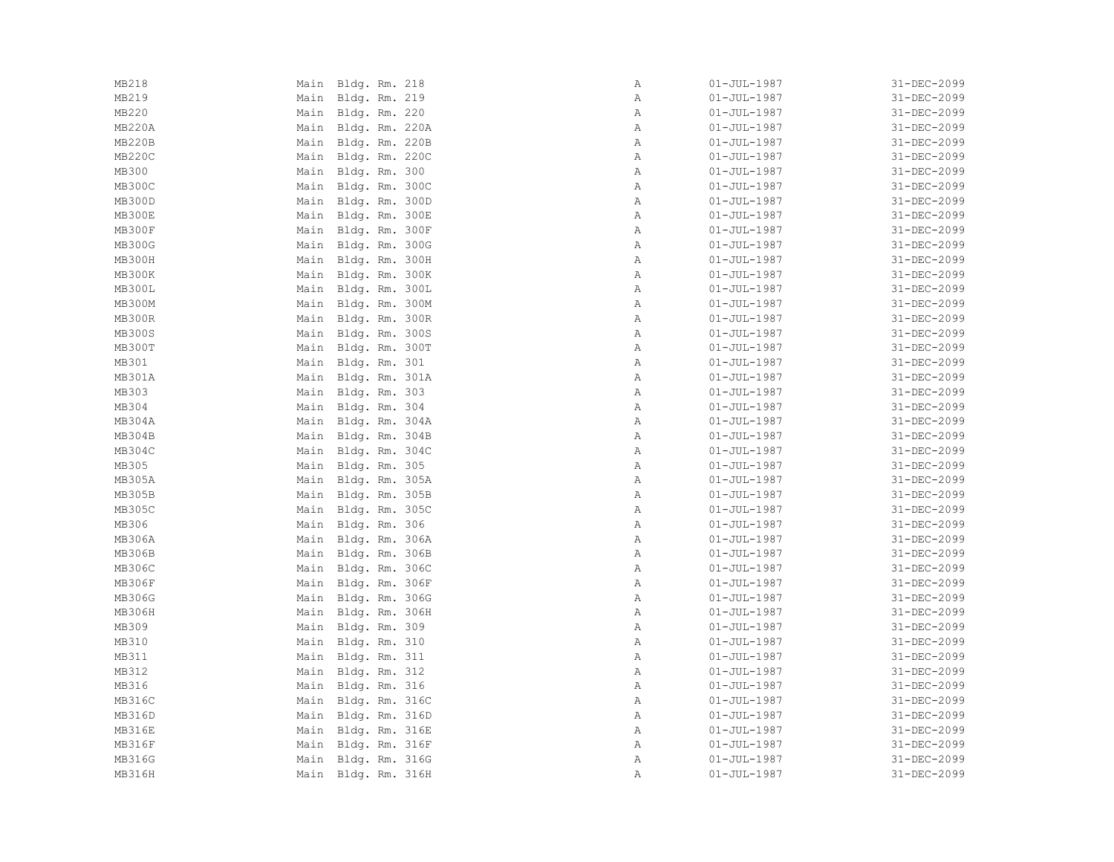| MB218         | Main Bldg. Rm. 218  | Α            | $01 - JUL - 1987$ | 31-DEC-2099 |
|---------------|---------------------|--------------|-------------------|-------------|
| MB219         | Main Bldg. Rm. 219  | Α            | $01 - JUL - 1987$ | 31-DEC-2099 |
| MB220         | Main Bldg. Rm. 220  | Α            | $01 - JUL - 1987$ | 31-DEC-2099 |
| MB220A        | Main Bldg. Rm. 220A | Α            | $01 - JUL - 1987$ | 31-DEC-2099 |
| <b>MB220B</b> | Main Bldg. Rm. 220B | $\mathbb{A}$ | $01 - JUL - 1987$ | 31-DEC-2099 |
| <b>MB220C</b> | Main Bldg. Rm. 220C | Α            | $01 - JUL - 1987$ | 31-DEC-2099 |
| MB300         | Main Bldg. Rm. 300  | $\mathbb{A}$ | $01 - JUL - 1987$ | 31-DEC-2099 |
| MB300C        | Main Bldg. Rm. 300C | Α            | $01 - JUL - 1987$ | 31-DEC-2099 |
| MB300D        | Main Bldg. Rm. 300D | $\mathbb{A}$ | $01 - JUL - 1987$ | 31-DEC-2099 |
| MB300E        | Main Bldg. Rm. 300E | Α            | $01 - JUL - 1987$ | 31-DEC-2099 |
| MB300F        | Main Bldg. Rm. 300F | $\mathbb{A}$ | $01 - JUL - 1987$ | 31-DEC-2099 |
| <b>MB300G</b> | Main Bldg. Rm. 300G | Α            | $01 - JUL - 1987$ | 31-DEC-2099 |
| MB300H        | Main Bldg. Rm. 300H | Α            | $01 - JUL - 1987$ | 31-DEC-2099 |
| MB300K        | Main Bldg. Rm. 300K | $\mathbb{A}$ | $01 - JUL - 1987$ | 31-DEC-2099 |
| MB300L        | Main Bldg. Rm. 300L | Α            | $01 - JUL - 1987$ | 31-DEC-2099 |
| MB300M        | Main Bldg. Rm. 300M | $\mathbb{A}$ | $01 - JUL - 1987$ | 31-DEC-2099 |
| <b>MB300R</b> | Main Bldg. Rm. 300R | Α            | $01 - JUL - 1987$ | 31-DEC-2099 |
| <b>MB300S</b> | Main Bldg. Rm. 300S | $\, {\bf A}$ | $01 - JUL - 1987$ | 31-DEC-2099 |
| MB300T        | Main Bldg. Rm. 300T | $\, {\bf A}$ | $01 - JUL - 1987$ | 31-DEC-2099 |
| MB301         | Main Bldg. Rm. 301  | $\mathbb A$  | $01 - JUL - 1987$ | 31-DEC-2099 |
| MB301A        | Main Bldg. Rm. 301A | Α            | $01 - JUL - 1987$ | 31-DEC-2099 |
| MB303         | Main Bldg. Rm. 303  | Α            | $01 - JUL - 1987$ | 31-DEC-2099 |
| MB304         | Main Bldg. Rm. 304  | $\mathbb{A}$ | $01 - JUL - 1987$ | 31-DEC-2099 |
| MB304A        | Main Bldg. Rm. 304A | Α            | $01 - JUL - 1987$ | 31-DEC-2099 |
| MB304B        | Main Bldg. Rm. 304B | $\mathbb{A}$ | $01 - JUL - 1987$ | 31-DEC-2099 |
| MB304C        | Main Bldg. Rm. 304C | $\, {\bf A}$ | $01 - JUL - 1987$ | 31-DEC-2099 |
| MB305         | Main Bldg. Rm. 305  | $\mathbb{A}$ | $01 - JUL - 1987$ | 31-DEC-2099 |
| MB305A        | Main Bldg. Rm. 305A | Α            | $01 - JUL - 1987$ | 31-DEC-2099 |
| MB305B        | Main Bldg. Rm. 305B | $\mathbb{A}$ | $01 - JUL - 1987$ | 31-DEC-2099 |
| <b>MB305C</b> | Main Bldg. Rm. 305C | $\mathbb{A}$ | $01 - JUL - 1987$ | 31-DEC-2099 |
| MB306         | Main Bldg. Rm. 306  | Α            | $01 - JUL - 1987$ | 31-DEC-2099 |
| MB306A        | Main Bldg. Rm. 306A | $\, {\bf A}$ | $01 - JUL - 1987$ | 31-DEC-2099 |
| MB306B        | Main Bldg. Rm. 306B | Α            | $01 - JUL - 1987$ | 31-DEC-2099 |
| MB306C        | Main Bldg. Rm. 306C | $\mathbb{A}$ | $01 - JUL - 1987$ | 31-DEC-2099 |
| MB306F        | Main Bldg. Rm. 306F | Α            | $01 - JUL - 1987$ | 31-DEC-2099 |
| MB306G        | Main Bldg. Rm. 306G | Α            | $01 - JUL - 1987$ | 31-DEC-2099 |
| MB306H        | Main Bldg. Rm. 306H | $\mathbb{A}$ | 01-JUL-1987       | 31-DEC-2099 |
| MB309         | Main Bldg. Rm. 309  | $\mathbb{A}$ | $01 - JUL - 1987$ | 31-DEC-2099 |
| MB310         | Main Bldg. Rm. 310  | A            | $01 - JUL - 1987$ | 31-DEC-2099 |
| MB311         | Main Bldg. Rm. 311  | Α            | $01 - JUL - 1987$ | 31-DEC-2099 |
| MB312         | Main Bldg. Rm. 312  | Α            | $01 - JUL - 1987$ | 31-DEC-2099 |
| MB316         | Main Bldg. Rm. 316  | Α            | $01 - JUL - 1987$ | 31-DEC-2099 |
| MB316C        | Main Bldg. Rm. 316C | Α            | $01 - JUL - 1987$ | 31-DEC-2099 |
| MB316D        | Main Bldg. Rm. 316D | Α            | $01 - JUL - 1987$ | 31-DEC-2099 |
| <b>MB316E</b> | Main Bldg. Rm. 316E | $\mathbb{A}$ | $01 - JUL - 1987$ | 31-DEC-2099 |
| MB316F        | Main Bldg. Rm. 316F | $\mathbb{A}$ | 01-JUL-1987       | 31-DEC-2099 |
| MB316G        | Main Bldg. Rm. 316G | Α            | $01 - JUL - 1987$ | 31-DEC-2099 |
| MB316H        | Main Bldg. Rm. 316H | Α            | $01 - JUL - 1987$ | 31-DEC-2099 |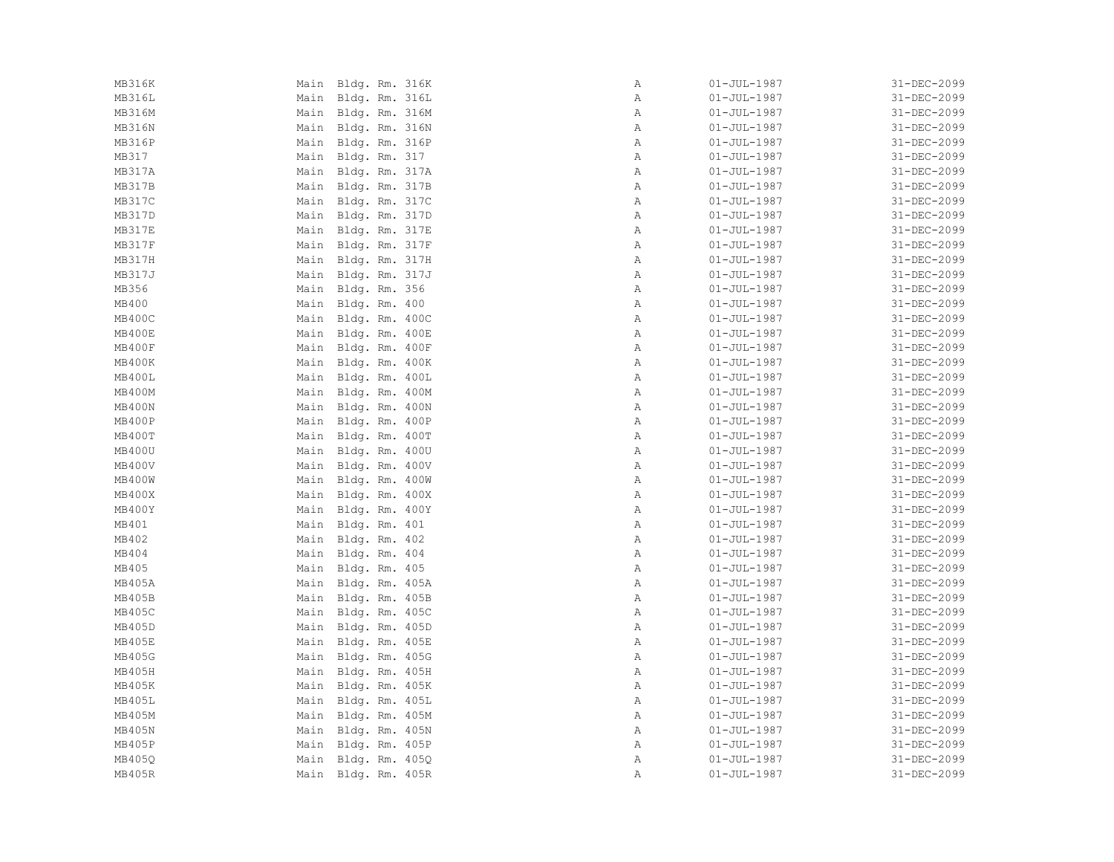| MB316K        |      | Main Bldg. Rm. 316K | Α            | $01 - JUL - 1987$ | 31-DEC-2099 |
|---------------|------|---------------------|--------------|-------------------|-------------|
| MB316L        |      | Main Bldg. Rm. 316L | Α            | $01 - JUL - 1987$ | 31-DEC-2099 |
| MB316M        |      | Main Bldg. Rm. 316M | Α            | $01 - JUL - 1987$ | 31-DEC-2099 |
| MB316N        |      | Main Bldg. Rm. 316N | Α            | $01 - JUL - 1987$ | 31-DEC-2099 |
| <b>MB316P</b> |      | Main Bldg. Rm. 316P | $\mathbb{A}$ | $01 - JUL - 1987$ | 31-DEC-2099 |
| MB317         |      | Main Bldg. Rm. 317  | Α            | $01 - JUL - 1987$ | 31-DEC-2099 |
| MB317A        |      | Main Bldg. Rm. 317A | Α            | $01 - JUL - 1987$ | 31-DEC-2099 |
| MB317B        |      | Main Bldg. Rm. 317B | Α            | $01 - JUL - 1987$ | 31-DEC-2099 |
| <b>MB317C</b> |      | Main Bldg. Rm. 317C | $\mathbb{A}$ | $01 - JUL - 1987$ | 31-DEC-2099 |
| <b>MB317D</b> |      | Main Bldg. Rm. 317D | Α            | $01 - JUL - 1987$ | 31-DEC-2099 |
| MB317E        |      | Main Bldg. Rm. 317E | Α            | $01 - JUL - 1987$ | 31-DEC-2099 |
| MB317F        |      | Main Bldg. Rm. 317F | Α            | $01 - JUL - 1987$ | 31-DEC-2099 |
| MB317H        |      | Main Bldg. Rm. 317H | Α            | $01 - JUL - 1987$ | 31-DEC-2099 |
| MB317J        |      | Main Bldg. Rm. 317J | $\mathbb{A}$ | $01 - JUL - 1987$ | 31-DEC-2099 |
| MB356         |      | Main Bldg. Rm. 356  | Α            | $01 - JUL - 1987$ | 31-DEC-2099 |
| MB400         |      | Main Bldg. Rm. 400  | $\mathbb{A}$ | $01 - JUL - 1987$ | 31-DEC-2099 |
| MB400C        |      | Main Bldg. Rm. 400C | Α            | $01 - JUL - 1987$ | 31-DEC-2099 |
| MB400E        |      | Main Bldg. Rm. 400E | Α            | $01 - JUL - 1987$ | 31-DEC-2099 |
| MB400F        |      | Main Bldg. Rm. 400F | $\, {\bf A}$ | $01 - JUL - 1987$ | 31-DEC-2099 |
| MB400K        |      | Main Bldg. Rm. 400K | Α            | $01 - JUL - 1987$ | 31-DEC-2099 |
| MB400L        |      | Main Bldg. Rm. 400L | Α            | $01 - JUL - 1987$ | 31-DEC-2099 |
| MB400M        |      | Main Bldg. Rm. 400M | Α            | $01 - JUL - 1987$ | 31-DEC-2099 |
| MB400N        |      | Main Bldg. Rm. 400N | Α            | $01 - JUL - 1987$ | 31-DEC-2099 |
| MB400P        |      | Main Bldg. Rm. 400P | Α            | $01 - JUL - 1987$ | 31-DEC-2099 |
| MB400T        | Main | Bldg. Rm. 400T      | $\mathbb{A}$ | $01 - JUL - 1987$ | 31-DEC-2099 |
| MB400U        |      | Main Bldg. Rm. 400U | Α            | $01 - JUL - 1987$ | 31-DEC-2099 |
| MB400V        |      | Main Bldg. Rm. 400V | Α            | $01 - JUL - 1987$ | 31-DEC-2099 |
| MB400W        |      | Main Bldg. Rm. 400W | Α            | $01 - JUL - 1987$ | 31-DEC-2099 |
| MB400X        |      | Main Bldg. Rm. 400X | $\mathbb{A}$ | $01 - JUL - 1987$ | 31-DEC-2099 |
| MB400Y        |      | Main Bldg. Rm. 400Y | $\mathbb{A}$ | $01 - JUL - 1987$ | 31-DEC-2099 |
| MB401         |      | Main Bldg. Rm. 401  | Α            | $01 - JUL - 1987$ | 31-DEC-2099 |
| MB402         |      | Main Bldg. Rm. 402  | $\mathbb{A}$ | $01 - JUL - 1987$ | 31-DEC-2099 |
| MB404         |      | Main Bldg. Rm. 404  | $\, {\bf A}$ | $01 - JUL - 1987$ | 31-DEC-2099 |
| MB405         |      | Main Bldg. Rm. 405  | Α            | $01 - JUL - 1987$ | 31-DEC-2099 |
| MB405A        |      | Main Bldg. Rm. 405A | Α            | $01 - JUL - 1987$ | 31-DEC-2099 |
| MB405B        | Main | Bldg. Rm. 405B      | $\mathbb{A}$ | $01 - JUL - 1987$ | 31-DEC-2099 |
| <b>MB405C</b> |      | Main Bldg. Rm. 405C | $\mathbb{A}$ | $01 - JUL - 1987$ | 31-DEC-2099 |
| MB405D        |      | Main Bldg. Rm. 405D | $\mathbb{A}$ | $01 - JUL - 1987$ | 31-DEC-2099 |
| MB405E        |      | Main Bldg. Rm. 405E | $\mathbb{A}$ | $01 - JUL - 1987$ | 31-DEC-2099 |
| MB405G        |      | Main Bldg. Rm. 405G | Α            | $01 - JUL - 1987$ | 31-DEC-2099 |
| MB405H        | Main | Bldg. Rm. 405H      | Α            | $01 - JUL - 1987$ | 31-DEC-2099 |
| MB405K        |      | Main Bldg. Rm. 405K | Α            | $01 - JUL - 1987$ | 31-DEC-2099 |
| MB405L        |      | Main Bldg. Rm. 405L | $\mathbb{A}$ | $01 - JUL - 1987$ | 31-DEC-2099 |
| MB405M        |      | Main Bldg. Rm. 405M | Α            | $01 - JUL - 1987$ | 31-DEC-2099 |
| MB405N        |      | Main Bldg. Rm. 405N | Α            | $01 - JUL - 1987$ | 31-DEC-2099 |
| MB405P        |      | Main Bldg. Rm. 405P | Α            | $01 - JUL - 1987$ | 31-DEC-2099 |
| MB405Q        |      | Main Bldg. Rm. 405Q | Α            | $01 - JUL - 1987$ | 31-DEC-2099 |
| MB405R        |      | Main Bldg. Rm. 405R | Α            | $01 - JUL - 1987$ | 31-DEC-2099 |
|               |      |                     |              |                   |             |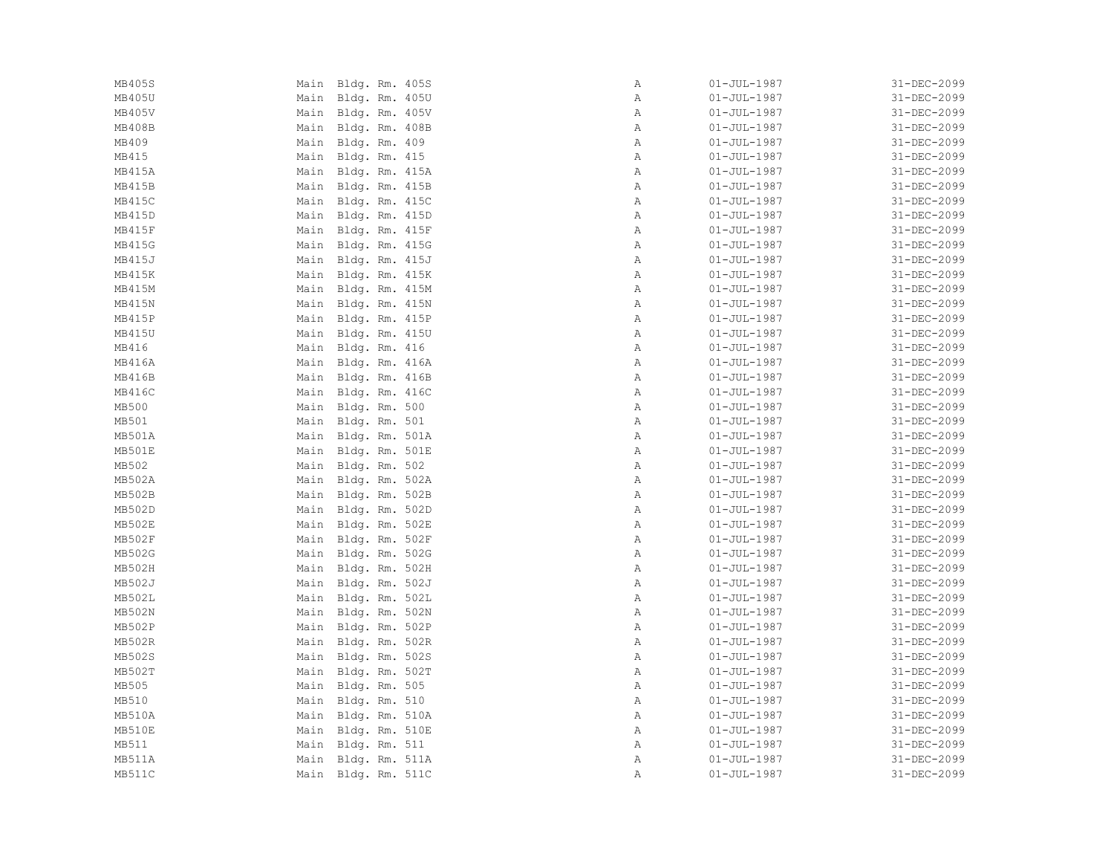| MB405S        | Main Bldg. Rm. 405S | Α            | $01 - JUL - 1987$ | 31-DEC-2099 |
|---------------|---------------------|--------------|-------------------|-------------|
| MB405U        | Main Bldg. Rm. 405U | Α            | $01 - JUL - 1987$ | 31-DEC-2099 |
| MB405V        | Main Bldg. Rm. 405V | Α            | $01 - JUL - 1987$ | 31-DEC-2099 |
| MB408B        | Main Bldg. Rm. 408B | Α            | $01 - JUL - 1987$ | 31-DEC-2099 |
| MB409         | Main Bldg. Rm. 409  | $\mathbb{A}$ | $01 - JUL - 1987$ | 31-DEC-2099 |
| MB415         | Main Bldg. Rm. 415  | Α            | $01 - JUL - 1987$ | 31-DEC-2099 |
| MB415A        | Main Bldg. Rm. 415A | $\mathbb{A}$ | $01 - JUL - 1987$ | 31-DEC-2099 |
| MB415B        | Main Bldg. Rm. 415B | Α            | $01 - JUL - 1987$ | 31-DEC-2099 |
| MB415C        | Main Bldg. Rm. 415C | $\mathbb{A}$ | $01 - JUL - 1987$ | 31-DEC-2099 |
| MB415D        | Main Bldg. Rm. 415D | Α            | $01 - JUL - 1987$ | 31-DEC-2099 |
| MB415F        | Main Bldg. Rm. 415F | $\mathbb{A}$ | $01 - JUL - 1987$ | 31-DEC-2099 |
| MB415G        | Main Bldg. Rm. 415G | Α            | $01 - JUL - 1987$ | 31-DEC-2099 |
| MB415J        | Main Bldg. Rm. 415J | Α            | $01 - JUL - 1987$ | 31-DEC-2099 |
| MB415K        | Main Bldg. Rm. 415K | A            | $01 - JUL - 1987$ | 31-DEC-2099 |
| MB415M        | Main Bldg. Rm. 415M | Α            | $01 - JUL - 1987$ | 31-DEC-2099 |
| MB415N        | Main Bldg. Rm. 415N | $\mathbb{A}$ | $01 - JUL - 1987$ | 31-DEC-2099 |
| MB415P        | Main Bldg. Rm. 415P | Α            | $01 - JUL - 1987$ | 31-DEC-2099 |
| MB415U        | Main Bldg. Rm. 415U | $\mathbb{A}$ | $01 - JUL - 1987$ | 31-DEC-2099 |
| MB416         | Main Bldg. Rm. 416  | $\mathbb{A}$ | $01 - JUL - 1987$ | 31-DEC-2099 |
| MB416A        | Main Bldg. Rm. 416A | $\mathbb{A}$ | $01 - JUL - 1987$ | 31-DEC-2099 |
| MB416B        | Main Bldg. Rm. 416B | Α            | $01 - JUL - 1987$ | 31-DEC-2099 |
| MB416C        | Main Bldg. Rm. 416C | Α            | $01 - JUL - 1987$ | 31-DEC-2099 |
| MB500         | Main Bldg. Rm. 500  | $\mathbb{A}$ | $01 - JUL - 1987$ | 31-DEC-2099 |
| MB501         | Main Bldg. Rm. 501  | Α            | $01 - JUL - 1987$ | 31-DEC-2099 |
| MB501A        | Main Bldg. Rm. 501A | A            | $01 - JUL - 1987$ | 31-DEC-2099 |
| MB501E        | Main Bldg. Rm. 501E | $\mathbb{A}$ | $01 - JUL - 1987$ | 31-DEC-2099 |
| MB502         | Main Bldg. Rm. 502  | $\mathbb{A}$ | $01 - JUL - 1987$ | 31-DEC-2099 |
| MB502A        | Main Bldg. Rm. 502A | Α            | $01 - JUL - 1987$ | 31-DEC-2099 |
| <b>MB502B</b> | Main Bldg. Rm. 502B | $\mathbb{A}$ | $01 - JUL - 1987$ | 31-DEC-2099 |
| MB502D        | Main Bldg. Rm. 502D | $\mathbb{A}$ | $01 - JUL - 1987$ | 31-DEC-2099 |
| MB502E        | Main Bldg. Rm. 502E | Α            | $01 - JUL - 1987$ | 31-DEC-2099 |
| <b>MB502F</b> | Main Bldg. Rm. 502F | $\mathbb{A}$ | $01 - JUL - 1987$ | 31-DEC-2099 |
| MB502G        | Main Bldg. Rm. 502G | $\mathbb{A}$ | $01 - JUL - 1987$ | 31-DEC-2099 |
| MB502H        | Main Bldg. Rm. 502H | $\mathbb{A}$ | $01 - JUL - 1987$ | 31-DEC-2099 |
| MB502J        | Main Bldg. Rm. 502J | Α            | $01 - JUL - 1987$ | 31-DEC-2099 |
| MB502L        | Main Bldg. Rm. 502L | Α            | $01 - JUL - 1987$ | 31-DEC-2099 |
| MB502N        | Main Bldg. Rm. 502N | $\mathbb{A}$ | $01 - JUL - 1987$ | 31-DEC-2099 |
| MB502P        | Main Bldg. Rm. 502P | $\mathbb{A}$ | $01 - JUL - 1987$ | 31-DEC-2099 |
| MB502R        | Main Bldg. Rm. 502R | A            | $01 - JUL - 1987$ | 31-DEC-2099 |
| MB502S        | Main Bldg. Rm. 502S | Α            | $01 - JUL - 1987$ | 31-DEC-2099 |
| MB502T        | Main Bldg. Rm. 502T | Α            | $01 - JUL - 1987$ | 31-DEC-2099 |
| MB505         | Main Bldg. Rm. 505  | Α            | $01 - JUL - 1987$ | 31-DEC-2099 |
| MB510         | Main Bldg. Rm. 510  | $\mathbb{A}$ | $01 - JUL - 1987$ | 31-DEC-2099 |
| MB510A        | Main Bldg. Rm. 510A | Α            | $01 - JUL - 1987$ | 31-DEC-2099 |
| MB510E        | Main Bldg. Rm. 510E | $\mathbb{A}$ | $01 - JUL - 1987$ | 31-DEC-2099 |
| MB511         | Main Bldg. Rm. 511  | $\mathbb{A}$ | 01-JUL-1987       | 31-DEC-2099 |
| MB511A        | Main Bldg. Rm. 511A | Α            | $01 - JUL - 1987$ | 31-DEC-2099 |
| MB511C        | Main Bldg. Rm. 511C | Α            | $01 - JUL - 1987$ | 31-DEC-2099 |
|               |                     |              |                   |             |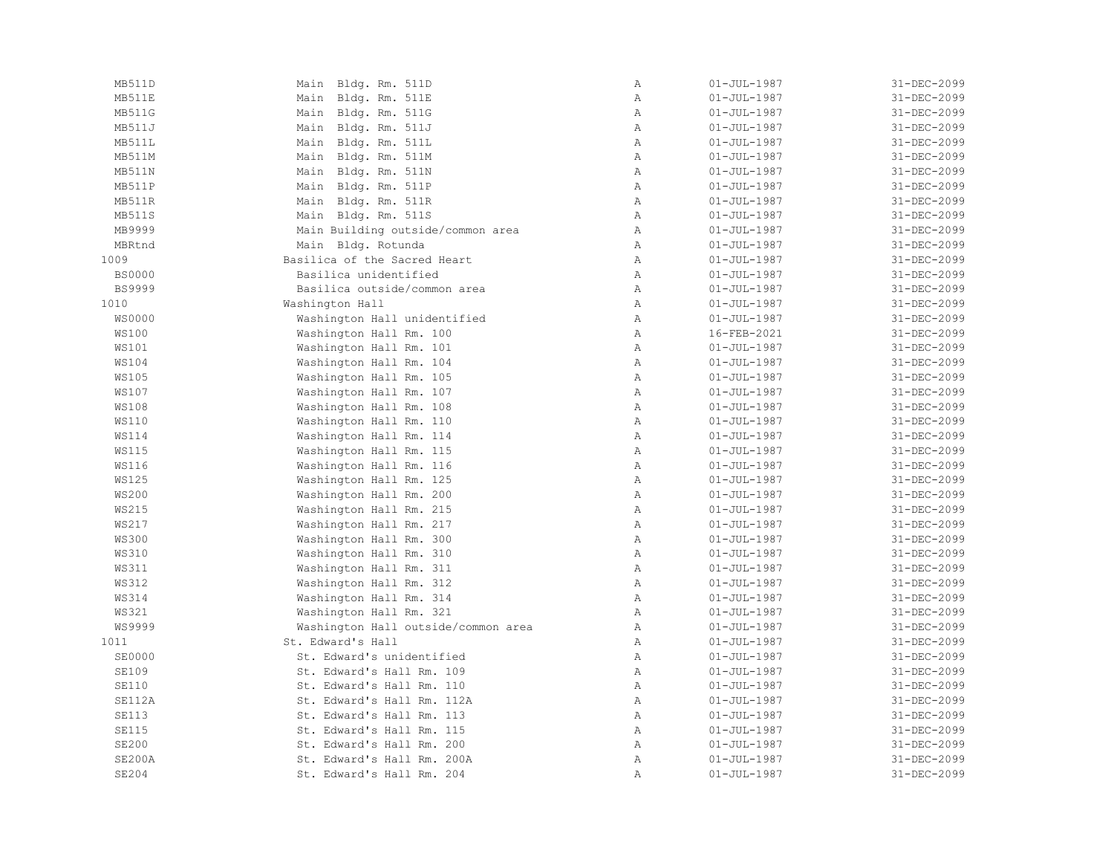| MB511D        | Main Bldg. Rm. 511D                 | $\mathbb{A}$   | $01 - JUL - 1987$ | 31-DEC-2099 |
|---------------|-------------------------------------|----------------|-------------------|-------------|
| MB511E        | Main Bldg. Rm. 511E                 | $\, {\bf A}$   | $01 - JUL - 1987$ | 31-DEC-2099 |
| MB511G        | Main Bldg. Rm. 511G                 | $\mathbb{A}$   | $01 - JUL - 1987$ | 31-DEC-2099 |
| MB511J        | Main Bldg. Rm. 511J                 | $\mathbb{A}$   | $01 - JUL - 1987$ | 31-DEC-2099 |
| MB511L        | Main Bldg. Rm. 511L                 | $\mathbb{A}$   | $01 - JUL - 1987$ | 31-DEC-2099 |
| MB511M        | Main Bldg. Rm. 511M                 | $\mathbb{A}$   | $01 - JUL - 1987$ | 31-DEC-2099 |
| MB511N        | Main Bldg. Rm. 511N                 | $\mathbb{A}$   | $01 - JUL - 1987$ | 31-DEC-2099 |
| MB511P        | Main Bldg. Rm. 511P                 | $\mathbb{A}$   | $01 - JUL - 1987$ | 31-DEC-2099 |
| MB511R        | Main Bldg. Rm. 511R                 | A              | $01 - JUL - 1987$ | 31-DEC-2099 |
| MB511S        | Main Bldg. Rm. 511S                 | $\mathbb{A}$   | $01 - JUL - 1987$ | 31-DEC-2099 |
| MB9999        | Main Building outside/common area   | A              | $01 - JUL - 1987$ | 31-DEC-2099 |
| MBRtnd        | Main Bldg. Rotunda                  | $\mathbb{A}$   | $01 - JUL - 1987$ | 31-DEC-2099 |
| 1009          | Basilica of the Sacred Heart        | $\mathbb{A}$   | $01 - JUL - 1987$ | 31-DEC-2099 |
| <b>BS0000</b> | Basilica unidentified               | $\lambda$      | $01 - JUL - 1987$ | 31-DEC-2099 |
| <b>BS9999</b> | Basilica outside/common area        | $\mathbb A$    | $01 - JUL - 1987$ | 31-DEC-2099 |
| 1010          | Washington Hall                     | $\mathbb{A}$   | $01 - JUL - 1987$ | 31-DEC-2099 |
| <b>WS0000</b> | Washington Hall unidentified        | Α              | $01 - JUL - 1987$ | 31-DEC-2099 |
| <b>WS100</b>  | Washington Hall Rm. 100             | $\lambda$      | 16-FEB-2021       | 31-DEC-2099 |
| <b>WS101</b>  | Washington Hall Rm. 101             | $\mathbb{A}$   | $01 - JUL - 1987$ | 31-DEC-2099 |
| <b>WS104</b>  | Washington Hall Rm. 104             | $\mathbb{A}$   | $01 - JUL - 1987$ | 31-DEC-2099 |
| <b>WS105</b>  | Washington Hall Rm. 105             | $\mathbb{A}$   | $01 - JUL - 1987$ | 31-DEC-2099 |
| <b>WS107</b>  | Washington Hall Rm. 107             | $\mathbb{A}$   | $01 - JUL - 1987$ | 31-DEC-2099 |
| <b>WS108</b>  | Washington Hall Rm. 108             | $\mathbb A$    | $01 - JUL - 1987$ | 31-DEC-2099 |
| <b>WS110</b>  | Washington Hall Rm. 110             | Α              | $01 - JUL - 1987$ | 31-DEC-2099 |
| <b>WS114</b>  | Washington Hall Rm. 114             | $\mathbb{A}$   | $01 - JUL - 1987$ | 31-DEC-2099 |
| <b>WS115</b>  | Washington Hall Rm. 115             | $\mathbb A$    | $01 - JUL - 1987$ | 31-DEC-2099 |
| <b>WS116</b>  | Washington Hall Rm. 116             | A              | $01 - JUL - 1987$ | 31-DEC-2099 |
| <b>WS125</b>  | Washington Hall Rm. 125             | $\mathbb{A}$   | $01 - JUL - 1987$ | 31-DEC-2099 |
| <b>WS200</b>  | Washington Hall Rm. 200             | $\mathbb{A}$   | $01 - JUL - 1987$ | 31-DEC-2099 |
| <b>WS215</b>  | Washington Hall Rm. 215             | $\mathbb{A}$   | $01 - JUL - 1987$ | 31-DEC-2099 |
| <b>WS217</b>  | Washington Hall Rm. 217             | $\mathbb{A}$   | $01 - JUL - 1987$ | 31-DEC-2099 |
| <b>WS300</b>  | Washington Hall Rm. 300             | $\mathbb{A}$   | $01 - JUL - 1987$ | 31-DEC-2099 |
| <b>WS310</b>  | Washington Hall Rm. 310             | $\mathbb A$    | $01 - JUL - 1987$ | 31-DEC-2099 |
| <b>WS311</b>  | Washington Hall Rm. 311             | $\mathbb{A}$   | $01 - JUL - 1987$ | 31-DEC-2099 |
| <b>WS312</b>  | Washington Hall Rm. 312             | $\mathbb{A}$   | $01 - JUL - 1987$ | 31-DEC-2099 |
| <b>WS314</b>  | Washington Hall Rm. 314             | $\mathbb{A}$   | $01 - JUL - 1987$ | 31-DEC-2099 |
| <b>WS321</b>  | Washington Hall Rm. 321             | $\overline{A}$ | $01 - JUL - 1987$ | 31-DEC-2099 |
| WS9999        | Washington Hall outside/common area | A              | $01 - JUL - 1987$ | 31-DEC-2099 |
| 1011          | St. Edward's Hall                   | A              | $01 - JUL - 1987$ | 31-DEC-2099 |
| <b>SE0000</b> | St. Edward's unidentified           | Α              | $01 - JUL - 1987$ | 31-DEC-2099 |
| <b>SE109</b>  | St. Edward's Hall Rm. 109           | $\mathbb{A}$   | $01 - JUL - 1987$ | 31-DEC-2099 |
| <b>SE110</b>  | St. Edward's Hall Rm. 110           | $\mathbb{A}$   | $01 - JUL - 1987$ | 31-DEC-2099 |
| SE112A        | St. Edward's Hall Rm. 112A          | $\mathbb{A}$   | $01 - JUL - 1987$ | 31-DEC-2099 |
| <b>SE113</b>  | St. Edward's Hall Rm. 113           | $\mathbb{A}$   | $01 - JUL - 1987$ | 31-DEC-2099 |
| <b>SE115</b>  | St. Edward's Hall Rm. 115           | $\mathbb{A}$   | $01 - JUL - 1987$ | 31-DEC-2099 |
| <b>SE200</b>  | St. Edward's Hall Rm. 200           | $\mathbb{A}$   | $01 - JUL - 1987$ | 31-DEC-2099 |
| SE200A        | St. Edward's Hall Rm. 200A          | $\, {\bf A}$   | $01 - JUL - 1987$ | 31-DEC-2099 |
| <b>SE204</b>  | St. Edward's Hall Rm. 204           | Α              | $01 - JUL - 1987$ | 31-DEC-2099 |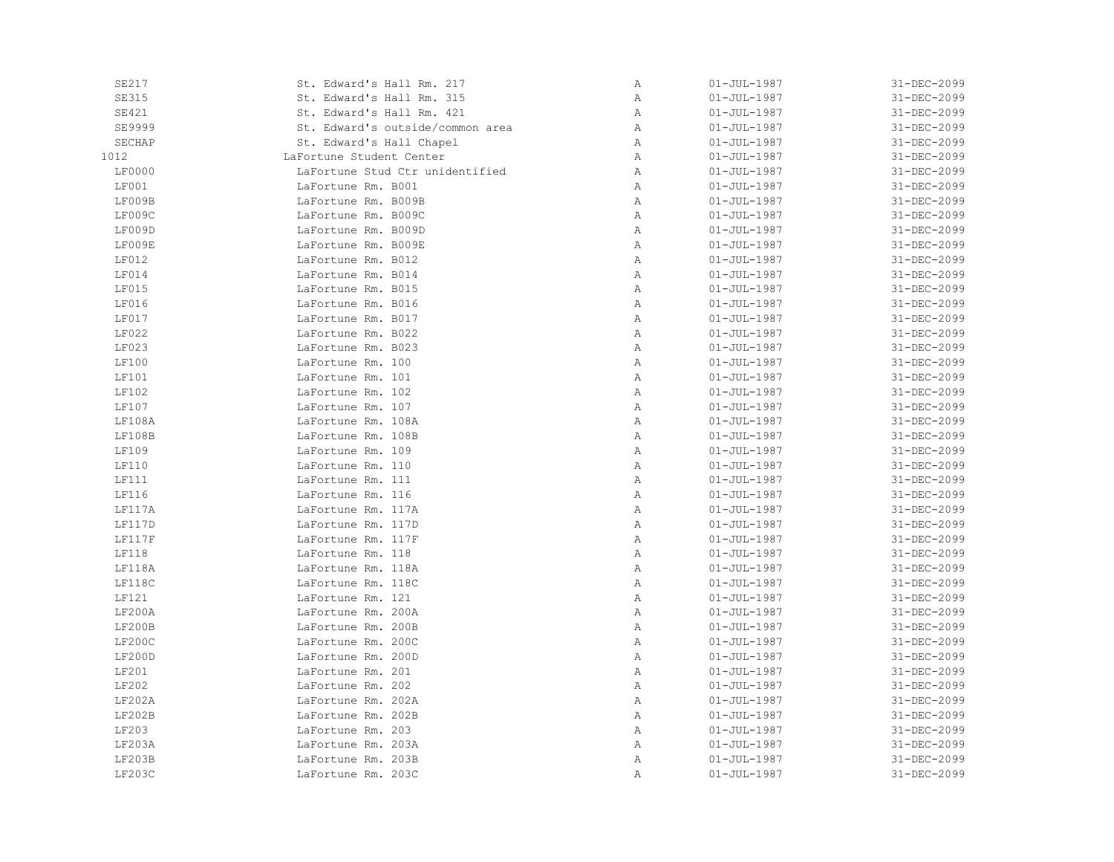| SE217        | St. Edward's Hall Rm. 217        | Α | $01 - JUL - 1987$ | 31-DEC-2099 |
|--------------|----------------------------------|---|-------------------|-------------|
| <b>SE315</b> | St. Edward's Hall Rm. 315        | Α | $01 - JUL - 1987$ | 31-DEC-2099 |
| <b>SE421</b> | St. Edward's Hall Rm. 421        | Α | $01 - JUL - 1987$ | 31-DEC-2099 |
| SE9999       | St. Edward's outside/common area | Α | $01 - JUL - 1987$ | 31-DEC-2099 |
| SECHAP       | St. Edward's Hall Chapel         | Α | $01 - JUL - 1987$ | 31-DEC-2099 |
| 1012         | LaFortune Student Center         | Α | $01 - JUL - 1987$ | 31-DEC-2099 |
| LF0000       | LaFortune Stud Ctr unidentified  | Α | $01 - JUL - 1987$ | 31-DEC-2099 |
| LF001        | LaFortune Rm. B001               | Α | $01 - JUL - 1987$ | 31-DEC-2099 |
| LF009B       | LaFortune Rm. B009B              | Α | $01 - JUL - 1987$ | 31-DEC-2099 |
| LF009C       | LaFortune Rm. B009C              | Α | $01 - JUL - 1987$ | 31-DEC-2099 |
| LF009D       | LaFortune Rm. B009D              | Α | $01 - JUL - 1987$ | 31-DEC-2099 |
| LF009E       | LaFortune Rm. B009E              | Α | $01 - JUL - 1987$ | 31-DEC-2099 |
| <b>LF012</b> | LaFortune Rm. B012               | Α | $01 - JUL - 1987$ | 31-DEC-2099 |
| LF014        | LaFortune Rm. B014               | Α | $01 - JUL - 1987$ | 31-DEC-2099 |
| LF015        | LaFortune Rm. B015               | Α | $01 - JUL - 1987$ | 31-DEC-2099 |
| LF016        | LaFortune Rm. B016               | Α | $01 - JUL - 1987$ | 31-DEC-2099 |
| LF017        | LaFortune Rm. B017               | Α | $01 - JUL - 1987$ | 31-DEC-2099 |
| LF022        | LaFortune Rm. B022               | Α | $01 - JUL - 1987$ | 31-DEC-2099 |
| LF023        | LaFortune Rm. B023               | Α | $01 - JUL - 1987$ | 31-DEC-2099 |
| LF100        | LaFortune Rm. 100                | Α | $01 - JUL - 1987$ | 31-DEC-2099 |
| LF101        | LaFortune Rm. 101                | Α | $01 - JUL - 1987$ | 31-DEC-2099 |
| LF102        | LaFortune Rm. 102                | Α | $01 - JUL - 1987$ | 31-DEC-2099 |
| LF107        | LaFortune Rm. 107                | Α | $01 - JUL - 1987$ | 31-DEC-2099 |
| LF108A       | LaFortune Rm. 108A               | Α | $01 - JUL - 1987$ | 31-DEC-2099 |
| LF108B       | LaFortune Rm. 108B               | Α | $01 - JUL - 1987$ | 31-DEC-2099 |
| LF109        | LaFortune Rm. 109                | Α | $01 - JUL - 1987$ | 31-DEC-2099 |
| LF110        | LaFortune Rm. 110                | Α | $01 - JUL - 1987$ | 31-DEC-2099 |
| LF111        | LaFortune Rm. 111                | Α | $01 - JUL - 1987$ | 31-DEC-2099 |
| LF116        | LaFortune Rm. 116                | Α | $01 - JUL - 1987$ | 31-DEC-2099 |
| LF117A       | LaFortune Rm. 117A               | Α | $01 - JUL - 1987$ | 31-DEC-2099 |
| LF117D       | LaFortune Rm. 117D               | Α | $01 - JUL - 1987$ | 31-DEC-2099 |
| LF117F       | LaFortune Rm. 117F               | Α | $01 - JUL - 1987$ | 31-DEC-2099 |
| <b>LF118</b> | LaFortune Rm. 118                | Α | $01 - JUL - 1987$ | 31-DEC-2099 |
| LF118A       | LaFortune Rm. 118A               | Α | $01 - JUL - 1987$ | 31-DEC-2099 |
| LF118C       | LaFortune Rm. 118C               | Α | $01 - JUL - 1987$ | 31-DEC-2099 |
| LF121        | LaFortune Rm. 121                | Α | $01 - JUL - 1987$ | 31-DEC-2099 |
| LF200A       | LaFortune Rm. 200A               | Α | $01 - JUL - 1987$ | 31-DEC-2099 |
| LF200B       | LaFortune Rm. 200B               | Α | $01 - JUL - 1987$ | 31-DEC-2099 |
| LF200C       | LaFortune Rm. 200C               | Α | $01 - JUL - 1987$ | 31-DEC-2099 |
| LF200D       | LaFortune Rm. 200D               | Α | $01 - JUL - 1987$ | 31-DEC-2099 |
| LF201        | LaFortune Rm. 201                | Α | $01 - JUL - 1987$ | 31-DEC-2099 |
| LF202        | LaFortune Rm. 202                | Α | $01 - JUL - 1987$ | 31-DEC-2099 |
| LF202A       | LaFortune Rm. 202A               | Α | $01 - JUL - 1987$ | 31-DEC-2099 |
| LF202B       | LaFortune Rm. 202B               | Α | $01 - JUL - 1987$ | 31-DEC-2099 |
| LF203        | LaFortune Rm. 203                | Α | $01 - JUL - 1987$ | 31-DEC-2099 |
| LF203A       | LaFortune Rm. 203A               | Α | $01 - JUL - 1987$ | 31-DEC-2099 |
| LF203B       | LaFortune Rm. 203B               | Α | $01 - JUL - 1987$ | 31-DEC-2099 |
| LF203C       | LaFortune Rm. 203C               | Α | $01 - JUL - 1987$ | 31-DEC-2099 |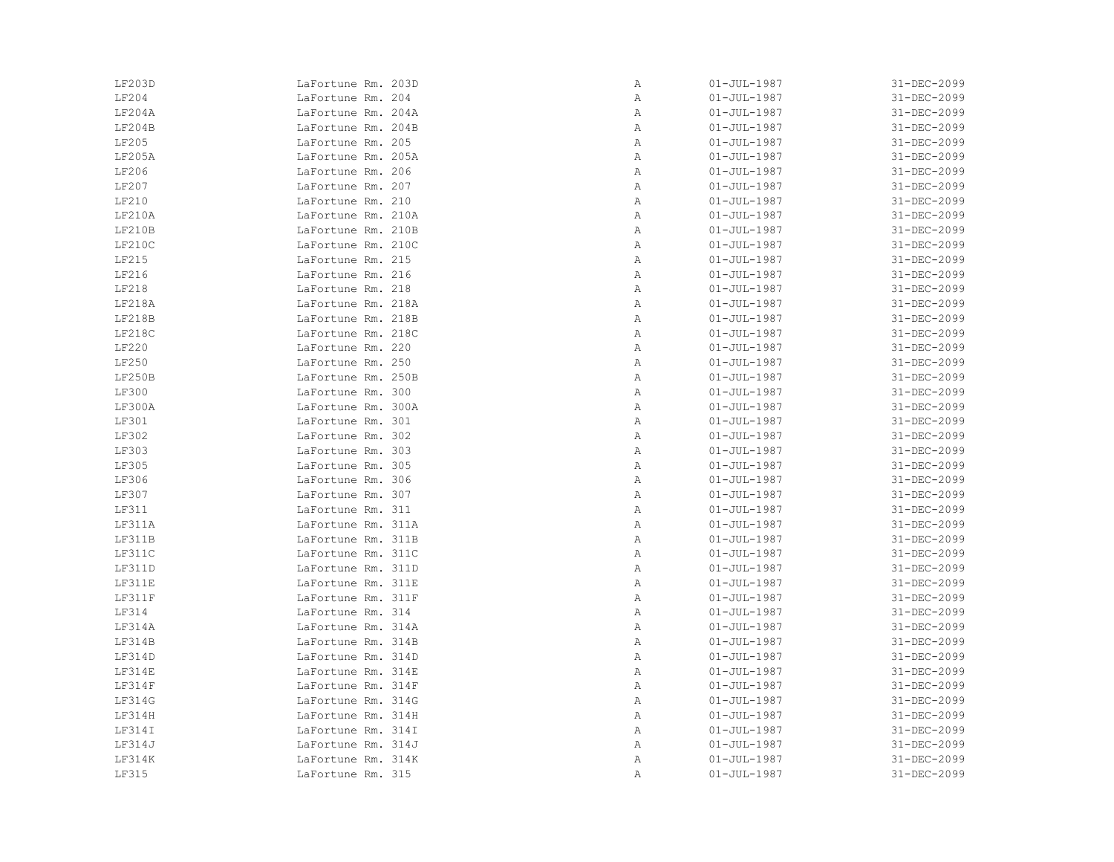| LF203D | LaFortune Rm. 203D | Α | $01 - JUL - 1987$ | 31-DEC-2099 |
|--------|--------------------|---|-------------------|-------------|
| LF204  | LaFortune Rm. 204  | Α | $01 - JUL - 1987$ | 31-DEC-2099 |
| LF204A | LaFortune Rm. 204A | Α | $01 - JUL - 1987$ | 31-DEC-2099 |
| LF204B | LaFortune Rm. 204B | Α | $01 - JUL - 1987$ | 31-DEC-2099 |
| LF205  | LaFortune Rm. 205  | Α | $01 - JUL - 1987$ | 31-DEC-2099 |
| LF205A | LaFortune Rm. 205A | Α | $01 - JUL - 1987$ | 31-DEC-2099 |
| LF206  | LaFortune Rm. 206  | Α | $01 - JUL - 1987$ | 31-DEC-2099 |
| LF207  | LaFortune Rm. 207  | Α | $01 - JUL - 1987$ | 31-DEC-2099 |
| LF210  | LaFortune Rm. 210  | Α | $01 - JUL - 1987$ | 31-DEC-2099 |
| LF210A | LaFortune Rm. 210A | Α | $01 - JUL - 1987$ | 31-DEC-2099 |
| LF210B | LaFortune Rm. 210B | Α | $01 - JUL - 1987$ | 31-DEC-2099 |
| LF210C | LaFortune Rm. 210C | Α | $01 - JUL - 1987$ | 31-DEC-2099 |
| LF215  | LaFortune Rm. 215  | Α | $01 - JUL - 1987$ | 31-DEC-2099 |
| LF216  | LaFortune Rm. 216  | Α | $01 - JUL - 1987$ | 31-DEC-2099 |
| LF218  | LaFortune Rm. 218  | Α | $01 - JUL - 1987$ | 31-DEC-2099 |
| LF218A | LaFortune Rm. 218A | Α | $01 - JUL - 1987$ | 31-DEC-2099 |
| LF218B | LaFortune Rm. 218B | Α | $01 - JUL - 1987$ | 31-DEC-2099 |
| LF218C | LaFortune Rm. 218C | Α | $01 - JUL - 1987$ | 31-DEC-2099 |
| LF220  | LaFortune Rm. 220  | Α | $01 - JUL - 1987$ | 31-DEC-2099 |
| LF250  | LaFortune Rm. 250  | Α | $01 - JUL - 1987$ | 31-DEC-2099 |
| LF250B | LaFortune Rm. 250B | Α | $01 - JUL - 1987$ | 31-DEC-2099 |
| LF300  | LaFortune Rm. 300  | Α | $01 - JUL - 1987$ | 31-DEC-2099 |
| LF300A | LaFortune Rm. 300A | Α | $01 - JUL - 1987$ | 31-DEC-2099 |
| LF301  | LaFortune Rm. 301  | Α | $01 - JUL - 1987$ | 31-DEC-2099 |
| LF302  | LaFortune Rm. 302  | Α | $01 - JUL - 1987$ | 31-DEC-2099 |
| LF303  | LaFortune Rm. 303  | Α | $01 - JUL - 1987$ | 31-DEC-2099 |
| LF305  | LaFortune Rm. 305  | Α | $01 - JUL - 1987$ | 31-DEC-2099 |
| LF306  | LaFortune Rm. 306  | Α | $01 - JUL - 1987$ | 31-DEC-2099 |
| LF307  | LaFortune Rm. 307  | Α | $01 - JUL - 1987$ | 31-DEC-2099 |
| LF311  | LaFortune Rm. 311  | Α | $01 - JUL - 1987$ | 31-DEC-2099 |
| LF311A | LaFortune Rm. 311A | Α | $01 - JUL - 1987$ | 31-DEC-2099 |
| LF311B | LaFortune Rm. 311B | Α | $01 - JUL - 1987$ | 31-DEC-2099 |
| LF311C | LaFortune Rm. 311C | Α | $01 - JUL - 1987$ | 31-DEC-2099 |
| LF311D | LaFortune Rm. 311D | Α | $01 - JUL - 1987$ | 31-DEC-2099 |
| LF311E | LaFortune Rm. 311E | Α | $01 - JUL - 1987$ | 31-DEC-2099 |
| LF311F | LaFortune Rm. 311F | Α | $01 - JUL - 1987$ | 31-DEC-2099 |
| LF314  | LaFortune Rm. 314  | Α | $01 - JUL - 1987$ | 31-DEC-2099 |
| LF314A | LaFortune Rm. 314A | Α | $01 - JUL - 1987$ | 31-DEC-2099 |
| LF314B | LaFortune Rm. 314B | Α | $01 - JUL - 1987$ | 31-DEC-2099 |
| LF314D | LaFortune Rm. 314D | Α | $01 - JUL - 1987$ | 31-DEC-2099 |
| LF314E | LaFortune Rm. 314E | Α | $01 - JUL - 1987$ | 31-DEC-2099 |
| LF314F | LaFortune Rm. 314F | Α | $01 - JUL - 1987$ | 31-DEC-2099 |
| LF314G | LaFortune Rm. 314G | Α | $01 - JUL - 1987$ | 31-DEC-2099 |
| LF314H | LaFortune Rm. 314H | Α | $01 - JUL - 1987$ | 31-DEC-2099 |
| LF314I | LaFortune Rm. 314I | Α | $01 - JUL - 1987$ | 31-DEC-2099 |
| LF314J | LaFortune Rm. 314J | Α | $01 - JUL - 1987$ | 31-DEC-2099 |
| LF314K | LaFortune Rm. 314K | Α | $01 - JUL - 1987$ | 31-DEC-2099 |
| LF315  | LaFortune Rm. 315  | Α | $01 - JUL - 1987$ | 31-DEC-2099 |
|        |                    |   |                   |             |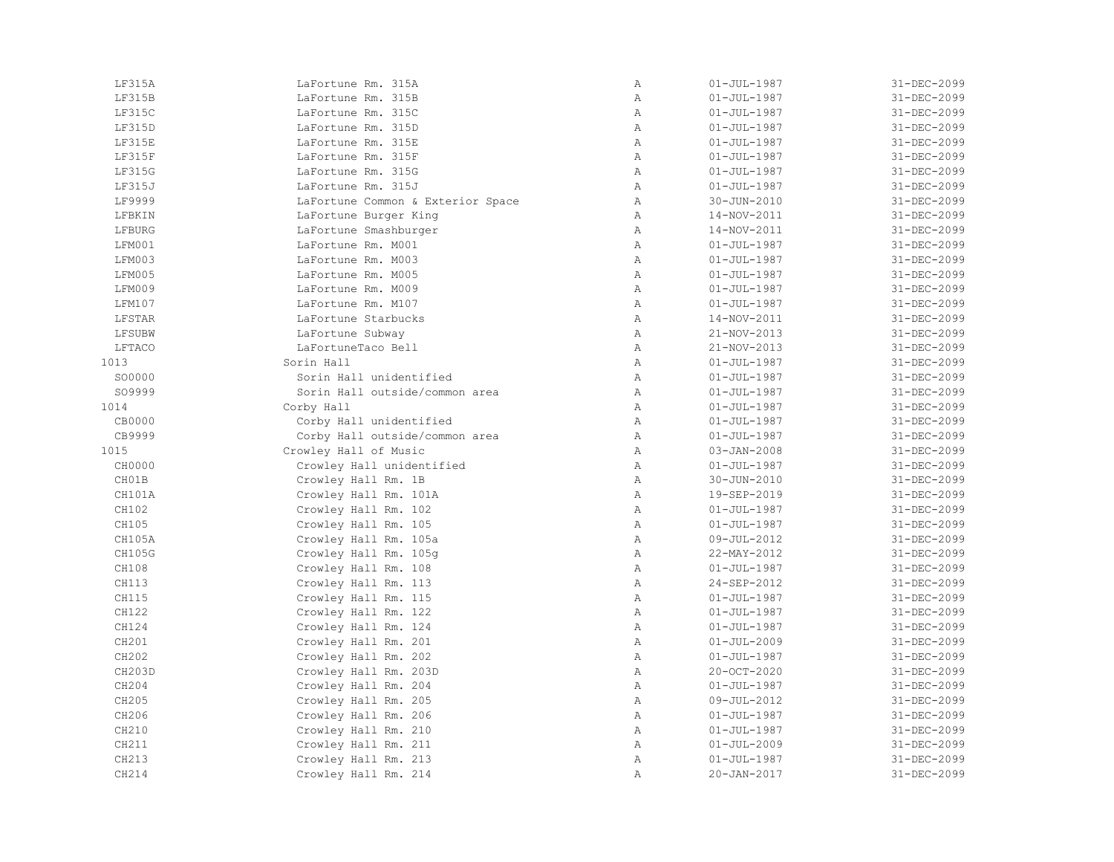| LF315A | LaFortune Rm. 315A                | Α            | $01 - JUL - 1987$ | 31-DEC-2099 |
|--------|-----------------------------------|--------------|-------------------|-------------|
| LF315B | LaFortune Rm. 315B                | $\, {\bf A}$ | $01 - JUL - 1987$ | 31-DEC-2099 |
| LF315C | LaFortune Rm. 315C                | Α            | $01 - JUL - 1987$ | 31-DEC-2099 |
| LF315D | LaFortune Rm. 315D                | Α            | $01 - JUL - 1987$ | 31-DEC-2099 |
| LF315E | LaFortune Rm. 315E                | $\mathbb{A}$ | $01 - JUL - 1987$ | 31-DEC-2099 |
| LF315F | LaFortune Rm. 315F                | $\mathbb{A}$ | $01 - JUL - 1987$ | 31-DEC-2099 |
| LF315G | LaFortune Rm. 315G                | $\mathbb{A}$ | $01 - JUL - 1987$ | 31-DEC-2099 |
| LF315J | LaFortune Rm. 315J                | Α            | $01 - JUL - 1987$ | 31-DEC-2099 |
| LF9999 | LaFortune Common & Exterior Space | Α            | 30-JUN-2010       | 31-DEC-2099 |
| LFBKIN | LaFortune Burger King             | Α            | 14-NOV-2011       | 31-DEC-2099 |
| LFBURG | LaFortune Smashburger             | Α            | 14-NOV-2011       | 31-DEC-2099 |
| LFM001 | LaFortune Rm. M001                | Α            | $01 - JUL - 1987$ | 31-DEC-2099 |
| LFM003 | LaFortune Rm. M003                | Α            | $01 - JUL - 1987$ | 31-DEC-2099 |
| LFM005 | LaFortune Rm. M005                | Α            | $01 - JUL - 1987$ | 31-DEC-2099 |
| LFM009 | LaFortune Rm. M009                | Α            | $01 - JUL - 1987$ | 31-DEC-2099 |
| LFM107 | LaFortune Rm. M107                | $\mathbb{A}$ | $01 - JUL - 1987$ | 31-DEC-2099 |
| LFSTAR | LaFortune Starbucks               | Α            | 14-NOV-2011       | 31-DEC-2099 |
| LFSUBW | LaFortune Subway                  | $\mathbb{A}$ | 21-NOV-2013       | 31-DEC-2099 |
| LFTACO | LaFortuneTaco Bell                | $\mathbb{A}$ | 21-NOV-2013       | 31-DEC-2099 |
| 1013   | Sorin Hall                        | Α            | $01 - JUL - 1987$ | 31-DEC-2099 |
| SO0000 | Sorin Hall unidentified           | $\mathbb{A}$ | $01 - JUL - 1987$ | 31-DEC-2099 |
| S09999 | Sorin Hall outside/common area    | $\mathbb A$  | $01 - JUL - 1987$ | 31-DEC-2099 |
| 1014   | Corby Hall                        | Α            | $01 - JUL - 1987$ | 31-DEC-2099 |
| CB0000 | Corby Hall unidentified           | Α            | $01 - JUL - 1987$ | 31-DEC-2099 |
| CB9999 | Corby Hall outside/common area    | Α            | $01 - JUL - 1987$ | 31-DEC-2099 |
| 1015   | Crowley Hall of Music             | Α            | $03 - JAN - 2008$ | 31-DEC-2099 |
| CH0000 | Crowley Hall unidentified         | $\mathbb{A}$ | $01 - JUL - 1987$ | 31-DEC-2099 |
| CH01B  | Crowley Hall Rm. 1B               | $\mathbb{A}$ | 30-JUN-2010       | 31-DEC-2099 |
| CH101A | Crowley Hall Rm. 101A             | Α            | 19-SEP-2019       | 31-DEC-2099 |
| CH102  | Crowley Hall Rm. 102              | $\mathbb{A}$ | $01 - JUL - 1987$ | 31-DEC-2099 |
| CH105  | Crowley Hall Rm. 105              | $\mathbb{A}$ | $01 - JUL - 1987$ | 31-DEC-2099 |
| CH105A | Crowley Hall Rm. 105a             | $\mathbb{A}$ | 09-JUL-2012       | 31-DEC-2099 |
| CH105G | Crowley Hall Rm. 105q             | Α            | 22-MAY-2012       | 31-DEC-2099 |
| CH108  | Crowley Hall Rm. 108              | Α            | $01 - JUL - 1987$ | 31-DEC-2099 |
| CH113  | Crowley Hall Rm. 113              | $\mathbb A$  | 24-SEP-2012       | 31-DEC-2099 |
| CH115  | Crowley Hall Rm. 115              | Α            | $01 - JUL - 1987$ | 31-DEC-2099 |
| CH122  | Crowley Hall Rm. 122              | $\mathbb{A}$ | $01 - JUL - 1987$ | 31-DEC-2099 |
| CH124  | Crowley Hall Rm. 124              | $\mathbb{A}$ | $01 - JUL - 1987$ | 31-DEC-2099 |
| CH201  | Crowley Hall Rm. 201              | $\mathbb{A}$ | $01 - JUL - 2009$ | 31-DEC-2099 |
| CH202  | Crowley Hall Rm. 202              | Α            | $01 - JUL - 1987$ | 31-DEC-2099 |
| CH203D | Crowley Hall Rm. 203D             | $\mathbb{A}$ | 20-OCT-2020       | 31-DEC-2099 |
| CH204  | Crowley Hall Rm. 204              | Α            | $01 - JUL - 1987$ | 31-DEC-2099 |
| CH205  | Crowley Hall Rm. 205              | $\mathbb{A}$ | 09-JUL-2012       | 31-DEC-2099 |
| CH206  | Crowley Hall Rm. 206              | $\mathbb A$  | $01 - JUL - 1987$ | 31-DEC-2099 |
| CH210  | Crowley Hall Rm. 210              | Α            | $01 - JUL - 1987$ | 31-DEC-2099 |
| CH211  | Crowley Hall Rm. 211              | Α            | $01 - JUL - 2009$ | 31-DEC-2099 |
| CH213  | Crowley Hall Rm. 213              | $\mathbb{A}$ | $01 - JUL - 1987$ | 31-DEC-2099 |
| CH214  | Crowley Hall Rm. 214              | $\mathbb{A}$ | 20-JAN-2017       | 31-DEC-2099 |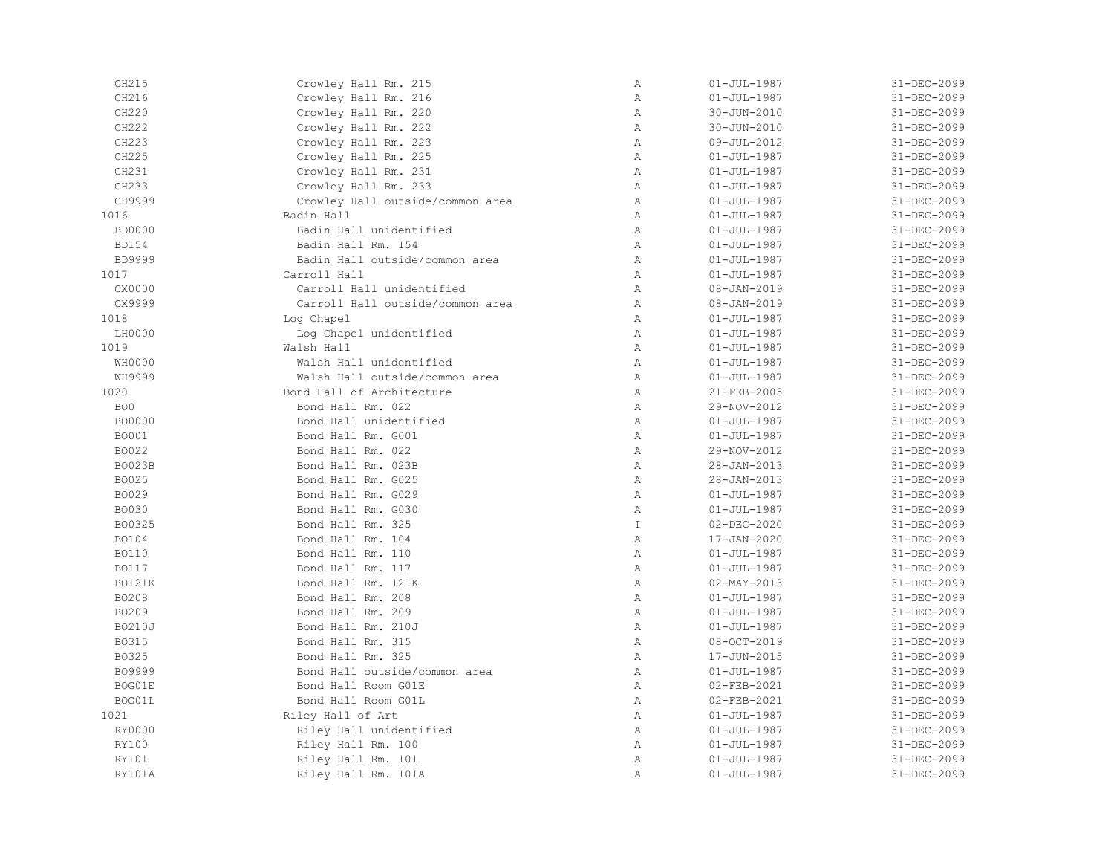| CH215           | Crowley Hall Rm. 215             | Α             | $01 - JUL - 1987$ | 31-DEC-2099 |
|-----------------|----------------------------------|---------------|-------------------|-------------|
| CH216           | Crowley Hall Rm. 216             | Α             | $01 - JUL - 1987$ | 31-DEC-2099 |
| CH220           | Crowley Hall Rm. 220             | Α             | 30-JUN-2010       | 31-DEC-2099 |
| CH222           | Crowley Hall Rm. 222             | Α             | 30-JUN-2010       | 31-DEC-2099 |
| CH223           | Crowley Hall Rm. 223             | $\mathbb{A}$  | 09-JUL-2012       | 31-DEC-2099 |
| CH225           | Crowley Hall Rm. 225             | Α             | $01 - JUL - 1987$ | 31-DEC-2099 |
| CH231           | Crowley Hall Rm. 231             | $\mathbb{A}$  | $01 - JUL - 1987$ | 31-DEC-2099 |
| CH233           | Crowley Hall Rm. 233             | $\, {\bf A}$  | $01 - JUL - 1987$ | 31-DEC-2099 |
| CH9999          | Crowley Hall outside/common area | $\, {\bf A}$  | $01 - JUL - 1987$ | 31-DEC-2099 |
| 1016            | Badin Hall                       | $\, {\bf A}$  | $01 - JUL - 1987$ | 31-DEC-2099 |
| <b>BD0000</b>   | Badin Hall unidentified          | Α             | $01 - JUL - 1987$ | 31-DEC-2099 |
| <b>BD154</b>    | Badin Hall Rm. 154               | Α             | $01 - JUL - 1987$ | 31-DEC-2099 |
| <b>BD9999</b>   | Badin Hall outside/common area   | Α             | $01 - JUL - 1987$ | 31-DEC-2099 |
| 1017            | Carroll Hall                     | $\mathbb{A}$  | $01 - JUL - 1987$ | 31-DEC-2099 |
| CX0000          | Carroll Hall unidentified        | Α             | $08 - JAN - 2019$ | 31-DEC-2099 |
| CX9999          | Carroll Hall outside/common area | Α             | 08-JAN-2019       | 31-DEC-2099 |
| 1018            | Log Chapel                       | $\, {\bf A}$  | $01 - JUL - 1987$ | 31-DEC-2099 |
| LH0000          | Log Chapel unidentified          | $\, {\bf A}$  | $01 - JUL - 1987$ | 31-DEC-2099 |
| 1019            | Walsh Hall                       | Α             | $01 - JUL - 1987$ | 31-DEC-2099 |
| WH0000          | Walsh Hall unidentified          | $\, {\bf A}$  | $01 - JUL - 1987$ | 31-DEC-2099 |
| WH9999          | Walsh Hall outside/common area   | Α             | $01 - JUL - 1987$ | 31-DEC-2099 |
| 1020            | Bond Hall of Architecture        | Α             | 21-FEB-2005       | 31-DEC-2099 |
| BO <sub>0</sub> | Bond Hall Rm. 022                | $\mathbb{A}$  | 29-NOV-2012       | 31-DEC-2099 |
| <b>BO0000</b>   | Bond Hall unidentified           | Α             | $01 - JUL - 1987$ | 31-DEC-2099 |
| <b>BO001</b>    | Bond Hall Rm. G001               | $\mathbb{A}$  | $01 - JUL - 1987$ | 31-DEC-2099 |
| B0022           | Bond Hall Rm. 022                | $\, {\bf A}$  | 29-NOV-2012       | 31-DEC-2099 |
| <b>BO023B</b>   | Bond Hall Rm. 023B               | Α             | 28-JAN-2013       | 31-DEC-2099 |
| B0025           | Bond Hall Rm. G025               | $\mathbb{A}$  | $28 - JAN - 2013$ | 31-DEC-2099 |
| BO029           | Bond Hall Rm. G029               | $\, {\bf A}$  | $01 - JUL - 1987$ | 31-DEC-2099 |
| <b>BO030</b>    | Bond Hall Rm. G030               | $\, {\bf A}$  | $01 - JUL - 1987$ | 31-DEC-2099 |
| B00325          | Bond Hall Rm. 325                | $\mathbbm{I}$ | $02 - DEC - 2020$ | 31-DEC-2099 |
| B0104           | Bond Hall Rm. 104                | $\mathbb{A}$  | 17-JAN-2020       | 31-DEC-2099 |
| <b>BO110</b>    | Bond Hall Rm. 110                | $\mathbb{A}$  | $01 - JUL - 1987$ | 31-DEC-2099 |
| <b>BO117</b>    | Bond Hall Rm. 117                | $\mathbb{A}$  | $01 - JUL - 1987$ | 31-DEC-2099 |
| <b>BO121K</b>   | Bond Hall Rm. 121K               | Α             | $02 - MAX - 2013$ | 31-DEC-2099 |
| BO208           | Bond Hall Rm. 208                | Α             | $01 - JUL - 1987$ | 31-DEC-2099 |
| BO209           | Bond Hall Rm. 209                | $\, {\bf A}$  | $01 - JUL - 1987$ | 31-DEC-2099 |
| <b>BO210J</b>   | Bond Hall Rm. 210J               | Α             | $01 - JUL - 1987$ | 31-DEC-2099 |
| B0315           | Bond Hall Rm. 315                | $\, {\bf A}$  | 08-OCT-2019       | 31-DEC-2099 |
| B0325           | Bond Hall Rm. 325                | Α             | 17-JUN-2015       | 31-DEC-2099 |
| B09999          | Bond Hall outside/common area    | Α             | $01 - JUL - 1987$ | 31-DEC-2099 |
| BOG01E          | Bond Hall Room GO1E              | Α             | 02-FEB-2021       | 31-DEC-2099 |
| BOG01L          | Bond Hall Room GO1L              | Α             | 02-FEB-2021       | 31-DEC-2099 |
| 1021            | Riley Hall of Art                | Α             | $01 - JUL - 1987$ | 31-DEC-2099 |
| RY0000          | Riley Hall unidentified          | $\mathbb{A}$  | $01 - JUL - 1987$ | 31-DEC-2099 |
| RY100           | Riley Hall Rm. 100               | $\mathbb{A}$  | $01 - JUL - 1987$ | 31-DEC-2099 |
| RY101           | Riley Hall Rm. 101               | Α             | $01 - JUL - 1987$ | 31-DEC-2099 |
| RY101A          | Riley Hall Rm. 101A              | Α             | $01 - JUL - 1987$ | 31-DEC-2099 |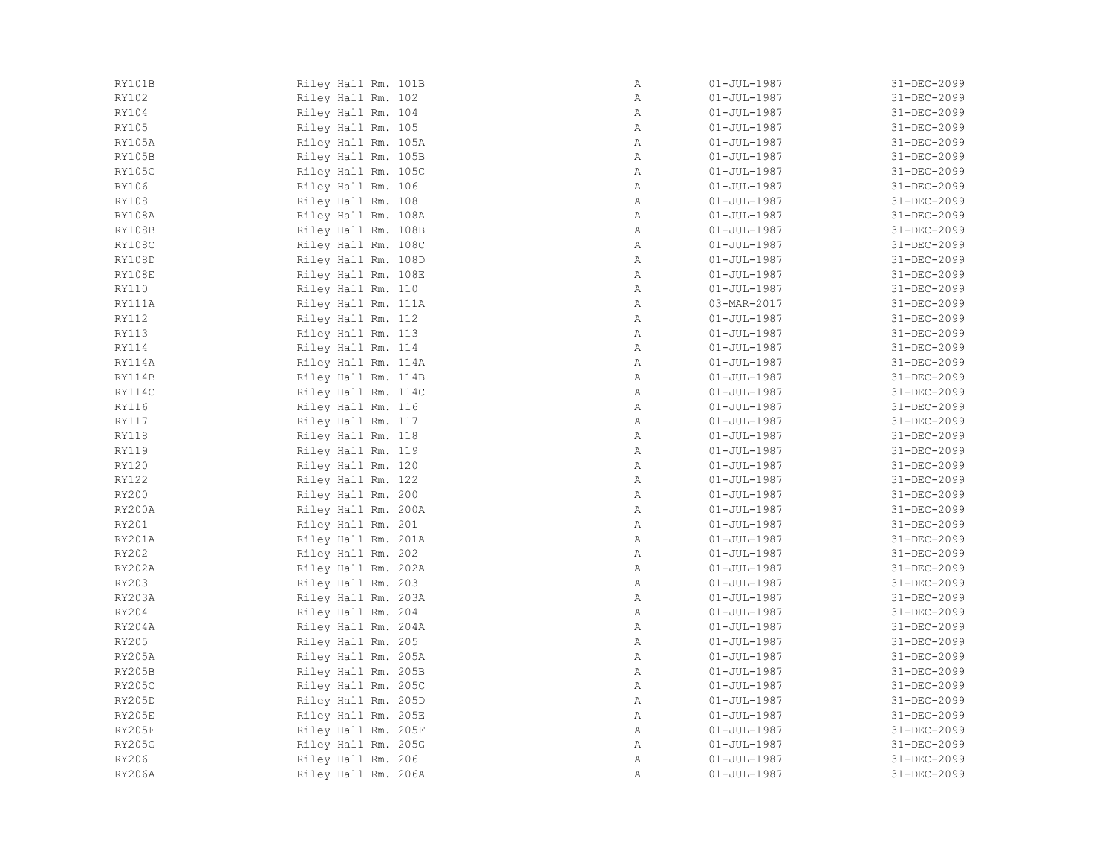| Α<br>Α<br>Α<br>Α<br>Α<br>Α<br>Α<br>Α<br>Α<br>Α<br>Α<br>Α<br>Α<br>Α<br>Α<br>Α<br>Α<br>Α | $01 - JUL - 1987$<br>$01 - JUL - 1987$<br>$01 - JUL - 1987$<br>$01 - JUL - 1987$<br>$01 - JUL - 1987$<br>$01 - JUL - 1987$<br>$01 - JUL - 1987$<br>$01 - JUL - 1987$<br>$01 - JUL - 1987$<br>$01 - JUL - 1987$<br>$01 - JUL - 1987$<br>$01 - JUL - 1987$<br>$01 - JUL - 1987$<br>$01 - JUL - 1987$<br>03-MAR-2017<br>$01 - JUL - 1987$ | 31-DEC-2099<br>31-DEC-2099<br>31-DEC-2099<br>31-DEC-2099<br>31-DEC-2099<br>31-DEC-2099<br>31-DEC-2099<br>31-DEC-2099<br>31-DEC-2099<br>31-DEC-2099<br>31-DEC-2099<br>31-DEC-2099<br>31-DEC-2099<br>31-DEC-2099<br>31-DEC-2099<br>31-DEC-2099 |
|----------------------------------------------------------------------------------------|----------------------------------------------------------------------------------------------------------------------------------------------------------------------------------------------------------------------------------------------------------------------------------------------------------------------------------------|----------------------------------------------------------------------------------------------------------------------------------------------------------------------------------------------------------------------------------------------|
|                                                                                        |                                                                                                                                                                                                                                                                                                                                        |                                                                                                                                                                                                                                              |
|                                                                                        |                                                                                                                                                                                                                                                                                                                                        |                                                                                                                                                                                                                                              |
|                                                                                        |                                                                                                                                                                                                                                                                                                                                        |                                                                                                                                                                                                                                              |
|                                                                                        |                                                                                                                                                                                                                                                                                                                                        |                                                                                                                                                                                                                                              |
|                                                                                        |                                                                                                                                                                                                                                                                                                                                        |                                                                                                                                                                                                                                              |
|                                                                                        |                                                                                                                                                                                                                                                                                                                                        |                                                                                                                                                                                                                                              |
|                                                                                        |                                                                                                                                                                                                                                                                                                                                        |                                                                                                                                                                                                                                              |
|                                                                                        |                                                                                                                                                                                                                                                                                                                                        |                                                                                                                                                                                                                                              |
|                                                                                        |                                                                                                                                                                                                                                                                                                                                        |                                                                                                                                                                                                                                              |
|                                                                                        |                                                                                                                                                                                                                                                                                                                                        |                                                                                                                                                                                                                                              |
|                                                                                        |                                                                                                                                                                                                                                                                                                                                        |                                                                                                                                                                                                                                              |
|                                                                                        |                                                                                                                                                                                                                                                                                                                                        |                                                                                                                                                                                                                                              |
|                                                                                        |                                                                                                                                                                                                                                                                                                                                        |                                                                                                                                                                                                                                              |
|                                                                                        |                                                                                                                                                                                                                                                                                                                                        |                                                                                                                                                                                                                                              |
|                                                                                        |                                                                                                                                                                                                                                                                                                                                        |                                                                                                                                                                                                                                              |
|                                                                                        |                                                                                                                                                                                                                                                                                                                                        |                                                                                                                                                                                                                                              |
|                                                                                        |                                                                                                                                                                                                                                                                                                                                        | 31-DEC-2099                                                                                                                                                                                                                                  |
|                                                                                        | $01 - JUL - 1987$                                                                                                                                                                                                                                                                                                                      | 31-DEC-2099                                                                                                                                                                                                                                  |
| Α                                                                                      | $01 - JUL - 1987$                                                                                                                                                                                                                                                                                                                      | 31-DEC-2099                                                                                                                                                                                                                                  |
| Α                                                                                      | $01 - JUL - 1987$                                                                                                                                                                                                                                                                                                                      | 31-DEC-2099                                                                                                                                                                                                                                  |
| Α                                                                                      | $01 - JUL - 1987$                                                                                                                                                                                                                                                                                                                      | 31-DEC-2099                                                                                                                                                                                                                                  |
| Α                                                                                      | $01 - JUL - 1987$                                                                                                                                                                                                                                                                                                                      | 31-DEC-2099                                                                                                                                                                                                                                  |
| Α                                                                                      | $01 - JUL - 1987$                                                                                                                                                                                                                                                                                                                      | 31-DEC-2099                                                                                                                                                                                                                                  |
| Α                                                                                      | $01 - JUL - 1987$                                                                                                                                                                                                                                                                                                                      | 31-DEC-2099                                                                                                                                                                                                                                  |
| Α                                                                                      | $01 - JUL - 1987$                                                                                                                                                                                                                                                                                                                      | 31-DEC-2099                                                                                                                                                                                                                                  |
| Α                                                                                      | $01 - JUL - 1987$                                                                                                                                                                                                                                                                                                                      | 31-DEC-2099                                                                                                                                                                                                                                  |
| Α                                                                                      | $01 - JUL - 1987$                                                                                                                                                                                                                                                                                                                      | 31-DEC-2099                                                                                                                                                                                                                                  |
| Α                                                                                      | $01 - JUL - 1987$                                                                                                                                                                                                                                                                                                                      | 31-DEC-2099                                                                                                                                                                                                                                  |
| Α                                                                                      | $01 - JUL - 1987$                                                                                                                                                                                                                                                                                                                      | 31-DEC-2099                                                                                                                                                                                                                                  |
| Α                                                                                      | $01 - JUL - 1987$                                                                                                                                                                                                                                                                                                                      | 31-DEC-2099                                                                                                                                                                                                                                  |
| Α                                                                                      | $01 - JUL - 1987$                                                                                                                                                                                                                                                                                                                      | 31-DEC-2099                                                                                                                                                                                                                                  |
| Α                                                                                      | $01 - JUL - 1987$                                                                                                                                                                                                                                                                                                                      | 31-DEC-2099                                                                                                                                                                                                                                  |
| Α                                                                                      | $01 - JUL - 1987$                                                                                                                                                                                                                                                                                                                      | 31-DEC-2099                                                                                                                                                                                                                                  |
| Α                                                                                      | $01 - JUL - 1987$                                                                                                                                                                                                                                                                                                                      | 31-DEC-2099                                                                                                                                                                                                                                  |
| Α                                                                                      | $01 - JUL - 1987$                                                                                                                                                                                                                                                                                                                      | 31-DEC-2099                                                                                                                                                                                                                                  |
| Α                                                                                      | $01 - JUL - 1987$                                                                                                                                                                                                                                                                                                                      | 31-DEC-2099                                                                                                                                                                                                                                  |
| Α                                                                                      | $01 - JUL - 1987$                                                                                                                                                                                                                                                                                                                      | 31-DEC-2099                                                                                                                                                                                                                                  |
| $\mathbb A$                                                                            | $01 - JUL - 1987$                                                                                                                                                                                                                                                                                                                      | 31-DEC-2099                                                                                                                                                                                                                                  |
| Α                                                                                      | $01 - JUL - 1987$                                                                                                                                                                                                                                                                                                                      | 31-DEC-2099                                                                                                                                                                                                                                  |
| Α                                                                                      | $01 - JUL - 1987$                                                                                                                                                                                                                                                                                                                      | 31-DEC-2099                                                                                                                                                                                                                                  |
| Α                                                                                      | $01 - JUL - 1987$                                                                                                                                                                                                                                                                                                                      | 31-DEC-2099                                                                                                                                                                                                                                  |
| Α                                                                                      | $01 - JUL - 1987$                                                                                                                                                                                                                                                                                                                      | 31-DEC-2099                                                                                                                                                                                                                                  |
| Α                                                                                      | $01 - JUL - 1987$                                                                                                                                                                                                                                                                                                                      | 31-DEC-2099                                                                                                                                                                                                                                  |
| Α                                                                                      | $01 - JUL - 1987$                                                                                                                                                                                                                                                                                                                      | 31-DEC-2099                                                                                                                                                                                                                                  |
| Α                                                                                      | $01 - JUL - 1987$                                                                                                                                                                                                                                                                                                                      | 31-DEC-2099                                                                                                                                                                                                                                  |
| Α                                                                                      | $01 - JUL - 1987$                                                                                                                                                                                                                                                                                                                      | 31-DEC-2099                                                                                                                                                                                                                                  |
| Α                                                                                      | $01 - JUL - 1987$                                                                                                                                                                                                                                                                                                                      | 31-DEC-2099                                                                                                                                                                                                                                  |
|                                                                                        |                                                                                                                                                                                                                                                                                                                                        | $01 - JUL - 1987$                                                                                                                                                                                                                            |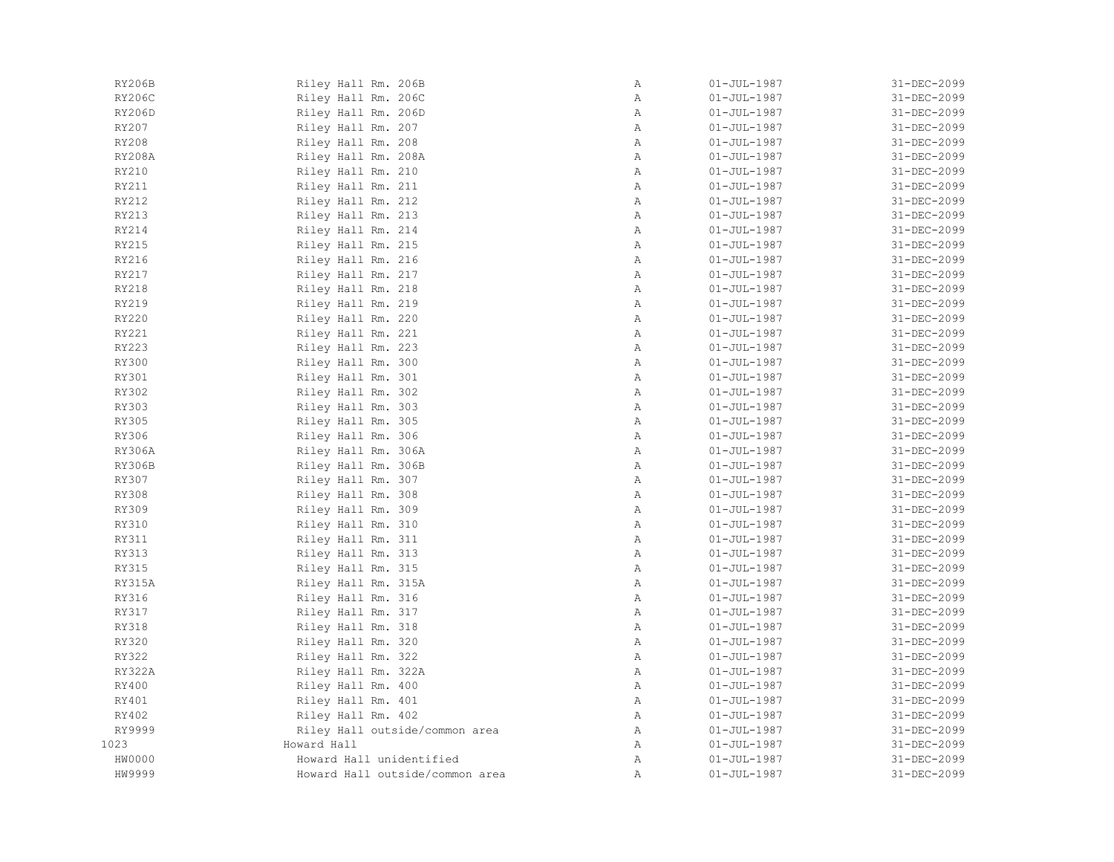| RY206B        | Riley Hall Rm. 206B             | Α | $01 - JUL - 1987$ | 31-DEC-2099 |
|---------------|---------------------------------|---|-------------------|-------------|
| <b>RY206C</b> | Riley Hall Rm. 206C             | Α | $01 - JUL - 1987$ | 31-DEC-2099 |
| RY206D        | Riley Hall Rm. 206D             | Α | $01 - JUL - 1987$ | 31-DEC-2099 |
| RY207         | Riley Hall Rm. 207              | Α | $01 - JUL - 1987$ | 31-DEC-2099 |
| RY208         | Riley Hall Rm. 208              | Α | $01 - JUL - 1987$ | 31-DEC-2099 |
| <b>RY208A</b> | Riley Hall Rm. 208A             | Α | $01 - JUL - 1987$ | 31-DEC-2099 |
| RY210         | Riley Hall Rm. 210              | Α | $01 - JUL - 1987$ | 31-DEC-2099 |
| RY211         | Riley Hall Rm. 211              | Α | $01 - JUL - 1987$ | 31-DEC-2099 |
| RY212         | Riley Hall Rm. 212              | Α | $01 - JUL - 1987$ | 31-DEC-2099 |
| RY213         | Riley Hall Rm. 213              | Α | $01 - JUL - 1987$ | 31-DEC-2099 |
| RY214         | Riley Hall Rm. 214              | Α | $01 - JUL - 1987$ | 31-DEC-2099 |
| RY215         | Riley Hall Rm. 215              | Α | $01 - JUL - 1987$ | 31-DEC-2099 |
| RY216         | Riley Hall Rm. 216              | Α | $01 - JUL - 1987$ | 31-DEC-2099 |
| RY217         | Riley Hall Rm. 217              | Α | $01 - JUL - 1987$ | 31-DEC-2099 |
| RY218         | Riley Hall Rm. 218              | Α | $01 - JUL - 1987$ | 31-DEC-2099 |
| RY219         | Riley Hall Rm. 219              | Α | $01 - JUL - 1987$ | 31-DEC-2099 |
| RY220         | Riley Hall Rm. 220              | Α | $01 - JUL - 1987$ | 31-DEC-2099 |
| RY221         | Riley Hall Rm. 221              | Α | $01 - JUL - 1987$ | 31-DEC-2099 |
| RY223         | Riley Hall Rm. 223              | Α | $01 - JUL - 1987$ | 31-DEC-2099 |
| <b>RY300</b>  | Riley Hall Rm. 300              | Α | $01 - JUL - 1987$ | 31-DEC-2099 |
| RY301         | Riley Hall Rm. 301              | Α | $01 - JUL - 1987$ | 31-DEC-2099 |
| RY302         | Riley Hall Rm. 302              | Α | $01 - JUL - 1987$ | 31-DEC-2099 |
| RY303         | Riley Hall Rm. 303              | Α | $01 - JUL - 1987$ | 31-DEC-2099 |
| RY305         | Riley Hall Rm. 305              | Α | $01 - JUL - 1987$ | 31-DEC-2099 |
| RY306         | Riley Hall Rm. 306              | Α | $01 - JUL - 1987$ | 31-DEC-2099 |
| RY306A        | Riley Hall Rm. 306A             | Α | $01 - JUL - 1987$ | 31-DEC-2099 |
| RY306B        | Riley Hall Rm. 306B             | Α | $01 - JUL - 1987$ | 31-DEC-2099 |
| RY307         | Riley Hall Rm. 307              | Α | $01 - JUL - 1987$ | 31-DEC-2099 |
| <b>RY308</b>  | Riley Hall Rm. 308              | Α | $01 - JUL - 1987$ | 31-DEC-2099 |
| RY309         | Riley Hall Rm. 309              | Α | $01 - JUL - 1987$ | 31-DEC-2099 |
| RY310         | Riley Hall Rm. 310              | Α | $01 - JUL - 1987$ | 31-DEC-2099 |
| RY311         | Riley Hall Rm. 311              | Α | $01 - JUL - 1987$ | 31-DEC-2099 |
| RY313         | Riley Hall Rm. 313              | Α | $01 - JUL - 1987$ | 31-DEC-2099 |
| RY315         | Riley Hall Rm. 315              | Α | $01 - JUL - 1987$ | 31-DEC-2099 |
| RY315A        | Riley Hall Rm. 315A             | Α | $01 - JUL - 1987$ | 31-DEC-2099 |
| RY316         | Riley Hall Rm. 316              | Α | $01 - JUL - 1987$ | 31-DEC-2099 |
| RY317         | Riley Hall Rm. 317              | Α | $01 - JUL - 1987$ | 31-DEC-2099 |
| RY318         | Riley Hall Rm. 318              | Α | $01 - JUL - 1987$ | 31-DEC-2099 |
| RY320         | Riley Hall Rm. 320              | Α | $01 - JUL - 1987$ | 31-DEC-2099 |
| RY322         | Riley Hall Rm. 322              | Α | $01 - JUL - 1987$ | 31-DEC-2099 |
| RY322A        | Riley Hall Rm. 322A             | Α | $01 - JUL - 1987$ | 31-DEC-2099 |
| RY400         | Riley Hall Rm. 400              | Α | $01 - JUL - 1987$ | 31-DEC-2099 |
| RY401         | Riley Hall Rm. 401              | Α | $01 - JUL - 1987$ | 31-DEC-2099 |
| RY402         | Riley Hall Rm. 402              | Α | $01 - JUL - 1987$ | 31-DEC-2099 |
| RY9999        | Riley Hall outside/common area  | Α | $01 - JUL - 1987$ | 31-DEC-2099 |
| 1023          | Howard Hall                     | Α | $01 - JUL - 1987$ | 31-DEC-2099 |
| HW0000        | Howard Hall unidentified        | Α | $01 - JUL - 1987$ | 31-DEC-2099 |
| HW9999        | Howard Hall outside/common area | Α | $01 - JUL - 1987$ | 31-DEC-2099 |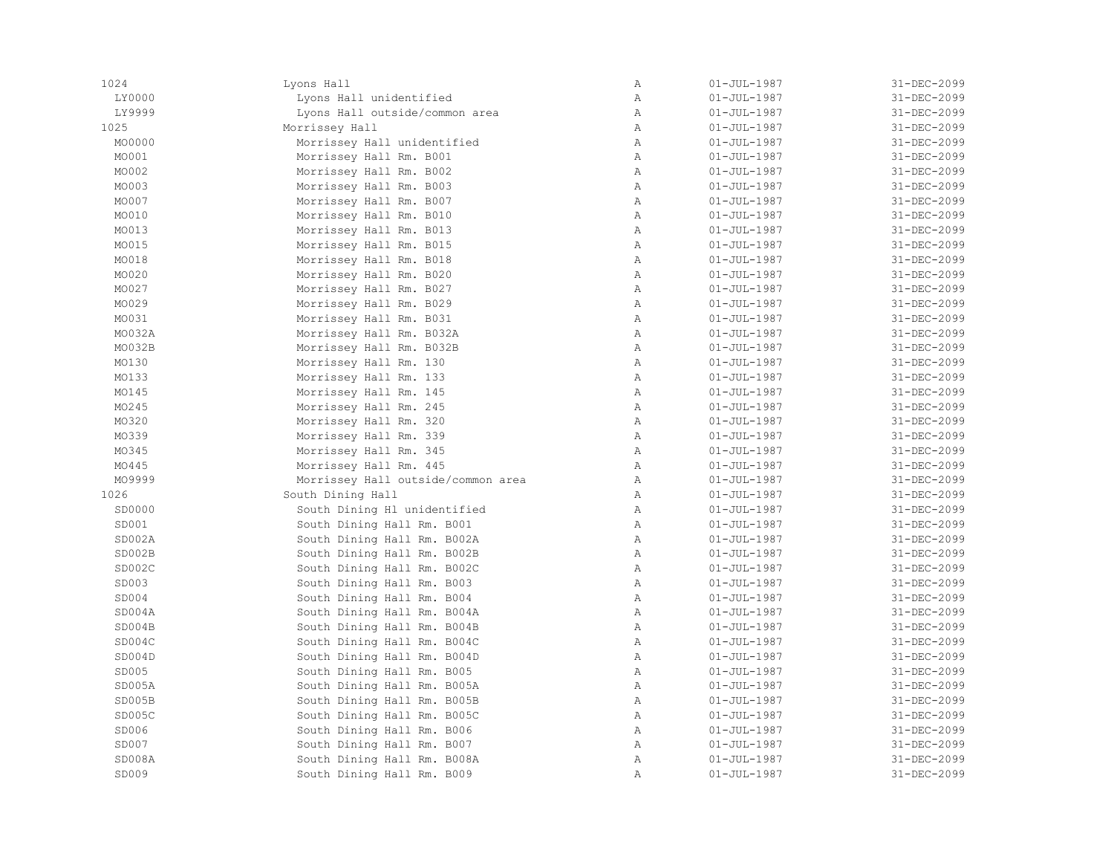| 1024   | Lyons Hall                         | Α            | $01 - JUL - 1987$ | 31-DEC-2099 |
|--------|------------------------------------|--------------|-------------------|-------------|
| LY0000 | Lyons Hall unidentified            | Α            | $01 - JUL - 1987$ | 31-DEC-2099 |
| LY9999 | Lyons Hall outside/common area     | $\mathbb{A}$ | $01 - JUL - 1987$ | 31-DEC-2099 |
| 1025   | Morrissey Hall                     | $\mathbb{A}$ | $01 - JUL - 1987$ | 31-DEC-2099 |
| MO0000 | Morrissey Hall unidentified        | $\mathbb{A}$ | $01 - JUL - 1987$ | 31-DEC-2099 |
| MO001  | Morrissey Hall Rm. B001            | $\mathbb{A}$ | $01 - JUL - 1987$ | 31-DEC-2099 |
| MO002  | Morrissey Hall Rm. B002            | A            | $01 - JUL - 1987$ | 31-DEC-2099 |
| MO003  | Morrissey Hall Rm. B003            | Α            | $01 - JUL - 1987$ | 31-DEC-2099 |
| MO007  | Morrissey Hall Rm. B007            | Α            | $01 - JUL - 1987$ | 31-DEC-2099 |
| MO010  | Morrissey Hall Rm. B010            | Α            | $01 - JUL - 1987$ | 31-DEC-2099 |
| MO013  | Morrissey Hall Rm. B013            | $\mathbb A$  | $01 - JUL - 1987$ | 31-DEC-2099 |
| MO015  | Morrissey Hall Rm. B015            | $\mathbb{A}$ | $01 - JUL - 1987$ | 31-DEC-2099 |
| MO018  | Morrissey Hall Rm. B018            | $\mathbb{A}$ | $01 - JUL - 1987$ | 31-DEC-2099 |
| MO020  | Morrissey Hall Rm. B020            | $\mathbb{A}$ | $01 - JUL - 1987$ | 31-DEC-2099 |
| MO027  | Morrissey Hall Rm. B027            | Α            | $01 - JUL - 1987$ | 31-DEC-2099 |
| MO029  | Morrissey Hall Rm. B029            | $\mathbb A$  | $01 - JUL - 1987$ | 31-DEC-2099 |
| MO031  | Morrissey Hall Rm. B031            | Α            | $01 - JUL - 1987$ | 31-DEC-2099 |
| MO032A | Morrissey Hall Rm. B032A           | $\mathbb{A}$ | $01 - JUL - 1987$ | 31-DEC-2099 |
| MO032B | Morrissey Hall Rm. B032B           | Α            | $01 - JUL - 1987$ | 31-DEC-2099 |
| MO130  | Morrissey Hall Rm. 130             | Α            | $01 - JUL - 1987$ | 31-DEC-2099 |
| MO133  | Morrissey Hall Rm. 133             | Α            | $01 - JUL - 1987$ | 31-DEC-2099 |
| MO145  | Morrissey Hall Rm. 145             | $\mathbb{A}$ | $01 - JUL - 1987$ | 31-DEC-2099 |
| MO245  | Morrissey Hall Rm. 245             | $\mathbb{A}$ | $01 - JUL - 1987$ | 31-DEC-2099 |
| MO320  | Morrissey Hall Rm. 320             | $\mathbb A$  | $01 - JUL - 1987$ | 31-DEC-2099 |
| MO339  | Morrissey Hall Rm. 339             | $\mathbb A$  | $01 - JUL - 1987$ | 31-DEC-2099 |
| MO345  | Morrissey Hall Rm. 345             | Α            | $01 - JUL - 1987$ | 31-DEC-2099 |
| MO445  | Morrissey Hall Rm. 445             | A            | $01 - JUL - 1987$ | 31-DEC-2099 |
| MO9999 | Morrissey Hall outside/common area | $\mathbb A$  | $01 - JUL - 1987$ | 31-DEC-2099 |
| 1026   | South Dining Hall                  | Α            | $01 - JUL - 1987$ | 31-DEC-2099 |
| SD0000 | South Dining H1 unidentified       | $\mathbb{A}$ | $01 - JUL - 1987$ | 31-DEC-2099 |
| SD001  | South Dining Hall Rm. B001         | $\mathbb{A}$ | $01 - JUL - 1987$ | 31-DEC-2099 |
| SD002A | South Dining Hall Rm. B002A        | A            | $01 - JUL - 1987$ | 31-DEC-2099 |
| SD002B | South Dining Hall Rm. B002B        | Α            | $01 - JUL - 1987$ | 31-DEC-2099 |
| SD002C | South Dining Hall Rm. B002C        | A            | $01 - JUL - 1987$ | 31-DEC-2099 |
| SD003  | South Dining Hall Rm. B003         | Α            | $01 - JUL - 1987$ | 31-DEC-2099 |
| SD004  | South Dining Hall Rm. B004         | Α            | $01 - JUL - 1987$ | 31-DEC-2099 |
| SD004A | South Dining Hall Rm. B004A        | $\mathbb A$  | $01 - JUL - 1987$ | 31-DEC-2099 |
| SD004B | South Dining Hall Rm. B004B        | Α            | $01 - JUL - 1987$ | 31-DEC-2099 |
| SD004C | South Dining Hall Rm. B004C        | $\mathbb A$  | $01 - JUL - 1987$ | 31-DEC-2099 |
| SD004D | South Dining Hall Rm. B004D        | $\mathbb{A}$ | $01 - JUL - 1987$ | 31-DEC-2099 |
| SD005  | South Dining Hall Rm. B005         | $\mathbb{A}$ | $01 - JUL - 1987$ | 31-DEC-2099 |
| SD005A | South Dining Hall Rm. B005A        | $\mathbb A$  | $01 - JUL - 1987$ | 31-DEC-2099 |
| SD005B | South Dining Hall Rm. B005B        | $\mathbb A$  | $01 - JUL - 1987$ | 31-DEC-2099 |
| SD005C | South Dining Hall Rm. B005C        | $\mathbb A$  | $01 - JUL - 1987$ | 31-DEC-2099 |
| SD006  | South Dining Hall Rm. B006         | $\mathbb A$  | $01 - JUL - 1987$ | 31-DEC-2099 |
| SD007  | South Dining Hall Rm. B007         | Α            | $01 - JUL - 1987$ | 31-DEC-2099 |
| SD008A | South Dining Hall Rm. B008A        | Α            | $01 - JUL - 1987$ | 31-DEC-2099 |
| SD009  | South Dining Hall Rm. B009         | $\mathbb{A}$ | $01 - JUL - 1987$ | 31-DEC-2099 |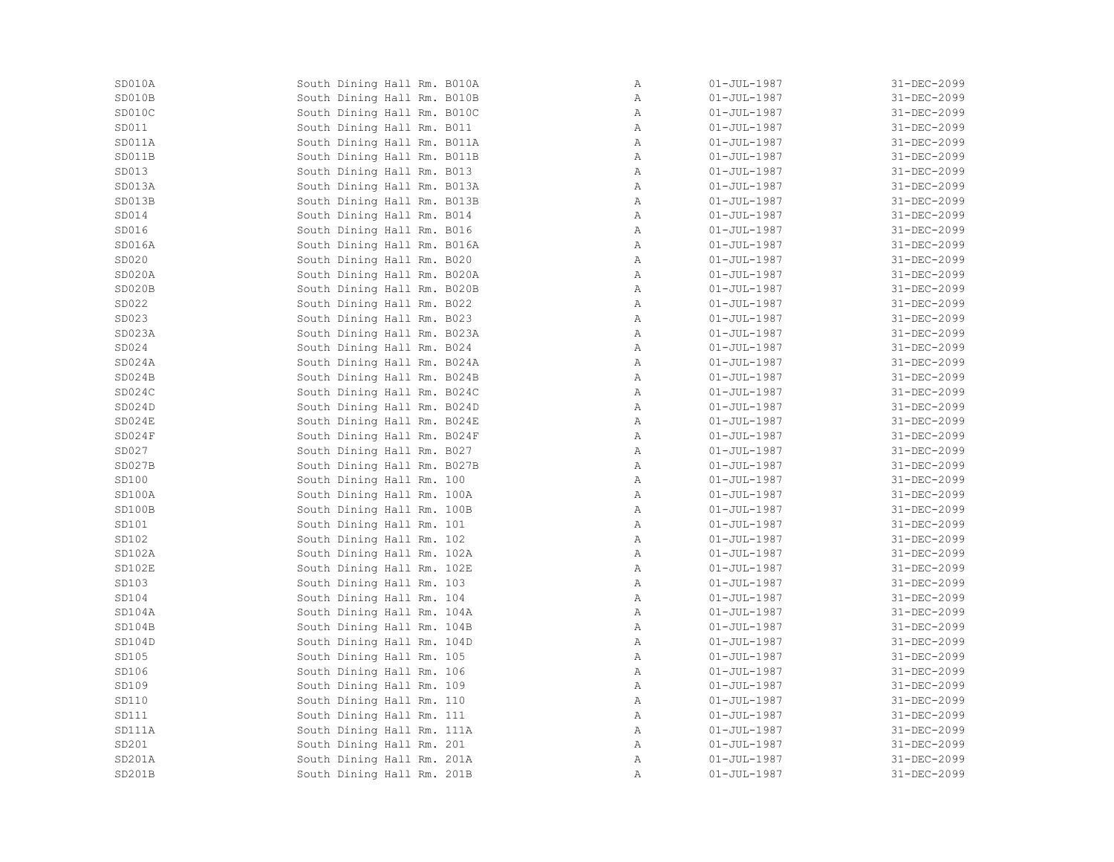| SD010A | South Dining Hall Rm. B010A | Α            | $01 - JUL - 1987$        | 31-DEC-2099 |
|--------|-----------------------------|--------------|--------------------------|-------------|
| SD010B | South Dining Hall Rm. B010B | $\, {\bf A}$ | $01 - JUL - 1987$        | 31-DEC-2099 |
| SD010C | South Dining Hall Rm. B010C | Α            | $01 - JUL-1987$          | 31-DEC-2099 |
| SD011  | South Dining Hall Rm. B011  | $\mathbb{A}$ | $01 - JUL-1987$          | 31-DEC-2099 |
| SD011A | South Dining Hall Rm. B011A | $\mathbb{A}$ | $01 - JUL-1987$          | 31-DEC-2099 |
| SD011B | South Dining Hall Rm. B011B | Α            | $01 - JUL-1987$          | 31-DEC-2099 |
| SD013  | South Dining Hall Rm. B013  | A            | $01 - JUL-1987$          | 31-DEC-2099 |
| SD013A | South Dining Hall Rm. B013A | $\mathbb A$  | $01 - JUL - 1987$        | 31-DEC-2099 |
| SD013B | South Dining Hall Rm. B013B | Α            | $01 - JUL-1987$          | 31-DEC-2099 |
| SD014  | South Dining Hall Rm. B014  | Α            | $01 - JUL-1987$          | 31-DEC-2099 |
| SD016  | South Dining Hall Rm. B016  | A            | $01 - JUL-1987$          | 31-DEC-2099 |
| SD016A | South Dining Hall Rm. B016A | A            | $01 - JUL-1987$          | 31-DEC-2099 |
| SD020  | South Dining Hall Rm. B020  | $\mathbb{A}$ | $01 - JUL - 1987$        | 31-DEC-2099 |
| SD020A | South Dining Hall Rm. B020A | A            | $01 - JUL-1987$          | 31-DEC-2099 |
| SD020B | South Dining Hall Rm. B020B | $\mathbb A$  | $01 - JUL - 1987$        | 31-DEC-2099 |
| SD022  | South Dining Hall Rm. B022  | $\mathbb{A}$ | $01 - JUL-1987$          | 31-DEC-2099 |
| SD023  | South Dining Hall Rm. B023  | $\mathbb{A}$ | $01 - JUL-1987$          | 31-DEC-2099 |
| SD023A | South Dining Hall Rm. B023A | $\mathbb{A}$ | $01 - JUL-1987$          | 31-DEC-2099 |
| SD024  | South Dining Hall Rm. B024  | $\, {\bf A}$ | $01 - JUL-1987$          | 31-DEC-2099 |
| SD024A | South Dining Hall Rm. B024A | A            | $01 - JUL-1987$          | 31-DEC-2099 |
| SD024B | South Dining Hall Rm. B024B | $\mathbb{A}$ | $01 - JUL-1987$          | 31-DEC-2099 |
| SD024C | South Dining Hall Rm. B024C | Α            | $01 - JUL-1987$          | 31-DEC-2099 |
| SD024D | South Dining Hall Rm. B024D | $\mathbb{A}$ | $01 - JUL - 1987$        | 31-DEC-2099 |
| SD024E | South Dining Hall Rm. B024E | $\mathbb{A}$ | $01 - JUL-1987$          | 31-DEC-2099 |
| SD024F | South Dining Hall Rm. B024F | A            | $01 - JUL-1987$          | 31-DEC-2099 |
| SD027  | South Dining Hall Rm. B027  | A            | $01 - JUL-1987$          | 31-DEC-2099 |
| SD027B | South Dining Hall Rm. B027B | A            | $01 - JUL-1987$          | 31-DEC-2099 |
| SD100  | South Dining Hall Rm. 100   | Α            | $01 - JUL-1987$          | 31-DEC-2099 |
| SD100A | South Dining Hall Rm. 100A  | Α            | $01 - JUL-1987$          | 31-DEC-2099 |
| SD100B | South Dining Hall Rm. 100B  | $\mathbb{A}$ | $01 - \text{JUL} - 1987$ | 31-DEC-2099 |
| SD101  | South Dining Hall Rm. 101   | Α            | $01 - JUL-1987$          | 31-DEC-2099 |
| SD102  | South Dining Hall Rm. 102   | A            | $01 - JUL-1987$          | 31-DEC-2099 |
| SD102A | South Dining Hall Rm. 102A  | $\mathbb A$  | $01 - JUL - 1987$        | 31-DEC-2099 |
| SD102E | South Dining Hall Rm. 102E  | $\mathbb{A}$ | $01 - JUL-1987$          | 31-DEC-2099 |
| SD103  | South Dining Hall Rm. 103   | Α            | $01 - JUL-1987$          | 31-DEC-2099 |
| SD104  | South Dining Hall Rm. 104   | $\mathbb A$  | $01 - \text{JUL} - 1987$ | 31-DEC-2099 |
| SD104A | South Dining Hall Rm. 104A  | Α            | 01-JUL-1987              | 31-DEC-2099 |
| SD104B | South Dining Hall Rm. 104B  | Α            | $01 - JUL - 1987$        | 31-DEC-2099 |
| SD104D | South Dining Hall Rm. 104D  | A            | 01-JUL-1987              | 31-DEC-2099 |
| SD105  | South Dining Hall Rm. 105   | Α            | $01 - JUL-1987$          | 31-DEC-2099 |
| SD106  | South Dining Hall Rm. 106   | $\, {\bf A}$ | $01 - JUL - 1987$        | 31-DEC-2099 |
| SD109  | South Dining Hall Rm. 109   | Α            | 01-JUL-1987              | 31-DEC-2099 |
| SD110  | South Dining Hall Rm. 110   | $\mathbb A$  | $01 - \text{JUL} - 1987$ | 31-DEC-2099 |
| SD111  | South Dining Hall Rm. 111   | $\mathbb{A}$ | $01 - \text{JUL} - 1987$ | 31-DEC-2099 |
| SD111A | South Dining Hall Rm. 111A  | Α            | $01 - JUL - 1987$        | 31-DEC-2099 |
| SD201  | South Dining Hall Rm. 201   | Α            | $01 - JUL-1987$          | 31-DEC-2099 |
| SD201A | South Dining Hall Rm. 201A  | Α            | $01 - JUL - 1987$        | 31-DEC-2099 |
| SD201B | South Dining Hall Rm. 201B  | $\, {\bf A}$ | $01 - JUL - 1987$        | 31-DEC-2099 |
|        |                             |              |                          |             |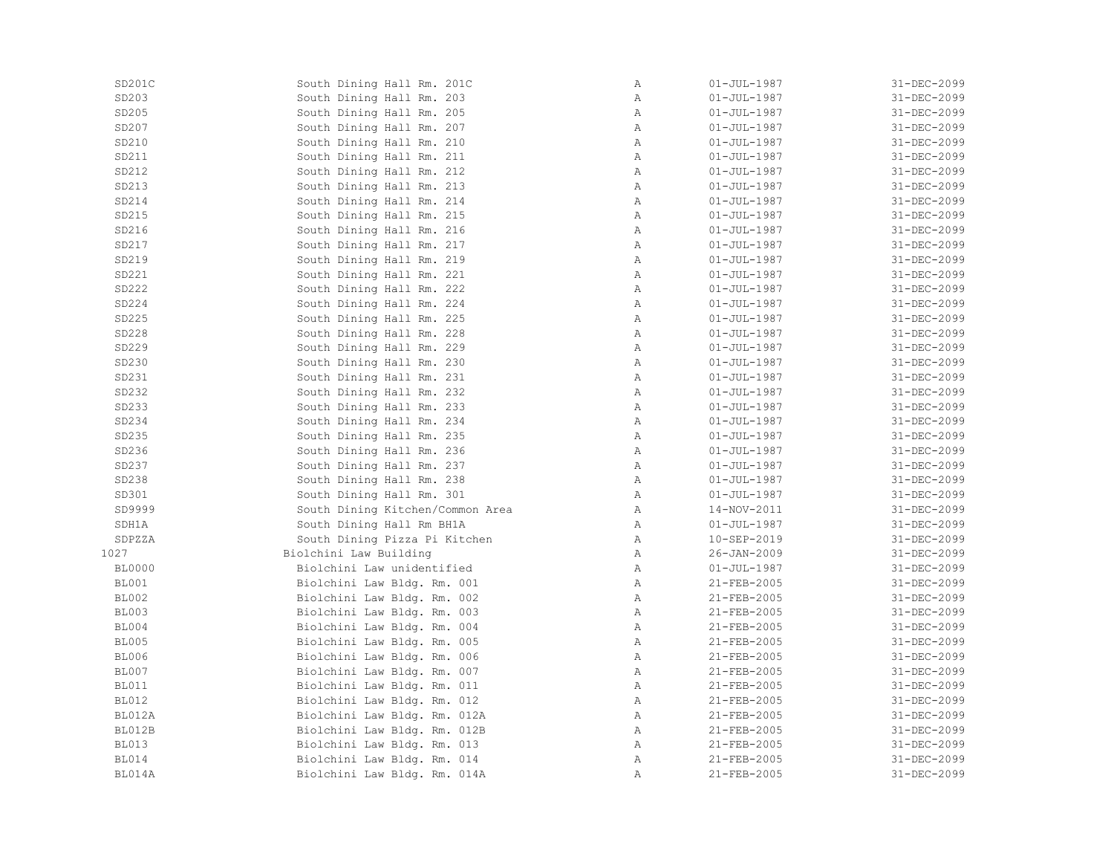| SD201C        | South Dining Hall Rm. 201C       | $\, {\bf A}$ | $01 - JUL - 1987$ | 31-DEC-2099 |
|---------------|----------------------------------|--------------|-------------------|-------------|
| SD203         | South Dining Hall Rm. 203        | Α            | $01 - JUL - 1987$ | 31-DEC-2099 |
| SD205         | South Dining Hall Rm. 205        | Α            | $01 - JUL - 1987$ | 31-DEC-2099 |
| SD207         | South Dining Hall Rm. 207        | Α            | $01 - JUL - 1987$ | 31-DEC-2099 |
| SD210         | South Dining Hall Rm. 210        | Α            | $01 - JUL - 1987$ | 31-DEC-2099 |
| SD211         | South Dining Hall Rm. 211        | Α            | $01 - JUL - 1987$ | 31-DEC-2099 |
| SD212         | South Dining Hall Rm. 212        | Α            | $01 - JUL - 1987$ | 31-DEC-2099 |
| SD213         | South Dining Hall Rm. 213        | Α            | $01 - JUL - 1987$ | 31-DEC-2099 |
| SD214         | South Dining Hall Rm. 214        | Α            | $01 - JUL - 1987$ | 31-DEC-2099 |
| SD215         | South Dining Hall Rm. 215        | Α            | $01 - JUL - 1987$ | 31-DEC-2099 |
| SD216         | South Dining Hall Rm. 216        | Α            | $01 - JUL - 1987$ | 31-DEC-2099 |
| SD217         | South Dining Hall Rm. 217        | Α            | $01 - JUL - 1987$ | 31-DEC-2099 |
| SD219         | South Dining Hall Rm. 219        | Α            | $01 - JUL - 1987$ | 31-DEC-2099 |
| SD221         | South Dining Hall Rm. 221        | $\mathbb{A}$ | $01 - JUL - 1987$ | 31-DEC-2099 |
| SD222         | South Dining Hall Rm. 222        | Α            | $01 - JUL - 1987$ | 31-DEC-2099 |
| SD224         | South Dining Hall Rm. 224        | Α            | $01 - JUL - 1987$ | 31-DEC-2099 |
| SD225         | South Dining Hall Rm. 225        | Α            | $01 - JUL - 1987$ | 31-DEC-2099 |
| SD228         | South Dining Hall Rm. 228        | Α            | $01 - JUL - 1987$ | 31-DEC-2099 |
| SD229         | South Dining Hall Rm. 229        | Α            | $01 - JUL - 1987$ | 31-DEC-2099 |
| SD230         | South Dining Hall Rm. 230        | Α            | $01 - JUL - 1987$ | 31-DEC-2099 |
| SD231         | South Dining Hall Rm. 231        | Α            | $01 - JUL - 1987$ | 31-DEC-2099 |
| SD232         | South Dining Hall Rm. 232        | Α            | $01 - JUL - 1987$ | 31-DEC-2099 |
| SD233         | South Dining Hall Rm. 233        | Α            | $01 - JUL - 1987$ | 31-DEC-2099 |
| SD234         | South Dining Hall Rm. 234        | Α            | $01 - JUL - 1987$ | 31-DEC-2099 |
| SD235         | South Dining Hall Rm. 235        | Α            | $01 - JUL - 1987$ | 31-DEC-2099 |
| SD236         | South Dining Hall Rm. 236        | Α            | $01 - JUL - 1987$ | 31-DEC-2099 |
| SD237         | South Dining Hall Rm. 237        | Α            | $01 - JUL - 1987$ | 31-DEC-2099 |
| SD238         | South Dining Hall Rm. 238        | Α            | $01 - JUL - 1987$ | 31-DEC-2099 |
| SD301         | South Dining Hall Rm. 301        | Α            | $01 - JUL - 1987$ | 31-DEC-2099 |
| SD9999        | South Dining Kitchen/Common Area | Α            | 14-NOV-2011       | 31-DEC-2099 |
|               |                                  |              |                   | 31-DEC-2099 |
| SDH1A         | South Dining Hall Rm BH1A        | Α            | $01 - JUL - 1987$ |             |
| SDPZZA        | South Dining Pizza Pi Kitchen    | Α            | 10-SEP-2019       | 31-DEC-2099 |
| 1027          | Biolchini Law Building           | Α            | $26 - JAN - 2009$ | 31-DEC-2099 |
| <b>BL0000</b> | Biolchini Law unidentified       | Α            | $01 - JUL - 1987$ | 31-DEC-2099 |
| <b>BL001</b>  | Biolchini Law Bldg. Rm. 001      | Α            | 21-FEB-2005       | 31-DEC-2099 |
| <b>BL002</b>  | Biolchini Law Bldg. Rm. 002      | Α            | 21-FEB-2005       | 31-DEC-2099 |
| <b>BL003</b>  | Biolchini Law Bldg. Rm. 003      | Α            | 21-FEB-2005       | 31-DEC-2099 |
| <b>BL004</b>  | Biolchini Law Bldg. Rm. 004      | Α            | 21-FEB-2005       | 31-DEC-2099 |
| <b>BL005</b>  | Biolchini Law Bldg. Rm. 005      | Α            | $21 - FEB - 2005$ | 31-DEC-2099 |
| <b>BL006</b>  | Biolchini Law Bldg. Rm. 006      | Α            | 21-FEB-2005       | 31-DEC-2099 |
| <b>BL007</b>  | Biolchini Law Bldg. Rm. 007      | Α            | 21-FEB-2005       | 31-DEC-2099 |
| <b>BL011</b>  | Biolchini Law Bldg. Rm. 011      | Α            | 21-FEB-2005       | 31-DEC-2099 |
| <b>BL012</b>  | Biolchini Law Bldg. Rm. 012      | Α            | 21-FEB-2005       | 31-DEC-2099 |
| BL012A        | Biolchini Law Bldg. Rm. 012A     | Α            | 21-FEB-2005       | 31-DEC-2099 |
| BL012B        | Biolchini Law Bldg. Rm. 012B     | Α            | 21-FEB-2005       | 31-DEC-2099 |
| <b>BL013</b>  | Biolchini Law Bldg. Rm. 013      | Α            | 21-FEB-2005       | 31-DEC-2099 |
| <b>BL014</b>  | Biolchini Law Bldg. Rm. 014      | Α            | 21-FEB-2005       | 31-DEC-2099 |
| BL014A        | Biolchini Law Bldg. Rm. 014A     | Α            | 21-FEB-2005       | 31-DEC-2099 |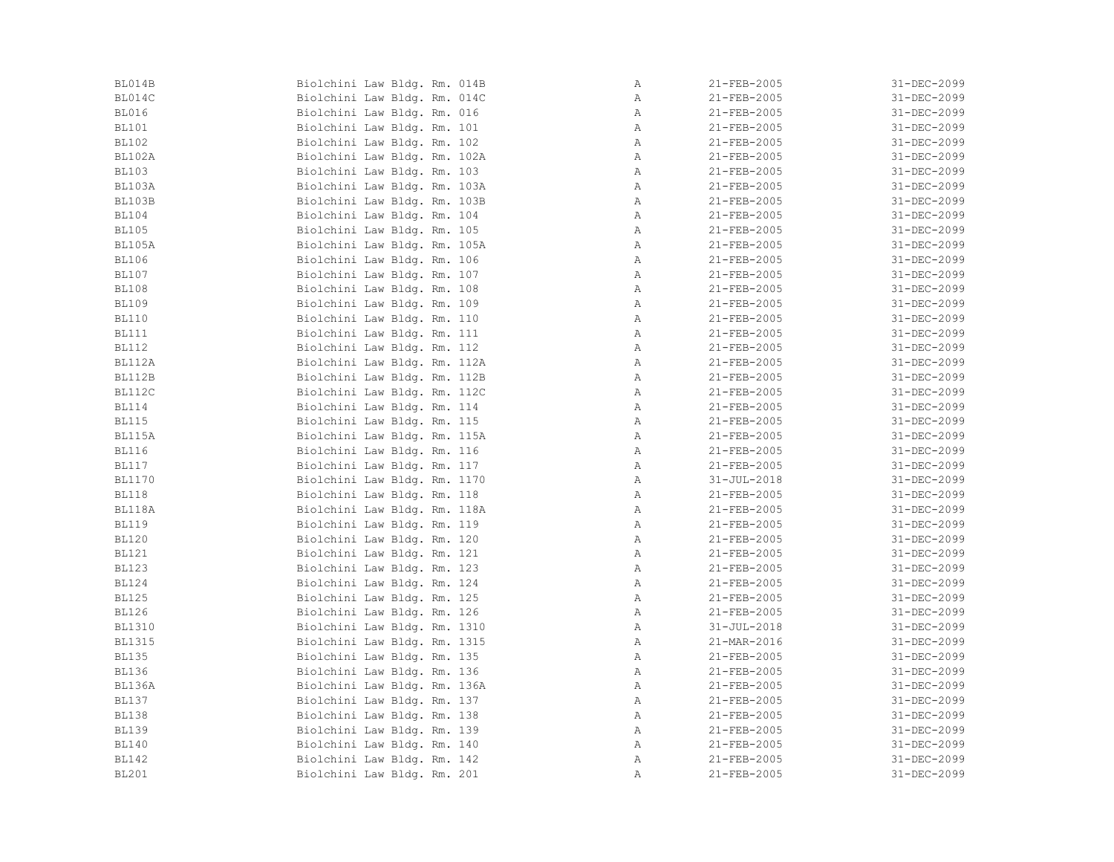| BL014B        | Biolchini Law Bldg. Rm. 014B | $\mathbb{A}$ | 21-FEB-2005       | 31-DEC-2099       |
|---------------|------------------------------|--------------|-------------------|-------------------|
| BL014C        | Biolchini Law Bldg. Rm. 014C | $\mathbb{A}$ | 21-FEB-2005       | 31-DEC-2099       |
| <b>BL016</b>  | Biolchini Law Bldg. Rm. 016  | A            | 21-FEB-2005       | 31-DEC-2099       |
| <b>BL101</b>  | Biolchini Law Bldg. Rm. 101  | Α            | 21-FEB-2005       | 31-DEC-2099       |
| <b>BL102</b>  | Biolchini Law Bldg. Rm. 102  | $\mathbb{A}$ | 21-FEB-2005       | 31-DEC-2099       |
| <b>BL102A</b> | Biolchini Law Bldg. Rm. 102A | $\mathbb{A}$ | $21 - FEB - 2005$ | 31-DEC-2099       |
| <b>BL103</b>  | Biolchini Law Bldg. Rm. 103  | A            | 21-FEB-2005       | 31-DEC-2099       |
| BL103A        | Biolchini Law Bldg. Rm. 103A | $\mathbb{A}$ | $21 - FEB - 2005$ | 31-DEC-2099       |
| BL103B        | Biolchini Law Bldg. Rm. 103B | Α            | 21-FEB-2005       | 31-DEC-2099       |
| <b>BL104</b>  | Biolchini Law Bldg. Rm. 104  | $\mathbb{A}$ | 21-FEB-2005       | 31-DEC-2099       |
| <b>BL105</b>  | Biolchini Law Bldg. Rm. 105  | Α            | 21-FEB-2005       | 31-DEC-2099       |
| <b>BL105A</b> | Biolchini Law Bldg. Rm. 105A | $\mathbb{A}$ | 21-FEB-2005       | 31-DEC-2099       |
| <b>BL106</b>  | Biolchini Law Bldg. Rm. 106  | $\mathbb{A}$ | 21-FEB-2005       | 31-DEC-2099       |
| <b>BL107</b>  | Biolchini Law Bldg. Rm. 107  | A            | $21 - FEB - 2005$ | $31 - DEC - 2099$ |
| <b>BL108</b>  | Biolchini Law Bldg. Rm. 108  | $\mathbb{A}$ | $21 - FEB - 2005$ | 31-DEC-2099       |
| <b>BL109</b>  | Biolchini Law Bldg. Rm. 109  | $\mathbb{A}$ | 21-FEB-2005       | 31-DEC-2099       |
| <b>BL110</b>  | Biolchini Law Bldg. Rm. 110  | Α            | 21-FEB-2005       | 31-DEC-2099       |
| <b>BL111</b>  | Biolchini Law Bldg. Rm. 111  | A            | 21-FEB-2005       | 31-DEC-2099       |
| <b>BL112</b>  | Biolchini Law Bldg. Rm. 112  | A            | 21-FEB-2005       | 31-DEC-2099       |
| BL112A        | Biolchini Law Bldg. Rm. 112A | $\mathbb{A}$ | 21-FEB-2005       | 31-DEC-2099       |
| <b>BL112B</b> | Biolchini Law Bldg. Rm. 112B | $\mathbb{A}$ | 21-FEB-2005       | 31-DEC-2099       |
| BL112C        | Biolchini Law Bldg. Rm. 112C | $\mathbb{A}$ | 21-FEB-2005       | 31-DEC-2099       |
| <b>BL114</b>  | Biolchini Law Bldg. Rm. 114  | A            | 21-FEB-2005       | 31-DEC-2099       |
| <b>BL115</b>  | Biolchini Law Bldg. Rm. 115  | $\mathbb{A}$ | 21-FEB-2005       | 31-DEC-2099       |
| BL115A        | Biolchini Law Bldg. Rm. 115A | A            | 21-FEB-2005       | 31-DEC-2099       |
| <b>BL116</b>  | Biolchini Law Bldg. Rm. 116  | $\mathbb{A}$ | 21-FEB-2005       | 31-DEC-2099       |
| <b>BL117</b>  | Biolchini Law Bldg. Rm. 117  | $\mathbb{A}$ | 21-FEB-2005       | 31-DEC-2099       |
| <b>BL1170</b> | Biolchini Law Bldg. Rm. 1170 | $\mathbb{A}$ | $31 - JUL - 2018$ | 31-DEC-2099       |
| <b>BL118</b>  | Biolchini Law Bldg. Rm. 118  | Α            | 21-FEB-2005       | 31-DEC-2099       |
| BL118A        | Biolchini Law Bldg. Rm. 118A | $\mathbb{A}$ | 21-FEB-2005       | 31-DEC-2099       |
| <b>BL119</b>  | Biolchini Law Bldg. Rm. 119  | $\mathbb{A}$ | 21-FEB-2005       | 31-DEC-2099       |
| <b>BL120</b>  | Biolchini Law Bldg. Rm. 120  | Α            | 21-FEB-2005       | 31-DEC-2099       |
| <b>BL121</b>  | Biolchini Law Bldg. Rm. 121  | $\mathbb{A}$ | 21-FEB-2005       | 31-DEC-2099       |
| <b>BL123</b>  | Biolchini Law Bldg. Rm. 123  | $\mathbb{A}$ | 21-FEB-2005       | 31-DEC-2099       |
| <b>BL124</b>  | Biolchini Law Bldg. Rm. 124  | $\mathbb{A}$ | 21-FEB-2005       | 31-DEC-2099       |
| <b>BL125</b>  | Biolchini Law Bldg. Rm. 125  | $\mathbb{A}$ | 21-FEB-2005       | 31-DEC-2099       |
| <b>BL126</b>  | Biolchini Law Bldg. Rm. 126  | Α            | 21-FEB-2005       | 31-DEC-2099       |
| <b>BL1310</b> | Biolchini Law Bldg. Rm. 1310 | $\mathbb{A}$ | $31 - JUL - 2018$ | 31-DEC-2099       |
| <b>BL1315</b> | Biolchini Law Bldg. Rm. 1315 | A            | 21-MAR-2016       | 31-DEC-2099       |
| <b>BL135</b>  | Biolchini Law Bldg. Rm. 135  | A            | 21-FEB-2005       | 31-DEC-2099       |
| <b>BL136</b>  | Biolchini Law Bldg. Rm. 136  | $\mathbb{A}$ | 21-FEB-2005       | 31-DEC-2099       |
| BL136A        | Biolchini Law Bldg. Rm. 136A | $\mathbb{A}$ | 21-FEB-2005       | 31-DEC-2099       |
| <b>BL137</b>  | Biolchini Law Bldg. Rm. 137  | A            | 21-FEB-2005       | 31-DEC-2099       |
| <b>BL138</b>  | Biolchini Law Bldg. Rm. 138  | Α            | 21-FEB-2005       | 31-DEC-2099       |
| <b>BL139</b>  | Biolchini Law Bldg. Rm. 139  | Α            | 21-FEB-2005       | 31-DEC-2099       |
| <b>BL140</b>  | Biolchini Law Bldg. Rm. 140  | Α            | 21-FEB-2005       | 31-DEC-2099       |
| <b>BL142</b>  | Biolchini Law Bldg. Rm. 142  | Α            | 21-FEB-2005       | 31-DEC-2099       |
| <b>BL201</b>  | Biolchini Law Bldg. Rm. 201  | Α            | 21-FEB-2005       | 31-DEC-2099       |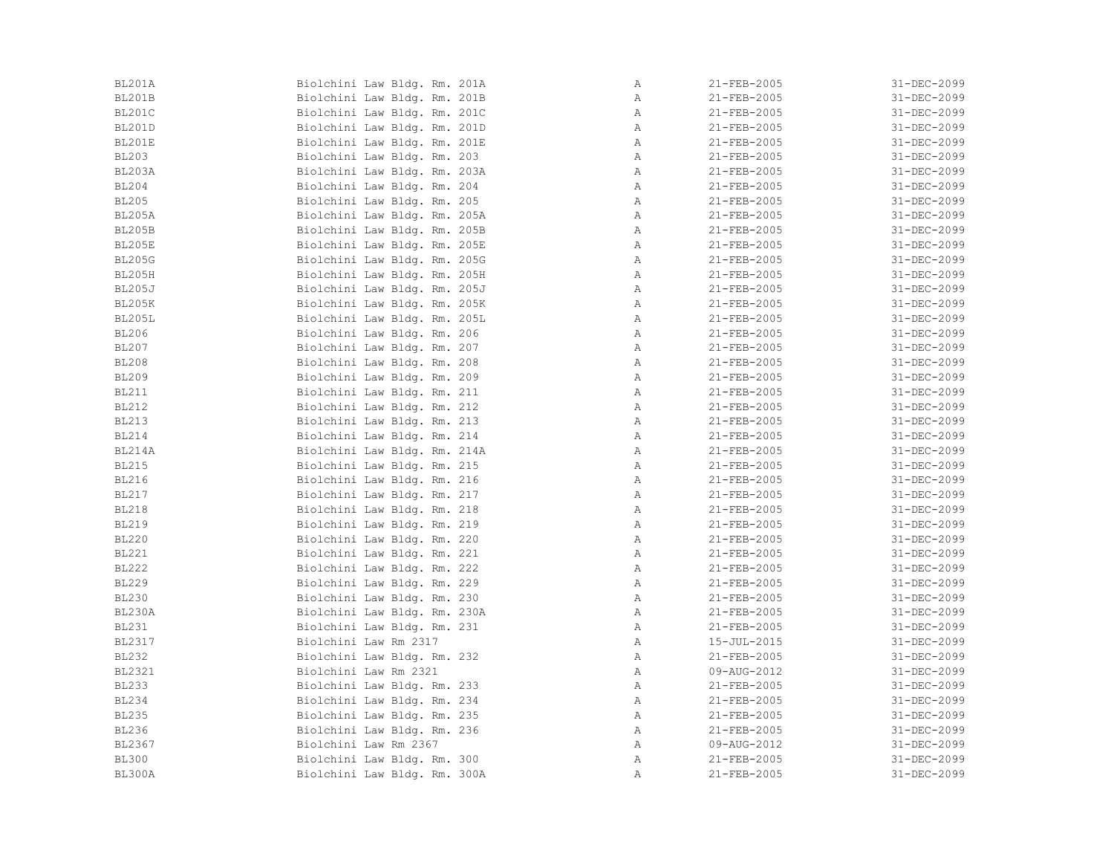| BL201A        | Biolchini Law Bldg. Rm. 201A | Α            | 21-FEB-2005       | 31-DEC-2099 |
|---------------|------------------------------|--------------|-------------------|-------------|
| BL201B        | Biolchini Law Bldg. Rm. 201B | Α            | 21-FEB-2005       | 31-DEC-2099 |
| BL201C        | Biolchini Law Bldg. Rm. 201C | Α            | 21-FEB-2005       | 31-DEC-2099 |
| <b>BL201D</b> | Biolchini Law Bldg. Rm. 201D | Α            | 21-FEB-2005       | 31-DEC-2099 |
| BL201E        | Biolchini Law Bldg. Rm. 201E | Α            | 21-FEB-2005       | 31-DEC-2099 |
| <b>BL203</b>  | Biolchini Law Bldg. Rm. 203  | Α            | 21-FEB-2005       | 31-DEC-2099 |
| <b>BL203A</b> | Biolchini Law Bldg. Rm. 203A | $\mathbb{A}$ | 21-FEB-2005       | 31-DEC-2099 |
| <b>BL204</b>  | Biolchini Law Bldg. Rm. 204  | Α            | 21-FEB-2005       | 31-DEC-2099 |
| <b>BL205</b>  | Biolchini Law Bldg. Rm. 205  | Α            | 21-FEB-2005       | 31-DEC-2099 |
| <b>BL205A</b> | Biolchini Law Bldg. Rm. 205A | Α            | 21-FEB-2005       | 31-DEC-2099 |
| <b>BL205B</b> | Biolchini Law Bldg. Rm. 205B | A            | 21-FEB-2005       | 31-DEC-2099 |
| <b>BL205E</b> | Biolchini Law Bldg. Rm. 205E | Α            | 21-FEB-2005       | 31-DEC-2099 |
| <b>BL205G</b> | Biolchini Law Bldg. Rm. 205G | Α            | 21-FEB-2005       | 31-DEC-2099 |
| <b>BL205H</b> | Biolchini Law Bldg. Rm. 205H | Α            | 21-FEB-2005       | 31-DEC-2099 |
| <b>BL205J</b> | Biolchini Law Bldg. Rm. 205J | Α            | 21-FEB-2005       | 31-DEC-2099 |
| <b>BL205K</b> | Biolchini Law Bldg. Rm. 205K | Α            | 21-FEB-2005       | 31-DEC-2099 |
| <b>BL205L</b> | Biolchini Law Bldg. Rm. 205L | $\mathbb{A}$ | 21-FEB-2005       | 31-DEC-2099 |
| <b>BL206</b>  | Biolchini Law Bldg. Rm. 206  | A            | 21-FEB-2005       | 31-DEC-2099 |
| <b>BL207</b>  | Biolchini Law Bldg. Rm. 207  | Α            | 21-FEB-2005       | 31-DEC-2099 |
| <b>BL208</b>  | Biolchini Law Bldg. Rm. 208  | Α            | 21-FEB-2005       | 31-DEC-2099 |
| <b>BL209</b>  | Biolchini Law Bldg. Rm. 209  | Α            | 21-FEB-2005       | 31-DEC-2099 |
| <b>BL211</b>  | Biolchini Law Bldg. Rm. 211  | Α            | 21-FEB-2005       | 31-DEC-2099 |
| <b>BL212</b>  | Biolchini Law Bldg. Rm. 212  | $\mathbb{A}$ | $21 - FEB - 2005$ | 31-DEC-2099 |
| <b>BL213</b>  | Biolchini Law Bldg. Rm. 213  | Α            | 21-FEB-2005       | 31-DEC-2099 |
| <b>BL214</b>  | Biolchini Law Bldg. Rm. 214  | $\mathbb{A}$ | 21-FEB-2005       | 31-DEC-2099 |
| BL214A        | Biolchini Law Bldg. Rm. 214A | Α            | 21-FEB-2005       | 31-DEC-2099 |
| <b>BL215</b>  | Biolchini Law Bldg. Rm. 215  | A            | $21 - FEB - 2005$ | 31-DEC-2099 |
| <b>BL216</b>  | Biolchini Law Bldg. Rm. 216  | Α            | 21-FEB-2005       | 31-DEC-2099 |
| <b>BL217</b>  | Biolchini Law Bldg. Rm. 217  | Α            | 21-FEB-2005       | 31-DEC-2099 |
| <b>BL218</b>  | Biolchini Law Bldg. Rm. 218  | $\mathbb{A}$ | 21-FEB-2005       | 31-DEC-2099 |
| <b>BL219</b>  | Biolchini Law Bldg. Rm. 219  | Α            | $21 - FEB - 2005$ | 31-DEC-2099 |
| <b>BL220</b>  | Biolchini Law Bldg. Rm. 220  | Α            | 21-FEB-2005       | 31-DEC-2099 |
| <b>BL221</b>  | Biolchini Law Bldg. Rm. 221  | $\mathbb{A}$ | 21-FEB-2005       | 31-DEC-2099 |
| <b>BL222</b>  | Biolchini Law Bldg. Rm. 222  | $\mathbb{A}$ | 21-FEB-2005       | 31-DEC-2099 |
| <b>BL229</b>  | Biolchini Law Bldg. Rm. 229  | Α            | 21-FEB-2005       | 31-DEC-2099 |
| <b>BL230</b>  | Biolchini Law Bldg. Rm. 230  | Α            | 21-FEB-2005       | 31-DEC-2099 |
| BL230A        | Biolchini Law Bldg. Rm. 230A | Α            | 21-FEB-2005       | 31-DEC-2099 |
| <b>BL231</b>  | Biolchini Law Bldg. Rm. 231  | Α            | 21-FEB-2005       | 31-DEC-2099 |
| BL2317        | Biolchini Law Rm 2317        | $\mathbb{A}$ | $15 - JUL - 2015$ | 31-DEC-2099 |
| <b>BL232</b>  | Biolchini Law Bldg. Rm. 232  | Α            | 21-FEB-2005       | 31-DEC-2099 |
| <b>BL2321</b> | Biolchini Law Rm 2321        | Α            | 09-AUG-2012       | 31-DEC-2099 |
| <b>BL233</b>  | Biolchini Law Bldg. Rm. 233  | Α            | 21-FEB-2005       | 31-DEC-2099 |
| <b>BL234</b>  | Biolchini Law Bldg. Rm. 234  | Α            | 21-FEB-2005       | 31-DEC-2099 |
| <b>BL235</b>  | Biolchini Law Bldg. Rm. 235  | Α            | 21-FEB-2005       | 31-DEC-2099 |
| <b>BL236</b>  | Biolchini Law Bldg. Rm. 236  | Α            | 21-FEB-2005       | 31-DEC-2099 |
| BL2367        | Biolchini Law Rm 2367        | Α            | 09-AUG-2012       | 31-DEC-2099 |
| <b>BL300</b>  | Biolchini Law Bldg. Rm. 300  | Α            | $21 - FEB - 2005$ | 31-DEC-2099 |
| BL300A        | Biolchini Law Bldg. Rm. 300A | Α            | 21-FEB-2005       | 31-DEC-2099 |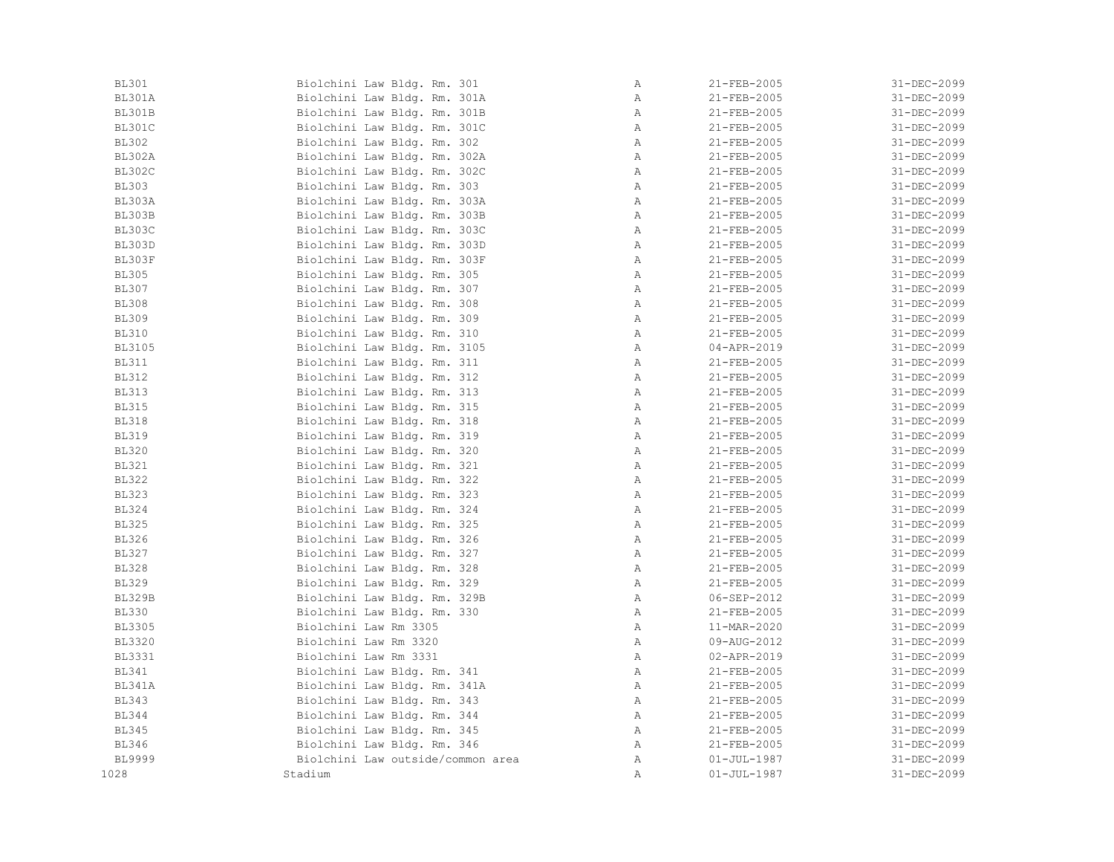| <b>BL301</b>  | Biolchini Law Bldg. Rm. 301       | Α            | $21 - FEB - 2005$ | 31-DEC-2099 |
|---------------|-----------------------------------|--------------|-------------------|-------------|
| BL301A        | Biolchini Law Bldg. Rm. 301A      | Α            | 21-FEB-2005       | 31-DEC-2099 |
| BL301B        | Biolchini Law Bldg. Rm. 301B      | Α            | 21-FEB-2005       | 31-DEC-2099 |
| BL301C        | Biolchini Law Bldg. Rm. 301C      | Α            | 21-FEB-2005       | 31-DEC-2099 |
| <b>BL302</b>  | Biolchini Law Bldg. Rm. 302       | Α            | 21-FEB-2005       | 31-DEC-2099 |
| <b>BL302A</b> | Biolchini Law Bldg. Rm. 302A      | Α            | 21-FEB-2005       | 31-DEC-2099 |
| <b>BL302C</b> | Biolchini Law Bldg. Rm. 302C      | Α            | 21-FEB-2005       | 31-DEC-2099 |
| <b>BL303</b>  | Biolchini Law Bldg. Rm. 303       | Α            | 21-FEB-2005       | 31-DEC-2099 |
| BL303A        | Biolchini Law Bldg. Rm. 303A      | Α            | 21-FEB-2005       | 31-DEC-2099 |
| <b>BL303B</b> | Biolchini Law Bldg. Rm. 303B      | Α            | 21-FEB-2005       | 31-DEC-2099 |
| BL303C        | Biolchini Law Bldg. Rm. 303C      | Α            | 21-FEB-2005       | 31-DEC-2099 |
| <b>BL303D</b> | Biolchini Law Bldg. Rm. 303D      | Α            | 21-FEB-2005       | 31-DEC-2099 |
| BL303F        | Biolchini Law Bldg. Rm. 303F      | Α            | 21-FEB-2005       | 31-DEC-2099 |
| <b>BL305</b>  | Biolchini Law Bldg. Rm. 305       | Α            | $21 - FEB - 2005$ | 31-DEC-2099 |
| <b>BL307</b>  | Biolchini Law Bldg. Rm. 307       | Α            | 21-FEB-2005       | 31-DEC-2099 |
| <b>BL308</b>  | Biolchini Law Bldg. Rm. 308       | Α            | 21-FEB-2005       | 31-DEC-2099 |
| <b>BL309</b>  | Biolchini Law Bldg. Rm. 309       | Α            | 21-FEB-2005       | 31-DEC-2099 |
| <b>BL310</b>  | Biolchini Law Bldg. Rm. 310       | Α            | 21-FEB-2005       | 31-DEC-2099 |
| <b>BL3105</b> | Biolchini Law Bldg. Rm. 3105      | Α            | 04-APR-2019       | 31-DEC-2099 |
| <b>BL311</b>  | Biolchini Law Bldg. Rm. 311       | Α            | 21-FEB-2005       | 31-DEC-2099 |
| <b>BL312</b>  | Biolchini Law Bldg. Rm. 312       | $\mathbb{A}$ | 21-FEB-2005       | 31-DEC-2099 |
| <b>BL313</b>  | Biolchini Law Bldg. Rm. 313       | Α            | 21-FEB-2005       | 31-DEC-2099 |
| <b>BL315</b>  | Biolchini Law Bldg. Rm. 315       | Α            | $21 - FEB - 2005$ | 31-DEC-2099 |
| <b>BL318</b>  | Biolchini Law Bldg. Rm. 318       | Α            | $21 - FEB - 2005$ | 31-DEC-2099 |
| <b>BL319</b>  | Biolchini Law Bldg. Rm. 319       | Α            | 21-FEB-2005       | 31-DEC-2099 |
| <b>BL320</b>  | Biolchini Law Bldg. Rm. 320       | Α            | 21-FEB-2005       | 31-DEC-2099 |
| <b>BL321</b>  | Biolchini Law Bldg. Rm. 321       | Α            | 21-FEB-2005       | 31-DEC-2099 |
| <b>BL322</b>  | Biolchini Law Bldg. Rm. 322       | Α            | 21-FEB-2005       | 31-DEC-2099 |
| <b>BL323</b>  | Biolchini Law Bldg. Rm. 323       | Α            | 21-FEB-2005       | 31-DEC-2099 |
| <b>BL324</b>  | Biolchini Law Bldg. Rm. 324       | Α            | 21-FEB-2005       | 31-DEC-2099 |
| <b>BL325</b>  | Biolchini Law Bldg. Rm. 325       | Α            | 21-FEB-2005       | 31-DEC-2099 |
| <b>BL326</b>  | Biolchini Law Bldg. Rm. 326       | Α            | 21-FEB-2005       | 31-DEC-2099 |
| <b>BL327</b>  | Biolchini Law Bldg. Rm. 327       | Α            | 21-FEB-2005       | 31-DEC-2099 |
| <b>BL328</b>  | Biolchini Law Bldg. Rm. 328       | Α            | 21-FEB-2005       | 31-DEC-2099 |
| <b>BL329</b>  | Biolchini Law Bldg. Rm. 329       | Α            | 21-FEB-2005       | 31-DEC-2099 |
| <b>BL329B</b> | Biolchini Law Bldg. Rm. 329B      | Α            | 06-SEP-2012       | 31-DEC-2099 |
| <b>BL330</b>  | Biolchini Law Bldg. Rm. 330       | Α            | 21-FEB-2005       | 31-DEC-2099 |
| <b>BL3305</b> | Biolchini Law Rm 3305             | Α            | 11-MAR-2020       | 31-DEC-2099 |
| <b>BL3320</b> | Biolchini Law Rm 3320             | Α            | 09-AUG-2012       | 31-DEC-2099 |
| <b>BL3331</b> | Biolchini Law Rm 3331             | Α            | 02-APR-2019       | 31-DEC-2099 |
| <b>BL341</b>  | Biolchini Law Bldg. Rm. 341       | Α            | 21-FEB-2005       | 31-DEC-2099 |
| BL341A        | Biolchini Law Bldg. Rm. 341A      | Α            | 21-FEB-2005       | 31-DEC-2099 |
| <b>BL343</b>  | Biolchini Law Bldg. Rm. 343       | Α            | 21-FEB-2005       | 31-DEC-2099 |
| <b>BL344</b>  | Biolchini Law Bldg. Rm. 344       | Α            | 21-FEB-2005       | 31-DEC-2099 |
| <b>BL345</b>  | Biolchini Law Bldg. Rm. 345       | Α            | $21 - FEB - 2005$ | 31-DEC-2099 |
| <b>BL346</b>  | Biolchini Law Bldg. Rm. 346       | Α            | 21-FEB-2005       | 31-DEC-2099 |
| <b>BL9999</b> | Biolchini Law outside/common area | Α            | $01 - JUL - 1987$ | 31-DEC-2099 |
| 1028          | Stadium                           | $\mathbb{A}$ | $01 - JUL - 1987$ | 31-DEC-2099 |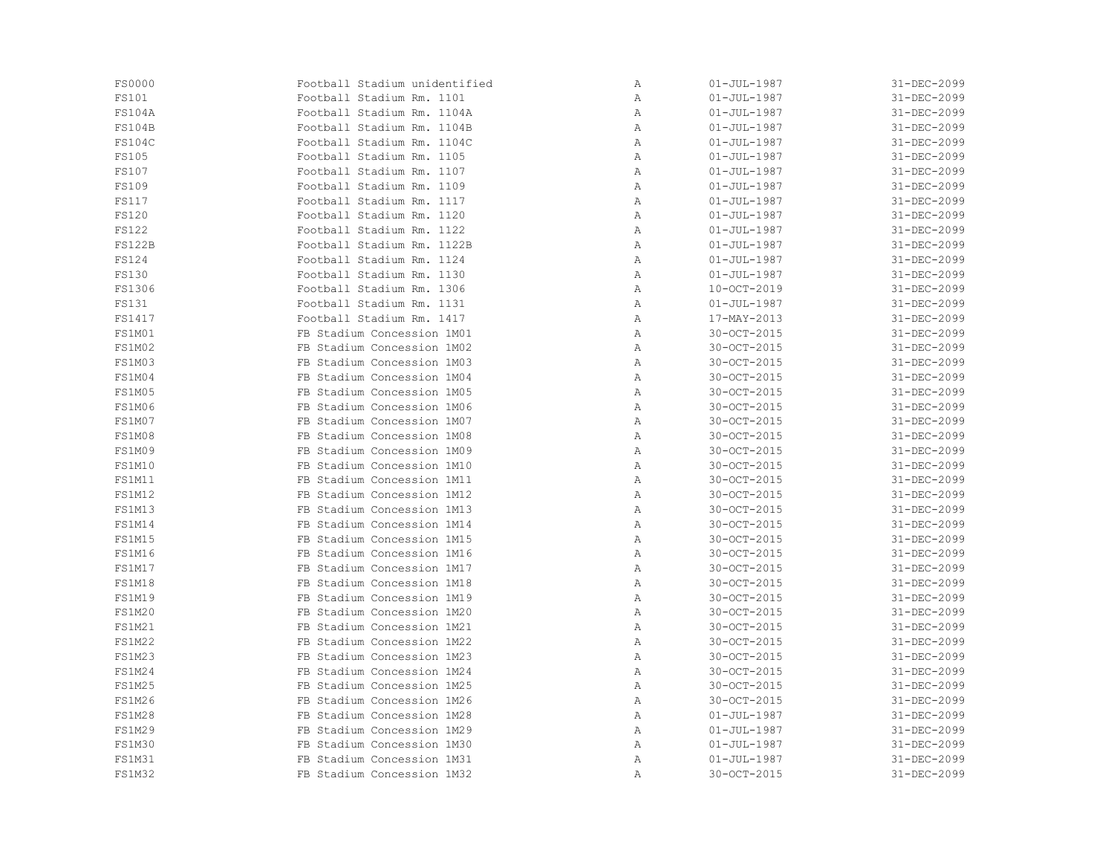| <b>FS0000</b> | Football Stadium unidentified | Α | $01 - JUL - 1987$ | 31-DEC-2099 |
|---------------|-------------------------------|---|-------------------|-------------|
| FS101         | Football Stadium Rm. 1101     | Α | $01 - JUL - 1987$ | 31-DEC-2099 |
| <b>FS104A</b> | Football Stadium Rm. 1104A    | Α | $01 - JUL - 1987$ | 31-DEC-2099 |
| <b>FS104B</b> | Football Stadium Rm. 1104B    | Α | $01 - JUL - 1987$ | 31-DEC-2099 |
| <b>FS104C</b> | Football Stadium Rm. 1104C    | Α | $01 - JUL - 1987$ | 31-DEC-2099 |
| FS105         | Football Stadium Rm. 1105     | Α | $01 - JUL - 1987$ | 31-DEC-2099 |
| FS107         | Football Stadium Rm. 1107     | Α | $01 - JUL - 1987$ | 31-DEC-2099 |
| <b>FS109</b>  | Football Stadium Rm. 1109     | Α | $01 - JUL - 1987$ | 31-DEC-2099 |
| <b>FS117</b>  | Football Stadium Rm. 1117     | Α | $01 - JUL - 1987$ | 31-DEC-2099 |
| <b>FS120</b>  | Football Stadium Rm. 1120     | Α | $01 - JUL - 1987$ | 31-DEC-2099 |
| <b>FS122</b>  | Football Stadium Rm. 1122     | Α | $01 - JUL - 1987$ | 31-DEC-2099 |
| <b>FS122B</b> | Football Stadium Rm. 1122B    | Α | $01 - JUL - 1987$ | 31-DEC-2099 |
| <b>FS124</b>  | Football Stadium Rm. 1124     | Α | $01 - JUL - 1987$ | 31-DEC-2099 |
| FS130         | Football Stadium Rm. 1130     | Α | $01 - JUL - 1987$ | 31-DEC-2099 |
| FS1306        | Football Stadium Rm. 1306     | Α | $10-OCT-2019$     | 31-DEC-2099 |
| <b>FS131</b>  | Football Stadium Rm. 1131     | Α | $01 - JUL - 1987$ | 31-DEC-2099 |
| FS1417        | Football Stadium Rm. 1417     | Α | 17-MAY-2013       | 31-DEC-2099 |
| FS1M01        | FB Stadium Concession 1M01    | Α | 30-OCT-2015       | 31-DEC-2099 |
| FS1M02        | FB Stadium Concession 1M02    | Α | 30-OCT-2015       | 31-DEC-2099 |
| <b>FS1M03</b> | FB Stadium Concession 1M03    | Α | 30-OCT-2015       | 31-DEC-2099 |
| FS1M04        | FB Stadium Concession 1M04    | Α | 30-OCT-2015       | 31-DEC-2099 |
| FS1M05        | FB Stadium Concession 1M05    | Α | 30-OCT-2015       | 31-DEC-2099 |
| FS1M06        | FB Stadium Concession 1M06    | Α | 30-OCT-2015       | 31-DEC-2099 |
| FS1M07        | FB Stadium Concession 1M07    | Α | 30-OCT-2015       | 31-DEC-2099 |
| FS1M08        | FB Stadium Concession 1M08    | Α | 30-OCT-2015       | 31-DEC-2099 |
| <b>FS1M09</b> | FB Stadium Concession 1M09    | Α | 30-OCT-2015       | 31-DEC-2099 |
| FS1M10        | FB Stadium Concession 1M10    | Α | 30-OCT-2015       | 31-DEC-2099 |
| FS1M11        | FB Stadium Concession 1M11    | Α | 30-OCT-2015       | 31-DEC-2099 |
| <b>FS1M12</b> | FB Stadium Concession 1M12    | Α | 30-OCT-2015       | 31-DEC-2099 |
| <b>FS1M13</b> | FB Stadium Concession 1M13    | Α | 30-OCT-2015       | 31-DEC-2099 |
| FS1M14        | FB Stadium Concession 1M14    | Α | 30-OCT-2015       | 31-DEC-2099 |
| <b>FS1M15</b> | FB Stadium Concession 1M15    | Α | 30-OCT-2015       | 31-DEC-2099 |
| <b>FS1M16</b> | FB Stadium Concession 1M16    | Α | 30-OCT-2015       | 31-DEC-2099 |
| FS1M17        | FB Stadium Concession 1M17    | Α | 30-OCT-2015       | 31-DEC-2099 |
| <b>FS1M18</b> | FB Stadium Concession 1M18    | Α | 30-OCT-2015       | 31-DEC-2099 |
| <b>FS1M19</b> | FB Stadium Concession 1M19    | Α | 30-OCT-2015       | 31-DEC-2099 |
| <b>FS1M20</b> | FB Stadium Concession 1M20    | Α | 30-OCT-2015       | 31-DEC-2099 |
| <b>FS1M21</b> | FB Stadium Concession 1M21    | Α | 30-OCT-2015       | 31-DEC-2099 |
| <b>FS1M22</b> | FB Stadium Concession 1M22    | Α | 30-OCT-2015       | 31-DEC-2099 |
| <b>FS1M23</b> | FB Stadium Concession 1M23    | Α | 30-OCT-2015       | 31-DEC-2099 |
| FS1M24        | FB Stadium Concession 1M24    | Α | 30-OCT-2015       | 31-DEC-2099 |
| <b>FS1M25</b> | FB Stadium Concession 1M25    | Α | 30-OCT-2015       | 31-DEC-2099 |
| <b>FS1M26</b> | FB Stadium Concession 1M26    | Α | 30-OCT-2015       | 31-DEC-2099 |
| <b>FS1M28</b> | FB Stadium Concession 1M28    | Α | $01 - JUL - 1987$ | 31-DEC-2099 |
| <b>FS1M29</b> | FB Stadium Concession 1M29    | Α | $01 - JUL - 1987$ | 31-DEC-2099 |
| <b>FS1M30</b> | FB Stadium Concession 1M30    | Α | $01 - JUL - 1987$ | 31-DEC-2099 |
| <b>FS1M31</b> | FB Stadium Concession 1M31    | Α | $01 - JUL - 1987$ | 31-DEC-2099 |
| <b>FS1M32</b> | FB Stadium Concession 1M32    | Α | 30-OCT-2015       | 31-DEC-2099 |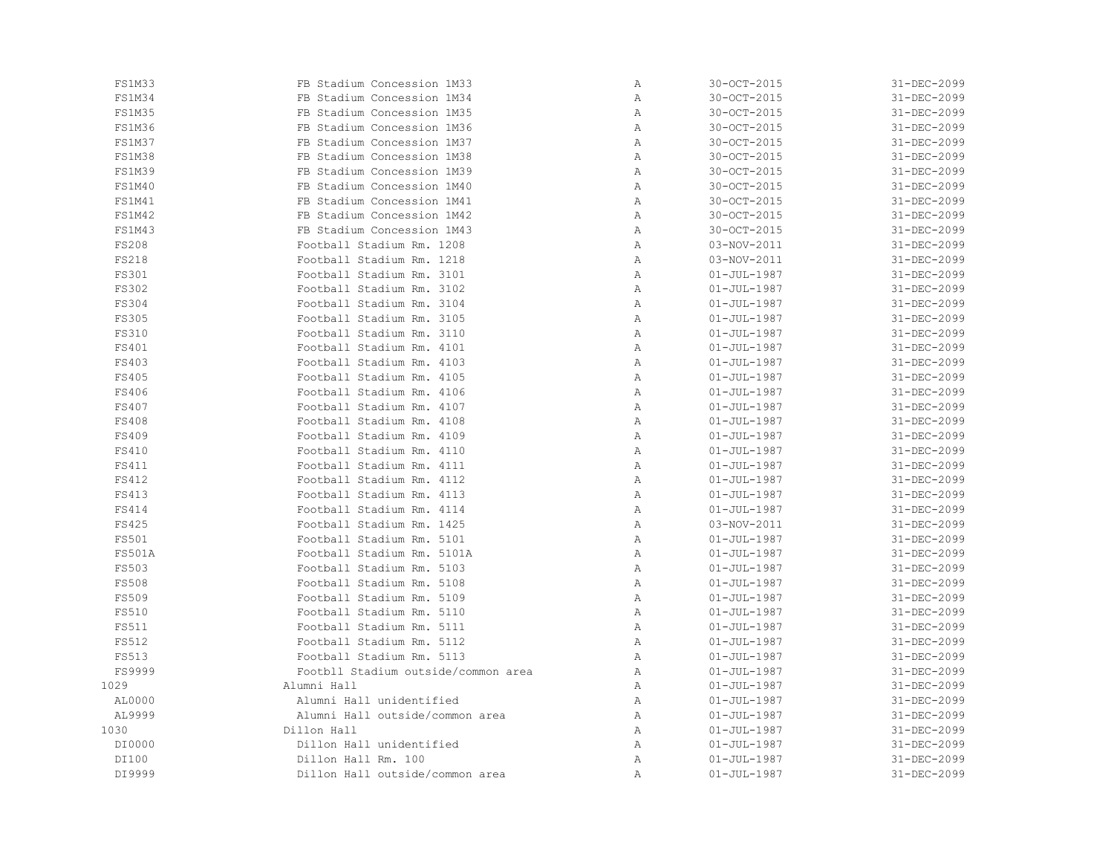| <b>FS1M33</b> | FB Stadium Concession 1M33          | Α | 30-OCT-2015       | 31-DEC-2099 |
|---------------|-------------------------------------|---|-------------------|-------------|
| <b>FS1M34</b> | FB Stadium Concession 1M34          | Α | 30-OCT-2015       | 31-DEC-2099 |
| <b>FS1M35</b> | FB Stadium Concession 1M35          | Α | 30-OCT-2015       | 31-DEC-2099 |
| <b>FS1M36</b> | FB Stadium Concession 1M36          | Α | 30-OCT-2015       | 31-DEC-2099 |
| <b>FS1M37</b> | FB Stadium Concession 1M37          | Α | 30-OCT-2015       | 31-DEC-2099 |
| <b>FS1M38</b> | FB Stadium Concession 1M38          | Α | 30-OCT-2015       | 31-DEC-2099 |
| <b>FS1M39</b> | FB Stadium Concession 1M39          | Α | 30-OCT-2015       | 31-DEC-2099 |
| FS1M40        | FB Stadium Concession 1M40          | Α | 30-OCT-2015       | 31-DEC-2099 |
| FS1M41        | FB Stadium Concession 1M41          | Α | 30-OCT-2015       | 31-DEC-2099 |
| <b>FS1M42</b> | FB Stadium Concession 1M42          | Α | 30-OCT-2015       | 31-DEC-2099 |
| <b>FS1M43</b> | FB Stadium Concession 1M43          | Α | 30-OCT-2015       | 31-DEC-2099 |
| FS208         | Football Stadium Rm. 1208           | Α | 03-NOV-2011       | 31-DEC-2099 |
| FS218         | Football Stadium Rm. 1218           | Α | 03-NOV-2011       | 31-DEC-2099 |
| FS301         | Football Stadium Rm. 3101           | Α | $01 - JUL - 1987$ | 31-DEC-2099 |
| FS302         | Football Stadium Rm. 3102           | Α | $01 - JUL - 1987$ | 31-DEC-2099 |
| <b>FS304</b>  | Football Stadium Rm. 3104           | Α | $01 - JUL - 1987$ | 31-DEC-2099 |
| <b>FS305</b>  | Football Stadium Rm. 3105           | Α | $01 - JUL - 1987$ | 31-DEC-2099 |
| FS310         | Football Stadium Rm. 3110           | Α | $01 - JUL - 1987$ | 31-DEC-2099 |
| FS401         | Football Stadium Rm. 4101           | Α | $01 - JUL - 1987$ | 31-DEC-2099 |
| FS403         | Football Stadium Rm. 4103           | Α | $01 - JUL - 1987$ | 31-DEC-2099 |
| FS405         | Football Stadium Rm. 4105           | Α | $01 - JUL - 1987$ | 31-DEC-2099 |
| FS406         | Football Stadium Rm. 4106           | Α | $01 - JUL - 1987$ | 31-DEC-2099 |
| FS407         | Football Stadium Rm. 4107           | Α | $01 - JUL - 1987$ | 31-DEC-2099 |
| <b>FS408</b>  | Football Stadium Rm. 4108           | Α | $01 - JUL - 1987$ | 31-DEC-2099 |
| <b>FS409</b>  | Football Stadium Rm. 4109           | Α | $01 - JUL - 1987$ | 31-DEC-2099 |
| FS410         | Football Stadium Rm. 4110           | Α | $01 - JUL - 1987$ | 31-DEC-2099 |
| FS411         | Football Stadium Rm. 4111           | Α | $01 - JUL - 1987$ | 31-DEC-2099 |
| FS412         | Football Stadium Rm. 4112           | Α | $01 - JUL - 1987$ | 31-DEC-2099 |
| FS413         | Football Stadium Rm. 4113           | Α | $01 - JUL - 1987$ | 31-DEC-2099 |
| FS414         | Football Stadium Rm. 4114           | Α | $01 - JUL - 1987$ | 31-DEC-2099 |
| FS425         | Football Stadium Rm. 1425           | Α | 03-NOV-2011       | 31-DEC-2099 |
| FS501         | Football Stadium Rm. 5101           | Α | $01 - JUL - 1987$ | 31-DEC-2099 |
| <b>FS501A</b> | Football Stadium Rm. 5101A          | Α | $01 - JUL - 1987$ | 31-DEC-2099 |
| <b>FS503</b>  | Football Stadium Rm. 5103           | Α | $01 - JUL - 1987$ | 31-DEC-2099 |
| <b>FS508</b>  | Football Stadium Rm. 5108           | Α | $01 - JUL - 1987$ | 31-DEC-2099 |
| FS509         | Football Stadium Rm. 5109           | Α | $01 - JUL - 1987$ | 31-DEC-2099 |
| FS510         | Football Stadium Rm. 5110           | Α | $01 - JUL - 1987$ | 31-DEC-2099 |
| FS511         | Football Stadium Rm. 5111           | Α | $01 - JUL - 1987$ | 31-DEC-2099 |
| FS512         | Football Stadium Rm. 5112           | Α | $01 - JUL - 1987$ | 31-DEC-2099 |
| FS513         | Football Stadium Rm. 5113           | Α | $01 - JUL - 1987$ | 31-DEC-2099 |
| FS9999        | Footbll Stadium outside/common area | Α | $01 - JUL - 1987$ | 31-DEC-2099 |
| 1029          | Alumni Hall                         | Α | $01 - JUL - 1987$ | 31-DEC-2099 |
| AL0000        | Alumni Hall unidentified            | Α | $01 - JUL - 1987$ | 31-DEC-2099 |
| AL9999        | Alumni Hall outside/common area     | Α | $01 - JUL - 1987$ | 31-DEC-2099 |
| 1030          | Dillon Hall                         | Α | $01 - JUL - 1987$ | 31-DEC-2099 |
| DI0000        | Dillon Hall unidentified            | Α | $01 - JUL - 1987$ | 31-DEC-2099 |
| DI100         | Dillon Hall Rm. 100                 | Α | $01 - JUL - 1987$ | 31-DEC-2099 |
| DI9999        | Dillon Hall outside/common area     | Α | $01 - JUL - 1987$ | 31-DEC-2099 |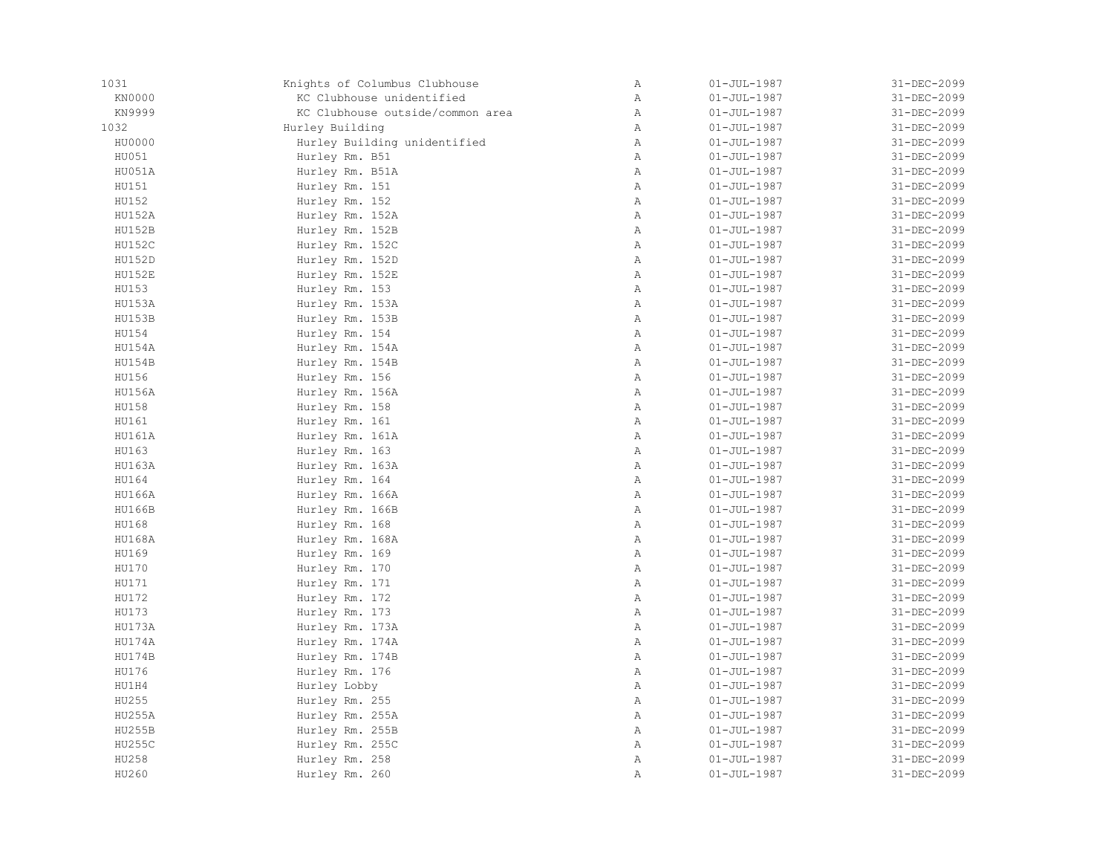| 1031          | Knights of Columbus Clubhouse    | $\, {\bf A}$ | $01 - JUL - 1987$ | 31-DEC-2099 |
|---------------|----------------------------------|--------------|-------------------|-------------|
| KN0000        | KC Clubhouse unidentified        | $\, {\bf A}$ | $01 - JUL - 1987$ | 31-DEC-2099 |
| KN9999        | KC Clubhouse outside/common area | Α            | $01 - JUL - 1987$ | 31-DEC-2099 |
| 1032          | Hurley Building                  | $\mathbb{A}$ | $01 - JUL - 1987$ | 31-DEC-2099 |
| HU0000        | Hurley Building unidentified     | $\mathbb{A}$ | $01 - JUL - 1987$ | 31-DEC-2099 |
| HU051         | Hurley Rm. B51                   | Α            | $01 - JUL - 1987$ | 31-DEC-2099 |
| HU051A        | Hurley Rm. B51A                  | $\mathbb A$  | $01 - JUL - 1987$ | 31-DEC-2099 |
| HU151         | Hurley Rm. 151                   | $\, {\bf A}$ | $01 - JUL - 1987$ | 31-DEC-2099 |
| HU152         | Hurley Rm. 152                   | Α            | $01 - JUL - 1987$ | 31-DEC-2099 |
| HU152A        | Hurley Rm. 152A                  | Α            | $01 - JUL - 1987$ | 31-DEC-2099 |
| <b>HU152B</b> | Hurley Rm. 152B                  | $\mathbb{A}$ | $01 - JUL - 1987$ | 31-DEC-2099 |
| <b>HU152C</b> | Hurley Rm. 152C                  | $\mathbb{A}$ | $01 - JUL - 1987$ | 31-DEC-2099 |
| <b>HU152D</b> | Hurley Rm. 152D                  | $\mathbb{A}$ | $01 - JUL - 1987$ | 31-DEC-2099 |
| <b>HU152E</b> | Hurley Rm. 152E                  | $\mathbb{A}$ | $01 - JUL - 1987$ | 31-DEC-2099 |
| HU153         | Hurley Rm. 153                   | Α            | $01 - JUL - 1987$ | 31-DEC-2099 |
| HU153A        | Hurley Rm. 153A                  | Α            | $01 - JUL - 1987$ | 31-DEC-2099 |
| HU153B        | Hurley Rm. 153B                  | Α            | $01 - JUL - 1987$ | 31-DEC-2099 |
| HU154         | Hurley Rm. 154                   | Α            | $01 - JUL - 1987$ | 31-DEC-2099 |
| HU154A        | Hurley Rm. 154A                  | $\mathbb{A}$ | $01 - JUL - 1987$ | 31-DEC-2099 |
| HU154B        | Hurley Rm. 154B                  | $\mathbb{A}$ | $01 - JUL - 1987$ | 31-DEC-2099 |
| HU156         | Hurley Rm. 156                   | $\mathbb{A}$ | $01 - JUL - 1987$ | 31-DEC-2099 |
| HU156A        | Hurley Rm. 156A                  | $\, {\bf A}$ | $01 - JUL - 1987$ | 31-DEC-2099 |
| HU158         | Hurley Rm. 158                   | Α            | $01 - JUL - 1987$ | 31-DEC-2099 |
| HU161         | Hurley Rm. 161                   | Α            | $01 - JUL - 1987$ | 31-DEC-2099 |
| HU161A        | Hurley Rm. 161A                  | Α            | $01 - JUL - 1987$ | 31-DEC-2099 |
| HU163         | Hurley Rm. 163                   | Α            | $01 - JUL - 1987$ | 31-DEC-2099 |
| HU163A        | Hurley Rm. 163A                  | $\mathbb{A}$ | $01 - JUL - 1987$ | 31-DEC-2099 |
| HU164         | Hurley Rm. 164                   | $\mathbb{A}$ | $01 - JUL - 1987$ | 31-DEC-2099 |
| HU166A        | Hurley Rm. 166A                  | $\mathbb{A}$ | $01 - JUL - 1987$ | 31-DEC-2099 |
| HU166B        | Hurley Rm. 166B                  | $\mathbb A$  | $01 - JUL - 1987$ | 31-DEC-2099 |
| HU168         | Hurley Rm. 168                   | Α            | $01 - JUL - 1987$ | 31-DEC-2099 |
| HU168A        | Hurley Rm. 168A                  | $\mathbb A$  | $01 - JUL - 1987$ | 31-DEC-2099 |
| HU169         | Hurley Rm. 169                   | $\, {\bf A}$ | $01 - JUL - 1987$ | 31-DEC-2099 |
| HU170         | Hurley Rm. 170                   | Α            | $01 - JUL - 1987$ | 31-DEC-2099 |
| HU171         | Hurley Rm. 171                   | Α            | $01 - JUL - 1987$ | 31-DEC-2099 |
| HU172         | Hurley Rm. 172                   | Α            | $01 - JUL - 1987$ | 31-DEC-2099 |
| HU173         | Hurley Rm. 173                   | $\mathbb{A}$ | $01 - JUL - 1987$ | 31-DEC-2099 |
| HU173A        | Hurley Rm. 173A                  | $\mathbb{A}$ | $01 - JUL - 1987$ | 31-DEC-2099 |
| HU174A        | Hurley Rm. 174A                  | $\mathbb A$  | $01 - JUL - 1987$ | 31-DEC-2099 |
| HU174B        | Hurley Rm. 174B                  | Α            | $01 - JUL - 1987$ | 31-DEC-2099 |
| HU176         | Hurley Rm. 176                   | Α            | $01 - JUL - 1987$ | 31-DEC-2099 |
| HU1H4         | Hurley Lobby                     | $\mathbb{A}$ | $01 - JUL - 1987$ | 31-DEC-2099 |
| HU255         | Hurley Rm. 255                   | Α            | $01 - JUL - 1987$ | 31-DEC-2099 |
| HU255A        | Hurley Rm. 255A                  | Α            | $01 - JUL - 1987$ | 31-DEC-2099 |
| HU255B        | Hurley Rm. 255B                  | $\mathbb{A}$ | $01 - JUL - 1987$ | 31-DEC-2099 |
| HU255C        | Hurley Rm. 255C                  | $\mathbb{A}$ | $01 - JUL - 1987$ | 31-DEC-2099 |
| HU258         | Hurley Rm. 258                   | Α            | $01 - JUL - 1987$ | 31-DEC-2099 |
| HU260         | Hurley Rm. 260                   | Α            | $01 - JUL - 1987$ | 31-DEC-2099 |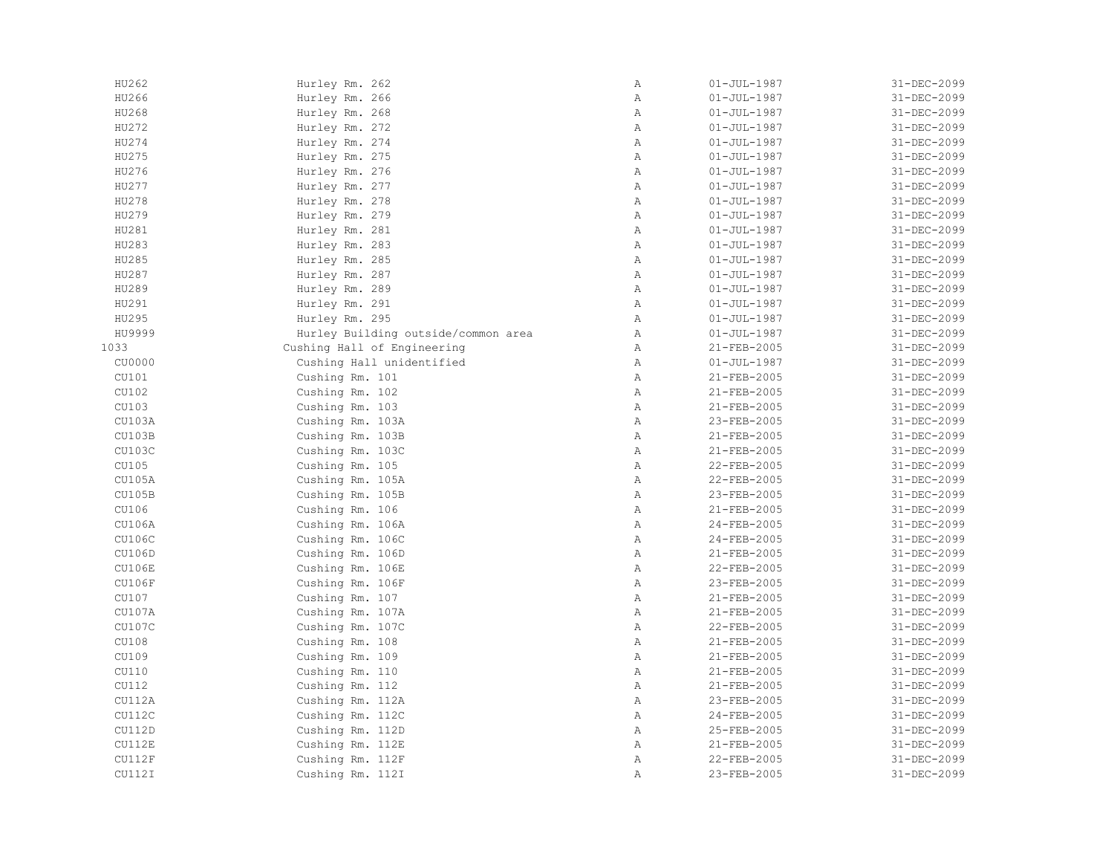| HU262         | Hurley Rm. 262                      | $\mathbb A$  | $01 - JUL - 1987$ | 31-DEC-2099 |
|---------------|-------------------------------------|--------------|-------------------|-------------|
| HU266         | Hurley Rm. 266                      | Α            | $01 - JUL - 1987$ | 31-DEC-2099 |
| HU268         | Hurley Rm. 268                      | Α            | $01 - JUL - 1987$ | 31-DEC-2099 |
| HU272         | Hurley Rm. 272                      | Α            | $01 - JUL - 1987$ | 31-DEC-2099 |
| HU274         | Hurley Rm. 274                      | $\mathbb{A}$ | $01 - JUL - 1987$ | 31-DEC-2099 |
| HU275         | Hurley Rm. 275                      | Α            | $01 - JUL - 1987$ | 31-DEC-2099 |
| HU276         | Hurley Rm. 276                      | $\mathbb{A}$ | $01 - JUL - 1987$ | 31-DEC-2099 |
| HU277         | Hurley Rm. 277                      | $\, {\bf A}$ | $01 - JUL - 1987$ | 31-DEC-2099 |
| HU278         | Hurley Rm. 278                      | $\, {\bf A}$ | $01 - JUL - 1987$ | 31-DEC-2099 |
| HU279         | Hurley Rm. 279                      | $\, {\bf A}$ | $01 - JUL - 1987$ | 31-DEC-2099 |
| HU281         | Hurley Rm. 281                      | Α            | $01 - JUL - 1987$ | 31-DEC-2099 |
| HU283         | Hurley Rm. 283                      | Α            | $01 - JUL - 1987$ | 31-DEC-2099 |
| HU285         | Hurley Rm. 285                      | Α            | $01 - JUL - 1987$ | 31-DEC-2099 |
| HU287         | Hurley Rm. 287                      | $\mathbb{A}$ | $01 - JUL - 1987$ | 31-DEC-2099 |
| HU289         | Hurley Rm. 289                      | $\mathbb{A}$ | $01 - JUL - 1987$ | 31-DEC-2099 |
| HU291         | Hurley Rm. 291                      | Α            | $01 - JUL - 1987$ | 31-DEC-2099 |
| HU295         | Hurley Rm. 295                      | $\mathbb A$  | $01 - JUL - 1987$ | 31-DEC-2099 |
| HU9999        | Hurley Building outside/common area | $\mathbb A$  | $01 - JUL - 1987$ | 31-DEC-2099 |
| 1033          | Cushing Hall of Engineering         | Α            | 21-FEB-2005       | 31-DEC-2099 |
| CU0000        | Cushing Hall unidentified           | Α            | $01 - JUL - 1987$ | 31-DEC-2099 |
| CU101         | Cushing Rm. 101                     | Α            | $21 - FEB - 2005$ | 31-DEC-2099 |
| CU102         | Cushing Rm. 102                     | Α            | 21-FEB-2005       | 31-DEC-2099 |
| CU103         | Cushing Rm. 103                     | $\mathbb{A}$ | 21-FEB-2005       | 31-DEC-2099 |
| CU103A        | Cushing Rm. 103A                    | Α            | 23-FEB-2005       | 31-DEC-2099 |
| CU103B        | Cushing Rm. 103B                    | Α            | 21-FEB-2005       | 31-DEC-2099 |
| CU103C        | Cushing Rm. 103C                    | $\, {\bf A}$ | 21-FEB-2005       | 31-DEC-2099 |
| CU105         | Cushing Rm. 105                     | Α            | 22-FEB-2005       | 31-DEC-2099 |
| CU105A        | Cushing Rm. 105A                    | $\mathbb{A}$ | 22-FEB-2005       | 31-DEC-2099 |
| CU105B        | Cushing Rm. 105B                    | $\, {\bf A}$ | 23-FEB-2005       | 31-DEC-2099 |
| CU106         | Cushing Rm. 106                     | Α            | 21-FEB-2005       | 31-DEC-2099 |
| CU106A        | Cushing Rm. 106A                    | Α            | 24-FEB-2005       | 31-DEC-2099 |
| CU106C        | Cushing Rm. 106C                    | $\mathbb{A}$ | 24-FEB-2005       | 31-DEC-2099 |
| CU106D        | Cushing Rm. 106D                    | $\mathbb{A}$ | 21-FEB-2005       | 31-DEC-2099 |
| <b>CU106E</b> | Cushing Rm. 106E                    | $\mathbb{A}$ | 22-FEB-2005       | 31-DEC-2099 |
| <b>CU106F</b> | Cushing Rm. 106F                    | Α            | 23-FEB-2005       | 31-DEC-2099 |
| CU107         | Cushing Rm. 107                     | Α            | 21-FEB-2005       | 31-DEC-2099 |
| CU107A        | Cushing Rm. 107A                    | $\, {\bf A}$ | 21-FEB-2005       | 31-DEC-2099 |
| CU107C        | Cushing Rm. 107C                    | Α            | 22-FEB-2005       | 31-DEC-2099 |
| CU108         | Cushing Rm. 108                     | $\mathbb A$  | 21-FEB-2005       | 31-DEC-2099 |
| CU109         | Cushing Rm. 109                     | Α            | 21-FEB-2005       | 31-DEC-2099 |
| CU110         | Cushing Rm. 110                     | Α            | 21-FEB-2005       | 31-DEC-2099 |
| CU112         | Cushing Rm. 112                     | Α            | 21-FEB-2005       | 31-DEC-2099 |
| CU112A        | Cushing Rm. 112A                    | Α            | 23-FEB-2005       | 31-DEC-2099 |
| CU112C        | Cushing Rm. 112C                    | $\, {\bf A}$ | 24-FEB-2005       | 31-DEC-2099 |
| <b>CU112D</b> | Cushing Rm. 112D                    | $\mathbb{A}$ | 25-FEB-2005       | 31-DEC-2099 |
| CU112E        | Cushing Rm. 112E                    | $\mathbb{A}$ | 21-FEB-2005       | 31-DEC-2099 |
| CU112F        | Cushing Rm. 112F                    | Α            | 22-FEB-2005       | 31-DEC-2099 |
| CU112I        | Cushing Rm. 112I                    | Α            | 23-FEB-2005       | 31-DEC-2099 |
|               |                                     |              |                   |             |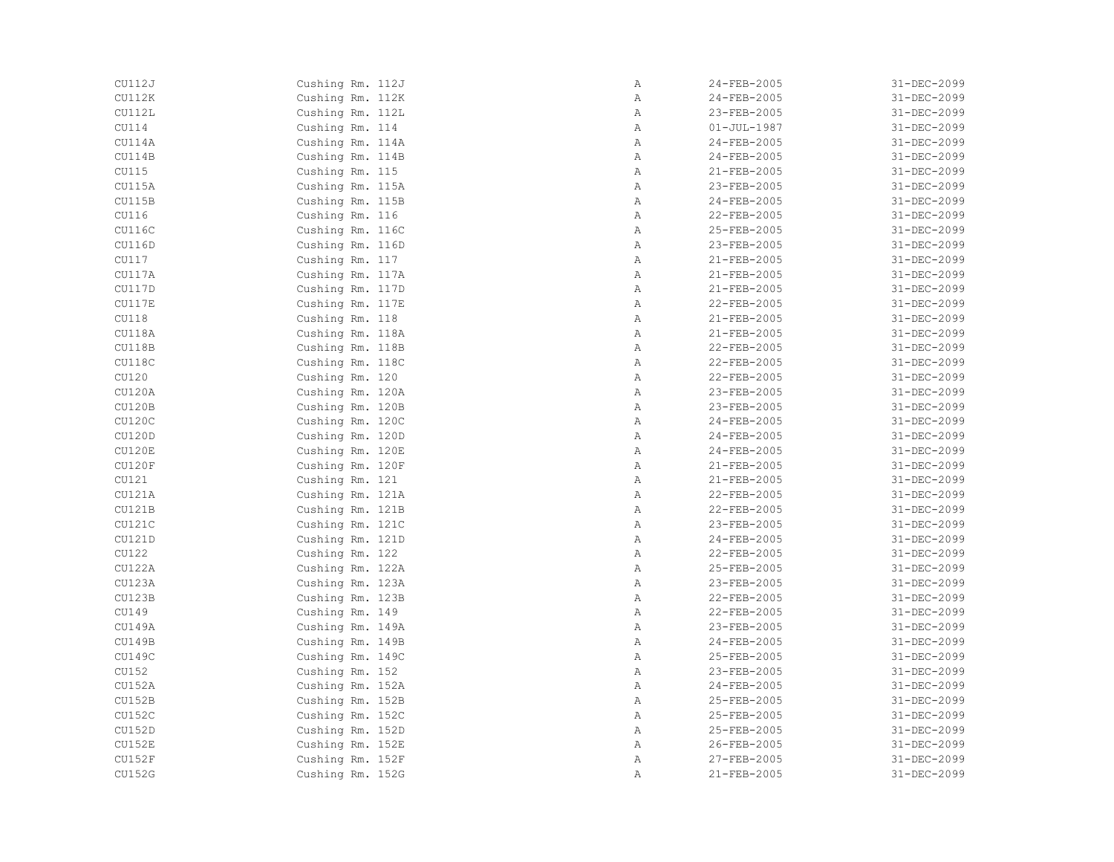| CU112J        | Cushing Rm. 112J | Α            | 24-FEB-2005       | 31-DEC-2099 |
|---------------|------------------|--------------|-------------------|-------------|
| CU112K        | Cushing Rm. 112K | Α            | 24-FEB-2005       | 31-DEC-2099 |
| CU112L        | Cushing Rm. 112L | Α            | 23-FEB-2005       | 31-DEC-2099 |
| CU114         | Cushing Rm. 114  | Α            | $01 - JUL - 1987$ | 31-DEC-2099 |
| CU114A        | Cushing Rm. 114A | $\mathbb{A}$ | 24-FEB-2005       | 31-DEC-2099 |
| CU114B        | Cushing Rm. 114B | Α            | 24-FEB-2005       | 31-DEC-2099 |
| CU115         | Cushing Rm. 115  | Α            | 21-FEB-2005       | 31-DEC-2099 |
| CU115A        | Cushing Rm. 115A | Α            | 23-FEB-2005       | 31-DEC-2099 |
| CU115B        | Cushing Rm. 115B | Α            | 24-FEB-2005       | 31-DEC-2099 |
| CU116         | Cushing Rm. 116  | Α            | 22-FEB-2005       | 31-DEC-2099 |
| CU116C        | Cushing Rm. 116C | Α            | 25-FEB-2005       | 31-DEC-2099 |
| CU116D        | Cushing Rm. 116D | Α            | 23-FEB-2005       | 31-DEC-2099 |
| CU117         | Cushing Rm. 117  | Α            | 21-FEB-2005       | 31-DEC-2099 |
| CU117A        | Cushing Rm. 117A | Α            | 21-FEB-2005       | 31-DEC-2099 |
| CU117D        | Cushing Rm. 117D | Α            | $21 - FEB - 2005$ | 31-DEC-2099 |
|               |                  |              | 22-FEB-2005       |             |
| CU117E        | Cushing Rm. 117E | Α            |                   | 31-DEC-2099 |
| CU118         | Cushing Rm. 118  | Α            | 21-FEB-2005       | 31-DEC-2099 |
| CU118A        | Cushing Rm. 118A | $\, {\bf A}$ | 21-FEB-2005       | 31-DEC-2099 |
| CU118B        | Cushing Rm. 118B | Α            | 22-FEB-2005       | 31-DEC-2099 |
| CU118C        | Cushing Rm. 118C | Α            | 22-FEB-2005       | 31-DEC-2099 |
| CU120         | Cushing Rm. 120  | Α            | 22-FEB-2005       | 31-DEC-2099 |
| CU120A        | Cushing Rm. 120A | Α            | 23-FEB-2005       | 31-DEC-2099 |
| CU120B        | Cushing Rm. 120B | Α            | 23-FEB-2005       | 31-DEC-2099 |
| CU120C        | Cushing Rm. 120C | Α            | 24-FEB-2005       | 31-DEC-2099 |
| CU120D        | Cushing Rm. 120D | Α            | 24-FEB-2005       | 31-DEC-2099 |
| CU120E        | Cushing Rm. 120E | $\, {\bf A}$ | 24-FEB-2005       | 31-DEC-2099 |
| CU120F        | Cushing Rm. 120F | Α            | 21-FEB-2005       | 31-DEC-2099 |
| CU121         | Cushing Rm. 121  | Α            | 21-FEB-2005       | 31-DEC-2099 |
| CU121A        | Cushing Rm. 121A | Α            | 22-FEB-2005       | 31-DEC-2099 |
| CU121B        | Cushing Rm. 121B | Α            | 22-FEB-2005       | 31-DEC-2099 |
| CU121C        | Cushing Rm. 121C | Α            | 23-FEB-2005       | 31-DEC-2099 |
| CU121D        | Cushing Rm. 121D | $\mathbb{A}$ | 24-FEB-2005       | 31-DEC-2099 |
| CU122         | Cushing Rm. 122  | Α            | 22-FEB-2005       | 31-DEC-2099 |
| <b>CU122A</b> | Cushing Rm. 122A | Α            | 25-FEB-2005       | 31-DEC-2099 |
| CU123A        | Cushing Rm. 123A | Α            | 23-FEB-2005       | 31-DEC-2099 |
| CU123B        | Cushing Rm. 123B | Α            | 22-FEB-2005       | 31-DEC-2099 |
| CU149         | Cushing Rm. 149  | Α            | 22-FEB-2005       | 31-DEC-2099 |
| CU149A        | Cushing Rm. 149A | Α            | 23-FEB-2005       | 31-DEC-2099 |
| <b>CU149B</b> | Cushing Rm. 149B | Α            | 24-FEB-2005       | 31-DEC-2099 |
| CU149C        | Cushing Rm. 149C | Α            | 25-FEB-2005       | 31-DEC-2099 |
| CU152         | Cushing Rm. 152  | Α            | 23-FEB-2005       | 31-DEC-2099 |
| CU152A        | Cushing Rm. 152A | Α            | 24-FEB-2005       | 31-DEC-2099 |
| CU152B        | Cushing Rm. 152B | Α            | 25-FEB-2005       | 31-DEC-2099 |
| CU152C        | Cushing Rm. 152C | Α            | 25-FEB-2005       | 31-DEC-2099 |
| <b>CU152D</b> |                  |              |                   | 31-DEC-2099 |
|               | Cushing Rm. 152D | Α            | 25-FEB-2005       |             |
| CU152E        | Cushing Rm. 152E | Α            | 26-FEB-2005       | 31-DEC-2099 |
| CU152F        | Cushing Rm. 152F | Α            | 27-FEB-2005       | 31-DEC-2099 |
| <b>CU152G</b> | Cushing Rm. 152G | Α            | 21-FEB-2005       | 31-DEC-2099 |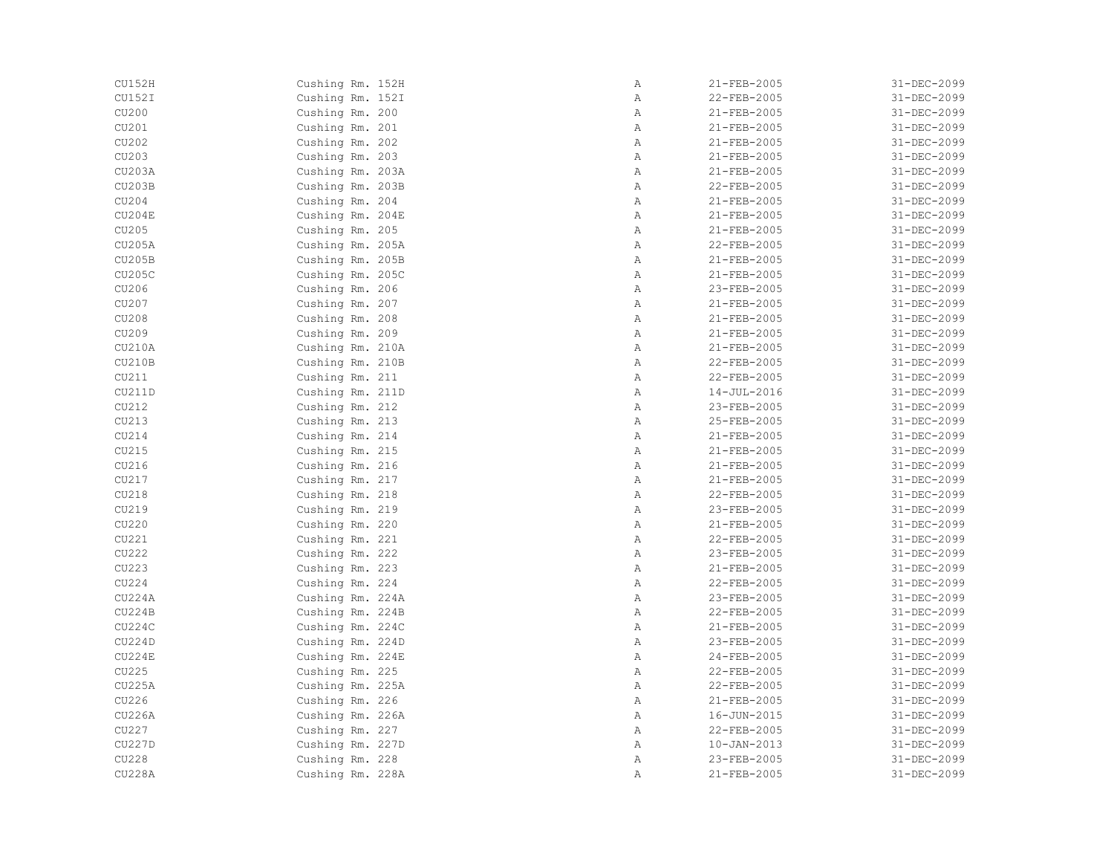| CU152H        | Cushing Rm. 152H | Α            | 21-FEB-2005       | 31-DEC-2099 |
|---------------|------------------|--------------|-------------------|-------------|
| CU152I        | Cushing Rm. 152I | Α            | 22-FEB-2005       | 31-DEC-2099 |
| CU200         | Cushing Rm. 200  | Α            | 21-FEB-2005       | 31-DEC-2099 |
| CU201         | Cushing Rm. 201  | Α            | 21-FEB-2005       | 31-DEC-2099 |
| CU202         | Cushing Rm. 202  | $\mathbb{A}$ | 21-FEB-2005       | 31-DEC-2099 |
| CU203         | Cushing Rm. 203  | $\, {\bf A}$ | 21-FEB-2005       | 31-DEC-2099 |
| <b>CU203A</b> | Cushing Rm. 203A | $\, {\bf A}$ | 21-FEB-2005       | 31-DEC-2099 |
| CU203B        | Cushing Rm. 203B | $\, {\bf A}$ | 22-FEB-2005       | 31-DEC-2099 |
| CU204         | Cushing Rm. 204  | Α            | 21-FEB-2005       | 31-DEC-2099 |
| CU204E        | Cushing Rm. 204E | Α            | 21-FEB-2005       | 31-DEC-2099 |
| CU205         | Cushing Rm. 205  | $\mathbb{A}$ | 21-FEB-2005       | 31-DEC-2099 |
| <b>CU205A</b> | Cushing Rm. 205A | $\mathbb{A}$ | 22-FEB-2005       | 31-DEC-2099 |
| <b>CU205B</b> | Cushing Rm. 205B | $\mathbb{A}$ | 21-FEB-2005       | 31-DEC-2099 |
| CU205C        | Cushing Rm. 205C | $\mathbb{A}$ | 21-FEB-2005       | 31-DEC-2099 |
| CU206         | Cushing Rm. 206  | Α            | 23-FEB-2005       | 31-DEC-2099 |
| CU207         | Cushing Rm. 207  | Α            | 21-FEB-2005       | 31-DEC-2099 |
| CU208         | Cushing Rm. 208  | Α            | 21-FEB-2005       | 31-DEC-2099 |
| CU209         | Cushing Rm. 209  | Α            | 21-FEB-2005       | 31-DEC-2099 |
| CU210A        | Cushing Rm. 210A | $\mathbb{A}$ | 21-FEB-2005       | 31-DEC-2099 |
| <b>CU210B</b> | Cushing Rm. 210B | $\mathbb{A}$ | 22-FEB-2005       | 31-DEC-2099 |
| CU211         | Cushing Rm. 211  | $\mathbb{A}$ | 22-FEB-2005       | 31-DEC-2099 |
| CU211D        | Cushing Rm. 211D | $\, {\bf A}$ | $14 - JUL - 2016$ | 31-DEC-2099 |
| CU212         | Cushing Rm. 212  | Α            | 23-FEB-2005       | 31-DEC-2099 |
| CU213         | Cushing Rm. 213  | Α            | 25-FEB-2005       | 31-DEC-2099 |
| CU214         | Cushing Rm. 214  | Α            | 21-FEB-2005       | 31-DEC-2099 |
| CU215         | Cushing Rm. 215  | Α            | 21-FEB-2005       | 31-DEC-2099 |
| CU216         | Cushing Rm. 216  | $\mathbb{A}$ | 21-FEB-2005       | 31-DEC-2099 |
| CU217         | Cushing Rm. 217  | $\mathbb{A}$ | 21-FEB-2005       | 31-DEC-2099 |
| CU218         | Cushing Rm. 218  | $\mathbb{A}$ | 22-FEB-2005       | 31-DEC-2099 |
| CU219         | Cushing Rm. 219  | $\, {\bf A}$ | 23-FEB-2005       | 31-DEC-2099 |
| CU220         | Cushing Rm. 220  | $\, {\bf A}$ | 21-FEB-2005       | 31-DEC-2099 |
| CU221         | Cushing Rm. 221  | $\, {\bf A}$ | 22-FEB-2005       | 31-DEC-2099 |
| CU222         | Cushing Rm. 222  | Α            | 23-FEB-2005       | 31-DEC-2099 |
| CU223         | Cushing Rm. 223  | Α            | 21-FEB-2005       | 31-DEC-2099 |
| CU224         | Cushing Rm. 224  | Α            | 22-FEB-2005       | 31-DEC-2099 |
| <b>CU224A</b> | Cushing Rm. 224A | Α            | 23-FEB-2005       | 31-DEC-2099 |
| CU224B        | Cushing Rm. 224B | $\mathbb{A}$ | 22-FEB-2005       | 31-DEC-2099 |
| CU224C        | Cushing Rm. 224C | $\mathbb{A}$ | 21-FEB-2005       | 31-DEC-2099 |
| <b>CU224D</b> | Cushing Rm. 224D | $\mathbb{A}$ | 23-FEB-2005       | 31-DEC-2099 |
| CU224E        | Cushing Rm. 224E | Α            | 24-FEB-2005       | 31-DEC-2099 |
| CU225         | Cushing Rm. 225  | Α            | 22-FEB-2005       | 31-DEC-2099 |
| <b>CU225A</b> | Cushing Rm. 225A | $\mathbb{A}$ | 22-FEB-2005       | 31-DEC-2099 |
| CU226         | Cushing Rm. 226  | Α            | 21-FEB-2005       | 31-DEC-2099 |
| <b>CU226A</b> | Cushing Rm. 226A | Α            | 16-JUN-2015       | 31-DEC-2099 |
| CU227         | Cushing Rm. 227  | Α            | 22-FEB-2005       | 31-DEC-2099 |
| CU227D        | Cushing Rm. 227D | $\mathbb{A}$ | $10 - JAN - 2013$ | 31-DEC-2099 |
| CU228         | Cushing Rm. 228  | Α            | 23-FEB-2005       | 31-DEC-2099 |
| <b>CU228A</b> | Cushing Rm. 228A | Α            | 21-FEB-2005       | 31-DEC-2099 |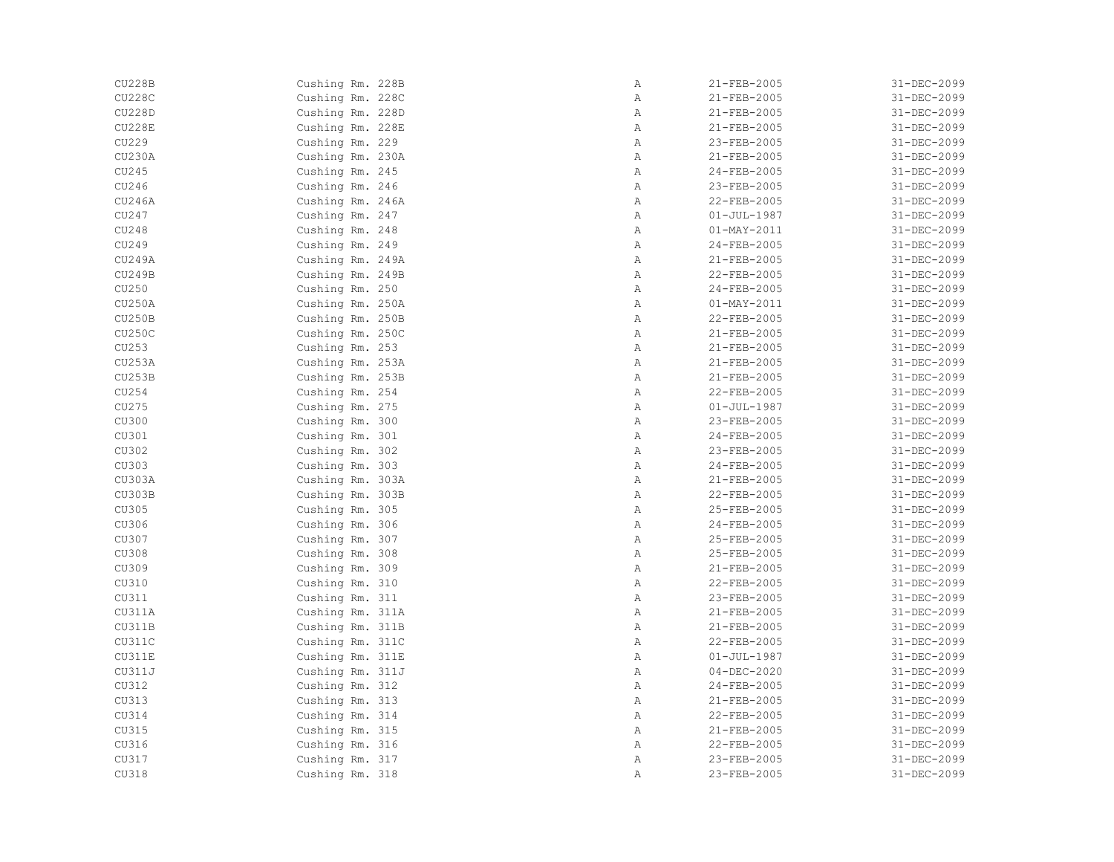| <b>CU228B</b> | Cushing Rm. 228B | Α            | 21-FEB-2005       | 31-DEC-2099 |
|---------------|------------------|--------------|-------------------|-------------|
| <b>CU228C</b> | Cushing Rm. 228C | Α            | 21-FEB-2005       | 31-DEC-2099 |
| <b>CU228D</b> | Cushing Rm. 228D | Α            | 21-FEB-2005       | 31-DEC-2099 |
| <b>CU228E</b> | Cushing Rm. 228E | Α            | 21-FEB-2005       | 31-DEC-2099 |
| CU229         | Cushing Rm. 229  | $\mathbb{A}$ | 23-FEB-2005       | 31-DEC-2099 |
| <b>CU230A</b> | Cushing Rm. 230A | $\, {\bf A}$ | 21-FEB-2005       | 31-DEC-2099 |
| CU245         | Cushing Rm. 245  | $\, {\bf A}$ | 24-FEB-2005       | 31-DEC-2099 |
| CU246         | Cushing Rm. 246  | $\, {\bf A}$ | 23-FEB-2005       | 31-DEC-2099 |
| CU246A        | Cushing Rm. 246A | Α            | 22-FEB-2005       | 31-DEC-2099 |
| CU247         | Cushing Rm. 247  | Α            | $01 - JUL - 1987$ | 31-DEC-2099 |
| CU248         | Cushing Rm. 248  | $\mathbb{A}$ | $01 - MAX - 2011$ | 31-DEC-2099 |
| CU249         | Cushing Rm. 249  | $\mathbb{A}$ | 24-FEB-2005       | 31-DEC-2099 |
| <b>CU249A</b> | Cushing Rm. 249A | $\mathbb{A}$ | 21-FEB-2005       | 31-DEC-2099 |
| CU249B        | Cushing Rm. 249B | A            | 22-FEB-2005       | 31-DEC-2099 |
| CU250         | Cushing Rm. 250  | Α            | 24-FEB-2005       | 31-DEC-2099 |
| <b>CU250A</b> | Cushing Rm. 250A | Α            | $01 - MAX - 2011$ | 31-DEC-2099 |
| CU250B        | Cushing Rm. 250B | Α            | 22-FEB-2005       | 31-DEC-2099 |
| CU250C        | Cushing Rm. 250C | Α            | 21-FEB-2005       | 31-DEC-2099 |
| CU253         | Cushing Rm. 253  | $\mathbb{A}$ | 21-FEB-2005       | 31-DEC-2099 |
| CU253A        | Cushing Rm. 253A | $\mathbb{A}$ | 21-FEB-2005       | 31-DEC-2099 |
| <b>CU253B</b> | Cushing Rm. 253B | $\mathbb{A}$ | 21-FEB-2005       | 31-DEC-2099 |
| CU254         | Cushing Rm. 254  | $\, {\bf A}$ | 22-FEB-2005       | 31-DEC-2099 |
| CU275         | Cushing Rm. 275  | Α            | $01 - JUL - 1987$ | 31-DEC-2099 |
| CU300         | Cushing Rm. 300  | Α            | 23-FEB-2005       | 31-DEC-2099 |
| CU301         | Cushing Rm. 301  | Α            | 24-FEB-2005       | 31-DEC-2099 |
| CU302         | Cushing Rm. 302  | Α            | 23-FEB-2005       | 31-DEC-2099 |
| CU303         | Cushing Rm. 303  | $\mathbb{A}$ | 24-FEB-2005       | 31-DEC-2099 |
| CU303A        | Cushing Rm. 303A | $\mathbb{A}$ | 21-FEB-2005       | 31-DEC-2099 |
| CU303B        | Cushing Rm. 303B | $\mathbb{A}$ | 22-FEB-2005       | 31-DEC-2099 |
| CU305         | Cushing Rm. 305  | $\, {\bf A}$ | 25-FEB-2005       | 31-DEC-2099 |
| CU306         | Cushing Rm. 306  | $\, {\bf A}$ | 24-FEB-2005       | 31-DEC-2099 |
| CU307         | Cushing Rm. 307  | $\, {\bf A}$ | 25-FEB-2005       | 31-DEC-2099 |
| CU308         | Cushing Rm. 308  | $\, {\bf A}$ | 25-FEB-2005       | 31-DEC-2099 |
| CU309         | Cushing Rm. 309  | Α            | 21-FEB-2005       | 31-DEC-2099 |
| CU310         | Cushing Rm. 310  | Α            | 22-FEB-2005       | 31-DEC-2099 |
| CU311         | Cushing Rm. 311  | Α            | 23-FEB-2005       | 31-DEC-2099 |
| CU311A        | Cushing Rm. 311A | $\mathbb{A}$ | 21-FEB-2005       | 31-DEC-2099 |
| CU311B        | Cushing Rm. 311B | $\, {\bf A}$ | 21-FEB-2005       | 31-DEC-2099 |
|               |                  | $\mathbb{A}$ | 22-FEB-2005       |             |
| CU311C        | Cushing Rm. 311C |              |                   | 31-DEC-2099 |
| CU311E        | Cushing Rm. 311E | Α            | $01 - JUL - 1987$ | 31-DEC-2099 |
| CU311J        | Cushing Rm. 311J | Α            | $04 - DEC - 2020$ | 31-DEC-2099 |
| CU312         | Cushing Rm. 312  | $\mathbb{A}$ | 24-FEB-2005       | 31-DEC-2099 |
| CU313         | Cushing Rm. 313  | Α            | 21-FEB-2005       | 31-DEC-2099 |
| CU314         | Cushing Rm. 314  | Α            | 22-FEB-2005       | 31-DEC-2099 |
| CU315         | Cushing Rm. 315  | Α            | 21-FEB-2005       | 31-DEC-2099 |
| CU316         | Cushing Rm. 316  | $\mathbb{A}$ | 22-FEB-2005       | 31-DEC-2099 |
| CU317         | Cushing Rm. 317  | Α            | 23-FEB-2005       | 31-DEC-2099 |
| CU318         | Cushing Rm. 318  | Α            | 23-FEB-2005       | 31-DEC-2099 |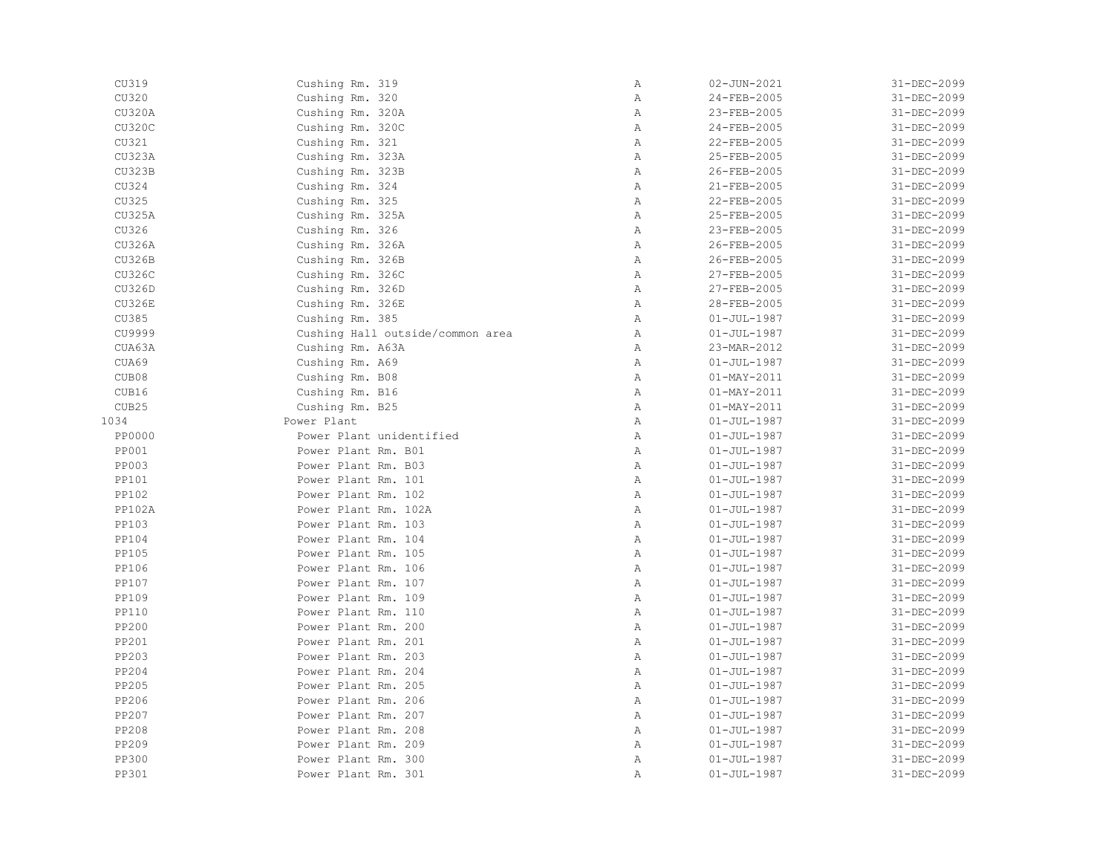| CU319         | Cushing Rm. 319                  | Α            | $02 - JUN - 2021$        | 31-DEC-2099 |
|---------------|----------------------------------|--------------|--------------------------|-------------|
| CU320         | Cushing Rm. 320                  | Α            | 24-FEB-2005              | 31-DEC-2099 |
| CU320A        | Cushing Rm. 320A                 | Α            | 23-FEB-2005              | 31-DEC-2099 |
| <b>CU320C</b> | Cushing Rm. 320C                 | Α            | 24-FEB-2005              | 31-DEC-2099 |
| CU321         | Cushing Rm. 321                  | $\mathbb{A}$ | 22-FEB-2005              | 31-DEC-2099 |
| <b>CU323A</b> | Cushing Rm. 323A                 | Α            | 25-FEB-2005              | 31-DEC-2099 |
| <b>CU323B</b> | Cushing Rm. 323B                 | $\mathbb{A}$ | 26-FEB-2005              | 31-DEC-2099 |
| CU324         | Cushing Rm. 324                  | $\, {\bf A}$ | 21-FEB-2005              | 31-DEC-2099 |
| CU325         | Cushing Rm. 325                  | Α            | 22-FEB-2005              | 31-DEC-2099 |
| CU325A        | Cushing Rm. 325A                 | $\, {\bf A}$ | 25-FEB-2005              | 31-DEC-2099 |
| CU326         | Cushing Rm. 326                  | Α            | 23-FEB-2005              | 31-DEC-2099 |
| <b>CU326A</b> | Cushing Rm. 326A                 | Α            | 26-FEB-2005              | 31-DEC-2099 |
| <b>CU326B</b> | Cushing Rm. 326B                 | Α            | 26-FEB-2005              | 31-DEC-2099 |
| CU326C        | Cushing Rm. 326C                 | $\mathbb{A}$ | 27-FEB-2005              | 31-DEC-2099 |
| CU326D        | Cushing Rm. 326D                 | $\mathbb{A}$ | 27-FEB-2005              | 31-DEC-2099 |
| <b>CU326E</b> | Cushing Rm. 326E                 | $\mathbb{A}$ | 28-FEB-2005              | 31-DEC-2099 |
| CU385         | Cushing Rm. 385                  | $\, {\bf A}$ | 01-JUL-1987              | 31-DEC-2099 |
| CU9999        | Cushing Hall outside/common area | A            | $01 - JUL - 1987$        | 31-DEC-2099 |
| CUA63A        | Cushing Rm. A63A                 | $\mathbb{A}$ | 23-MAR-2012              | 31-DEC-2099 |
| CUA69         | Cushing Rm. A69                  | Α            | $01 - JUL - 1987$        | 31-DEC-2099 |
| CUB08         | Cushing Rm. B08                  | Α            | $01 - MAX - 2011$        | 31-DEC-2099 |
| CUB16         | Cushing Rm. B16                  | Α            | $01 - MAX - 2011$        | 31-DEC-2099 |
| CUB25         | Cushing Rm. B25                  | $\mathbb{A}$ | $01 - \text{MAX} - 2011$ | 31-DEC-2099 |
| 1034          | Power Plant                      | $\mathbb{A}$ | $01 - JUL - 1987$        | 31-DEC-2099 |
| <b>PP0000</b> | Power Plant unidentified         | $\mathbb{A}$ | 01-JUL-1987              | 31-DEC-2099 |
| <b>PP001</b>  | Power Plant Rm. B01              | $\mathbb{A}$ | $01 - JUL - 1987$        | 31-DEC-2099 |
| <b>PP003</b>  | Power Plant Rm. B03              | $\, {\bf A}$ | $01 - JUL - 1987$        | 31-DEC-2099 |
| PP101         | Power Plant Rm. 101              | $\mathbb{A}$ | $01 - JUL - 1987$        | 31-DEC-2099 |
| PP102         | Power Plant Rm. 102              | Α            | $01 - JUL - 1987$        | 31-DEC-2099 |
| <b>PP102A</b> | Power Plant Rm. 102A             | Α            | $01 - JUL - 1987$        | 31-DEC-2099 |
| PP103         | Power Plant Rm. 103              | Α            | $01 - JUL - 1987$        | 31-DEC-2099 |
| <b>PP104</b>  | Power Plant Rm. 104              | $\mathbb{A}$ | $01 - JUL - 1987$        | 31-DEC-2099 |
| PP105         | Power Plant Rm. 105              | $\mathbb{A}$ | $01 - JUL - 1987$        | 31-DEC-2099 |
| <b>PP106</b>  | Power Plant Rm. 106              | $\mathbb{A}$ | $01 - JUL - 1987$        | 31-DEC-2099 |
| PP107         | Power Plant Rm. 107              | Α            | $01 - JUL - 1987$        | 31-DEC-2099 |
| PP109         | Power Plant Rm. 109              | Α            | $01 - JUL - 1987$        | 31-DEC-2099 |
| PP110         | Power Plant Rm. 110              | $\mathbb{A}$ | $01 - JUL - 1987$        | 31-DEC-2099 |
| PP200         | Power Plant Rm. 200              | $\, {\bf A}$ | $01 - JUL - 1987$        | 31-DEC-2099 |
| PP201         | Power Plant Rm. 201              | $\mathbb{A}$ | $01 - JUL - 1987$        | 31-DEC-2099 |
| PP203         | Power Plant Rm. 203              | Α            | $01 - JUL - 1987$        | 31-DEC-2099 |
| PP204         | Power Plant Rm. 204              | Α            | $01 - JUL - 1987$        | 31-DEC-2099 |
| <b>PP205</b>  | Power Plant Rm. 205              | $\mathbb{A}$ | 01-JUL-1987              | 31-DEC-2099 |
| PP206         | Power Plant Rm. 206              | Α            | $01 - JUL - 1987$        | 31-DEC-2099 |
| PP207         | Power Plant Rm. 207              | $\, {\bf A}$ | $01 - JUL - 1987$        | 31-DEC-2099 |
| PP208         | Power Plant Rm. 208              | $\mathbb{A}$ | $01 - JUL - 1987$        | 31-DEC-2099 |
| PP209         | Power Plant Rm. 209              | $\mathbb{A}$ | $01 - JUL - 1987$        | 31-DEC-2099 |
| PP300         | Power Plant Rm. 300              | Α            | $01 - JUL - 1987$        | 31-DEC-2099 |
| PP301         | Power Plant Rm. 301              | Α            | $01 - JUL - 1987$        | 31-DEC-2099 |
|               |                                  |              |                          |             |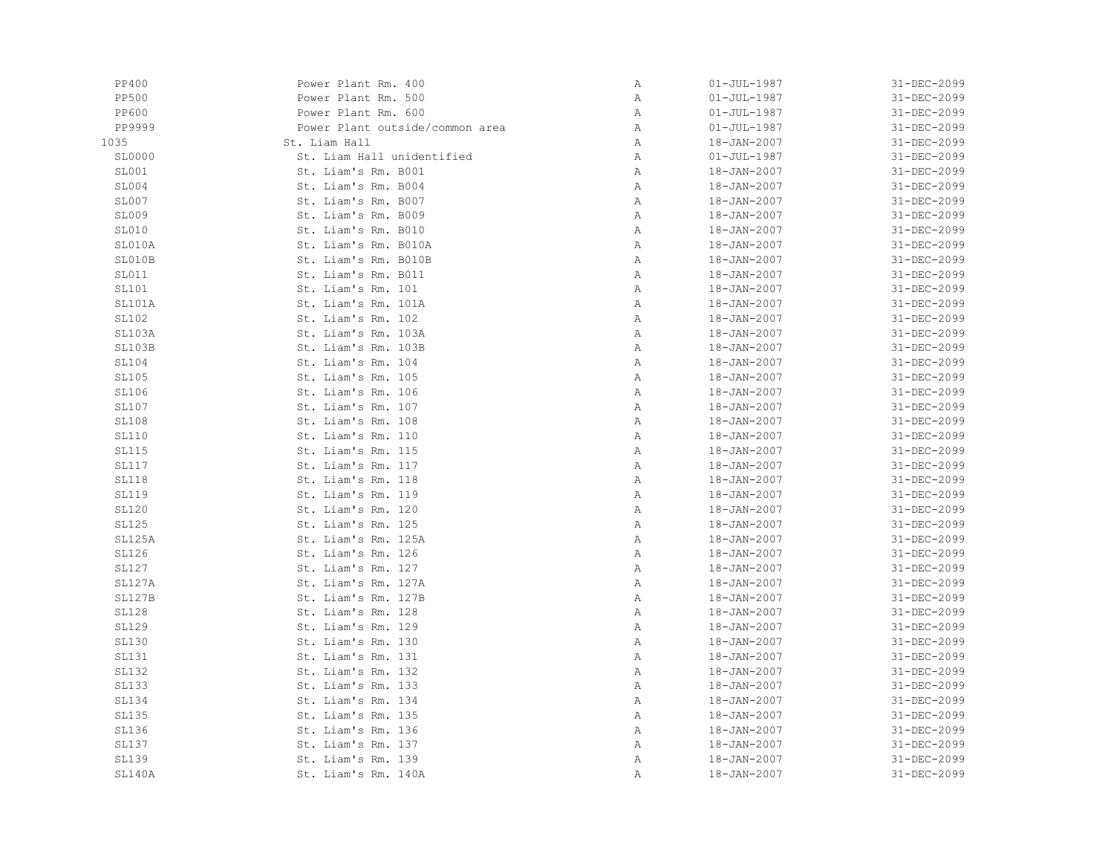| <b>PP400</b>  | Power Plant Rm. 400             | $\, {\bf A}$ | $01 - JUL - 1987$ | 31-DEC-2099 |
|---------------|---------------------------------|--------------|-------------------|-------------|
| PP500         | Power Plant Rm. 500             | $\, {\bf A}$ | $01 - JUL - 1987$ | 31-DEC-2099 |
| <b>PP600</b>  | Power Plant Rm. 600             | Α            | $01 - JUL - 1987$ | 31-DEC-2099 |
| PP9999        | Power Plant outside/common area | Α            | $01 - JUL - 1987$ | 31-DEC-2099 |
| 1035          | St. Liam Hall                   | Α            | 18-JAN-2007       | 31-DEC-2099 |
| SL0000        | St. Liam Hall unidentified      | Α            | $01 - JUL - 1987$ | 31-DEC-2099 |
| SL001         | St. Liam's Rm. B001             | Α            | 18-JAN-2007       | 31-DEC-2099 |
| SLO04         | St. Liam's Rm. B004             | Α            | 18-JAN-2007       | 31-DEC-2099 |
| SL007         | St. Liam's Rm. B007             | Α            | 18-JAN-2007       | 31-DEC-2099 |
| SL009         | St. Liam's Rm. B009             | Α            | $18 - JAN - 2007$ | 31-DEC-2099 |
| SL010         | St. Liam's Rm. B010             | Α            | $18 - JAN - 2007$ | 31-DEC-2099 |
| SL010A        | St. Liam's Rm. B010A            | Α            | 18-JAN-2007       | 31-DEC-2099 |
| SL010B        | St. Liam's Rm. B010B            | Α            | 18-JAN-2007       | 31-DEC-2099 |
| SL011         | St. Liam's Rm. B011             | Α            | 18-JAN-2007       | 31-DEC-2099 |
| SL101         | St. Liam's Rm. 101              | Α            | 18-JAN-2007       | 31-DEC-2099 |
| SL101A        | St. Liam's Rm. 101A             | Α            | 18-JAN-2007       | 31-DEC-2099 |
| SL102         | St. Liam's Rm. 102              | Α            | $18 - JAN - 2007$ | 31-DEC-2099 |
| SL103A        | St. Liam's Rm. 103A             | Α            | 18-JAN-2007       | 31-DEC-2099 |
| SL103B        | St. Liam's Rm. 103B             | $\,$ A       | 18-JAN-2007       | 31-DEC-2099 |
| <b>SL104</b>  | St. Liam's Rm. 104              | Α            | 18-JAN-2007       | 31-DEC-2099 |
| SL105         | St. Liam's Rm. 105              | Α            | 18-JAN-2007       | 31-DEC-2099 |
| SL106         | St. Liam's Rm. 106              | Α            | 18-JAN-2007       | 31-DEC-2099 |
| SL107         | St. Liam's Rm. 107              | Α            | $18 - JAN - 2007$ | 31-DEC-2099 |
| <b>SL108</b>  | St. Liam's Rm. 108              | Α            | $18 - JAN - 2007$ | 31-DEC-2099 |
| SL110         | St. Liam's Rm. 110              | Α            | 18-JAN-2007       | 31-DEC-2099 |
| SL115         | St. Liam's Rm. 115              | Α            | 18-JAN-2007       | 31-DEC-2099 |
| SL117         | St. Liam's Rm. 117              | Α            | 18-JAN-2007       | 31-DEC-2099 |
| <b>SL118</b>  | St. Liam's Rm. 118              | Α            | 18-JAN-2007       | 31-DEC-2099 |
| <b>SL119</b>  | St. Liam's Rm. 119              | Α            | 18-JAN-2007       | 31-DEC-2099 |
| <b>SL120</b>  | St. Liam's Rm. 120              | Α            | $18 - JAN - 2007$ | 31-DEC-2099 |
| SL125         | St. Liam's Rm. 125              | Α            | $18 - JAN - 2007$ | 31-DEC-2099 |
| SL125A        | St. Liam's Rm. 125A             | Α            | $18 - JAN - 2007$ | 31-DEC-2099 |
| <b>SL126</b>  | St. Liam's Rm. 126              | Α            | 18-JAN-2007       | 31-DEC-2099 |
| SL127         | St. Liam's Rm. 127              | Α            | 18-JAN-2007       | 31-DEC-2099 |
| SL127A        | St. Liam's Rm. 127A             | Α            | 18-JAN-2007       | 31-DEC-2099 |
| <b>SL127B</b> | St. Liam's Rm. 127B             | Α            | 18-JAN-2007       | 31-DEC-2099 |
| <b>SL128</b>  | St. Liam's Rm. 128              | Α            | 18-JAN-2007       | 31-DEC-2099 |
| SL129         | St. Liam's Rm. 129              | Α            | $18 - JAN - 2007$ | 31-DEC-2099 |
| <b>SL130</b>  | St. Liam's Rm. 130              | $\,$ A       | $18 - JAN - 2007$ | 31-DEC-2099 |
| <b>SL131</b>  | St. Liam's Rm. 131              | Α            | 18-JAN-2007       | 31-DEC-2099 |
| <b>SL132</b>  | St. Liam's Rm. 132              | Α            | 18-JAN-2007       | 31-DEC-2099 |
| <b>SL133</b>  | St. Liam's Rm. 133              | Α            | 18-JAN-2007       | 31-DEC-2099 |
| <b>SL134</b>  | St. Liam's Rm. 134              | Α            | 18-JAN-2007       | 31-DEC-2099 |
| SL135         | St. Liam's Rm. 135              | Α            | $18 - JAN - 2007$ | 31-DEC-2099 |
| SL136         | St. Liam's Rm. 136              | Α            | 18-JAN-2007       | 31-DEC-2099 |
| <b>SL137</b>  | St. Liam's Rm. 137              | Α            | 18-JAN-2007       | 31-DEC-2099 |
| <b>SL139</b>  | St. Liam's Rm. 139              | Α            | 18-JAN-2007       | 31-DEC-2099 |
| SL140A        | St. Liam's Rm. 140A             | Α            | 18-JAN-2007       | 31-DEC-2099 |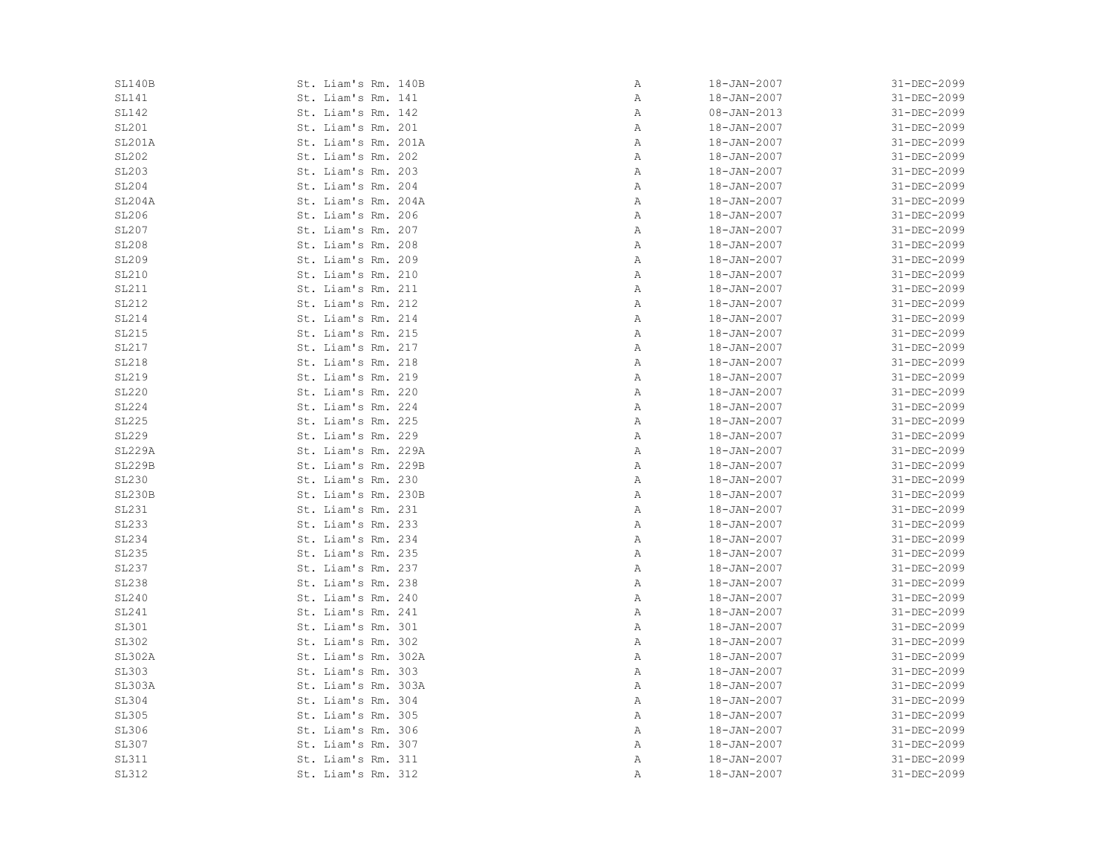| SL140B        | St. Liam's Rm. 140B | Α | 18-JAN-2007       | 31-DEC-2099 |
|---------------|---------------------|---|-------------------|-------------|
| SL141         | St. Liam's Rm. 141  | Α | 18-JAN-2007       | 31-DEC-2099 |
| <b>SL142</b>  | St. Liam's Rm. 142  | Α | $08 - JAN - 2013$ | 31-DEC-2099 |
| SL201         | St. Liam's Rm. 201  | Α | 18-JAN-2007       | 31-DEC-2099 |
| SL201A        | St. Liam's Rm. 201A | Α | 18-JAN-2007       | 31-DEC-2099 |
| SL202         | St. Liam's Rm. 202  | Α | 18-JAN-2007       | 31-DEC-2099 |
| <b>SL203</b>  | St. Liam's Rm. 203  | Α | 18-JAN-2007       | 31-DEC-2099 |
| SL204         | St. Liam's Rm. 204  | Α | 18-JAN-2007       | 31-DEC-2099 |
| SL204A        | St. Liam's Rm. 204A | Α | 18-JAN-2007       | 31-DEC-2099 |
| SL206         | St. Liam's Rm. 206  | Α | 18-JAN-2007       | 31-DEC-2099 |
| SL207         | St. Liam's Rm. 207  | Α | 18-JAN-2007       | 31-DEC-2099 |
| <b>SL208</b>  | St. Liam's Rm. 208  | Α | 18-JAN-2007       | 31-DEC-2099 |
| SL209         | St. Liam's Rm. 209  | Α | 18-JAN-2007       | 31-DEC-2099 |
| SL210         | St. Liam's Rm. 210  | Α | 18-JAN-2007       | 31-DEC-2099 |
| SL211         | St. Liam's Rm. 211  | Α | 18-JAN-2007       | 31-DEC-2099 |
| SL212         | St. Liam's Rm. 212  | Α | 18-JAN-2007       | 31-DEC-2099 |
| SL214         | St. Liam's Rm. 214  | Α | $18 - JAN - 2007$ | 31-DEC-2099 |
| SL215         | St. Liam's Rm. 215  | Α | 18-JAN-2007       | 31-DEC-2099 |
| SL217         | St. Liam's Rm. 217  | Α | 18-JAN-2007       | 31-DEC-2099 |
| SL218         | St. Liam's Rm. 218  | Α | 18-JAN-2007       | 31-DEC-2099 |
| SL219         | St. Liam's Rm. 219  | Α | 18-JAN-2007       | 31-DEC-2099 |
| <b>SL220</b>  | St. Liam's Rm. 220  | Α | 18-JAN-2007       | 31-DEC-2099 |
| SL224         | St. Liam's Rm. 224  | Α | 18-JAN-2007       | 31-DEC-2099 |
| SL225         | St. Liam's Rm. 225  | Α | $18 - JAN - 2007$ | 31-DEC-2099 |
| SL229         | St. Liam's Rm. 229  | Α | $18 - JAN - 2007$ | 31-DEC-2099 |
| <b>SL229A</b> | St. Liam's Rm. 229A | Α | 18-JAN-2007       | 31-DEC-2099 |
| <b>SL229B</b> | St. Liam's Rm. 229B | Α | 18-JAN-2007       | 31-DEC-2099 |
| <b>SL230</b>  | St. Liam's Rm. 230  | Α | 18-JAN-2007       | 31-DEC-2099 |
| <b>SL230B</b> | St. Liam's Rm. 230B | Α | 18-JAN-2007       | 31-DEC-2099 |
| SL231         | St. Liam's Rm. 231  | Α | 18-JAN-2007       | 31-DEC-2099 |
| SL233         | St. Liam's Rm. 233  | Α | 18-JAN-2007       | 31-DEC-2099 |
| SL234         | St. Liam's Rm. 234  | Α | $18 - JAN - 2007$ | 31-DEC-2099 |
| SL235         | St. Liam's Rm. 235  | Α | 18-JAN-2007       | 31-DEC-2099 |
| SL237         | St. Liam's Rm. 237  | Α | 18-JAN-2007       | 31-DEC-2099 |
| <b>SL238</b>  | St. Liam's Rm. 238  | Α | 18-JAN-2007       | 31-DEC-2099 |
| <b>SL240</b>  | St. Liam's Rm. 240  | Α | 18-JAN-2007       | 31-DEC-2099 |
| SL241         | St. Liam's Rm. 241  | Α | 18-JAN-2007       | 31-DEC-2099 |
| <b>SL301</b>  | St. Liam's Rm. 301  | Α | 18-JAN-2007       | 31-DEC-2099 |
| <b>SL302</b>  | St. Liam's Rm. 302  | Α | 18-JAN-2007       | 31-DEC-2099 |
| <b>SL302A</b> | St. Liam's Rm. 302A | Α | 18-JAN-2007       | 31-DEC-2099 |
| <b>SL303</b>  | St. Liam's Rm. 303  | Α | 18-JAN-2007       | 31-DEC-2099 |
| SL303A        | St. Liam's Rm. 303A | Α | 18-JAN-2007       | 31-DEC-2099 |
| SL304         | St. Liam's Rm. 304  | Α | 18-JAN-2007       | 31-DEC-2099 |
| SL305         | St. Liam's Rm. 305  | Α | 18-JAN-2007       | 31-DEC-2099 |
| SL306         | St. Liam's Rm. 306  | Α | 18-JAN-2007       | 31-DEC-2099 |
| SL307         | St. Liam's Rm. 307  | Α | 18-JAN-2007       | 31-DEC-2099 |
| SL311         | St. Liam's Rm. 311  | Α | 18-JAN-2007       | 31-DEC-2099 |
| <b>SL312</b>  | St. Liam's Rm. 312  | Α | 18-JAN-2007       | 31-DEC-2099 |
|               |                     |   |                   |             |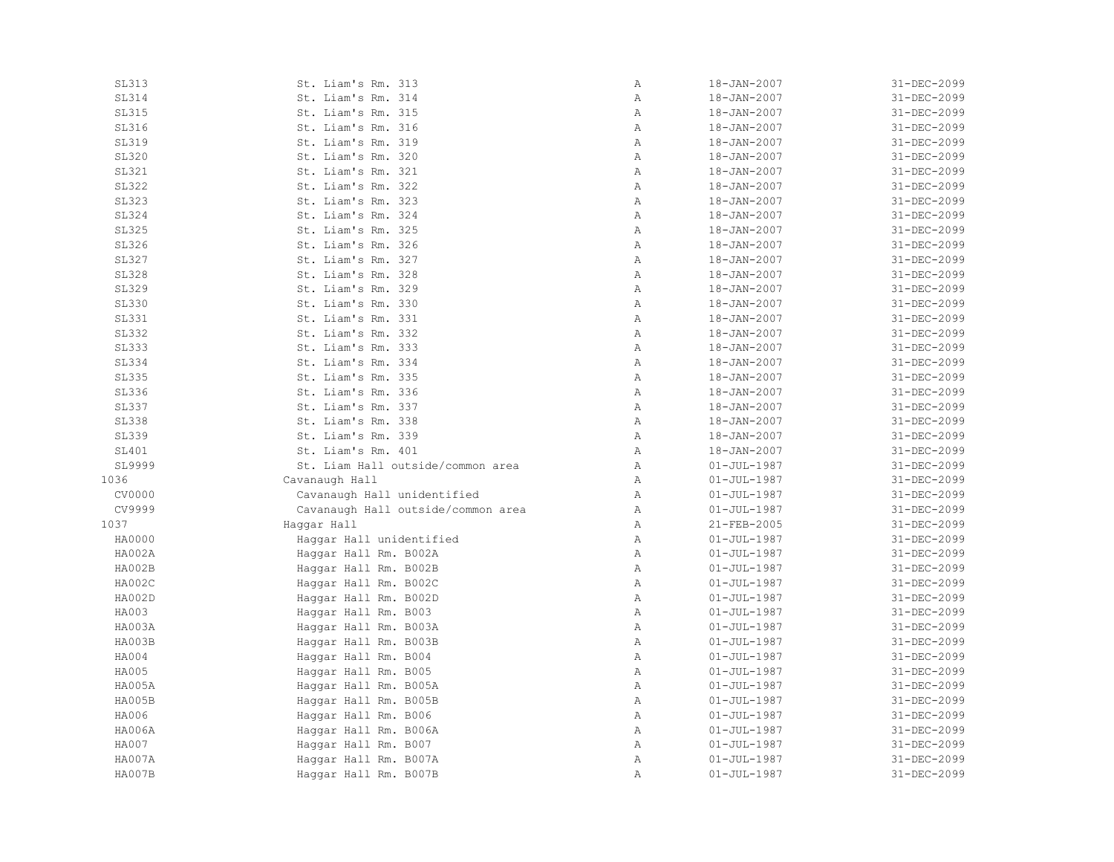| <b>SL313</b> | St. Liam's Rm. 313                 | $\, {\bf A}$ | 18-JAN-2007       | 31-DEC-2099 |
|--------------|------------------------------------|--------------|-------------------|-------------|
| SL314        | St. Liam's Rm. 314                 | Α            | 18-JAN-2007       | 31-DEC-2099 |
| SL315        | St. Liam's Rm. 315                 | Α            | 18-JAN-2007       | 31-DEC-2099 |
| SL316        | St. Liam's Rm. 316                 | Α            | 18-JAN-2007       | 31-DEC-2099 |
| SL319        | St. Liam's Rm. 319                 | $\mathbb{A}$ | $18 - JAN - 2007$ | 31-DEC-2099 |
| <b>SL320</b> | St. Liam's Rm. 320                 | $\mathbb{A}$ | 18-JAN-2007       | 31-DEC-2099 |
| SL321        | St. Liam's Rm. 321                 | $\mathbb{A}$ | 18-JAN-2007       | 31-DEC-2099 |
| <b>SL322</b> | St. Liam's Rm. 322                 | $\mathbb{A}$ | 18-JAN-2007       | 31-DEC-2099 |
| <b>SL323</b> | St. Liam's Rm. 323                 | $\mathbb{A}$ | 18-JAN-2007       | 31-DEC-2099 |
| <b>SL324</b> | St. Liam's Rm. 324                 | $\, {\bf A}$ | $18 - JAN - 2007$ | 31-DEC-2099 |
| <b>SL325</b> | St. Liam's Rm. 325                 | Α            | 18-JAN-2007       | 31-DEC-2099 |
| SL326        | St. Liam's Rm. 326                 | Α            | 18-JAN-2007       | 31-DEC-2099 |
| <b>SL327</b> | St. Liam's Rm. 327                 | Α            | 18-JAN-2007       | 31-DEC-2099 |
| <b>SL328</b> | St. Liam's Rm. 328                 | $\mathbb{A}$ | 18-JAN-2007       | 31-DEC-2099 |
| SL329        | St. Liam's Rm. 329                 | $\mathbb{A}$ | 18-JAN-2007       | 31-DEC-2099 |
| <b>SL330</b> | St. Liam's Rm. 330                 | $\mathbb{A}$ | 18-JAN-2007       | 31-DEC-2099 |
| <b>SL331</b> | St. Liam's Rm. 331                 | $\mathbb{A}$ | 18-JAN-2007       | 31-DEC-2099 |
| SL332        | St. Liam's Rm. 332                 | $\mathbb{A}$ | 18-JAN-2007       | 31-DEC-2099 |
| SL333        | St. Liam's Rm. 333                 | $\, {\bf A}$ | 18-JAN-2007       | 31-DEC-2099 |
| <b>SL334</b> | St. Liam's Rm. 334                 | $\mathbb{A}$ | 18-JAN-2007       | 31-DEC-2099 |
| <b>SL335</b> | St. Liam's Rm. 335                 | $\mathbb{A}$ | 18-JAN-2007       | 31-DEC-2099 |
| <b>SL336</b> | St. Liam's Rm. 336                 | $\mathbb A$  | 18-JAN-2007       | 31-DEC-2099 |
| <b>SL337</b> | St. Liam's Rm. 337                 | $\mathbb{A}$ | 18-JAN-2007       | 31-DEC-2099 |
| <b>SL338</b> | St. Liam's Rm. 338                 | $\mathbb{A}$ | 18-JAN-2007       | 31-DEC-2099 |
| SL339        | St. Liam's Rm. 339                 | $\mathbb{A}$ | 18-JAN-2007       | 31-DEC-2099 |
| SL401        | St. Liam's Rm. 401                 | $\mathbb A$  | $18 - JAN - 2007$ | 31-DEC-2099 |
| SL9999       | St. Liam Hall outside/common area  | A            | $01 - JUL - 1987$ | 31-DEC-2099 |
| 1036         | Cavanaugh Hall                     | $\mathbb{A}$ | $01 - JUL - 1987$ | 31-DEC-2099 |
| CV0000       | Cavanaugh Hall unidentified        | $\mathbb{A}$ | $01 - JUL - 1987$ | 31-DEC-2099 |
| CV9999       | Cavanaugh Hall outside/common area | Α            | $01 - JUL - 1987$ | 31-DEC-2099 |
| 1037         | Haggar Hall                        | Α            | 21-FEB-2005       | 31-DEC-2099 |
| HA0000       | Haggar Hall unidentified           | $\mathbb{A}$ | $01 - JUL - 1987$ | 31-DEC-2099 |
| HA002A       | Haggar Hall Rm. B002A              | $\mathbb{A}$ | $01 - JUL - 1987$ | 31-DEC-2099 |
| HA002B       | Haggar Hall Rm. B002B              | $\mathbb{A}$ | $01 - JUL - 1987$ | 31-DEC-2099 |
| HA002C       | Haggar Hall Rm. B002C              | $\mathbb{A}$ | $01 - JUL - 1987$ | 31-DEC-2099 |
| HA002D       | Haggar Hall Rm. B002D              | Α            | $01 - JUL - 1987$ | 31-DEC-2099 |
| HA003        | Haggar Hall Rm. B003               | $\mathbb{A}$ | $01 - JUL - 1987$ | 31-DEC-2099 |
| HA003A       | Haggar Hall Rm. B003A              | $\, {\bf A}$ | $01 - JUL - 1987$ | 31-DEC-2099 |
| HA003B       | Haggar Hall Rm. B003B              | $\mathbb A$  | $01 - JUL - 1987$ | 31-DEC-2099 |
| HA004        | Haggar Hall Rm. B004               | Α            | $01 - JUL - 1987$ | 31-DEC-2099 |
| HA005        | Haggar Hall Rm. B005               | Α            | $01 - JUL - 1987$ | 31-DEC-2099 |
| HA005A       | Haggar Hall Rm. B005A              | $\mathbb{A}$ | $01 - JUL - 1987$ | 31-DEC-2099 |
| HA005B       | Haggar Hall Rm. B005B              | $\mathbb{A}$ | $01 - JUL - 1987$ | 31-DEC-2099 |
| HA006        | Haggar Hall Rm. B006               | $\, {\bf A}$ | $01 - JUL - 1987$ | 31-DEC-2099 |
| HA006A       | Haggar Hall Rm. B006A              | $\mathbb{A}$ | $01 - JUL - 1987$ | 31-DEC-2099 |
| HA007        | Haggar Hall Rm. B007               | $\mathbb{A}$ | $01 - JUL - 1987$ | 31-DEC-2099 |
| HA007A       |                                    | Α            | $01 - JUL - 1987$ | 31-DEC-2099 |
|              | Haggar Hall Rm. B007A              | Α            |                   |             |
| HA007B       | Haggar Hall Rm. B007B              |              | $01 - JUL - 1987$ | 31-DEC-2099 |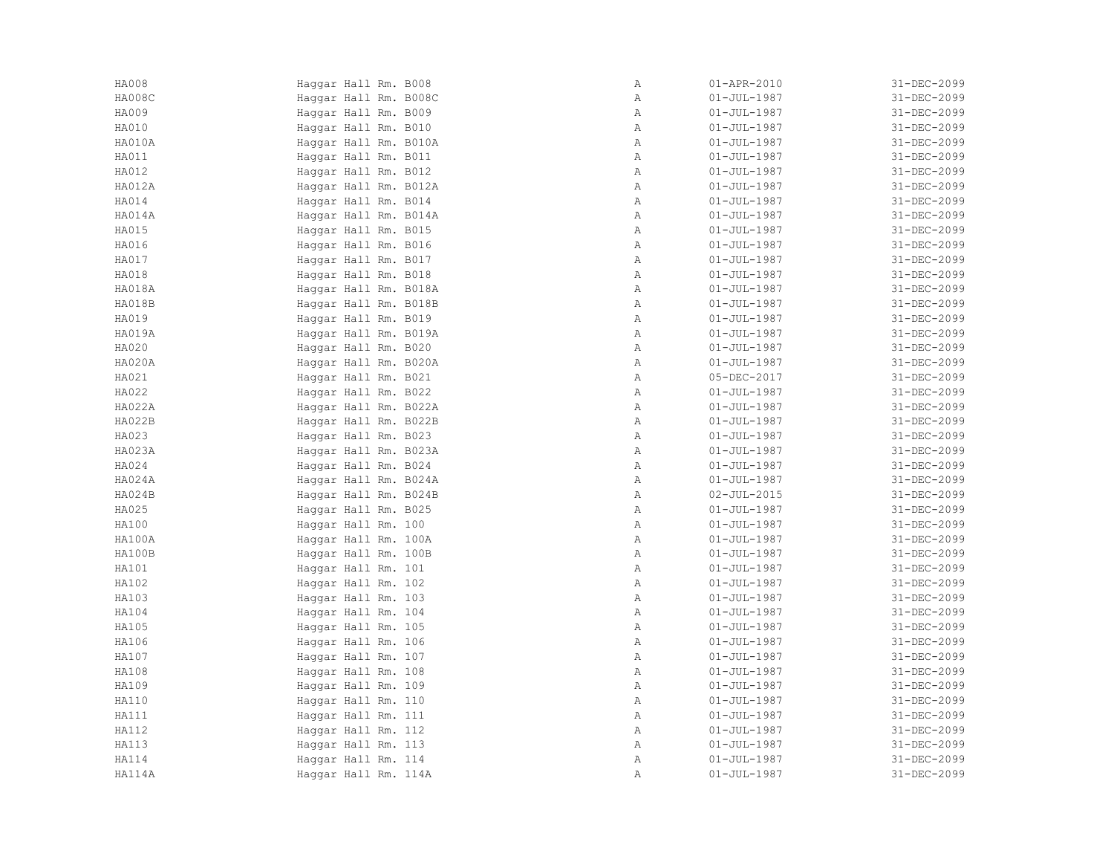| HA008C<br>Haggar Hall Rm. B008C |              |                   |             |
|---------------------------------|--------------|-------------------|-------------|
|                                 | Α            | $01 - JUL - 1987$ | 31-DEC-2099 |
| HA009<br>Haggar Hall Rm. B009   | $\mathbb{A}$ | $01 - JUL - 1987$ | 31-DEC-2099 |
| HA010<br>Haggar Hall Rm. B010   | $\mathbb{A}$ | $01 - JUL - 1987$ | 31-DEC-2099 |
| HA010A<br>Haggar Hall Rm. B010A | $\mathbb{A}$ | $01 - JUL - 1987$ | 31-DEC-2099 |
| HA011<br>Haggar Hall Rm. B011   | Α            | $01 - JUL - 1987$ | 31-DEC-2099 |
| HA012<br>Haggar Hall Rm. B012   | $\mathbb{A}$ | $01 - JUL - 1987$ | 31-DEC-2099 |
| HA012A<br>Haggar Hall Rm. B012A | Α            | $01 - JUL - 1987$ | 31-DEC-2099 |
| HA014<br>Haggar Hall Rm. B014   | $\mathbb{A}$ | $01 - JUL - 1987$ | 31-DEC-2099 |
| HA014A<br>Haggar Hall Rm. B014A | $\mathbb{A}$ | $01 - JUL - 1987$ | 31-DEC-2099 |
| HA015<br>Haggar Hall Rm. B015   | $\mathbb{A}$ | $01 - JUL - 1987$ | 31-DEC-2099 |
| HA016<br>Haggar Hall Rm. B016   | Α            | $01 - JUL - 1987$ | 31-DEC-2099 |
| HA017<br>Haggar Hall Rm. B017   | $\mathbb{A}$ | $01 - JUL - 1987$ | 31-DEC-2099 |
| HA018<br>Haggar Hall Rm. B018   | $\mathbb{A}$ | $01 - JUL - 1987$ | 31-DEC-2099 |
| HA018A<br>Haggar Hall Rm. B018A | Α            | $01 - JUL - 1987$ | 31-DEC-2099 |
| HA018B<br>Haggar Hall Rm. B018B | $\mathbb{A}$ | $01 - JUL - 1987$ | 31-DEC-2099 |
| HA019<br>Haggar Hall Rm. B019   | $\mathbb{A}$ | $01 - JUL - 1987$ | 31-DEC-2099 |
| HA019A<br>Haggar Hall Rm. B019A | $\mathbb{A}$ | $01 - JUL - 1987$ | 31-DEC-2099 |
| HA020<br>Haggar Hall Rm. B020   | Α            | $01 - JUL - 1987$ | 31-DEC-2099 |
| HA020A<br>Haggar Hall Rm. B020A | $\mathbb{A}$ | $01 - JUL - 1987$ | 31-DEC-2099 |
| HA021<br>Haggar Hall Rm. B021   | $\mathbb{A}$ | 05-DEC-2017       | 31-DEC-2099 |
| HA022<br>Haggar Hall Rm. B022   | Α            | $01 - JUL - 1987$ | 31-DEC-2099 |
| HA022A<br>Haggar Hall Rm. B022A | $\mathbb{A}$ | $01 - JUL - 1987$ | 31-DEC-2099 |
| HA022B<br>Haggar Hall Rm. B022B | Α            | $01 - JUL - 1987$ | 31-DEC-2099 |
| HA023<br>Haggar Hall Rm. B023   | $\mathbb{A}$ | $01 - JUL - 1987$ | 31-DEC-2099 |
| HA023A<br>Haggar Hall Rm. B023A | $\mathbb{A}$ | $01 - JUL - 1987$ | 31-DEC-2099 |
| HA024<br>Haggar Hall Rm. B024   | A            | $01 - JUL - 1987$ | 31-DEC-2099 |
| HA024A<br>Haggar Hall Rm. B024A | Α            | $01 - JUL - 1987$ | 31-DEC-2099 |
| HA024B<br>Haggar Hall Rm. B024B | $\mathbb{A}$ | $02 - JUL - 2015$ | 31-DEC-2099 |
| HA025<br>Haggar Hall Rm. B025   | $\mathbb{A}$ | $01 - JUL - 1987$ | 31-DEC-2099 |
| HA100<br>Haggar Hall Rm. 100    | $\mathbb{A}$ | $01 - JUL - 1987$ | 31-DEC-2099 |
| HA100A<br>Haggar Hall Rm. 100A  | $\mathbb{A}$ | $01 - JUL - 1987$ | 31-DEC-2099 |
| HA100B<br>Haggar Hall Rm. 100B  | $\mathbb{A}$ | $01 - JUL - 1987$ | 31-DEC-2099 |
| HA101<br>Haggar Hall Rm. 101    | $\mathbb{A}$ | $01 - JUL - 1987$ | 31-DEC-2099 |
| HA102<br>Haggar Hall Rm. 102    | Α            | $01 - JUL - 1987$ | 31-DEC-2099 |
| HA103<br>Haggar Hall Rm. 103    | $\mathbb{A}$ | $01 - JUL - 1987$ | 31-DEC-2099 |
| HA104<br>Haggar Hall Rm. 104    | $\mathbb{A}$ | $01 - JUL - 1987$ | 31-DEC-2099 |
| HA105<br>Haggar Hall Rm. 105    | $\mathbb{A}$ | $01 - JUL - 1987$ | 31-DEC-2099 |
| HA106<br>Haggar Hall Rm. 106    | $\mathbb{A}$ | $01 - JUL - 1987$ | 31-DEC-2099 |
| HA107<br>Haggar Hall Rm. 107    | $\mathbb A$  | $01 - JUL - 1987$ | 31-DEC-2099 |
| HA108<br>Haggar Hall Rm. 108    | $\mathbb{A}$ | $01 - JUL - 1987$ | 31-DEC-2099 |
| HA109<br>Haggar Hall Rm. 109    | Α            | $01 - JUL - 1987$ | 31-DEC-2099 |
| HA110<br>Haggar Hall Rm. 110    | $\mathbb{A}$ | $01 - JUL - 1987$ | 31-DEC-2099 |
| HA111<br>Haggar Hall Rm. 111    | $\mathbb{A}$ | $01 - JUL - 1987$ | 31-DEC-2099 |
| HA112<br>Haggar Hall Rm. 112    | $\mathbb{A}$ | $01 - JUL - 1987$ | 31-DEC-2099 |
| HA113<br>Haggar Hall Rm. 113    | $\mathbb{A}$ | $01 - JUL - 1987$ | 31-DEC-2099 |
| HA114<br>Haggar Hall Rm. 114    | Α            | $01 - JUL - 1987$ | 31-DEC-2099 |
| HA114A<br>Haggar Hall Rm. 114A  | Α            | $01 - JUL - 1987$ | 31-DEC-2099 |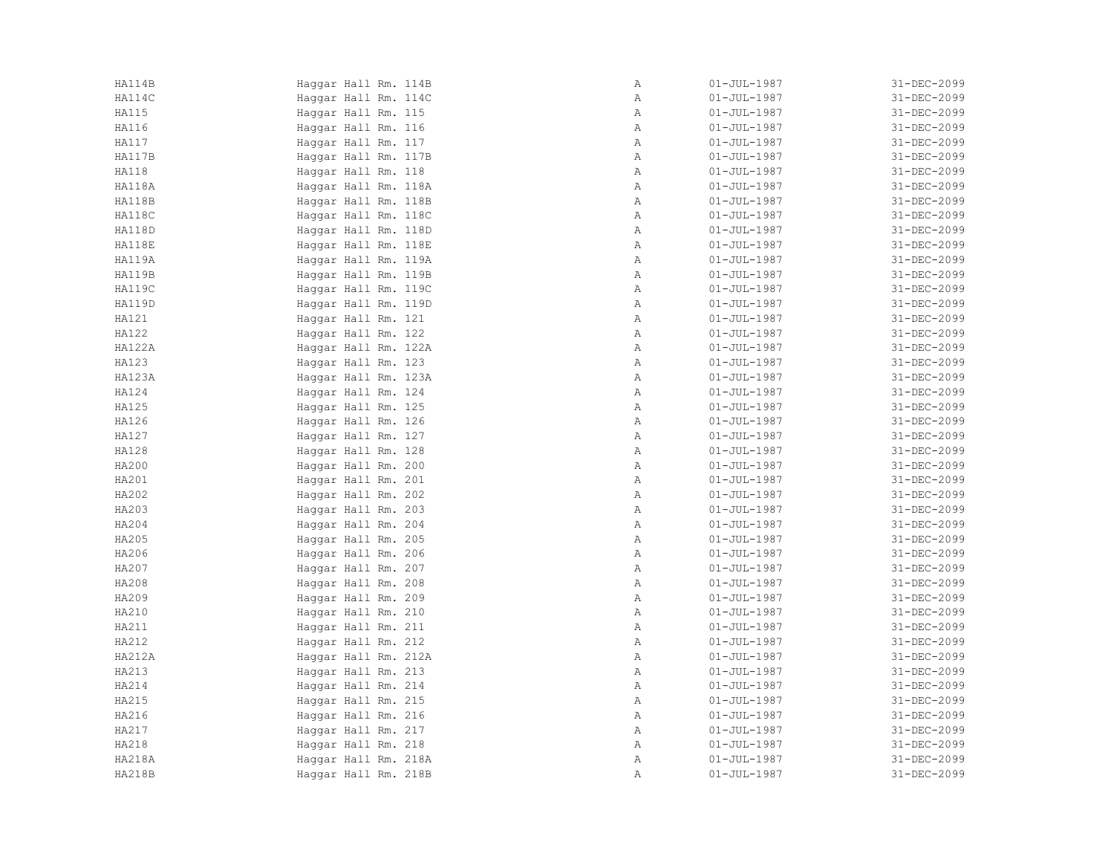| HA114B        | Haggar Hall Rm. 114B | Α            | $01 - JUL - 1987$ | 31-DEC-2099 |
|---------------|----------------------|--------------|-------------------|-------------|
| HA114C        | Haggar Hall Rm. 114C | Α            | $01 - JUL - 1987$ | 31-DEC-2099 |
| HA115         | Haggar Hall Rm. 115  | $\mathbb{A}$ | $01 - JUL - 1987$ | 31-DEC-2099 |
| HA116         | Haggar Hall Rm. 116  | Α            | $01 - JUL - 1987$ | 31-DEC-2099 |
| HA117         | Haggar Hall Rm. 117  | $\mathbb{A}$ | $01 - JUL - 1987$ | 31-DEC-2099 |
| HA117B        | Haggar Hall Rm. 117B | $\mathbb{A}$ | $01 - JUL - 1987$ | 31-DEC-2099 |
| <b>HA118</b>  | Haggar Hall Rm. 118  | $\mathbb{A}$ | $01 - JUL - 1987$ | 31-DEC-2099 |
| HA118A        | Haggar Hall Rm. 118A | Α            | $01 - JUL - 1987$ | 31-DEC-2099 |
| HA118B        | Haggar Hall Rm. 118B | Α            | $01 - JUL - 1987$ | 31-DEC-2099 |
| HA118C        | Haggar Hall Rm. 118C | Α            | $01 - JUL - 1987$ | 31-DEC-2099 |
| HA118D        | Haggar Hall Rm. 118D | $\mathbb{A}$ | $01 - JUL - 1987$ | 31-DEC-2099 |
| HA118E        | Haggar Hall Rm. 118E | $\mathbb{A}$ | $01 - JUL - 1987$ | 31-DEC-2099 |
| HA119A        | Haggar Hall Rm. 119A | $\mathbb{A}$ | $01 - JUL - 1987$ | 31-DEC-2099 |
| HA119B        | Haggar Hall Rm. 119B | $\mathbb{A}$ | $01 - JUL - 1987$ | 31-DEC-2099 |
| <b>HA119C</b> | Haggar Hall Rm. 119C | Α            | $01 - JUL - 1987$ | 31-DEC-2099 |
| HA119D        | Haggar Hall Rm. 119D | Α            | $01 - JUL - 1987$ | 31-DEC-2099 |
| HA121         | Haggar Hall Rm. 121  | Α            | $01 - JUL - 1987$ | 31-DEC-2099 |
| HA122         | Haggar Hall Rm. 122  | Α            | $01 - JUL - 1987$ | 31-DEC-2099 |
| <b>HA122A</b> | Haggar Hall Rm. 122A | $\mathbb{A}$ | $01 - JUL - 1987$ | 31-DEC-2099 |
| HA123         | Haggar Hall Rm. 123  | Α            | $01 - JUL - 1987$ | 31-DEC-2099 |
| HA123A        | Haggar Hall Rm. 123A | $\mathbb{A}$ | $01 - JUL - 1987$ | 31-DEC-2099 |
| HA124         | Haqqar Hall Rm. 124  | Α            | $01 - JUL - 1987$ | 31-DEC-2099 |
| HA125         | Haggar Hall Rm. 125  | Α            | $01 - JUL - 1987$ | 31-DEC-2099 |
| HA126         | Haggar Hall Rm. 126  | Α            | $01 - JUL - 1987$ | 31-DEC-2099 |
| HA127         | Haggar Hall Rm. 127  | Α            | $01 - JUL - 1987$ | 31-DEC-2099 |
| HA128         | Haggar Hall Rm. 128  | Α            | $01 - JUL - 1987$ | 31-DEC-2099 |
| HA200         | Haggar Hall Rm. 200  | $\mathbb{A}$ | $01 - JUL - 1987$ | 31-DEC-2099 |
| HA201         | Haggar Hall Rm. 201  | Α            | $01 - JUL - 1987$ | 31-DEC-2099 |
| HA202         | Haggar Hall Rm. 202  | $\mathbb{A}$ | $01 - JUL - 1987$ | 31-DEC-2099 |
| HA203         | Haggar Hall Rm. 203  | $\mathbb{A}$ | $01 - JUL - 1987$ | 31-DEC-2099 |
| HA204         | Haggar Hall Rm. 204  | Α            | $01 - JUL - 1987$ | 31-DEC-2099 |
| HA205         | Haggar Hall Rm. 205  | Α            | $01 - JUL - 1987$ | 31-DEC-2099 |
| HA206         | Haggar Hall Rm. 206  | Α            | $01 - JUL - 1987$ | 31-DEC-2099 |
| HA207         | Haggar Hall Rm. 207  | Α            | $01 - JUL - 1987$ | 31-DEC-2099 |
| HA208         | Haggar Hall Rm. 208  | $\mathbb{A}$ | $01 - JUL - 1987$ | 31-DEC-2099 |
| HA209         | Haggar Hall Rm. 209  | $\mathbb{A}$ | $01 - JUL - 1987$ | 31-DEC-2099 |
| HA210         | Haggar Hall Rm. 210  | $\mathbb{A}$ | $01 - JUL - 1987$ | 31-DEC-2099 |
| HA211         | Haggar Hall Rm. 211  | $\mathbb{A}$ | $01 - JUL - 1987$ | 31-DEC-2099 |
| HA212         | Haggar Hall Rm. 212  | $\mathbb{A}$ | $01 - JUL - 1987$ | 31-DEC-2099 |
| HA212A        | Haggar Hall Rm. 212A | Α            | $01 - JUL - 1987$ | 31-DEC-2099 |
| HA213         | Haggar Hall Rm. 213  | Α            | $01 - JUL - 1987$ | 31-DEC-2099 |
| HA214         | Haggar Hall Rm. 214  | $\mathbb{A}$ | $01 - JUL - 1987$ | 31-DEC-2099 |
| HA215         | Haggar Hall Rm. 215  | $\mathbb{A}$ | $01 - JUL - 1987$ | 31-DEC-2099 |
| HA216         | Haggar Hall Rm. 216  | $\mathbb{A}$ | $01 - JUL - 1987$ | 31-DEC-2099 |
| HA217         | Haggar Hall Rm. 217  | $\mathbb{A}$ | $01 - JUL - 1987$ | 31-DEC-2099 |
| HA218         | Haggar Hall Rm. 218  | $\mathbb{A}$ | $01 - JUL - 1987$ | 31-DEC-2099 |
| HA218A        | Haggar Hall Rm. 218A | Α            | $01 - JUL - 1987$ | 31-DEC-2099 |
| <b>HA218B</b> | Haggar Hall Rm. 218B | Α            | $01 - JUL - 1987$ | 31-DEC-2099 |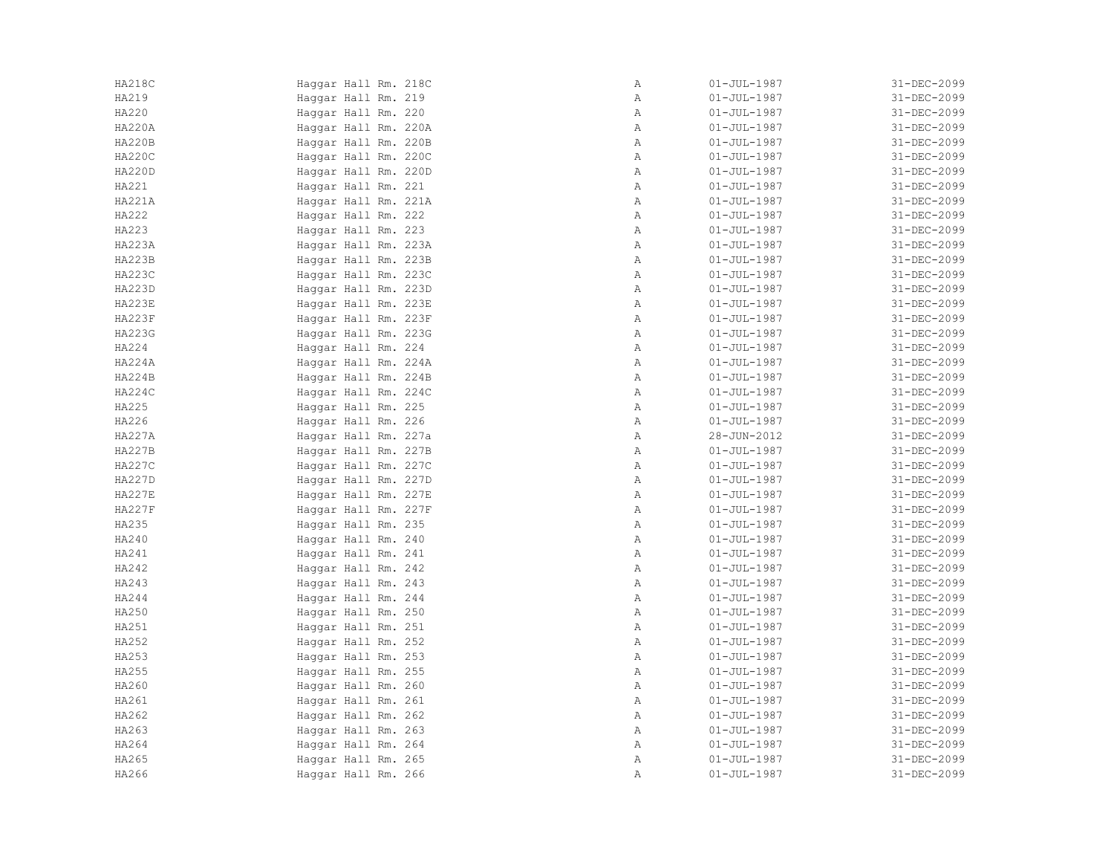| HA218C        | Haggar Hall Rm. 218C | Α            | $01 - JUL - 1987$ | 31-DEC-2099 |
|---------------|----------------------|--------------|-------------------|-------------|
| HA219         | Haggar Hall Rm. 219  | Α            | $01 - JUL - 1987$ | 31-DEC-2099 |
| HA220         | Haggar Hall Rm. 220  | $\mathbb{A}$ | $01 - JUL - 1987$ | 31-DEC-2099 |
| HA220A        | Haggar Hall Rm. 220A | $\mathbb{A}$ | $01 - JUL - 1987$ | 31-DEC-2099 |
| <b>HA220B</b> | Haggar Hall Rm. 220B | $\mathbb{A}$ | $01 - JUL - 1987$ | 31-DEC-2099 |
| <b>HA220C</b> | Haggar Hall Rm. 220C | Α            | $01 - JUL - 1987$ | 31-DEC-2099 |
| HA220D        | Haggar Hall Rm. 220D | Α            | $01 - JUL - 1987$ | 31-DEC-2099 |
| HA221         | Haggar Hall Rm. 221  | Α            | $01 - JUL - 1987$ | 31-DEC-2099 |
| HA221A        | Haggar Hall Rm. 221A | $\mathbb{A}$ | $01 - JUL - 1987$ | 31-DEC-2099 |
| HA222         | Haggar Hall Rm. 222  | $\mathbb{A}$ | $01 - JUL - 1987$ | 31-DEC-2099 |
| HA223         | Haggar Hall Rm. 223  | $\mathbb{A}$ | $01 - JUL - 1987$ | 31-DEC-2099 |
| HA223A        | Haggar Hall Rm. 223A | Α            | $01 - JUL - 1987$ | 31-DEC-2099 |
| <b>HA223B</b> | Haggar Hall Rm. 223B | $\mathbb{A}$ | $01 - JUL - 1987$ | 31-DEC-2099 |
| HA223C        | Haggar Hall Rm. 223C | $\mathbb{A}$ | $01 - JUL - 1987$ | 31-DEC-2099 |
| HA223D        | Haggar Hall Rm. 223D | Α            | $01 - JUL - 1987$ | 31-DEC-2099 |
| HA223E        | Haggar Hall Rm. 223E | $\mathbb{A}$ | $01 - JUL - 1987$ | 31-DEC-2099 |
| <b>HA223F</b> | Haggar Hall Rm. 223F | $\mathbb{A}$ | $01 - JUL - 1987$ | 31-DEC-2099 |
| HA223G        | Haggar Hall Rm. 223G | $\mathbb{A}$ | $01 - JUL - 1987$ | 31-DEC-2099 |
| HA224         | Haggar Hall Rm. 224  | Α            | $01 - JUL - 1987$ | 31-DEC-2099 |
| HA224A        | Haggar Hall Rm. 224A | $\mathbb{A}$ | $01 - JUL - 1987$ | 31-DEC-2099 |
| HA224B        | Haggar Hall Rm. 224B | $\mathbb{A}$ | $01 - JUL - 1987$ | 31-DEC-2099 |
| HA224C        | Haggar Hall Rm. 224C | Α            | $01 - JUL - 1987$ | 31-DEC-2099 |
| HA225         | Haggar Hall Rm. 225  | $\mathbb{A}$ | $01 - JUL - 1987$ | 31-DEC-2099 |
| HA226         | Haggar Hall Rm. 226  | Α            | $01 - JUL - 1987$ | 31-DEC-2099 |
| <b>HA227A</b> | Haggar Hall Rm. 227a | $\mathbb{A}$ | 28-JUN-2012       | 31-DEC-2099 |
| <b>HA227B</b> | Haggar Hall Rm. 227B | $\mathbb A$  | $01 - JUL - 1987$ | 31-DEC-2099 |
| <b>HA227C</b> | Haggar Hall Rm. 227C | $\mathbb{A}$ | $01 - JUL - 1987$ | 31-DEC-2099 |
| HA227D        | Haggar Hall Rm. 227D | Α            | $01 - JUL - 1987$ | 31-DEC-2099 |
| <b>HA227E</b> | Haggar Hall Rm. 227E | $\mathbb{A}$ | $01 - JUL - 1987$ | 31-DEC-2099 |
| <b>HA227F</b> | Haggar Hall Rm. 227F | $\mathbb{A}$ | $01 - JUL - 1987$ | 31-DEC-2099 |
| HA235         | Haggar Hall Rm. 235  | $\mathbb{A}$ | $01 - JUL - 1987$ | 31-DEC-2099 |
| HA240         | Haggar Hall Rm. 240  | $\mathbb{A}$ | $01 - JUL - 1987$ | 31-DEC-2099 |
| HA241         | Haggar Hall Rm. 241  | $\mathbb{A}$ | $01 - JUL - 1987$ | 31-DEC-2099 |
| HA242         | Haggar Hall Rm. 242  | Α            | $01 - JUL - 1987$ | 31-DEC-2099 |
| HA243         | Haggar Hall Rm. 243  | Α            | $01 - JUL - 1987$ | 31-DEC-2099 |
| HA244         | Haggar Hall Rm. 244  | $\mathbb{A}$ | $01 - JUL - 1987$ | 31-DEC-2099 |
| HA250         | Haggar Hall Rm. 250  | $\mathbb{A}$ | $01 - JUL - 1987$ | 31-DEC-2099 |
| HA251         | Haggar Hall Rm. 251  | $\mathbb{A}$ | $01 - JUL - 1987$ | 31-DEC-2099 |
| HA252         | Haggar Hall Rm. 252  | $\mathbb{A}$ | $01 - JUL - 1987$ | 31-DEC-2099 |
| HA253         | Haggar Hall Rm. 253  | Α            | $01 - JUL - 1987$ | 31-DEC-2099 |
| HA255         | Haggar Hall Rm. 255  | $\mathbb{A}$ | $01 - JUL - 1987$ | 31-DEC-2099 |
| HA260         | Haggar Hall Rm. 260  | Α            | $01 - JUL - 1987$ | 31-DEC-2099 |
| HA261         | Haggar Hall Rm. 261  | $\mathbb{A}$ | $01 - JUL - 1987$ | 31-DEC-2099 |
| HA262         | Haggar Hall Rm. 262  | $\mathbb{A}$ | $01 - JUL - 1987$ | 31-DEC-2099 |
| HA263         | Haggar Hall Rm. 263  | $\mathbb{A}$ | $01 - JUL - 1987$ | 31-DEC-2099 |
| HA264         | Haqqar Hall Rm. 264  | $\mathbb{A}$ | $01 - JUL - 1987$ | 31-DEC-2099 |
| HA265         | Haggar Hall Rm. 265  | Α            | $01 - JUL - 1987$ | 31-DEC-2099 |
| HA266         | Haggar Hall Rm. 266  | Α            | $01 - JUL - 1987$ | 31-DEC-2099 |
|               |                      |              |                   |             |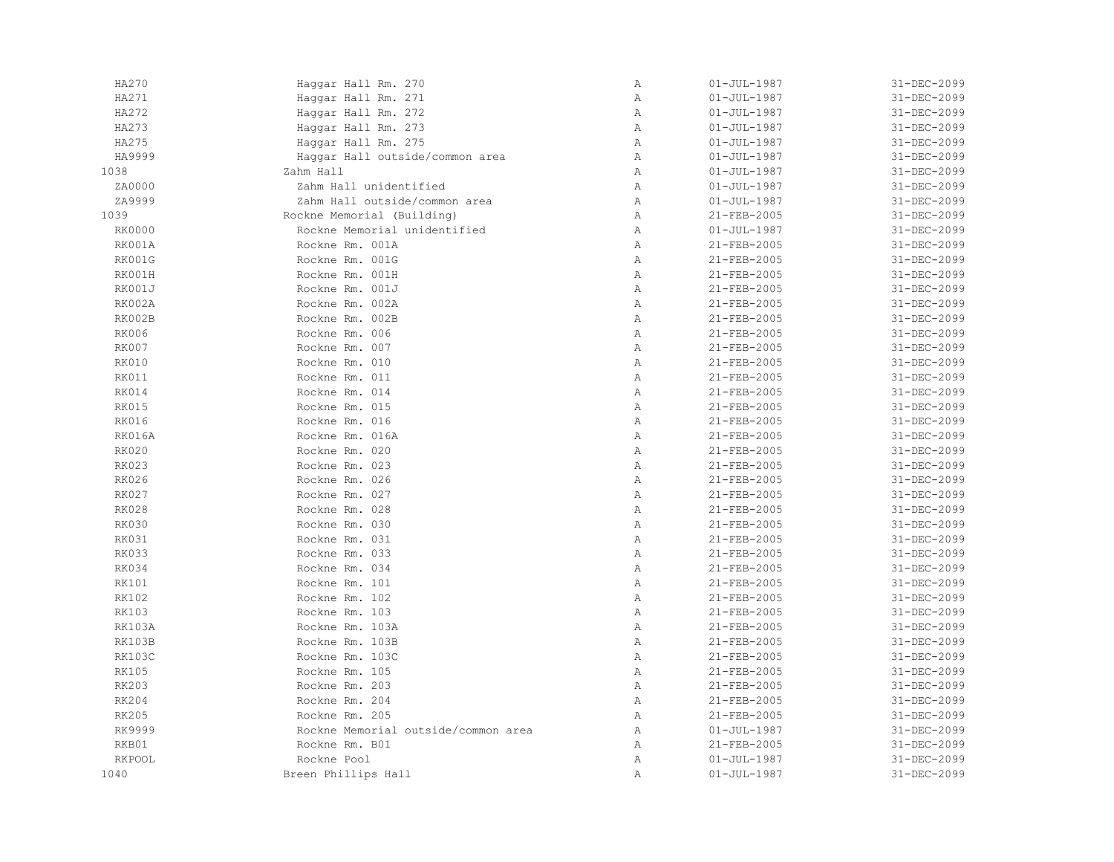| HA270         | Haggar Hall Rm. 270                 | $\, {\bf A}$ | $01 - JUL - 1987$ | 31-DEC-2099 |
|---------------|-------------------------------------|--------------|-------------------|-------------|
| HA271         | Haggar Hall Rm. 271                 | $\, {\bf A}$ | $01 - JUL - 1987$ | 31-DEC-2099 |
| HA272         | Haggar Hall Rm. 272                 | Α            | $01 - JUL - 1987$ | 31-DEC-2099 |
| HA273         | Haggar Hall Rm. 273                 | $\mathbb{A}$ | $01 - JUL - 1987$ | 31-DEC-2099 |
| HA275         | Haqqar Hall Rm. 275                 | $\mathbb{A}$ | $01 - JUL - 1987$ | 31-DEC-2099 |
| HA9999        | Haggar Hall outside/common area     | $\, {\bf A}$ | $01 - JUL - 1987$ | 31-DEC-2099 |
| 1038          | Zahm Hall                           | $\mathbb{A}$ | $01 - JUL - 1987$ | 31-DEC-2099 |
| ZA0000        | Zahm Hall unidentified              | $\, {\bf A}$ | $01 - JUL - 1987$ | 31-DEC-2099 |
| ZA9999        | Zahm Hall outside/common area       | Α            | $01 - JUL - 1987$ | 31-DEC-2099 |
| 1039          | Rockne Memorial (Building)          | Α            | 21-FEB-2005       | 31-DEC-2099 |
| RK0000        | Rockne Memorial unidentified        | $\mathbb{A}$ | $01 - JUL - 1987$ | 31-DEC-2099 |
| RK001A        | Rockne Rm. 001A                     | $\mathbb{A}$ | 21-FEB-2005       | 31-DEC-2099 |
| <b>RK001G</b> | Rockne Rm. 001G                     | $\mathbb{A}$ | 21-FEB-2005       | 31-DEC-2099 |
| RK001H        | Rockne Rm. 001H                     | $\mathbb{A}$ | 21-FEB-2005       | 31-DEC-2099 |
| RK001J        | Rockne Rm. 001J                     | Α            | 21-FEB-2005       | 31-DEC-2099 |
| RK002A        | Rockne Rm. 002A                     | Α            | 21-FEB-2005       | 31-DEC-2099 |
| RK002B        | Rockne Rm. 002B                     | Α            | 21-FEB-2005       | 31-DEC-2099 |
| <b>RK006</b>  | Rockne Rm. 006                      | Α            | 21-FEB-2005       | 31-DEC-2099 |
| <b>RK007</b>  | Rockne Rm. 007                      | $\mathbb{A}$ | 21-FEB-2005       | 31-DEC-2099 |
| <b>RK010</b>  | Rockne Rm. 010                      | $\mathbb{A}$ | 21-FEB-2005       | 31-DEC-2099 |
| <b>RK011</b>  | Rockne Rm. 011                      | $\mathbb{A}$ | 21-FEB-2005       | 31-DEC-2099 |
| RK014         | Rockne Rm. 014                      | $\, {\bf A}$ | 21-FEB-2005       | 31-DEC-2099 |
| <b>RK015</b>  | Rockne Rm. 015                      | Α            | 21-FEB-2005       | 31-DEC-2099 |
| <b>RK016</b>  | Rockne Rm. 016                      | Α            | 21-FEB-2005       | 31-DEC-2099 |
| <b>RK016A</b> | Rockne Rm. 016A                     | Α            | 21-FEB-2005       | 31-DEC-2099 |
| <b>RK020</b>  | Rockne Rm. 020                      | Α            | 21-FEB-2005       | 31-DEC-2099 |
| <b>RK023</b>  | Rockne Rm. 023                      | $\mathbb{A}$ | 21-FEB-2005       | 31-DEC-2099 |
| <b>RK026</b>  | Rockne Rm. 026                      | $\mathbb{A}$ | 21-FEB-2005       | 31-DEC-2099 |
| <b>RK027</b>  | Rockne Rm. 027                      | $\mathbb{A}$ | 21-FEB-2005       | 31-DEC-2099 |
| <b>RK028</b>  | Rockne Rm. 028                      | $\mathbb{A}$ | 21-FEB-2005       | 31-DEC-2099 |
| <b>RK030</b>  | Rockne Rm. 030                      | $\, {\bf A}$ | 21-FEB-2005       | 31-DEC-2099 |
| <b>RK031</b>  | Rockne Rm. 031                      | $\, {\bf A}$ | 21-FEB-2005       | 31-DEC-2099 |
| <b>RK033</b>  | Rockne Rm. 033                      | $\, {\bf A}$ | 21-FEB-2005       | 31-DEC-2099 |
| <b>RK034</b>  | Rockne Rm. 034                      | Α            | 21-FEB-2005       | 31-DEC-2099 |
| RK101         | Rockne Rm. 101                      | $\mathbb{A}$ | 21-FEB-2005       | 31-DEC-2099 |
| <b>RK102</b>  | Rockne Rm. 102                      | $\mathbb{A}$ | 21-FEB-2005       | 31-DEC-2099 |
| <b>RK103</b>  | Rockne Rm. 103                      | $\mathbb{A}$ | 21-FEB-2005       | 31-DEC-2099 |
| <b>RK103A</b> | Rockne Rm. 103A                     | $\mathbb{A}$ | 21-FEB-2005       | 31-DEC-2099 |
| RK103B        | Rockne Rm. 103B                     | $\mathbb{A}$ | 21-FEB-2005       | 31-DEC-2099 |
| <b>RK103C</b> | Rockne Rm. 103C                     | Α            | 21-FEB-2005       | 31-DEC-2099 |
| <b>RK105</b>  | Rockne Rm. 105                      | Α            | 21-FEB-2005       | 31-DEC-2099 |
| <b>RK203</b>  | Rockne Rm. 203                      | $\mathbb{A}$ | 21-FEB-2005       | 31-DEC-2099 |
| RK204         | Rockne Rm. 204                      | $\mathbb{A}$ | 21-FEB-2005       | 31-DEC-2099 |
| <b>RK205</b>  | Rockne Rm. 205                      | $\mathbb{A}$ | 21-FEB-2005       | 31-DEC-2099 |
| RK9999        | Rockne Memorial outside/common area | Α            | $01 - JUL - 1987$ | 31-DEC-2099 |
| RKB01         | Rockne Rm. B01                      | $\mathbb{A}$ | 21-FEB-2005       | 31-DEC-2099 |
| <b>RKPOOL</b> | Rockne Pool                         | Α            | $01 - JUL - 1987$ | 31-DEC-2099 |
| 1040          | Breen Phillips Hall                 | Α            | $01 - JUL - 1987$ | 31-DEC-2099 |
|               |                                     |              |                   |             |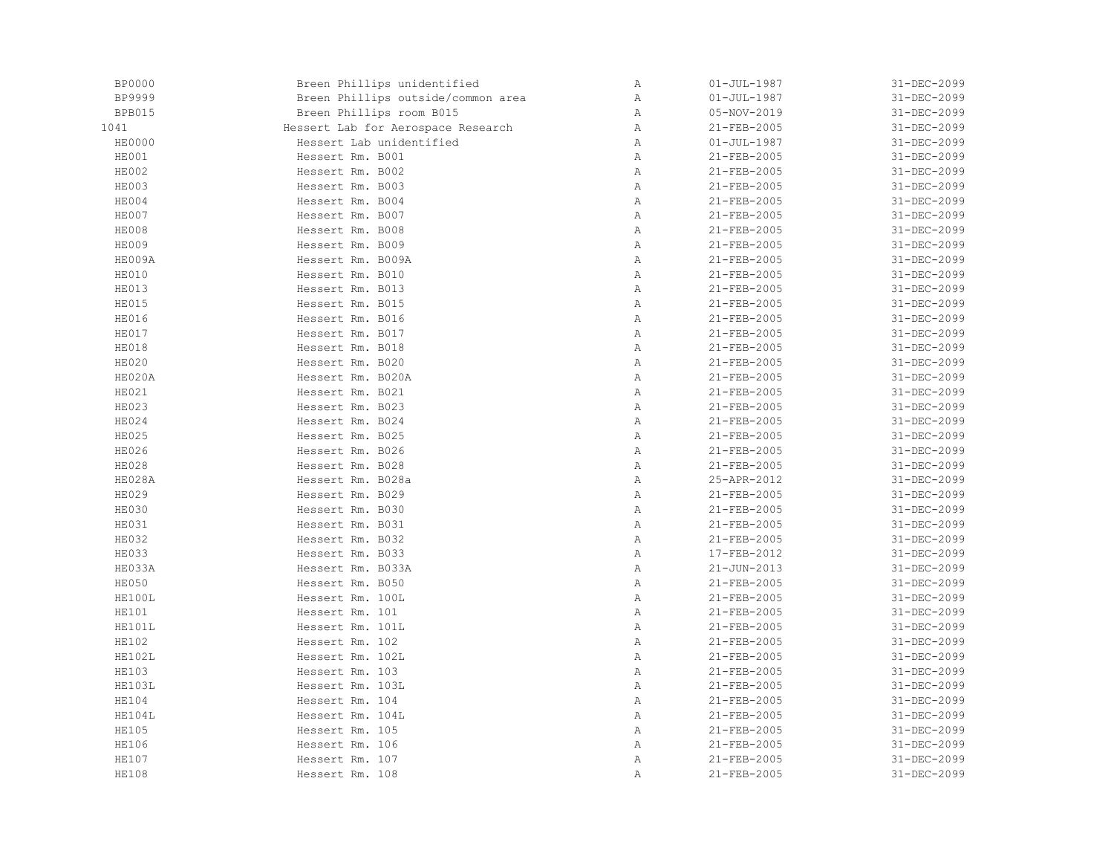| <b>BP0000</b> | Breen Phillips unidentified        | Α            | $01 - JUL - 1987$ | 31-DEC-2099 |
|---------------|------------------------------------|--------------|-------------------|-------------|
| BP9999        | Breen Phillips outside/common area | $\mathbb A$  | $01 - JUL - 1987$ | 31-DEC-2099 |
| BPB015        | Breen Phillips room B015           | Α            | 05-NOV-2019       | 31-DEC-2099 |
| 1041          | Hessert Lab for Aerospace Research | $\mathbb{A}$ | 21-FEB-2005       | 31-DEC-2099 |
| <b>HE0000</b> | Hessert Lab unidentified           | $\mathbb{A}$ | $01 - JUL - 1987$ | 31-DEC-2099 |
| HE001         | Hessert Rm. B001                   | Α            | 21-FEB-2005       | 31-DEC-2099 |
| HE002         | Hessert Rm. B002                   | Α            | 21-FEB-2005       | 31-DEC-2099 |
| HE003         | Hessert Rm. B003                   | $\, {\bf A}$ | 21-FEB-2005       | 31-DEC-2099 |
| HE004         | Hessert Rm. B004                   | $\mathbb{A}$ | 21-FEB-2005       | 31-DEC-2099 |
| HE007         | Hessert Rm. B007                   | $\mathbb{A}$ | 21-FEB-2005       | 31-DEC-2099 |
| HE008         | Hessert Rm. B008                   | $\mathbb{A}$ | 21-FEB-2005       | 31-DEC-2099 |
| HE009         | Hessert Rm. B009                   | $\, {\bf A}$ | 21-FEB-2005       | 31-DEC-2099 |
| HE009A        | Hessert Rm. B009A                  | $\mathbb{A}$ | 21-FEB-2005       | 31-DEC-2099 |
| HE010         | Hessert Rm. B010                   | $\mathbb{A}$ | 21-FEB-2005       | 31-DEC-2099 |
| HE013         | Hessert Rm. B013                   | $\, {\bf A}$ | 21-FEB-2005       | 31-DEC-2099 |
| <b>HE015</b>  | Hessert Rm. B015                   | $\mathbb{A}$ | 21-FEB-2005       | 31-DEC-2099 |
| <b>HE016</b>  | Hessert Rm. B016                   | $\mathbb{A}$ | 21-FEB-2005       | 31-DEC-2099 |
| HE017         | Hessert Rm. B017                   | $\mathbb{A}$ | 21-FEB-2005       | 31-DEC-2099 |
| <b>HE018</b>  | Hessert Rm. B018                   | $\, {\bf A}$ | 21-FEB-2005       | 31-DEC-2099 |
| <b>HE020</b>  | Hessert Rm. B020                   | $\, {\bf A}$ | 21-FEB-2005       | 31-DEC-2099 |
| HE020A        | Hessert Rm. B020A                  | $\mathbb{A}$ | 21-FEB-2005       | 31-DEC-2099 |
| <b>HE021</b>  | Hessert Rm. B021                   | Α            | 21-FEB-2005       | 31-DEC-2099 |
| HE023         | Hessert Rm. B023                   | $\mathbb{A}$ | 21-FEB-2005       | 31-DEC-2099 |
| HE024         | Hessert Rm. B024                   | Α            | 21-FEB-2005       | 31-DEC-2099 |
| <b>HE025</b>  | Hessert Rm. B025                   | $\mathbb{A}$ | 21-FEB-2005       | 31-DEC-2099 |
| <b>HE026</b>  | Hessert Rm. B026                   | $\, {\bf A}$ | 21-FEB-2005       | 31-DEC-2099 |
| <b>HE028</b>  | Hessert Rm. B028                   | $\mathbb{A}$ | 21-FEB-2005       | 31-DEC-2099 |
| HE028A        | Hessert Rm. B028a                  | Α            | 25-APR-2012       | 31-DEC-2099 |
| <b>HE029</b>  | Hessert Rm. B029                   | $\mathbb{A}$ | 21-FEB-2005       | 31-DEC-2099 |
| HE030         | Hessert Rm. B030                   | $\mathbb{A}$ | 21-FEB-2005       | 31-DEC-2099 |
| HE031         | Hessert Rm. B031                   | Α            | 21-FEB-2005       | 31-DEC-2099 |
| <b>HE032</b>  | Hessert Rm. B032                   | $\mathbb{A}$ | 21-FEB-2005       | 31-DEC-2099 |
| <b>HE033</b>  | Hessert Rm. B033                   | $\, {\bf A}$ | 17-FEB-2012       | 31-DEC-2099 |
| HE033A        | Hessert Rm. B033A                  | Α            | $21 - JUN - 2013$ | 31-DEC-2099 |
| HE050         | Hessert Rm. B050                   | Α            | 21-FEB-2005       | 31-DEC-2099 |
| HE100L        | Hessert Rm. 100L                   | $\mathbb{A}$ | 21-FEB-2005       | 31-DEC-2099 |
| <b>HE101</b>  | Hessert Rm. 101                    | $\mathbb{A}$ | 21-FEB-2005       | 31-DEC-2099 |
| HE101L        | Hessert Rm. 101L                   | $\mathbb{A}$ | 21-FEB-2005       | 31-DEC-2099 |
| <b>HE102</b>  | Hessert Rm. 102                    | $\mathbb{A}$ | 21-FEB-2005       | 31-DEC-2099 |
| HE102L        | Hessert Rm. 102L                   | $\, {\bf A}$ | 21-FEB-2005       | 31-DEC-2099 |
| <b>HE103</b>  | Hessert Rm. 103                    | $\, {\bf A}$ | 21-FEB-2005       | 31-DEC-2099 |
| HE103L        | Hessert Rm. 103L                   | Α            | 21-FEB-2005       | 31-DEC-2099 |
| <b>HE104</b>  | Hessert Rm. 104                    | $\mathbb{A}$ | 21-FEB-2005       | 31-DEC-2099 |
| HE104L        | Hessert Rm. 104L                   | $\mathbb{A}$ | 21-FEB-2005       | 31-DEC-2099 |
| <b>HE105</b>  | Hessert Rm. 105                    | $\mathbb{A}$ | 21-FEB-2005       | 31-DEC-2099 |
| <b>HE106</b>  | Hessert Rm. 106                    | $\mathbb{A}$ | 21-FEB-2005       | 31-DEC-2099 |
| <b>HE107</b>  | Hessert Rm. 107                    | Α            | 21-FEB-2005       | 31-DEC-2099 |
| <b>HE108</b>  | Hessert Rm. 108                    | Α            | 21-FEB-2005       | 31-DEC-2099 |
|               |                                    |              |                   |             |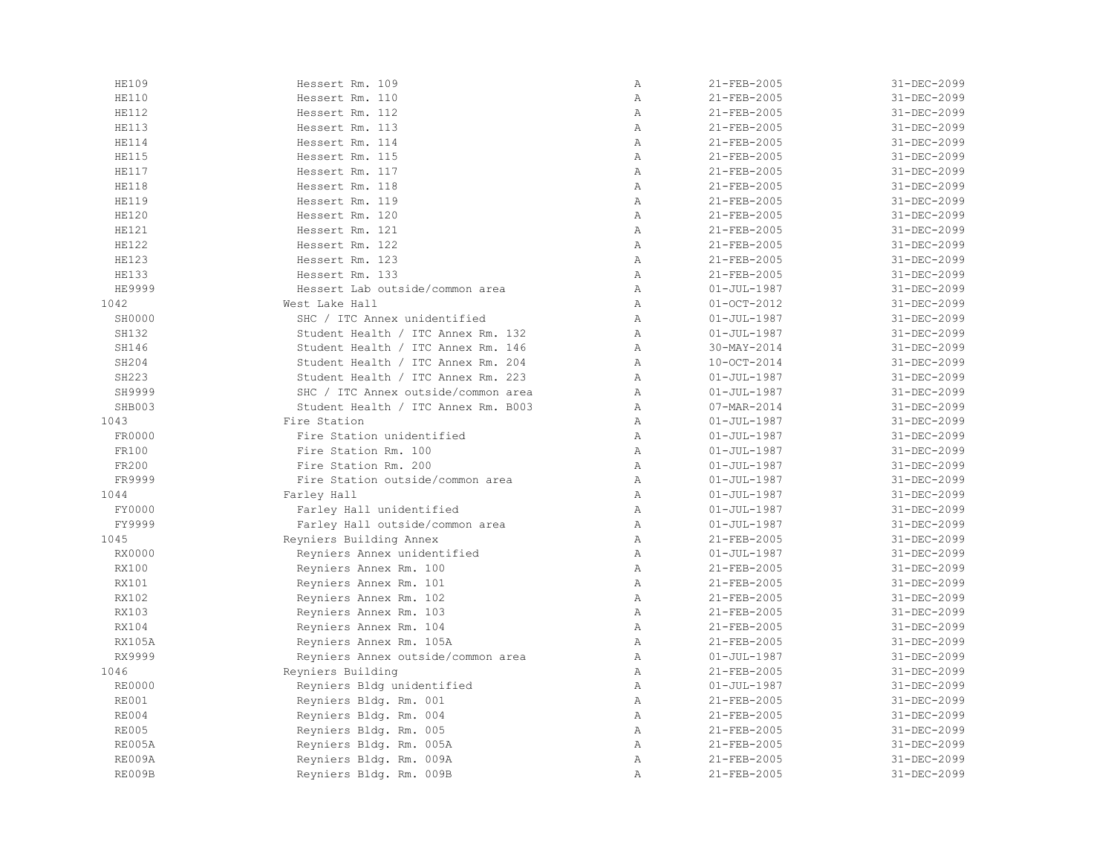| <b>HE109</b>  | Hessert Rm. 109                     | Α            | 21-FEB-2005       | 31-DEC-2099 |
|---------------|-------------------------------------|--------------|-------------------|-------------|
| <b>HE110</b>  | Hessert Rm. 110                     | $\mathbb{A}$ | 21-FEB-2005       | 31-DEC-2099 |
| <b>HE112</b>  | Hessert Rm. 112                     | Α            | 21-FEB-2005       | 31-DEC-2099 |
| <b>HE113</b>  | Hessert Rm. 113                     | $\lambda$    | 21-FEB-2005       | 31-DEC-2099 |
| <b>HE114</b>  | Hessert Rm. 114                     | $\lambda$    | 21-FEB-2005       | 31-DEC-2099 |
| <b>HE115</b>  | Hessert Rm. 115                     | $\mathbb{A}$ | 21-FEB-2005       | 31-DEC-2099 |
| <b>HE117</b>  | Hessert Rm. 117                     | $\mathbb{A}$ | $21 - FEB - 2005$ | 31-DEC-2099 |
| <b>HE118</b>  | Hessert Rm. 118                     | $\mathbb{A}$ | 21-FEB-2005       | 31-DEC-2099 |
| <b>HE119</b>  | Hessert Rm. 119                     | $\mathbb{A}$ | 21-FEB-2005       | 31-DEC-2099 |
| <b>HE120</b>  | Hessert Rm. 120                     | $\mathbb{A}$ | 21-FEB-2005       | 31-DEC-2099 |
| <b>HE121</b>  | Hessert Rm. 121                     | $\mathbb{A}$ | 21-FEB-2005       | 31-DEC-2099 |
| <b>HE122</b>  | Hessert Rm. 122                     | $\mathbb{A}$ | 21-FEB-2005       | 31-DEC-2099 |
| <b>HE123</b>  | Hessert Rm. 123                     | Α            | 21-FEB-2005       | 31-DEC-2099 |
| <b>HE133</b>  | Hessert Rm. 133                     | $\mathbb{A}$ | 21-FEB-2005       | 31-DEC-2099 |
| HE9999        | Hessert Lab outside/common area     | $\mathbb{A}$ | $01 - JUL - 1987$ | 31-DEC-2099 |
| 1042          | West Lake Hall                      | $\mathbb{A}$ | $01-0CT-2012$     | 31-DEC-2099 |
| SH0000        | SHC / ITC Annex unidentified        | $\mathbb{A}$ | $01 - JUL - 1987$ | 31-DEC-2099 |
| SH132         | Student Health / ITC Annex Rm. 132  | A            | $01 - JUL - 1987$ | 31-DEC-2099 |
| SH146         | Student Health / ITC Annex Rm. 146  | $\mathbb{A}$ | 30-MAY-2014       | 31-DEC-2099 |
| SH204         | Student Health / ITC Annex Rm. 204  | $\mathbb{A}$ | $10-0CT-2014$     | 31-DEC-2099 |
| SH223         | Student Health / ITC Annex Rm. 223  | A            | $01 - JUL - 1987$ | 31-DEC-2099 |
| SH9999        | SHC / ITC Annex outside/common area | $\mathbb{A}$ | $01 - JUL - 1987$ | 31-DEC-2099 |
| SHB003        | Student Health / ITC Annex Rm. B003 | $\lambda$    | 07-MAR-2014       | 31-DEC-2099 |
| 1043          | Fire Station                        | $\mathbb{A}$ | $01 - JUL - 1987$ | 31-DEC-2099 |
| FR0000        | Fire Station unidentified           | $\mathbb{A}$ | $01 - JUL - 1987$ | 31-DEC-2099 |
| FR100         | Fire Station Rm. 100                | $\mathbb{A}$ | $01 - JUL - 1987$ | 31-DEC-2099 |
| FR200         | Fire Station Rm. 200                | $\mathbb{A}$ | $01 - JUL - 1987$ | 31-DEC-2099 |
| FR9999        | Fire Station outside/common area    | $\mathbb{A}$ | $01 - JUL - 1987$ | 31-DEC-2099 |
| 1044          | Farley Hall                         | $\mathbb{A}$ | $01 - JUL - 1987$ | 31-DEC-2099 |
| FY0000        | Farley Hall unidentified            | $\mathbb{A}$ | $01 - JUL - 1987$ | 31-DEC-2099 |
| FY9999        | Farley Hall outside/common area     | Α            | $01 - JUL - 1987$ | 31-DEC-2099 |
| 1045          | Reyniers Building Annex             | $\mathbb{A}$ | 21-FEB-2005       | 31-DEC-2099 |
| RX0000        | Reyniers Annex unidentified         | $\mathbb{A}$ | $01 - JUL - 1987$ | 31-DEC-2099 |
| <b>RX100</b>  | Reyniers Annex Rm. 100              | $\mathbb{A}$ | 21-FEB-2005       | 31-DEC-2099 |
| RX101         | Reyniers Annex Rm. 101              | $\mathbb{A}$ | 21-FEB-2005       | 31-DEC-2099 |
| RX102         | Reyniers Annex Rm. 102              | $\mathbb{A}$ | 21-FEB-2005       | 31-DEC-2099 |
| RX103         | Reyniers Annex Rm. 103              | $\mathbb{A}$ | 21-FEB-2005       | 31-DEC-2099 |
| RX104         | Reyniers Annex Rm. 104              | $\mathbb{A}$ | 21-FEB-2005       | 31-DEC-2099 |
| <b>RX105A</b> | Reyniers Annex Rm. 105A             | $\mathbb{A}$ | 21-FEB-2005       | 31-DEC-2099 |
| RX9999        | Reyniers Annex outside/common area  | Α            | $01 - JUL - 1987$ | 31-DEC-2099 |
| 1046          | Reyniers Building                   | $\mathbb{A}$ | 21-FEB-2005       | 31-DEC-2099 |
| <b>RE0000</b> | Reyniers Bldg unidentified          | $\mathbb{A}$ | $01 - JUL - 1987$ | 31-DEC-2099 |
| <b>RE001</b>  | Reyniers Bldg. Rm. 001              | $\mathbb{A}$ | 21-FEB-2005       | 31-DEC-2099 |
| <b>RE004</b>  | Reyniers Bldg. Rm. 004              | $\mathbb{A}$ | 21-FEB-2005       | 31-DEC-2099 |
| <b>RE005</b>  | Reyniers Bldg. Rm. 005              | $\mathbb{A}$ | 21-FEB-2005       | 31-DEC-2099 |
| RE005A        | Reyniers Bldg. Rm. 005A             | $\mathbb{A}$ | 21-FEB-2005       | 31-DEC-2099 |
| <b>RE009A</b> | Reyniers Bldg. Rm. 009A             | Α            | 21-FEB-2005       | 31-DEC-2099 |
| RE009B        | Reyniers Bldg. Rm. 009B             | $\mathbb{A}$ | 21-FEB-2005       | 31-DEC-2099 |
|               |                                     |              |                   |             |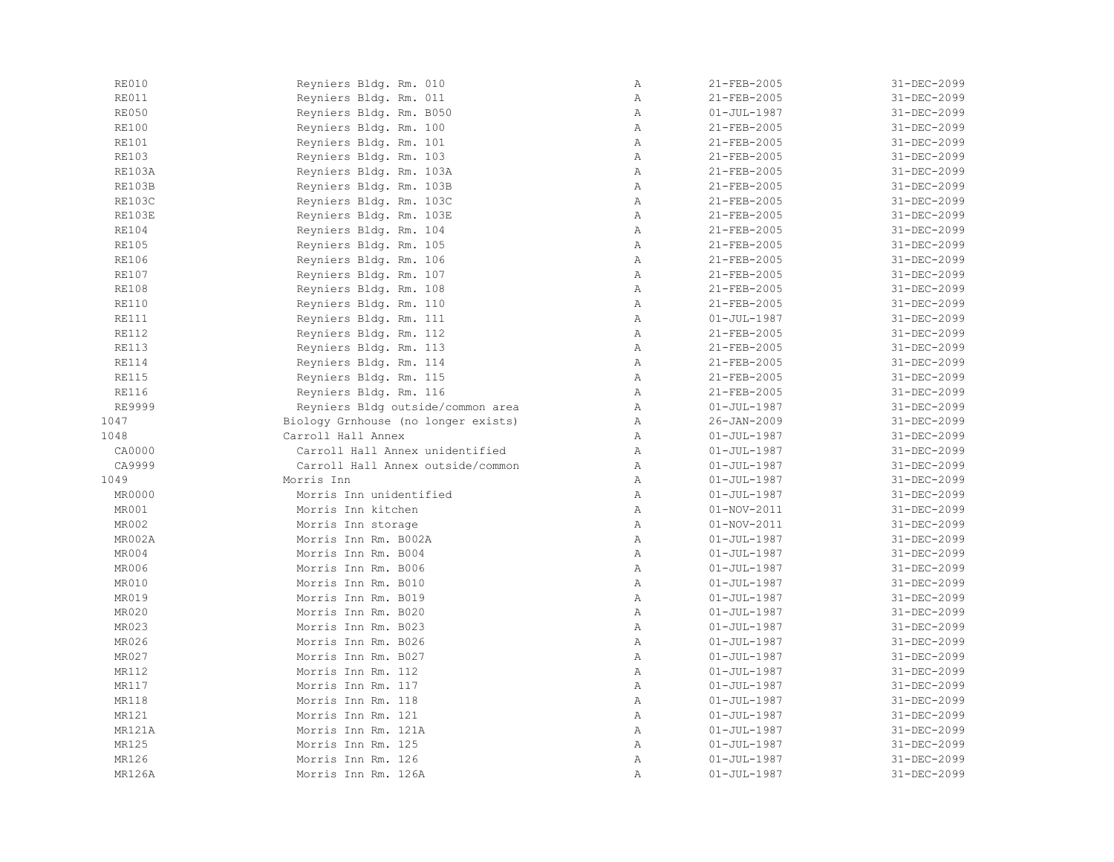| <b>RE010</b>  | Reyniers Bldg. Rm. 010              | Α            | 21-FEB-2005       | 31-DEC-2099 |
|---------------|-------------------------------------|--------------|-------------------|-------------|
| <b>RE011</b>  | Reyniers Bldg. Rm. 011              | Α            | 21-FEB-2005       | 31-DEC-2099 |
| <b>RE050</b>  | Reyniers Bldg. Rm. B050             | Α            | $01 - JUL - 1987$ | 31-DEC-2099 |
| <b>RE100</b>  | Reyniers Bldg. Rm. 100              | Α            | 21-FEB-2005       | 31-DEC-2099 |
| <b>RE101</b>  | Reyniers Bldg. Rm. 101              | $\mathbb{A}$ | 21-FEB-2005       | 31-DEC-2099 |
| <b>RE103</b>  | Reyniers Bldg. Rm. 103              | Α            | 21-FEB-2005       | 31-DEC-2099 |
| <b>RE103A</b> | Reyniers Bldg. Rm. 103A             | $\mathbb{A}$ | 21-FEB-2005       | 31-DEC-2099 |
| RE103B        | Reyniers Bldg. Rm. 103B             | $\mathbb{A}$ | 21-FEB-2005       | 31-DEC-2099 |
| RE103C        | Reyniers Bldg. Rm. 103C             | $\mathbb{A}$ | 21-FEB-2005       | 31-DEC-2099 |
| RE103E        | Reyniers Bldg. Rm. 103E             | Α            | 21-FEB-2005       | 31-DEC-2099 |
| <b>RE104</b>  | Reyniers Bldg. Rm. 104              | $\mathbb A$  | 21-FEB-2005       | 31-DEC-2099 |
| <b>RE105</b>  | Reyniers Bldg. Rm. 105              | $\mathbb{A}$ | 21-FEB-2005       | 31-DEC-2099 |
| <b>RE106</b>  | Reyniers Bldg. Rm. 106              | $\mathbb{A}$ | 21-FEB-2005       | 31-DEC-2099 |
| <b>RE107</b>  | Reyniers Bldg. Rm. 107              | Α            | 21-FEB-2005       | 31-DEC-2099 |
| <b>RE108</b>  | Reyniers Bldg. Rm. 108              | Α            | 21-FEB-2005       | 31-DEC-2099 |
| <b>RE110</b>  | Reyniers Bldg. Rm. 110              | Α            | 21-FEB-2005       | 31-DEC-2099 |
| <b>RE111</b>  | Reyniers Bldg. Rm. 111              | $\, {\bf A}$ | $01 - JUL - 1987$ | 31-DEC-2099 |
| <b>RE112</b>  | Reyniers Bldg. Rm. 112              | Α            | 21-FEB-2005       | 31-DEC-2099 |
| <b>RE113</b>  | Reyniers Bldg. Rm. 113              | Α            | 21-FEB-2005       | 31-DEC-2099 |
| <b>RE114</b>  | Reyniers Bldg. Rm. 114              | Α            | 21-FEB-2005       | 31-DEC-2099 |
| <b>RE115</b>  | Reyniers Bldg. Rm. 115              | $\mathbb{A}$ | 21-FEB-2005       | 31-DEC-2099 |
| <b>RE116</b>  | Reyniers Bldg. Rm. 116              | $\mathbb{A}$ | 21-FEB-2005       | 31-DEC-2099 |
| RE9999        | Reyniers Bldg outside/common area   | $\mathbb{A}$ | $01 - JUL - 1987$ | 31-DEC-2099 |
| 1047          | Biology Grnhouse (no longer exists) | Α            | $26 - JAN - 2009$ | 31-DEC-2099 |
| 1048          | Carroll Hall Annex                  | $\mathbb{A}$ | $01 - JUL - 1987$ | 31-DEC-2099 |
| CA0000        | Carroll Hall Annex unidentified     | $\mathbb{A}$ | $01 - JUL - 1987$ | 31-DEC-2099 |
| CA9999        | Carroll Hall Annex outside/common   | Α            | $01 - JUL - 1987$ | 31-DEC-2099 |
| 1049          | Morris Inn                          | Α            | $01 - JUL - 1987$ | 31-DEC-2099 |
| MR0000        | Morris Inn unidentified             | Α            | $01 - JUL - 1987$ | 31-DEC-2099 |
| MR001         | Morris Inn kitchen                  | $\mathbb{A}$ | $01 - NOV - 2011$ | 31-DEC-2099 |
| MR002         | Morris Inn storage                  | $\mathbb{A}$ | $01 - NOV - 2011$ | 31-DEC-2099 |
| MR002A        | Morris Inn Rm. B002A                | Α            | $01 - JUL - 1987$ | 31-DEC-2099 |
| MR004         | Morris Inn Rm. B004                 | Α            | $01 - JUL - 1987$ | 31-DEC-2099 |
| MR006         | Morris Inn Rm. B006                 | $\, {\bf A}$ | $01 - JUL - 1987$ | 31-DEC-2099 |
| MR010         | Morris Inn Rm. B010                 | $\mathbb{A}$ | $01 - JUL - 1987$ | 31-DEC-2099 |
| MR019         | Morris Inn Rm. B019                 | $\mathbb{A}$ | $01 - JUL - 1987$ | 31-DEC-2099 |
| MR020         | Morris Inn Rm. B020                 | $\mathbb{A}$ | $01 - JUL - 1987$ | 31-DEC-2099 |
| MR023         | Morris Inn Rm. B023                 | $\mathbb{A}$ | $01 - JUL - 1987$ | 31-DEC-2099 |
| MR026         | Morris Inn Rm. B026                 | $\mathbb{A}$ | $01 - JUL - 1987$ | 31-DEC-2099 |
| MR027         | Morris Inn Rm. B027                 | $\mathbb{A}$ | $01 - JUL - 1987$ | 31-DEC-2099 |
| MR112         | Morris Inn Rm. 112                  | Α            | $01 - JUL - 1987$ | 31-DEC-2099 |
| MR117         | Morris Inn Rm. 117                  | Α            | $01 - JUL - 1987$ | 31-DEC-2099 |
| MR118         | Morris Inn Rm. 118                  | Α            | $01 - JUL - 1987$ | 31-DEC-2099 |
| MR121         | Morris Inn Rm. 121                  | $\, {\bf A}$ | $01 - JUL - 1987$ | 31-DEC-2099 |
| MR121A        | Morris Inn Rm. 121A                 | Α            | $01 - JUL - 1987$ | 31-DEC-2099 |
| MR125         | Morris Inn Rm. 125                  | Α            | $01 - JUL - 1987$ | 31-DEC-2099 |
| MR126         | Morris Inn Rm. 126                  | $\mathbb{A}$ | $01 - JUL - 1987$ | 31-DEC-2099 |
| <b>MR126A</b> | Morris Inn Rm. 126A                 | $\mathbb{A}$ | $01 - JUL - 1987$ | 31-DEC-2099 |
|               |                                     |              |                   |             |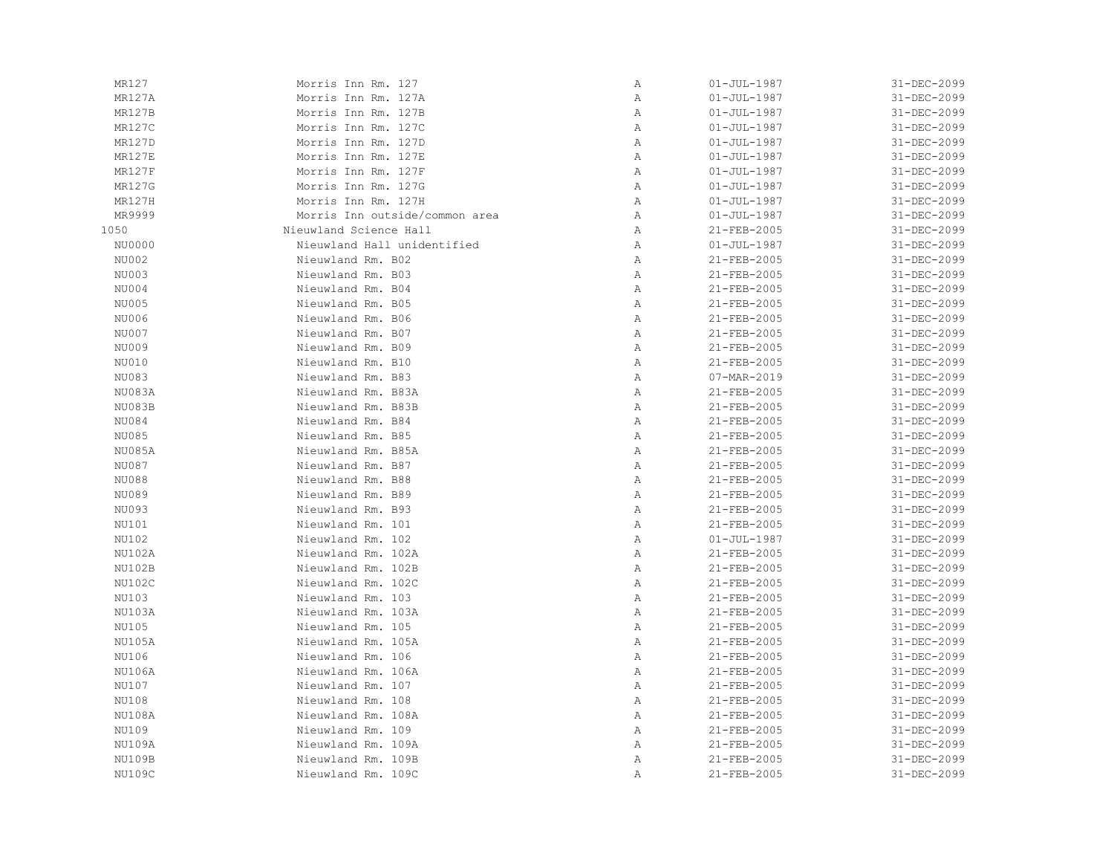| MR127         | Morris Inn Rm. 127             | Α | $01 - JUL - 1987$ | 31-DEC-2099 |
|---------------|--------------------------------|---|-------------------|-------------|
| MR127A        | Morris Inn Rm. 127A            | Α | $01 - JUL - 1987$ | 31-DEC-2099 |
| MR127B        | Morris Inn Rm. 127B            | Α | $01 - JUL - 1987$ | 31-DEC-2099 |
| MR127C        | Morris Inn Rm. 127C            | Α | $01 - JUL - 1987$ | 31-DEC-2099 |
| MR127D        | Morris Inn Rm. 127D            | Α | $01 - JUL - 1987$ | 31-DEC-2099 |
| <b>MR127E</b> | Morris Inn Rm. 127E            | Α | $01 - JUL - 1987$ | 31-DEC-2099 |
| MR127F        | Morris Inn Rm. 127F            | Α | $01 - JUL - 1987$ | 31-DEC-2099 |
| MR127G        | Morris Inn Rm. 127G            | Α | $01 - JUL - 1987$ | 31-DEC-2099 |
| MR127H        | Morris Inn Rm. 127H            | Α | $01 - JUL - 1987$ | 31-DEC-2099 |
| MR9999        | Morris Inn outside/common area | Α | $01 - JUL - 1987$ | 31-DEC-2099 |
| 1050          | Nieuwland Science Hall         | Α | 21-FEB-2005       | 31-DEC-2099 |
| NU0000        | Nieuwland Hall unidentified    | Α | $01 - JUL - 1987$ | 31-DEC-2099 |
| NU002         | Nieuwland Rm. B02              | Α | 21-FEB-2005       | 31-DEC-2099 |
| NU003         | Nieuwland Rm. B03              | Α | 21-FEB-2005       | 31-DEC-2099 |
| NU004         | Nieuwland Rm. B04              | Α | 21-FEB-2005       | 31-DEC-2099 |
| NU005         | Nieuwland Rm. B05              | Α | 21-FEB-2005       | 31-DEC-2099 |
| NU006         | Nieuwland Rm. B06              | Α | 21-FEB-2005       | 31-DEC-2099 |
| NU007         | Nieuwland Rm. B07              | Α | 21-FEB-2005       | 31-DEC-2099 |
| NU009         | Nieuwland Rm. B09              | Α | 21-FEB-2005       | 31-DEC-2099 |
| NU010         | Nieuwland Rm. B10              | Α | 21-FEB-2005       | 31-DEC-2099 |
|               |                                |   |                   |             |
| NU083         | Nieuwland Rm. B83              | Α | 07-MAR-2019       | 31-DEC-2099 |
| NU083A        | Nieuwland Rm. B83A             | Α | 21-FEB-2005       | 31-DEC-2099 |
| NU083B        | Nieuwland Rm. B83B             | Α | 21-FEB-2005       | 31-DEC-2099 |
| NU084         | Nieuwland Rm. B84              | Α | 21-FEB-2005       | 31-DEC-2099 |
| NU085         | Nieuwland Rm. B85              | Α | 21-FEB-2005       | 31-DEC-2099 |
| NU085A        | Nieuwland Rm. B85A             | Α | 21-FEB-2005       | 31-DEC-2099 |
| NU087         | Nieuwland Rm. B87              | Α | $21 - FEB - 2005$ | 31-DEC-2099 |
| <b>NU088</b>  | Nieuwland Rm. B88              | Α | 21-FEB-2005       | 31-DEC-2099 |
| NU089         | Nieuwland Rm. B89              | Α | 21-FEB-2005       | 31-DEC-2099 |
| NU093         | Nieuwland Rm. B93              | Α | 21-FEB-2005       | 31-DEC-2099 |
| NU101         | Nieuwland Rm. 101              | Α | 21-FEB-2005       | 31-DEC-2099 |
| NU102         | Nieuwland Rm. 102              | Α | $01 - JUL - 1987$ | 31-DEC-2099 |
| NU102A        | Nieuwland Rm. 102A             | Α | 21-FEB-2005       | 31-DEC-2099 |
| NU102B        | Nieuwland Rm. 102B             | Α | 21-FEB-2005       | 31-DEC-2099 |
| NU102C        | Nieuwland Rm. 102C             | Α | 21-FEB-2005       | 31-DEC-2099 |
| NU103         | Nieuwland Rm. 103              | Α | 21-FEB-2005       | 31-DEC-2099 |
| NU103A        | Nieuwland Rm. 103A             | Α | 21-FEB-2005       | 31-DEC-2099 |
| NU105         | Nieuwland Rm. 105              | Α | 21-FEB-2005       | 31-DEC-2099 |
| NU105A        | Nieuwland Rm. 105A             | Α | 21-FEB-2005       | 31-DEC-2099 |
| NU106         | Nieuwland Rm. 106              | Α | 21-FEB-2005       | 31-DEC-2099 |
| NU106A        | Nieuwland Rm. 106A             | Α | 21-FEB-2005       | 31-DEC-2099 |
| NU107         | Nieuwland Rm. 107              | Α | 21-FEB-2005       | 31-DEC-2099 |
| NU108         | Nieuwland Rm. 108              | Α | 21-FEB-2005       | 31-DEC-2099 |
| NU108A        | Nieuwland Rm. 108A             | Α | 21-FEB-2005       | 31-DEC-2099 |
| NU109         | Nieuwland Rm. 109              | Α | 21-FEB-2005       | 31-DEC-2099 |
| NU109A        | Nieuwland Rm. 109A             | Α | 21-FEB-2005       | 31-DEC-2099 |
| NU109B        | Nieuwland Rm. 109B             | Α | 21-FEB-2005       | 31-DEC-2099 |
| NU109C        | Nieuwland Rm. 109C             | Α | 21-FEB-2005       | 31-DEC-2099 |
|               |                                |   |                   |             |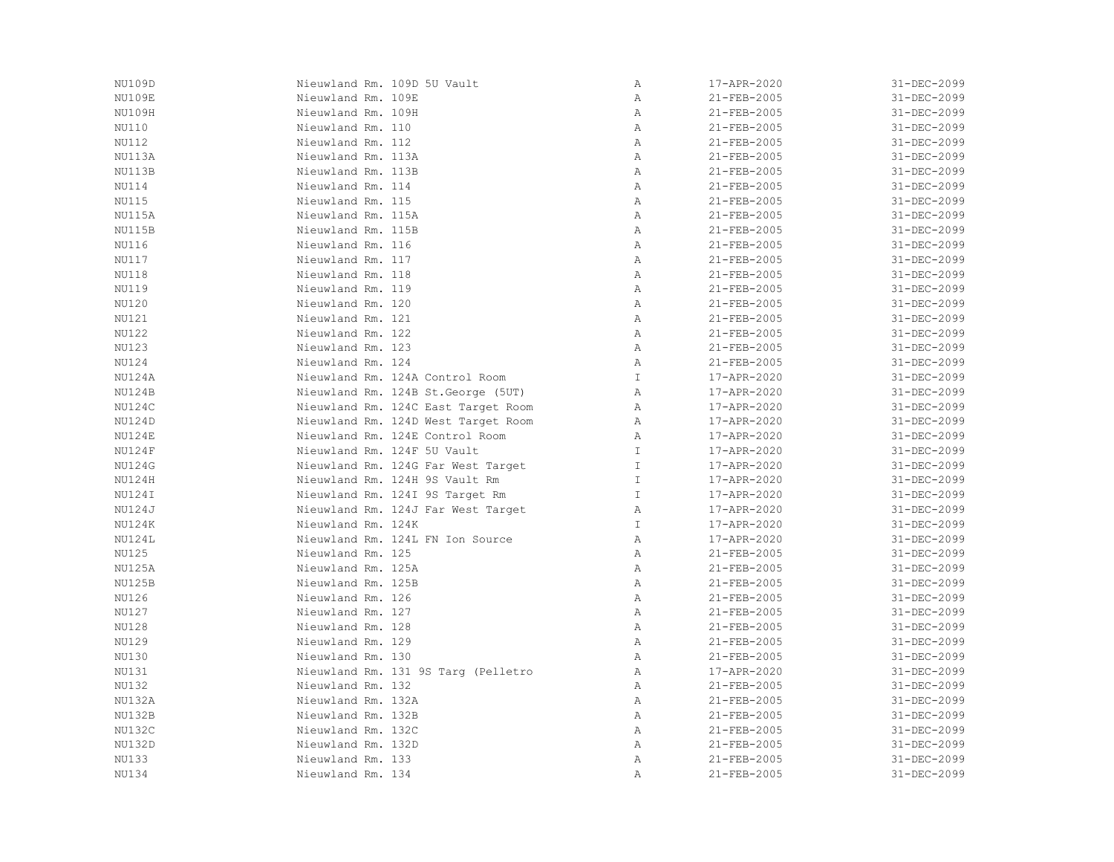| Nieuwland Rm. 109D 5U Vault         | $\, {\bf A}$   | 17-APR-2020       | 31-DEC-2099 |
|-------------------------------------|----------------|-------------------|-------------|
| Nieuwland Rm. 109E                  | $\mathbb{A}$   | 21-FEB-2005       | 31-DEC-2099 |
| Nieuwland Rm. 109H                  | $\mathbb{A}$   | $21 - FEB - 2005$ | 31-DEC-2099 |
| Nieuwland Rm. 110                   | Α              | 21-FEB-2005       | 31-DEC-2099 |
| Nieuwland Rm. 112                   | $\mathbb A$    | $21 - FEB - 2005$ | 31-DEC-2099 |
| Nieuwland Rm. 113A                  | Α              | 21-FEB-2005       | 31-DEC-2099 |
| Nieuwland Rm. 113B                  | $\mathbb{A}$   | 21-FEB-2005       | 31-DEC-2099 |
| Nieuwland Rm. 114                   | $\mathbb{A}$   | 21-FEB-2005       | 31-DEC-2099 |
| Nieuwland Rm. 115                   | $\overline{A}$ | 21-FEB-2005       | 31-DEC-2099 |
| Nieuwland Rm. 115A                  | $\mathbb{A}$   | 21-FEB-2005       | 31-DEC-2099 |
| Nieuwland Rm. 115B                  | $\mathbb{A}$   | 21-FEB-2005       | 31-DEC-2099 |
| Nieuwland Rm. 116                   | A              | $21 - FEB - 2005$ | 31-DEC-2099 |
| Nieuwland Rm. 117                   | Α              | $21 - FEB - 2005$ | 31-DEC-2099 |
| Nieuwland Rm. 118                   | A              | 21-FEB-2005       | 31-DEC-2099 |
| Nieuwland Rm. 119                   | Α              | 21-FEB-2005       | 31-DEC-2099 |
| Nieuwland Rm. 120                   | $\mathbb A$    | 21-FEB-2005       | 31-DEC-2099 |
| Nieuwland Rm. 121                   | $\mathbb{A}$   | 21-FEB-2005       | 31-DEC-2099 |
| Nieuwland Rm. 122                   | A              | 21-FEB-2005       | 31-DEC-2099 |
| Nieuwland Rm. 123                   | $\mathbb{A}$   | 21-FEB-2005       | 31-DEC-2099 |
| Nieuwland Rm. 124                   | A              | 21-FEB-2005       | 31-DEC-2099 |
| Nieuwland Rm. 124A Control Room     | T              | 17-APR-2020       | 31-DEC-2099 |
| Nieuwland Rm. 124B St. George (5UT) | A              | 17-APR-2020       | 31-DEC-2099 |
| Nieuwland Rm. 124C East Target Room | $\mathbb{A}$   | 17-APR-2020       | 31-DEC-2099 |
| Nieuwland Rm. 124D West Target Room | $\mathbb{A}$   | 17-APR-2020       | 31-DEC-2099 |
| Nieuwland Rm. 124E Control Room     | $\mathbb{A}$   | 17-APR-2020       | 31-DEC-2099 |
| Nieuwland Rm. 124F 5U Vault         | $\mathbb{I}$   | 17-APR-2020       | 31-DEC-2099 |
| Nieuwland Rm. 124G Far West Target  | $\mathbb{I}$   | 17-APR-2020       | 31-DEC-2099 |
| Nieuwland Rm. 124H 9S Vault Rm      | $\mathbbm{1}$  | 17-APR-2020       | 31-DEC-2099 |
| Nieuwland Rm. 124I 9S Target Rm     | $\mathbb{I}$   | 17-APR-2020       | 31-DEC-2099 |
| Nieuwland Rm. 124J Far West Target  | $\mathbb{A}$   | 17-APR-2020       | 31-DEC-2099 |
| Nieuwland Rm. 124K                  | $\mathbb{I}$   | 17-APR-2020       | 31-DEC-2099 |
| Nieuwland Rm. 124L FN Ion Source    | $\mathbb{A}$   | 17-APR-2020       | 31-DEC-2099 |
| Nieuwland Rm. 125                   | A              | 21-FEB-2005       | 31-DEC-2099 |
| Nieuwland Rm. 125A                  | $\mathbb{A}$   | 21-FEB-2005       | 31-DEC-2099 |
| Nieuwland Rm. 125B                  | $\mathbb A$    | 21-FEB-2005       | 31-DEC-2099 |
| Nieuwland Rm. 126                   | Α              | $21 - FEB - 2005$ | 31-DEC-2099 |
| Nieuwland Rm. 127                   | Α              | 21-FEB-2005       | 31-DEC-2099 |
| Nieuwland Rm. 128                   | $\mathbb A$    | 21-FEB-2005       | 31-DEC-2099 |
| Nieuwland Rm. 129                   | $\mathbb{A}$   | 21-FEB-2005       | 31-DEC-2099 |
| Nieuwland Rm. 130                   | $\mathbb{A}$   | $21 - FEB - 2005$ | 31-DEC-2099 |
| Nieuwland Rm. 131 9S Targ (Pelletro | A              | 17-APR-2020       | 31-DEC-2099 |
| Nieuwland Rm. 132                   | $\mathbb{A}$   | 21-FEB-2005       | 31-DEC-2099 |
| Nieuwland Rm. 132A                  | A              | $21 - FEB - 2005$ | 31-DEC-2099 |
| Nieuwland Rm. 132B                  | $\mathbb A$    | $21 - FEB - 2005$ | 31-DEC-2099 |
| Nieuwland Rm. 132C                  | $\mathbb{A}$   | 21-FEB-2005       | 31-DEC-2099 |
| Nieuwland Rm. 132D                  | $\mathbb{A}$   | 21-FEB-2005       | 31-DEC-2099 |
| Nieuwland Rm. 133                   | $\, {\bf A}$   | 21-FEB-2005       | 31-DEC-2099 |
| Nieuwland Rm. 134                   | Α              | 21-FEB-2005       | 31-DEC-2099 |
|                                     |                |                   |             |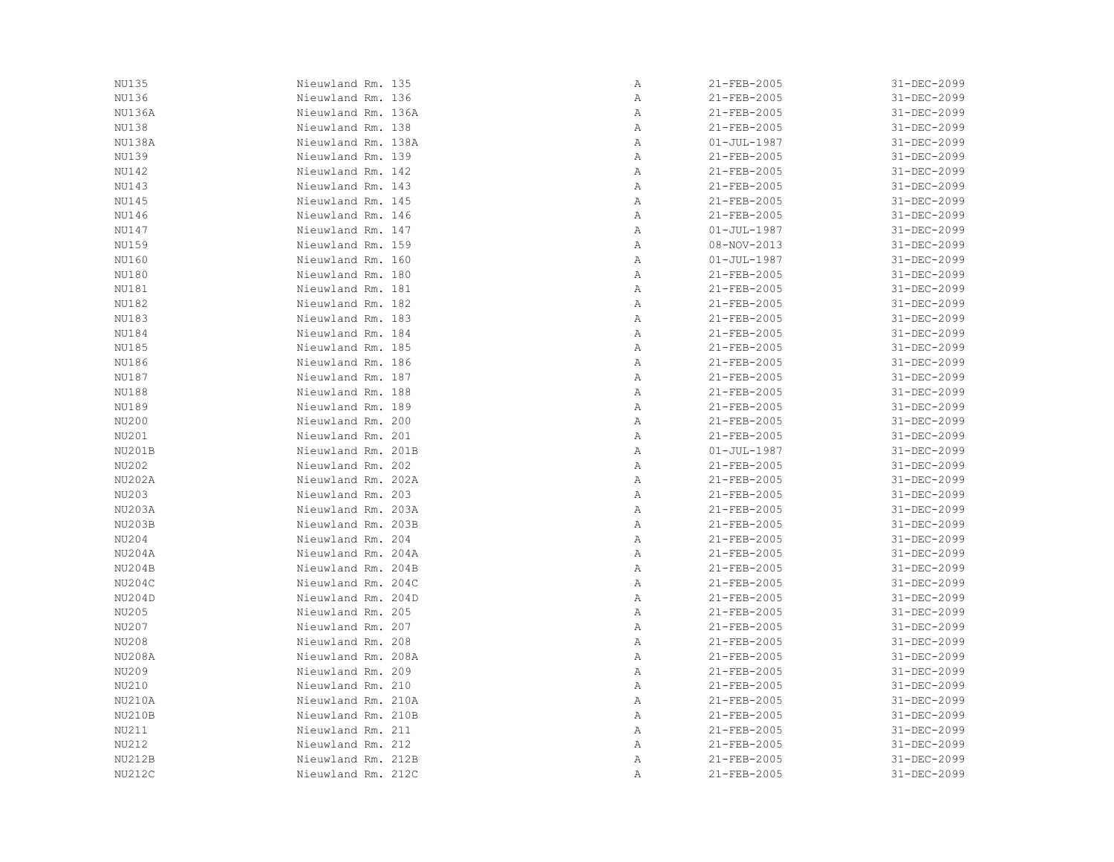| NU135         | Nieuwland Rm. 135  | Α | 21-FEB-2005       | 31-DEC-2099 |
|---------------|--------------------|---|-------------------|-------------|
| NU136         | Nieuwland Rm. 136  | Α | 21-FEB-2005       | 31-DEC-2099 |
| NU136A        | Nieuwland Rm. 136A | Α | 21-FEB-2005       | 31-DEC-2099 |
| NU138         | Nieuwland Rm. 138  | Α | 21-FEB-2005       | 31-DEC-2099 |
| NU138A        | Nieuwland Rm. 138A | Α | $01 - JUL - 1987$ | 31-DEC-2099 |
| <b>NU139</b>  | Nieuwland Rm. 139  | Α | 21-FEB-2005       | 31-DEC-2099 |
| <b>NU142</b>  | Nieuwland Rm. 142  | Α | 21-FEB-2005       | 31-DEC-2099 |
| NU143         | Nieuwland Rm. 143  | Α | 21-FEB-2005       | 31-DEC-2099 |
| NU145         | Nieuwland Rm. 145  | Α | 21-FEB-2005       | 31-DEC-2099 |
| NU146         | Nieuwland Rm. 146  | Α | 21-FEB-2005       | 31-DEC-2099 |
| NU147         | Nieuwland Rm. 147  | Α | $01 - JUL - 1987$ | 31-DEC-2099 |
| NU159         | Nieuwland Rm. 159  | Α | 08-NOV-2013       | 31-DEC-2099 |
| NU160         | Nieuwland Rm. 160  | Α | $01 - JUL - 1987$ | 31-DEC-2099 |
| NU180         | Nieuwland Rm. 180  | Α | 21-FEB-2005       | 31-DEC-2099 |
| NU181         | Nieuwland Rm. 181  | Α | 21-FEB-2005       | 31-DEC-2099 |
| NU182         | Nieuwland Rm. 182  | Α | 21-FEB-2005       | 31-DEC-2099 |
| NU183         | Nieuwland Rm. 183  | Α | 21-FEB-2005       | 31-DEC-2099 |
|               |                    |   |                   |             |
| NU184         | Nieuwland Rm. 184  | Α | 21-FEB-2005       | 31-DEC-2099 |
| NU185         | Nieuwland Rm. 185  | Α | 21-FEB-2005       | 31-DEC-2099 |
| NU186         | Nieuwland Rm. 186  | Α | 21-FEB-2005       | 31-DEC-2099 |
| NU187         | Nieuwland Rm. 187  | Α | 21-FEB-2005       | 31-DEC-2099 |
| NU188         | Nieuwland Rm. 188  | Α | 21-FEB-2005       | 31-DEC-2099 |
| NU189         | Nieuwland Rm. 189  | Α | 21-FEB-2005       | 31-DEC-2099 |
| NU200         | Nieuwland Rm. 200  | Α | 21-FEB-2005       | 31-DEC-2099 |
| NU201         | Nieuwland Rm. 201  | Α | 21-FEB-2005       | 31-DEC-2099 |
| NU201B        | Nieuwland Rm. 201B | Α | $01 - JUL - 1987$ | 31-DEC-2099 |
| NU202         | Nieuwland Rm. 202  | Α | 21-FEB-2005       | 31-DEC-2099 |
| NU202A        | Nieuwland Rm. 202A | Α | 21-FEB-2005       | 31-DEC-2099 |
| NU203         | Nieuwland Rm. 203  | Α | 21-FEB-2005       | 31-DEC-2099 |
| NU203A        | Nieuwland Rm. 203A | Α | 21-FEB-2005       | 31-DEC-2099 |
| NU203B        | Nieuwland Rm. 203B | Α | 21-FEB-2005       | 31-DEC-2099 |
| NU204         | Nieuwland Rm. 204  | Α | 21-FEB-2005       | 31-DEC-2099 |
| NU204A        | Nieuwland Rm. 204A | Α | 21-FEB-2005       | 31-DEC-2099 |
| NU204B        | Nieuwland Rm. 204B | Α | 21-FEB-2005       | 31-DEC-2099 |
| NU204C        | Nieuwland Rm. 204C | Α | 21-FEB-2005       | 31-DEC-2099 |
| NU204D        | Nieuwland Rm. 204D | Α | 21-FEB-2005       | 31-DEC-2099 |
| NU205         | Nieuwland Rm. 205  | Α | 21-FEB-2005       | 31-DEC-2099 |
| NU207         | Nieuwland Rm. 207  | Α | 21-FEB-2005       | 31-DEC-2099 |
| NU208         | Nieuwland Rm. 208  | Α | 21-FEB-2005       | 31-DEC-2099 |
| NU208A        | Nieuwland Rm. 208A | Α | 21-FEB-2005       | 31-DEC-2099 |
| NU209         | Nieuwland Rm. 209  | Α | 21-FEB-2005       | 31-DEC-2099 |
|               | Nieuwland Rm. 210  |   |                   |             |
| NU210         |                    | Α | 21-FEB-2005       | 31-DEC-2099 |
| <b>NU210A</b> | Nieuwland Rm. 210A | Α | 21-FEB-2005       | 31-DEC-2099 |
| NU210B        | Nieuwland Rm. 210B | Α | 21-FEB-2005       | 31-DEC-2099 |
| NU211         | Nieuwland Rm. 211  | Α | 21-FEB-2005       | 31-DEC-2099 |
| NU212         | Nieuwland Rm. 212  | Α | 21-FEB-2005       | 31-DEC-2099 |
| NU212B        | Nieuwland Rm. 212B | Α | 21-FEB-2005       | 31-DEC-2099 |
| NU212C        | Nieuwland Rm. 212C | Α | 21-FEB-2005       | 31-DEC-2099 |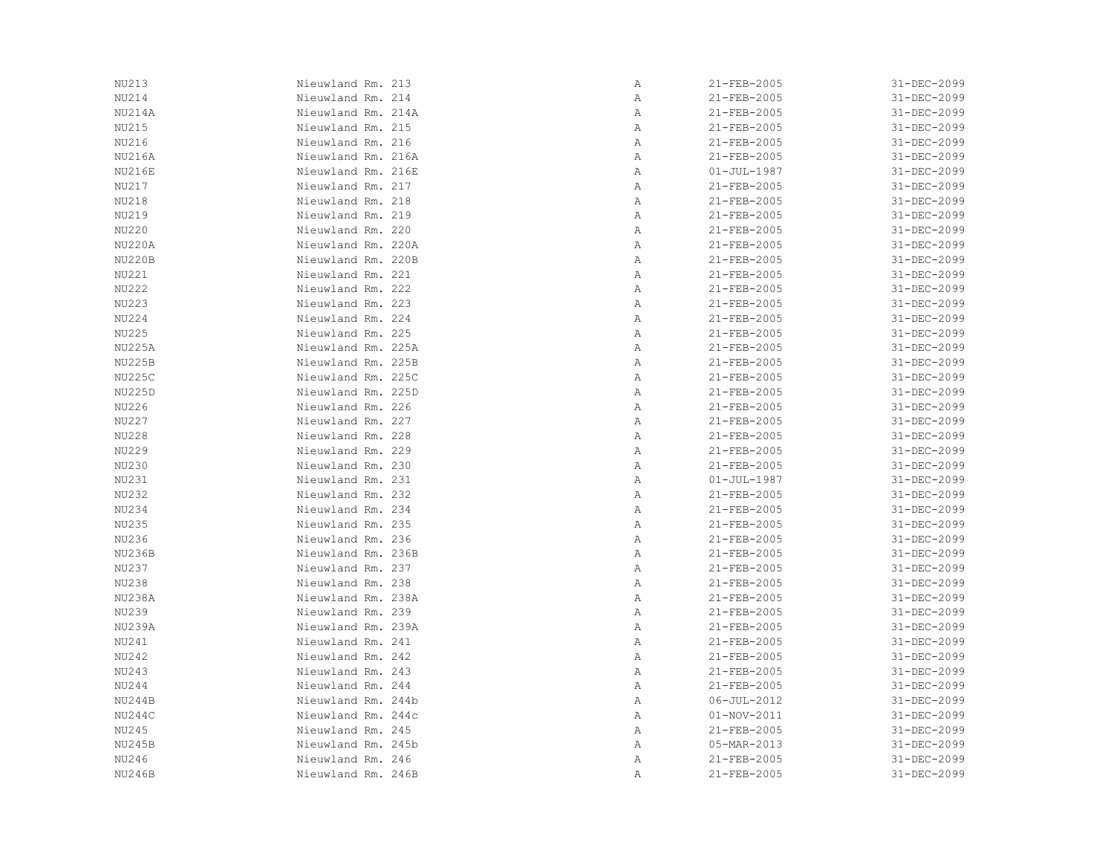| NU213         | Nieuwland Rm. 213  | Α | 21-FEB-2005       | 31-DEC-2099 |
|---------------|--------------------|---|-------------------|-------------|
|               |                    |   |                   |             |
| NU214         | Nieuwland Rm. 214  | Α | 21-FEB-2005       | 31-DEC-2099 |
| NU214A        | Nieuwland Rm. 214A | Α | 21-FEB-2005       | 31-DEC-2099 |
| NU215         | Nieuwland Rm. 215  | Α | 21-FEB-2005       | 31-DEC-2099 |
| NU216         | Nieuwland Rm. 216  | Α | 21-FEB-2005       | 31-DEC-2099 |
| <b>NU216A</b> | Nieuwland Rm. 216A | Α | 21-FEB-2005       | 31-DEC-2099 |
| <b>NU216E</b> | Nieuwland Rm. 216E | Α | $01 - JUL - 1987$ | 31-DEC-2099 |
| NU217         | Nieuwland Rm. 217  | Α | 21-FEB-2005       | 31-DEC-2099 |
| NU218         | Nieuwland Rm. 218  | Α | 21-FEB-2005       | 31-DEC-2099 |
| NU219         | Nieuwland Rm. 219  | Α | 21-FEB-2005       | 31-DEC-2099 |
| NU220         | Nieuwland Rm. 220  | Α | 21-FEB-2005       | 31-DEC-2099 |
| <b>NU220A</b> | Nieuwland Rm. 220A | Α | 21-FEB-2005       | 31-DEC-2099 |
| NU220B        | Nieuwland Rm. 220B | Α | 21-FEB-2005       | 31-DEC-2099 |
| NU221         | Nieuwland Rm. 221  | Α | 21-FEB-2005       | 31-DEC-2099 |
| <b>NU222</b>  | Nieuwland Rm. 222  | Α | 21-FEB-2005       | 31-DEC-2099 |
| NU223         | Nieuwland Rm. 223  | Α | 21-FEB-2005       | 31-DEC-2099 |
| NU224         | Nieuwland Rm. 224  | Α | 21-FEB-2005       | 31-DEC-2099 |
| <b>NU225</b>  | Nieuwland Rm. 225  | Α | 21-FEB-2005       | 31-DEC-2099 |
| <b>NU225A</b> | Nieuwland Rm. 225A | Α | 21-FEB-2005       | 31-DEC-2099 |
| <b>NU225B</b> | Nieuwland Rm. 225B | Α | 21-FEB-2005       | 31-DEC-2099 |
| NU225C        | Nieuwland Rm. 225C | Α | 21-FEB-2005       | 31-DEC-2099 |
| <b>NU225D</b> | Nieuwland Rm. 225D | Α | 21-FEB-2005       | 31-DEC-2099 |
| NU226         | Nieuwland Rm. 226  |   |                   |             |
|               |                    | Α | 21-FEB-2005       | 31-DEC-2099 |
| NU227         | Nieuwland Rm. 227  | Α | 21-FEB-2005       | 31-DEC-2099 |
| NU228         | Nieuwland Rm. 228  | Α | 21-FEB-2005       | 31-DEC-2099 |
| NU229         | Nieuwland Rm. 229  | Α | 21-FEB-2005       | 31-DEC-2099 |
| NU230         | Nieuwland Rm. 230  | Α | 21-FEB-2005       | 31-DEC-2099 |
| NU231         | Nieuwland Rm. 231  | Α | $01 - JUL - 1987$ | 31-DEC-2099 |
| NU232         | Nieuwland Rm. 232  | Α | 21-FEB-2005       | 31-DEC-2099 |
| NU234         | Nieuwland Rm. 234  | Α | 21-FEB-2005       | 31-DEC-2099 |
| NU235         | Nieuwland Rm. 235  | Α | 21-FEB-2005       | 31-DEC-2099 |
| NU236         | Nieuwland Rm. 236  | Α | 21-FEB-2005       | 31-DEC-2099 |
| <b>NU236B</b> | Nieuwland Rm. 236B | Α | 21-FEB-2005       | 31-DEC-2099 |
| NU237         | Nieuwland Rm. 237  | Α | 21-FEB-2005       | 31-DEC-2099 |
| NU238         | Nieuwland Rm. 238  | Α | 21-FEB-2005       | 31-DEC-2099 |
| NU238A        | Nieuwland Rm. 238A | Α | 21-FEB-2005       | 31-DEC-2099 |
| NU239         | Nieuwland Rm. 239  | Α | 21-FEB-2005       | 31-DEC-2099 |
| <b>NU239A</b> | Nieuwland Rm. 239A | Α | 21-FEB-2005       | 31-DEC-2099 |
| NU241         | Nieuwland Rm. 241  | Α | 21-FEB-2005       | 31-DEC-2099 |
| NU242         | Nieuwland Rm. 242  | Α | 21-FEB-2005       | 31-DEC-2099 |
| NU243         | Nieuwland Rm. 243  | Α | 21-FEB-2005       | 31-DEC-2099 |
| NU244         | Nieuwland Rm. 244  | Α | 21-FEB-2005       | 31-DEC-2099 |
| NU244B        | Nieuwland Rm. 244b | Α | 06-JUL-2012       | 31-DEC-2099 |
| NU244C        | Nieuwland Rm. 244c | Α | 01-NOV-2011       | 31-DEC-2099 |
| NU245         | Nieuwland Rm. 245  | Α | 21-FEB-2005       | 31-DEC-2099 |
| <b>NU245B</b> | Nieuwland Rm. 245b | Α | 05-MAR-2013       | 31-DEC-2099 |
| NU246         | Nieuwland Rm. 246  | Α | 21-FEB-2005       | 31-DEC-2099 |
| <b>NU246B</b> | Nieuwland Rm. 246B | Α | 21-FEB-2005       | 31-DEC-2099 |
|               |                    |   |                   |             |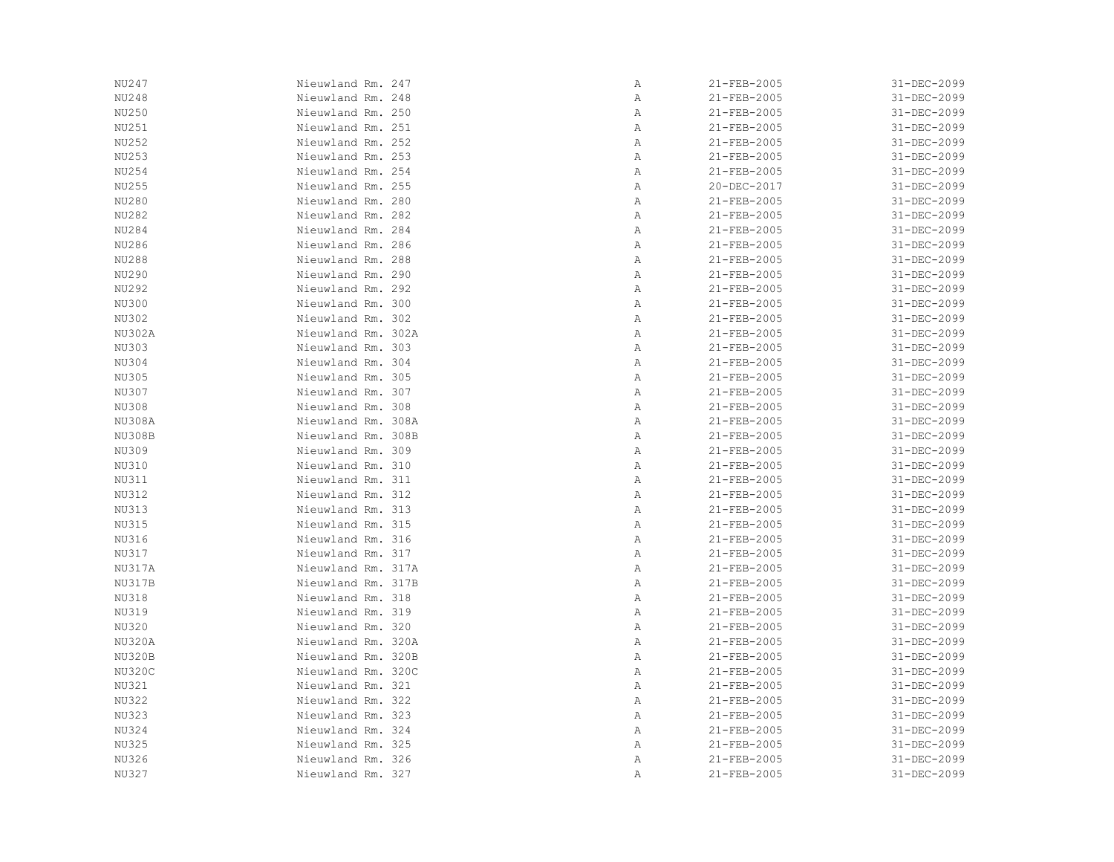| NU247         | Nieuwland Rm. 247  | Α | 21-FEB-2005 | 31-DEC-2099 |
|---------------|--------------------|---|-------------|-------------|
| NU248         | Nieuwland Rm. 248  | Α | 21-FEB-2005 | 31-DEC-2099 |
| NU250         | Nieuwland Rm. 250  | Α | 21-FEB-2005 | 31-DEC-2099 |
| NU251         | Nieuwland Rm. 251  | Α | 21-FEB-2005 | 31-DEC-2099 |
| NU252         | Nieuwland Rm. 252  | Α | 21-FEB-2005 | 31-DEC-2099 |
| NU253         | Nieuwland Rm. 253  | Α | 21-FEB-2005 | 31-DEC-2099 |
| NU254         | Nieuwland Rm. 254  | Α | 21-FEB-2005 | 31-DEC-2099 |
| NU255         | Nieuwland Rm. 255  | Α | 20-DEC-2017 | 31-DEC-2099 |
| NU280         | Nieuwland Rm. 280  | Α | 21-FEB-2005 | 31-DEC-2099 |
| NU282         | Nieuwland Rm. 282  | Α | 21-FEB-2005 | 31-DEC-2099 |
| NU284         | Nieuwland Rm. 284  | Α | 21-FEB-2005 | 31-DEC-2099 |
| NU286         | Nieuwland Rm. 286  | Α | 21-FEB-2005 | 31-DEC-2099 |
| NU288         | Nieuwland Rm. 288  | Α | 21-FEB-2005 | 31-DEC-2099 |
| NU290         | Nieuwland Rm. 290  | Α | 21-FEB-2005 | 31-DEC-2099 |
| NU292         | Nieuwland Rm. 292  | Α | 21-FEB-2005 | 31-DEC-2099 |
| <b>NU300</b>  | Nieuwland Rm. 300  | Α | 21-FEB-2005 | 31-DEC-2099 |
| NU302         | Nieuwland Rm. 302  | Α | 21-FEB-2005 | 31-DEC-2099 |
| NU302A        | Nieuwland Rm. 302A | Α | 21-FEB-2005 | 31-DEC-2099 |
| NU303         | Nieuwland Rm. 303  | Α | 21-FEB-2005 | 31-DEC-2099 |
| NU304         | Nieuwland Rm. 304  | Α | 21-FEB-2005 | 31-DEC-2099 |
| NU305         | Nieuwland Rm. 305  | Α | 21-FEB-2005 | 31-DEC-2099 |
| NU307         | Nieuwland Rm. 307  | Α | 21-FEB-2005 | 31-DEC-2099 |
| NU308         | Nieuwland Rm. 308  | Α | 21-FEB-2005 | 31-DEC-2099 |
| <b>NU308A</b> | Nieuwland Rm. 308A | Α | 21-FEB-2005 | 31-DEC-2099 |
| NU308B        | Nieuwland Rm. 308B | Α | 21-FEB-2005 | 31-DEC-2099 |
| NU309         | Nieuwland Rm. 309  | Α | 21-FEB-2005 | 31-DEC-2099 |
| NU310         | Nieuwland Rm. 310  | Α | 21-FEB-2005 | 31-DEC-2099 |
| NU311         | Nieuwland Rm. 311  | Α | 21-FEB-2005 | 31-DEC-2099 |
| NU312         | Nieuwland Rm. 312  | Α | 21-FEB-2005 | 31-DEC-2099 |
| NU313         | Nieuwland Rm. 313  | Α | 21-FEB-2005 | 31-DEC-2099 |
|               |                    |   |             |             |
| NU315         | Nieuwland Rm. 315  | Α | 21-FEB-2005 | 31-DEC-2099 |
| NU316         | Nieuwland Rm. 316  | Α | 21-FEB-2005 | 31-DEC-2099 |
| NU317         | Nieuwland Rm. 317  | Α | 21-FEB-2005 | 31-DEC-2099 |
| <b>NU317A</b> | Nieuwland Rm. 317A | Α | 21-FEB-2005 | 31-DEC-2099 |
| NU317B        | Nieuwland Rm. 317B | Α | 21-FEB-2005 | 31-DEC-2099 |
| NU318         | Nieuwland Rm. 318  | Α | 21-FEB-2005 | 31-DEC-2099 |
| NU319         | Nieuwland Rm. 319  | Α | 21-FEB-2005 | 31-DEC-2099 |
| NU320         | Nieuwland Rm. 320  | Α | 21-FEB-2005 | 31-DEC-2099 |
| NU320A        | Nieuwland Rm. 320A | Α | 21-FEB-2005 | 31-DEC-2099 |
| NU320B        | Nieuwland Rm. 320B | Α | 21-FEB-2005 | 31-DEC-2099 |
| NU320C        | Nieuwland Rm. 320C | Α | 21-FEB-2005 | 31-DEC-2099 |
| NU321         | Nieuwland Rm. 321  | Α | 21-FEB-2005 | 31-DEC-2099 |
| <b>NU322</b>  | Nieuwland Rm. 322  | Α | 21-FEB-2005 | 31-DEC-2099 |
| <b>NU323</b>  | Nieuwland Rm. 323  | Α | 21-FEB-2005 | 31-DEC-2099 |
| NU324         | Nieuwland Rm. 324  | Α | 21-FEB-2005 | 31-DEC-2099 |
| <b>NU325</b>  | Nieuwland Rm. 325  | Α | 21-FEB-2005 | 31-DEC-2099 |
| NU326         | Nieuwland Rm. 326  | Α | 21-FEB-2005 | 31-DEC-2099 |
| NU327         | Nieuwland Rm. 327  | Α | 21-FEB-2005 | 31-DEC-2099 |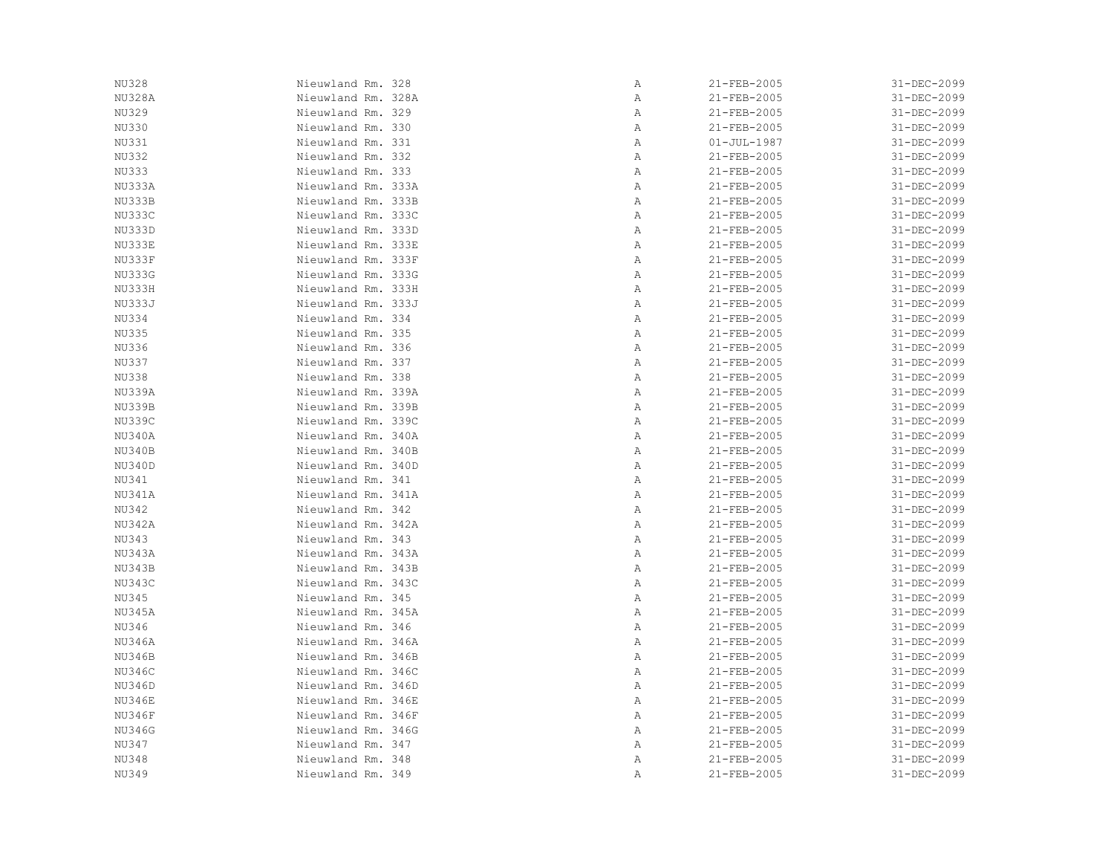| NU328         | Nieuwland Rm. 328  | Α | 21-FEB-2005       | 31-DEC-2099 |
|---------------|--------------------|---|-------------------|-------------|
| <b>NU328A</b> | Nieuwland Rm. 328A | Α | 21-FEB-2005       | 31-DEC-2099 |
| NU329         | Nieuwland Rm. 329  | Α | 21-FEB-2005       | 31-DEC-2099 |
| NU330         | Nieuwland Rm. 330  | Α | 21-FEB-2005       | 31-DEC-2099 |
| NU331         | Nieuwland Rm. 331  | Α | $01 - JUL - 1987$ | 31-DEC-2099 |
| <b>NU332</b>  | Nieuwland Rm. 332  | Α | 21-FEB-2005       | 31-DEC-2099 |
| <b>NU333</b>  | Nieuwland Rm. 333  | Α | 21-FEB-2005       | 31-DEC-2099 |
| NU333A        | Nieuwland Rm. 333A | Α | 21-FEB-2005       | 31-DEC-2099 |
| NU333B        | Nieuwland Rm. 333B | Α | 21-FEB-2005       | 31-DEC-2099 |
| NU333C        | Nieuwland Rm. 333C | Α | 21-FEB-2005       | 31-DEC-2099 |
| NU333D        | Nieuwland Rm. 333D | Α | 21-FEB-2005       | 31-DEC-2099 |
| NU333E        | Nieuwland Rm. 333E | Α | 21-FEB-2005       | 31-DEC-2099 |
| NU333F        | Nieuwland Rm. 333F | Α | 21-FEB-2005       | 31-DEC-2099 |
| NU333G        | Nieuwland Rm. 333G | Α | 21-FEB-2005       | 31-DEC-2099 |
| NU333H        | Nieuwland Rm. 333H | Α | 21-FEB-2005       | 31-DEC-2099 |
| NU333J        | Nieuwland Rm. 333J | Α | 21-FEB-2005       | 31-DEC-2099 |
| NU334         | Nieuwland Rm. 334  | Α | 21-FEB-2005       | 31-DEC-2099 |
| <b>NU335</b>  | Nieuwland Rm. 335  | Α | 21-FEB-2005       | 31-DEC-2099 |
| NU336         | Nieuwland Rm. 336  | Α | 21-FEB-2005       | 31-DEC-2099 |
| <b>NU337</b>  | Nieuwland Rm. 337  | Α | 21-FEB-2005       | 31-DEC-2099 |
| NU338         | Nieuwland Rm. 338  | Α | 21-FEB-2005       | 31-DEC-2099 |
| NU339A        | Nieuwland Rm. 339A | Α | 21-FEB-2005       | 31-DEC-2099 |
| NU339B        | Nieuwland Rm. 339B | Α | 21-FEB-2005       | 31-DEC-2099 |
| <b>NU339C</b> | Nieuwland Rm. 339C | Α | 21-FEB-2005       | 31-DEC-2099 |
| NU340A        | Nieuwland Rm. 340A | Α | 21-FEB-2005       | 31-DEC-2099 |
| NU340B        | Nieuwland Rm. 340B |   |                   | 31-DEC-2099 |
| NU340D        |                    | Α | 21-FEB-2005       | 31-DEC-2099 |
|               | Nieuwland Rm. 340D | Α | 21-FEB-2005       |             |
| NU341         | Nieuwland Rm. 341  | Α | 21-FEB-2005       | 31-DEC-2099 |
| NU341A        | Nieuwland Rm. 341A | Α | 21-FEB-2005       | 31-DEC-2099 |
| NU342         | Nieuwland Rm. 342  | Α | 21-FEB-2005       | 31-DEC-2099 |
| NU342A        | Nieuwland Rm. 342A | Α | 21-FEB-2005       | 31-DEC-2099 |
| NU343         | Nieuwland Rm. 343  | Α | 21-FEB-2005       | 31-DEC-2099 |
| NU343A        | Nieuwland Rm. 343A | Α | 21-FEB-2005       | 31-DEC-2099 |
| NU343B        | Nieuwland Rm. 343B | Α | 21-FEB-2005       | 31-DEC-2099 |
| NU343C        | Nieuwland Rm. 343C | Α | 21-FEB-2005       | 31-DEC-2099 |
| NU345         | Nieuwland Rm. 345  | Α | 21-FEB-2005       | 31-DEC-2099 |
| NU345A        | Nieuwland Rm. 345A | Α | 21-FEB-2005       | 31-DEC-2099 |
| NU346         | Nieuwland Rm. 346  | Α | 21-FEB-2005       | 31-DEC-2099 |
| NU346A        | Nieuwland Rm. 346A | Α | 21-FEB-2005       | 31-DEC-2099 |
| NU346B        | Nieuwland Rm. 346B | Α | 21-FEB-2005       | 31-DEC-2099 |
| NU346C        | Nieuwland Rm. 346C | Α | 21-FEB-2005       | 31-DEC-2099 |
| NU346D        | Nieuwland Rm. 346D | Α | 21-FEB-2005       | 31-DEC-2099 |
| <b>NU346E</b> | Nieuwland Rm. 346E | Α | 21-FEB-2005       | 31-DEC-2099 |
| NU346F        | Nieuwland Rm. 346F | Α | 21-FEB-2005       | 31-DEC-2099 |
| <b>NU346G</b> | Nieuwland Rm. 346G | Α | 21-FEB-2005       | 31-DEC-2099 |
| NU347         | Nieuwland Rm. 347  | Α | 21-FEB-2005       | 31-DEC-2099 |
| NU348         | Nieuwland Rm. 348  | Α | 21-FEB-2005       | 31-DEC-2099 |
| NU349         | Nieuwland Rm. 349  | Α | 21-FEB-2005       | 31-DEC-2099 |
|               |                    |   |                   |             |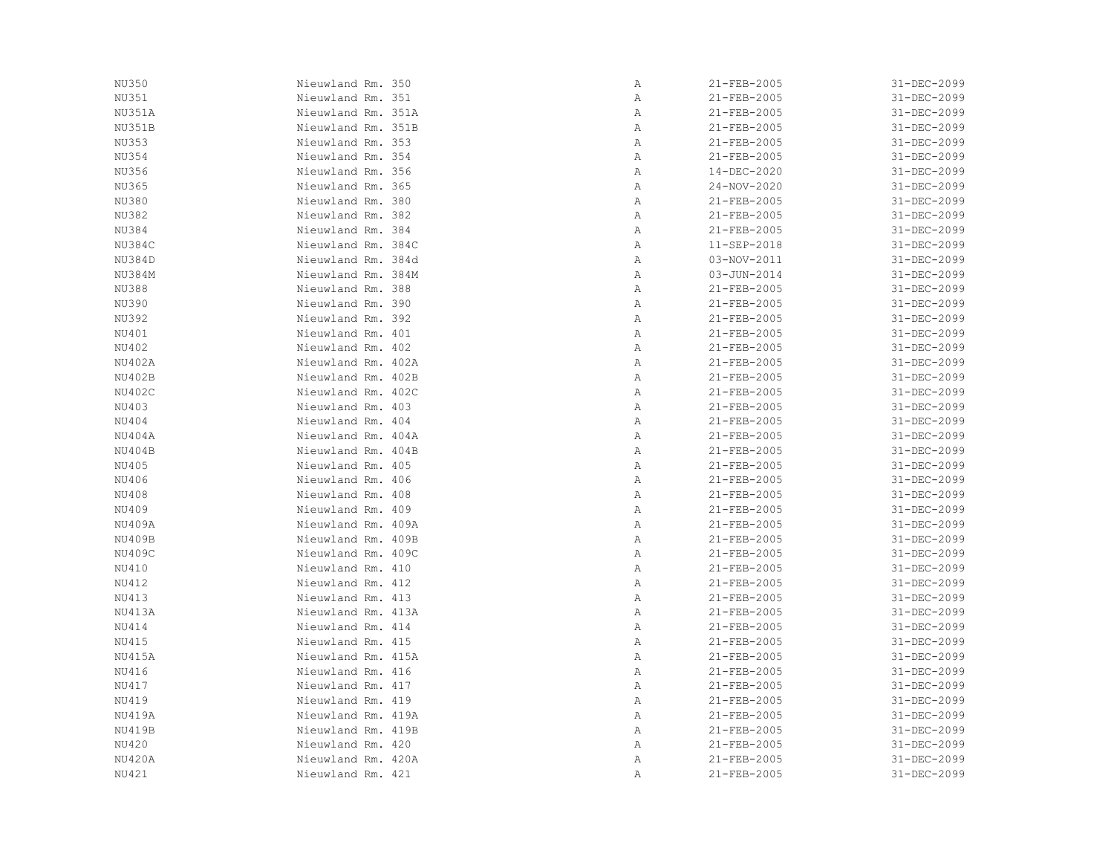| NU350         | Nieuwland Rm. 350  | $\mathbb A$ | 21-FEB-2005       | 31-DEC-2099 |
|---------------|--------------------|-------------|-------------------|-------------|
| NU351         | Nieuwland Rm. 351  | Α           | 21-FEB-2005       | 31-DEC-2099 |
| NU351A        | Nieuwland Rm. 351A | Α           | 21-FEB-2005       | 31-DEC-2099 |
| NU351B        | Nieuwland Rm. 351B | Α           | 21-FEB-2005       | 31-DEC-2099 |
| NU353         | Nieuwland Rm. 353  | Α           | 21-FEB-2005       | 31-DEC-2099 |
| NU354         | Nieuwland Rm. 354  | Α           | 21-FEB-2005       | 31-DEC-2099 |
| NU356         | Nieuwland Rm. 356  | Α           | 14-DEC-2020       | 31-DEC-2099 |
| NU365         | Nieuwland Rm. 365  | Α           | $24 - NOV - 2020$ | 31-DEC-2099 |
| NU380         | Nieuwland Rm. 380  | Α           | 21-FEB-2005       | 31-DEC-2099 |
| NU382         | Nieuwland Rm. 382  | Α           | 21-FEB-2005       | 31-DEC-2099 |
| NU384         | Nieuwland Rm. 384  | Α           | 21-FEB-2005       | 31-DEC-2099 |
| NU384C        | Nieuwland Rm. 384C | Α           | 11-SEP-2018       | 31-DEC-2099 |
| NU384D        | Nieuwland Rm. 384d |             | 03-NOV-2011       | 31-DEC-2099 |
|               |                    | Α           |                   |             |
| NU384M        | Nieuwland Rm. 384M | Α           | $03 - JUN - 2014$ | 31-DEC-2099 |
| NU388         | Nieuwland Rm. 388  | Α           | 21-FEB-2005       | 31-DEC-2099 |
| NU390         | Nieuwland Rm. 390  | Α           | 21-FEB-2005       | 31-DEC-2099 |
| <b>NU392</b>  | Nieuwland Rm. 392  | Α           | 21-FEB-2005       | 31-DEC-2099 |
| NU401         | Nieuwland Rm. 401  | Α           | 21-FEB-2005       | 31-DEC-2099 |
| NU402         | Nieuwland Rm. 402  | Α           | 21-FEB-2005       | 31-DEC-2099 |
| NU402A        | Nieuwland Rm. 402A | Α           | 21-FEB-2005       | 31-DEC-2099 |
| NU402B        | Nieuwland Rm. 402B | Α           | 21-FEB-2005       | 31-DEC-2099 |
| NU402C        | Nieuwland Rm. 402C | Α           | 21-FEB-2005       | 31-DEC-2099 |
| NU403         | Nieuwland Rm. 403  | Α           | 21-FEB-2005       | 31-DEC-2099 |
| NU404         | Nieuwland Rm. 404  | Α           | 21-FEB-2005       | 31-DEC-2099 |
| NU404A        | Nieuwland Rm. 404A | Α           | 21-FEB-2005       | 31-DEC-2099 |
| NU404B        | Nieuwland Rm. 404B | Α           | 21-FEB-2005       | 31-DEC-2099 |
| NU405         | Nieuwland Rm. 405  | Α           | 21-FEB-2005       | 31-DEC-2099 |
| NU406         | Nieuwland Rm. 406  | Α           | 21-FEB-2005       | 31-DEC-2099 |
| NU408         | Nieuwland Rm. 408  | Α           | 21-FEB-2005       | 31-DEC-2099 |
| NU409         | Nieuwland Rm. 409  | Α           | 21-FEB-2005       | 31-DEC-2099 |
| <b>NU409A</b> | Nieuwland Rm. 409A | Α           | 21-FEB-2005       | 31-DEC-2099 |
| NU409B        | Nieuwland Rm. 409B | Α           | 21-FEB-2005       | 31-DEC-2099 |
| NU409C        | Nieuwland Rm. 409C | Α           | 21-FEB-2005       | 31-DEC-2099 |
| NU410         | Nieuwland Rm. 410  | Α           | 21-FEB-2005       | 31-DEC-2099 |
| NU412         | Nieuwland Rm. 412  | Α           | 21-FEB-2005       | 31-DEC-2099 |
| NU413         | Nieuwland Rm. 413  | Α           | 21-FEB-2005       | 31-DEC-2099 |
| NU413A        | Nieuwland Rm. 413A | Α           | 21-FEB-2005       | 31-DEC-2099 |
| NU414         | Nieuwland Rm. 414  | Α           | 21-FEB-2005       | 31-DEC-2099 |
| NU415         | Nieuwland Rm. 415  | Α           | 21-FEB-2005       | 31-DEC-2099 |
| NU415A        | Nieuwland Rm. 415A | Α           | 21-FEB-2005       | 31-DEC-2099 |
| NU416         | Nieuwland Rm. 416  | Α           | 21-FEB-2005       | 31-DEC-2099 |
| NU417         | Nieuwland Rm. 417  | Α           | 21-FEB-2005       | 31-DEC-2099 |
| NU419         | Nieuwland Rm. 419  | Α           | 21-FEB-2005       | 31-DEC-2099 |
| <b>NU419A</b> | Nieuwland Rm. 419A | Α           | 21-FEB-2005       | 31-DEC-2099 |
| NU419B        | Nieuwland Rm. 419B | Α           | 21-FEB-2005       | 31-DEC-2099 |
| NU420         | Nieuwland Rm. 420  | Α           | 21-FEB-2005       | 31-DEC-2099 |
| NU420A        | Nieuwland Rm. 420A | Α           | 21-FEB-2005       | 31-DEC-2099 |
| NU421         | Nieuwland Rm. 421  | Α           | 21-FEB-2005       | 31-DEC-2099 |
|               |                    |             |                   |             |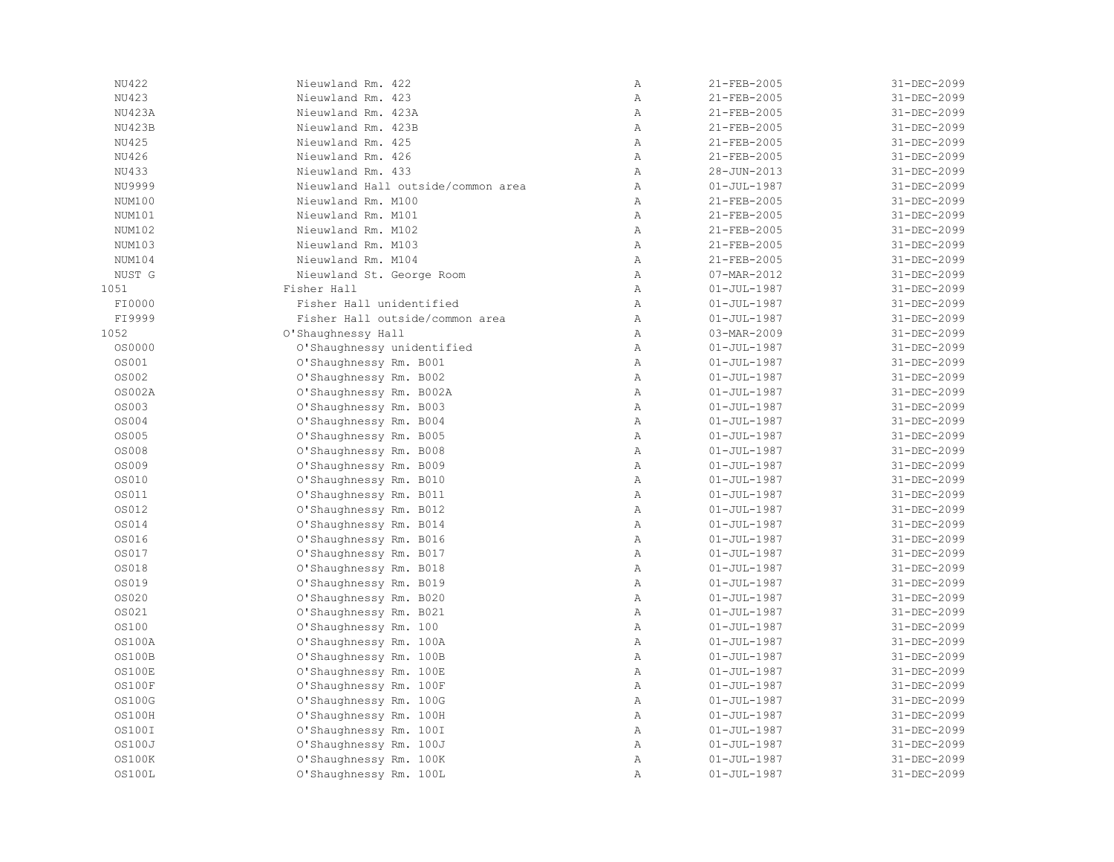| NU422         | Nieuwland Rm. 422                  | Α            | 21-FEB-2005       | 31-DEC-2099 |
|---------------|------------------------------------|--------------|-------------------|-------------|
| NU423         | Nieuwland Rm. 423                  | Α            | 21-FEB-2005       | 31-DEC-2099 |
| <b>NU423A</b> | Nieuwland Rm. 423A                 | $\mathbb{A}$ | 21-FEB-2005       | 31-DEC-2099 |
| NU423B        | Nieuwland Rm. 423B                 | $\mathbb{A}$ | 21-FEB-2005       | 31-DEC-2099 |
| NU425         | Nieuwland Rm. 425                  | $\mathbb{A}$ | 21-FEB-2005       | 31-DEC-2099 |
| NU426         | Nieuwland Rm. 426                  | $\mathbb{A}$ | 21-FEB-2005       | 31-DEC-2099 |
| NU433         | Nieuwland Rm. 433                  | $\mathbb{A}$ | 28-JUN-2013       | 31-DEC-2099 |
| NU9999        | Nieuwland Hall outside/common area | $\mathbb{A}$ | $01 - JUL - 1987$ | 31-DEC-2099 |
| NUM100        | Nieuwland Rm. M100                 | $\mathbb{A}$ | 21-FEB-2005       | 31-DEC-2099 |
| NUM101        | Nieuwland Rm. M101                 | Α            | 21-FEB-2005       | 31-DEC-2099 |
| NUM102        | Nieuwland Rm. M102                 | $\mathbb{A}$ | 21-FEB-2005       | 31-DEC-2099 |
| NUM103        | Nieuwland Rm. M103                 | $\mathbb{A}$ | 21-FEB-2005       | 31-DEC-2099 |
| NUM104        | Nieuwland Rm. M104                 | $\mathbb{A}$ | 21-FEB-2005       | 31-DEC-2099 |
| NUST G        | Nieuwland St. George Room          | $\mathbb{A}$ | 07-MAR-2012       | 31-DEC-2099 |
| 1051          | Fisher Hall                        | $\, {\bf A}$ | $01 - JUL - 1987$ | 31-DEC-2099 |
| FI0000        | Fisher Hall unidentified           | Α            | $01 - JUL - 1987$ | 31-DEC-2099 |
| FI9999        | Fisher Hall outside/common area    | Α            | $01 - JUL - 1987$ | 31-DEC-2099 |
| 1052          | O'Shaughnessy Hall                 | Α            | 03-MAR-2009       | 31-DEC-2099 |
| OS0000        | O'Shaughnessy unidentified         | $\mathbb{A}$ | $01 - JUL - 1987$ | 31-DEC-2099 |
| OS001         | O'Shaughnessy Rm. B001             | $\mathbb{A}$ | $01 - JUL - 1987$ | 31-DEC-2099 |
| <b>OS002</b>  | O'Shaughnessy Rm. B002             | $\mathbb{A}$ | $01 - JUL - 1987$ | 31-DEC-2099 |
| <b>OS002A</b> | O'Shaughnessy Rm. B002A            | $\, {\bf A}$ | $01 - JUL - 1987$ | 31-DEC-2099 |
| <b>OS003</b>  | O'Shaughnessy Rm. B003             | Α            | $01 - JUL - 1987$ | 31-DEC-2099 |
| <b>OS004</b>  | O'Shaughnessy Rm. B004             | Α            | $01 - JUL - 1987$ | 31-DEC-2099 |
| <b>OS005</b>  | O'Shaughnessy Rm. B005             | $\mathbb{A}$ | $01 - JUL - 1987$ | 31-DEC-2099 |
| <b>OS008</b>  | O'Shaughnessy Rm. B008             | $\, {\bf A}$ | $01 - JUL - 1987$ | 31-DEC-2099 |
| OS009         | O'Shaughnessy Rm. B009             | $\mathbb{A}$ | $01 - JUL - 1987$ | 31-DEC-2099 |
| OS010         | O'Shaughnessy Rm. B010             | $\mathbb{A}$ | $01 - JUL - 1987$ | 31-DEC-2099 |
| <b>OS011</b>  | O'Shaughnessy Rm. B011             | $\mathbb{A}$ | $01 - JUL - 1987$ | 31-DEC-2099 |
| <b>OS012</b>  | O'Shaughnessy Rm. B012             | $\mathbb{A}$ | $01 - JUL - 1987$ | 31-DEC-2099 |
| <b>OS014</b>  | O'Shaughnessy Rm. B014             | $\, {\bf A}$ | $01 - JUL - 1987$ | 31-DEC-2099 |
| OS016         | O'Shaughnessy Rm. B016             | $\mathbb{A}$ | $01 - JUL - 1987$ | 31-DEC-2099 |
| <b>OS017</b>  | O'Shaughnessy Rm. B017             | $\, {\bf A}$ | $01 - JUL - 1987$ | 31-DEC-2099 |
| OS018         | O'Shaughnessy Rm. B018             | Α            | $01 - JUL - 1987$ | 31-DEC-2099 |
| OS019         | O'Shaughnessy Rm. B019             | $\mathbb{A}$ | $01 - JUL - 1987$ | 31-DEC-2099 |
| OS020         | O'Shaughnessy Rm. B020             | $\mathbb{A}$ | $01 - JUL - 1987$ | 31-DEC-2099 |
| <b>0S021</b>  | O'Shaughnessy Rm. B021             | $\mathbb{A}$ | $01 - JUL - 1987$ | 31-DEC-2099 |
| <b>OS100</b>  | O'Shaughnessy Rm. 100              | $\mathbb{A}$ | $01 - JUL - 1987$ | 31-DEC-2099 |
| 0S100A        | O'Shaughnessy Rm. 100A             | $\mathbb{A}$ | $01 - JUL - 1987$ | 31-DEC-2099 |
| <b>OS100B</b> | O'Shaughnessy Rm. 100B             | Α            | $01 - JUL - 1987$ | 31-DEC-2099 |
| OS100E        | O'Shaughnessy Rm. 100E             | $\, {\bf A}$ | $01 - JUL - 1987$ | 31-DEC-2099 |
| OS100F        | O'Shaughnessy Rm. 100F             | $\mathbb{A}$ | $01 - JUL - 1987$ | 31-DEC-2099 |
| <b>OS100G</b> | O'Shaughnessy Rm. 100G             | $\mathbb{A}$ | $01 - JUL - 1987$ | 31-DEC-2099 |
| OS100H        | O'Shaughnessy Rm. 100H             | $\mathbb{A}$ | $01 - JUL - 1987$ | 31-DEC-2099 |
| OS100I        | O'Shaughnessy Rm. 100I             | $\mathbb{A}$ | $01 - JUL - 1987$ | 31-DEC-2099 |
| <b>OS100J</b> | O'Shaughnessy Rm. 100J             | $\mathbb{A}$ | $01 - JUL - 1987$ | 31-DEC-2099 |
| <b>OS100K</b> | O'Shaughnessy Rm. 100K             | Α            | $01 - JUL - 1987$ | 31-DEC-2099 |
| OS100L        | O'Shaughnessy Rm. 100L             | Α            | $01 - JUL - 1987$ | 31-DEC-2099 |
|               |                                    |              |                   |             |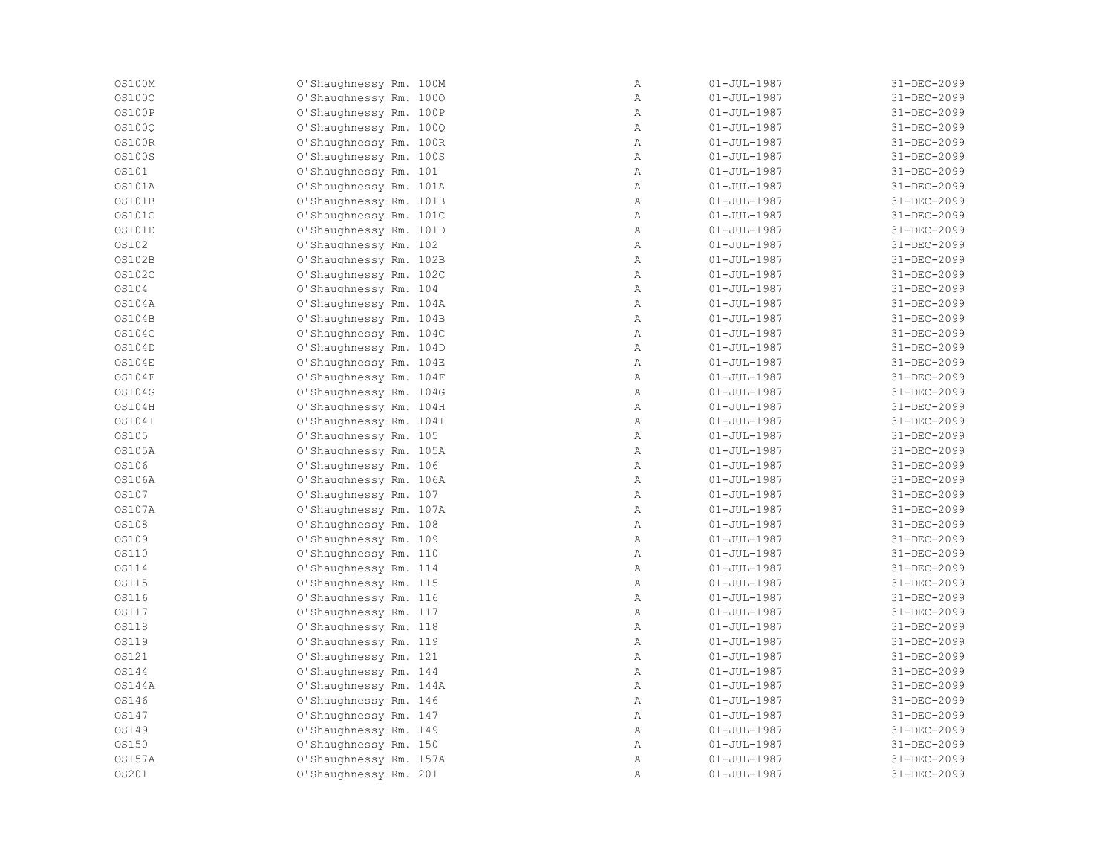| OS100M        | O'Shaughnessy Rm. 100M | $\, {\bf A}$ | $01 - JUL - 1987$ | 31-DEC-2099 |
|---------------|------------------------|--------------|-------------------|-------------|
| <b>0S1000</b> | O'Shaughnessy Rm. 1000 | Α            | $01 - JUL - 1987$ | 31-DEC-2099 |
| OS100P        | O'Shaughnessy Rm. 100P | Α            | $01 - JUL - 1987$ | 31-DEC-2099 |
| <b>OS100Q</b> | O'Shaughnessy Rm. 100Q | Α            | $01 - JUL - 1987$ | 31-DEC-2099 |
| 0S100R        | O'Shaughnessy Rm. 100R | $\mathbb{A}$ | $01 - JUL - 1987$ | 31-DEC-2099 |
| <b>OS100S</b> | O'Shaughnessy Rm. 100S | Α            | $01 - JUL - 1987$ | 31-DEC-2099 |
| <b>OS101</b>  | O'Shaughnessy Rm. 101  | $\mathbb{A}$ | $01 - JUL - 1987$ | 31-DEC-2099 |
| 0S101A        | O'Shaughnessy Rm. 101A | $\, {\bf A}$ | $01 - JUL - 1987$ | 31-DEC-2099 |
| <b>OS101B</b> | O'Shaughnessy Rm. 101B | Α            | $01 - JUL - 1987$ | 31-DEC-2099 |
| <b>OS101C</b> | O'Shaughnessy Rm. 101C | Α            | $01 - JUL - 1987$ | 31-DEC-2099 |
| OS101D        | O'Shaughnessy Rm. 101D | Α            | $01 - JUL - 1987$ | 31-DEC-2099 |
| <b>OS102</b>  | O'Shaughnessy Rm. 102  | $\mathbb{A}$ | $01 - JUL - 1987$ | 31-DEC-2099 |
| <b>OS102B</b> | O'Shaughnessy Rm. 102B | Α            | $01 - JUL - 1987$ | 31-DEC-2099 |
| <b>OS102C</b> | O'Shaughnessy Rm. 102C | $\mathbb{A}$ | $01 - JUL - 1987$ | 31-DEC-2099 |
| OS104         | O'Shaughnessy Rm. 104  | $\mathbb{A}$ | $01 - JUL - 1987$ | 31-DEC-2099 |
| 0S104A        | O'Shaughnessy Rm. 104A | $\mathbb{A}$ | $01 - JUL - 1987$ | 31-DEC-2099 |
| OS104B        | O'Shaughnessy Rm. 104B | $\, {\bf A}$ | $01 - JUL - 1987$ | 31-DEC-2099 |
| <b>OS104C</b> | O'Shaughnessy Rm. 104C | Α            | $01 - JUL - 1987$ | 31-DEC-2099 |
| OS104D        | O'Shaughnessy Rm. 104D | $\mathbb{A}$ | $01 - JUL - 1987$ | 31-DEC-2099 |
| OS104E        | O'Shaughnessy Rm. 104E | Α            | $01 - JUL - 1987$ | 31-DEC-2099 |
| OS104F        | O'Shaughnessy Rm. 104F | Α            | $01 - JUL - 1987$ | 31-DEC-2099 |
| <b>0S104G</b> | O'Shaughnessy Rm. 104G | Α            | $01 - JUL - 1987$ | 31-DEC-2099 |
| <b>OS104H</b> | O'Shaughnessy Rm. 104H | $\mathbb{A}$ | $01 - JUL - 1987$ | 31-DEC-2099 |
| OS104I        | O'Shaughnessy Rm. 104I | $\mathbb{A}$ | $01 - JUL - 1987$ | 31-DEC-2099 |
| OS105         | O'Shaughnessy Rm. 105  | $\mathbb{A}$ | $01 - JUL - 1987$ | 31-DEC-2099 |
| 0S105A        | O'Shaughnessy Rm. 105A | Α            | $01 - JUL - 1987$ | 31-DEC-2099 |
| <b>OS106</b>  | O'Shaughnessy Rm. 106  | Α            | $01 - JUL - 1987$ | 31-DEC-2099 |
| OS106A        | O'Shaughnessy Rm. 106A | $\mathbb{A}$ | $01 - JUL - 1987$ | 31-DEC-2099 |
| OS107         | O'Shaughnessy Rm. 107  | Α            | $01 - JUL - 1987$ | 31-DEC-2099 |
| <b>OS107A</b> | O'Shaughnessy Rm. 107A | Α            | $01 - JUL - 1987$ | 31-DEC-2099 |
| <b>OS108</b>  | O'Shaughnessy Rm. 108  | Α            | $01 - JUL - 1987$ | 31-DEC-2099 |
| OS109         | O'Shaughnessy Rm. 109  | $\mathbb{A}$ | $01 - JUL - 1987$ | 31-DEC-2099 |
| OS110         | O'Shaughnessy Rm. 110  | $\mathbb{A}$ | $01 - JUL - 1987$ | 31-DEC-2099 |
| OS114         | O'Shaughnessy Rm. 114  | Α            | $01 - JUL - 1987$ | 31-DEC-2099 |
| <b>OS115</b>  | O'Shaughnessy Rm. 115  | Α            | $01 - JUL - 1987$ | 31-DEC-2099 |
| <b>OS116</b>  | O'Shaughnessy Rm. 116  | Α            | $01 - JUL - 1987$ | 31-DEC-2099 |
| <b>0S117</b>  | O'Shaughnessy Rm. 117  | $\mathbb{A}$ | $01 - JUL - 1987$ | 31-DEC-2099 |
| <b>OS118</b>  | O'Shaughnessy Rm. 118  | $\mathbb{A}$ | $01 - JUL - 1987$ | 31-DEC-2099 |
| <b>OS119</b>  | O'Shaughnessy Rm. 119  | Α            | $01 - JUL - 1987$ | 31-DEC-2099 |
| <b>OS121</b>  | O'Shaughnessy Rm. 121  | Α            | $01 - JUL - 1987$ | 31-DEC-2099 |
| OS144         | O'Shaughnessy Rm. 144  | Α            | $01 - JUL - 1987$ | 31-DEC-2099 |
| OS144A        | O'Shaughnessy Rm. 144A | $\mathbb{A}$ | $01 - JUL - 1987$ | 31-DEC-2099 |
| OS146         | O'Shaughnessy Rm. 146  | Α            | $01 - JUL - 1987$ | 31-DEC-2099 |
| OS147         | O'Shaughnessy Rm. 147  | Α            | $01 - JUL - 1987$ | 31-DEC-2099 |
| <b>0S149</b>  | O'Shaughnessy Rm. 149  | $\mathbb{A}$ | $01 - JUL - 1987$ | 31-DEC-2099 |
| <b>0S150</b>  | O'Shaughnessy Rm. 150  | $\mathbb{A}$ | $01 - JUL - 1987$ | 31-DEC-2099 |
| <b>OS157A</b> | O'Shaughnessy Rm. 157A | Α            | $01 - JUL - 1987$ | 31-DEC-2099 |
| <b>0S201</b>  | O'Shaughnessy Rm. 201  | Α            | $01 - JUL - 1987$ | 31-DEC-2099 |
|               |                        |              |                   |             |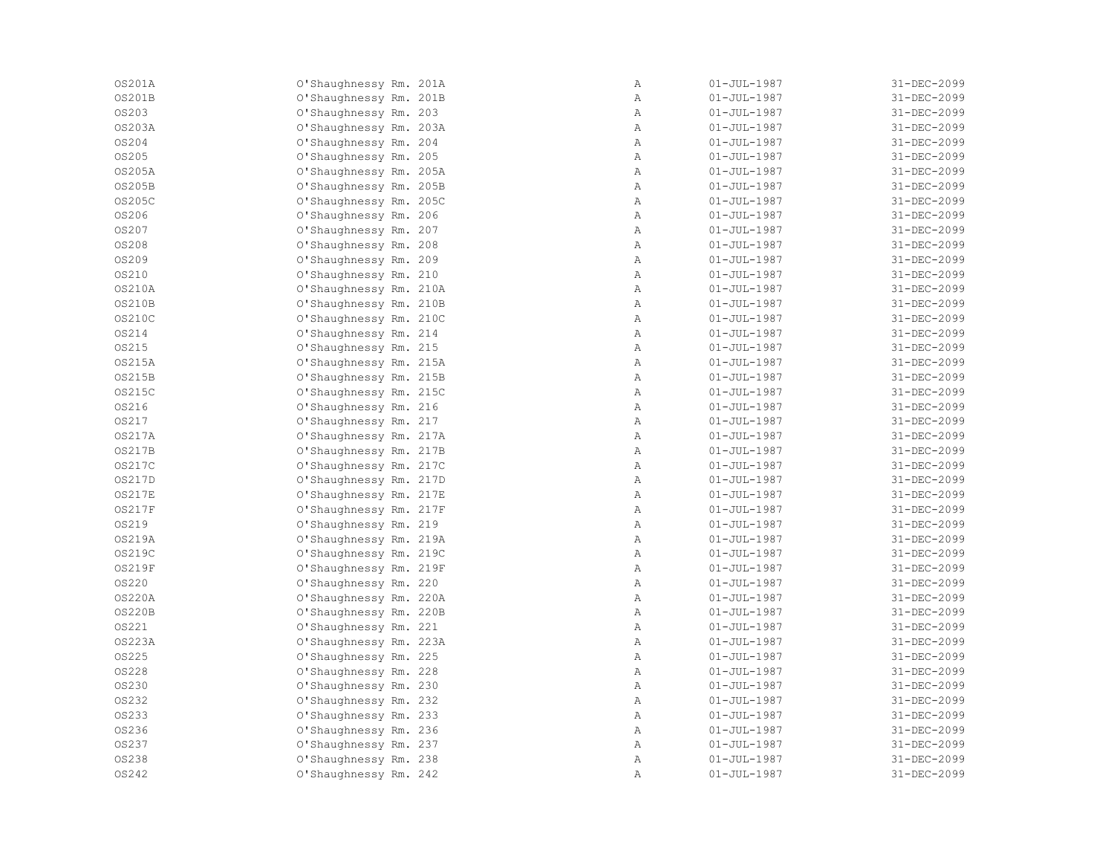| 0S201A        | O'Shaughnessy Rm. 201A | Α            | $01 - JUL - 1987$ | 31-DEC-2099 |
|---------------|------------------------|--------------|-------------------|-------------|
| <b>OS201B</b> | O'Shaughnessy Rm. 201B | Α            | $01 - JUL - 1987$ | 31-DEC-2099 |
| <b>0S203</b>  | O'Shaughnessy Rm. 203  | Α            | $01 - JUL - 1987$ | 31-DEC-2099 |
| 0S203A        | O'Shaughnessy Rm. 203A | Α            | $01 - JUL - 1987$ | 31-DEC-2099 |
| <b>0S204</b>  | O'Shaughnessy Rm. 204  | $\mathbb{A}$ | $01 - JUL - 1987$ | 31-DEC-2099 |
| <b>0S205</b>  | O'Shaughnessy Rm. 205  | $\mathbb{A}$ | $01 - JUL - 1987$ | 31-DEC-2099 |
| 0S205A        | O'Shaughnessy Rm. 205A | $\mathbb{A}$ | $01 - JUL - 1987$ | 31-DEC-2099 |
| OS205B        | O'Shaughnessy Rm. 205B | $\, {\bf A}$ | $01 - JUL - 1987$ | 31-DEC-2099 |
| 0S205C        | O'Shaughnessy Rm. 205C | Α            | $01 - JUL - 1987$ | 31-DEC-2099 |
| OS206         | O'Shaughnessy Rm. 206  | Α            | $01 - JUL - 1987$ | 31-DEC-2099 |
| OS207         | O'Shaughnessy Rm. 207  | Α            | $01 - JUL - 1987$ | 31-DEC-2099 |
| <b>0S208</b>  | O'Shaughnessy Rm. 208  | $\mathbb{A}$ | $01 - JUL - 1987$ | 31-DEC-2099 |
| <b>0S209</b>  | O'Shaughnessy Rm. 209  | Α            | $01 - JUL - 1987$ | 31-DEC-2099 |
| <b>0S210</b>  | O'Shaughnessy Rm. 210  | $\mathbb{A}$ | $01 - JUL - 1987$ | 31-DEC-2099 |
| <b>OS210A</b> | O'Shaughnessy Rm. 210A | $\mathbb{A}$ | $01 - JUL - 1987$ | 31-DEC-2099 |
| <b>OS210B</b> | O'Shaughnessy Rm. 210B | $\mathbb{A}$ | $01 - JUL - 1987$ | 31-DEC-2099 |
| 0S210C        | O'Shaughnessy Rm. 210C | $\, {\bf A}$ | $01 - JUL - 1987$ | 31-DEC-2099 |
| <b>0S214</b>  | O'Shaughnessy Rm. 214  | Α            | $01 - JUL - 1987$ | 31-DEC-2099 |
| <b>0S215</b>  | O'Shaughnessy Rm. 215  | $\mathbb{A}$ | $01 - JUL - 1987$ | 31-DEC-2099 |
| 0S215A        | O'Shaughnessy Rm. 215A | $\mathbb{A}$ | $01 - JUL - 1987$ | 31-DEC-2099 |
| OS215B        | O'Shaughnessy Rm. 215B | Α            | $01 - JUL - 1987$ | 31-DEC-2099 |
| 0S215C        | O'Shaughnessy Rm. 215C | Α            | $01 - JUL - 1987$ | 31-DEC-2099 |
| OS216         | O'Shaughnessy Rm. 216  | $\mathbb{A}$ | $01 - JUL - 1987$ | 31-DEC-2099 |
| OS217         | O'Shaughnessy Rm. 217  | $\mathbb{A}$ | $01 - JUL - 1987$ | 31-DEC-2099 |
| 0S217A        | O'Shaughnessy Rm. 217A | $\mathbb{A}$ | $01 - JUL - 1987$ | 31-DEC-2099 |
| <b>OS217B</b> | O'Shaughnessy Rm. 217B | $\, {\bf A}$ | $01 - JUL - 1987$ | 31-DEC-2099 |
| 0S217C        | O'Shaughnessy Rm. 217C | $\mathbb{A}$ | $01 - JUL - 1987$ | 31-DEC-2099 |
| OS217D        | O'Shaughnessy Rm. 217D | $\mathbb{A}$ | $01 - JUL - 1987$ | 31-DEC-2099 |
| <b>OS217E</b> | O'Shaughnessy Rm. 217E | Α            | $01 - JUL - 1987$ | 31-DEC-2099 |
| <b>OS217F</b> | O'Shaughnessy Rm. 217F | Α            | $01 - JUL - 1987$ | 31-DEC-2099 |
| OS219         | O'Shaughnessy Rm. 219  | Α            | $01 - JUL - 1987$ | 31-DEC-2099 |
| <b>OS219A</b> | O'Shaughnessy Rm. 219A | $\mathbb{A}$ | $01 - JUL - 1987$ | 31-DEC-2099 |
| OS219C        | O'Shaughnessy Rm. 219C | $\mathbb{A}$ | $01 - JUL - 1987$ | 31-DEC-2099 |
| <b>OS219F</b> | O'Shaughnessy Rm. 219F | $\mathbb{A}$ | $01 - JUL - 1987$ | 31-DEC-2099 |
| <b>0S220</b>  | O'Shaughnessy Rm. 220  | Α            | $01 - JUL - 1987$ | 31-DEC-2099 |
| 0S220A        | O'Shaughnessy Rm. 220A | Α            | $01 - JUL - 1987$ | 31-DEC-2099 |
| <b>OS220B</b> | O'Shaughnessy Rm. 220B | $\mathbb{A}$ | $01 - JUL - 1987$ | 31-DEC-2099 |
| <b>0S221</b>  | O'Shaughnessy Rm. 221  | $\mathbb{A}$ | $01 - JUL - 1987$ | 31-DEC-2099 |
| 0S223A        | O'Shaughnessy Rm. 223A | Α            | $01 - JUL - 1987$ | 31-DEC-2099 |
| <b>0S225</b>  | O'Shaughnessy Rm. 225  | Α            | $01 - JUL - 1987$ | 31-DEC-2099 |
| <b>0S228</b>  | O'Shaughnessy Rm. 228  | Α            | $01 - JUL - 1987$ | 31-DEC-2099 |
| OS230         | O'Shaughnessy Rm. 230  | $\mathbb{A}$ | $01 - JUL - 1987$ | 31-DEC-2099 |
| OS232         | O'Shaughnessy Rm. 232  | Α            | $01 - JUL - 1987$ | 31-DEC-2099 |
| <b>0S233</b>  | O'Shaughnessy Rm. 233  | $\mathbb{A}$ | $01 - JUL - 1987$ | 31-DEC-2099 |
| OS236         | O'Shaughnessy Rm. 236  | $\mathbb{A}$ | $01 - JUL - 1987$ | 31-DEC-2099 |
| <b>0S237</b>  | O'Shaughnessy Rm. 237  | $\mathbb{A}$ | $01 - JUL - 1987$ | 31-DEC-2099 |
| <b>0S238</b>  | O'Shaughnessy Rm. 238  | Α            | $01 - JUL - 1987$ | 31-DEC-2099 |
| OS242         | O'Shaughnessy Rm. 242  | Α            | $01 - JUL - 1987$ | 31-DEC-2099 |
|               |                        |              |                   |             |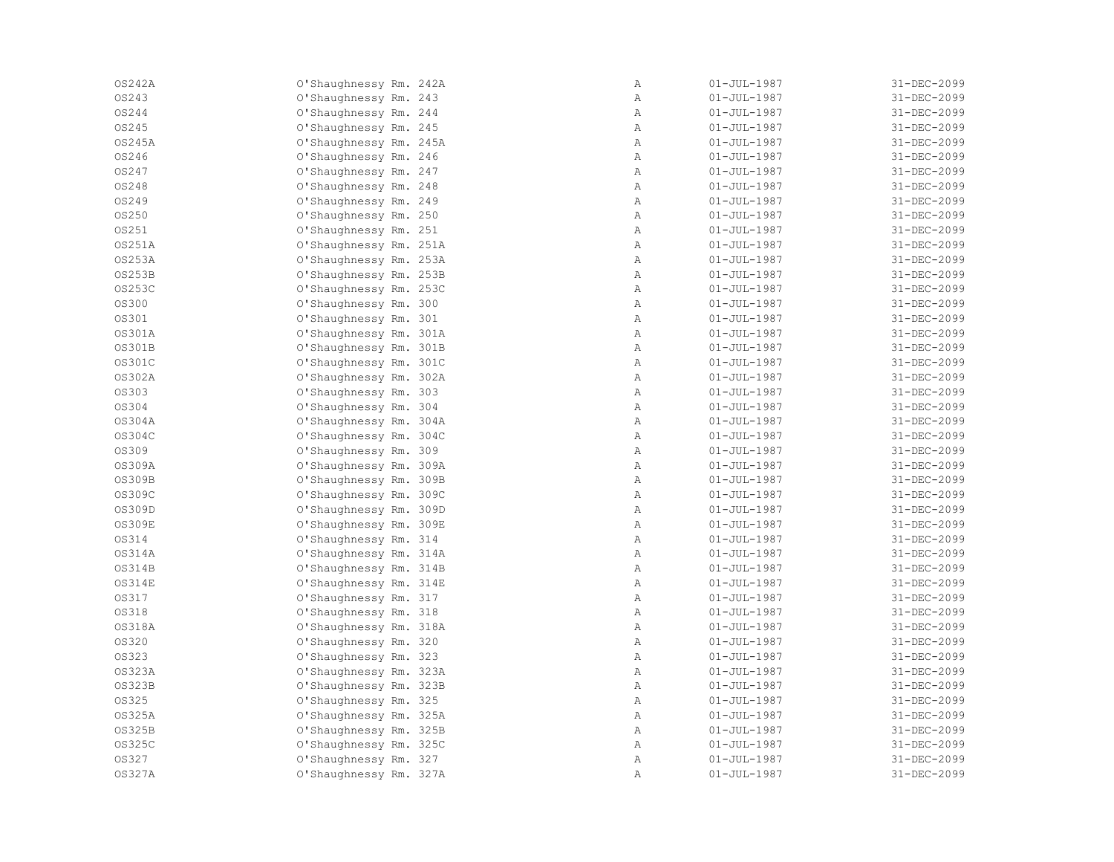| 0S242A        | O'Shaughnessy Rm. 242A | Α            | $01 - JUL - 1987$ | 31-DEC-2099 |
|---------------|------------------------|--------------|-------------------|-------------|
| OS243         | O'Shaughnessy Rm. 243  | Α            | $01 - JUL - 1987$ | 31-DEC-2099 |
| OS244         | O'Shaughnessy Rm. 244  | Α            | $01 - JUL - 1987$ | 31-DEC-2099 |
| OS245         | O'Shaughnessy Rm. 245  | Α            | $01 - JUL - 1987$ | 31-DEC-2099 |
| 0S245A        | O'Shaughnessy Rm. 245A | $\mathbb{A}$ | $01 - JUL - 1987$ | 31-DEC-2099 |
| OS246         | O'Shaughnessy Rm. 246  | $\mathbb{A}$ | $01 - JUL - 1987$ | 31-DEC-2099 |
| OS247         | O'Shaughnessy Rm. 247  | Α            | $01 - JUL - 1987$ | 31-DEC-2099 |
| OS248         | O'Shaughnessy Rm. 248  | $\, {\bf A}$ | $01 - JUL - 1987$ | 31-DEC-2099 |
| OS249         | O'Shaughnessy Rm. 249  | Α            | $01 - JUL - 1987$ | 31-DEC-2099 |
| OS250         | O'Shaughnessy Rm. 250  | Α            | $01 - JUL - 1987$ | 31-DEC-2099 |
| OS251         | O'Shaughnessy Rm. 251  | Α            | $01 - JUL - 1987$ | 31-DEC-2099 |
| 0S251A        | O'Shaughnessy Rm. 251A | $\mathbb{A}$ | $01 - JUL - 1987$ | 31-DEC-2099 |
| 0S253A        | O'Shaughnessy Rm. 253A | Α            | $01 - JUL - 1987$ | 31-DEC-2099 |
| <b>OS253B</b> | O'Shaughnessy Rm. 253B | $\mathbb{A}$ | $01 - JUL - 1987$ | 31-DEC-2099 |
| <b>OS253C</b> | O'Shaughnessy Rm. 253C | $\mathbb{A}$ | $01 - JUL - 1987$ | 31-DEC-2099 |
| <b>0S300</b>  | O'Shaughnessy Rm. 300  | $\mathbb{A}$ | 01-JUL-1987       | 31-DEC-2099 |
| OS301         | O'Shaughnessy Rm. 301  | $\, {\bf A}$ | $01 - JUL - 1987$ | 31-DEC-2099 |
| 0S301A        | O'Shaughnessy Rm. 301A | A            | $01 - JUL - 1987$ | 31-DEC-2099 |
| OS301B        | O'Shaughnessy Rm. 301B | $\mathbb{A}$ | $01 - JUL - 1987$ | 31-DEC-2099 |
| 0S301C        | O'Shaughnessy Rm. 301C | $\mathbb{A}$ | $01 - JUL - 1987$ | 31-DEC-2099 |
| 0S302A        | O'Shaughnessy Rm. 302A | Α            | $01 - JUL - 1987$ | 31-DEC-2099 |
| <b>0S303</b>  | O'Shaughnessy Rm. 303  | Α            | $01 - JUL - 1987$ | 31-DEC-2099 |
| OS304         | O'Shaughnessy Rm. 304  | $\mathbb{A}$ | $01 - JUL - 1987$ | 31-DEC-2099 |
| OS304A        | O'Shaughnessy Rm. 304A | $\mathbb{A}$ | 01-JUL-1987       | 31-DEC-2099 |
| 0S304C        | O'Shaughnessy Rm. 304C | $\mathbb{A}$ | 01-JUL-1987       | 31-DEC-2099 |
| OS309         | O'Shaughnessy Rm. 309  | $\mathbb{A}$ | $01 - JUL - 1987$ | 31-DEC-2099 |
| OS309A        | O'Shaughnessy Rm. 309A | $\mathbb{A}$ | $01 - JUL - 1987$ | 31-DEC-2099 |
| OS309B        | O'Shaughnessy Rm. 309B | $\mathbb{A}$ | $01 - JUL - 1987$ | 31-DEC-2099 |
| OS309C        | O'Shaughnessy Rm. 309C | Α            | $01 - JUL - 1987$ | 31-DEC-2099 |
| OS309D        | O'Shaughnessy Rm. 309D | Α            | $01 - JUL - 1987$ | 31-DEC-2099 |
| <b>OS309E</b> | O'Shaughnessy Rm. 309E | Α            | $01 - JUL - 1987$ | 31-DEC-2099 |
| OS314         | O'Shaughnessy Rm. 314  | $\mathbb{A}$ | $01 - JUL - 1987$ | 31-DEC-2099 |
| 0S314A        | O'Shaughnessy Rm. 314A | $\mathbb{A}$ | $01 - JUL - 1987$ | 31-DEC-2099 |
| <b>OS314B</b> | O'Shaughnessy Rm. 314B | $\mathbb{A}$ | $01 - JUL - 1987$ | 31-DEC-2099 |
| <b>OS314E</b> | O'Shaughnessy Rm. 314E | $\mathbb{A}$ | $01 - JUL - 1987$ | 31-DEC-2099 |
| <b>0S317</b>  | O'Shaughnessy Rm. 317  | Α            | $01 - JUL - 1987$ | 31-DEC-2099 |
| <b>0S318</b>  | O'Shaughnessy Rm. 318  | $\mathbb{A}$ | $01 - JUL - 1987$ | 31-DEC-2099 |
| <b>OS318A</b> | O'Shaughnessy Rm. 318A | $\mathbb{A}$ | $01 - JUL - 1987$ | 31-DEC-2099 |
| <b>0S320</b>  | O'Shaughnessy Rm. 320  | Α            | $01 - JUL - 1987$ | 31-DEC-2099 |
| <b>0S323</b>  | O'Shaughnessy Rm. 323  | Α            | $01 - JUL - 1987$ | 31-DEC-2099 |
| 0S323A        | O'Shaughnessy Rm. 323A | Α            | $01 - JUL - 1987$ | 31-DEC-2099 |
| <b>OS323B</b> | O'Shaughnessy Rm. 323B | $\mathbb{A}$ | 01-JUL-1987       | 31-DEC-2099 |
| OS325         | O'Shaughnessy Rm. 325  | $\mathbb{A}$ | $01 - JUL - 1987$ | 31-DEC-2099 |
| 0S325A        | O'Shaughnessy Rm. 325A | $\mathbb{A}$ | 01-JUL-1987       | 31-DEC-2099 |
| OS325B        | O'Shaughnessy Rm. 325B | $\mathbb{A}$ | $01 - JUL - 1987$ | 31-DEC-2099 |
| 0S325C        | O'Shaughnessy Rm. 325C | $\mathbb{A}$ | $01 - JUL - 1987$ | 31-DEC-2099 |
| <b>0S327</b>  | O'Shaughnessy Rm. 327  | Α            | $01 - JUL - 1987$ | 31-DEC-2099 |
| 0S327A        | O'Shaughnessy Rm. 327A | Α            | $01 - JUL - 1987$ | 31-DEC-2099 |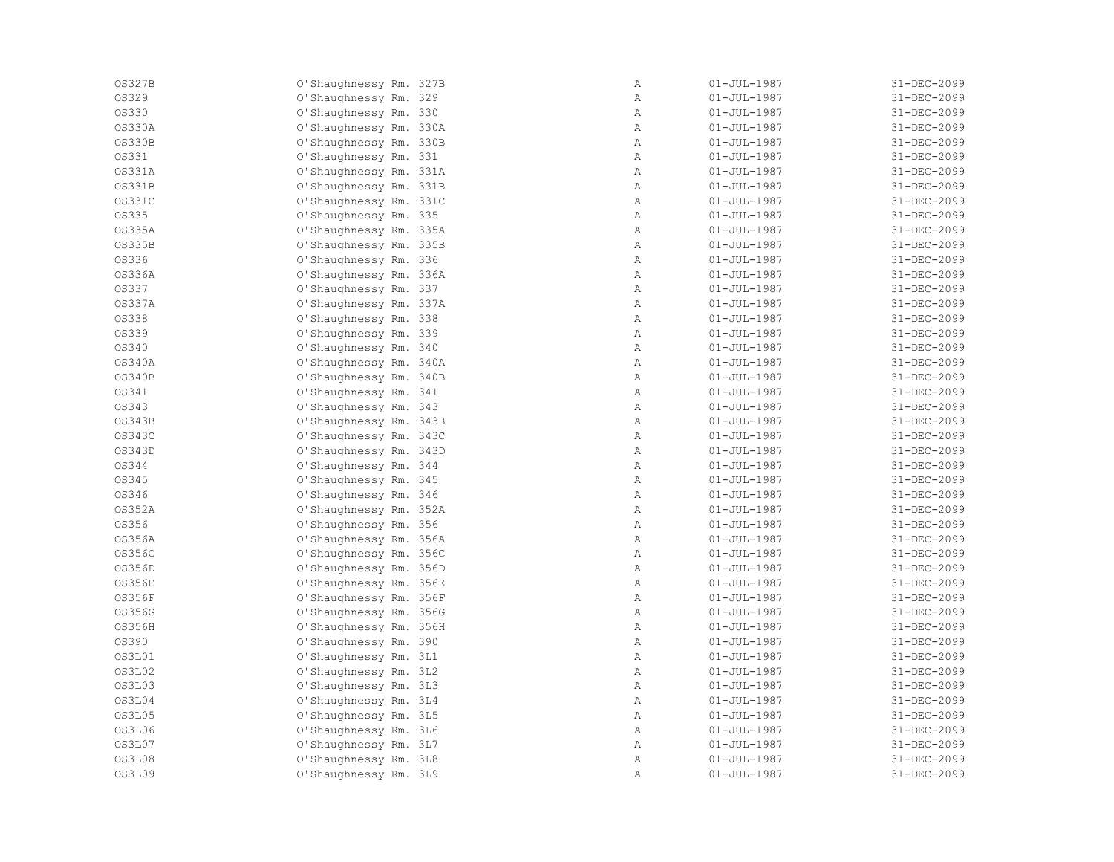| <b>OS327B</b> | O'Shaughnessy Rm. 327B | Α            | $01 - JUL - 1987$ | 31-DEC-2099 |
|---------------|------------------------|--------------|-------------------|-------------|
| <b>0S329</b>  | O'Shaughnessy Rm. 329  | Α            | $01 - JUL - 1987$ | 31-DEC-2099 |
| <b>0S330</b>  | O'Shaughnessy Rm. 330  | Α            | $01 - JUL - 1987$ | 31-DEC-2099 |
| 0S330A        | O'Shaughnessy Rm. 330A | Α            | $01 - JUL - 1987$ | 31-DEC-2099 |
| <b>OS330B</b> | O'Shaughnessy Rm. 330B | $\mathbb{A}$ | $01 - JUL - 1987$ | 31-DEC-2099 |
| <b>0S331</b>  | O'Shaughnessy Rm. 331  | $\mathbb{A}$ | $01 - JUL - 1987$ | 31-DEC-2099 |
| 0S331A        | O'Shaughnessy Rm. 331A | $\mathbb{A}$ | $01 - JUL - 1987$ | 31-DEC-2099 |
| <b>OS331B</b> | O'Shaughnessy Rm. 331B | $\, {\bf A}$ | $01 - JUL - 1987$ | 31-DEC-2099 |
| 0S331C        | O'Shaughnessy Rm. 331C | Α            | $01 - JUL - 1987$ | 31-DEC-2099 |
| OS335         | O'Shaughnessy Rm. 335  | Α            | $01 - JUL - 1987$ | 31-DEC-2099 |
| 0S335A        | O'Shaughnessy Rm. 335A | Α            | $01 - JUL - 1987$ | 31-DEC-2099 |
| <b>OS335B</b> | O'Shaughnessy Rm. 335B | $\mathbb{A}$ | $01 - JUL - 1987$ | 31-DEC-2099 |
| OS336         | O'Shaughnessy Rm. 336  | Α            | $01 - JUL - 1987$ | 31-DEC-2099 |
| OS336A        | O'Shaughnessy Rm. 336A | $\mathbb{A}$ | $01 - JUL - 1987$ | 31-DEC-2099 |
| OS337         | O'Shaughnessy Rm. 337  | $\mathbb{A}$ | $01 - JUL - 1987$ | 31-DEC-2099 |
| 0S337A        | O'Shaughnessy Rm. 337A | $\mathbb{A}$ | $01 - JUL - 1987$ | 31-DEC-2099 |
| <b>0S338</b>  | O'Shaughnessy Rm. 338  | $\, {\bf A}$ | $01 - JUL - 1987$ | 31-DEC-2099 |
| <b>0S339</b>  | O'Shaughnessy Rm. 339  | $\mathbb{A}$ | $01 - JUL - 1987$ | 31-DEC-2099 |
| OS340         | O'Shaughnessy Rm. 340  | $\mathbb{A}$ | $01 - JUL - 1987$ | 31-DEC-2099 |
| OS340A        | O'Shaughnessy Rm. 340A | $\mathbb{A}$ | $01 - JUL - 1987$ | 31-DEC-2099 |
| <b>OS340B</b> | O'Shaughnessy Rm. 340B | Α            | $01 - JUL - 1987$ | 31-DEC-2099 |
| OS341         | O'Shaughnessy Rm. 341  | Α            | $01 - JUL - 1987$ | 31-DEC-2099 |
| OS343         | O'Shaughnessy Rm. 343  | $\mathbb{A}$ | $01 - JUL - 1987$ | 31-DEC-2099 |
| <b>OS343B</b> | O'Shaughnessy Rm. 343B | $\mathbb{A}$ | $01 - JUL - 1987$ | 31-DEC-2099 |
| 0S343C        | O'Shaughnessy Rm. 343C | $\mathbb{A}$ | $01 - JUL - 1987$ | 31-DEC-2099 |
| OS343D        | O'Shaughnessy Rm. 343D | $\, {\bf A}$ | $01 - JUL - 1987$ | 31-DEC-2099 |
| OS344         | O'Shaughnessy Rm. 344  | $\mathbb{A}$ | $01 - JUL - 1987$ | 31-DEC-2099 |
| OS345         | O'Shaughnessy Rm. 345  | $\mathbb{A}$ | $01 - JUL - 1987$ | 31-DEC-2099 |
| OS346         | O'Shaughnessy Rm. 346  | Α            | $01 - JUL - 1987$ | 31-DEC-2099 |
| 0S352A        | O'Shaughnessy Rm. 352A | Α            | $01 - JUL - 1987$ | 31-DEC-2099 |
| OS356         | O'Shaughnessy Rm. 356  | Α            | $01 - JUL - 1987$ | 31-DEC-2099 |
| OS356A        | O'Shaughnessy Rm. 356A | $\mathbb{A}$ | $01 - JUL - 1987$ | 31-DEC-2099 |
| OS356C        | O'Shaughnessy Rm. 356C | $\mathbb{A}$ | $01 - JUL - 1987$ | 31-DEC-2099 |
| OS356D        | O'Shaughnessy Rm. 356D | $\mathbb{A}$ | $01 - JUL - 1987$ | 31-DEC-2099 |
| <b>OS356E</b> | O'Shaughnessy Rm. 356E | Α            | $01 - JUL - 1987$ | 31-DEC-2099 |
| <b>OS356F</b> | O'Shaughnessy Rm. 356F | Α            | $01 - JUL - 1987$ | 31-DEC-2099 |
| OS356G        | O'Shaughnessy Rm. 356G | $\mathbb{A}$ | $01 - JUL - 1987$ | 31-DEC-2099 |
| OS356H        | O'Shaughnessy Rm. 356H | $\mathbb{A}$ | $01 - JUL - 1987$ | 31-DEC-2099 |
| OS390         | O'Shaughnessy Rm. 390  | Α            | $01 - JUL - 1987$ | 31-DEC-2099 |
| OS3L01        | O'Shaughnessy Rm. 3L1  | Α            | $01 - JUL - 1987$ | 31-DEC-2099 |
| OS3L02        | O'Shaughnessy Rm. 3L2  | Α            | $01 - JUL - 1987$ | 31-DEC-2099 |
| OS3L03        | O'Shaughnessy Rm. 3L3  | $\mathbb{A}$ | $01 - JUL - 1987$ | 31-DEC-2099 |
| OS3L04        | O'Shaughnessy Rm. 3L4  | Α            | $01 - JUL - 1987$ | 31-DEC-2099 |
| OS3L05        | O'Shaughnessy Rm. 3L5  | $\mathbb{A}$ | $01 - JUL - 1987$ | 31-DEC-2099 |
| OS3L06        | O'Shaughnessy Rm. 3L6  | $\mathbb{A}$ | $01 - JUL - 1987$ | 31-DEC-2099 |
| OS3L07        | O'Shaughnessy Rm. 3L7  | $\mathbb{A}$ | $01 - JUL - 1987$ | 31-DEC-2099 |
| OS3L08        | O'Shaughnessy Rm. 3L8  | Α            | $01 - JUL - 1987$ | 31-DEC-2099 |
| OS3L09        | O'Shaughnessy Rm. 3L9  | Α            | $01 - JUL - 1987$ | 31-DEC-2099 |
|               |                        |              |                   |             |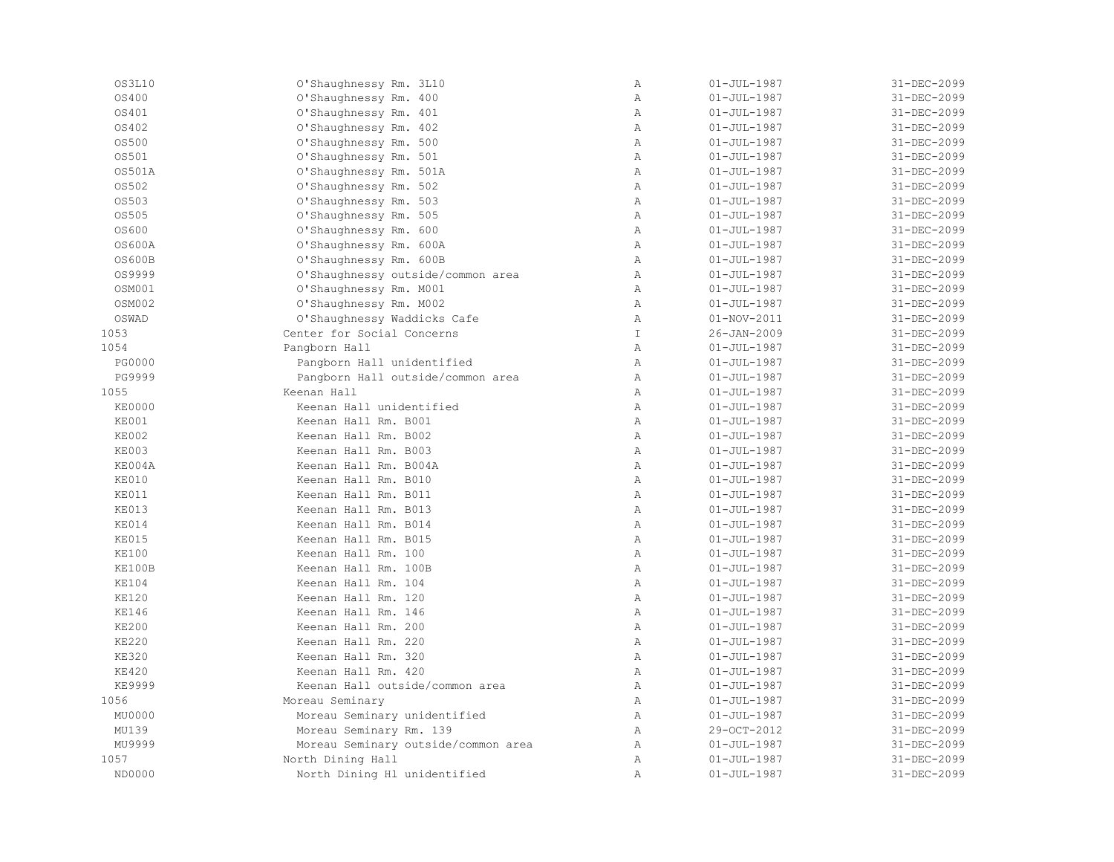| OS3L10        | O'Shaughnessy Rm. 3L10              | $\, {\bf A}$   | $01 - JUL - 1987$ | 31-DEC-2099 |
|---------------|-------------------------------------|----------------|-------------------|-------------|
| OS400         | O'Shaughnessy Rm. 400               | $\mathbb{A}$   | $01 - JUL - 1987$ | 31-DEC-2099 |
| OS401         | O'Shaughnessy Rm. 401               | $\mathbb{A}$   | $01 - JUL - 1987$ | 31-DEC-2099 |
| OS402         | O'Shaughnessy Rm. 402               | $\mathbb{A}$   | $01 - JUL - 1987$ | 31-DEC-2099 |
| OS500         | O'Shaughnessy Rm. 500               | Α              | $01 - JUL - 1987$ | 31-DEC-2099 |
| OS501         | O'Shaughnessy Rm. 501               | Α              | $01 - JUL - 1987$ | 31-DEC-2099 |
| OS501A        | O'Shaughnessy Rm. 501A              | $\overline{A}$ | $01 - JUL - 1987$ | 31-DEC-2099 |
| OS502         | O'Shaughnessy Rm. 502               | $\mathbb{A}$   | $01 - JUL - 1987$ | 31-DEC-2099 |
| OS503         | O'Shaughnessy Rm. 503               | $\mathbb{A}$   | $01 - JUL - 1987$ | 31-DEC-2099 |
| OS505         | O'Shaughnessy Rm. 505               | $\mathbb{A}$   | $01 - JUL - 1987$ | 31-DEC-2099 |
| OS600         | O'Shaughnessy Rm. 600               | $\mathbb{A}$   | $01 - JUL - 1987$ | 31-DEC-2099 |
| 0S600A        | O'Shaughnessy Rm. 600A              | $\mathbb{A}$   | $01 - JUL - 1987$ | 31-DEC-2099 |
| <b>OS600B</b> | O'Shaughnessy Rm. 600B              | Α              | $01 - JUL - 1987$ | 31-DEC-2099 |
| OS9999        | O'Shaughnessy outside/common area   | $\mathbb{A}$   | $01 - JUL - 1987$ | 31-DEC-2099 |
| OSM001        | O'Shaughnessy Rm. M001              | $\, {\bf A}$   | $01 - JUL - 1987$ | 31-DEC-2099 |
| OSM002        | O'Shaughnessy Rm. M002              | $\lambda$      | $01 - JUL - 1987$ | 31-DEC-2099 |
| OSWAD         | O'Shaughnessy Waddicks Cafe         | Α              | $01 - NOV - 2011$ | 31-DEC-2099 |
| 1053          | Center for Social Concerns          | T              | $26 - JAN - 2009$ | 31-DEC-2099 |
| 1054          | Pangborn Hall                       | $\mathbb{A}$   | $01 - JUL - 1987$ | 31-DEC-2099 |
| <b>PG0000</b> | Pangborn Hall unidentified          | $\mathbb{A}$   | $01 - JUL - 1987$ | 31-DEC-2099 |
| PG9999        | Pangborn Hall outside/common area   | $\mathbb{A}$   | $01 - JUL - 1987$ | 31-DEC-2099 |
| 1055          | Keenan Hall                         | $\mathbb{A}$   | $01 - JUL - 1987$ | 31-DEC-2099 |
| <b>KE0000</b> | Keenan Hall unidentified            | $\mathbb{A}$   | $01 - JUL - 1987$ | 31-DEC-2099 |
| KE001         | Keenan Hall Rm. B001                | $\mathbb{A}$   | $01 - JUL - 1987$ | 31-DEC-2099 |
| KE002         | Keenan Hall Rm. B002                | $\mathbb{A}$   | $01 - JUL - 1987$ | 31-DEC-2099 |
| <b>KE003</b>  | Keenan Hall Rm. B003                | Α              | $01 - JUL - 1987$ | 31-DEC-2099 |
| KE004A        | Keenan Hall Rm. B004A               | $\mathbb{A}$   | $01 - JUL - 1987$ | 31-DEC-2099 |
| KE010         | Keenan Hall Rm. B010                | $\overline{A}$ | $01 - JUL - 1987$ | 31-DEC-2099 |
| KE011         | Keenan Hall Rm. B011                | $\mathbb{A}$   | $01 - JUL - 1987$ | 31-DEC-2099 |
| KE013         | Keenan Hall Rm. B013                | $\mathbb{A}$   | $01 - JUL - 1987$ | 31-DEC-2099 |
| KE014         | Keenan Hall Rm. B014                | $\mathbb{A}$   | $01 - JUL - 1987$ | 31-DEC-2099 |
| <b>KE015</b>  | Keenan Hall Rm. B015                | $\mathbb{A}$   | $01 - JUL - 1987$ | 31-DEC-2099 |
| <b>KE100</b>  | Keenan Hall Rm. 100                 | $\mathbb{A}$   | $01 - JUL - 1987$ | 31-DEC-2099 |
| KE100B        | Keenan Hall Rm. 100B                | $\mathbb{A}$   | $01 - JUL - 1987$ | 31-DEC-2099 |
| <b>KE104</b>  | Keenan Hall Rm. 104                 | $\mathbb{A}$   | $01 - JUL - 1987$ | 31-DEC-2099 |
| <b>KE120</b>  | Keenan Hall Rm. 120                 | $\mathbb{A}$   | $01 - JUL - 1987$ | 31-DEC-2099 |
| <b>KE146</b>  | Keenan Hall Rm. 146                 | $\mathbb{A}$   | $01 - JUL - 1987$ | 31-DEC-2099 |
| <b>KE200</b>  | Keenan Hall Rm. 200                 | Α              | $01 - JUL - 1987$ | 31-DEC-2099 |
| <b>KE220</b>  | Keenan Hall Rm. 220                 | Α              | $01 - JUL - 1987$ | 31-DEC-2099 |
| <b>KE320</b>  | Keenan Hall Rm. 320                 | $\mathbb{A}$   | $01 - JUL - 1987$ | 31-DEC-2099 |
| <b>KE420</b>  | Keenan Hall Rm. 420                 | $\mathbb{A}$   | $01 - JUL - 1987$ | 31-DEC-2099 |
| <b>KE9999</b> | Keenan Hall outside/common area     | $\mathbb{A}$   | $01 - JUL - 1987$ | 31-DEC-2099 |
| 1056          | Moreau Seminary                     | $\mathbb A$    | $01 - JUL - 1987$ | 31-DEC-2099 |
| MU0000        | Moreau Seminary unidentified        | $\mathbb{A}$   | $01 - JUL - 1987$ | 31-DEC-2099 |
| MU139         | Moreau Seminary Rm. 139             | $\mathbb{A}$   | 29-OCT-2012       | 31-DEC-2099 |
| MU9999        | Moreau Seminary outside/common area | $\mathbb{A}$   | $01 - JUL - 1987$ | 31-DEC-2099 |
| 1057          | North Dining Hall                   | Α              | $01 - JUL - 1987$ | 31-DEC-2099 |
| ND0000        | North Dining Hl unidentified        | $\mathbb{A}$   | $01 - JUL - 1987$ | 31-DEC-2099 |
|               |                                     |                |                   |             |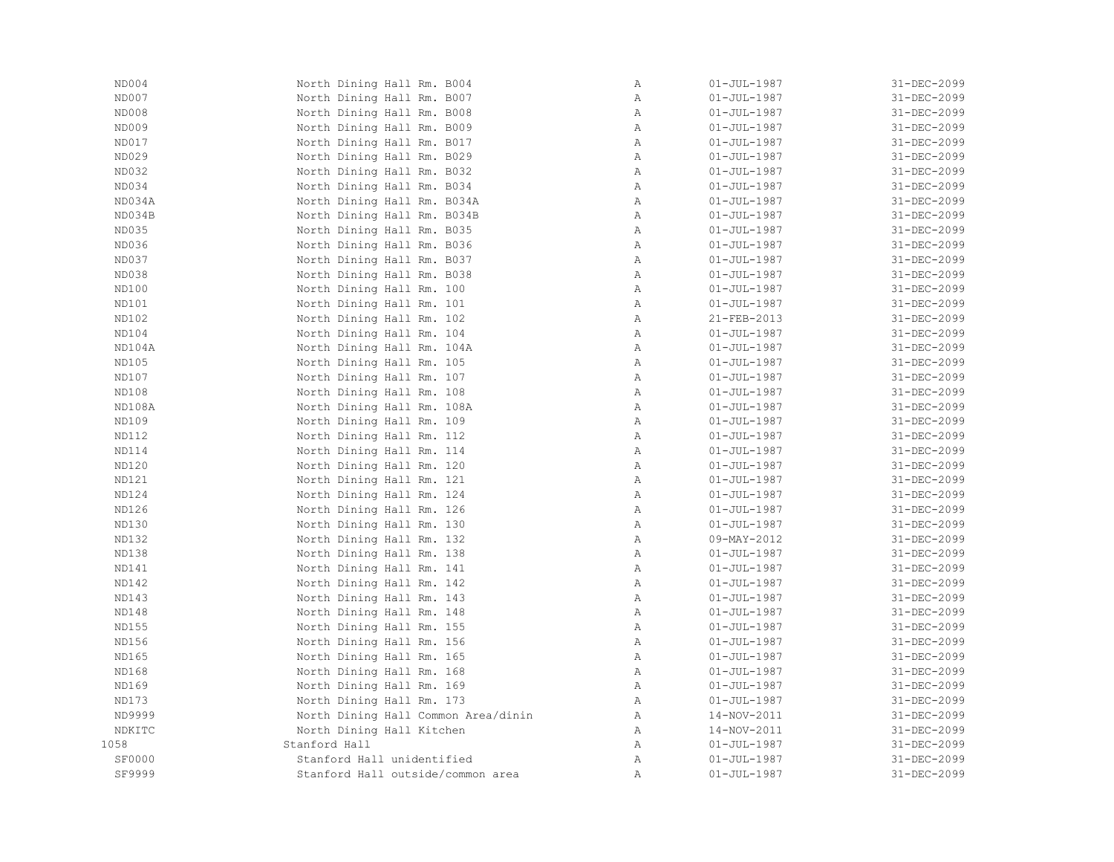| ND004         | North Dining Hall Rm. B004          | $\mathbb A$  | $01 - JUL - 1987$        | 31-DEC-2099 |
|---------------|-------------------------------------|--------------|--------------------------|-------------|
| ND007         | North Dining Hall Rm. B007          | Α            | $01 - JUL - 1987$        | 31-DEC-2099 |
| ND008         | North Dining Hall Rm. B008          | Α            | $01 - \text{JUL} - 1987$ | 31-DEC-2099 |
| ND009         | North Dining Hall Rm. B009          | Α            | $01 - JUL - 1987$        | 31-DEC-2099 |
| ND017         | North Dining Hall Rm. B017          | $\mathbb{A}$ | $01 - JUL-1987$          | 31-DEC-2099 |
| ND029         | North Dining Hall Rm. B029          | Α            | $01 - JUL - 1987$        | 31-DEC-2099 |
| ND032         | North Dining Hall Rm. B032          | Α            | $01 - JUL - 1987$        | 31-DEC-2099 |
| ND034         | North Dining Hall Rm. B034          | $\mathbb{A}$ | $01 - JUL - 1987$        | 31-DEC-2099 |
| ND034A        | North Dining Hall Rm. B034A         | $\mathbb A$  | $01 - JUL - 1987$        | 31-DEC-2099 |
| ND034B        | North Dining Hall Rm. B034B         | $\mathtt{A}$ | $01 - JUL-1987$          | 31-DEC-2099 |
| ND035         | North Dining Hall Rm. B035          | Α            | $01 - JUL-1987$          | 31-DEC-2099 |
| ND036         | North Dining Hall Rm. B036          | $\mathbb{A}$ | $01 - JUL - 1987$        | 31-DEC-2099 |
| ND037         | North Dining Hall Rm. B037          | Α            | $01 - JUL-1987$          | 31-DEC-2099 |
| ND038         | North Dining Hall Rm. B038          | $\mathbb{A}$ | $01 - JUL - 1987$        | 31-DEC-2099 |
| ND100         | North Dining Hall Rm. 100           | Α            | $01 - JUL - 1987$        | 31-DEC-2099 |
| ND101         | North Dining Hall Rm. 101           | Α            | $01 - JUL - 1987$        | 31-DEC-2099 |
| ND102         | North Dining Hall Rm. 102           | $\mathbb A$  | 21-FEB-2013              | 31-DEC-2099 |
| ND104         | North Dining Hall Rm. 104           | $\mathbb A$  | $01 - JUL-1987$          | 31-DEC-2099 |
| ND104A        | North Dining Hall Rm. 104A          | Α            | $01 - JUL-1987$          | 31-DEC-2099 |
| ND105         | North Dining Hall Rm. 105           | $\mathbb{A}$ | $01 - JUL - 1987$        | 31-DEC-2099 |
| ND107         | North Dining Hall Rm. 107           | $\mathbb{A}$ | $01 - JUL-1987$          | 31-DEC-2099 |
| ND108         | North Dining Hall Rm. 108           | Α            | $01 - JUL-1987$          | 31-DEC-2099 |
| ND108A        | North Dining Hall Rm. 108A          | Α            | $01 - JUL - 1987$        | 31-DEC-2099 |
| ND109         | North Dining Hall Rm. 109           | Α            | $01 - \text{JUL} - 1987$ | 31-DEC-2099 |
| ND112         | North Dining Hall Rm. 112           | $\mathbb{A}$ | $01 - JUL-1987$          | 31-DEC-2099 |
| ND114         | North Dining Hall Rm. 114           | $\mathbb{A}$ | $01 - JUL-1987$          | 31-DEC-2099 |
| ND120         | North Dining Hall Rm. 120           | Α            | $01 - JUL - 1987$        | 31-DEC-2099 |
| ND121         | North Dining Hall Rm. 121           | $\mathbb A$  | $01 - JUL - 1987$        | 31-DEC-2099 |
| ND124         | North Dining Hall Rm. 124           | Α            | $01 - JUL - 1987$        | 31-DEC-2099 |
| ND126         | North Dining Hall Rm. 126           | $\mathbb{A}$ | $01 - JUL-1987$          | 31-DEC-2099 |
| ND130         | North Dining Hall Rm. 130           | $\mathbb{A}$ | $01 - JUL-1987$          | 31-DEC-2099 |
| ND132         | North Dining Hall Rm. 132           | Α            | $09 - MAY - 2012$        | 31-DEC-2099 |
| ND138         | North Dining Hall Rm. 138           | Α            | $01 - JUL - 1987$        | 31-DEC-2099 |
| ND141         | North Dining Hall Rm. 141           | $\mathbb{A}$ | $01 - JUL - 1987$        | 31-DEC-2099 |
| ND142         | North Dining Hall Rm. 142           | $\mathbb{A}$ | $01 - JUL - 1987$        | 31-DEC-2099 |
| ND143         | North Dining Hall Rm. 143           | Α            | $01 - JUL - 1987$        | 31-DEC-2099 |
| ND148         | North Dining Hall Rm. 148           | $\mathbb A$  | $01 - JUL - 1987$        | 31-DEC-2099 |
| ND155         | North Dining Hall Rm. 155           | Α            | $01 - JUL-1987$          | 31-DEC-2099 |
| ND156         | North Dining Hall Rm. 156           | $\mathbb{A}$ | $01 - JUL-1987$          | 31-DEC-2099 |
| ND165         | North Dining Hall Rm. 165           | Α            | $01 - JUL-1987$          | 31-DEC-2099 |
| ND168         | North Dining Hall Rm. 168           | Α            | $01 - JUL - 1987$        | 31-DEC-2099 |
| ND169         | North Dining Hall Rm. 169           | $\mathbb{A}$ | $01 - \text{JUL} - 1987$ | 31-DEC-2099 |
| ND173         | North Dining Hall Rm. 173           | A            | $01 - JUL-1987$          | 31-DEC-2099 |
| ND9999        | North Dining Hall Common Area/dinin | A            | 14-NOV-2011              | 31-DEC-2099 |
| NDKITC        | North Dining Hall Kitchen           | $\mathbb A$  | $14 - NOV - 2011$        | 31-DEC-2099 |
| 1058          | Stanford Hall                       | $\mathbb{A}$ | $01 - JUL - 1987$        | 31-DEC-2099 |
| <b>SF0000</b> | Stanford Hall unidentified          | Α            | $01 - JUL - 1987$        | 31-DEC-2099 |
| SF9999        | Stanford Hall outside/common area   | Α            | $01 - JUL - 1987$        | 31-DEC-2099 |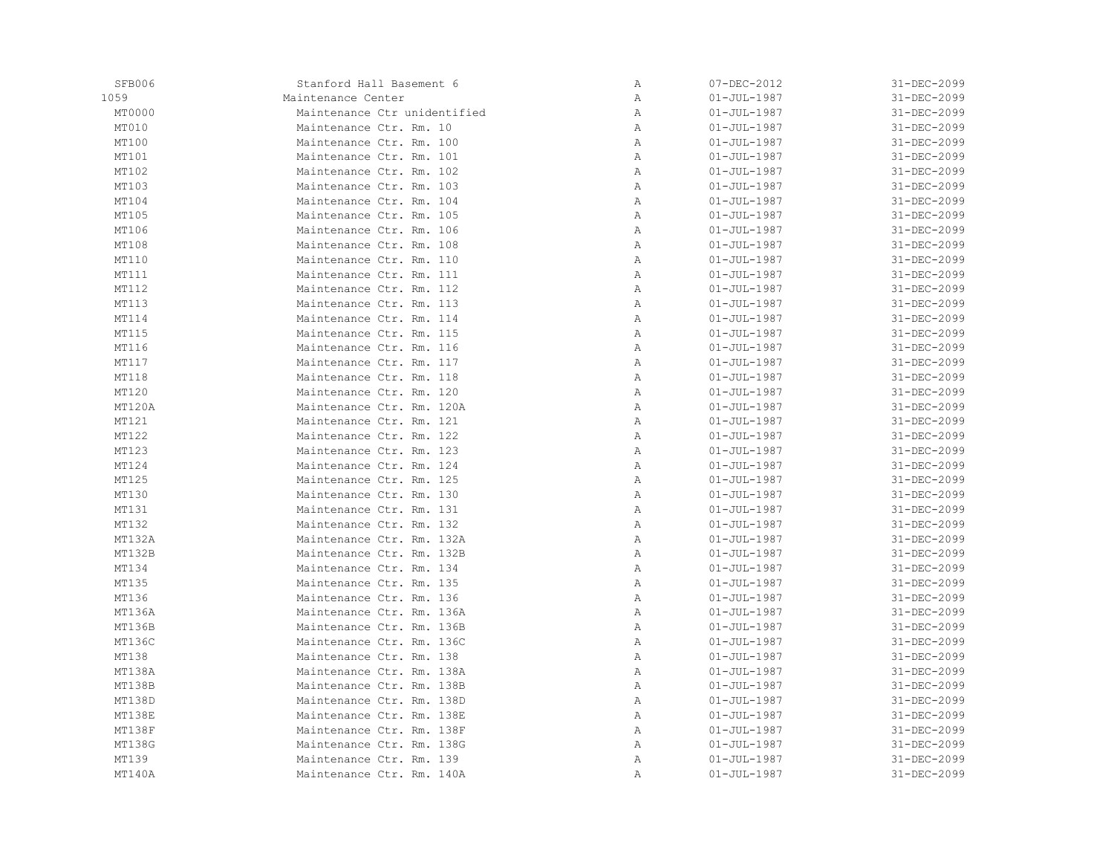| SFB006 | Stanford Hall Basement 6     | Α            | 07-DEC-2012       | 31-DEC-2099       |
|--------|------------------------------|--------------|-------------------|-------------------|
| 1059   | Maintenance Center           | Α            | $01 - JUL - 1987$ | 31-DEC-2099       |
| MT0000 | Maintenance Ctr unidentified | Α            | $01 - JUL - 1987$ | 31-DEC-2099       |
| MT010  | Maintenance Ctr. Rm. 10      | Α            | $01 - JUL - 1987$ | 31-DEC-2099       |
| MT100  | Maintenance Ctr. Rm. 100     | Α            | $01 - JUL - 1987$ | 31-DEC-2099       |
| MT101  | Maintenance Ctr. Rm. 101     | Α            | $01 - JUL - 1987$ | 31-DEC-2099       |
| MT102  | Maintenance Ctr. Rm. 102     | Α            | $01 - JUL - 1987$ | 31-DEC-2099       |
| MT103  | Maintenance Ctr. Rm. 103     | Α            | $01 - JUL - 1987$ | 31-DEC-2099       |
| MT104  | Maintenance Ctr. Rm. 104     | $\mathbb{A}$ | $01 - JUL - 1987$ | $31 - DEC - 2099$ |
| MT105  | Maintenance Ctr. Rm. 105     | Α            | $01 - JUL - 1987$ | 31-DEC-2099       |
| MT106  | Maintenance Ctr. Rm. 106     | Α            | $01 - JUL - 1987$ | 31-DEC-2099       |
| MT108  | Maintenance Ctr. Rm. 108     | Α            | $01 - JUL - 1987$ | 31-DEC-2099       |
| MT110  | Maintenance Ctr. Rm. 110     | Α            | $01 - JUL - 1987$ | 31-DEC-2099       |
| MT111  | Maintenance Ctr. Rm. 111     | Α            | $01 - JUL - 1987$ | 31-DEC-2099       |
| MT112  | Maintenance Ctr. Rm. 112     | Α            | $01 - JUL - 1987$ | 31-DEC-2099       |
| MT113  | Maintenance Ctr. Rm. 113     | $\mathbb{A}$ | $01 - JUL - 1987$ | 31-DEC-2099       |
| MT114  | Maintenance Ctr. Rm. 114     | Α            | $01 - JUL - 1987$ | 31-DEC-2099       |
| MT115  | Maintenance Ctr. Rm. 115     | Α            | $01 - JUL - 1987$ | 31-DEC-2099       |
| MT116  | Maintenance Ctr. Rm. 116     | Α            | $01 - JUL - 1987$ | 31-DEC-2099       |
| MT117  | Maintenance Ctr. Rm. 117     | Α            | $01 - JUL - 1987$ | 31-DEC-2099       |
| MT118  | Maintenance Ctr. Rm. 118     | Α            | $01 - JUL - 1987$ | 31-DEC-2099       |
| MT120  | Maintenance Ctr. Rm. 120     | Α            | $01 - JUL - 1987$ | 31-DEC-2099       |
| MT120A | Maintenance Ctr. Rm. 120A    | $\mathbb{A}$ | $01 - JUL - 1987$ | 31-DEC-2099       |
| MT121  | Maintenance Ctr. Rm. 121     | Α            | $01 - JUL - 1987$ | 31-DEC-2099       |
| MT122  | Maintenance Ctr. Rm. 122     | Α            | $01 - JUL - 1987$ | 31-DEC-2099       |
| MT123  | Maintenance Ctr. Rm. 123     | Α            | $01 - JUL - 1987$ | 31-DEC-2099       |
| MT124  | Maintenance Ctr. Rm. 124     | Α            | $01 - JUL - 1987$ | 31-DEC-2099       |
| MT125  | Maintenance Ctr. Rm. 125     | Α            | $01 - JUL - 1987$ | 31-DEC-2099       |
| MT130  | Maintenance Ctr. Rm. 130     | Α            | $01 - JUL - 1987$ | 31-DEC-2099       |
| MT131  | Maintenance Ctr. Rm. 131     | $\mathbb{A}$ | $01 - JUL - 1987$ | 31-DEC-2099       |
| MT132  | Maintenance Ctr. Rm. 132     | Α            | $01 - JUL - 1987$ | 31-DEC-2099       |
| MT132A | Maintenance Ctr. Rm. 132A    | Α            | $01 - JUL - 1987$ | 31-DEC-2099       |
| MT132B | Maintenance Ctr. Rm. 132B    | Α            | $01 - JUL - 1987$ | 31-DEC-2099       |
| MT134  | Maintenance Ctr. Rm. 134     | Α            | $01 - JUL - 1987$ | 31-DEC-2099       |
| MT135  | Maintenance Ctr. Rm. 135     | Α            | $01 - JUL - 1987$ | 31-DEC-2099       |
| MT136  | Maintenance Ctr. Rm. 136     | Α            | $01 - JUL - 1987$ | 31-DEC-2099       |
| MT136A | Maintenance Ctr. Rm. 136A    | $\mathbb{A}$ | $01 - JUL - 1987$ | 31-DEC-2099       |
| MT136B | Maintenance Ctr. Rm. 136B    | Α            | $01 - JUL - 1987$ | 31-DEC-2099       |
| MT136C | Maintenance Ctr. Rm. 136C    | Α            | $01 - JUL - 1987$ | 31-DEC-2099       |
| MT138  | Maintenance Ctr. Rm. 138     | Α            | $01 - JUL - 1987$ | 31-DEC-2099       |
| MT138A | Maintenance Ctr. Rm. 138A    | Α            | $01 - JUL - 1987$ | 31-DEC-2099       |
| MT138B | Maintenance Ctr. Rm. 138B    | Α            | $01 - JUL - 1987$ | 31-DEC-2099       |
| MT138D | Maintenance Ctr. Rm. 138D    | Α            | $01 - JUL - 1987$ | 31-DEC-2099       |
| MT138E | Maintenance Ctr. Rm. 138E    | Α            | $01 - JUL - 1987$ | 31-DEC-2099       |
| MT138F | Maintenance Ctr. Rm. 138F    | $\mathbb{A}$ | $01 - JUL - 1987$ | 31-DEC-2099       |
| MT138G | Maintenance Ctr. Rm. 138G    | $\mathbb{A}$ | $01 - JUL - 1987$ | 31-DEC-2099       |
| MT139  | Maintenance Ctr. Rm. 139     | Α            | $01 - JUL - 1987$ | 31-DEC-2099       |
| MT140A | Maintenance Ctr. Rm. 140A    | Α            | $01 - JUL - 1987$ | 31-DEC-2099       |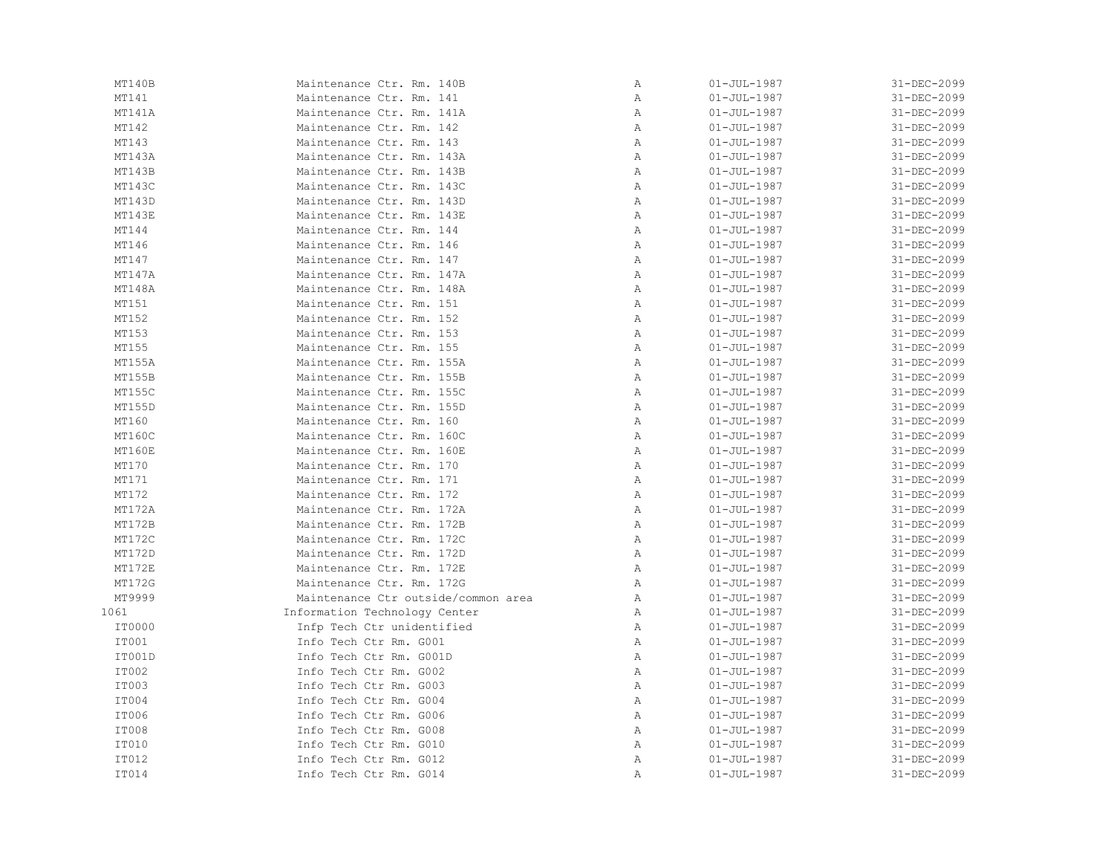| MT140B       | Maintenance Ctr. Rm. 140B           | Α            | $01 - JUL - 1987$ | 31-DEC-2099 |
|--------------|-------------------------------------|--------------|-------------------|-------------|
| MT141        | Maintenance Ctr. Rm. 141            | Α            | $01 - JUL - 1987$ | 31-DEC-2099 |
| MT141A       | Maintenance Ctr. Rm. 141A           | Α            | $01 - JUL - 1987$ | 31-DEC-2099 |
| MT142        | Maintenance Ctr. Rm. 142            | $\mathbb{A}$ | $01 - JUL - 1987$ | 31-DEC-2099 |
| MT143        | Maintenance Ctr. Rm. 143            | $\mathbb{A}$ | $01 - JUL - 1987$ | 31-DEC-2099 |
| MT143A       | Maintenance Ctr. Rm. 143A           | $\mathbb{A}$ | $01 - JUL - 1987$ | 31-DEC-2099 |
| MT143B       | Maintenance Ctr. Rm. 143B           | A            | $01 - JUL - 1987$ | 31-DEC-2099 |
| MT143C       | Maintenance Ctr. Rm. 143C           | Α            | $01 - JUL - 1987$ | 31-DEC-2099 |
| MT143D       | Maintenance Ctr. Rm. 143D           | Α            | $01 - JUL - 1987$ | 31-DEC-2099 |
| MT143E       | Maintenance Ctr. Rm. 143E           | Α            | $01 - JUL - 1987$ | 31-DEC-2099 |
| MT144        | Maintenance Ctr. Rm. 144            | $\mathbb{A}$ | $01 - JUL - 1987$ | 31-DEC-2099 |
| MT146        | Maintenance Ctr. Rm. 146            | $\mathbb{A}$ | $01 - JUL - 1987$ | 31-DEC-2099 |
| MT147        | Maintenance Ctr. Rm. 147            | $\mathbb{A}$ | $01 - JUL - 1987$ | 31-DEC-2099 |
| MT147A       | Maintenance Ctr. Rm. 147A           | A            | $01 - JUL - 1987$ | 31-DEC-2099 |
| MT148A       | Maintenance Ctr. Rm. 148A           | Α            | $01 - JUL - 1987$ | 31-DEC-2099 |
| MT151        | Maintenance Ctr. Rm. 151            | Α            | $01 - JUL - 1987$ | 31-DEC-2099 |
| MT152        | Maintenance Ctr. Rm. 152            | Α            | $01 - JUL - 1987$ | 31-DEC-2099 |
| MT153        | Maintenance Ctr. Rm. 153            | Α            | $01 - JUL - 1987$ | 31-DEC-2099 |
| MT155        | Maintenance Ctr. Rm. 155            | $\mathbb{A}$ | $01 - JUL - 1987$ | 31-DEC-2099 |
| MT155A       | Maintenance Ctr. Rm. 155A           | $\mathbb{A}$ | $01 - JUL - 1987$ | 31-DEC-2099 |
| MT155B       | Maintenance Ctr. Rm. 155B           | A            | $01 - JUL - 1987$ | 31-DEC-2099 |
| MT155C       | Maintenance Ctr. Rm. 155C           | Α            | $01 - JUL - 1987$ | 31-DEC-2099 |
| MT155D       | Maintenance Ctr. Rm. 155D           | Α            | $01 - JUL - 1987$ | 31-DEC-2099 |
| MT160        | Maintenance Ctr. Rm. 160            | Α            | $01 - JUL - 1987$ | 31-DEC-2099 |
| MT160C       | Maintenance Ctr. Rm. 160C           | Α            | $01 - JUL - 1987$ | 31-DEC-2099 |
| MT160E       | Maintenance Ctr. Rm. 160E           | Α            | $01 - JUL - 1987$ | 31-DEC-2099 |
| MT170        | Maintenance Ctr. Rm. 170            | $\mathbb{A}$ | $01 - JUL - 1987$ | 31-DEC-2099 |
| MT171        | Maintenance Ctr. Rm. 171            | $\mathbb{A}$ | $01 - JUL - 1987$ | 31-DEC-2099 |
| MT172        | Maintenance Ctr. Rm. 172            | Α            | $01 - JUL - 1987$ | 31-DEC-2099 |
| MT172A       | Maintenance Ctr. Rm. 172A           | Α            | $01 - JUL - 1987$ | 31-DEC-2099 |
| MT172B       | Maintenance Ctr. Rm. 172B           | Α            | $01 - JUL - 1987$ | 31-DEC-2099 |
| MT172C       | Maintenance Ctr. Rm. 172C           | $\mathbb{A}$ | $01 - JUL - 1987$ | 31-DEC-2099 |
| MT172D       | Maintenance Ctr. Rm. 172D           | Α            | $01 - JUL - 1987$ | 31-DEC-2099 |
| MT172E       | Maintenance Ctr. Rm. 172E           | $\mathbb{A}$ | $01 - JUL - 1987$ | 31-DEC-2099 |
| MT172G       | Maintenance Ctr. Rm. 172G           | $\mathbb{A}$ | $01 - JUL - 1987$ | 31-DEC-2099 |
| MT9999       | Maintenance Ctr outside/common area | $\mathbb{A}$ | $01 - JUL - 1987$ | 31-DEC-2099 |
| 1061         | Information Technology Center       | A            | $01 - JUL - 1987$ | 31-DEC-2099 |
| IT0000       | Infp Tech Ctr unidentified          | Α            | $01 - JUL - 1987$ | 31-DEC-2099 |
| <b>IT001</b> | Info Tech Ctr Rm. G001              | $\mathbb{A}$ | $01 - JUL - 1987$ | 31-DEC-2099 |
| IT001D       | Info Tech Ctr Rm. G001D             | Α            | $01 - JUL - 1987$ | 31-DEC-2099 |
| IT002        | Info Tech Ctr Rm. G002              | Α            | $01 - JUL - 1987$ | 31-DEC-2099 |
| IT003        | Info Tech Ctr Rm. G003              | $\mathbb{A}$ | $01 - JUL - 1987$ | 31-DEC-2099 |
| IT004        | Info Tech Ctr Rm. G004              | $\mathbb{A}$ | $01 - JUL - 1987$ | 31-DEC-2099 |
| IT006        | Info Tech Ctr Rm. G006              | Α            | $01 - JUL - 1987$ | 31-DEC-2099 |
| IT008        | Info Tech Ctr Rm. G008              | $\mathbb{A}$ | $01 - JUL - 1987$ | 31-DEC-2099 |
| IT010        | Info Tech Ctr Rm. G010              | $\mathbb{A}$ | $01 - JUL - 1987$ | 31-DEC-2099 |
| IT012        | Info Tech Ctr Rm. G012              | Α            | $01 - JUL - 1987$ | 31-DEC-2099 |
| IT014        | Info Tech Ctr Rm. G014              | Α            | $01 - JUL - 1987$ | 31-DEC-2099 |
|              |                                     |              |                   |             |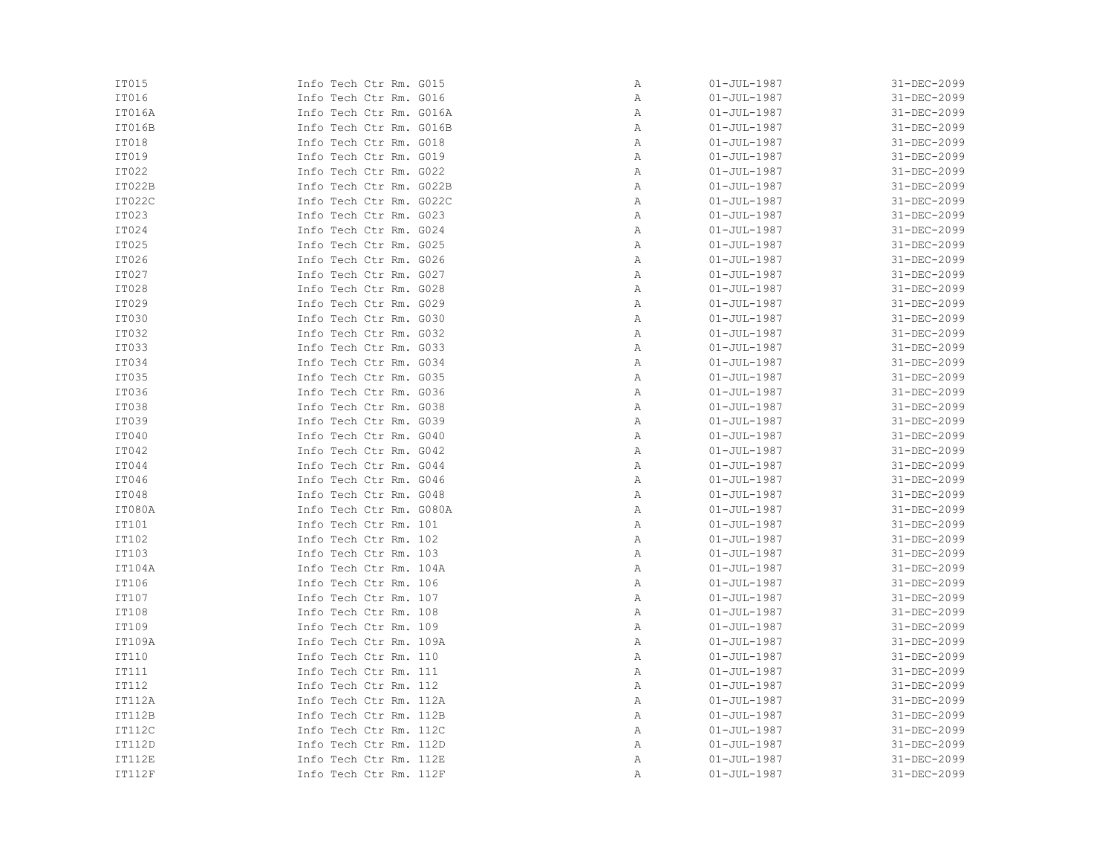| IT015         | Info Tech Ctr Rm. G015  | Α | $01 - JUL - 1987$ | 31-DEC-2099 |
|---------------|-------------------------|---|-------------------|-------------|
| IT016         | Info Tech Ctr Rm. G016  | Α | $01 - JUL - 1987$ | 31-DEC-2099 |
| IT016A        | Info Tech Ctr Rm. G016A | Α | $01 - JUL - 1987$ | 31-DEC-2099 |
| IT016B        | Info Tech Ctr Rm. G016B | Α | $01 - JUL - 1987$ | 31-DEC-2099 |
| IT018         | Info Tech Ctr Rm. G018  | Α | $01 - JUL - 1987$ | 31-DEC-2099 |
| IT019         | Info Tech Ctr Rm. G019  | Α | $01 - JUL - 1987$ | 31-DEC-2099 |
| IT022         | Info Tech Ctr Rm. G022  | Α | $01 - JUL - 1987$ | 31-DEC-2099 |
| IT022B        | Info Tech Ctr Rm. G022B | Α | $01 - JUL - 1987$ | 31-DEC-2099 |
| IT022C        | Info Tech Ctr Rm. G022C | Α | $01 - JUL - 1987$ | 31-DEC-2099 |
| IT023         | Info Tech Ctr Rm. G023  | Α | $01 - JUL - 1987$ | 31-DEC-2099 |
| IT024         | Info Tech Ctr Rm. G024  | Α | $01 - JUL - 1987$ | 31-DEC-2099 |
| IT025         | Info Tech Ctr Rm. G025  | Α | $01 - JUL - 1987$ | 31-DEC-2099 |
| IT026         | Info Tech Ctr Rm. G026  | Α | $01 - JUL - 1987$ | 31-DEC-2099 |
| IT027         | Info Tech Ctr Rm. G027  | Α | $01 - JUL - 1987$ | 31-DEC-2099 |
| IT028         | Info Tech Ctr Rm. G028  | Α | $01 - JUL - 1987$ | 31-DEC-2099 |
| IT029         | Info Tech Ctr Rm. G029  | Α | $01 - JUL - 1987$ | 31-DEC-2099 |
| IT030         | Info Tech Ctr Rm. G030  | Α | $01 - JUL - 1987$ | 31-DEC-2099 |
| IT032         | Info Tech Ctr Rm. G032  | Α | $01 - JUL - 1987$ | 31-DEC-2099 |
| IT033         | Info Tech Ctr Rm. G033  | Α | $01 - JUL - 1987$ | 31-DEC-2099 |
| IT034         | Info Tech Ctr Rm. G034  | Α | $01 - JUL - 1987$ | 31-DEC-2099 |
| IT035         | Info Tech Ctr Rm. G035  | Α | $01 - JUL - 1987$ | 31-DEC-2099 |
| IT036         | Info Tech Ctr Rm. G036  | Α | $01 - JUL - 1987$ | 31-DEC-2099 |
| IT038         | Info Tech Ctr Rm. G038  | Α | $01 - JUL - 1987$ | 31-DEC-2099 |
| IT039         | Info Tech Ctr Rm. G039  | Α | $01 - JUL - 1987$ | 31-DEC-2099 |
| IT040         | Info Tech Ctr Rm. G040  | Α | $01 - JUL - 1987$ | 31-DEC-2099 |
| IT042         | Info Tech Ctr Rm. G042  | Α | $01 - JUL - 1987$ | 31-DEC-2099 |
| IT044         | Info Tech Ctr Rm. G044  | Α | $01 - JUL - 1987$ | 31-DEC-2099 |
| IT046         | Info Tech Ctr Rm. G046  | Α | $01 - JUL - 1987$ | 31-DEC-2099 |
| IT048         | Info Tech Ctr Rm. G048  | Α | $01 - JUL - 1987$ | 31-DEC-2099 |
| IT080A        | Info Tech Ctr Rm. G080A | Α | $01 - JUL - 1987$ | 31-DEC-2099 |
| IT101         | Info Tech Ctr Rm. 101   | Α | $01 - JUL - 1987$ | 31-DEC-2099 |
| IT102         | Info Tech Ctr Rm. 102   | Α | $01 - JUL - 1987$ | 31-DEC-2099 |
| IT103         | Info Tech Ctr Rm. 103   | Α | $01 - JUL - 1987$ | 31-DEC-2099 |
| IT104A        | Info Tech Ctr Rm. 104A  | Α | $01 - JUL - 1987$ | 31-DEC-2099 |
| IT106         | Info Tech Ctr Rm. 106   | Α | $01 - JUL - 1987$ | 31-DEC-2099 |
| IT107         | Info Tech Ctr Rm. 107   | Α | $01 - JUL - 1987$ | 31-DEC-2099 |
| IT108         | Info Tech Ctr Rm. 108   | Α | $01 - JUL - 1987$ | 31-DEC-2099 |
| IT109         | Info Tech Ctr Rm. 109   | Α | $01 - JUL - 1987$ | 31-DEC-2099 |
| IT109A        | Info Tech Ctr Rm. 109A  | Α | $01 - JUL - 1987$ | 31-DEC-2099 |
| IT110         | Info Tech Ctr Rm. 110   | Α | $01 - JUL - 1987$ | 31-DEC-2099 |
| IT111         | Info Tech Ctr Rm. 111   | Α | $01 - JUL - 1987$ | 31-DEC-2099 |
| IT112         | Info Tech Ctr Rm. 112   | Α | $01 - JUL - 1987$ | 31-DEC-2099 |
| IT112A        | Info Tech Ctr Rm. 112A  | Α | $01 - JUL - 1987$ | 31-DEC-2099 |
| IT112B        | Info Tech Ctr Rm. 112B  | Α | $01 - JUL - 1987$ | 31-DEC-2099 |
| <b>IT112C</b> | Info Tech Ctr Rm. 112C  | Α | $01 - JUL - 1987$ | 31-DEC-2099 |
| IT112D        | Info Tech Ctr Rm. 112D  | Α | $01 - JUL - 1987$ | 31-DEC-2099 |
| IT112E        | Info Tech Ctr Rm. 112E  | Α | $01 - JUL - 1987$ | 31-DEC-2099 |
| <b>IT112F</b> | Info Tech Ctr Rm. 112F  | Α | $01 - JUL - 1987$ | 31-DEC-2099 |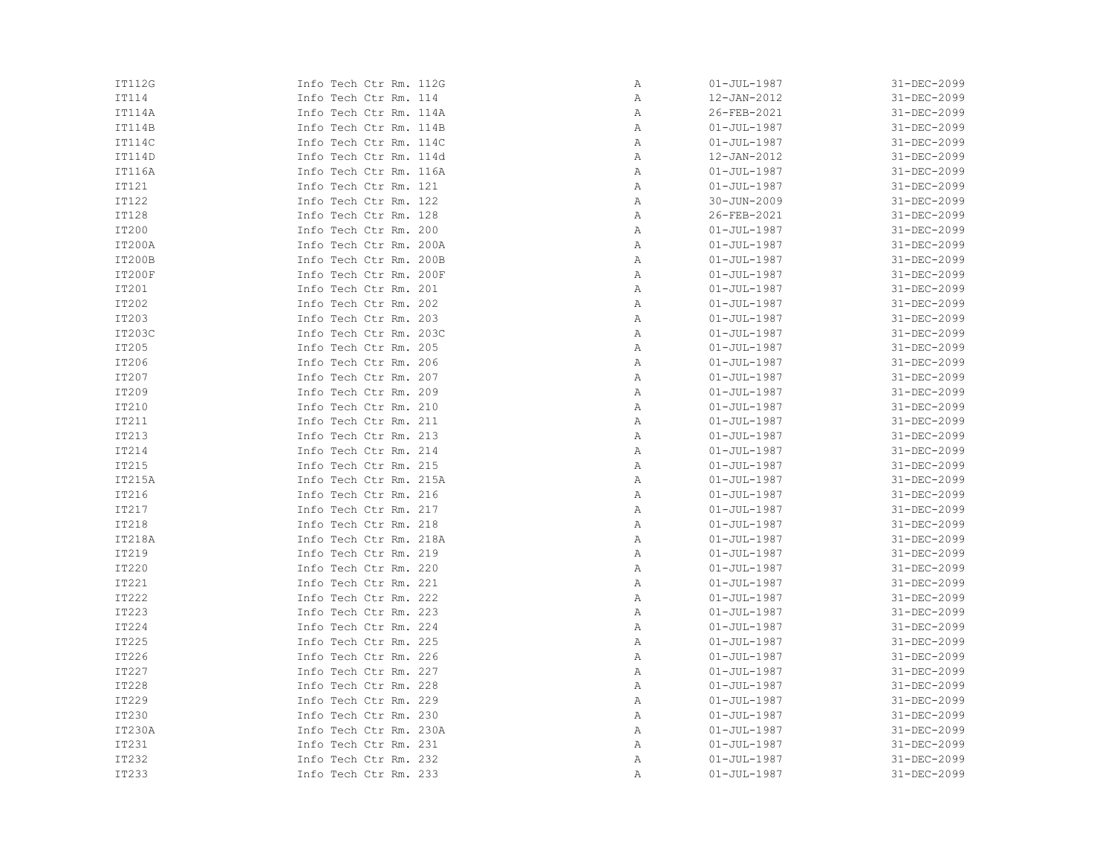| IT112G        | Info Tech Ctr Rm. 112G | Α | $01 - JUL - 1987$ | 31-DEC-2099 |
|---------------|------------------------|---|-------------------|-------------|
| IT114         | Info Tech Ctr Rm. 114  | Α | 12-JAN-2012       | 31-DEC-2099 |
| IT114A        | Info Tech Ctr Rm. 114A | Α | 26-FEB-2021       | 31-DEC-2099 |
| IT114B        | Info Tech Ctr Rm. 114B | Α | $01 - JUL - 1987$ | 31-DEC-2099 |
| IT114C        | Info Tech Ctr Rm. 114C | Α | $01 - JUL - 1987$ | 31-DEC-2099 |
| IT114D        | Info Tech Ctr Rm. 114d | Α | 12-JAN-2012       | 31-DEC-2099 |
| IT116A        | Info Tech Ctr Rm. 116A | Α | $01 - JUL - 1987$ | 31-DEC-2099 |
| IT121         | Info Tech Ctr Rm. 121  | Α | $01 - JUL - 1987$ | 31-DEC-2099 |
| IT122         | Info Tech Ctr Rm. 122  | Α | 30-JUN-2009       | 31-DEC-2099 |
| IT128         | Info Tech Ctr Rm. 128  | Α | 26-FEB-2021       | 31-DEC-2099 |
| IT200         | Info Tech Ctr Rm. 200  | Α | $01 - JUL - 1987$ | 31-DEC-2099 |
| IT200A        | Info Tech Ctr Rm. 200A | Α | $01 - JUL - 1987$ | 31-DEC-2099 |
| IT200B        | Info Tech Ctr Rm. 200B | Α | $01 - JUL - 1987$ | 31-DEC-2099 |
| <b>IT200F</b> | Info Tech Ctr Rm. 200F | Α | $01 - JUL - 1987$ | 31-DEC-2099 |
| IT201         | Info Tech Ctr Rm. 201  | Α | $01 - JUL - 1987$ | 31-DEC-2099 |
| IT202         | Info Tech Ctr Rm. 202  | Α | $01 - JUL - 1987$ | 31-DEC-2099 |
| IT203         | Info Tech Ctr Rm. 203  | Α | $01 - JUL - 1987$ | 31-DEC-2099 |
| IT203C        | Info Tech Ctr Rm. 203C | Α | $01 - JUL - 1987$ | 31-DEC-2099 |
| IT205         | Info Tech Ctr Rm. 205  | Α | $01 - JUL - 1987$ | 31-DEC-2099 |
| IT206         | Info Tech Ctr Rm. 206  | Α | $01 - JUL - 1987$ | 31-DEC-2099 |
| IT207         | Info Tech Ctr Rm. 207  | Α | $01 - JUL - 1987$ | 31-DEC-2099 |
| IT209         | Info Tech Ctr Rm. 209  | Α | $01 - JUL - 1987$ | 31-DEC-2099 |
| IT210         | Info Tech Ctr Rm. 210  | Α | $01 - JUL - 1987$ | 31-DEC-2099 |
| IT211         | Info Tech Ctr Rm. 211  | Α | $01 - JUL - 1987$ | 31-DEC-2099 |
| IT213         | Info Tech Ctr Rm. 213  | Α | $01 - JUL - 1987$ | 31-DEC-2099 |
| IT214         | Info Tech Ctr Rm. 214  | Α | $01 - JUL - 1987$ | 31-DEC-2099 |
| IT215         | Info Tech Ctr Rm. 215  | Α | $01 - JUL - 1987$ | 31-DEC-2099 |
| IT215A        | Info Tech Ctr Rm. 215A | Α | $01 - JUL - 1987$ | 31-DEC-2099 |
| IT216         | Info Tech Ctr Rm. 216  | Α | $01 - JUL - 1987$ | 31-DEC-2099 |
| IT217         | Info Tech Ctr Rm. 217  | Α | $01 - JUL - 1987$ | 31-DEC-2099 |
| IT218         | Info Tech Ctr Rm. 218  | Α | $01 - JUL - 1987$ | 31-DEC-2099 |
| IT218A        | Info Tech Ctr Rm. 218A | Α | $01 - JUL - 1987$ | 31-DEC-2099 |
| IT219         | Info Tech Ctr Rm. 219  | Α | $01 - JUL - 1987$ | 31-DEC-2099 |
| IT220         | Info Tech Ctr Rm. 220  | Α | $01 - JUL - 1987$ | 31-DEC-2099 |
| IT221         | Info Tech Ctr Rm. 221  | Α | $01 - JUL - 1987$ | 31-DEC-2099 |
| IT222         | Info Tech Ctr Rm. 222  | Α | $01 - JUL - 1987$ | 31-DEC-2099 |
| IT223         | Info Tech Ctr Rm. 223  | Α | $01 - JUL - 1987$ | 31-DEC-2099 |
| IT224         | Info Tech Ctr Rm. 224  | Α | $01 - JUL - 1987$ | 31-DEC-2099 |
| IT225         | Info Tech Ctr Rm. 225  | Α | $01 - JUL - 1987$ | 31-DEC-2099 |
| IT226         | Info Tech Ctr Rm. 226  | Α | $01 - JUL - 1987$ | 31-DEC-2099 |
| IT227         | Info Tech Ctr Rm. 227  | Α | $01 - JUL - 1987$ | 31-DEC-2099 |
| IT228         | Info Tech Ctr Rm. 228  | Α | $01 - JUL - 1987$ | 31-DEC-2099 |
| IT229         | Info Tech Ctr Rm. 229  | Α | $01 - JUL - 1987$ | 31-DEC-2099 |
| IT230         | Info Tech Ctr Rm. 230  | Α | $01 - JUL - 1987$ | 31-DEC-2099 |
| IT230A        | Info Tech Ctr Rm. 230A | Α | $01 - JUL - 1987$ | 31-DEC-2099 |
| IT231         | Info Tech Ctr Rm. 231  | Α | $01 - JUL - 1987$ | 31-DEC-2099 |
| IT232         | Info Tech Ctr Rm. 232  | Α | $01 - JUL - 1987$ | 31-DEC-2099 |
| IT233         | Info Tech Ctr Rm. 233  | Α | $01 - JUL - 1987$ | 31-DEC-2099 |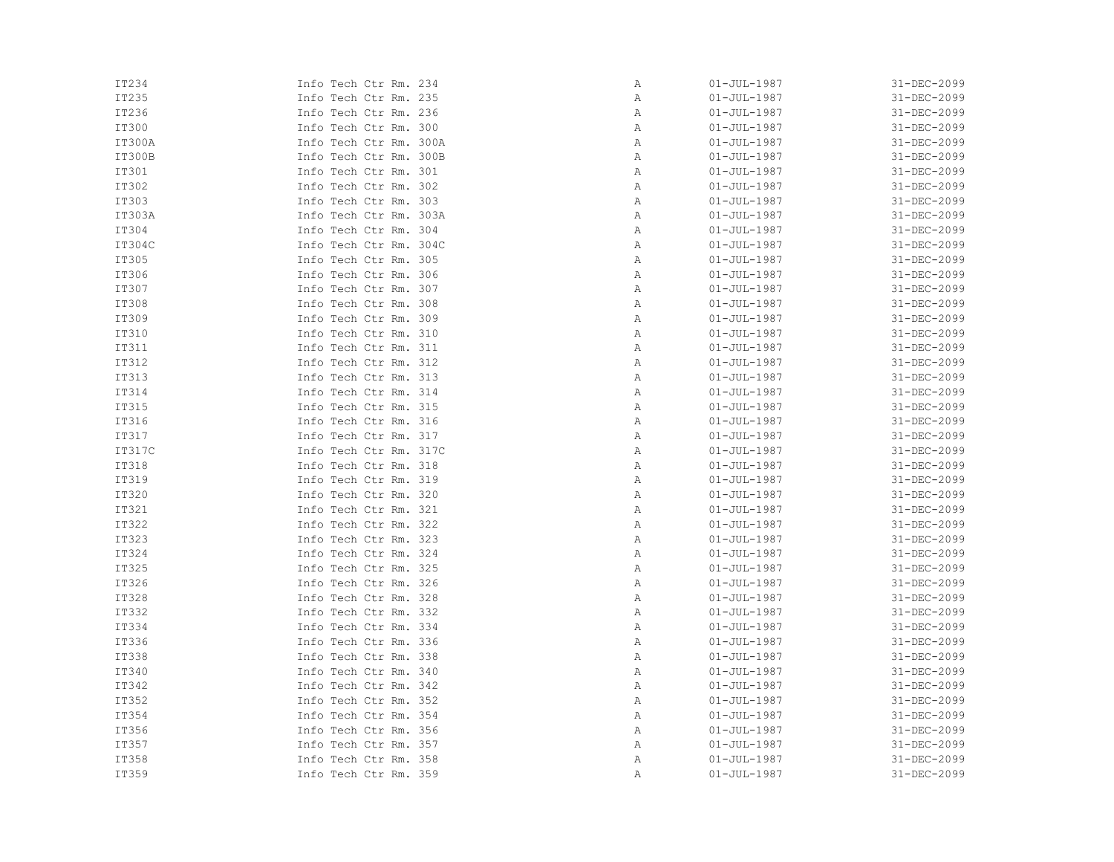| IT234        | Info Tech Ctr Rm. 234  | Α | $01 - JUL - 1987$ | 31-DEC-2099 |
|--------------|------------------------|---|-------------------|-------------|
| IT235        | Info Tech Ctr Rm. 235  | Α | $01 - JUL - 1987$ | 31-DEC-2099 |
| IT236        | Info Tech Ctr Rm. 236  | Α | $01 - JUL - 1987$ | 31-DEC-2099 |
| <b>IT300</b> | Info Tech Ctr Rm. 300  | Α | $01 - JUL - 1987$ | 31-DEC-2099 |
| IT300A       | Info Tech Ctr Rm. 300A | Α | $01 - JUL - 1987$ | 31-DEC-2099 |
| IT300B       | Info Tech Ctr Rm. 300B | Α | $01 - JUL - 1987$ | 31-DEC-2099 |
| IT301        | Info Tech Ctr Rm. 301  | Α | $01 - JUL - 1987$ | 31-DEC-2099 |
| IT302        | Info Tech Ctr Rm. 302  | Α | $01 - JUL - 1987$ | 31-DEC-2099 |
| IT303        | Info Tech Ctr Rm. 303  | Α | $01 - JUL - 1987$ | 31-DEC-2099 |
| IT303A       | Info Tech Ctr Rm. 303A | Α | $01 - JUL - 1987$ | 31-DEC-2099 |
| IT304        | Info Tech Ctr Rm. 304  | Α | $01 - JUL - 1987$ | 31-DEC-2099 |
| IT304C       | Info Tech Ctr Rm. 304C | Α | $01 - JUL - 1987$ | 31-DEC-2099 |
| IT305        | Info Tech Ctr Rm. 305  | Α | $01 - JUL - 1987$ | 31-DEC-2099 |
| IT306        | Info Tech Ctr Rm. 306  | Α | $01 - JUL - 1987$ | 31-DEC-2099 |
| IT307        | Info Tech Ctr Rm. 307  | Α | $01 - JUL - 1987$ | 31-DEC-2099 |
| IT308        | Info Tech Ctr Rm. 308  | Α | $01 - JUL - 1987$ | 31-DEC-2099 |
| IT309        | Info Tech Ctr Rm. 309  | Α | $01 - JUL - 1987$ | 31-DEC-2099 |
| IT310        | Info Tech Ctr Rm. 310  | Α | $01 - JUL - 1987$ | 31-DEC-2099 |
| IT311        | Info Tech Ctr Rm. 311  | Α | $01 - JUL - 1987$ | 31-DEC-2099 |
| IT312        | Info Tech Ctr Rm. 312  | Α | $01 - JUL - 1987$ | 31-DEC-2099 |
| IT313        | Info Tech Ctr Rm. 313  | Α | $01 - JUL - 1987$ | 31-DEC-2099 |
| IT314        | Info Tech Ctr Rm. 314  | Α | $01 - JUL - 1987$ | 31-DEC-2099 |
| IT315        | Info Tech Ctr Rm. 315  | Α | $01 - JUL - 1987$ | 31-DEC-2099 |
| IT316        | Info Tech Ctr Rm. 316  | Α | $01 - JUL - 1987$ | 31-DEC-2099 |
| IT317        | Info Tech Ctr Rm. 317  | Α | $01 - JUL - 1987$ | 31-DEC-2099 |
| IT317C       | Info Tech Ctr Rm. 317C | Α | $01 - JUL - 1987$ | 31-DEC-2099 |
| IT318        | Info Tech Ctr Rm. 318  | Α | $01 - JUL - 1987$ | 31-DEC-2099 |
| IT319        | Info Tech Ctr Rm. 319  | Α | $01 - JUL - 1987$ | 31-DEC-2099 |
| <b>IT320</b> | Info Tech Ctr Rm. 320  | Α | $01 - JUL - 1987$ | 31-DEC-2099 |
| IT321        | Info Tech Ctr Rm. 321  | Α | $01 - JUL - 1987$ | 31-DEC-2099 |
| IT322        | Info Tech Ctr Rm. 322  | Α | $01 - JUL - 1987$ | 31-DEC-2099 |
| IT323        | Info Tech Ctr Rm. 323  | Α | $01 - JUL - 1987$ | 31-DEC-2099 |
| IT324        | Info Tech Ctr Rm. 324  | Α | $01 - JUL - 1987$ | 31-DEC-2099 |
| IT325        | Info Tech Ctr Rm. 325  | Α | $01 - JUL - 1987$ | 31-DEC-2099 |
| IT326        | Info Tech Ctr Rm. 326  | Α | $01 - JUL - 1987$ | 31-DEC-2099 |
| IT328        | Info Tech Ctr Rm. 328  | Α | $01 - JUL - 1987$ | 31-DEC-2099 |
| IT332        | Info Tech Ctr Rm. 332  | Α | $01 - JUL - 1987$ | 31-DEC-2099 |
| IT334        | Info Tech Ctr Rm. 334  | Α | $01 - JUL - 1987$ | 31-DEC-2099 |
| IT336        | Info Tech Ctr Rm. 336  | Α | $01 - JUL - 1987$ | 31-DEC-2099 |
| IT338        | Info Tech Ctr Rm. 338  | Α | $01 - JUL - 1987$ | 31-DEC-2099 |
| IT340        | Info Tech Ctr Rm. 340  | Α | $01 - JUL - 1987$ | 31-DEC-2099 |
| IT342        | Info Tech Ctr Rm. 342  | Α | $01 - JUL - 1987$ | 31-DEC-2099 |
| IT352        | Info Tech Ctr Rm. 352  | Α | $01 - JUL - 1987$ | 31-DEC-2099 |
| IT354        | Info Tech Ctr Rm. 354  | Α | $01 - JUL - 1987$ | 31-DEC-2099 |
| IT356        | Info Tech Ctr Rm. 356  | Α | $01 - JUL - 1987$ | 31-DEC-2099 |
| IT357        | Info Tech Ctr Rm. 357  | Α | $01 - JUL - 1987$ | 31-DEC-2099 |
| IT358        | Info Tech Ctr Rm. 358  | Α | $01 - JUL - 1987$ | 31-DEC-2099 |
| IT359        | Info Tech Ctr Rm. 359  | Α | $01 - JUL - 1987$ | 31-DEC-2099 |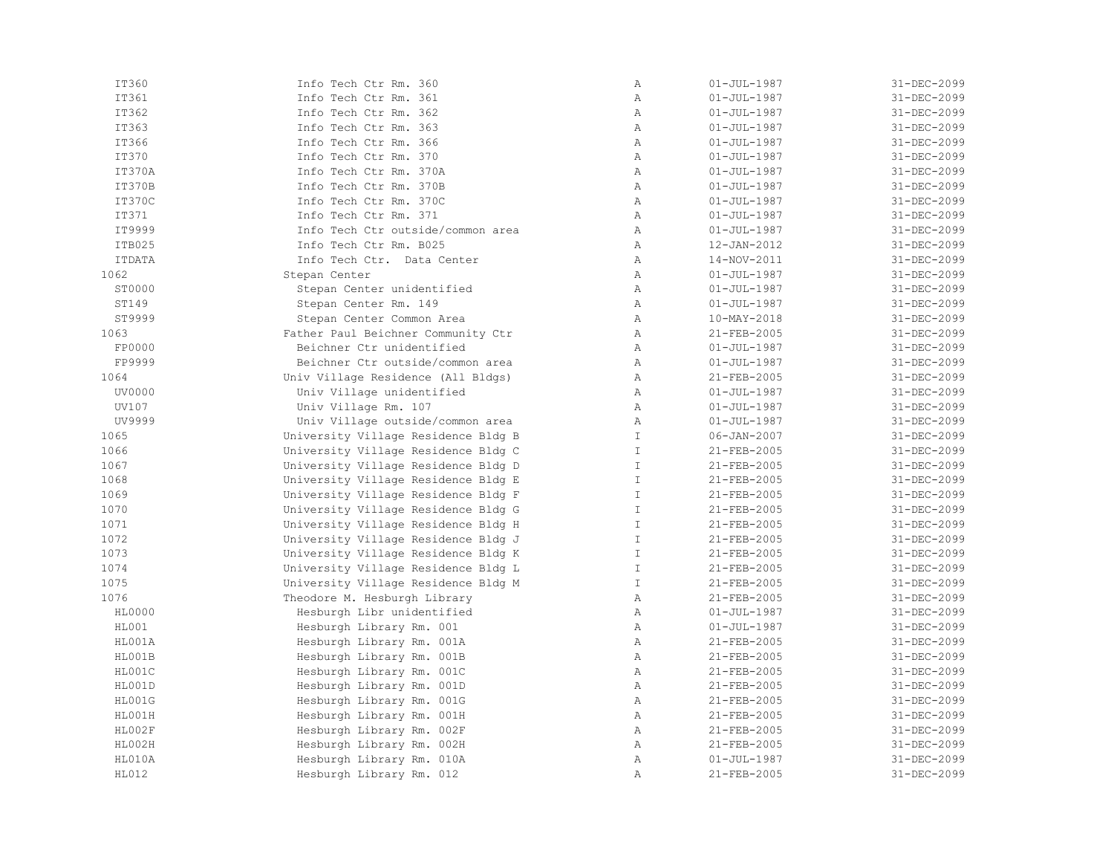| IT360         | Info Tech Ctr Rm. 360               | Α             | $01 - JUL - 1987$ | 31-DEC-2099 |
|---------------|-------------------------------------|---------------|-------------------|-------------|
| IT361         | Info Tech Ctr Rm. 361               | $\mathbb{A}$  | $01 - JUL - 1987$ | 31-DEC-2099 |
| IT362         | Info Tech Ctr Rm. 362               | $\mathbb{A}$  | $01 - JUL - 1987$ | 31-DEC-2099 |
| IT363         | Info Tech Ctr Rm. 363               | $\mathbb{A}$  | $01 - JUL - 1987$ | 31-DEC-2099 |
| IT366         | Info Tech Ctr Rm. 366               | $\mathbb{A}$  | $01 - JUL - 1987$ | 31-DEC-2099 |
| <b>IT370</b>  | Info Tech Ctr Rm. 370               | $\mathbb{A}$  | $01 - JUL - 1987$ | 31-DEC-2099 |
| IT370A        | Info Tech Ctr Rm. 370A              | A             | $01 - JUL - 1987$ | 31-DEC-2099 |
| IT370B        | Info Tech Ctr Rm. 370B              | Α             | $01 - JUL - 1987$ | 31-DEC-2099 |
| IT370C        | Info Tech Ctr Rm. 370C              | $\mathbb{A}$  | $01 - JUL - 1987$ | 31-DEC-2099 |
| IT371         | Info Tech Ctr Rm. 371               | $\mathbb{A}$  | $01 - JUL - 1987$ | 31-DEC-2099 |
| IT9999        | Info Tech Ctr outside/common area   | $\mathbb{A}$  | $01 - JUL - 1987$ | 31-DEC-2099 |
| ITB025        | Info Tech Ctr Rm. B025              | $\mathbb{A}$  | 12-JAN-2012       | 31-DEC-2099 |
| <b>ITDATA</b> | Info Tech Ctr. Data Center          | $\mathbb{A}$  | 14-NOV-2011       | 31-DEC-2099 |
| 1062          | Stepan Center                       | $\mathbb{A}$  | $01 - JUL - 1987$ | 31-DEC-2099 |
| ST0000        | Stepan Center unidentified          | Α             | $01 - JUL - 1987$ | 31-DEC-2099 |
| ST149         | Stepan Center Rm. 149               | $\mathbb{A}$  | $01 - JUL - 1987$ | 31-DEC-2099 |
| ST9999        | Stepan Center Common Area           | $\mathbb{A}$  | 10-MAY-2018       | 31-DEC-2099 |
| 1063          | Father Paul Beichner Community Ctr  | A             | 21-FEB-2005       | 31-DEC-2099 |
| FP0000        | Beichner Ctr unidentified           | A             | $01 - JUL - 1987$ | 31-DEC-2099 |
| FP9999        | Beichner Ctr outside/common area    | $\mathbb{A}$  | $01 - JUL - 1987$ | 31-DEC-2099 |
| 1064          | Univ Village Residence (All Bldgs)  | Α             | 21-FEB-2005       | 31-DEC-2099 |
| UV0000        | Univ Village unidentified           | $\lambda$     | $01 - JUL - 1987$ | 31-DEC-2099 |
| UV107         | Univ Village Rm. 107                | $\lambda$     | $01 - JUL - 1987$ | 31-DEC-2099 |
| UV9999        | Univ Village outside/common area    | $\mathbb{A}$  | $01 - JUL - 1987$ | 31-DEC-2099 |
| 1065          | University Village Residence Bldg B | $\mathbb{I}$  | 06-JAN-2007       | 31-DEC-2099 |
| 1066          | University Village Residence Bldg C | $\mathbb{I}$  | 21-FEB-2005       | 31-DEC-2099 |
| 1067          | University Village Residence Bldg D | $\mathbb{I}$  | 21-FEB-2005       | 31-DEC-2099 |
| 1068          | University Village Residence Bldg E | $\mathbb{I}$  | 21-FEB-2005       | 31-DEC-2099 |
| 1069          | University Village Residence Bldg F | $\mathbb T$   | 21-FEB-2005       | 31-DEC-2099 |
| 1070          | University Village Residence Bldg G | $\mathbb{I}$  | 21-FEB-2005       | 31-DEC-2099 |
| 1071          | University Village Residence Bldg H | $\mathbb{I}$  | 21-FEB-2005       | 31-DEC-2099 |
| 1072          | University Village Residence Bldg J | $\mathbb{I}$  | 21-FEB-2005       | 31-DEC-2099 |
| 1073          | University Village Residence Bldg K | $\mathbb{I}$  | 21-FEB-2005       | 31-DEC-2099 |
| 1074          | University Village Residence Bldg L | $\mathbb{I}$  | 21-FEB-2005       | 31-DEC-2099 |
| 1075          | University Village Residence Bldg M | $\mathbbm{1}$ | 21-FEB-2005       | 31-DEC-2099 |
| 1076          | Theodore M. Hesburgh Library        | $\mathbb{A}$  | 21-FEB-2005       | 31-DEC-2099 |
| HL0000        | Hesburgh Libr unidentified          | $\mathbb{A}$  | $01 - JUL - 1987$ | 31-DEC-2099 |
| HL001         | Hesburgh Library Rm. 001            | $\mathbb{A}$  | $01 - JUL - 1987$ | 31-DEC-2099 |
| HL001A        | Hesburgh Library Rm. 001A           | A             | 21-FEB-2005       | 31-DEC-2099 |
| HL001B        | Hesburgh Library Rm. 001B           | Α             | 21-FEB-2005       | 31-DEC-2099 |
| HL001C        | Hesburgh Library Rm. 001C           | $\mathbb{A}$  | 21-FEB-2005       | 31-DEC-2099 |
| HL001D        | Hesburgh Library Rm. 001D           | Α             | 21-FEB-2005       | 31-DEC-2099 |
| HL001G        | Hesburgh Library Rm. 001G           | $\mathbb{A}$  | 21-FEB-2005       | 31-DEC-2099 |
| HL001H        | Hesburgh Library Rm. 001H           | $\mathbb{A}$  | 21-FEB-2005       | 31-DEC-2099 |
| HL002F        | Hesburgh Library Rm. 002F           | $\mathbb{A}$  | 21-FEB-2005       | 31-DEC-2099 |
| HL002H        | Hesburgh Library Rm. 002H           | A             | 21-FEB-2005       | 31-DEC-2099 |
| HL010A        | Hesburgh Library Rm. 010A           | Α             | $01 - JUL - 1987$ | 31-DEC-2099 |
| HL012         | Hesburgh Library Rm. 012            | Α             | 21-FEB-2005       | 31-DEC-2099 |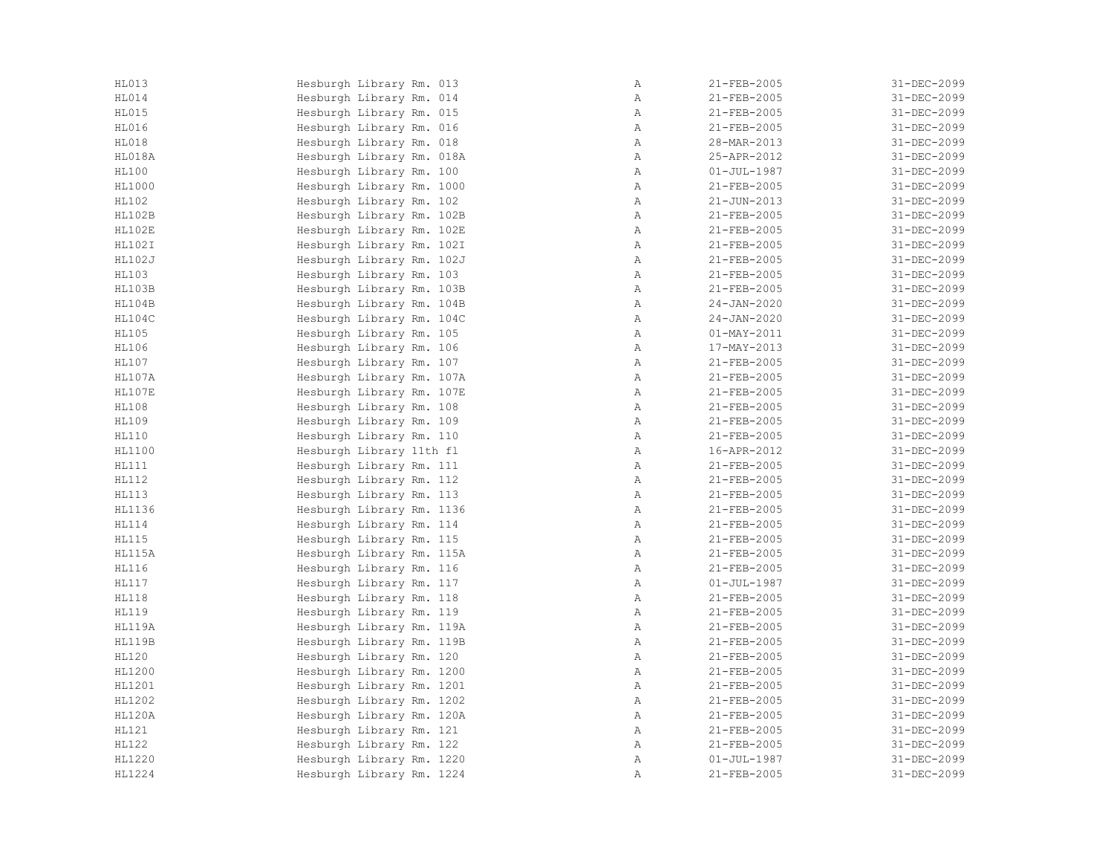| <b>HL013</b>  | Hesburgh Library Rm. 013  | Α            | 21-FEB-2005              | 31-DEC-2099 |
|---------------|---------------------------|--------------|--------------------------|-------------|
| HL014         | Hesburgh Library Rm. 014  | Α            | 21-FEB-2005              | 31-DEC-2099 |
| HL015         | Hesburgh Library Rm. 015  | $\mathbb{A}$ | 21-FEB-2005              | 31-DEC-2099 |
| HL016         | Hesburgh Library Rm. 016  | $\mathbb{A}$ | 21-FEB-2005              | 31-DEC-2099 |
| HL018         | Hesburgh Library Rm. 018  | $\mathbb{A}$ | 28-MAR-2013              | 31-DEC-2099 |
| HL018A        | Hesburgh Library Rm. 018A | $\mathbb{A}$ | 25-APR-2012              | 31-DEC-2099 |
| <b>HL100</b>  | Hesburgh Library Rm. 100  | $\mathbb{A}$ | $01 - JUL - 1987$        | 31-DEC-2099 |
| HL1000        | Hesburgh Library Rm. 1000 | $\, {\bf A}$ | 21-FEB-2005              | 31-DEC-2099 |
| <b>HL102</b>  | Hesburgh Library Rm. 102  | Α            | $21 - JUN - 2013$        | 31-DEC-2099 |
| HL102B        | Hesburgh Library Rm. 102B | Α            | 21-FEB-2005              | 31-DEC-2099 |
| HL102E        | Hesburgh Library Rm. 102E | $\mathbb{A}$ | 21-FEB-2005              | 31-DEC-2099 |
| <b>HL102I</b> | Hesburgh Library Rm. 102I | $\mathbb{A}$ | 21-FEB-2005              | 31-DEC-2099 |
| HL102J        | Hesburgh Library Rm. 102J | $\mathbb{A}$ | 21-FEB-2005              | 31-DEC-2099 |
| <b>HL103</b>  | Hesburgh Library Rm. 103  | $\mathbb{A}$ | $21 - FEB - 2005$        | 31-DEC-2099 |
| HL103B        | Hesburgh Library Rm. 103B | Α            | 21-FEB-2005              | 31-DEC-2099 |
| HL104B        | Hesburgh Library Rm. 104B | Α            | $24 - JAN - 2020$        | 31-DEC-2099 |
| HL104C        | Hesburgh Library Rm. 104C | Α            | $24 - JAN - 2020$        | 31-DEC-2099 |
| <b>HL105</b>  | Hesburgh Library Rm. 105  | Α            | $01 - \text{MAX} - 2011$ | 31-DEC-2099 |
| HL106         | Hesburgh Library Rm. 106  | $\mathbb{A}$ | 17-MAY-2013              | 31-DEC-2099 |
| HL107         | Hesburgh Library Rm. 107  | $\mathbb{A}$ | 21-FEB-2005              | 31-DEC-2099 |
| <b>HL107A</b> | Hesburgh Library Rm. 107A | $\mathbb{A}$ | 21-FEB-2005              | 31-DEC-2099 |
| HL107E        | Hesburgh Library Rm. 107E | Α            | 21-FEB-2005              | 31-DEC-2099 |
| <b>HL108</b>  | Hesburgh Library Rm. 108  | Α            | 21-FEB-2005              | 31-DEC-2099 |
| HL109         | Hesburgh Library Rm. 109  | Α            | 21-FEB-2005              | 31-DEC-2099 |
| HL110         | Hesburgh Library Rm. 110  | Α            | 21-FEB-2005              | 31-DEC-2099 |
| HL1100        | Hesburgh Library 11th fl  | Α            | 16-APR-2012              | 31-DEC-2099 |
| HL111         | Hesburgh Library Rm. 111  | $\mathbb{A}$ | $21 - FEB - 2005$        | 31-DEC-2099 |
| HL112         | Hesburgh Library Rm. 112  | $\mathbb{A}$ | 21-FEB-2005              | 31-DEC-2099 |
| <b>HL113</b>  | Hesburgh Library Rm. 113  | $\mathbb{A}$ | 21-FEB-2005              | 31-DEC-2099 |
| HL1136        | Hesburgh Library Rm. 1136 | $\mathbb{A}$ | 21-FEB-2005              | 31-DEC-2099 |
| HL114         | Hesburgh Library Rm. 114  | Α            | 21-FEB-2005              | 31-DEC-2099 |
| <b>HL115</b>  | Hesburgh Library Rm. 115  | Α            | 21-FEB-2005              | 31-DEC-2099 |
| HL115A        | Hesburgh Library Rm. 115A | Α            | 21-FEB-2005              | 31-DEC-2099 |
| HL116         | Hesburgh Library Rm. 116  | Α            | $21 - FEB - 2005$        | 31-DEC-2099 |
| HL117         | Hesburgh Library Rm. 117  | $\mathbb{A}$ | $01 - JUL - 1987$        | 31-DEC-2099 |
| <b>HL118</b>  | Hesburgh Library Rm. 118  | $\mathbb{A}$ | 21-FEB-2005              | 31-DEC-2099 |
| <b>HL119</b>  | Hesburgh Library Rm. 119  | $\mathbb{A}$ | 21-FEB-2005              | 31-DEC-2099 |
| <b>HL119A</b> | Hesburgh Library Rm. 119A | $\mathbb{A}$ | 21-FEB-2005              | 31-DEC-2099 |
| <b>HL119B</b> | Hesburgh Library Rm. 119B | $\mathbb{A}$ | 21-FEB-2005              | 31-DEC-2099 |
| <b>HL120</b>  | Hesburgh Library Rm. 120  | Α            | 21-FEB-2005              | 31-DEC-2099 |
| HL1200        | Hesburgh Library Rm. 1200 | Α            | 21-FEB-2005              | 31-DEC-2099 |
| HL1201        | Hesburgh Library Rm. 1201 | $\mathbb{A}$ | 21-FEB-2005              | 31-DEC-2099 |
| HL1202        | Hesburgh Library Rm. 1202 | $\mathbb{A}$ | 21-FEB-2005              | 31-DEC-2099 |
| HL120A        | Hesburgh Library Rm. 120A | $\mathbb{A}$ | 21-FEB-2005              | 31-DEC-2099 |
| HL121         | Hesburgh Library Rm. 121  | $\mathbb{A}$ | 21-FEB-2005              | 31-DEC-2099 |
| <b>HL122</b>  | Hesburgh Library Rm. 122  | $\mathbb{A}$ | 21-FEB-2005              | 31-DEC-2099 |
| HL1220        | Hesburgh Library Rm. 1220 | Α            | $01 - JUL - 1987$        | 31-DEC-2099 |
| HL1224        | Hesburgh Library Rm. 1224 | Α            | 21-FEB-2005              | 31-DEC-2099 |
|               |                           |              |                          |             |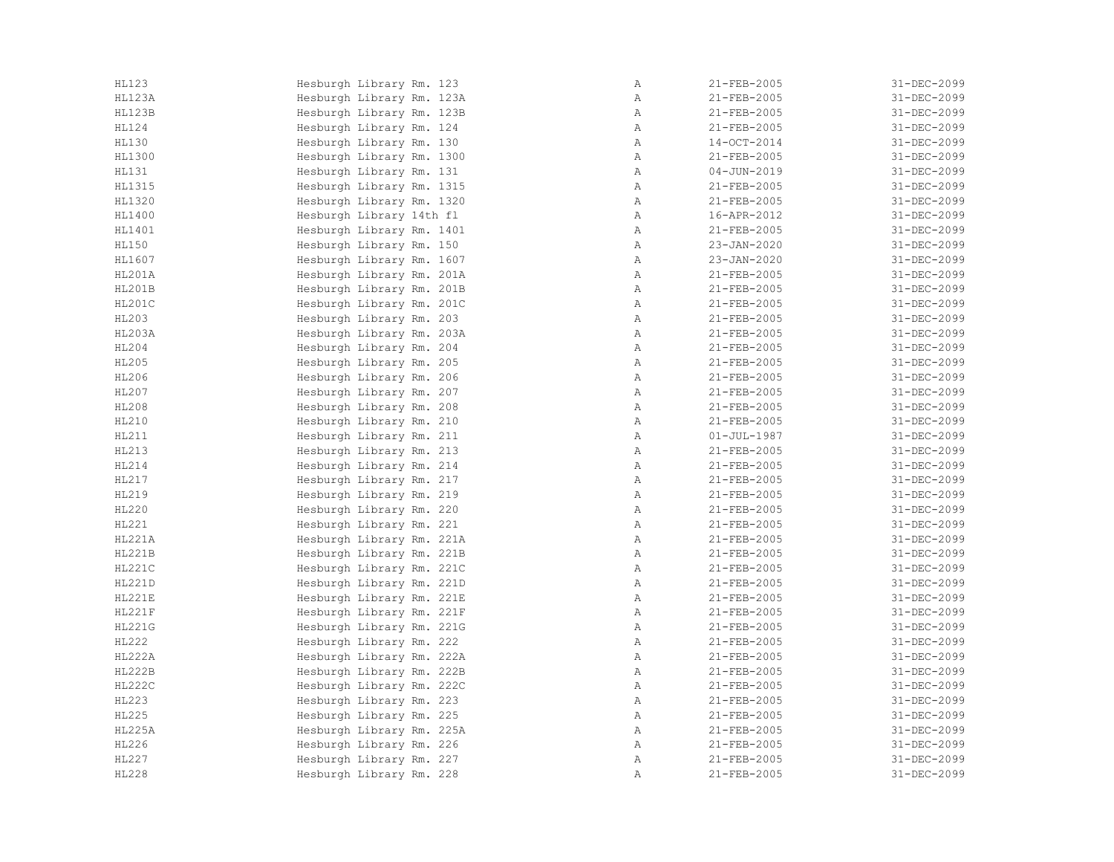| HL123         | Hesburgh Library Rm. 123  | Α            | 21-FEB-2005       | 31-DEC-2099       |
|---------------|---------------------------|--------------|-------------------|-------------------|
| HL123A        | Hesburgh Library Rm. 123A | Α            | 21-FEB-2005       | 31-DEC-2099       |
| HL123B        | Hesburgh Library Rm. 123B | Α            | 21-FEB-2005       | 31-DEC-2099       |
| HL124         | Hesburgh Library Rm. 124  | $\mathbb{A}$ | 21-FEB-2005       | 31-DEC-2099       |
| <b>HL130</b>  | Hesburgh Library Rm. 130  | $\mathbb{A}$ | 14-OCT-2014       | 31-DEC-2099       |
| HL1300        | Hesburgh Library Rm. 1300 | $\mathbb{A}$ | 21-FEB-2005       | 31-DEC-2099       |
| <b>HL131</b>  | Hesburgh Library Rm. 131  | $\mathbb{A}$ | $04 - JUN - 2019$ | 31-DEC-2099       |
| HL1315        | Hesburgh Library Rm. 1315 | Α            | 21-FEB-2005       | 31-DEC-2099       |
| HL1320        | Hesburgh Library Rm. 1320 | Α            | 21-FEB-2005       | 31-DEC-2099       |
| HL1400        | Hesburgh Library 14th fl  | Α            | 16-APR-2012       | 31-DEC-2099       |
| HL1401        | Hesburgh Library Rm. 1401 | $\mathbb{A}$ | $21 - FEB - 2005$ | 31-DEC-2099       |
| HL150         | Hesburgh Library Rm. 150  | $\mathbb{A}$ | $23 - JAN - 2020$ | 31-DEC-2099       |
| HL1607        | Hesburgh Library Rm. 1607 | $\mathbb{A}$ | $23 - JAN - 2020$ | 31-DEC-2099       |
| <b>HL201A</b> | Hesburgh Library Rm. 201A | $\mathbb{A}$ | $21 - FEB - 2005$ | 31-DEC-2099       |
| <b>HL201B</b> | Hesburgh Library Rm. 201B | Α            | 21-FEB-2005       | 31-DEC-2099       |
| <b>HL201C</b> | Hesburgh Library Rm. 201C | Α            | 21-FEB-2005       | 31-DEC-2099       |
| HL203         | Hesburgh Library Rm. 203  | Α            | 21-FEB-2005       | 31-DEC-2099       |
| HL203A        | Hesburgh Library Rm. 203A | Α            | 21-FEB-2005       | 31-DEC-2099       |
| HL204         | Hesburgh Library Rm. 204  | $\mathbb{A}$ | $21 - FEB - 2005$ | 31-DEC-2099       |
| <b>HL205</b>  | Hesburgh Library Rm. 205  | $\mathbb{A}$ | $21 - FEB - 2005$ | 31-DEC-2099       |
| HL206         | Hesburgh Library Rm. 206  | $\mathbb{A}$ | 21-FEB-2005       | 31-DEC-2099       |
| HL207         | Hesburgh Library Rm. 207  | $\mathbb{A}$ | 21-FEB-2005       | 31-DEC-2099       |
| <b>HL208</b>  | Hesburgh Library Rm. 208  | $\mathbb{A}$ | 21-FEB-2005       | 31-DEC-2099       |
| HL210         | Hesburgh Library Rm. 210  | Α            | 21-FEB-2005       | 31-DEC-2099       |
| HL211         | Hesburgh Library Rm. 211  | Α            | $01 - JUL - 1987$ | 31-DEC-2099       |
| HL213         | Hesburgh Library Rm. 213  | Α            | 21-FEB-2005       | 31-DEC-2099       |
| HL214         | Hesburgh Library Rm. 214  | $\mathbb{A}$ | $21 - FEB - 2005$ | $31 - DEC - 2099$ |
| HL217         | Hesburgh Library Rm. 217  | $\mathbb{A}$ | $21 - FEB - 2005$ | $31 - DEC - 2099$ |
| HL219         | Hesburgh Library Rm. 219  | $\mathbb{A}$ | 21-FEB-2005       | 31-DEC-2099       |
| HL220         | Hesburgh Library Rm. 220  | A            | 21-FEB-2005       | 31-DEC-2099       |
| HL221         | Hesburgh Library Rm. 221  | Α            | 21-FEB-2005       | 31-DEC-2099       |
| HL221A        | Hesburgh Library Rm. 221A | Α            | 21-FEB-2005       | 31-DEC-2099       |
| HL221B        | Hesburgh Library Rm. 221B | Α            | 21-FEB-2005       | 31-DEC-2099       |
| HL221C        | Hesburgh Library Rm. 221C | Α            | 21-FEB-2005       | $31 - DEC - 2099$ |
| HL221D        | Hesburgh Library Rm. 221D | Α            | 21-FEB-2005       | 31-DEC-2099       |
| HL221E        | Hesburgh Library Rm. 221E | $\mathbb{A}$ | 21-FEB-2005       | 31-DEC-2099       |
| HL221F        | Hesburgh Library Rm. 221F | $\mathbb{A}$ | 21-FEB-2005       | 31-DEC-2099       |
| <b>HL221G</b> | Hesburgh Library Rm. 221G | $\, {\bf A}$ | 21-FEB-2005       | 31-DEC-2099       |
| HL222         | Hesburgh Library Rm. 222  | A            | 21-FEB-2005       | 31-DEC-2099       |
| HL222A        | Hesburgh Library Rm. 222A | Α            | 21-FEB-2005       | 31-DEC-2099       |
| <b>HL222B</b> | Hesburgh Library Rm. 222B | Α            | 21-FEB-2005       | 31-DEC-2099       |
| <b>HL222C</b> | Hesburgh Library Rm. 222C | $\mathbb{A}$ | 21-FEB-2005       | 31-DEC-2099       |
| HL223         | Hesburgh Library Rm. 223  | $\mathbb{A}$ | 21-FEB-2005       | 31-DEC-2099       |
| HL225         | Hesburgh Library Rm. 225  | Α            | 21-FEB-2005       | 31-DEC-2099       |
| HL225A        | Hesburgh Library Rm. 225A | $\mathbb{A}$ | $21 - FEB - 2005$ | 31-DEC-2099       |
| HL226         | Hesburgh Library Rm. 226  | $\mathbb{A}$ | $21 - FEB - 2005$ | 31-DEC-2099       |
| HL227         | Hesburgh Library Rm. 227  | Α            | 21-FEB-2005       | 31-DEC-2099       |
| <b>HL228</b>  | Hesburgh Library Rm. 228  | Α            | 21-FEB-2005       | 31-DEC-2099       |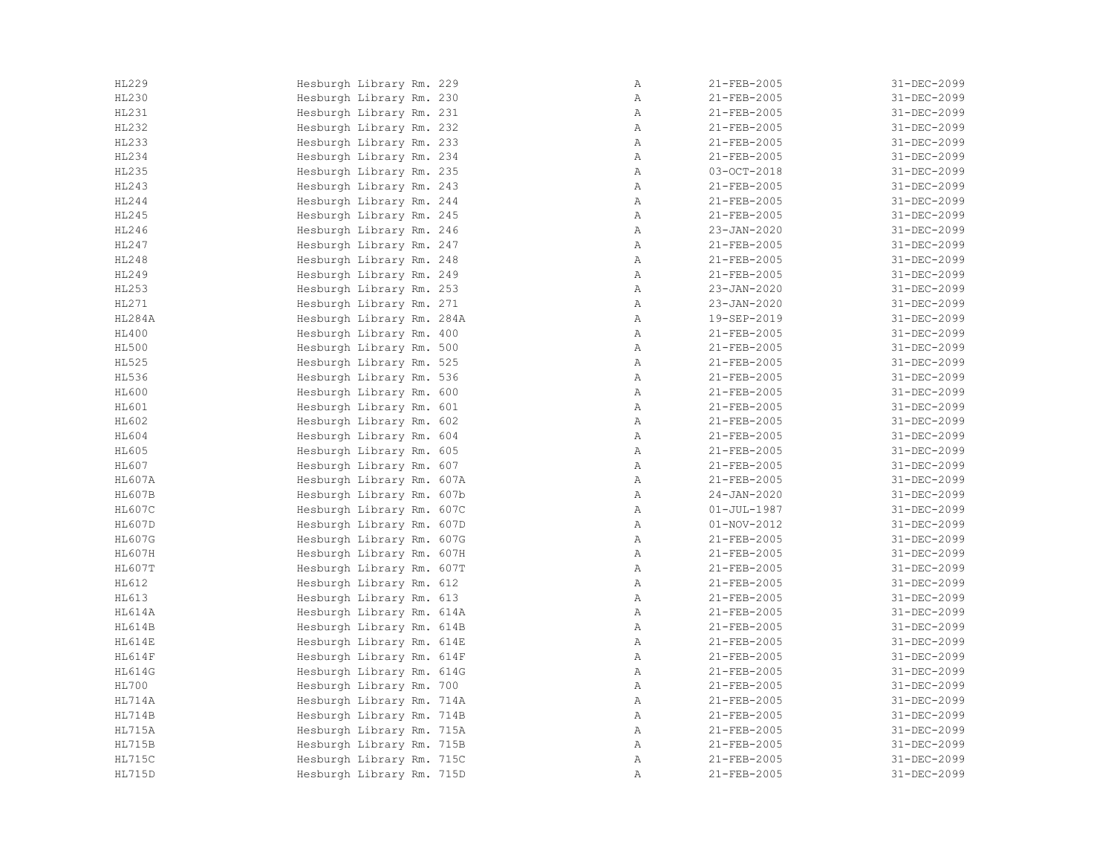| HL229         | Hesburgh Library Rm. 229  | Α            | 21-FEB-2005       | 31-DEC-2099 |
|---------------|---------------------------|--------------|-------------------|-------------|
| HL230         | Hesburgh Library Rm. 230  | Α            | 21-FEB-2005       | 31-DEC-2099 |
| HL231         | Hesburgh Library Rm. 231  | $\mathbb{A}$ | 21-FEB-2005       | 31-DEC-2099 |
| HL232         | Hesburgh Library Rm. 232  | Α            | 21-FEB-2005       | 31-DEC-2099 |
| HL233         | Hesburgh Library Rm. 233  | $\mathbb{A}$ | 21-FEB-2005       | 31-DEC-2099 |
| HL234         | Hesburgh Library Rm. 234  | $\mathbb{A}$ | 21-FEB-2005       | 31-DEC-2099 |
| <b>HL235</b>  | Hesburgh Library Rm. 235  | $\mathbb{A}$ | $03-OCT-2018$     | 31-DEC-2099 |
| HL243         | Hesburgh Library Rm. 243  | Α            | 21-FEB-2005       | 31-DEC-2099 |
| HL244         | Hesburgh Library Rm. 244  | Α            | 21-FEB-2005       | 31-DEC-2099 |
| HL245         | Hesburgh Library Rm. 245  | Α            | 21-FEB-2005       | 31-DEC-2099 |
| HL246         | Hesburgh Library Rm. 246  | $\mathbb{A}$ | 23-JAN-2020       | 31-DEC-2099 |
| HL247         | Hesburgh Library Rm. 247  | $\mathbb{A}$ | 21-FEB-2005       | 31-DEC-2099 |
| HL248         | Hesburgh Library Rm. 248  | $\mathbb{A}$ | 21-FEB-2005       | 31-DEC-2099 |
| HL249         | Hesburgh Library Rm. 249  | $\mathbb{A}$ | 21-FEB-2005       | 31-DEC-2099 |
| HL253         | Hesburgh Library Rm. 253  | Α            | $23 - JAN - 2020$ | 31-DEC-2099 |
| HL271         | Hesburgh Library Rm. 271  | Α            | 23-JAN-2020       | 31-DEC-2099 |
| HL284A        | Hesburgh Library Rm. 284A | Α            | 19-SEP-2019       | 31-DEC-2099 |
| HL400         | Hesburgh Library Rm. 400  | Α            | 21-FEB-2005       | 31-DEC-2099 |
| <b>HL500</b>  | Hesburgh Library Rm. 500  | $\mathbb{A}$ | $21 - FEB - 2005$ | 31-DEC-2099 |
| <b>HL525</b>  | Hesburgh Library Rm. 525  | Α            | 21-FEB-2005       | 31-DEC-2099 |
| HL536         | Hesburgh Library Rm. 536  | $\mathbb{A}$ | 21-FEB-2005       | 31-DEC-2099 |
| HL600         | Hesburgh Library Rm. 600  | Α            | 21-FEB-2005       | 31-DEC-2099 |
| HL601         | Hesburgh Library Rm. 601  | Α            | 21-FEB-2005       | 31-DEC-2099 |
| HL602         | Hesburgh Library Rm. 602  | Α            | 21-FEB-2005       | 31-DEC-2099 |
| HL604         | Hesburgh Library Rm. 604  | $\mathbb{A}$ | 21-FEB-2005       | 31-DEC-2099 |
| HL605         | Hesburgh Library Rm. 605  | Α            | 21-FEB-2005       | 31-DEC-2099 |
| HL607         | Hesburgh Library Rm. 607  | $\mathbb{A}$ | 21-FEB-2005       | 31-DEC-2099 |
| <b>HL607A</b> | Hesburgh Library Rm. 607A | $\mathbb{A}$ | $21 - FEB - 2005$ | 31-DEC-2099 |
| <b>HL607B</b> | Hesburgh Library Rm. 607b | Α            | $24 - JAN - 2020$ | 31-DEC-2099 |
| <b>HL607C</b> | Hesburgh Library Rm. 607C | $\mathbb{A}$ | $01 - JUL - 1987$ | 31-DEC-2099 |
| HL607D        | Hesburgh Library Rm. 607D | Α            | $01 - NOV - 2012$ | 31-DEC-2099 |
| <b>HL607G</b> | Hesburgh Library Rm. 607G | Α            | 21-FEB-2005       | 31-DEC-2099 |
| <b>HL607H</b> | Hesburgh Library Rm. 607H | Α            | 21-FEB-2005       | 31-DEC-2099 |
| HL607T        | Hesburgh Library Rm. 607T | Α            | 21-FEB-2005       | 31-DEC-2099 |
| HL612         | Hesburgh Library Rm. 612  | $\mathbb{A}$ | 21-FEB-2005       | 31-DEC-2099 |
| HL613         | Hesburgh Library Rm. 613  | $\mathbb{A}$ | 21-FEB-2005       | 31-DEC-2099 |
| <b>HL614A</b> | Hesburgh Library Rm. 614A | $\mathbb{A}$ | 21-FEB-2005       | 31-DEC-2099 |
| HL614B        | Hesburgh Library Rm. 614B | $\mathbb{A}$ | 21-FEB-2005       | 31-DEC-2099 |
| HL614E        | Hesburgh Library Rm. 614E | $\mathbb{A}$ | 21-FEB-2005       | 31-DEC-2099 |
| HL614F        | Hesburgh Library Rm. 614F | Α            | 21-FEB-2005       | 31-DEC-2099 |
| <b>HL614G</b> | Hesburgh Library Rm. 614G | Α            | 21-FEB-2005       | 31-DEC-2099 |
| <b>HL700</b>  | Hesburgh Library Rm. 700  | $\mathbb{A}$ | 21-FEB-2005       | 31-DEC-2099 |
| HL714A        | Hesburgh Library Rm. 714A | $\mathbb{A}$ | 21-FEB-2005       | 31-DEC-2099 |
| HL714B        | Hesburgh Library Rm. 714B | $\mathbb{A}$ | 21-FEB-2005       | 31-DEC-2099 |
| <b>HL715A</b> | Hesburgh Library Rm. 715A | Α            | 21-FEB-2005       | 31-DEC-2099 |
| <b>HL715B</b> | Hesburgh Library Rm. 715B | $\mathbb{A}$ | 21-FEB-2005       | 31-DEC-2099 |
| <b>HL715C</b> | Hesburgh Library Rm. 715C | Α            | 21-FEB-2005       | 31-DEC-2099 |
| HL715D        | Hesburgh Library Rm. 715D | Α            | 21-FEB-2005       | 31-DEC-2099 |
|               |                           |              |                   |             |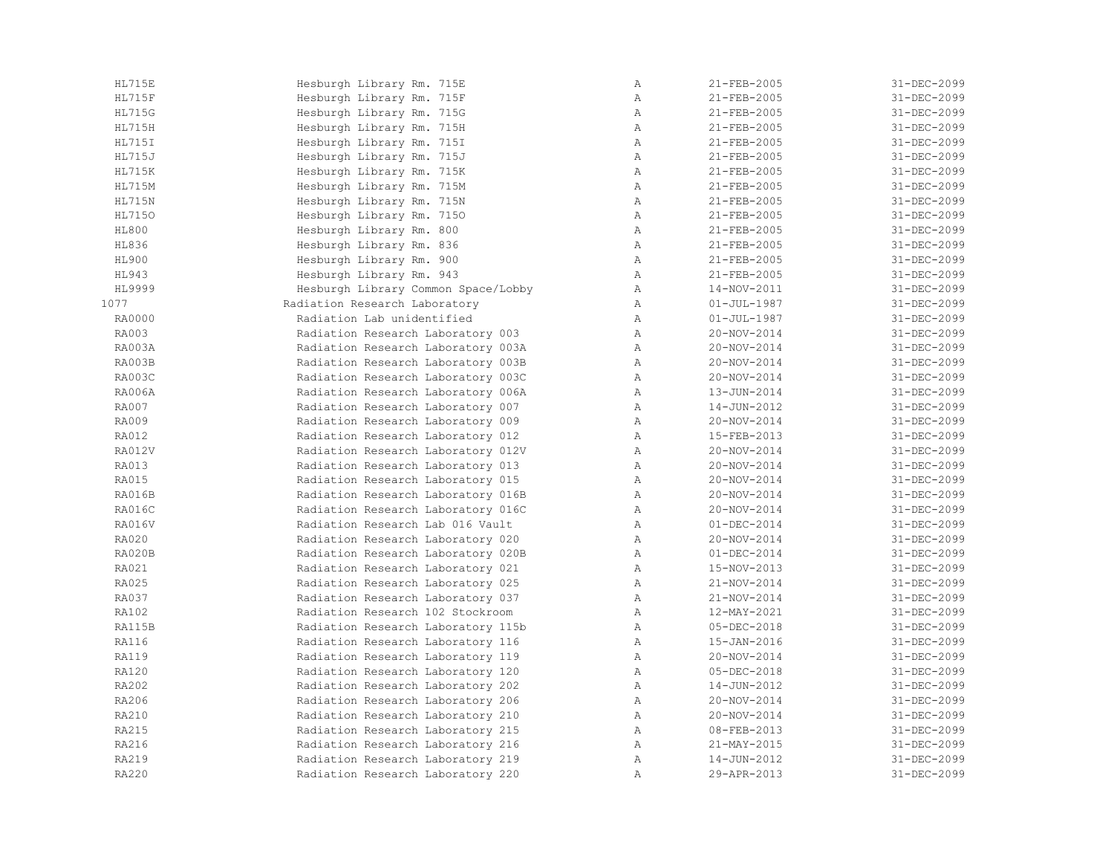| <b>HL715E</b> | Hesburgh Library Rm. 715E           | $\mathbb{A}$   | 21-FEB-2005       | 31-DEC-2099       |
|---------------|-------------------------------------|----------------|-------------------|-------------------|
| <b>HL715F</b> | Hesburgh Library Rm. 715F           | $\mathbb{A}$   | $21 - FEB - 2005$ | 31-DEC-2099       |
| <b>HL715G</b> | Hesburgh Library Rm. 715G           | $\mathbb{A}$   | 21-FEB-2005       | 31-DEC-2099       |
| <b>HL715H</b> | Hesburgh Library Rm. 715H           | $\mathbb{A}$   | 21-FEB-2005       | 31-DEC-2099       |
| <b>HL715I</b> | Hesburgh Library Rm. 715I           | $\, {\bf A}$   | 21-FEB-2005       | 31-DEC-2099       |
| HL715J        | Hesburgh Library Rm. 715J           | Α              | 21-FEB-2005       | 31-DEC-2099       |
| <b>HL715K</b> | Hesburgh Library Rm. 715K           | $\overline{A}$ | 21-FEB-2005       | 31-DEC-2099       |
| <b>HL715M</b> | Hesburgh Library Rm. 715M           | Α              | 21-FEB-2005       | 31-DEC-2099       |
| <b>HL715N</b> | Hesburgh Library Rm. 715N           | $\mathbb{A}$   | 21-FEB-2005       | 31-DEC-2099       |
| <b>HL7150</b> | Hesburgh Library Rm. 7150           | $\mathbb{A}$   | 21-FEB-2005       | 31-DEC-2099       |
| <b>HL800</b>  | Hesburgh Library Rm. 800            | $\mathbb{A}$   | $21 - FEB - 2005$ | 31-DEC-2099       |
| HL836         | Hesburgh Library Rm. 836            | $\mathbb{A}$   | 21-FEB-2005       | 31-DEC-2099       |
| HL900         | Hesburgh Library Rm. 900            | $\mathbb{A}$   | 21-FEB-2005       | 31-DEC-2099       |
| HL943         | Hesburgh Library Rm. 943            | $\mathbb{A}$   | $21 - FEB - 2005$ | 31-DEC-2099       |
| HL9999        | Hesburgh Library Common Space/Lobby | $\, {\bf A}$   | 14-NOV-2011       | 31-DEC-2099       |
| 1077          | Radiation Research Laboratory       | $\mathbb{A}$   | $01 - JUL - 1987$ | 31-DEC-2099       |
| RA0000        | Radiation Lab unidentified          | Α              | $01 - JUL - 1987$ | 31-DEC-2099       |
| RA003         | Radiation Research Laboratory 003   | Α              | 20-NOV-2014       | 31-DEC-2099       |
| RA003A        | Radiation Research Laboratory 003A  | $\mathbb{A}$   | 20-NOV-2014       | 31-DEC-2099       |
| RA003B        | Radiation Research Laboratory 003B  | Α              | 20-NOV-2014       | 31-DEC-2099       |
| RA003C        | Radiation Research Laboratory 003C  | Α              | 20-NOV-2014       | 31-DEC-2099       |
| <b>RA006A</b> | Radiation Research Laboratory 006A  | Α              | 13-JUN-2014       | 31-DEC-2099       |
| RA007         | Radiation Research Laboratory 007   | $\mathbb{A}$   | 14-JUN-2012       | 31-DEC-2099       |
| <b>RA009</b>  | Radiation Research Laboratory 009   | $\mathbb{A}$   | 20-NOV-2014       | 31-DEC-2099       |
| <b>RA012</b>  | Radiation Research Laboratory 012   | $\mathbb{A}$   | 15-FEB-2013       | $31 - DEC - 2099$ |
| <b>RA012V</b> | Radiation Research Laboratory 012V  | $\mathbb{A}$   | 20-NOV-2014       | 31-DEC-2099       |
| RA013         | Radiation Research Laboratory 013   | $\mathbb{A}$   | 20-NOV-2014       | 31-DEC-2099       |
| RA015         | Radiation Research Laboratory 015   | $\mathbb{A}$   | $20 - NOV - 2014$ | $31 - DEC - 2099$ |
| RA016B        | Radiation Research Laboratory 016B  | Α              | 20-NOV-2014       | 31-DEC-2099       |
| <b>RA016C</b> | Radiation Research Laboratory 016C  | $\mathbb{A}$   | 20-NOV-2014       | 31-DEC-2099       |
| <b>RA016V</b> | Radiation Research Lab 016 Vault    | Α              | $01 - DEC - 2014$ | 31-DEC-2099       |
| RA020         | Radiation Research Laboratory 020   | $\mathbb{A}$   | 20-NOV-2014       | 31-DEC-2099       |
| <b>RA020B</b> | Radiation Research Laboratory 020B  | $\, {\bf A}$   | $01 - DEC - 2014$ | 31-DEC-2099       |
| RA021         | Radiation Research Laboratory 021   | $\mathbb{A}$   | 15-NOV-2013       | 31-DEC-2099       |
| RA025         | Radiation Research Laboratory 025   | Α              | 21-NOV-2014       | 31-DEC-2099       |
| <b>RA037</b>  | Radiation Research Laboratory 037   | $\mathbb{A}$   | 21-NOV-2014       | 31-DEC-2099       |
| <b>RA102</b>  | Radiation Research 102 Stockroom    | $\mathbb{A}$   | 12-MAY-2021       | 31-DEC-2099       |
| RA115B        | Radiation Research Laboratory 115b  | $\mathbb{A}$   | $05 - DEC - 2018$ | 31-DEC-2099       |
| <b>RA116</b>  | Radiation Research Laboratory 116   | $\mathbb{A}$   | 15-JAN-2016       | 31-DEC-2099       |
| <b>RA119</b>  | Radiation Research Laboratory 119   | $\mathbb{A}$   | 20-NOV-2014       | 31-DEC-2099       |
| RA120         | Radiation Research Laboratory 120   | $\mathbb{A}$   | $05 - DEC - 2018$ | 31-DEC-2099       |
| RA202         | Radiation Research Laboratory 202   | $\mathbb{A}$   | 14-JUN-2012       | 31-DEC-2099       |
| RA206         | Radiation Research Laboratory 206   | $\mathbb{A}$   | 20-NOV-2014       | 31-DEC-2099       |
| RA210         | Radiation Research Laboratory 210   | Α              | 20-NOV-2014       | 31-DEC-2099       |
| RA215         | Radiation Research Laboratory 215   | $\mathbb{A}$   | 08-FEB-2013       | 31-DEC-2099       |
| RA216         | Radiation Research Laboratory 216   | $\mathbb{A}$   | 21-MAY-2015       | 31-DEC-2099       |
| RA219         | Radiation Research Laboratory 219   | $\mathbb{A}$   | 14-JUN-2012       | 31-DEC-2099       |
| RA220         | Radiation Research Laboratory 220   | $\overline{A}$ | 29-APR-2013       | 31-DEC-2099       |
|               |                                     |                |                   |                   |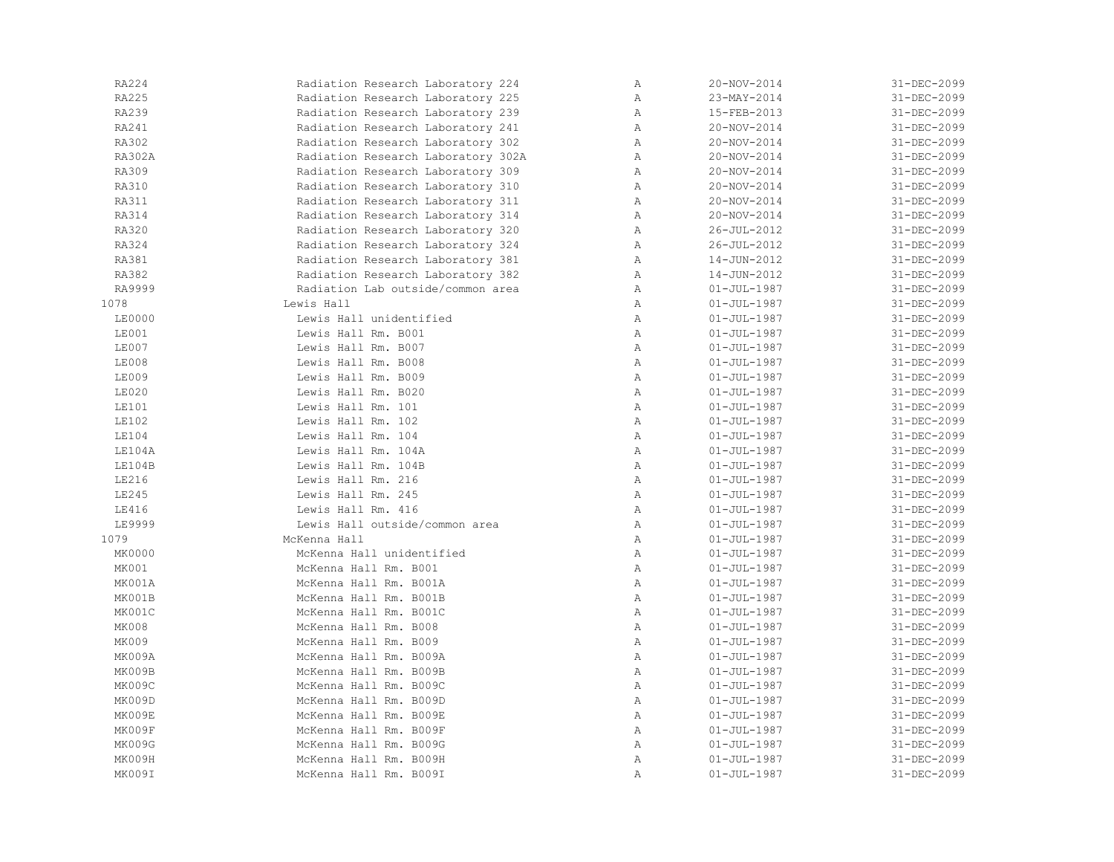| RA224        | Radiation Research Laboratory 224  | $\, {\bf A}$ | 20-NOV-2014       | 31-DEC-2099 |
|--------------|------------------------------------|--------------|-------------------|-------------|
| RA225        | Radiation Research Laboratory 225  | $\mathbb{A}$ | 23-MAY-2014       | 31-DEC-2099 |
| RA239        | Radiation Research Laboratory 239  | $\, {\bf A}$ | 15-FEB-2013       | 31-DEC-2099 |
| RA241        | Radiation Research Laboratory 241  | Α            | 20-NOV-2014       | 31-DEC-2099 |
| RA302        | Radiation Research Laboratory 302  | Α            | $20 - NOV - 2014$ | 31-DEC-2099 |
| RA302A       | Radiation Research Laboratory 302A | Α            | $20 - NOV - 2014$ | 31-DEC-2099 |
| RA309        | Radiation Research Laboratory 309  | $\mathbb{A}$ | 20-NOV-2014       | 31-DEC-2099 |
| RA310        | Radiation Research Laboratory 310  | Α            | 20-NOV-2014       | 31-DEC-2099 |
| <b>RA311</b> | Radiation Research Laboratory 311  | Α            | 20-NOV-2014       | 31-DEC-2099 |
| RA314        | Radiation Research Laboratory 314  | Α            | 20-NOV-2014       | 31-DEC-2099 |
| RA320        | Radiation Research Laboratory 320  | Α            | $26 - JUL - 2012$ | 31-DEC-2099 |
| RA324        | Radiation Research Laboratory 324  | $\mathbb{A}$ | $26 - JUL - 2012$ | 31-DEC-2099 |
| RA381        | Radiation Research Laboratory 381  | Α            | 14-JUN-2012       | 31-DEC-2099 |
| RA382        | Radiation Research Laboratory 382  | Α            | 14-JUN-2012       | 31-DEC-2099 |
| RA9999       | Radiation Lab outside/common area  | Α            | $01 - JUL - 1987$ | 31-DEC-2099 |
| 1078         | Lewis Hall                         | Α            | $01 - JUL - 1987$ | 31-DEC-2099 |
| LE0000       | Lewis Hall unidentified            | Α            | $01 - JUL - 1987$ | 31-DEC-2099 |
| LE001        | Lewis Hall Rm. B001                | $\mathbb{A}$ | $01 - JUL - 1987$ | 31-DEC-2099 |
| LE007        | Lewis Hall Rm. B007                | $\mathbb{A}$ | $01 - JUL - 1987$ | 31-DEC-2099 |
| LE008        | Lewis Hall Rm. B008                | Α            | $01 - JUL - 1987$ | 31-DEC-2099 |
| LE009        | Lewis Hall Rm. B009                | $\mathbb{A}$ | $01 - JUL - 1987$ | 31-DEC-2099 |
| LE020        | Lewis Hall Rm. B020                | Α            | $01 - JUL - 1987$ | 31-DEC-2099 |
| LE101        | Lewis Hall Rm. 101                 | $\, {\bf A}$ | $01 - JUL - 1987$ | 31-DEC-2099 |
| <b>LE102</b> | Lewis Hall Rm. 102                 | $\, {\bf A}$ | $01 - JUL - 1987$ | 31-DEC-2099 |
| LE104        | Lewis Hall Rm. 104                 | Α            | $01 - JUL - 1987$ | 31-DEC-2099 |
| LE104A       | Lewis Hall Rm. 104A                | $\, {\bf A}$ | $01 - JUL - 1987$ | 31-DEC-2099 |
| LE104B       | Lewis Hall Rm. 104B                | Α            | $01 - JUL - 1987$ | 31-DEC-2099 |
| LE216        | Lewis Hall Rm. 216                 | $\, {\bf A}$ | $01 - JUL - 1987$ | 31-DEC-2099 |
| LE245        | Lewis Hall Rm. 245                 | Α            | $01 - JUL - 1987$ | 31-DEC-2099 |
| LE416        | Lewis Hall Rm. 416                 | $\mathbb{A}$ | $01 - JUL - 1987$ | 31-DEC-2099 |
| LE9999       | Lewis Hall outside/common area     | Α            | $01 - JUL - 1987$ | 31-DEC-2099 |
| 1079         | McKenna Hall                       | $\mathbb{A}$ | $01 - JUL - 1987$ | 31-DEC-2099 |
| MK0000       | McKenna Hall unidentified          | $\, {\bf A}$ | $01 - JUL - 1987$ | 31-DEC-2099 |
| MK001        | McKenna Hall Rm. B001              | $\, {\bf A}$ | $01 - JUL - 1987$ | 31-DEC-2099 |
| MK001A       | McKenna Hall Rm. B001A             | Α            | $01 - JUL - 1987$ | 31-DEC-2099 |
| MK001B       | McKenna Hall Rm. B001B             | Α            | $01 - JUL - 1987$ | 31-DEC-2099 |
| MK001C       | McKenna Hall Rm. B001C             | $\, {\bf A}$ | $01 - JUL - 1987$ | 31-DEC-2099 |
| MK008        | McKenna Hall Rm. B008              | Α            | $01 - JUL - 1987$ | 31-DEC-2099 |
| MK009        | McKenna Hall Rm. B009              | Α            | $01 - JUL - 1987$ | 31-DEC-2099 |
| MK009A       | McKenna Hall Rm. B009A             | $\mathbb{A}$ | $01 - JUL - 1987$ | 31-DEC-2099 |
| MK009B       | McKenna Hall Rm. B009B             | $\mathbb{A}$ | $01 - JUL - 1987$ | 31-DEC-2099 |
| MK009C       | McKenna Hall Rm. B009C             | Α            | $01 - JUL - 1987$ | 31-DEC-2099 |
| MK009D       | McKenna Hall Rm. B009D             | $\, {\bf A}$ | $01 - JUL - 1987$ | 31-DEC-2099 |
| MK009E       | McKenna Hall Rm. B009E             | Α            | $01 - JUL - 1987$ | 31-DEC-2099 |
| MK009F       | McKenna Hall Rm. B009F             | $\, {\bf A}$ | $01 - JUL - 1987$ | 31-DEC-2099 |
| MK009G       | McKenna Hall Rm. B009G             | $\, {\bf A}$ | $01 - JUL - 1987$ | 31-DEC-2099 |
| MK009H       | McKenna Hall Rm. B009H             | Α            | $01 - JUL - 1987$ | 31-DEC-2099 |
| MK009I       | McKenna Hall Rm. B009I             | Α            | $01 - JUL - 1987$ | 31-DEC-2099 |
|              |                                    |              |                   |             |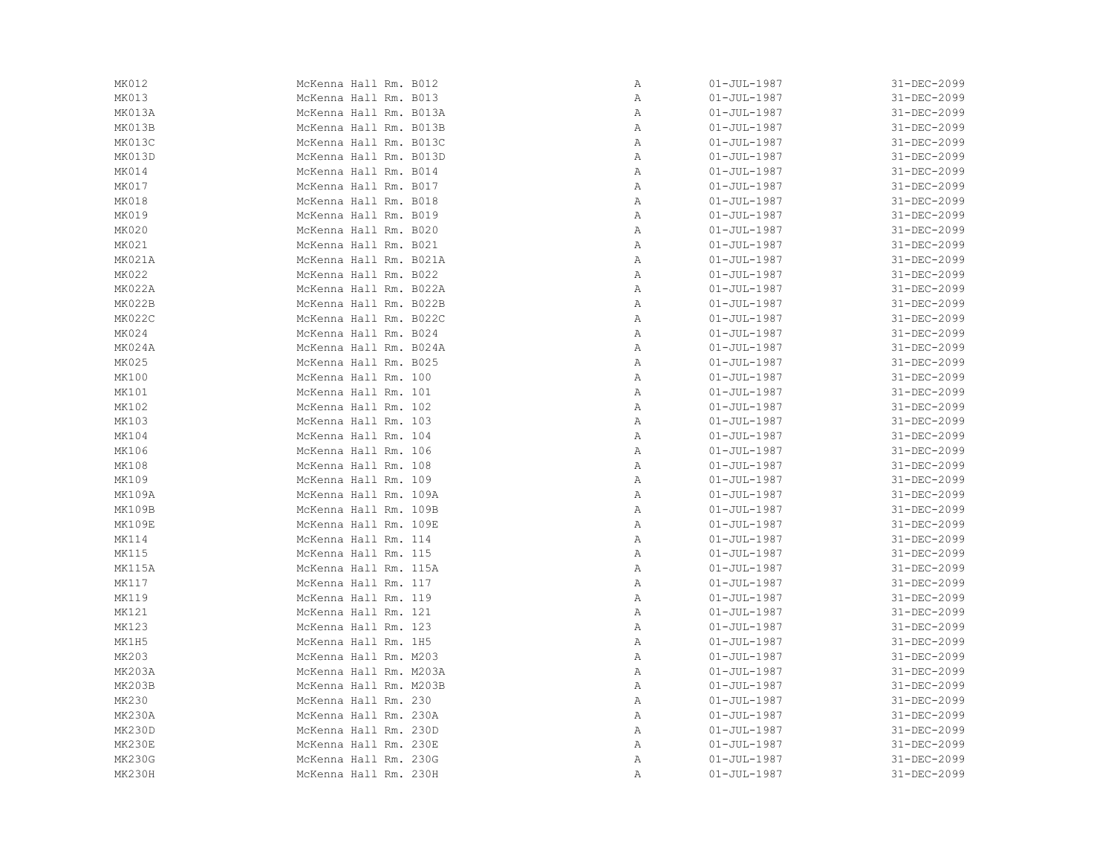| MK012         | McKenna Hall Rm. B012  | Α | $01 - JUL - 1987$ | 31-DEC-2099 |
|---------------|------------------------|---|-------------------|-------------|
| MK013         | McKenna Hall Rm. B013  | Α | $01 - JUL - 1987$ | 31-DEC-2099 |
| MK013A        | McKenna Hall Rm. B013A | Α | $01 - JUL - 1987$ | 31-DEC-2099 |
| MK013B        | McKenna Hall Rm. B013B | Α | $01 - JUL - 1987$ | 31-DEC-2099 |
| MK013C        | McKenna Hall Rm. B013C | Α | $01 - JUL - 1987$ | 31-DEC-2099 |
| MK013D        | McKenna Hall Rm. B013D | Α | $01 - JUL - 1987$ | 31-DEC-2099 |
| MK014         | McKenna Hall Rm. B014  | Α | $01 - JUL - 1987$ | 31-DEC-2099 |
| MK017         | McKenna Hall Rm. B017  | Α | $01 - JUL - 1987$ | 31-DEC-2099 |
| MK018         | McKenna Hall Rm. B018  | Α | $01 - JUL - 1987$ | 31-DEC-2099 |
| MK019         | McKenna Hall Rm. B019  | Α | $01 - JUL - 1987$ | 31-DEC-2099 |
| MK020         | McKenna Hall Rm. B020  | Α | $01 - JUL - 1987$ | 31-DEC-2099 |
| MK021         | McKenna Hall Rm. B021  | Α | $01 - JUL - 1987$ | 31-DEC-2099 |
| MK021A        | McKenna Hall Rm. B021A | Α | $01 - JUL - 1987$ | 31-DEC-2099 |
| MK022         | McKenna Hall Rm. B022  | Α | $01 - JUL - 1987$ | 31-DEC-2099 |
| MK022A        | McKenna Hall Rm. B022A | Α | $01 - JUL - 1987$ | 31-DEC-2099 |
| MK022B        | McKenna Hall Rm. B022B | Α | $01 - JUL - 1987$ | 31-DEC-2099 |
| MK022C        | McKenna Hall Rm. B022C | Α | $01 - JUL - 1987$ | 31-DEC-2099 |
| MK024         | McKenna Hall Rm. B024  | Α | $01 - JUL - 1987$ | 31-DEC-2099 |
| MK024A        | McKenna Hall Rm. B024A | Α | $01 - JUL - 1987$ | 31-DEC-2099 |
| MK025         | McKenna Hall Rm. B025  | Α | $01 - JUL - 1987$ | 31-DEC-2099 |
| MK100         | McKenna Hall Rm. 100   | Α | $01 - JUL - 1987$ | 31-DEC-2099 |
| MK101         | McKenna Hall Rm. 101   | Α | $01 - JUL - 1987$ | 31-DEC-2099 |
| MK102         | McKenna Hall Rm. 102   | Α | $01 - JUL - 1987$ | 31-DEC-2099 |
| MK103         | McKenna Hall Rm. 103   | Α | $01 - JUL - 1987$ | 31-DEC-2099 |
| MK104         | McKenna Hall Rm. 104   | Α | $01 - JUL - 1987$ | 31-DEC-2099 |
| MK106         | McKenna Hall Rm. 106   | Α | $01 - JUL - 1987$ | 31-DEC-2099 |
| MK108         | McKenna Hall Rm. 108   | Α | $01 - JUL - 1987$ | 31-DEC-2099 |
| MK109         | McKenna Hall Rm. 109   | Α | $01 - JUL - 1987$ | 31-DEC-2099 |
| MK109A        | McKenna Hall Rm. 109A  | Α | $01 - JUL - 1987$ | 31-DEC-2099 |
| MK109B        | McKenna Hall Rm. 109B  | Α | $01 - JUL - 1987$ | 31-DEC-2099 |
| MK109E        | McKenna Hall Rm. 109E  | Α | $01 - JUL - 1987$ | 31-DEC-2099 |
| MK114         | McKenna Hall Rm. 114   | Α | $01 - JUL - 1987$ | 31-DEC-2099 |
| MK115         | McKenna Hall Rm. 115   | Α | $01 - JUL - 1987$ | 31-DEC-2099 |
| MK115A        | McKenna Hall Rm. 115A  | Α | $01 - JUL - 1987$ | 31-DEC-2099 |
| MK117         | McKenna Hall Rm. 117   | Α | $01 - JUL - 1987$ | 31-DEC-2099 |
| MK119         | McKenna Hall Rm. 119   | Α | $01 - JUL - 1987$ | 31-DEC-2099 |
| MK121         | McKenna Hall Rm. 121   | Α | $01 - JUL - 1987$ | 31-DEC-2099 |
| MK123         | McKenna Hall Rm. 123   | Α | $01 - JUL - 1987$ | 31-DEC-2099 |
| MK1H5         | McKenna Hall Rm. 1H5   | Α | $01 - JUL - 1987$ | 31-DEC-2099 |
| MK203         | McKenna Hall Rm. M203  | Α | $01 - JUL - 1987$ | 31-DEC-2099 |
| MK203A        | McKenna Hall Rm. M203A | Α | $01 - JUL - 1987$ | 31-DEC-2099 |
| <b>MK203B</b> | McKenna Hall Rm. M203B | Α | $01 - JUL - 1987$ | 31-DEC-2099 |
| MK230         | McKenna Hall Rm. 230   | Α | $01 - JUL - 1987$ | 31-DEC-2099 |
| MK230A        | McKenna Hall Rm. 230A  | Α | $01 - JUL - 1987$ | 31-DEC-2099 |
| MK230D        | McKenna Hall Rm. 230D  | Α | $01 - JUL - 1987$ | 31-DEC-2099 |
| MK230E        | McKenna Hall Rm. 230E  | Α | $01 - JUL - 1987$ | 31-DEC-2099 |
| <b>MK230G</b> | McKenna Hall Rm. 230G  | Α | $01 - JUL - 1987$ | 31-DEC-2099 |
| <b>MK230H</b> | McKenna Hall Rm. 230H  | Α | $01 - JUL - 1987$ | 31-DEC-2099 |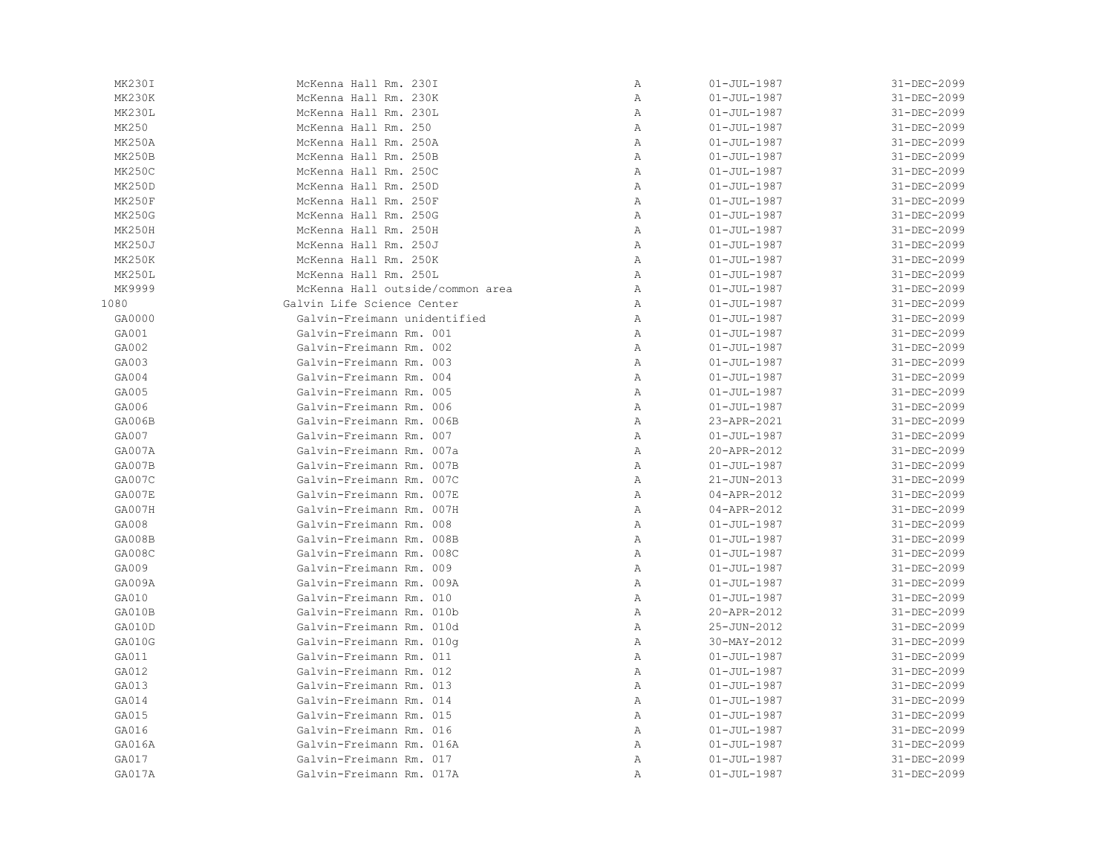| MK230I        | McKenna Hall Rm. 230I            | Α | $01 - JUL - 1987$ | 31-DEC-2099 |
|---------------|----------------------------------|---|-------------------|-------------|
| MK230K        | McKenna Hall Rm. 230K            | Α | $01 - JUL - 1987$ | 31-DEC-2099 |
| MK230L        | McKenna Hall Rm. 230L            | Α | $01 - JUL - 1987$ | 31-DEC-2099 |
| MK250         | McKenna Hall Rm. 250             | Α | $01 - JUL - 1987$ | 31-DEC-2099 |
| <b>MK250A</b> | McKenna Hall Rm. 250A            | Α | $01 - JUL - 1987$ | 31-DEC-2099 |
| MK250B        | McKenna Hall Rm. 250B            | Α | $01 - JUL - 1987$ | 31-DEC-2099 |
| <b>MK250C</b> | McKenna Hall Rm. 250C            | Α | $01 - JUL - 1987$ | 31-DEC-2099 |
| MK250D        | McKenna Hall Rm. 250D            | Α | $01 - JUL - 1987$ | 31-DEC-2099 |
| MK250F        | McKenna Hall Rm. 250F            | Α | $01 - JUL - 1987$ | 31-DEC-2099 |
| <b>MK250G</b> | McKenna Hall Rm. 250G            | Α | $01 - JUL - 1987$ | 31-DEC-2099 |
| MK250H        | McKenna Hall Rm. 250H            | Α | $01 - JUL - 1987$ | 31-DEC-2099 |
| <b>MK250J</b> | McKenna Hall Rm. 250J            | Α | $01 - JUL - 1987$ | 31-DEC-2099 |
| <b>MK250K</b> | McKenna Hall Rm. 250K            | Α | $01 - JUL - 1987$ | 31-DEC-2099 |
| MK250L        | McKenna Hall Rm. 250L            | Α | $01 - JUL - 1987$ | 31-DEC-2099 |
| MK9999        | McKenna Hall outside/common area | Α | $01 - JUL - 1987$ | 31-DEC-2099 |
| 1080          | Galvin Life Science Center       | Α | $01 - JUL - 1987$ | 31-DEC-2099 |
| GA0000        | Galvin-Freimann unidentified     | Α | $01 - JUL - 1987$ | 31-DEC-2099 |
| GA001         | Galvin-Freimann Rm. 001          | Α | $01 - JUL - 1987$ | 31-DEC-2099 |
| GA002         | Galvin-Freimann Rm. 002          | Α | $01 - JUL - 1987$ | 31-DEC-2099 |
| GA003         | Galvin-Freimann Rm. 003          | Α | $01 - JUL - 1987$ | 31-DEC-2099 |
| GA004         | Galvin-Freimann Rm. 004          | Α | $01 - JUL - 1987$ | 31-DEC-2099 |
| GA005         | Galvin-Freimann Rm. 005          | Α | $01 - JUL - 1987$ | 31-DEC-2099 |
| GA006         | Galvin-Freimann Rm. 006          | Α | $01 - JUL - 1987$ | 31-DEC-2099 |
| GA006B        | Galvin-Freimann Rm. 006B         | Α | 23-APR-2021       | 31-DEC-2099 |
| GA007         | Galvin-Freimann Rm. 007          | Α | $01 - JUL - 1987$ | 31-DEC-2099 |
| GA007A        | Galvin-Freimann Rm. 007a         | Α | 20-APR-2012       | 31-DEC-2099 |
| GA007B        | Galvin-Freimann Rm. 007B         | Α | $01 - JUL - 1987$ | 31-DEC-2099 |
| GA007C        | Galvin-Freimann Rm. 007C         | Α | 21-JUN-2013       | 31-DEC-2099 |
| GA007E        | Galvin-Freimann Rm. 007E         | Α | 04-APR-2012       | 31-DEC-2099 |
| GA007H        | Galvin-Freimann Rm. 007H         | Α | 04-APR-2012       | 31-DEC-2099 |
| GA008         | Galvin-Freimann Rm. 008          | Α | $01 - JUL - 1987$ | 31-DEC-2099 |
| GA008B        | Galvin-Freimann Rm. 008B         | Α | $01 - JUL - 1987$ | 31-DEC-2099 |
| GA008C        | Galvin-Freimann Rm. 008C         | Α | $01 - JUL - 1987$ | 31-DEC-2099 |
| GA009         | Galvin-Freimann Rm. 009          | Α | $01 - JUL - 1987$ | 31-DEC-2099 |
| GA009A        | Galvin-Freimann Rm. 009A         | Α | $01 - JUL - 1987$ | 31-DEC-2099 |
| GA010         | Galvin-Freimann Rm. 010          | Α | $01 - JUL - 1987$ | 31-DEC-2099 |
| GA010B        | Galvin-Freimann Rm. 010b         | Α | 20-APR-2012       | 31-DEC-2099 |
| GA010D        | Galvin-Freimann Rm. 010d         | Α | 25-JUN-2012       | 31-DEC-2099 |
| GA010G        | Galvin-Freimann Rm. 010q         | Α | 30-MAY-2012       | 31-DEC-2099 |
| GA011         | Galvin-Freimann Rm. 011          | Α | $01 - JUL - 1987$ | 31-DEC-2099 |
| GA012         | Galvin-Freimann Rm. 012          | Α | $01 - JUL - 1987$ | 31-DEC-2099 |
| GA013         | Galvin-Freimann Rm. 013          | Α | $01 - JUL - 1987$ | 31-DEC-2099 |
| GA014         | Galvin-Freimann Rm. 014          | Α | $01 - JUL - 1987$ | 31-DEC-2099 |
| GA015         | Galvin-Freimann Rm. 015          | Α | $01 - JUL - 1987$ | 31-DEC-2099 |
| GA016         | Galvin-Freimann Rm. 016          | Α | $01 - JUL - 1987$ | 31-DEC-2099 |
| GA016A        | Galvin-Freimann Rm. 016A         | Α | $01 - JUL - 1987$ | 31-DEC-2099 |
| GA017         | Galvin-Freimann Rm. 017          | Α | $01 - JUL - 1987$ | 31-DEC-2099 |
| GA017A        | Galvin-Freimann Rm. 017A         | Α | $01 - JUL - 1987$ | 31-DEC-2099 |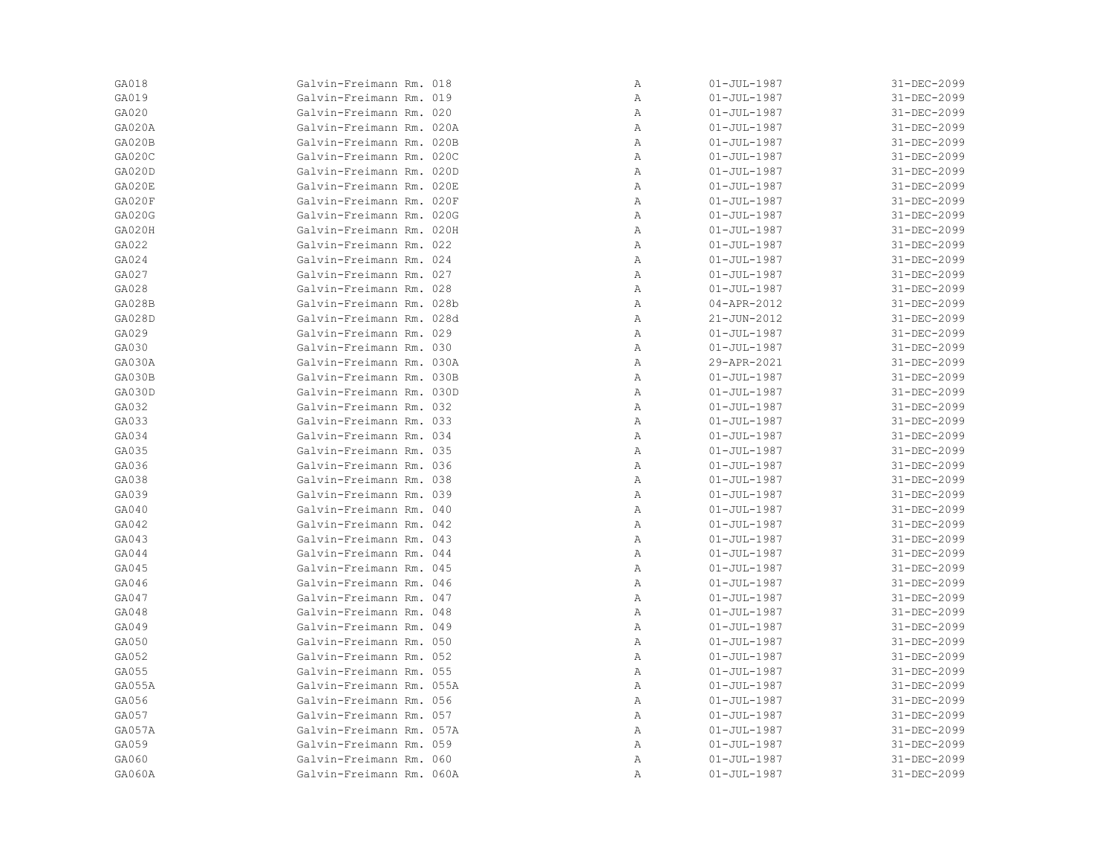| GA018  | Galvin-Freimann Rm. 018  | Α | $01 - JUL - 1987$ | 31-DEC-2099 |
|--------|--------------------------|---|-------------------|-------------|
| GA019  | Galvin-Freimann Rm. 019  | Α | $01 - JUL - 1987$ | 31-DEC-2099 |
| GA020  | Galvin-Freimann Rm. 020  | Α | $01 - JUL - 1987$ | 31-DEC-2099 |
| GA020A | Galvin-Freimann Rm. 020A | Α | $01 - JUL - 1987$ | 31-DEC-2099 |
| GA020B | Galvin-Freimann Rm. 020B | Α | $01 - JUL - 1987$ | 31-DEC-2099 |
| GA020C | Galvin-Freimann Rm. 020C | Α | $01 - JUL - 1987$ | 31-DEC-2099 |
| GA020D | Galvin-Freimann Rm. 020D | Α | $01 - JUL - 1987$ | 31-DEC-2099 |
| GA020E | Galvin-Freimann Rm. 020E | Α | $01 - JUL - 1987$ | 31-DEC-2099 |
| GA020F | Galvin-Freimann Rm. 020F | Α | $01 - JUL - 1987$ | 31-DEC-2099 |
| GA020G | Galvin-Freimann Rm. 020G | Α | $01 - JUL - 1987$ | 31-DEC-2099 |
| GA020H | Galvin-Freimann Rm. 020H | Α | $01 - JUL - 1987$ | 31-DEC-2099 |
| GA022  | Galvin-Freimann Rm. 022  | Α | $01 - JUL - 1987$ | 31-DEC-2099 |
| GA024  | Galvin-Freimann Rm. 024  | Α | $01 - JUL - 1987$ | 31-DEC-2099 |
| GA027  | Galvin-Freimann Rm. 027  | Α | $01 - JUL - 1987$ | 31-DEC-2099 |
| GA028  | Galvin-Freimann Rm. 028  | Α | $01 - JUL - 1987$ | 31-DEC-2099 |
| GA028B | Galvin-Freimann Rm. 028b | Α | 04-APR-2012       | 31-DEC-2099 |
| GA028D | Galvin-Freimann Rm. 028d | Α | 21-JUN-2012       | 31-DEC-2099 |
| GA029  | Galvin-Freimann Rm. 029  | Α | $01 - JUL - 1987$ | 31-DEC-2099 |
| GA030  | Galvin-Freimann Rm. 030  | Α | $01 - JUL - 1987$ | 31-DEC-2099 |
| GA030A | Galvin-Freimann Rm. 030A | Α | 29-APR-2021       | 31-DEC-2099 |
| GA030B | Galvin-Freimann Rm. 030B | Α | $01 - JUL - 1987$ | 31-DEC-2099 |
| GA030D | Galvin-Freimann Rm. 030D | Α | $01 - JUL - 1987$ | 31-DEC-2099 |
| GA032  | Galvin-Freimann Rm. 032  | Α | $01 - JUL - 1987$ | 31-DEC-2099 |
| GA033  | Galvin-Freimann Rm. 033  | Α | $01 - JUL - 1987$ | 31-DEC-2099 |
| GA034  | Galvin-Freimann Rm. 034  | Α | $01 - JUL - 1987$ | 31-DEC-2099 |
| GA035  | Galvin-Freimann Rm. 035  | Α | $01 - JUL - 1987$ | 31-DEC-2099 |
| GA036  | Galvin-Freimann Rm. 036  | Α | $01 - JUL - 1987$ | 31-DEC-2099 |
| GA038  | Galvin-Freimann Rm. 038  | Α | $01 - JUL - 1987$ | 31-DEC-2099 |
| GA039  | Galvin-Freimann Rm. 039  | Α | $01 - JUL - 1987$ | 31-DEC-2099 |
| GA040  | Galvin-Freimann Rm. 040  | Α | $01 - JUL - 1987$ | 31-DEC-2099 |
| GA042  | Galvin-Freimann Rm. 042  | Α | $01 - JUL - 1987$ | 31-DEC-2099 |
| GA043  | Galvin-Freimann Rm. 043  | Α | $01 - JUL - 1987$ | 31-DEC-2099 |
| GA044  | Galvin-Freimann Rm. 044  | Α | $01 - JUL - 1987$ | 31-DEC-2099 |
| GA045  | Galvin-Freimann Rm. 045  | Α | $01 - JUL - 1987$ | 31-DEC-2099 |
| GA046  | Galvin-Freimann Rm. 046  | Α | $01 - JUL - 1987$ | 31-DEC-2099 |
| GA047  | Galvin-Freimann Rm. 047  | Α | $01 - JUL - 1987$ | 31-DEC-2099 |
| GA048  | Galvin-Freimann Rm. 048  | Α | $01 - JUL - 1987$ | 31-DEC-2099 |
| GA049  | Galvin-Freimann Rm. 049  | Α | $01 - JUL - 1987$ | 31-DEC-2099 |
| GA050  | Galvin-Freimann Rm. 050  | Α | $01 - JUL - 1987$ | 31-DEC-2099 |
| GA052  | Galvin-Freimann Rm. 052  | Α | $01 - JUL - 1987$ | 31-DEC-2099 |
| GA055  | Galvin-Freimann Rm. 055  | Α | $01 - JUL - 1987$ | 31-DEC-2099 |
| GA055A | Galvin-Freimann Rm. 055A | Α | $01 - JUL - 1987$ | 31-DEC-2099 |
| GA056  | Galvin-Freimann Rm. 056  | Α | $01 - JUL - 1987$ | 31-DEC-2099 |
| GA057  | Galvin-Freimann Rm. 057  | Α | $01 - JUL - 1987$ | 31-DEC-2099 |
| GA057A | Galvin-Freimann Rm. 057A | Α | $01 - JUL - 1987$ | 31-DEC-2099 |
| GA059  | Galvin-Freimann Rm. 059  | Α | $01 - JUL - 1987$ | 31-DEC-2099 |
| GA060  | Galvin-Freimann Rm. 060  | Α | $01 - JUL - 1987$ | 31-DEC-2099 |
| GA060A | Galvin-Freimann Rm. 060A | Α | $01 - JUL - 1987$ | 31-DEC-2099 |
|        |                          |   |                   |             |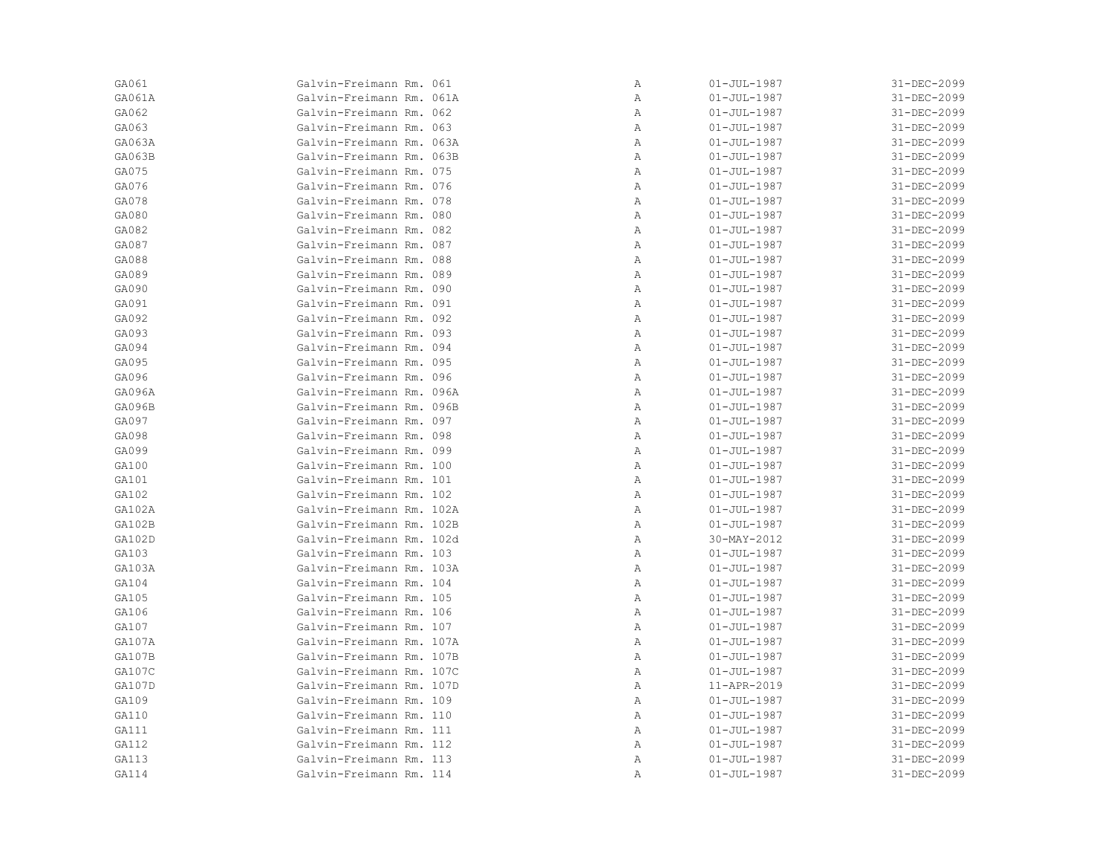| GA061  | Galvin-Freimann Rm. 061  | Α | $01 - JUL - 1987$ | 31-DEC-2099 |
|--------|--------------------------|---|-------------------|-------------|
| GA061A | Galvin-Freimann Rm. 061A | Α | $01 - JUL - 1987$ | 31-DEC-2099 |
| GA062  | Galvin-Freimann Rm. 062  | Α | $01 - JUL - 1987$ | 31-DEC-2099 |
| GA063  | Galvin-Freimann Rm. 063  | Α | $01 - JUL - 1987$ | 31-DEC-2099 |
| GA063A | Galvin-Freimann Rm. 063A | Α | $01 - JUL - 1987$ | 31-DEC-2099 |
| GA063B | Galvin-Freimann Rm. 063B | Α | $01 - JUL - 1987$ | 31-DEC-2099 |
| GA075  | Galvin-Freimann Rm. 075  | Α | $01 - JUL - 1987$ | 31-DEC-2099 |
| GA076  | Galvin-Freimann Rm. 076  | Α | $01 - JUL - 1987$ | 31-DEC-2099 |
| GA078  | Galvin-Freimann Rm. 078  | Α | $01 - JUL - 1987$ | 31-DEC-2099 |
| GA080  | Galvin-Freimann Rm. 080  | Α | $01 - JUL - 1987$ | 31-DEC-2099 |
| GA082  | Galvin-Freimann Rm. 082  | Α | $01 - JUL - 1987$ | 31-DEC-2099 |
| GA087  | Galvin-Freimann Rm. 087  | Α | $01 - JUL - 1987$ | 31-DEC-2099 |
| GA088  | Galvin-Freimann Rm. 088  | Α | $01 - JUL - 1987$ | 31-DEC-2099 |
| GA089  | Galvin-Freimann Rm. 089  | Α | $01 - JUL - 1987$ | 31-DEC-2099 |
| GA090  | Galvin-Freimann Rm. 090  | Α | $01 - JUL - 1987$ | 31-DEC-2099 |
| GA091  | Galvin-Freimann Rm. 091  | Α | $01 - JUL - 1987$ | 31-DEC-2099 |
| GA092  | Galvin-Freimann Rm. 092  | Α | $01 - JUL - 1987$ | 31-DEC-2099 |
| GA093  | Galvin-Freimann Rm. 093  | Α | $01 - JUL - 1987$ | 31-DEC-2099 |
| GA094  | Galvin-Freimann Rm. 094  | Α | $01 - JUL - 1987$ | 31-DEC-2099 |
| GA095  | Galvin-Freimann Rm. 095  | Α | $01 - JUL - 1987$ | 31-DEC-2099 |
| GA096  | Galvin-Freimann Rm. 096  | Α | $01 - JUL - 1987$ | 31-DEC-2099 |
| GA096A | Galvin-Freimann Rm. 096A | Α | $01 - JUL - 1987$ | 31-DEC-2099 |
| GA096B | Galvin-Freimann Rm. 096B | Α | $01 - JUL - 1987$ | 31-DEC-2099 |
| GA097  | Galvin-Freimann Rm. 097  | Α | $01 - JUL - 1987$ | 31-DEC-2099 |
| GA098  | Galvin-Freimann Rm. 098  | Α | $01 - JUL - 1987$ | 31-DEC-2099 |
| GA099  | Galvin-Freimann Rm. 099  | Α | $01 - JUL - 1987$ | 31-DEC-2099 |
| GA100  | Galvin-Freimann Rm. 100  | Α | $01 - JUL - 1987$ | 31-DEC-2099 |
| GA101  | Galvin-Freimann Rm. 101  | Α | $01 - JUL - 1987$ | 31-DEC-2099 |
| GA102  | Galvin-Freimann Rm. 102  | Α | $01 - JUL - 1987$ | 31-DEC-2099 |
| GA102A | Galvin-Freimann Rm. 102A | Α | $01 - JUL - 1987$ | 31-DEC-2099 |
| GA102B | Galvin-Freimann Rm. 102B | Α | $01 - JUL - 1987$ | 31-DEC-2099 |
| GA102D | Galvin-Freimann Rm. 102d | Α | 30-MAY-2012       | 31-DEC-2099 |
| GA103  | Galvin-Freimann Rm. 103  | Α | $01 - JUL - 1987$ | 31-DEC-2099 |
| GA103A | Galvin-Freimann Rm. 103A | Α | $01 - JUL - 1987$ | 31-DEC-2099 |
| GA104  | Galvin-Freimann Rm. 104  | Α | $01 - JUL - 1987$ | 31-DEC-2099 |
| GA105  | Galvin-Freimann Rm. 105  | Α | $01 - JUL - 1987$ | 31-DEC-2099 |
| GA106  | Galvin-Freimann Rm. 106  | Α | $01 - JUL - 1987$ | 31-DEC-2099 |
| GA107  | Galvin-Freimann Rm. 107  | Α | $01 - JUL - 1987$ | 31-DEC-2099 |
| GA107A | Galvin-Freimann Rm. 107A | Α | $01 - JUL - 1987$ | 31-DEC-2099 |
| GA107B | Galvin-Freimann Rm. 107B | Α | $01 - JUL - 1987$ | 31-DEC-2099 |
| GA107C | Galvin-Freimann Rm. 107C | Α | $01 - JUL - 1987$ | 31-DEC-2099 |
| GA107D | Galvin-Freimann Rm. 107D | Α | 11-APR-2019       | 31-DEC-2099 |
| GA109  | Galvin-Freimann Rm. 109  | Α | $01 - JUL - 1987$ | 31-DEC-2099 |
| GA110  | Galvin-Freimann Rm. 110  | Α | $01 - JUL - 1987$ | 31-DEC-2099 |
| GA111  | Galvin-Freimann Rm. 111  | Α | $01 - JUL - 1987$ | 31-DEC-2099 |
| GA112  | Galvin-Freimann Rm. 112  | Α | $01 - JUL - 1987$ | 31-DEC-2099 |
| GA113  | Galvin-Freimann Rm. 113  | Α | $01 - JUL - 1987$ | 31-DEC-2099 |
| GA114  | Galvin-Freimann Rm. 114  | Α | $01 - JUL - 1987$ | 31-DEC-2099 |
|        |                          |   |                   |             |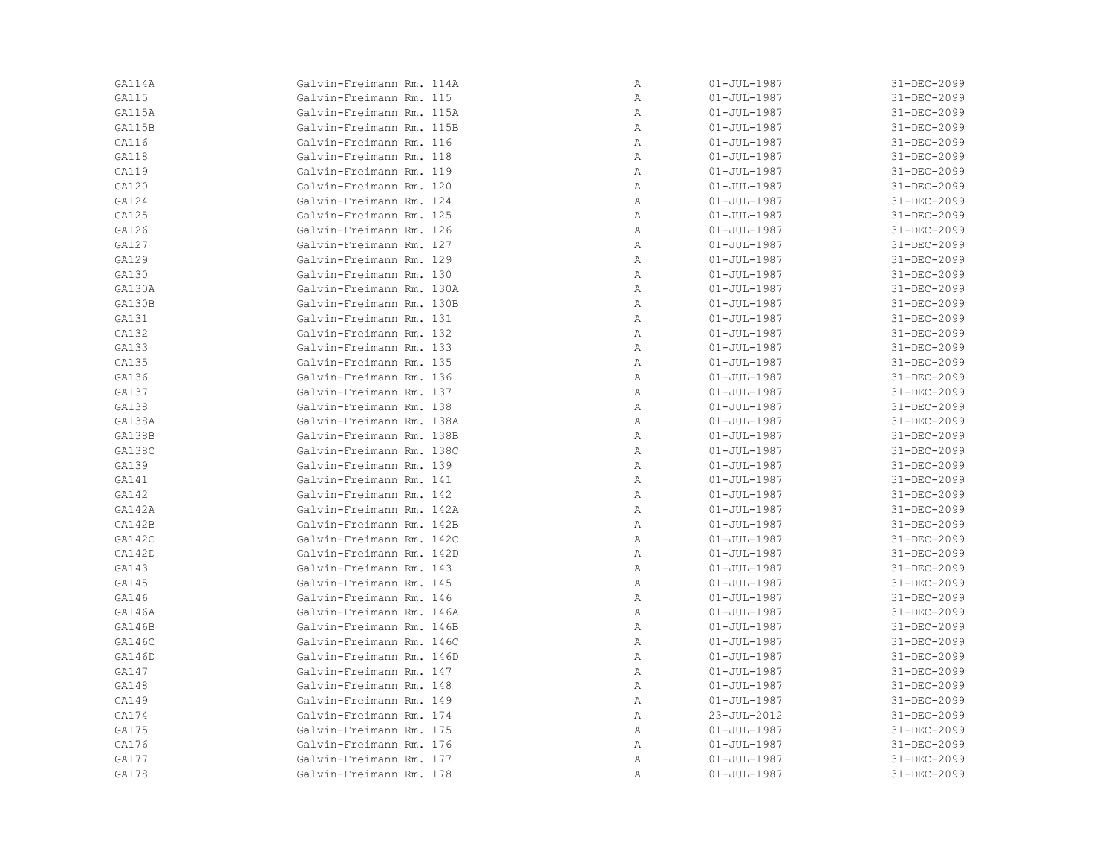| GA114A | Galvin-Freimann Rm. 114A | Α | $01 - JUL - 1987$ | 31-DEC-2099 |
|--------|--------------------------|---|-------------------|-------------|
| GA115  | Galvin-Freimann Rm. 115  | Α | $01 - JUL - 1987$ | 31-DEC-2099 |
| GA115A | Galvin-Freimann Rm. 115A | Α | $01 - JUL - 1987$ | 31-DEC-2099 |
| GA115B | Galvin-Freimann Rm. 115B | Α | $01 - JUL - 1987$ | 31-DEC-2099 |
| GA116  | Galvin-Freimann Rm. 116  | Α | $01 - JUL - 1987$ | 31-DEC-2099 |
| GA118  | Galvin-Freimann Rm. 118  | Α | $01 - JUL - 1987$ | 31-DEC-2099 |
| GA119  | Galvin-Freimann Rm. 119  | Α | $01 - JUL - 1987$ | 31-DEC-2099 |
| GA120  | Galvin-Freimann Rm. 120  | Α | $01 - JUL - 1987$ | 31-DEC-2099 |
| GA124  | Galvin-Freimann Rm. 124  | Α | $01 - JUL - 1987$ | 31-DEC-2099 |
| GA125  | Galvin-Freimann Rm. 125  | Α | $01 - JUL - 1987$ | 31-DEC-2099 |
| GA126  | Galvin-Freimann Rm. 126  | Α | $01 - JUL - 1987$ | 31-DEC-2099 |
| GA127  | Galvin-Freimann Rm. 127  | Α | $01 - JUL - 1987$ | 31-DEC-2099 |
| GA129  | Galvin-Freimann Rm. 129  | Α | $01 - JUL - 1987$ | 31-DEC-2099 |
| GA130  | Galvin-Freimann Rm. 130  | Α | $01 - JUL - 1987$ | 31-DEC-2099 |
| GA130A | Galvin-Freimann Rm. 130A | Α | $01 - JUL - 1987$ | 31-DEC-2099 |
| GA130B | Galvin-Freimann Rm. 130B | Α | $01 - JUL - 1987$ | 31-DEC-2099 |
| GA131  | Galvin-Freimann Rm. 131  | Α | $01 - JUL - 1987$ | 31-DEC-2099 |
| GA132  | Galvin-Freimann Rm. 132  | Α | $01 - JUL - 1987$ | 31-DEC-2099 |
| GA133  | Galvin-Freimann Rm. 133  | Α | $01 - JUL - 1987$ | 31-DEC-2099 |
| GA135  | Galvin-Freimann Rm. 135  | Α | $01 - JUL - 1987$ | 31-DEC-2099 |
| GA136  | Galvin-Freimann Rm. 136  | Α | $01 - JUL - 1987$ | 31-DEC-2099 |
| GA137  | Galvin-Freimann Rm. 137  | Α | $01 - JUL - 1987$ | 31-DEC-2099 |
| GA138  | Galvin-Freimann Rm. 138  | Α | $01 - JUL - 1987$ | 31-DEC-2099 |
| GA138A | Galvin-Freimann Rm. 138A | Α | $01 - JUL - 1987$ | 31-DEC-2099 |
| GA138B | Galvin-Freimann Rm. 138B | Α | $01 - JUL - 1987$ | 31-DEC-2099 |
| GA138C | Galvin-Freimann Rm. 138C | Α | $01 - JUL - 1987$ | 31-DEC-2099 |
| GA139  | Galvin-Freimann Rm. 139  | Α | $01 - JUL - 1987$ | 31-DEC-2099 |
| GA141  | Galvin-Freimann Rm. 141  | Α | $01 - JUL - 1987$ | 31-DEC-2099 |
| GA142  | Galvin-Freimann Rm. 142  | Α | $01 - JUL - 1987$ | 31-DEC-2099 |
| GA142A | Galvin-Freimann Rm. 142A | Α | $01 - JUL - 1987$ | 31-DEC-2099 |
| GA142B | Galvin-Freimann Rm. 142B | Α | $01 - JUL - 1987$ | 31-DEC-2099 |
| GA142C | Galvin-Freimann Rm. 142C | Α | $01 - JUL - 1987$ | 31-DEC-2099 |
| GA142D | Galvin-Freimann Rm. 142D | Α | $01 - JUL - 1987$ | 31-DEC-2099 |
| GA143  | Galvin-Freimann Rm. 143  | Α | $01 - JUL - 1987$ | 31-DEC-2099 |
| GA145  | Galvin-Freimann Rm. 145  | Α | $01 - JUL - 1987$ | 31-DEC-2099 |
| GA146  | Galvin-Freimann Rm. 146  | Α | $01 - JUL - 1987$ | 31-DEC-2099 |
| GA146A | Galvin-Freimann Rm. 146A | Α | $01 - JUL - 1987$ | 31-DEC-2099 |
| GA146B | Galvin-Freimann Rm. 146B | Α | $01 - JUL - 1987$ | 31-DEC-2099 |
| GA146C | Galvin-Freimann Rm. 146C | Α | $01 - JUL - 1987$ | 31-DEC-2099 |
| GA146D | Galvin-Freimann Rm. 146D | Α | $01 - JUL - 1987$ | 31-DEC-2099 |
| GA147  | Galvin-Freimann Rm. 147  | Α | $01 - JUL - 1987$ | 31-DEC-2099 |
| GA148  | Galvin-Freimann Rm. 148  | Α | $01 - JUL - 1987$ | 31-DEC-2099 |
| GA149  | Galvin-Freimann Rm. 149  | Α | $01 - JUL - 1987$ | 31-DEC-2099 |
| GA174  | Galvin-Freimann Rm. 174  | Α | 23-JUL-2012       | 31-DEC-2099 |
| GA175  | Galvin-Freimann Rm. 175  | Α | $01 - JUL - 1987$ | 31-DEC-2099 |
| GA176  | Galvin-Freimann Rm. 176  | Α | $01 - JUL - 1987$ | 31-DEC-2099 |
| GA177  | Galvin-Freimann Rm. 177  | Α | $01 - JUL - 1987$ | 31-DEC-2099 |
| GA178  | Galvin-Freimann Rm. 178  | Α | $01 - JUL - 1987$ | 31-DEC-2099 |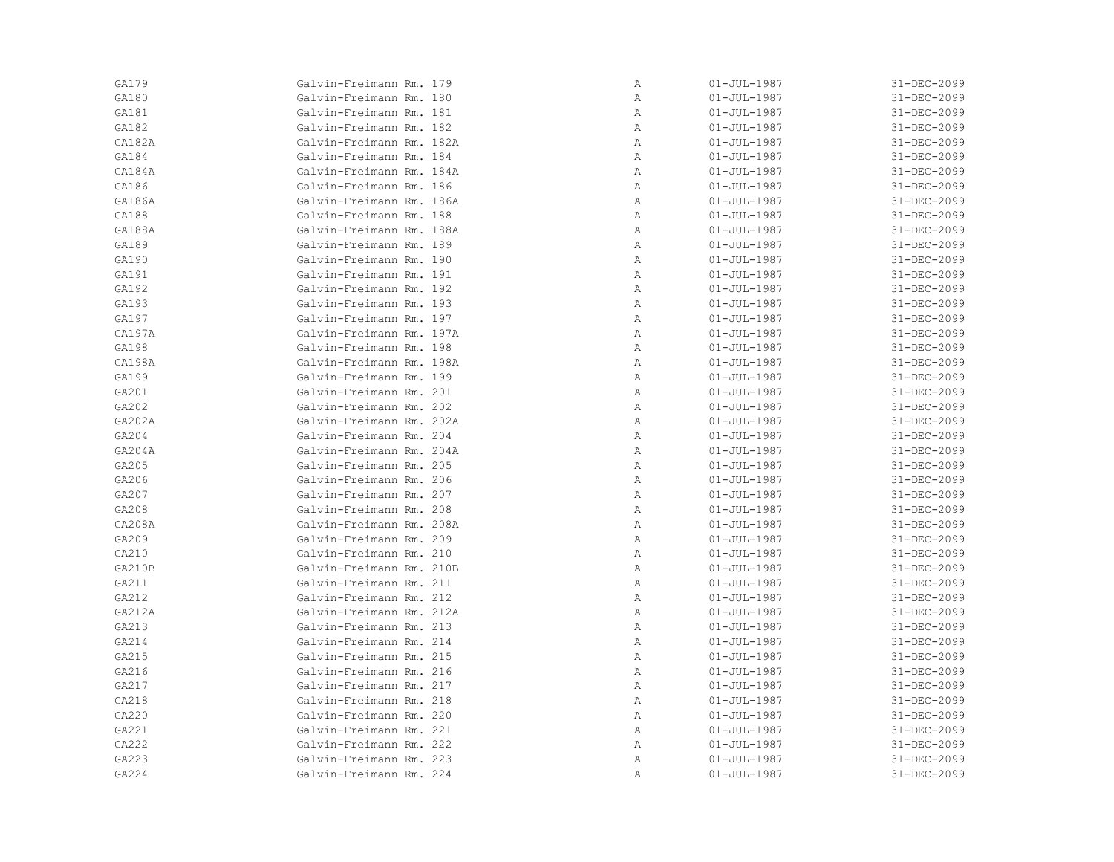| GA179  | Galvin-Freimann Rm. 179  | Α | $01 - JUL - 1987$ | 31-DEC-2099 |
|--------|--------------------------|---|-------------------|-------------|
| GA180  | Galvin-Freimann Rm. 180  | Α | $01 - JUL - 1987$ | 31-DEC-2099 |
| GA181  | Galvin-Freimann Rm. 181  | Α | $01 - JUL - 1987$ | 31-DEC-2099 |
| GA182  | Galvin-Freimann Rm. 182  | Α | $01 - JUL - 1987$ | 31-DEC-2099 |
| GA182A | Galvin-Freimann Rm. 182A | Α | $01 - JUL - 1987$ | 31-DEC-2099 |
| GA184  | Galvin-Freimann Rm. 184  | Α | $01 - JUL - 1987$ | 31-DEC-2099 |
| GA184A | Galvin-Freimann Rm. 184A | Α | $01 - JUL - 1987$ | 31-DEC-2099 |
| GA186  | Galvin-Freimann Rm. 186  | Α | $01 - JUL - 1987$ | 31-DEC-2099 |
| GA186A | Galvin-Freimann Rm. 186A | Α | $01 - JUL - 1987$ | 31-DEC-2099 |
| GA188  | Galvin-Freimann Rm. 188  | Α | $01 - JUL - 1987$ | 31-DEC-2099 |
| GA188A | Galvin-Freimann Rm. 188A | Α | $01 - JUL - 1987$ | 31-DEC-2099 |
| GA189  | Galvin-Freimann Rm. 189  | Α | $01 - JUL - 1987$ | 31-DEC-2099 |
| GA190  | Galvin-Freimann Rm. 190  | Α | $01 - JUL - 1987$ | 31-DEC-2099 |
| GA191  | Galvin-Freimann Rm. 191  | Α | $01 - JUL - 1987$ | 31-DEC-2099 |
| GA192  | Galvin-Freimann Rm. 192  | Α | $01 - JUL - 1987$ | 31-DEC-2099 |
| GA193  | Galvin-Freimann Rm. 193  | Α | $01 - JUL - 1987$ | 31-DEC-2099 |
| GA197  | Galvin-Freimann Rm. 197  | Α | $01 - JUL - 1987$ | 31-DEC-2099 |
| GA197A | Galvin-Freimann Rm. 197A | Α | $01 - JUL - 1987$ | 31-DEC-2099 |
| GA198  | Galvin-Freimann Rm. 198  | Α | $01 - JUL - 1987$ | 31-DEC-2099 |
| GA198A | Galvin-Freimann Rm. 198A | Α | $01 - JUL - 1987$ | 31-DEC-2099 |
| GA199  | Galvin-Freimann Rm. 199  | Α | $01 - JUL - 1987$ | 31-DEC-2099 |
| GA201  | Galvin-Freimann Rm. 201  | Α | $01 - JUL - 1987$ | 31-DEC-2099 |
| GA202  | Galvin-Freimann Rm. 202  | Α | $01 - JUL - 1987$ | 31-DEC-2099 |
| GA202A | Galvin-Freimann Rm. 202A | Α | $01 - JUL - 1987$ | 31-DEC-2099 |
| GA204  | Galvin-Freimann Rm. 204  | Α | $01 - JUL - 1987$ | 31-DEC-2099 |
| GA204A | Galvin-Freimann Rm. 204A | Α | $01 - JUL - 1987$ | 31-DEC-2099 |
| GA205  | Galvin-Freimann Rm. 205  | Α | $01 - JUL - 1987$ | 31-DEC-2099 |
| GA206  | Galvin-Freimann Rm. 206  | Α | $01 - JUL - 1987$ | 31-DEC-2099 |
| GA207  | Galvin-Freimann Rm. 207  | Α | $01 - JUL - 1987$ | 31-DEC-2099 |
| GA208  | Galvin-Freimann Rm. 208  | Α | $01 - JUL - 1987$ | 31-DEC-2099 |
| GA208A | Galvin-Freimann Rm. 208A | Α | $01 - JUL - 1987$ | 31-DEC-2099 |
| GA209  | Galvin-Freimann Rm. 209  | Α | $01 - JUL - 1987$ | 31-DEC-2099 |
| GA210  | Galvin-Freimann Rm. 210  | Α | $01 - JUL - 1987$ | 31-DEC-2099 |
| GA210B | Galvin-Freimann Rm. 210B | Α | $01 - JUL - 1987$ | 31-DEC-2099 |
| GA211  | Galvin-Freimann Rm. 211  | Α | $01 - JUL - 1987$ | 31-DEC-2099 |
| GA212  | Galvin-Freimann Rm. 212  | Α | $01 - JUL - 1987$ | 31-DEC-2099 |
| GA212A | Galvin-Freimann Rm. 212A | Α | $01 - JUL - 1987$ | 31-DEC-2099 |
| GA213  | Galvin-Freimann Rm. 213  | Α | $01 - JUL - 1987$ | 31-DEC-2099 |
| GA214  | Galvin-Freimann Rm. 214  | Α | $01 - JUL - 1987$ | 31-DEC-2099 |
| GA215  | Galvin-Freimann Rm. 215  | Α | $01 - JUL - 1987$ | 31-DEC-2099 |
| GA216  | Galvin-Freimann Rm. 216  | Α | $01 - JUL - 1987$ | 31-DEC-2099 |
| GA217  | Galvin-Freimann Rm. 217  | Α | $01 - JUL - 1987$ | 31-DEC-2099 |
| GA218  | Galvin-Freimann Rm. 218  | Α | $01 - JUL - 1987$ | 31-DEC-2099 |
| GA220  | Galvin-Freimann Rm. 220  | Α | $01 - JUL - 1987$ | 31-DEC-2099 |
| GA221  | Galvin-Freimann Rm. 221  | Α | $01 - JUL - 1987$ | 31-DEC-2099 |
| GA222  | Galvin-Freimann Rm. 222  | Α | $01 - JUL - 1987$ | 31-DEC-2099 |
| GA223  | Galvin-Freimann Rm. 223  | Α | $01 - JUL - 1987$ | 31-DEC-2099 |
| GA224  | Galvin-Freimann Rm. 224  | Α | $01 - JUL - 1987$ | 31-DEC-2099 |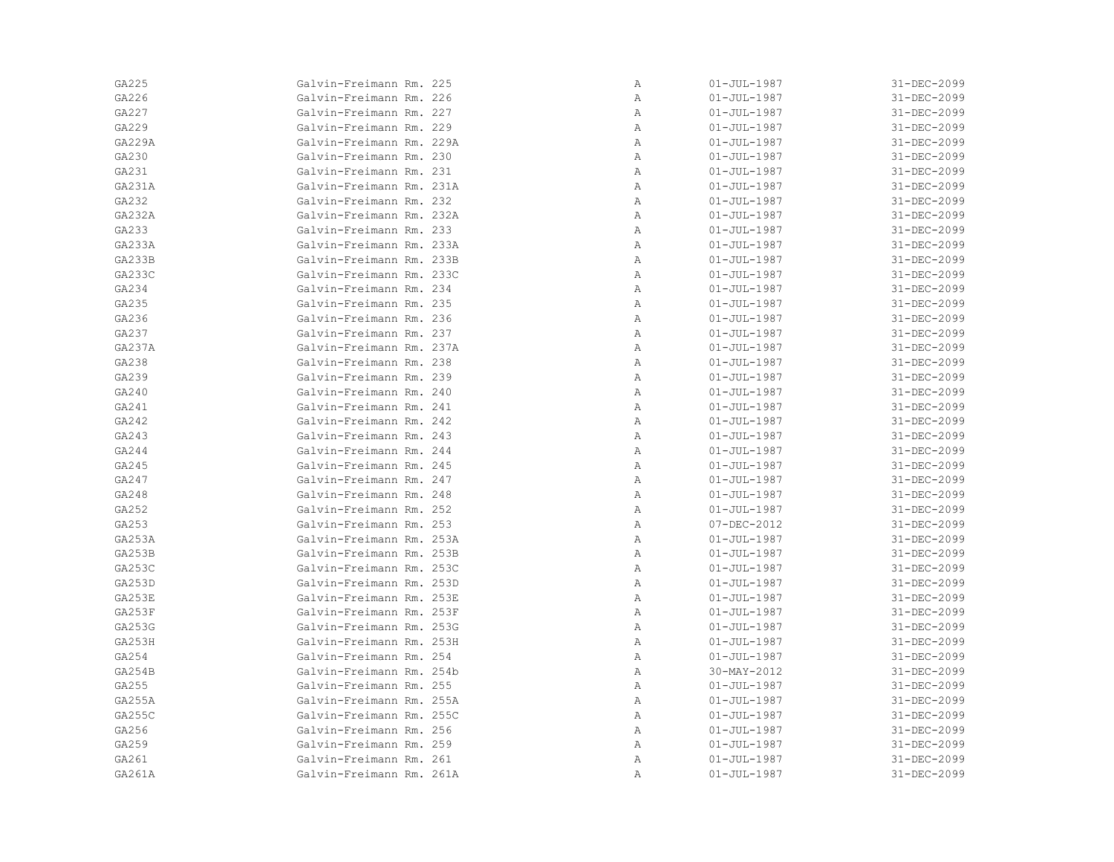| GA225         | Galvin-Freimann Rm. 225  | Α | $01 - JUL - 1987$ | 31-DEC-2099 |
|---------------|--------------------------|---|-------------------|-------------|
| GA226         | Galvin-Freimann Rm. 226  | Α | $01 - JUL - 1987$ | 31-DEC-2099 |
| GA227         | Galvin-Freimann Rm. 227  | Α | $01 - JUL - 1987$ | 31-DEC-2099 |
| GA229         | Galvin-Freimann Rm. 229  | Α | $01 - JUL - 1987$ | 31-DEC-2099 |
| GA229A        | Galvin-Freimann Rm. 229A | Α | $01 - JUL - 1987$ | 31-DEC-2099 |
| GA230         | Galvin-Freimann Rm. 230  | Α | $01 - JUL - 1987$ | 31-DEC-2099 |
| GA231         | Galvin-Freimann Rm. 231  | Α | $01 - JUL - 1987$ | 31-DEC-2099 |
| GA231A        | Galvin-Freimann Rm. 231A | Α | $01 - JUL - 1987$ | 31-DEC-2099 |
| GA232         | Galvin-Freimann Rm. 232  | Α | $01 - JUL - 1987$ | 31-DEC-2099 |
| GA232A        | Galvin-Freimann Rm. 232A | Α | $01 - JUL - 1987$ | 31-DEC-2099 |
| GA233         | Galvin-Freimann Rm. 233  | Α | $01 - JUL - 1987$ | 31-DEC-2099 |
| GA233A        | Galvin-Freimann Rm. 233A | Α | $01 - JUL - 1987$ | 31-DEC-2099 |
| <b>GA233B</b> | Galvin-Freimann Rm. 233B | Α | $01 - JUL - 1987$ | 31-DEC-2099 |
| GA233C        | Galvin-Freimann Rm. 233C | Α | $01 - JUL - 1987$ | 31-DEC-2099 |
| GA234         | Galvin-Freimann Rm. 234  | Α | $01 - JUL - 1987$ | 31-DEC-2099 |
| GA235         | Galvin-Freimann Rm. 235  | Α | $01 - JUL - 1987$ | 31-DEC-2099 |
| GA236         | Galvin-Freimann Rm. 236  | Α | $01 - JUL - 1987$ | 31-DEC-2099 |
| GA237         | Galvin-Freimann Rm. 237  | Α | $01 - JUL - 1987$ | 31-DEC-2099 |
| GA237A        | Galvin-Freimann Rm. 237A | Α | $01 - JUL - 1987$ | 31-DEC-2099 |
| GA238         | Galvin-Freimann Rm. 238  | Α | $01 - JUL - 1987$ | 31-DEC-2099 |
| GA239         | Galvin-Freimann Rm. 239  | Α | $01 - JUL - 1987$ | 31-DEC-2099 |
| GA240         | Galvin-Freimann Rm. 240  | Α | $01 - JUL - 1987$ | 31-DEC-2099 |
| GA241         | Galvin-Freimann Rm. 241  | Α | $01 - JUL - 1987$ | 31-DEC-2099 |
| GA242         | Galvin-Freimann Rm. 242  | Α | $01 - JUL - 1987$ | 31-DEC-2099 |
| GA243         | Galvin-Freimann Rm. 243  | Α | $01 - JUL - 1987$ | 31-DEC-2099 |
| GA244         | Galvin-Freimann Rm. 244  | Α | $01 - JUL - 1987$ | 31-DEC-2099 |
| GA245         | Galvin-Freimann Rm. 245  | Α | $01 - JUL - 1987$ | 31-DEC-2099 |
| GA247         | Galvin-Freimann Rm. 247  | Α | $01 - JUL - 1987$ | 31-DEC-2099 |
| GA248         | Galvin-Freimann Rm. 248  | Α | $01 - JUL - 1987$ | 31-DEC-2099 |
| GA252         | Galvin-Freimann Rm. 252  | Α | $01 - JUL - 1987$ | 31-DEC-2099 |
| GA253         | Galvin-Freimann Rm. 253  | Α | 07-DEC-2012       | 31-DEC-2099 |
| GA253A        | Galvin-Freimann Rm. 253A | Α | $01 - JUL - 1987$ | 31-DEC-2099 |
| GA253B        | Galvin-Freimann Rm. 253B | Α | $01 - JUL - 1987$ | 31-DEC-2099 |
| GA253C        | Galvin-Freimann Rm. 253C | Α | $01 - JUL - 1987$ | 31-DEC-2099 |
| GA253D        | Galvin-Freimann Rm. 253D | Α | $01 - JUL - 1987$ | 31-DEC-2099 |
| GA253E        | Galvin-Freimann Rm. 253E | Α | $01 - JUL - 1987$ | 31-DEC-2099 |
| GA253F        | Galvin-Freimann Rm. 253F | Α | $01 - JUL - 1987$ | 31-DEC-2099 |
| GA253G        | Galvin-Freimann Rm. 253G | Α | $01 - JUL - 1987$ | 31-DEC-2099 |
| GA253H        | Galvin-Freimann Rm. 253H | Α | $01 - JUL - 1987$ | 31-DEC-2099 |
| GA254         | Galvin-Freimann Rm. 254  | Α | $01 - JUL - 1987$ | 31-DEC-2099 |
| GA254B        | Galvin-Freimann Rm. 254b | Α | 30-MAY-2012       | 31-DEC-2099 |
| GA255         | Galvin-Freimann Rm. 255  | Α | $01 - JUL - 1987$ | 31-DEC-2099 |
| GA255A        | Galvin-Freimann Rm. 255A | Α | $01 - JUL - 1987$ | 31-DEC-2099 |
| GA255C        | Galvin-Freimann Rm. 255C | Α | $01 - JUL - 1987$ | 31-DEC-2099 |
| GA256         | Galvin-Freimann Rm. 256  | Α | $01 - JUL - 1987$ | 31-DEC-2099 |
| GA259         | Galvin-Freimann Rm. 259  | Α | $01 - JUL - 1987$ | 31-DEC-2099 |
| GA261         | Galvin-Freimann Rm. 261  | Α | $01 - JUL - 1987$ | 31-DEC-2099 |
| GA261A        | Galvin-Freimann Rm. 261A | Α | $01 - JUL - 1987$ | 31-DEC-2099 |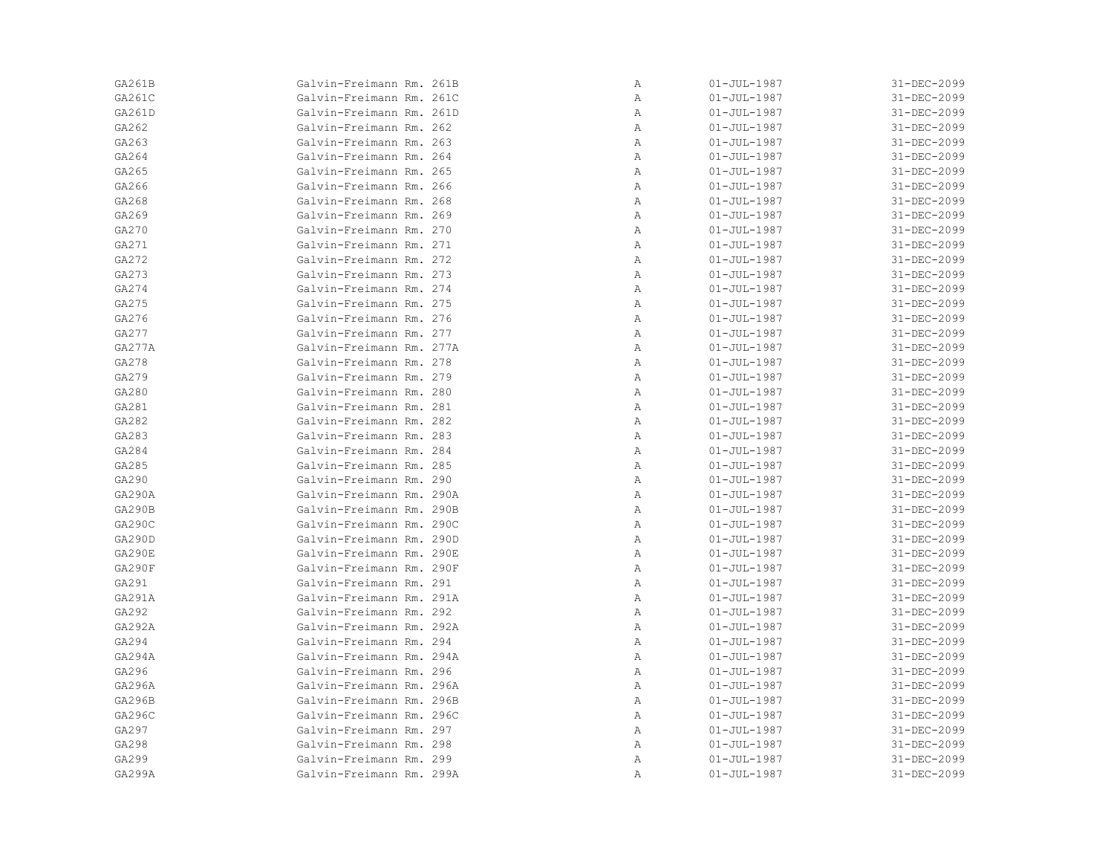| GA261B | Galvin-Freimann Rm. 261B | Α | $01 - JUL - 1987$ | 31-DEC-2099 |
|--------|--------------------------|---|-------------------|-------------|
| GA261C | Galvin-Freimann Rm. 261C | Α | $01 - JUL - 1987$ | 31-DEC-2099 |
| GA261D | Galvin-Freimann Rm. 261D | Α | $01 - JUL - 1987$ | 31-DEC-2099 |
| GA262  | Galvin-Freimann Rm. 262  | Α | $01 - JUL - 1987$ | 31-DEC-2099 |
| GA263  | Galvin-Freimann Rm. 263  | Α | $01 - JUL - 1987$ | 31-DEC-2099 |
| GA264  | Galvin-Freimann Rm. 264  | Α | $01 - JUL - 1987$ | 31-DEC-2099 |
| GA265  | Galvin-Freimann Rm. 265  | Α | $01 - JUL - 1987$ | 31-DEC-2099 |
| GA266  | Galvin-Freimann Rm. 266  | Α | $01 - JUL - 1987$ | 31-DEC-2099 |
| GA268  | Galvin-Freimann Rm. 268  | Α | $01 - JUL - 1987$ | 31-DEC-2099 |
| GA269  | Galvin-Freimann Rm. 269  | Α | $01 - JUL - 1987$ | 31-DEC-2099 |
| GA270  | Galvin-Freimann Rm. 270  | Α | $01 - JUL - 1987$ | 31-DEC-2099 |
| GA271  | Galvin-Freimann Rm. 271  | Α | $01 - JUL - 1987$ | 31-DEC-2099 |
| GA272  | Galvin-Freimann Rm. 272  | Α | $01 - JUL - 1987$ | 31-DEC-2099 |
| GA273  | Galvin-Freimann Rm. 273  | Α | $01 - JUL - 1987$ | 31-DEC-2099 |
| GA274  | Galvin-Freimann Rm. 274  | Α | $01 - JUL - 1987$ | 31-DEC-2099 |
| GA275  | Galvin-Freimann Rm. 275  | Α | $01 - JUL - 1987$ | 31-DEC-2099 |
| GA276  | Galvin-Freimann Rm. 276  | Α | $01 - JUL - 1987$ | 31-DEC-2099 |
| GA277  | Galvin-Freimann Rm. 277  | Α | $01 - JUL - 1987$ | 31-DEC-2099 |
| GA277A | Galvin-Freimann Rm. 277A | Α | $01 - JUL - 1987$ | 31-DEC-2099 |
| GA278  | Galvin-Freimann Rm. 278  | Α | $01 - JUL - 1987$ | 31-DEC-2099 |
| GA279  | Galvin-Freimann Rm. 279  | Α | $01 - JUL - 1987$ | 31-DEC-2099 |
| GA280  | Galvin-Freimann Rm. 280  | Α | $01 - JUL - 1987$ | 31-DEC-2099 |
| GA281  | Galvin-Freimann Rm. 281  | Α | $01 - JUL - 1987$ | 31-DEC-2099 |
| GA282  | Galvin-Freimann Rm. 282  | Α | $01 - JUL - 1987$ | 31-DEC-2099 |
| GA283  | Galvin-Freimann Rm. 283  | Α | $01 - JUL - 1987$ | 31-DEC-2099 |
| GA284  | Galvin-Freimann Rm. 284  | Α | $01 - JUL - 1987$ | 31-DEC-2099 |
| GA285  | Galvin-Freimann Rm. 285  | Α | $01 - JUL - 1987$ | 31-DEC-2099 |
| GA290  | Galvin-Freimann Rm. 290  | Α | $01 - JUL - 1987$ | 31-DEC-2099 |
| GA290A | Galvin-Freimann Rm. 290A | Α | $01 - JUL - 1987$ | 31-DEC-2099 |
| GA290B | Galvin-Freimann Rm. 290B | Α | $01 - JUL - 1987$ | 31-DEC-2099 |
| GA290C | Galvin-Freimann Rm. 290C | Α | $01 - JUL - 1987$ | 31-DEC-2099 |
| GA290D | Galvin-Freimann Rm. 290D | Α | $01 - JUL - 1987$ | 31-DEC-2099 |
| GA290E | Galvin-Freimann Rm. 290E | Α | $01 - JUL - 1987$ | 31-DEC-2099 |
| GA290F | Galvin-Freimann Rm. 290F | Α | $01 - JUL - 1987$ | 31-DEC-2099 |
| GA291  | Galvin-Freimann Rm. 291  | Α | $01 - JUL - 1987$ | 31-DEC-2099 |
| GA291A | Galvin-Freimann Rm. 291A | Α | $01 - JUL - 1987$ | 31-DEC-2099 |
| GA292  | Galvin-Freimann Rm. 292  | Α | $01 - JUL - 1987$ | 31-DEC-2099 |
| GA292A | Galvin-Freimann Rm. 292A | Α | $01 - JUL - 1987$ | 31-DEC-2099 |
| GA294  | Galvin-Freimann Rm. 294  | Α | $01 - JUL - 1987$ | 31-DEC-2099 |
| GA294A | Galvin-Freimann Rm. 294A | Α | $01 - JUL - 1987$ | 31-DEC-2099 |
| GA296  | Galvin-Freimann Rm. 296  | Α | $01 - JUL - 1987$ | 31-DEC-2099 |
| GA296A | Galvin-Freimann Rm. 296A | Α | $01 - JUL - 1987$ | 31-DEC-2099 |
| GA296B | Galvin-Freimann Rm. 296B | Α | $01 - JUL - 1987$ | 31-DEC-2099 |
| GA296C | Galvin-Freimann Rm. 296C | Α | $01 - JUL - 1987$ | 31-DEC-2099 |
| GA297  | Galvin-Freimann Rm. 297  | Α | $01 - JUL - 1987$ | 31-DEC-2099 |
| GA298  | Galvin-Freimann Rm. 298  | Α | $01 - JUL - 1987$ | 31-DEC-2099 |
| GA299  | Galvin-Freimann Rm. 299  | Α | $01 - JUL - 1987$ | 31-DEC-2099 |
| GA299A | Galvin-Freimann Rm. 299A | Α | $01 - JUL - 1987$ | 31-DEC-2099 |
|        |                          |   |                   |             |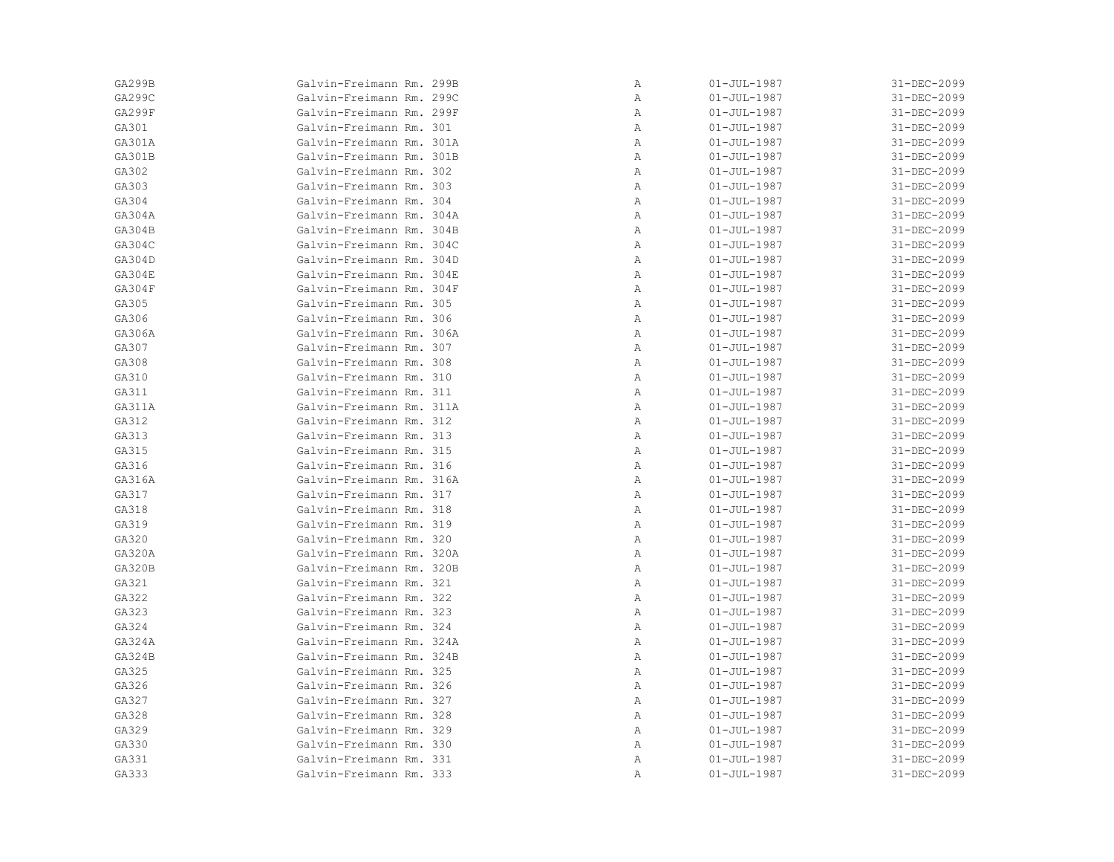| GA299B        | Galvin-Freimann Rm. 299B | Α | $01 - JUL - 1987$ | 31-DEC-2099 |
|---------------|--------------------------|---|-------------------|-------------|
| GA299C        | Galvin-Freimann Rm. 299C | Α | $01 - JUL - 1987$ | 31-DEC-2099 |
| GA299F        | Galvin-Freimann Rm. 299F | Α | $01 - JUL - 1987$ | 31-DEC-2099 |
| GA301         | Galvin-Freimann Rm. 301  | Α | $01 - JUL - 1987$ | 31-DEC-2099 |
| GA301A        | Galvin-Freimann Rm. 301A | Α | $01 - JUL - 1987$ | 31-DEC-2099 |
| GA301B        | Galvin-Freimann Rm. 301B | Α | $01 - JUL - 1987$ | 31-DEC-2099 |
| GA302         | Galvin-Freimann Rm. 302  | Α | $01 - JUL - 1987$ | 31-DEC-2099 |
| GA303         | Galvin-Freimann Rm. 303  | Α | $01 - JUL - 1987$ | 31-DEC-2099 |
| GA304         | Galvin-Freimann Rm. 304  | Α | $01 - JUL - 1987$ | 31-DEC-2099 |
| GA304A        | Galvin-Freimann Rm. 304A | Α | $01 - JUL - 1987$ | 31-DEC-2099 |
| GA304B        | Galvin-Freimann Rm. 304B | Α | $01 - JUL - 1987$ | 31-DEC-2099 |
| GA304C        | Galvin-Freimann Rm. 304C | Α | $01 - JUL - 1987$ | 31-DEC-2099 |
| GA304D        | Galvin-Freimann Rm. 304D | Α | $01 - JUL - 1987$ | 31-DEC-2099 |
| GA304E        | Galvin-Freimann Rm. 304E | Α | $01 - JUL - 1987$ | 31-DEC-2099 |
| GA304F        | Galvin-Freimann Rm. 304F | Α | $01 - JUL - 1987$ | 31-DEC-2099 |
| GA305         | Galvin-Freimann Rm. 305  | Α | $01 - JUL - 1987$ | 31-DEC-2099 |
| GA306         | Galvin-Freimann Rm. 306  | Α | $01 - JUL - 1987$ | 31-DEC-2099 |
| GA306A        | Galvin-Freimann Rm. 306A | Α | $01 - JUL - 1987$ | 31-DEC-2099 |
| GA307         | Galvin-Freimann Rm. 307  | Α | $01 - JUL - 1987$ | 31-DEC-2099 |
| GA308         | Galvin-Freimann Rm. 308  | Α | $01 - JUL - 1987$ | 31-DEC-2099 |
| GA310         | Galvin-Freimann Rm. 310  | Α | $01 - JUL - 1987$ | 31-DEC-2099 |
| GA311         | Galvin-Freimann Rm. 311  | Α | $01 - JUL - 1987$ | 31-DEC-2099 |
| GA311A        | Galvin-Freimann Rm. 311A | Α | $01 - JUL - 1987$ | 31-DEC-2099 |
| GA312         | Galvin-Freimann Rm. 312  | Α | $01 - JUL - 1987$ | 31-DEC-2099 |
| GA313         | Galvin-Freimann Rm. 313  | Α | $01 - JUL - 1987$ | 31-DEC-2099 |
| GA315         | Galvin-Freimann Rm. 315  | Α | $01 - JUL - 1987$ | 31-DEC-2099 |
| GA316         | Galvin-Freimann Rm. 316  | Α | $01 - JUL - 1987$ | 31-DEC-2099 |
| GA316A        | Galvin-Freimann Rm. 316A | Α | $01 - JUL - 1987$ | 31-DEC-2099 |
| GA317         | Galvin-Freimann Rm. 317  | Α | $01 - JUL - 1987$ | 31-DEC-2099 |
| GA318         | Galvin-Freimann Rm. 318  | Α | $01 - JUL - 1987$ | 31-DEC-2099 |
| GA319         | Galvin-Freimann Rm. 319  | Α | $01 - JUL - 1987$ | 31-DEC-2099 |
| GA320         | Galvin-Freimann Rm. 320  | Α | $01 - JUL - 1987$ | 31-DEC-2099 |
| GA320A        | Galvin-Freimann Rm. 320A | Α | $01 - JUL - 1987$ | 31-DEC-2099 |
| <b>GA320B</b> | Galvin-Freimann Rm. 320B | Α | $01 - JUL - 1987$ | 31-DEC-2099 |
| GA321         | Galvin-Freimann Rm. 321  | Α | $01 - JUL - 1987$ | 31-DEC-2099 |
| GA322         | Galvin-Freimann Rm. 322  | Α | $01 - JUL - 1987$ | 31-DEC-2099 |
| GA323         | Galvin-Freimann Rm. 323  | Α | $01 - JUL - 1987$ | 31-DEC-2099 |
| GA324         | Galvin-Freimann Rm. 324  | Α | $01 - JUL - 1987$ | 31-DEC-2099 |
| GA324A        | Galvin-Freimann Rm. 324A | Α | $01 - JUL - 1987$ | 31-DEC-2099 |
| GA324B        | Galvin-Freimann Rm. 324B | Α | $01 - JUL - 1987$ | 31-DEC-2099 |
| GA325         | Galvin-Freimann Rm. 325  | Α | $01 - JUL - 1987$ | 31-DEC-2099 |
| GA326         | Galvin-Freimann Rm. 326  | Α | $01 - JUL - 1987$ | 31-DEC-2099 |
| GA327         | Galvin-Freimann Rm. 327  | Α | $01 - JUL - 1987$ | 31-DEC-2099 |
| GA328         | Galvin-Freimann Rm. 328  | Α | $01 - JUL - 1987$ | 31-DEC-2099 |
| GA329         | Galvin-Freimann Rm. 329  | Α | $01 - JUL - 1987$ | 31-DEC-2099 |
| GA330         | Galvin-Freimann Rm. 330  | Α | $01 - JUL - 1987$ | 31-DEC-2099 |
| GA331         | Galvin-Freimann Rm. 331  | Α | $01 - JUL - 1987$ | 31-DEC-2099 |
| GA333         | Galvin-Freimann Rm. 333  | Α | $01 - JUL - 1987$ | 31-DEC-2099 |
|               |                          |   |                   |             |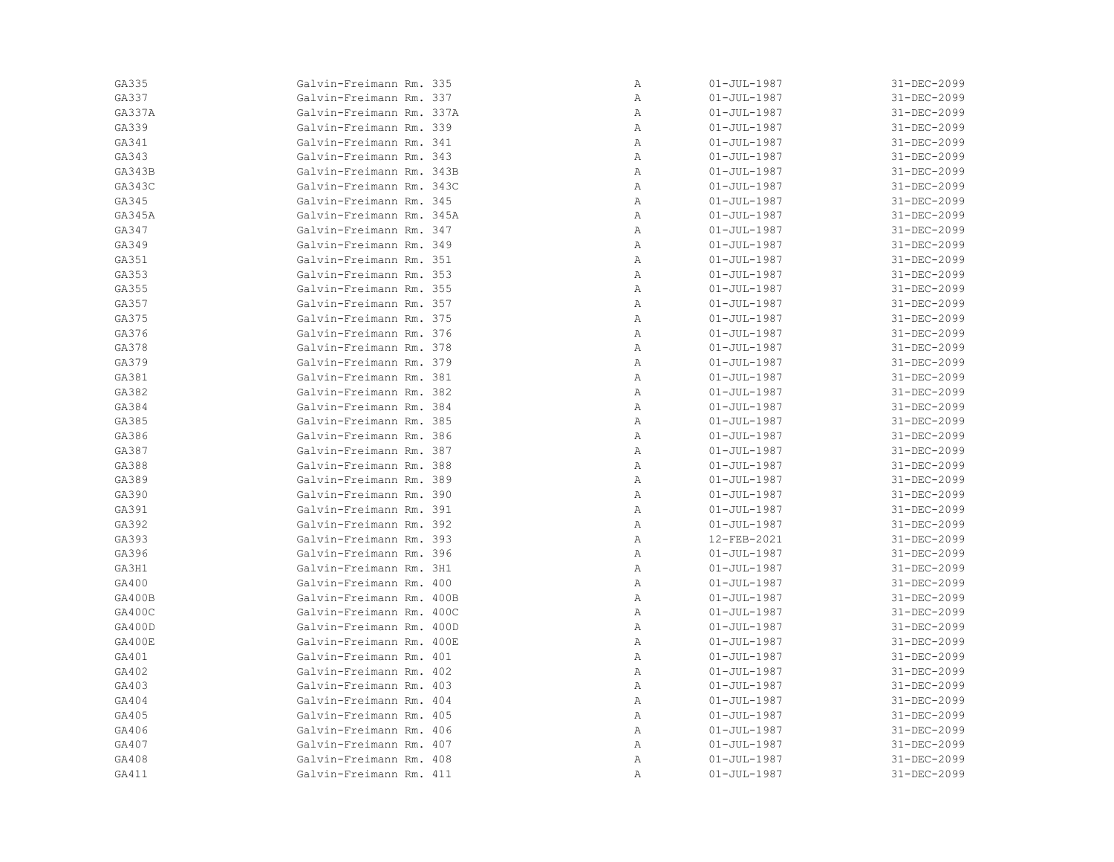| GA335  | Galvin-Freimann Rm. 335  | Α | $01 - JUL - 1987$ | 31-DEC-2099 |
|--------|--------------------------|---|-------------------|-------------|
| GA337  | Galvin-Freimann Rm. 337  | Α | $01 - JUL - 1987$ | 31-DEC-2099 |
| GA337A | Galvin-Freimann Rm. 337A | Α | $01 - JUL - 1987$ | 31-DEC-2099 |
| GA339  | Galvin-Freimann Rm. 339  | Α | $01 - JUL - 1987$ | 31-DEC-2099 |
| GA341  | Galvin-Freimann Rm. 341  | Α | $01 - JUL - 1987$ | 31-DEC-2099 |
| GA343  | Galvin-Freimann Rm. 343  | Α | $01 - JUL - 1987$ | 31-DEC-2099 |
| GA343B | Galvin-Freimann Rm. 343B | Α | $01 - JUL - 1987$ | 31-DEC-2099 |
| GA343C | Galvin-Freimann Rm. 343C | Α | $01 - JUL - 1987$ | 31-DEC-2099 |
| GA345  | Galvin-Freimann Rm. 345  | Α | $01 - JUL - 1987$ | 31-DEC-2099 |
| GA345A | Galvin-Freimann Rm. 345A | Α | $01 - JUL - 1987$ | 31-DEC-2099 |
| GA347  | Galvin-Freimann Rm. 347  | Α | $01 - JUL - 1987$ | 31-DEC-2099 |
| GA349  | Galvin-Freimann Rm. 349  | Α | $01 - JUL - 1987$ | 31-DEC-2099 |
| GA351  | Galvin-Freimann Rm. 351  | Α | $01 - JUL - 1987$ | 31-DEC-2099 |
| GA353  | Galvin-Freimann Rm. 353  | Α | $01 - JUL - 1987$ | 31-DEC-2099 |
| GA355  | Galvin-Freimann Rm. 355  | Α | $01 - JUL - 1987$ | 31-DEC-2099 |
| GA357  | Galvin-Freimann Rm. 357  | Α | $01 - JUL - 1987$ | 31-DEC-2099 |
| GA375  | Galvin-Freimann Rm. 375  | Α | $01 - JUL - 1987$ | 31-DEC-2099 |
| GA376  | Galvin-Freimann Rm. 376  | Α | $01 - JUL - 1987$ | 31-DEC-2099 |
| GA378  | Galvin-Freimann Rm. 378  | Α | $01 - JUL - 1987$ | 31-DEC-2099 |
| GA379  | Galvin-Freimann Rm. 379  | Α | $01 - JUL - 1987$ | 31-DEC-2099 |
| GA381  | Galvin-Freimann Rm. 381  | Α | $01 - JUL - 1987$ | 31-DEC-2099 |
| GA382  | Galvin-Freimann Rm. 382  | Α | $01 - JUL - 1987$ | 31-DEC-2099 |
| GA384  | Galvin-Freimann Rm. 384  | Α | $01 - JUL - 1987$ | 31-DEC-2099 |
| GA385  | Galvin-Freimann Rm. 385  | Α | $01 - JUL - 1987$ | 31-DEC-2099 |
| GA386  | Galvin-Freimann Rm. 386  | Α | $01 - JUL - 1987$ | 31-DEC-2099 |
| GA387  | Galvin-Freimann Rm. 387  | Α | $01 - JUL - 1987$ | 31-DEC-2099 |
| GA388  | Galvin-Freimann Rm. 388  | Α | $01 - JUL - 1987$ | 31-DEC-2099 |
| GA389  | Galvin-Freimann Rm. 389  | Α | $01 - JUL - 1987$ | 31-DEC-2099 |
| GA390  | Galvin-Freimann Rm. 390  | Α | $01 - JUL - 1987$ | 31-DEC-2099 |
| GA391  | Galvin-Freimann Rm. 391  | Α | $01 - JUL - 1987$ | 31-DEC-2099 |
| GA392  | Galvin-Freimann Rm. 392  | Α | $01 - JUL - 1987$ | 31-DEC-2099 |
| GA393  | Galvin-Freimann Rm. 393  | Α | 12-FEB-2021       | 31-DEC-2099 |
| GA396  | Galvin-Freimann Rm. 396  | Α | $01 - JUL - 1987$ | 31-DEC-2099 |
| GA3H1  | Galvin-Freimann Rm. 3H1  | Α | $01 - JUL - 1987$ | 31-DEC-2099 |
| GA400  | Galvin-Freimann Rm. 400  | Α | $01 - JUL - 1987$ | 31-DEC-2099 |
| GA400B | Galvin-Freimann Rm. 400B | Α | $01 - JUL - 1987$ | 31-DEC-2099 |
| GA400C | Galvin-Freimann Rm. 400C | Α | $01 - JUL - 1987$ | 31-DEC-2099 |
| GA400D | Galvin-Freimann Rm. 400D | Α | $01 - JUL - 1987$ | 31-DEC-2099 |
| GA400E | Galvin-Freimann Rm. 400E | Α | $01 - JUL - 1987$ | 31-DEC-2099 |
| GA401  | Galvin-Freimann Rm. 401  | Α | $01 - JUL - 1987$ | 31-DEC-2099 |
| GA402  | Galvin-Freimann Rm. 402  | Α | $01 - JUL - 1987$ | 31-DEC-2099 |
| GA403  | Galvin-Freimann Rm. 403  | Α | $01 - JUL - 1987$ | 31-DEC-2099 |
| GA404  | Galvin-Freimann Rm. 404  | Α | $01 - JUL - 1987$ | 31-DEC-2099 |
| GA405  | Galvin-Freimann Rm. 405  | Α | $01 - JUL - 1987$ | 31-DEC-2099 |
| GA406  | Galvin-Freimann Rm. 406  | Α | $01 - JUL - 1987$ | 31-DEC-2099 |
| GA407  | Galvin-Freimann Rm. 407  | Α | $01 - JUL - 1987$ | 31-DEC-2099 |
| GA408  | Galvin-Freimann Rm. 408  | Α | $01 - JUL - 1987$ | 31-DEC-2099 |
| GA411  | Galvin-Freimann Rm. 411  | Α | $01 - JUL - 1987$ | 31-DEC-2099 |
|        |                          |   |                   |             |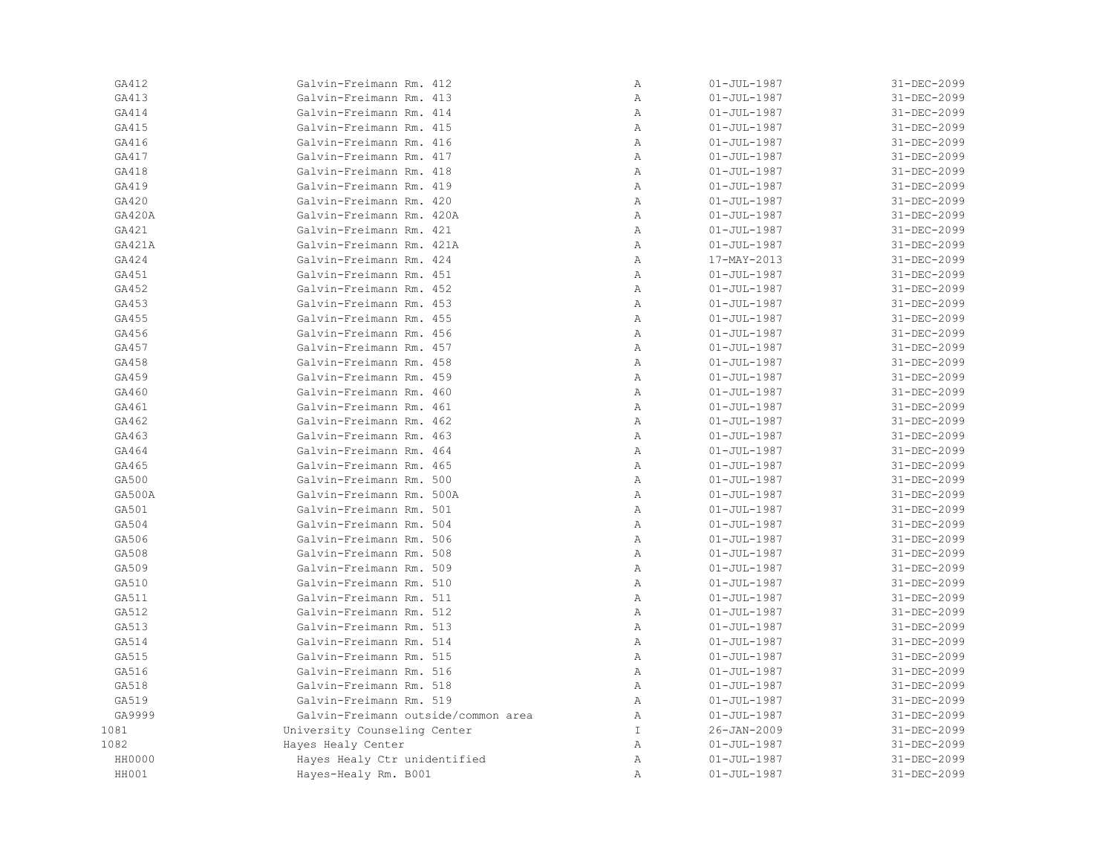| GA412  | Galvin-Freimann Rm. 412             | $\, {\bf A}$   | $01 - JUL - 1987$ | 31-DEC-2099 |
|--------|-------------------------------------|----------------|-------------------|-------------|
| GA413  | Galvin-Freimann Rm. 413             | $\, {\bf A}$   | $01 - JUL - 1987$ | 31-DEC-2099 |
| GA414  | Galvin-Freimann Rm. 414             | Α              | $01 - JUL - 1987$ | 31-DEC-2099 |
| GA415  | Galvin-Freimann Rm. 415             | Α              | $01 - JUL - 1987$ | 31-DEC-2099 |
| GA416  | Galvin-Freimann Rm. 416             | $\mathbb{A}$   | $01 - JUL - 1987$ | 31-DEC-2099 |
| GA417  | Galvin-Freimann Rm. 417             | $\mathbb{A}$   | $01 - JUL - 1987$ | 31-DEC-2099 |
| GA418  | Galvin-Freimann Rm. 418             | $\mathbb{A}$   | $01 - JUL - 1987$ | 31-DEC-2099 |
| GA419  | Galvin-Freimann Rm. 419             | $\mathbb{A}$   | $01 - JUL - 1987$ | 31-DEC-2099 |
| GA420  | Galvin-Freimann Rm. 420             | $\mathbb{A}$   | $01 - JUL - 1987$ | 31-DEC-2099 |
| GA420A | Galvin-Freimann Rm. 420A            | $\, {\bf A}$   | $01 - JUL - 1987$ | 31-DEC-2099 |
| GA421  | Galvin-Freimann Rm. 421             | Α              | $01 - JUL - 1987$ | 31-DEC-2099 |
| GA421A | Galvin-Freimann Rm. 421A            | Α              | $01 - JUL - 1987$ | 31-DEC-2099 |
| GA424  | Galvin-Freimann Rm. 424             | $\, {\bf A}$   | 17-MAY-2013       | 31-DEC-2099 |
| GA451  | Galvin-Freimann Rm. 451             | Α              | $01 - JUL - 1987$ | 31-DEC-2099 |
| GA452  | Galvin-Freimann Rm. 452             | $\, {\bf A}$   | $01 - JUL - 1987$ | 31-DEC-2099 |
| GA453  | Galvin-Freimann Rm. 453             | Α              | $01 - JUL - 1987$ | 31-DEC-2099 |
| GA455  | Galvin-Freimann Rm. 455             | Α              | $01 - JUL - 1987$ | 31-DEC-2099 |
| GA456  | Galvin-Freimann Rm. 456             | $\, {\bf A}$   | $01 - JUL - 1987$ | 31-DEC-2099 |
| GA457  | Galvin-Freimann Rm. 457             | $\mathbb{A}$   | $01 - JUL - 1987$ | 31-DEC-2099 |
| GA458  | Galvin-Freimann Rm. 458             | $\mathbb{A}$   | $01 - JUL - 1987$ | 31-DEC-2099 |
| GA459  | Galvin-Freimann Rm. 459             | $\mathbb{A}$   | $01 - JUL - 1987$ | 31-DEC-2099 |
| GA460  | Galvin-Freimann Rm. 460             | $\mathbb{A}$   | $01 - JUL - 1987$ | 31-DEC-2099 |
| GA461  | Galvin-Freimann Rm. 461             | $\overline{A}$ | $01 - JUL - 1987$ | 31-DEC-2099 |
| GA462  | Galvin-Freimann Rm. 462             | Α              | $01 - JUL - 1987$ | 31-DEC-2099 |
| GA463  | Galvin-Freimann Rm. 463             | Α              | $01 - JUL - 1987$ | 31-DEC-2099 |
| GA464  | Galvin-Freimann Rm. 464             | $\, {\bf A}$   | $01 - JUL - 1987$ | 31-DEC-2099 |
| GA465  | Galvin-Freimann Rm. 465             | $\mathbb{A}$   | $01 - JUL - 1987$ | 31-DEC-2099 |
| GA500  | Galvin-Freimann Rm. 500             | Α              | $01 - JUL - 1987$ | 31-DEC-2099 |
| GA500A | Galvin-Freimann Rm. 500A            | Α              | $01 - JUL - 1987$ | 31-DEC-2099 |
| GA501  | Galvin-Freimann Rm. 501             | Α              | $01 - JUL - 1987$ | 31-DEC-2099 |
| GA504  | Galvin-Freimann Rm. 504             | $\, {\bf A}$   | $01 - JUL - 1987$ | 31-DEC-2099 |
| GA506  | Galvin-Freimann Rm. 506             | Α              | $01 - JUL - 1987$ | 31-DEC-2099 |
| GA508  | Galvin-Freimann Rm. 508             | $\mathbb{A}$   | $01 - JUL - 1987$ | 31-DEC-2099 |
| GA509  | Galvin-Freimann Rm. 509             | $\mathbb{A}$   | $01 - JUL - 1987$ | 31-DEC-2099 |
| GA510  | Galvin-Freimann Rm. 510             | $\mathbb{A}$   | $01 - JUL - 1987$ | 31-DEC-2099 |
| GA511  | Galvin-Freimann Rm. 511             | $\mathbb{A}$   | $01 - JUL - 1987$ | 31-DEC-2099 |
| GA512  | Galvin-Freimann Rm. 512             | $\, {\bf A}$   | $01 - JUL - 1987$ | 31-DEC-2099 |
| GA513  | Galvin-Freimann Rm. 513             | Α              | $01 - JUL - 1987$ | 31-DEC-2099 |
| GA514  | Galvin-Freimann Rm. 514             | $\mathbb{A}$   | $01 - JUL - 1987$ | 31-DEC-2099 |
| GA515  | Galvin-Freimann Rm. 515             | Α              | $01 - JUL - 1987$ | 31-DEC-2099 |
| GA516  | Galvin-Freimann Rm. 516             | Α              | $01 - JUL - 1987$ | 31-DEC-2099 |
| GA518  | Galvin-Freimann Rm. 518             | Α              | $01 - JUL - 1987$ | 31-DEC-2099 |
| GA519  | Galvin-Freimann Rm. 519             | Α              | $01 - JUL - 1987$ | 31-DEC-2099 |
| GA9999 | Galvin-Freimann outside/common area | Α              | $01 - JUL - 1987$ | 31-DEC-2099 |
| 1081   | University Counseling Center        | $\mathbb T$    | $26 - JAN - 2009$ | 31-DEC-2099 |
| 1082   | Hayes Healy Center                  | Α              | $01 - JUL - 1987$ | 31-DEC-2099 |
| HH0000 | Hayes Healy Ctr unidentified        | Α              | $01 - JUL - 1987$ | 31-DEC-2099 |
| HH001  | Hayes-Healy Rm. B001                | $\mathbb{A}$   | $01 - JUL - 1987$ | 31-DEC-2099 |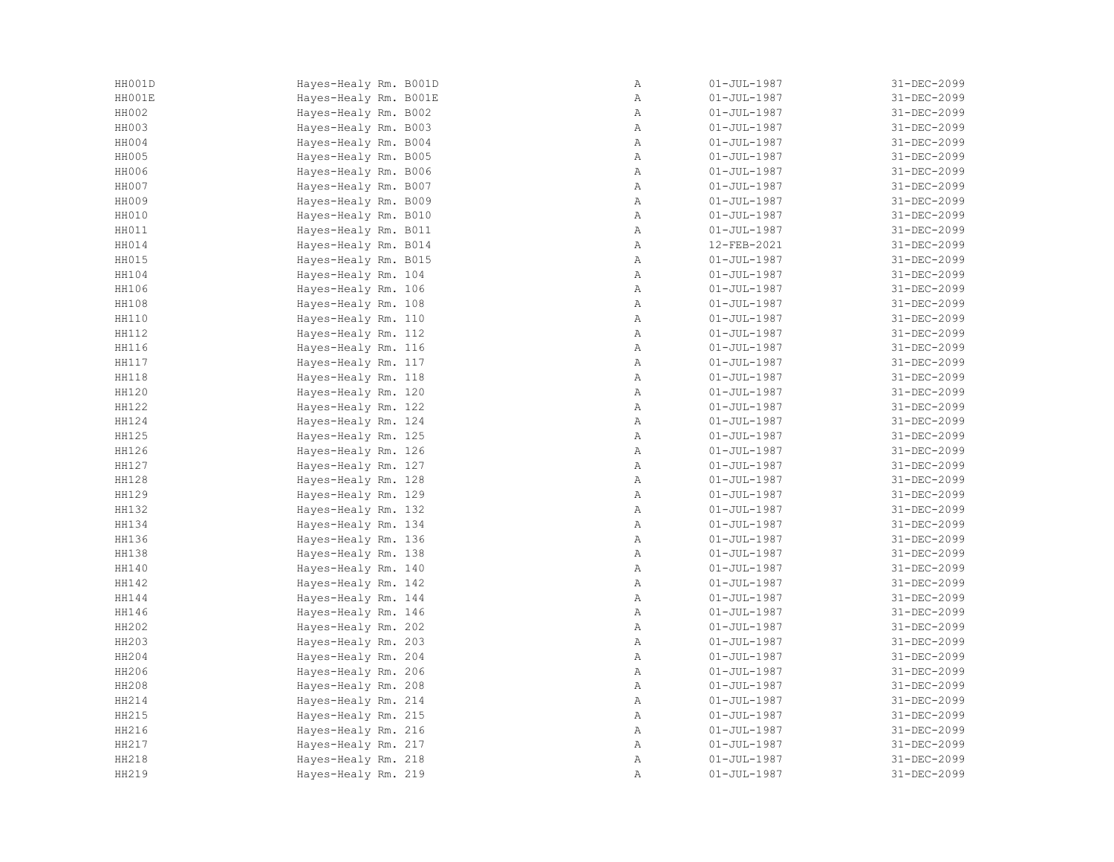| HH001D | Hayes-Healy Rm. B001D | Α            | $01 - JUL - 1987$ | 31-DEC-2099 |
|--------|-----------------------|--------------|-------------------|-------------|
| HH001E | Hayes-Healy Rm. B001E | Α            | $01 - JUL - 1987$ | 31-DEC-2099 |
| HH002  | Hayes-Healy Rm. B002  | Α            | $01 - JUL - 1987$ | 31-DEC-2099 |
| HH003  | Hayes-Healy Rm. B003  | Α            | $01 - JUL - 1987$ | 31-DEC-2099 |
| HH004  | Hayes-Healy Rm. B004  | $\mathbb{A}$ | $01 - JUL - 1987$ | 31-DEC-2099 |
| HH005  | Hayes-Healy Rm. B005  | Α            | $01 - JUL - 1987$ | 31-DEC-2099 |
| HH006  | Hayes-Healy Rm. B006  | Α            | $01 - JUL - 1987$ | 31-DEC-2099 |
| HH007  | Hayes-Healy Rm. B007  | Α            | $01 - JUL - 1987$ | 31-DEC-2099 |
| HH009  | Hayes-Healy Rm. B009  | $\mathbb{A}$ | $01 - JUL - 1987$ | 31-DEC-2099 |
| HH010  | Hayes-Healy Rm. B010  | Α            | $01 - JUL - 1987$ | 31-DEC-2099 |
| HH011  | Hayes-Healy Rm. B011  | Α            | $01 - JUL - 1987$ | 31-DEC-2099 |
| HH014  | Hayes-Healy Rm. B014  | Α            | 12-FEB-2021       | 31-DEC-2099 |
| HH015  | Hayes-Healy Rm. B015  | Α            | $01 - JUL - 1987$ | 31-DEC-2099 |
| HH104  | Hayes-Healy Rm. 104   | $\mathbb{A}$ | $01 - JUL - 1987$ | 31-DEC-2099 |
| HH106  | Hayes-Healy Rm. 106   | Α            | $01 - JUL - 1987$ | 31-DEC-2099 |
| HH108  | Hayes-Healy Rm. 108   | Α            | $01 - JUL - 1987$ | 31-DEC-2099 |
| HH110  | Hayes-Healy Rm. 110   | Α            | $01 - JUL - 1987$ | 31-DEC-2099 |
| HH112  | Hayes-Healy Rm. 112   | Α            | $01 - JUL - 1987$ | 31-DEC-2099 |
| HH116  | Hayes-Healy Rm. 116   | Α            | $01 - JUL - 1987$ | 31-DEC-2099 |
| HH117  | Hayes-Healy Rm. 117   | Α            | $01 - JUL - 1987$ | 31-DEC-2099 |
| HH118  | Hayes-Healy Rm. 118   | Α            | $01 - JUL - 1987$ | 31-DEC-2099 |
| HH120  | Hayes-Healy Rm. 120   | Α            | $01 - JUL - 1987$ | 31-DEC-2099 |
| HH122  | Hayes-Healy Rm. 122   | $\mathbb{A}$ | $01 - JUL - 1987$ | 31-DEC-2099 |
| HH124  | Hayes-Healy Rm. 124   | Α            | $01 - JUL - 1987$ | 31-DEC-2099 |
| HH125  | Hayes-Healy Rm. 125   | Α            | $01 - JUL - 1987$ | 31-DEC-2099 |
| HH126  | Hayes-Healy Rm. 126   | $\mathbb A$  | $01 - JUL - 1987$ | 31-DEC-2099 |
| HH127  | Hayes-Healy Rm. 127   | Α            | $01 - JUL - 1987$ | 31-DEC-2099 |
| HH128  | Hayes-Healy Rm. 128   | Α            | $01 - JUL - 1987$ | 31-DEC-2099 |
| HH129  | Hayes-Healy Rm. 129   | $\mathbb{A}$ | $01 - JUL - 1987$ | 31-DEC-2099 |
| HH132  | Hayes-Healy Rm. 132   | $\mathbb{A}$ | $01 - JUL - 1987$ | 31-DEC-2099 |
| HH134  | Hayes-Healy Rm. 134   | Α            | $01 - JUL - 1987$ | 31-DEC-2099 |
| HH136  | Hayes-Healy Rm. 136   | $\mathbb A$  | $01 - JUL - 1987$ | 31-DEC-2099 |
| HH138  | Hayes-Healy Rm. 138   | Α            | $01 - JUL - 1987$ | 31-DEC-2099 |
| HH140  | Hayes-Healy Rm. 140   | Α            | $01 - JUL - 1987$ | 31-DEC-2099 |
| HH142  | Hayes-Healy Rm. 142   | Α            | $01 - JUL - 1987$ | 31-DEC-2099 |
| HH144  | Hayes-Healy Rm. 144   | $\mathbb{A}$ | $01 - JUL - 1987$ | 31-DEC-2099 |
| HH146  | Hayes-Healy Rm. 146   | $\mathbb{A}$ | $01 - JUL - 1987$ | 31-DEC-2099 |
| HH202  | Hayes-Healy Rm. 202   | $\mathbb{A}$ | $01 - JUL - 1987$ | 31-DEC-2099 |
| HH203  | Hayes-Healy Rm. 203   | $\mathbb A$  | $01 - JUL - 1987$ | 31-DEC-2099 |
| HH204  | Hayes-Healy Rm. 204   | Α            | $01 - JUL - 1987$ | 31-DEC-2099 |
| HH206  | Hayes-Healy Rm. 206   | Α            | $01 - JUL - 1987$ | 31-DEC-2099 |
| HH208  | Hayes-Healy Rm. 208   | Α            | $01 - JUL - 1987$ | 31-DEC-2099 |
| HH214  | Hayes-Healy Rm. 214   | Α            | $01 - JUL - 1987$ | 31-DEC-2099 |
| HH215  | Hayes-Healy Rm. 215   | Α            | $01 - JUL - 1987$ | 31-DEC-2099 |
| HH216  | Hayes-Healy Rm. 216   | $\mathbb{A}$ | $01 - JUL - 1987$ | 31-DEC-2099 |
| HH217  | Hayes-Healy Rm. 217   | $\mathbb{A}$ | $01 - JUL - 1987$ | 31-DEC-2099 |
| HH218  | Hayes-Healy Rm. 218   | Α            | $01 - JUL - 1987$ | 31-DEC-2099 |
| HH219  | Hayes-Healy Rm. 219   | Α            | $01 - JUL - 1987$ | 31-DEC-2099 |
|        |                       |              |                   |             |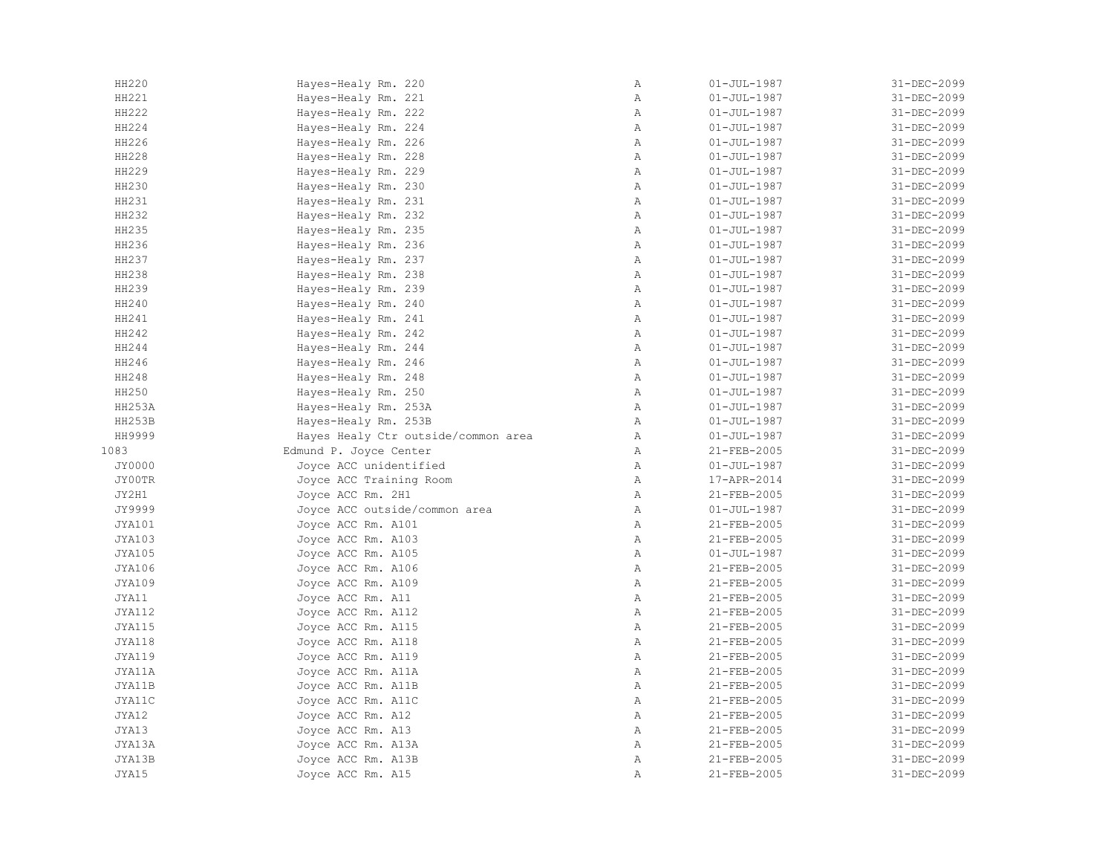| HH220         | Hayes-Healy Rm. 220                 | Α            | $01 - JUL - 1987$ | 31-DEC-2099 |
|---------------|-------------------------------------|--------------|-------------------|-------------|
| HH221         | Hayes-Healy Rm. 221                 | Α            | $01 - JUL - 1987$ | 31-DEC-2099 |
| HH222         | Hayes-Healy Rm. 222                 | Α            | $01 - JUL - 1987$ | 31-DEC-2099 |
| HH224         | Hayes-Healy Rm. 224                 | Α            | $01 - JUL - 1987$ | 31-DEC-2099 |
| HH226         | Hayes-Healy Rm. 226                 | $\mathbb{A}$ | $01 - JUL - 1987$ | 31-DEC-2099 |
| HH228         | Hayes-Healy Rm. 228                 | Α            | $01 - JUL - 1987$ | 31-DEC-2099 |
| HH229         | Hayes-Healy Rm. 229                 | Α            | $01 - JUL - 1987$ | 31-DEC-2099 |
| HH230         | Hayes-Healy Rm. 230                 | Α            | $01 - JUL - 1987$ | 31-DEC-2099 |
| HH231         | Hayes-Healy Rm. 231                 | Α            | $01 - JUL - 1987$ | 31-DEC-2099 |
| HH232         | Hayes-Healy Rm. 232                 | Α            | $01 - JUL - 1987$ | 31-DEC-2099 |
| HH235         | Hayes-Healy Rm. 235                 | Α            | $01 - JUL - 1987$ | 31-DEC-2099 |
| HH236         | Hayes-Healy Rm. 236                 | Α            | $01 - JUL - 1987$ | 31-DEC-2099 |
| HH237         | Hayes-Healy Rm. 237                 | Α            | $01 - JUL - 1987$ | 31-DEC-2099 |
| HH238         | Hayes-Healy Rm. 238                 | $\mathbb{A}$ | $01 - JUL - 1987$ | 31-DEC-2099 |
| HH239         | Hayes-Healy Rm. 239                 | $\mathbb{A}$ | $01 - JUL - 1987$ | 31-DEC-2099 |
| HH240         | Hayes-Healy Rm. 240                 | Α            | $01 - JUL - 1987$ | 31-DEC-2099 |
| HH241         | Hayes-Healy Rm. 241                 | Α            | $01 - JUL - 1987$ | 31-DEC-2099 |
| HH242         | Hayes-Healy Rm. 242                 | Α            | $01 - JUL - 1987$ | 31-DEC-2099 |
| HH244         | Hayes-Healy Rm. 244                 | Α            | $01 - JUL - 1987$ | 31-DEC-2099 |
| HH246         | Hayes-Healy Rm. 246                 | Α            | $01 - JUL - 1987$ | 31-DEC-2099 |
| HH248         | Hayes-Healy Rm. 248                 | Α            | $01 - JUL - 1987$ | 31-DEC-2099 |
| HH250         | Hayes-Healy Rm. 250                 | Α            | $01 - JUL - 1987$ | 31-DEC-2099 |
| HH253A        | Hayes-Healy Rm. 253A                | $\mathbb{A}$ | $01 - JUL - 1987$ | 31-DEC-2099 |
| HH253B        | Hayes-Healy Rm. 253B                | Α            | $01 - JUL - 1987$ | 31-DEC-2099 |
| HH9999        | Hayes Healy Ctr outside/common area | Α            | $01 - JUL - 1987$ | 31-DEC-2099 |
| 1083          | Edmund P. Joyce Center              | Α            | 21-FEB-2005       | 31-DEC-2099 |
| JY0000        | Joyce ACC unidentified              | $\mathbb{A}$ | $01 - JUL - 1987$ | 31-DEC-2099 |
| JY00TR        | Joyce ACC Training Room             | $\mathbb{A}$ | 17-APR-2014       | 31-DEC-2099 |
| JY2H1         | Joyce ACC Rm. 2H1                   | Α            | 21-FEB-2005       | 31-DEC-2099 |
| JY9999        | Joyce ACC outside/common area       | Α            | $01 - JUL - 1987$ | 31-DEC-2099 |
| JYA101        | Joyce ACC Rm. A101                  | Α            | 21-FEB-2005       | 31-DEC-2099 |
| JYA103        | Joyce ACC Rm. A103                  | $\mathbb{A}$ | 21-FEB-2005       | 31-DEC-2099 |
| JYA105        | Joyce ACC Rm. A105                  | $\mathbb{A}$ | $01 - JUL - 1987$ | 31-DEC-2099 |
| <b>JYA106</b> | Joyce ACC Rm. A106                  | $\mathbb{A}$ | 21-FEB-2005       | 31-DEC-2099 |
| <b>JYA109</b> | Joyce ACC Rm. A109                  | Α            | 21-FEB-2005       | 31-DEC-2099 |
| JYA11         | Joyce ACC Rm. A11                   | Α            | 21-FEB-2005       | 31-DEC-2099 |
| <b>JYA112</b> | Joyce ACC Rm. A112                  | Α            | 21-FEB-2005       | 31-DEC-2099 |
| JYA115        | Joyce ACC Rm. A115                  | Α            | 21-FEB-2005       | 31-DEC-2099 |
| JYA118        | Joyce ACC Rm. A118                  | Α            | 21-FEB-2005       | 31-DEC-2099 |
| JYA119        | Joyce ACC Rm. A119                  | Α            | 21-FEB-2005       | 31-DEC-2099 |
| JYA11A        | Joyce ACC Rm. A11A                  | Α            | 21-FEB-2005       | 31-DEC-2099 |
| JYA11B        | Joyce ACC Rm. A11B                  | Α            | 21-FEB-2005       | 31-DEC-2099 |
| JYA11C        | Joyce ACC Rm. A11C                  | Α            | 21-FEB-2005       | 31-DEC-2099 |
| JYA12         | Joyce ACC Rm. A12                   | $\, {\bf A}$ | 21-FEB-2005       | 31-DEC-2099 |
| JYA13         |                                     | $\mathbb{A}$ | 21-FEB-2005       | 31-DEC-2099 |
| JYA13A        | Joyce ACC Rm. A13                   | $\mathbb{A}$ |                   | 31-DEC-2099 |
|               | Joyce ACC Rm. A13A                  |              | 21-FEB-2005       |             |
| JYA13B        | Joyce ACC Rm. A13B                  | Α            | 21-FEB-2005       | 31-DEC-2099 |
| JYA15         | Joyce ACC Rm. A15                   | Α            | 21-FEB-2005       | 31-DEC-2099 |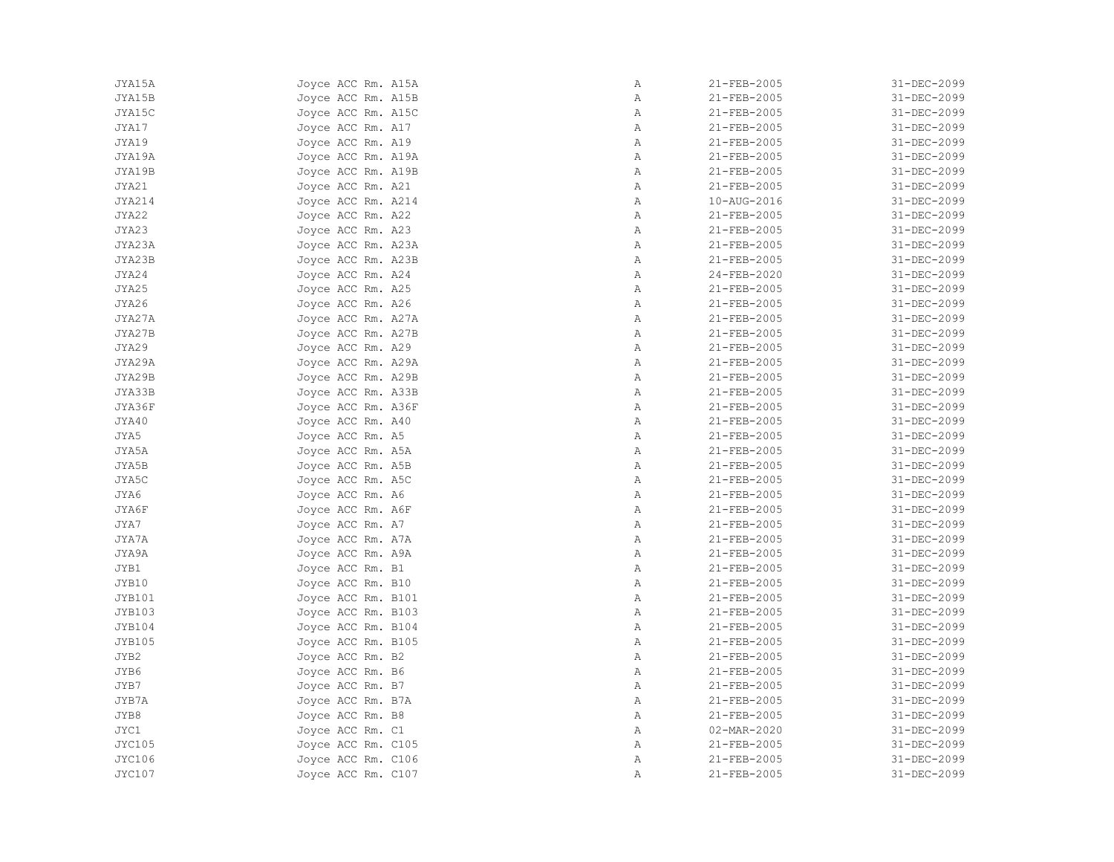| JYA15A        | Joyce ACC Rm. A15A | Α            | 21-FEB-2005       | 31-DEC-2099                |
|---------------|--------------------|--------------|-------------------|----------------------------|
| JYA15B        | Joyce ACC Rm. A15B | Α            | 21-FEB-2005       | 31-DEC-2099                |
| JYA15C        | Joyce ACC Rm. A15C | Α            | 21-FEB-2005       | 31-DEC-2099                |
| JYA17         | Joyce ACC Rm. A17  | Α            | 21-FEB-2005       | 31-DEC-2099                |
| JYA19         | Joyce ACC Rm. A19  | Α            | 21-FEB-2005       | 31-DEC-2099                |
| JYA19A        | Joyce ACC Rm. A19A | Α            | 21-FEB-2005       | 31-DEC-2099                |
| JYA19B        | Joyce ACC Rm. A19B | $\mathbb{A}$ | 21-FEB-2005       | 31-DEC-2099                |
| JYA21         | Joyce ACC Rm. A21  | Α            | 21-FEB-2005       | 31-DEC-2099                |
| JYA214        | Joyce ACC Rm. A214 | Α            | 10-AUG-2016       | 31-DEC-2099                |
| JYA22         | Joyce ACC Rm. A22  | Α            | 21-FEB-2005       | 31-DEC-2099                |
| JYA23         | Joyce ACC Rm. A23  | $\mathbb{A}$ | 21-FEB-2005       | 31-DEC-2099                |
| JYA23A        | Joyce ACC Rm. A23A | $\mathbb{A}$ | 21-FEB-2005       | 31-DEC-2099                |
| JYA23B        | Joyce ACC Rm. A23B | Α            | 21-FEB-2005       | 31-DEC-2099                |
| JYA24         | Joyce ACC Rm. A24  | $\mathbb{A}$ | $24 - FEB - 2020$ | 31-DEC-2099                |
| JYA25         | Joyce ACC Rm. A25  | Α            | 21-FEB-2005       | 31-DEC-2099                |
| JYA26         | Joyce ACC Rm. A26  | Α            | 21-FEB-2005       | 31-DEC-2099                |
| JYA27A        | Joyce ACC Rm. A27A | Α            | 21-FEB-2005       | 31-DEC-2099                |
| JYA27B        | Joyce ACC Rm. A27B | Α            | 21-FEB-2005       | 31-DEC-2099                |
| JYA29         | Joyce ACC Rm. A29  | $\mathbb{A}$ | 21-FEB-2005       | 31-DEC-2099                |
| JYA29A        | Joyce ACC Rm. A29A | Α            | 21-FEB-2005       | 31-DEC-2099                |
| JYA29B        | Joyce ACC Rm. A29B | Α            | 21-FEB-2005       | 31-DEC-2099                |
| JYA33B        | Joyce ACC Rm. A33B | Α            | 21-FEB-2005       | 31-DEC-2099                |
| JYA36F        | Joyce ACC Rm. A36F | Α            | 21-FEB-2005       | 31-DEC-2099                |
| JYA40         | Joyce ACC Rm. A40  | Α            | 21-FEB-2005       | 31-DEC-2099                |
| JYA5          | Joyce ACC Rm. A5   | Α            | 21-FEB-2005       | 31-DEC-2099                |
| JYA5A         | Joyce ACC Rm. A5A  | Α            | 21-FEB-2005       | 31-DEC-2099                |
| JYA5B         | Joyce ACC Rm. A5B  | $\mathbb{A}$ | 21-FEB-2005       | 31-DEC-2099                |
| JYA5C         | Joyce ACC Rm. A5C  | Α            | 21-FEB-2005       | 31-DEC-2099                |
| JYA6          | Joyce ACC Rm. A6   | Α            | 21-FEB-2005       | 31-DEC-2099                |
| JYA6F         | Joyce ACC Rm. A6F  | Α            | 21-FEB-2005       | 31-DEC-2099                |
| JYA7          | Joyce ACC Rm. A7   | Α            | 21-FEB-2005       | 31-DEC-2099                |
| JYA7A         | Joyce ACC Rm. A7A  | Α            | 21-FEB-2005       | 31-DEC-2099                |
| JYA9A         | Joyce ACC Rm. A9A  | Α            | 21-FEB-2005       | 31-DEC-2099                |
| JYB1          | Joyce ACC Rm. B1   | Α            | 21-FEB-2005       | 31-DEC-2099                |
| JYB10         | Joyce ACC Rm. B10  | Α            | 21-FEB-2005       | 31-DEC-2099                |
| JYB101        | Joyce ACC Rm. B101 | Α            | 21-FEB-2005       | 31-DEC-2099                |
| <b>JYB103</b> | Joyce ACC Rm. B103 | Α            | 21-FEB-2005       | 31-DEC-2099                |
| JYB104        | Joyce ACC Rm. B104 | Α            | 21-FEB-2005       | 31-DEC-2099                |
| <b>JYB105</b> | Joyce ACC Rm. B105 | Α            | 21-FEB-2005       | 31-DEC-2099                |
| JYB2          | Joyce ACC Rm. B2   | Α            | 21-FEB-2005       | 31-DEC-2099                |
| JYB6          | Joyce ACC Rm. B6   | Α            | 21-FEB-2005       | 31-DEC-2099                |
| JYB7          | Joyce ACC Rm. B7   | Α            | 21-FEB-2005       | 31-DEC-2099                |
|               |                    | Α            |                   |                            |
| JYB7A<br>JYB8 | Joyce ACC Rm. B7A  | Α            | 21-FEB-2005       | 31-DEC-2099<br>31-DEC-2099 |
| JYC1          | Joyce ACC Rm. B8   |              | 21-FEB-2005       | 31-DEC-2099                |
|               | Joyce ACC Rm. C1   | Α            | 02-MAR-2020       |                            |
| JYC105        | Joyce ACC Rm. C105 | $\mathbb{A}$ | $21 - FEB - 2005$ | 31-DEC-2099                |
| <b>JYC106</b> | Joyce ACC Rm. C106 | Α            | 21-FEB-2005       | 31-DEC-2099                |
| <b>JYC107</b> | Joyce ACC Rm. C107 | Α            | 21-FEB-2005       | 31-DEC-2099                |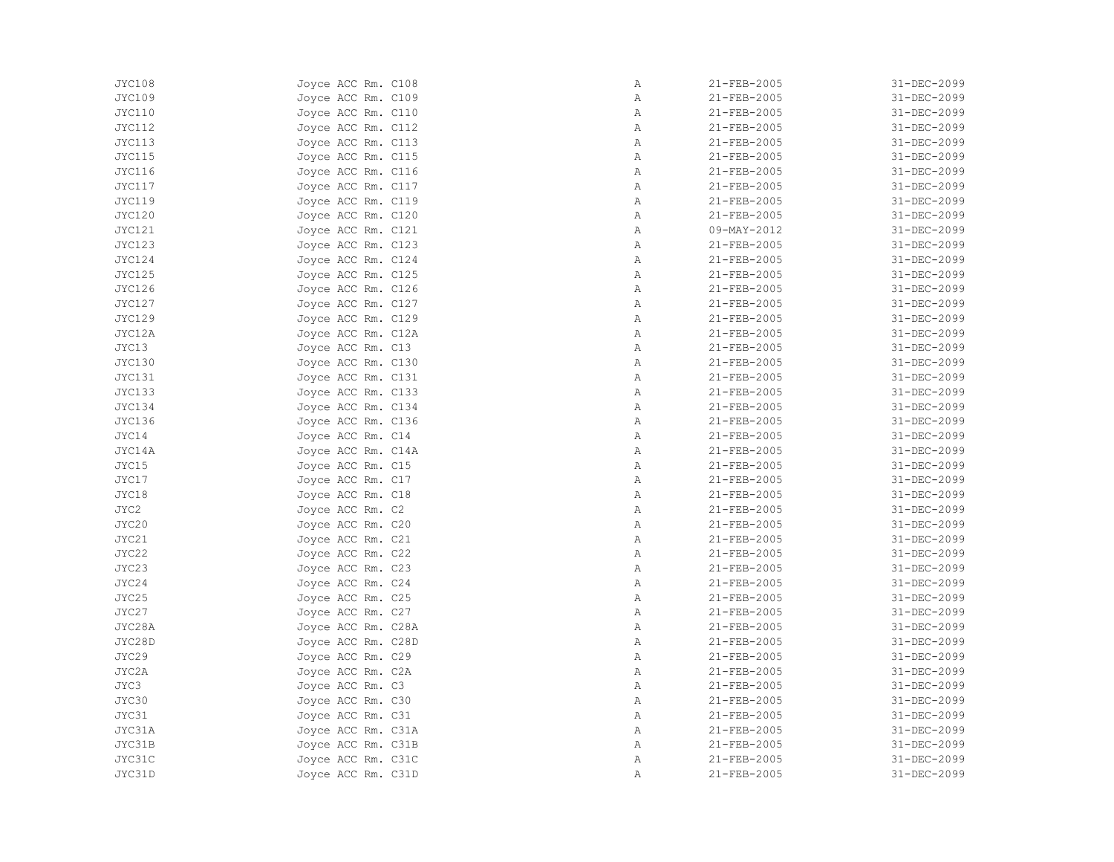| JYC108        | Joyce ACC Rm. C108 | Α            | 21-FEB-2005 | 31-DEC-2099 |
|---------------|--------------------|--------------|-------------|-------------|
| JYC109        | Joyce ACC Rm. C109 | Α            | 21-FEB-2005 | 31-DEC-2099 |
| JYC110        | Joyce ACC Rm. C110 | Α            | 21-FEB-2005 | 31-DEC-2099 |
| JYC112        | Joyce ACC Rm. C112 | Α            | 21-FEB-2005 | 31-DEC-2099 |
| JYC113        | Joyce ACC Rm. C113 | $\mathbb{A}$ | 21-FEB-2005 | 31-DEC-2099 |
| JYC115        | Joyce ACC Rm. C115 | Α            | 21-FEB-2005 | 31-DEC-2099 |
| JYC116        | Joyce ACC Rm. C116 | Α            | 21-FEB-2005 | 31-DEC-2099 |
| JYC117        | Joyce ACC Rm. C117 | Α            | 21-FEB-2005 | 31-DEC-2099 |
| JYC119        |                    | Α            | 21-FEB-2005 | 31-DEC-2099 |
|               | Joyce ACC Rm. C119 |              |             |             |
| JYC120        | Joyce ACC Rm. C120 | Α            | 21-FEB-2005 | 31-DEC-2099 |
| <b>JYC121</b> | Joyce ACC Rm. C121 | Α            | 09-MAY-2012 | 31-DEC-2099 |
| JYC123        | Joyce ACC Rm. C123 | Α            | 21-FEB-2005 | 31-DEC-2099 |
| JYC124        | Joyce ACC Rm. C124 | Α            | 21-FEB-2005 | 31-DEC-2099 |
| JYC125        | Joyce ACC Rm. C125 | $\mathbb{A}$ | 21-FEB-2005 | 31-DEC-2099 |
| <b>JYC126</b> | Joyce ACC Rm. C126 | Α            | 21-FEB-2005 | 31-DEC-2099 |
| JYC127        | Joyce ACC Rm. C127 | Α            | 21-FEB-2005 | 31-DEC-2099 |
| JYC129        | Joyce ACC Rm. C129 | Α            | 21-FEB-2005 | 31-DEC-2099 |
| JYC12A        | Joyce ACC Rm. C12A | Α            | 21-FEB-2005 | 31-DEC-2099 |
| JYC13         | Joyce ACC Rm. C13  | Α            | 21-FEB-2005 | 31-DEC-2099 |
| JYC130        | Joyce ACC Rm. C130 | Α            | 21-FEB-2005 | 31-DEC-2099 |
| JYC131        | Joyce ACC Rm. C131 | Α            | 21-FEB-2005 | 31-DEC-2099 |
| JYC133        | Joyce ACC Rm. C133 | Α            | 21-FEB-2005 | 31-DEC-2099 |
| JYC134        | Joyce ACC Rm. C134 | $\mathbb{A}$ | 21-FEB-2005 | 31-DEC-2099 |
| <b>JYC136</b> | Joyce ACC Rm. C136 | Α            | 21-FEB-2005 | 31-DEC-2099 |
| JYC14         | Joyce ACC Rm. C14  | Α            | 21-FEB-2005 | 31-DEC-2099 |
| JYC14A        | Joyce ACC Rm. C14A | Α            | 21-FEB-2005 | 31-DEC-2099 |
| JYC15         | Joyce ACC Rm. C15  | $\mathbb{A}$ | 21-FEB-2005 | 31-DEC-2099 |
| JYC17         | Joyce ACC Rm. C17  | $\mathbb{A}$ | 21-FEB-2005 | 31-DEC-2099 |
| JYC18         | Joyce ACC Rm. C18  | Α            | 21-FEB-2005 | 31-DEC-2099 |
| JYC2          | Joyce ACC Rm. C2   | Α            | 21-FEB-2005 | 31-DEC-2099 |
| JYC20         | Joyce ACC Rm. C20  | Α            | 21-FEB-2005 | 31-DEC-2099 |
| JYC21         | Joyce ACC Rm. C21  | $\mathbb{A}$ | 21-FEB-2005 | 31-DEC-2099 |
| JYC22         | Joyce ACC Rm. C22  | $\mathbb{A}$ | 21-FEB-2005 | 31-DEC-2099 |
| JYC23         | Joyce ACC Rm. C23  | $\mathbb{A}$ | 21-FEB-2005 | 31-DEC-2099 |
| JYC24         | Joyce ACC Rm. C24  | Α            | 21-FEB-2005 | 31-DEC-2099 |
| JYC25         |                    | Α            |             | 31-DEC-2099 |
|               | Joyce ACC Rm. C25  |              | 21-FEB-2005 |             |
| JYC27         | Joyce ACC Rm. C27  | Α            | 21-FEB-2005 | 31-DEC-2099 |
| JYC28A        | Joyce ACC Rm. C28A | Α            | 21-FEB-2005 | 31-DEC-2099 |
| JYC28D        | Joyce ACC Rm. C28D | Α            | 21-FEB-2005 | 31-DEC-2099 |
| JYC29         | Joyce ACC Rm. C29  | Α            | 21-FEB-2005 | 31-DEC-2099 |
| JYC2A         | Joyce ACC Rm. C2A  | Α            | 21-FEB-2005 | 31-DEC-2099 |
| JYC3          | Joyce ACC Rm. C3   | Α            | 21-FEB-2005 | 31-DEC-2099 |
| JYC30         | Joyce ACC Rm. C30  | Α            | 21-FEB-2005 | 31-DEC-2099 |
| JYC31         | Joyce ACC Rm. C31  | Α            | 21-FEB-2005 | 31-DEC-2099 |
| JYC31A        | Joyce ACC Rm. C31A | $\mathbb{A}$ | 21-FEB-2005 | 31-DEC-2099 |
| JYC31B        | Joyce ACC Rm. C31B | $\mathbb{A}$ | 21-FEB-2005 | 31-DEC-2099 |
| JYC31C        | Joyce ACC Rm. C31C | Α            | 21-FEB-2005 | 31-DEC-2099 |
| JYC31D        | Joyce ACC Rm. C31D | Α            | 21-FEB-2005 | 31-DEC-2099 |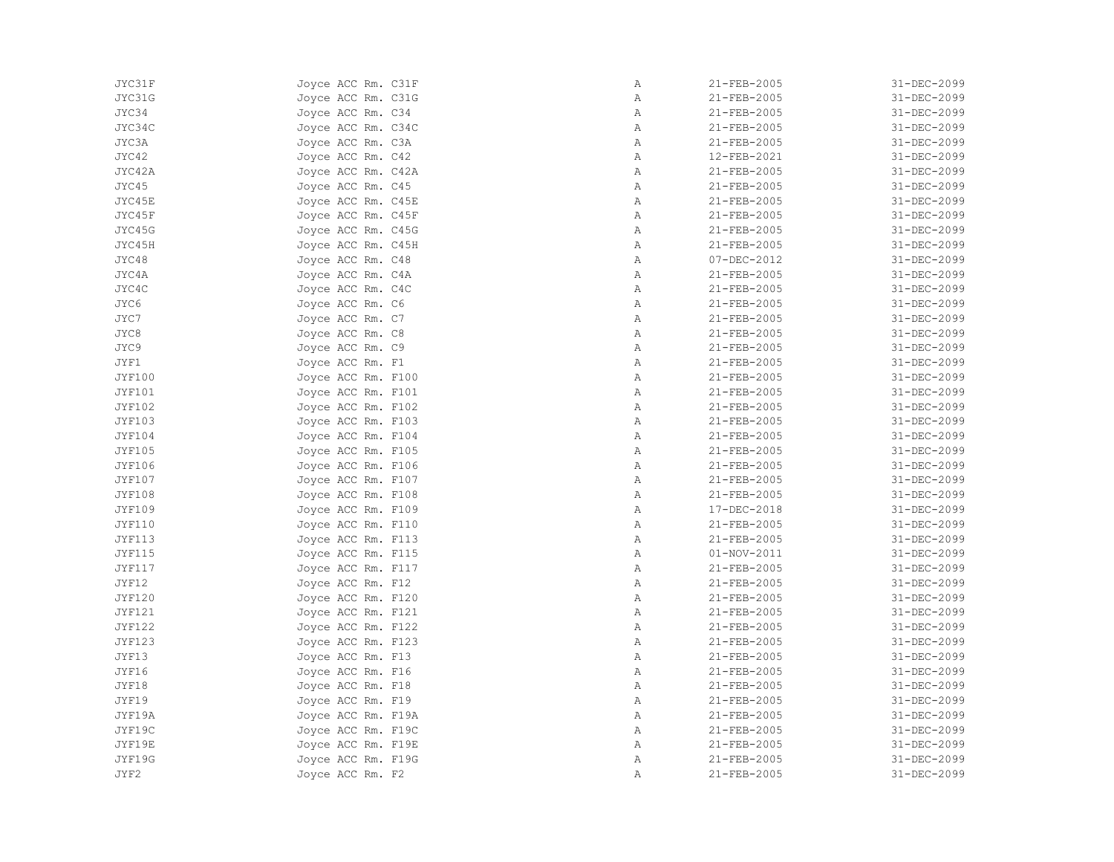| JYC31F        | Joyce ACC Rm. C31F | Α            | 21-FEB-2005       | 31-DEC-2099 |
|---------------|--------------------|--------------|-------------------|-------------|
| JYC31G        | Joyce ACC Rm. C31G | Α            | 21-FEB-2005       | 31-DEC-2099 |
| JYC34         | Joyce ACC Rm. C34  | Α            | 21-FEB-2005       | 31-DEC-2099 |
| JYC34C        | Joyce ACC Rm. C34C | Α            | 21-FEB-2005       | 31-DEC-2099 |
| JYC3A         | Joyce ACC Rm. C3A  | $\mathbb{A}$ | 21-FEB-2005       | 31-DEC-2099 |
| JYC42         | Joyce ACC Rm. C42  | Α            | 12-FEB-2021       | 31-DEC-2099 |
| JYC42A        | Joyce ACC Rm. C42A | Α            | 21-FEB-2005       | 31-DEC-2099 |
| JYC45         | Joyce ACC Rm. C45  | Α            | 21-FEB-2005       | 31-DEC-2099 |
| JYC45E        | Joyce ACC Rm. C45E | Α            | 21-FEB-2005       | 31-DEC-2099 |
| JYC45F        | Joyce ACC Rm. C45F | Α            | 21-FEB-2005       | 31-DEC-2099 |
| JYC45G        | Joyce ACC Rm. C45G | Α            | 21-FEB-2005       | 31-DEC-2099 |
| JYC45H        | Joyce ACC Rm. C45H | Α            | 21-FEB-2005       | 31-DEC-2099 |
| JYC48         | Joyce ACC Rm. C48  | Α            | 07-DEC-2012       | 31-DEC-2099 |
| JYC4A         | Joyce ACC Rm. C4A  | $\mathbb{A}$ | 21-FEB-2005       | 31-DEC-2099 |
| JYC4C         | Joyce ACC Rm. C4C  | Α            | 21-FEB-2005       | 31-DEC-2099 |
| JYC6          | Joyce ACC Rm. C6   | Α            | 21-FEB-2005       | 31-DEC-2099 |
| JYC7          | Joyce ACC Rm. C7   | Α            | 21-FEB-2005       | 31-DEC-2099 |
| JYC8          | Joyce ACC Rm. C8   | Α            | 21-FEB-2005       | 31-DEC-2099 |
| JYC9          | Joyce ACC Rm. C9   | $\mathbb{A}$ | 21-FEB-2005       | 31-DEC-2099 |
| JYF1          | Joyce ACC Rm. F1   | Α            | 21-FEB-2005       | 31-DEC-2099 |
| <b>JYF100</b> | Joyce ACC Rm. F100 | Α            | 21-FEB-2005       | 31-DEC-2099 |
| <b>JYF101</b> | Joyce ACC Rm. F101 | Α            | 21-FEB-2005       | 31-DEC-2099 |
| <b>JYF102</b> | Joyce ACC Rm. F102 | $\mathbb{A}$ | 21-FEB-2005       | 31-DEC-2099 |
| <b>JYF103</b> | Joyce ACC Rm. F103 | Α            | 21-FEB-2005       | 31-DEC-2099 |
| <b>JYF104</b> | Joyce ACC Rm. F104 | $\mathbb{A}$ | 21-FEB-2005       | 31-DEC-2099 |
| <b>JYF105</b> | Joyce ACC Rm. F105 | Α            | 21-FEB-2005       | 31-DEC-2099 |
| <b>JYF106</b> | Joyce ACC Rm. F106 | Α            | 21-FEB-2005       | 31-DEC-2099 |
| <b>JYF107</b> | Joyce ACC Rm. F107 | $\mathbb{A}$ | 21-FEB-2005       | 31-DEC-2099 |
| <b>JYF108</b> | Joyce ACC Rm. F108 | Α            | 21-FEB-2005       | 31-DEC-2099 |
| <b>JYF109</b> | Joyce ACC Rm. F109 | Α            | 17-DEC-2018       | 31-DEC-2099 |
| <b>JYF110</b> | Joyce ACC Rm. F110 | Α            | 21-FEB-2005       | 31-DEC-2099 |
| <b>JYF113</b> | Joyce ACC Rm. F113 | $\mathbb{A}$ | 21-FEB-2005       | 31-DEC-2099 |
| <b>JYF115</b> | Joyce ACC Rm. F115 | $\mathbb{A}$ | $01 - NOV - 2011$ | 31-DEC-2099 |
| <b>JYF117</b> | Joyce ACC Rm. F117 | Α            | 21-FEB-2005       | 31-DEC-2099 |
| JYF12         | Joyce ACC Rm. F12  | Α            | 21-FEB-2005       | 31-DEC-2099 |
| <b>JYF120</b> | Joyce ACC Rm. F120 | Α            | 21-FEB-2005       | 31-DEC-2099 |
| <b>JYF121</b> | Joyce ACC Rm. F121 | $\mathbb{A}$ | 21-FEB-2005       | 31-DEC-2099 |
| <b>JYF122</b> | Joyce ACC Rm. F122 | Α            | 21-FEB-2005       | 31-DEC-2099 |
| <b>JYF123</b> | Joyce ACC Rm. F123 | Α            | 21-FEB-2005       | 31-DEC-2099 |
| JYF13         | Joyce ACC Rm. F13  | Α            | 21-FEB-2005       | 31-DEC-2099 |
| JYF16         | Joyce ACC Rm. F16  | Α            | 21-FEB-2005       | 31-DEC-2099 |
| JYF18         | Joyce ACC Rm. F18  | $\mathbb{A}$ | 21-FEB-2005       | 31-DEC-2099 |
| JYF19         | Joyce ACC Rm. F19  | Α            | 21-FEB-2005       | 31-DEC-2099 |
| JYF19A        | Joyce ACC Rm. F19A | Α            | 21-FEB-2005       | 31-DEC-2099 |
| JYF19C        | Joyce ACC Rm. F19C | $\mathbb{A}$ | 21-FEB-2005       | 31-DEC-2099 |
| JYF19E        | Joyce ACC Rm. F19E | $\mathbb{A}$ | 21-FEB-2005       | 31-DEC-2099 |
| JYF19G        | Joyce ACC Rm. F19G | Α            | 21-FEB-2005       | 31-DEC-2099 |
| JYF2          | Joyce ACC Rm. F2   | Α            | 21-FEB-2005       | 31-DEC-2099 |
|               |                    |              |                   |             |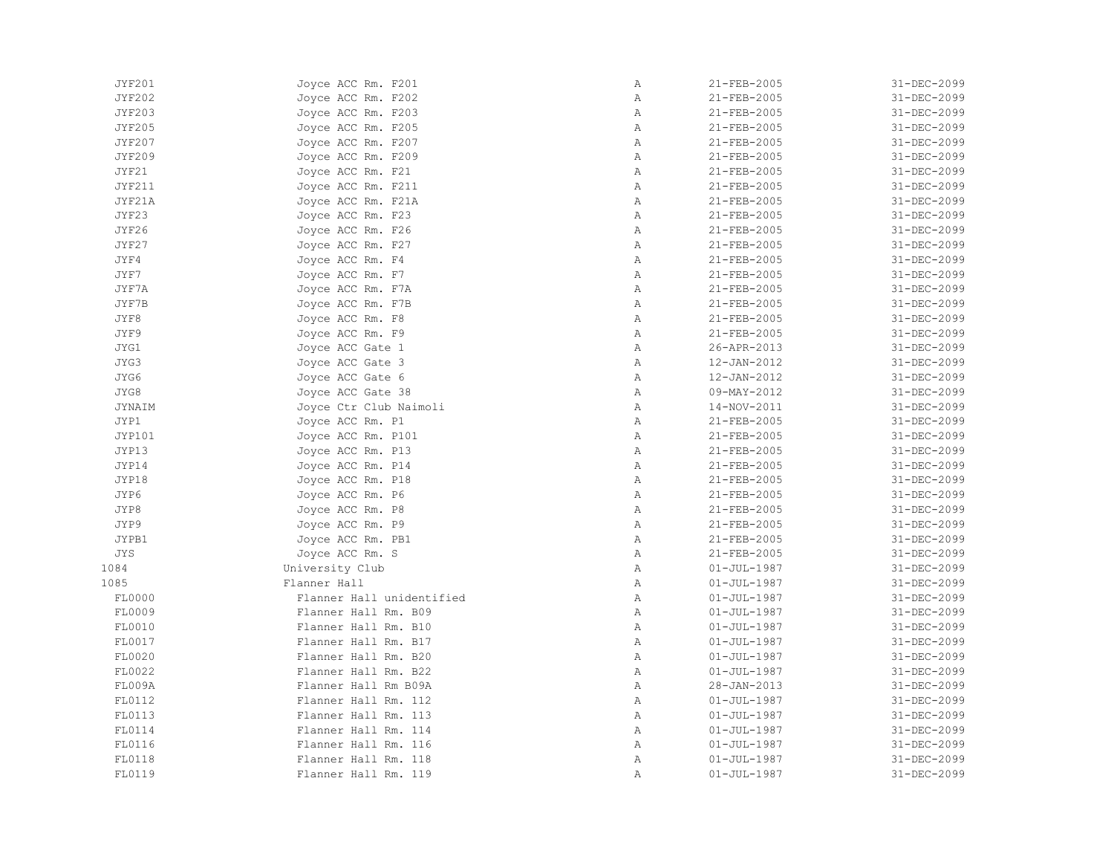| <b>JYF201</b> | Joyce ACC Rm. F201        | Α            | 21-FEB-2005       | 31-DEC-2099 |
|---------------|---------------------------|--------------|-------------------|-------------|
| <b>JYF202</b> | Joyce ACC Rm. F202        | Α            | 21-FEB-2005       | 31-DEC-2099 |
| <b>JYF203</b> | Joyce ACC Rm. F203        | $\mathbb{A}$ | 21-FEB-2005       | 31-DEC-2099 |
| <b>JYF205</b> | Joyce ACC Rm. F205        | Α            | 21-FEB-2005       | 31-DEC-2099 |
| <b>JYF207</b> | Joyce ACC Rm. F207        | Α            | 21-FEB-2005       | 31-DEC-2099 |
| <b>JYF209</b> | Joyce ACC Rm. F209        | $\, {\bf A}$ | 21-FEB-2005       | 31-DEC-2099 |
| JYF21         | Joyce ACC Rm. F21         | $\mathbb{A}$ | 21-FEB-2005       | 31-DEC-2099 |
| <b>JYF211</b> | Joyce ACC Rm. F211        | $\mathbb{A}$ | 21-FEB-2005       | 31-DEC-2099 |
| JYF21A        | Joyce ACC Rm. F21A        | $\mathbb{A}$ | 21-FEB-2005       | 31-DEC-2099 |
| JYF23         | Joyce ACC Rm. F23         | $\, {\bf A}$ | 21-FEB-2005       | 31-DEC-2099 |
| JYF26         | Joyce ACC Rm. F26         | $\mathbb{A}$ | 21-FEB-2005       | 31-DEC-2099 |
| JYF27         | Joyce ACC Rm. F27         | $\mathbb{A}$ | 21-FEB-2005       | 31-DEC-2099 |
| JYF4          | Joyce ACC Rm. F4          | $\mathbb{A}$ | 21-FEB-2005       | 31-DEC-2099 |
| JYF7          | Joyce ACC Rm. F7          | $\mathbb{A}$ | 21-FEB-2005       | 31-DEC-2099 |
| JYF7A         | Joyce ACC Rm. F7A         | $\mathbb{A}$ | 21-FEB-2005       | 31-DEC-2099 |
| JYF7B         | Joyce ACC Rm. F7B         | Α            | 21-FEB-2005       | 31-DEC-2099 |
| JYF8          | Joyce ACC Rm. F8          | Α            | 21-FEB-2005       | 31-DEC-2099 |
| JYF9          | Joyce ACC Rm. F9          | Α            | 21-FEB-2005       | 31-DEC-2099 |
| JYG1          | Joyce ACC Gate 1          | $\mathbb{A}$ | 26-APR-2013       | 31-DEC-2099 |
| JYG3          | Joyce ACC Gate 3          | $\mathbb{A}$ | 12-JAN-2012       | 31-DEC-2099 |
| JYG6          | Joyce ACC Gate 6          | $\mathbb{A}$ | 12-JAN-2012       | 31-DEC-2099 |
| JYG8          | Joyce ACC Gate 38         | $\mathbb{A}$ | $09 - MAX - 2012$ | 31-DEC-2099 |
| JYNAIM        | Joyce Ctr Club Naimoli    | $\mathbb{A}$ | 14-NOV-2011       | 31-DEC-2099 |
| JYP1          | Joyce ACC Rm. P1          | Α            | 21-FEB-2005       | 31-DEC-2099 |
| JYP101        | Joyce ACC Rm. P101        | Α            | 21-FEB-2005       | 31-DEC-2099 |
| JYP13         | Joyce ACC Rm. P13         | Α            | 21-FEB-2005       | 31-DEC-2099 |
| JYP14         | Joyce ACC Rm. P14         | $\mathbb{A}$ | 21-FEB-2005       | 31-DEC-2099 |
| JYP18         | Joyce ACC Rm. P18         | $\mathbb{A}$ | 21-FEB-2005       | 31-DEC-2099 |
| JYP6          | Joyce ACC Rm. P6          | $\mathbb{A}$ | 21-FEB-2005       | 31-DEC-2099 |
| JYP8          | Joyce ACC Rm. P8          | $\mathbb{A}$ | 21-FEB-2005       | 31-DEC-2099 |
| JYP9          | Joyce ACC Rm. P9          | $\mathbb A$  | 21-FEB-2005       | 31-DEC-2099 |
| JYPB1         | Joyce ACC Rm. PB1         | Α            | 21-FEB-2005       | 31-DEC-2099 |
| <b>JYS</b>    | Joyce ACC Rm. S           | Α            | 21-FEB-2005       | 31-DEC-2099 |
| 1084          | University Club           | Α            | $01 - JUL - 1987$ | 31-DEC-2099 |
| 1085          | Flanner Hall              | $\mathbb{A}$ | $01 - JUL - 1987$ | 31-DEC-2099 |
| FL0000        | Flanner Hall unidentified | $\mathbb{A}$ | $01 - JUL - 1987$ | 31-DEC-2099 |
| FL0009        | Flanner Hall Rm. B09      | $\mathbb{A}$ | $01 - JUL - 1987$ | 31-DEC-2099 |
| FL0010        | Flanner Hall Rm. B10      | $\mathbb{A}$ | $01 - JUL - 1987$ | 31-DEC-2099 |
| FL0017        | Flanner Hall Rm. B17      | Α            | $01 - JUL - 1987$ | 31-DEC-2099 |
| FL0020        | Flanner Hall Rm. B20      | Α            | $01 - JUL - 1987$ | 31-DEC-2099 |
| FL0022        | Flanner Hall Rm. B22      | $\mathbb{A}$ | $01 - JUL - 1987$ | 31-DEC-2099 |
| FL009A        | Flanner Hall Rm B09A      | $\mathbb{A}$ | $28 - JAN - 2013$ | 31-DEC-2099 |
| FL0112        | Flanner Hall Rm. 112      | $\mathbb{A}$ | $01 - JUL - 1987$ | 31-DEC-2099 |
| FL0113        | Flanner Hall Rm. 113      | $\mathbb{A}$ | $01 - JUL - 1987$ | 31-DEC-2099 |
| FL0114        | Flanner Hall Rm. 114      | Α            | $01 - JUL - 1987$ | 31-DEC-2099 |
| FL0116        | Flanner Hall Rm. 116      | $\mathbb{A}$ | $01 - JUL - 1987$ | 31-DEC-2099 |
| FL0118        | Flanner Hall Rm. 118      | Α            | $01 - JUL - 1987$ | 31-DEC-2099 |
| FL0119        | Flanner Hall Rm. 119      | Α            | $01 - JUL - 1987$ | 31-DEC-2099 |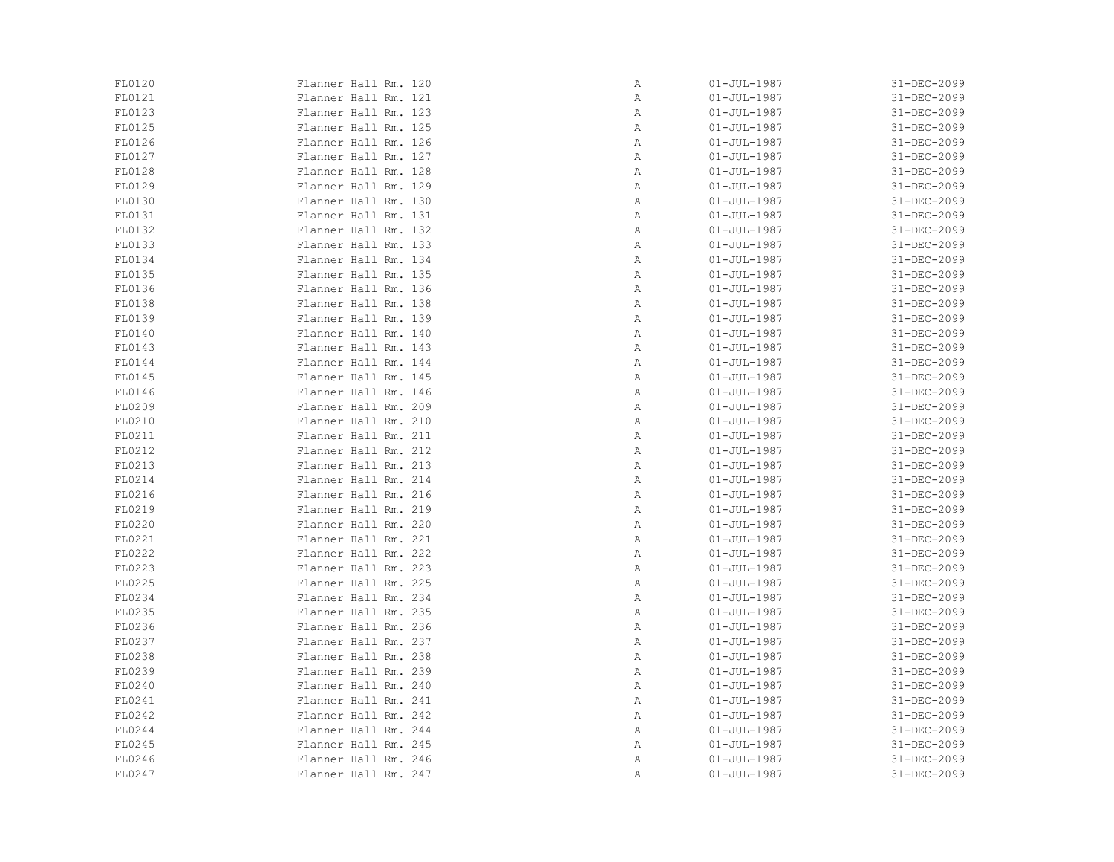| FL0120 | Flanner Hall Rm. 120 | Α | $01 - JUL - 1987$ | 31-DEC-2099 |
|--------|----------------------|---|-------------------|-------------|
| FL0121 | Flanner Hall Rm. 121 | Α | $01 - JUL - 1987$ | 31-DEC-2099 |
| FL0123 | Flanner Hall Rm. 123 | Α | $01 - JUL - 1987$ | 31-DEC-2099 |
| FL0125 | Flanner Hall Rm. 125 | Α | $01 - JUL - 1987$ | 31-DEC-2099 |
| FL0126 | Flanner Hall Rm. 126 | Α | $01 - JUL - 1987$ | 31-DEC-2099 |
| FL0127 | Flanner Hall Rm. 127 | Α | $01 - JUL - 1987$ | 31-DEC-2099 |
| FL0128 | Flanner Hall Rm. 128 | Α | $01 - JUL - 1987$ | 31-DEC-2099 |
| FL0129 | Flanner Hall Rm. 129 | Α | $01 - JUL - 1987$ | 31-DEC-2099 |
| FL0130 | Flanner Hall Rm. 130 | Α | $01 - JUL - 1987$ | 31-DEC-2099 |
| FL0131 | Flanner Hall Rm. 131 | Α | $01 - JUL - 1987$ | 31-DEC-2099 |
| FL0132 | Flanner Hall Rm. 132 | Α | $01 - JUL - 1987$ | 31-DEC-2099 |
| FL0133 | Flanner Hall Rm. 133 | Α | $01 - JUL - 1987$ | 31-DEC-2099 |
| FL0134 | Flanner Hall Rm. 134 | Α | $01 - JUL - 1987$ | 31-DEC-2099 |
| FL0135 | Flanner Hall Rm. 135 | Α | $01 - JUL - 1987$ | 31-DEC-2099 |
| FL0136 | Flanner Hall Rm. 136 | Α | $01 - JUL - 1987$ | 31-DEC-2099 |
| FL0138 | Flanner Hall Rm. 138 | Α | $01 - JUL - 1987$ | 31-DEC-2099 |
| FL0139 | Flanner Hall Rm. 139 | Α | $01 - JUL - 1987$ | 31-DEC-2099 |
| FL0140 | Flanner Hall Rm. 140 | Α | $01 - JUL - 1987$ | 31-DEC-2099 |
| FL0143 | Flanner Hall Rm. 143 | Α | $01 - JUL - 1987$ | 31-DEC-2099 |
| FL0144 | Flanner Hall Rm. 144 | Α | $01 - JUL - 1987$ | 31-DEC-2099 |
| FL0145 | Flanner Hall Rm. 145 | Α | $01 - JUL - 1987$ | 31-DEC-2099 |
| FL0146 | Flanner Hall Rm. 146 | Α | $01 - JUL - 1987$ | 31-DEC-2099 |
| FL0209 | Flanner Hall Rm. 209 | Α | $01 - JUL - 1987$ | 31-DEC-2099 |
| FL0210 | Flanner Hall Rm. 210 | Α | $01 - JUL - 1987$ | 31-DEC-2099 |
| FL0211 | Flanner Hall Rm. 211 | Α | $01 - JUL - 1987$ | 31-DEC-2099 |
| FL0212 | Flanner Hall Rm. 212 | Α | $01 - JUL - 1987$ | 31-DEC-2099 |
| FL0213 | Flanner Hall Rm. 213 | Α | $01 - JUL - 1987$ | 31-DEC-2099 |
| FL0214 | Flanner Hall Rm. 214 | Α | $01 - JUL - 1987$ | 31-DEC-2099 |
| FL0216 | Flanner Hall Rm. 216 | Α | $01 - JUL - 1987$ | 31-DEC-2099 |
| FL0219 | Flanner Hall Rm. 219 | Α | $01 - JUL - 1987$ | 31-DEC-2099 |
| FL0220 | Flanner Hall Rm. 220 | Α | $01 - JUL - 1987$ | 31-DEC-2099 |
| FL0221 | Flanner Hall Rm. 221 | Α | $01 - JUL - 1987$ | 31-DEC-2099 |
| FL0222 | Flanner Hall Rm. 222 | Α | $01 - JUL - 1987$ | 31-DEC-2099 |
| FL0223 | Flanner Hall Rm. 223 | Α | $01 - JUL - 1987$ | 31-DEC-2099 |
| FL0225 | Flanner Hall Rm. 225 | Α | $01 - JUL - 1987$ | 31-DEC-2099 |
| FL0234 | Flanner Hall Rm. 234 | Α | $01 - JUL - 1987$ | 31-DEC-2099 |
| FL0235 | Flanner Hall Rm. 235 | Α | $01 - JUL - 1987$ | 31-DEC-2099 |
| FL0236 | Flanner Hall Rm. 236 | Α | $01 - JUL - 1987$ | 31-DEC-2099 |
| FL0237 | Flanner Hall Rm. 237 | Α | $01 - JUL - 1987$ | 31-DEC-2099 |
| FL0238 | Flanner Hall Rm. 238 | Α | $01 - JUL - 1987$ | 31-DEC-2099 |
| FL0239 | Flanner Hall Rm. 239 | Α | $01 - JUL - 1987$ | 31-DEC-2099 |
| FL0240 | Flanner Hall Rm. 240 | Α | $01 - JUL - 1987$ | 31-DEC-2099 |
| FL0241 | Flanner Hall Rm. 241 | Α | $01 - JUL - 1987$ | 31-DEC-2099 |
| FL0242 | Flanner Hall Rm. 242 | Α | $01 - JUL - 1987$ | 31-DEC-2099 |
| FL0244 | Flanner Hall Rm. 244 | Α | $01 - JUL - 1987$ | 31-DEC-2099 |
| FL0245 | Flanner Hall Rm. 245 | Α | $01 - JUL - 1987$ | 31-DEC-2099 |
| FL0246 | Flanner Hall Rm. 246 | Α | $01 - JUL - 1987$ | 31-DEC-2099 |
| FL0247 | Flanner Hall Rm. 247 | Α | $01 - JUL - 1987$ | 31-DEC-2099 |
|        |                      |   |                   |             |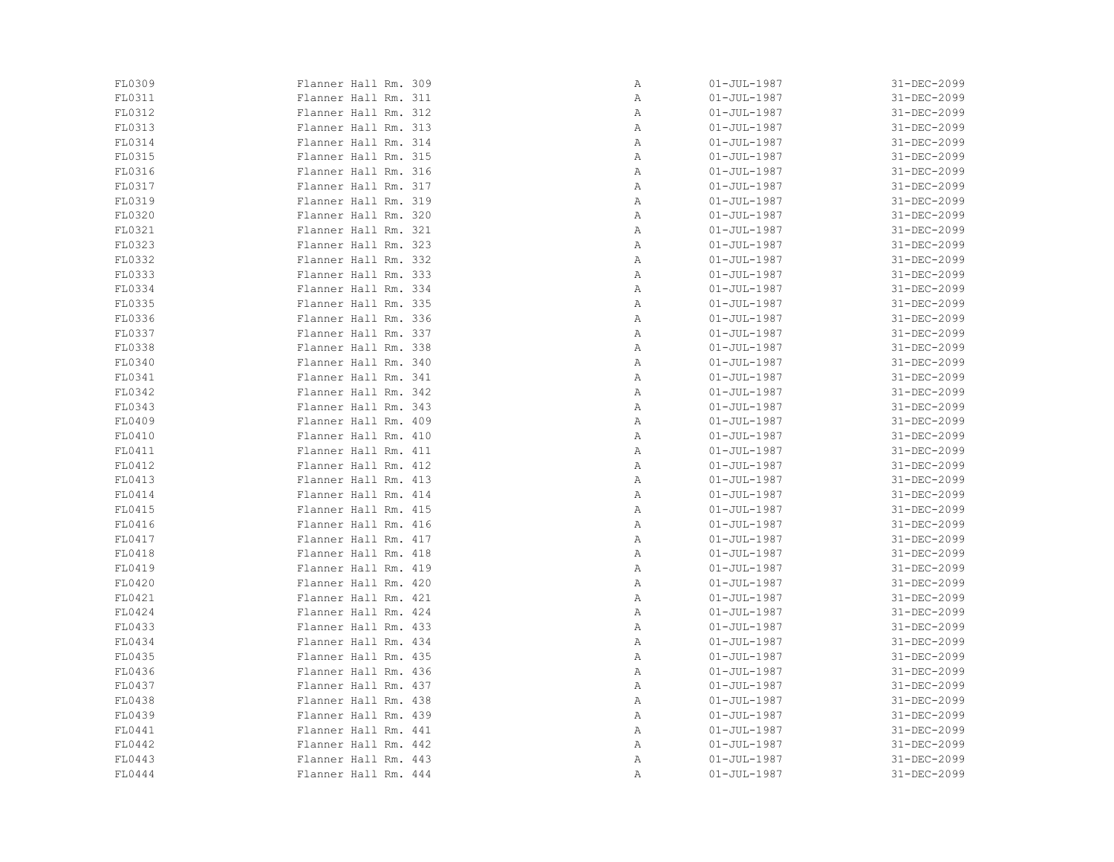| FL0309 | Flanner Hall Rm. 309 | Α | $01 - JUL - 1987$ | 31-DEC-2099 |
|--------|----------------------|---|-------------------|-------------|
| FL0311 | Flanner Hall Rm. 311 | Α | $01 - JUL - 1987$ | 31-DEC-2099 |
| FL0312 | Flanner Hall Rm. 312 | Α | $01 - JUL - 1987$ | 31-DEC-2099 |
| FL0313 | Flanner Hall Rm. 313 | Α | $01 - JUL - 1987$ | 31-DEC-2099 |
| FL0314 | Flanner Hall Rm. 314 | Α | $01 - JUL - 1987$ | 31-DEC-2099 |
| FL0315 | Flanner Hall Rm. 315 | Α | $01 - JUL - 1987$ | 31-DEC-2099 |
| FL0316 | Flanner Hall Rm. 316 | Α | $01 - JUL - 1987$ | 31-DEC-2099 |
| FL0317 | Flanner Hall Rm. 317 | Α | $01 - JUL - 1987$ | 31-DEC-2099 |
| FL0319 | Flanner Hall Rm. 319 | Α | $01 - JUL - 1987$ | 31-DEC-2099 |
| FL0320 | Flanner Hall Rm. 320 | Α | $01 - JUL - 1987$ | 31-DEC-2099 |
| FL0321 | Flanner Hall Rm. 321 | Α | $01 - JUL - 1987$ | 31-DEC-2099 |
| FL0323 | Flanner Hall Rm. 323 | Α | $01 - JUL - 1987$ | 31-DEC-2099 |
| FL0332 | Flanner Hall Rm. 332 | Α | $01 - JUL - 1987$ | 31-DEC-2099 |
| FL0333 | Flanner Hall Rm. 333 | Α | $01 - JUL - 1987$ | 31-DEC-2099 |
| FL0334 | Flanner Hall Rm. 334 | Α | $01 - JUL - 1987$ | 31-DEC-2099 |
| FL0335 | Flanner Hall Rm. 335 | Α | $01 - JUL - 1987$ | 31-DEC-2099 |
| FL0336 | Flanner Hall Rm. 336 | Α | $01 - JUL - 1987$ | 31-DEC-2099 |
| FL0337 | Flanner Hall Rm. 337 | Α | $01 - JUL - 1987$ | 31-DEC-2099 |
| FL0338 | Flanner Hall Rm. 338 | Α | $01 - JUL - 1987$ | 31-DEC-2099 |
| FL0340 | Flanner Hall Rm. 340 | Α | $01 - JUL - 1987$ | 31-DEC-2099 |
| FL0341 | Flanner Hall Rm. 341 | Α | $01 - JUL - 1987$ | 31-DEC-2099 |
| FL0342 | Flanner Hall Rm. 342 | Α | $01 - JUL - 1987$ | 31-DEC-2099 |
| FL0343 | Flanner Hall Rm. 343 | Α | $01 - JUL - 1987$ | 31-DEC-2099 |
| FL0409 | Flanner Hall Rm. 409 | Α | $01 - JUL - 1987$ | 31-DEC-2099 |
| FL0410 | Flanner Hall Rm. 410 | Α | $01 - JUL - 1987$ | 31-DEC-2099 |
| FL0411 | Flanner Hall Rm. 411 | Α | $01 - JUL - 1987$ | 31-DEC-2099 |
| FL0412 | Flanner Hall Rm. 412 | Α | $01 - JUL - 1987$ | 31-DEC-2099 |
| FL0413 | Flanner Hall Rm. 413 | Α | $01 - JUL - 1987$ | 31-DEC-2099 |
| FL0414 | Flanner Hall Rm. 414 | Α | $01 - JUL - 1987$ | 31-DEC-2099 |
| FL0415 | Flanner Hall Rm. 415 | Α | $01 - JUL - 1987$ | 31-DEC-2099 |
| FL0416 | Flanner Hall Rm. 416 | Α | $01 - JUL - 1987$ | 31-DEC-2099 |
| FL0417 | Flanner Hall Rm. 417 | Α | $01 - JUL - 1987$ | 31-DEC-2099 |
| FL0418 | Flanner Hall Rm. 418 | Α | $01 - JUL - 1987$ | 31-DEC-2099 |
| FL0419 | Flanner Hall Rm. 419 | Α | $01 - JUL - 1987$ | 31-DEC-2099 |
| FL0420 | Flanner Hall Rm. 420 | Α | $01 - JUL - 1987$ | 31-DEC-2099 |
| FL0421 | Flanner Hall Rm. 421 | Α | $01 - JUL - 1987$ | 31-DEC-2099 |
| FL0424 | Flanner Hall Rm. 424 | Α | $01 - JUL - 1987$ | 31-DEC-2099 |
| FL0433 | Flanner Hall Rm. 433 | Α | $01 - JUL - 1987$ | 31-DEC-2099 |
| FL0434 | Flanner Hall Rm. 434 | Α | $01 - JUL - 1987$ | 31-DEC-2099 |
| FL0435 | Flanner Hall Rm. 435 | Α | $01 - JUL - 1987$ | 31-DEC-2099 |
| FL0436 | Flanner Hall Rm. 436 | Α | $01 - JUL - 1987$ | 31-DEC-2099 |
| FL0437 | Flanner Hall Rm. 437 | Α | $01 - JUL - 1987$ | 31-DEC-2099 |
| FL0438 | Flanner Hall Rm. 438 | Α | $01 - JUL - 1987$ | 31-DEC-2099 |
| FL0439 | Flanner Hall Rm. 439 | Α | $01 - JUL - 1987$ | 31-DEC-2099 |
| FL0441 | Flanner Hall Rm. 441 | Α | $01 - JUL - 1987$ | 31-DEC-2099 |
| FL0442 | Flanner Hall Rm. 442 | Α | $01 - JUL - 1987$ | 31-DEC-2099 |
| FL0443 | Flanner Hall Rm. 443 | Α | $01 - JUL - 1987$ | 31-DEC-2099 |
| FL0444 | Flanner Hall Rm. 444 | Α | $01 - JUL - 1987$ | 31-DEC-2099 |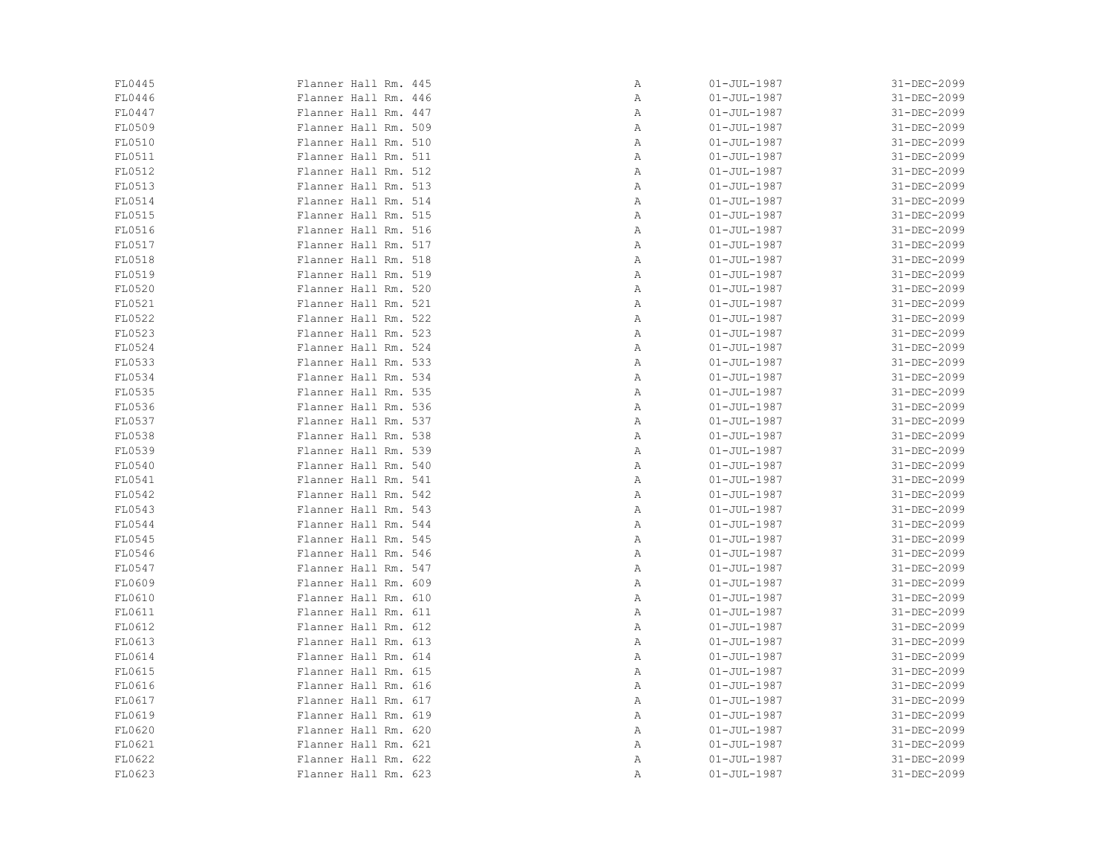| FL0445 | Flanner Hall Rm. 445 | Α | $01 - JUL - 1987$ | 31-DEC-2099 |
|--------|----------------------|---|-------------------|-------------|
| FL0446 | Flanner Hall Rm. 446 | Α | $01 - JUL - 1987$ | 31-DEC-2099 |
| FL0447 | Flanner Hall Rm. 447 | Α | $01 - JUL - 1987$ | 31-DEC-2099 |
| FL0509 | Flanner Hall Rm. 509 | Α | $01 - JUL - 1987$ | 31-DEC-2099 |
| FL0510 | Flanner Hall Rm. 510 | Α | $01 - JUL - 1987$ | 31-DEC-2099 |
| FL0511 | Flanner Hall Rm. 511 | Α | $01 - JUL - 1987$ | 31-DEC-2099 |
| FL0512 | Flanner Hall Rm. 512 | Α | $01 - JUL - 1987$ | 31-DEC-2099 |
| FL0513 | Flanner Hall Rm. 513 | Α | $01 - JUL - 1987$ | 31-DEC-2099 |
| FL0514 | Flanner Hall Rm. 514 | Α | $01 - JUL - 1987$ | 31-DEC-2099 |
| FL0515 | Flanner Hall Rm. 515 | Α | $01 - JUL - 1987$ | 31-DEC-2099 |
| FL0516 | Flanner Hall Rm. 516 | Α | $01 - JUL - 1987$ | 31-DEC-2099 |
| FL0517 | Flanner Hall Rm. 517 | Α | $01 - JUL - 1987$ | 31-DEC-2099 |
| FL0518 | Flanner Hall Rm. 518 | Α | $01 - JUL - 1987$ | 31-DEC-2099 |
| FL0519 | Flanner Hall Rm. 519 | Α | $01 - JUL - 1987$ | 31-DEC-2099 |
| FL0520 | Flanner Hall Rm. 520 | Α | $01 - JUL - 1987$ | 31-DEC-2099 |
| FL0521 | Flanner Hall Rm. 521 | Α | $01 - JUL - 1987$ | 31-DEC-2099 |
| FL0522 | Flanner Hall Rm. 522 | Α | $01 - JUL - 1987$ | 31-DEC-2099 |
| FL0523 | Flanner Hall Rm. 523 | Α | $01 - JUL - 1987$ | 31-DEC-2099 |
| FL0524 | Flanner Hall Rm. 524 | Α | $01 - JUL - 1987$ | 31-DEC-2099 |
| FL0533 | Flanner Hall Rm. 533 | Α | $01 - JUL - 1987$ | 31-DEC-2099 |
| FL0534 | Flanner Hall Rm. 534 | Α | $01 - JUL - 1987$ | 31-DEC-2099 |
| FL0535 | Flanner Hall Rm. 535 | Α | $01 - JUL - 1987$ | 31-DEC-2099 |
| FL0536 | Flanner Hall Rm. 536 | Α | $01 - JUL - 1987$ | 31-DEC-2099 |
| FL0537 | Flanner Hall Rm. 537 | Α | $01 - JUL - 1987$ | 31-DEC-2099 |
| FL0538 | Flanner Hall Rm. 538 | Α | $01 - JUL - 1987$ | 31-DEC-2099 |
| FL0539 | Flanner Hall Rm. 539 | Α | $01 - JUL - 1987$ | 31-DEC-2099 |
| FL0540 | Flanner Hall Rm. 540 | Α | $01 - JUL - 1987$ | 31-DEC-2099 |
| FL0541 | Flanner Hall Rm. 541 | Α | $01 - JUL - 1987$ | 31-DEC-2099 |
| FL0542 | Flanner Hall Rm. 542 | Α | $01 - JUL - 1987$ | 31-DEC-2099 |
| FL0543 | Flanner Hall Rm. 543 | Α | $01 - JUL - 1987$ | 31-DEC-2099 |
| FL0544 | Flanner Hall Rm. 544 | Α | $01 - JUL - 1987$ | 31-DEC-2099 |
| FL0545 | Flanner Hall Rm. 545 | Α | $01 - JUL - 1987$ | 31-DEC-2099 |
| FL0546 | Flanner Hall Rm. 546 | Α | $01 - JUL - 1987$ | 31-DEC-2099 |
| FL0547 | Flanner Hall Rm. 547 | Α | $01 - JUL - 1987$ | 31-DEC-2099 |
| FL0609 | Flanner Hall Rm. 609 | Α | $01 - JUL - 1987$ | 31-DEC-2099 |
| FL0610 | Flanner Hall Rm. 610 | Α | $01 - JUL - 1987$ | 31-DEC-2099 |
| FL0611 | Flanner Hall Rm. 611 | Α | $01 - JUL - 1987$ | 31-DEC-2099 |
| FL0612 | Flanner Hall Rm. 612 | Α | $01 - JUL - 1987$ | 31-DEC-2099 |
| FL0613 | Flanner Hall Rm. 613 | Α | $01 - JUL - 1987$ | 31-DEC-2099 |
| FL0614 | Flanner Hall Rm. 614 | Α | $01 - JUL - 1987$ | 31-DEC-2099 |
| FL0615 | Flanner Hall Rm. 615 | Α | $01 - JUL - 1987$ | 31-DEC-2099 |
| FL0616 | Flanner Hall Rm. 616 | Α | $01 - JUL - 1987$ | 31-DEC-2099 |
| FL0617 | Flanner Hall Rm. 617 | Α | $01 - JUL - 1987$ | 31-DEC-2099 |
| FL0619 | Flanner Hall Rm. 619 | Α | $01 - JUL - 1987$ | 31-DEC-2099 |
| FL0620 | Flanner Hall Rm. 620 | Α | $01 - JUL - 1987$ | 31-DEC-2099 |
| FL0621 | Flanner Hall Rm. 621 | Α | $01 - JUL - 1987$ | 31-DEC-2099 |
| FL0622 | Flanner Hall Rm. 622 | Α | $01 - JUL - 1987$ | 31-DEC-2099 |
| FL0623 | Flanner Hall Rm. 623 | Α | $01 - JUL - 1987$ | 31-DEC-2099 |
|        |                      |   |                   |             |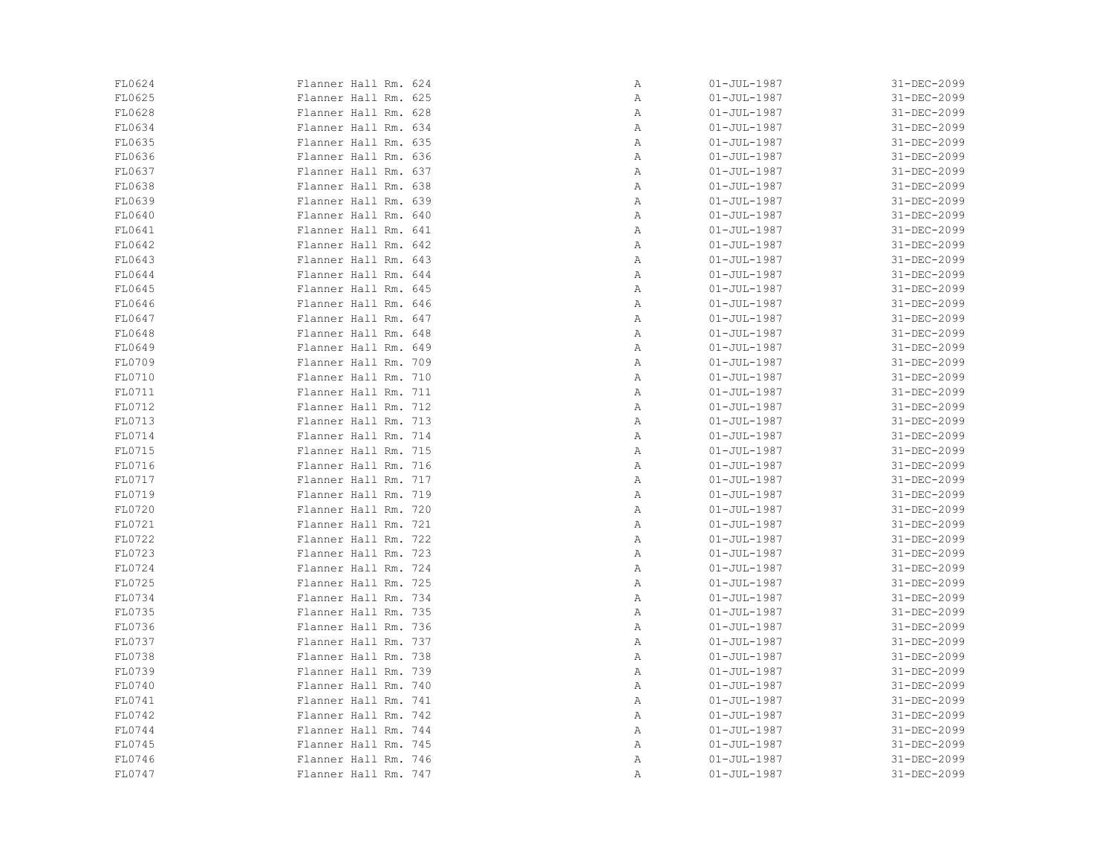| FL0624 | Flanner Hall Rm. 624 | Α | $01 - JUL - 1987$ | 31-DEC-2099 |
|--------|----------------------|---|-------------------|-------------|
| FL0625 | Flanner Hall Rm. 625 | Α | $01 - JUL - 1987$ | 31-DEC-2099 |
| FL0628 | Flanner Hall Rm. 628 | Α | $01 - JUL - 1987$ | 31-DEC-2099 |
| FL0634 | Flanner Hall Rm. 634 | Α | $01 - JUL - 1987$ | 31-DEC-2099 |
| FL0635 | Flanner Hall Rm. 635 | Α | $01 - JUL - 1987$ | 31-DEC-2099 |
| FL0636 | Flanner Hall Rm. 636 | Α | $01 - JUL - 1987$ | 31-DEC-2099 |
| FL0637 | Flanner Hall Rm. 637 | Α | $01 - JUL - 1987$ | 31-DEC-2099 |
| FL0638 | Flanner Hall Rm. 638 | Α | $01 - JUL - 1987$ | 31-DEC-2099 |
| FL0639 | Flanner Hall Rm. 639 | Α | $01 - JUL - 1987$ | 31-DEC-2099 |
| FL0640 | Flanner Hall Rm. 640 | Α | $01 - JUL - 1987$ | 31-DEC-2099 |
| FL0641 | Flanner Hall Rm. 641 | Α | $01 - JUL - 1987$ | 31-DEC-2099 |
| FL0642 | Flanner Hall Rm. 642 | Α | $01 - JUL - 1987$ | 31-DEC-2099 |
| FL0643 | Flanner Hall Rm. 643 | Α | $01 - JUL - 1987$ | 31-DEC-2099 |
| FL0644 | Flanner Hall Rm. 644 | Α | $01 - JUL - 1987$ | 31-DEC-2099 |
| FL0645 | Flanner Hall Rm. 645 | Α | $01 - JUL - 1987$ | 31-DEC-2099 |
| FL0646 | Flanner Hall Rm. 646 | Α | $01 - JUL - 1987$ | 31-DEC-2099 |
| FL0647 | Flanner Hall Rm. 647 | Α | $01 - JUL - 1987$ | 31-DEC-2099 |
| FL0648 | Flanner Hall Rm. 648 | Α | $01 - JUL - 1987$ | 31-DEC-2099 |
| FL0649 | Flanner Hall Rm. 649 | Α | $01 - JUL - 1987$ | 31-DEC-2099 |
| FL0709 | Flanner Hall Rm. 709 | Α | $01 - JUL - 1987$ | 31-DEC-2099 |
| FL0710 | Flanner Hall Rm. 710 | Α | $01 - JUL - 1987$ | 31-DEC-2099 |
| FL0711 | Flanner Hall Rm. 711 | Α | $01 - JUL - 1987$ | 31-DEC-2099 |
| FL0712 | Flanner Hall Rm. 712 | Α | $01 - JUL - 1987$ | 31-DEC-2099 |
| FL0713 | Flanner Hall Rm. 713 | Α | $01 - JUL - 1987$ | 31-DEC-2099 |
| FL0714 | Flanner Hall Rm. 714 | Α | $01 - JUL - 1987$ | 31-DEC-2099 |
| FL0715 | Flanner Hall Rm. 715 | Α | $01 - JUL - 1987$ | 31-DEC-2099 |
| FL0716 | Flanner Hall Rm. 716 | Α | $01 - JUL - 1987$ | 31-DEC-2099 |
| FL0717 | Flanner Hall Rm. 717 | Α | $01 - JUL - 1987$ | 31-DEC-2099 |
| FL0719 | Flanner Hall Rm. 719 | Α | $01 - JUL - 1987$ | 31-DEC-2099 |
| FL0720 | Flanner Hall Rm. 720 | Α | $01 - JUL - 1987$ | 31-DEC-2099 |
| FL0721 | Flanner Hall Rm. 721 | Α | $01 - JUL - 1987$ | 31-DEC-2099 |
| FL0722 | Flanner Hall Rm. 722 | Α | $01 - JUL - 1987$ | 31-DEC-2099 |
| FL0723 | Flanner Hall Rm. 723 | Α | $01 - JUL - 1987$ | 31-DEC-2099 |
| FL0724 | Flanner Hall Rm. 724 | Α | $01 - JUL - 1987$ | 31-DEC-2099 |
| FL0725 | Flanner Hall Rm. 725 | Α | $01 - JUL - 1987$ | 31-DEC-2099 |
| FL0734 | Flanner Hall Rm. 734 | Α | $01 - JUL - 1987$ | 31-DEC-2099 |
| FL0735 | Flanner Hall Rm. 735 | Α | $01 - JUL - 1987$ | 31-DEC-2099 |
| FL0736 | Flanner Hall Rm. 736 | Α | $01 - JUL - 1987$ | 31-DEC-2099 |
| FL0737 | Flanner Hall Rm. 737 | Α | $01 - JUL - 1987$ | 31-DEC-2099 |
| FL0738 | Flanner Hall Rm. 738 | Α | $01 - JUL - 1987$ | 31-DEC-2099 |
| FL0739 | Flanner Hall Rm. 739 | Α | $01 - JUL - 1987$ | 31-DEC-2099 |
| FL0740 | Flanner Hall Rm. 740 | Α | $01 - JUL - 1987$ | 31-DEC-2099 |
| FL0741 | Flanner Hall Rm. 741 | Α | $01 - JUL - 1987$ | 31-DEC-2099 |
| FL0742 | Flanner Hall Rm. 742 | Α | $01 - JUL - 1987$ | 31-DEC-2099 |
| FL0744 | Flanner Hall Rm. 744 | Α | $01 - JUL - 1987$ | 31-DEC-2099 |
| FL0745 | Flanner Hall Rm. 745 | Α | $01 - JUL - 1987$ | 31-DEC-2099 |
| FL0746 | Flanner Hall Rm. 746 | Α | $01 - JUL - 1987$ | 31-DEC-2099 |
| FL0747 | Flanner Hall Rm. 747 | Α | $01 - JUL - 1987$ | 31-DEC-2099 |
|        |                      |   |                   |             |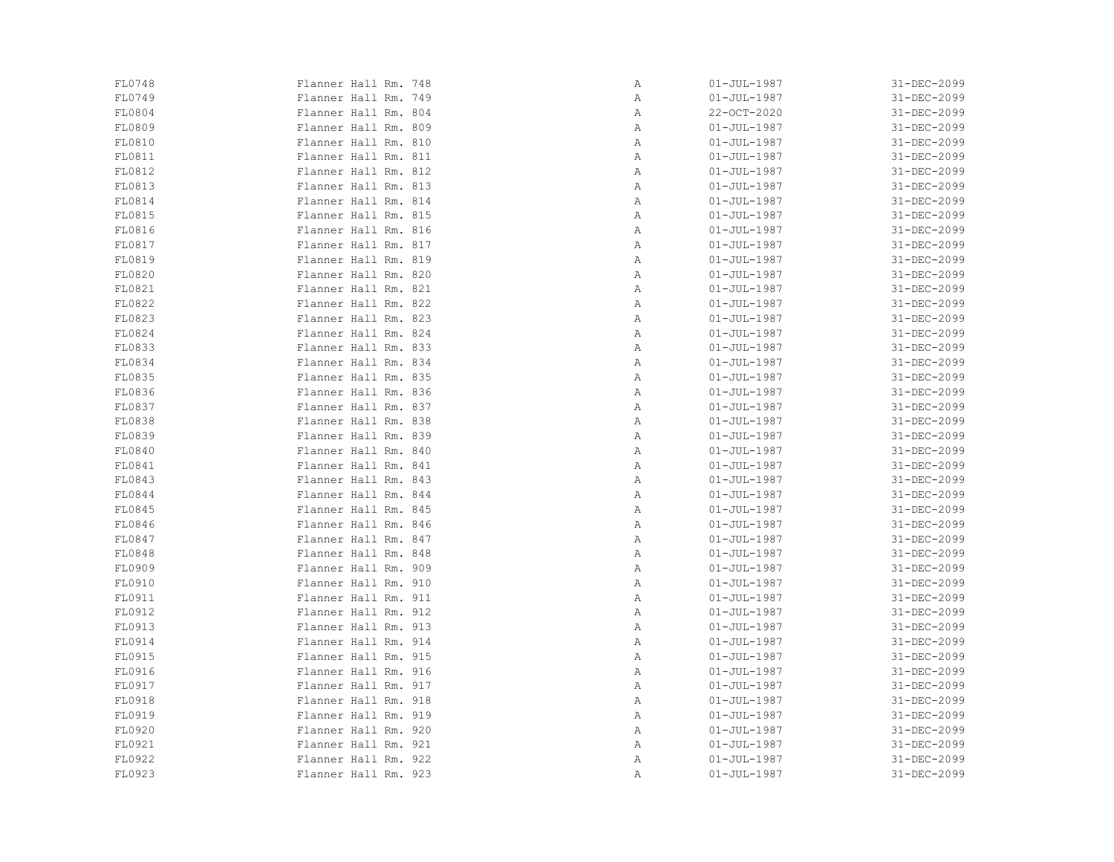| FL0748 | Flanner Hall Rm. 748 | Α | $01 - JUL - 1987$ | 31-DEC-2099 |
|--------|----------------------|---|-------------------|-------------|
| FL0749 | Flanner Hall Rm. 749 | Α | $01 - JUL - 1987$ | 31-DEC-2099 |
| FL0804 | Flanner Hall Rm. 804 | Α | 22-OCT-2020       | 31-DEC-2099 |
| FL0809 | Flanner Hall Rm. 809 | Α | $01 - JUL - 1987$ | 31-DEC-2099 |
| FL0810 | Flanner Hall Rm. 810 | Α | $01 - JUL - 1987$ | 31-DEC-2099 |
| FL0811 | Flanner Hall Rm. 811 | Α | $01 - JUL - 1987$ | 31-DEC-2099 |
| FL0812 | Flanner Hall Rm. 812 | Α | $01 - JUL - 1987$ | 31-DEC-2099 |
| FL0813 | Flanner Hall Rm. 813 | Α | $01 - JUL - 1987$ | 31-DEC-2099 |
| FL0814 | Flanner Hall Rm. 814 | Α | $01 - JUL - 1987$ | 31-DEC-2099 |
| FL0815 | Flanner Hall Rm. 815 | Α | $01 - JUL - 1987$ | 31-DEC-2099 |
| FL0816 | Flanner Hall Rm. 816 | Α | $01 - JUL - 1987$ | 31-DEC-2099 |
| FL0817 | Flanner Hall Rm. 817 | Α | $01 - JUL - 1987$ | 31-DEC-2099 |
| FL0819 | Flanner Hall Rm. 819 | Α | $01 - JUL - 1987$ | 31-DEC-2099 |
| FL0820 | Flanner Hall Rm. 820 | Α | $01 - JUL - 1987$ | 31-DEC-2099 |
| FL0821 | Flanner Hall Rm. 821 | Α | $01 - JUL - 1987$ | 31-DEC-2099 |
| FL0822 | Flanner Hall Rm. 822 | Α | $01 - JUL - 1987$ | 31-DEC-2099 |
| FL0823 | Flanner Hall Rm. 823 | Α | $01 - JUL - 1987$ | 31-DEC-2099 |
| FL0824 | Flanner Hall Rm. 824 | Α | $01 - JUL - 1987$ | 31-DEC-2099 |
| FL0833 | Flanner Hall Rm. 833 | Α | $01 - JUL - 1987$ | 31-DEC-2099 |
| FL0834 | Flanner Hall Rm. 834 | Α | $01 - JUL - 1987$ | 31-DEC-2099 |
| FL0835 | Flanner Hall Rm. 835 | Α | $01 - JUL - 1987$ | 31-DEC-2099 |
| FL0836 | Flanner Hall Rm. 836 | Α | $01 - JUL - 1987$ | 31-DEC-2099 |
| FL0837 | Flanner Hall Rm. 837 | Α | $01 - JUL - 1987$ | 31-DEC-2099 |
| FL0838 | Flanner Hall Rm. 838 | Α | $01 - JUL - 1987$ | 31-DEC-2099 |
| FL0839 | Flanner Hall Rm. 839 | Α | $01 - JUL - 1987$ | 31-DEC-2099 |
| FL0840 | Flanner Hall Rm. 840 | Α | $01 - JUL - 1987$ | 31-DEC-2099 |
| FL0841 | Flanner Hall Rm. 841 | Α | $01 - JUL - 1987$ | 31-DEC-2099 |
| FL0843 | Flanner Hall Rm. 843 | Α | $01 - JUL - 1987$ | 31-DEC-2099 |
| FL0844 | Flanner Hall Rm. 844 | Α | $01 - JUL - 1987$ | 31-DEC-2099 |
| FL0845 | Flanner Hall Rm. 845 | Α | $01 - JUL - 1987$ | 31-DEC-2099 |
| FL0846 | Flanner Hall Rm. 846 | Α | $01 - JUL - 1987$ | 31-DEC-2099 |
| FL0847 | Flanner Hall Rm. 847 | Α | $01 - JUL - 1987$ | 31-DEC-2099 |
| FL0848 | Flanner Hall Rm. 848 | Α | $01 - JUL - 1987$ | 31-DEC-2099 |
| FL0909 | Flanner Hall Rm. 909 | Α | $01 - JUL - 1987$ | 31-DEC-2099 |
| FL0910 | Flanner Hall Rm. 910 | Α | $01 - JUL - 1987$ | 31-DEC-2099 |
| FL0911 | Flanner Hall Rm. 911 | Α | $01 - JUL - 1987$ | 31-DEC-2099 |
| FL0912 | Flanner Hall Rm. 912 | Α | $01 - JUL - 1987$ | 31-DEC-2099 |
| FL0913 | Flanner Hall Rm. 913 | Α | $01 - JUL - 1987$ | 31-DEC-2099 |
| FL0914 | Flanner Hall Rm. 914 | Α | $01 - JUL - 1987$ | 31-DEC-2099 |
| FL0915 | Flanner Hall Rm. 915 | Α | $01 - JUL - 1987$ | 31-DEC-2099 |
| FL0916 | Flanner Hall Rm. 916 | Α | $01 - JUL - 1987$ | 31-DEC-2099 |
| FL0917 | Flanner Hall Rm. 917 | Α | $01 - JUL - 1987$ | 31-DEC-2099 |
| FL0918 | Flanner Hall Rm. 918 | Α | $01 - JUL - 1987$ | 31-DEC-2099 |
| FL0919 | Flanner Hall Rm. 919 | Α | $01 - JUL - 1987$ | 31-DEC-2099 |
| FL0920 | Flanner Hall Rm. 920 | Α | $01 - JUL - 1987$ | 31-DEC-2099 |
| FL0921 | Flanner Hall Rm. 921 | Α | $01 - JUL - 1987$ | 31-DEC-2099 |
| FL0922 | Flanner Hall Rm. 922 | Α | $01 - JUL - 1987$ | 31-DEC-2099 |
| FL0923 | Flanner Hall Rm. 923 | Α | $01 - JUL - 1987$ | 31-DEC-2099 |
|        |                      |   |                   |             |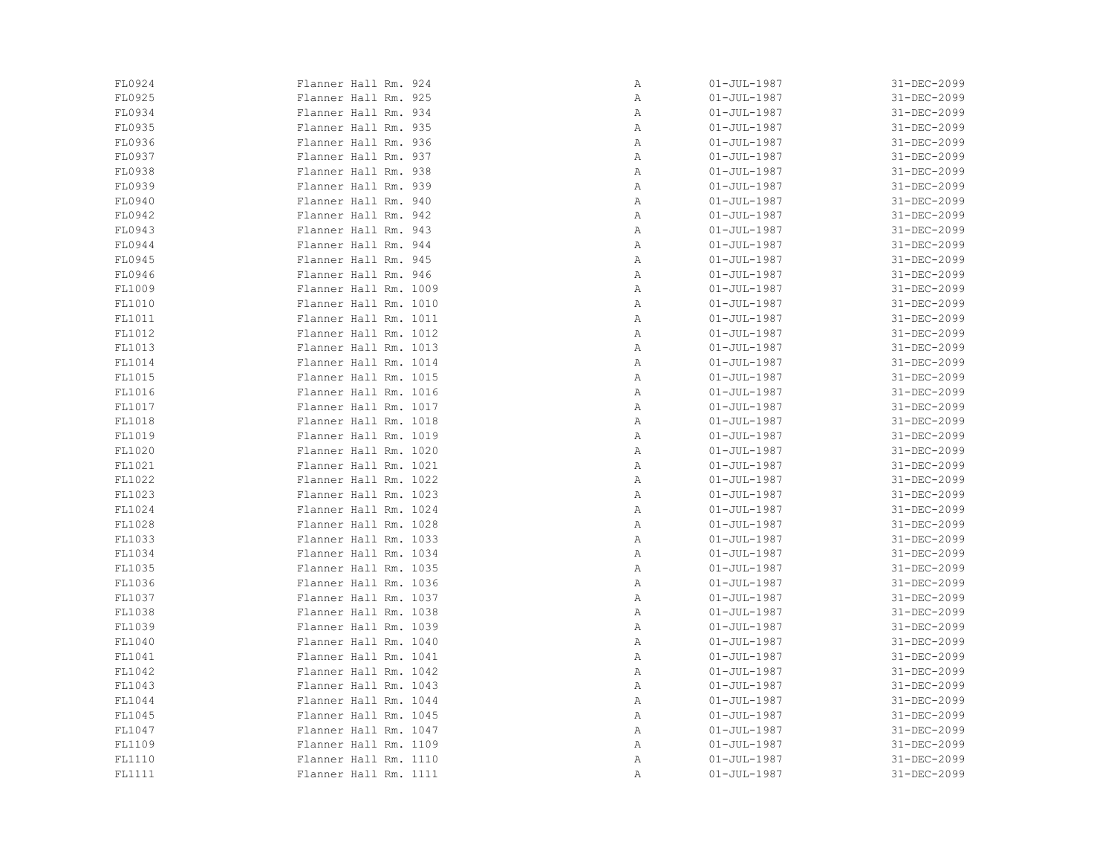| FL0924 | Flanner Hall Rm. 924  | Α | $01 - JUL - 1987$ | 31-DEC-2099 |
|--------|-----------------------|---|-------------------|-------------|
| FL0925 | Flanner Hall Rm. 925  | Α | $01 - JUL - 1987$ | 31-DEC-2099 |
| FL0934 | Flanner Hall Rm. 934  | Α | $01 - JUL - 1987$ | 31-DEC-2099 |
| FL0935 | Flanner Hall Rm. 935  | Α | $01 - JUL - 1987$ | 31-DEC-2099 |
| FL0936 | Flanner Hall Rm. 936  | Α | $01 - JUL - 1987$ | 31-DEC-2099 |
| FL0937 | Flanner Hall Rm. 937  | Α | $01 - JUL - 1987$ | 31-DEC-2099 |
| FL0938 | Flanner Hall Rm. 938  | Α | $01 - JUL - 1987$ | 31-DEC-2099 |
| FL0939 | Flanner Hall Rm. 939  | Α | $01 - JUL - 1987$ | 31-DEC-2099 |
| FL0940 | Flanner Hall Rm. 940  | Α | $01 - JUL - 1987$ | 31-DEC-2099 |
| FL0942 | Flanner Hall Rm. 942  | Α | $01 - JUL - 1987$ | 31-DEC-2099 |
| FL0943 | Flanner Hall Rm. 943  | Α | $01 - JUL - 1987$ | 31-DEC-2099 |
| FL0944 | Flanner Hall Rm. 944  | Α | $01 - JUL - 1987$ | 31-DEC-2099 |
| FL0945 | Flanner Hall Rm. 945  | Α | $01 - JUL - 1987$ | 31-DEC-2099 |
| FL0946 | Flanner Hall Rm. 946  | Α | $01 - JUL - 1987$ | 31-DEC-2099 |
| FL1009 | Flanner Hall Rm. 1009 | Α | $01 - JUL - 1987$ | 31-DEC-2099 |
| FL1010 | Flanner Hall Rm. 1010 | Α | $01 - JUL - 1987$ | 31-DEC-2099 |
| FL1011 | Flanner Hall Rm. 1011 | Α | $01 - JUL - 1987$ | 31-DEC-2099 |
| FL1012 | Flanner Hall Rm. 1012 | Α | $01 - JUL - 1987$ | 31-DEC-2099 |
| FL1013 | Flanner Hall Rm. 1013 | Α | $01 - JUL - 1987$ | 31-DEC-2099 |
| FL1014 | Flanner Hall Rm. 1014 | Α | $01 - JUL - 1987$ | 31-DEC-2099 |
| FL1015 | Flanner Hall Rm. 1015 | Α | $01 - JUL - 1987$ | 31-DEC-2099 |
| FL1016 | Flanner Hall Rm. 1016 | Α | $01 - JUL - 1987$ | 31-DEC-2099 |
| FL1017 | Flanner Hall Rm. 1017 | Α | $01 - JUL - 1987$ | 31-DEC-2099 |
| FL1018 | Flanner Hall Rm. 1018 | Α | $01 - JUL - 1987$ | 31-DEC-2099 |
| FL1019 | Flanner Hall Rm. 1019 | Α | $01 - JUL - 1987$ | 31-DEC-2099 |
| FL1020 | Flanner Hall Rm. 1020 | Α | $01 - JUL - 1987$ | 31-DEC-2099 |
| FL1021 | Flanner Hall Rm. 1021 | Α | $01 - JUL - 1987$ | 31-DEC-2099 |
| FL1022 | Flanner Hall Rm. 1022 | Α | $01 - JUL - 1987$ | 31-DEC-2099 |
| FL1023 | Flanner Hall Rm. 1023 | Α | $01 - JUL - 1987$ | 31-DEC-2099 |
| FL1024 | Flanner Hall Rm. 1024 | Α | $01 - JUL - 1987$ | 31-DEC-2099 |
| FL1028 | Flanner Hall Rm. 1028 | Α | $01 - JUL - 1987$ | 31-DEC-2099 |
| FL1033 | Flanner Hall Rm. 1033 | Α | $01 - JUL - 1987$ | 31-DEC-2099 |
| FL1034 | Flanner Hall Rm. 1034 | Α | $01 - JUL - 1987$ | 31-DEC-2099 |
| FL1035 | Flanner Hall Rm. 1035 | Α | $01 - JUL - 1987$ | 31-DEC-2099 |
| FL1036 | Flanner Hall Rm. 1036 | Α | $01 - JUL - 1987$ | 31-DEC-2099 |
| FL1037 | Flanner Hall Rm. 1037 | Α | $01 - JUL - 1987$ | 31-DEC-2099 |
| FL1038 | Flanner Hall Rm. 1038 | Α | $01 - JUL - 1987$ | 31-DEC-2099 |
| FL1039 | Flanner Hall Rm. 1039 | Α | $01 - JUL - 1987$ | 31-DEC-2099 |
| FL1040 | Flanner Hall Rm. 1040 | Α | $01 - JUL - 1987$ | 31-DEC-2099 |
| FL1041 | Flanner Hall Rm. 1041 | Α | $01 - JUL - 1987$ | 31-DEC-2099 |
| FL1042 | Flanner Hall Rm. 1042 | Α | $01 - JUL - 1987$ | 31-DEC-2099 |
| FL1043 | Flanner Hall Rm. 1043 | Α | $01 - JUL - 1987$ | 31-DEC-2099 |
| FL1044 | Flanner Hall Rm. 1044 | Α | $01 - JUL - 1987$ | 31-DEC-2099 |
| FL1045 | Flanner Hall Rm. 1045 | Α | $01 - JUL - 1987$ | 31-DEC-2099 |
| FL1047 | Flanner Hall Rm. 1047 | Α | $01 - JUL - 1987$ | 31-DEC-2099 |
| FL1109 | Flanner Hall Rm. 1109 | Α | $01 - JUL - 1987$ | 31-DEC-2099 |
| FL1110 | Flanner Hall Rm. 1110 | Α | $01 - JUL - 1987$ | 31-DEC-2099 |
| FL1111 | Flanner Hall Rm. 1111 | Α | $01 - JUL - 1987$ | 31-DEC-2099 |
|        |                       |   |                   |             |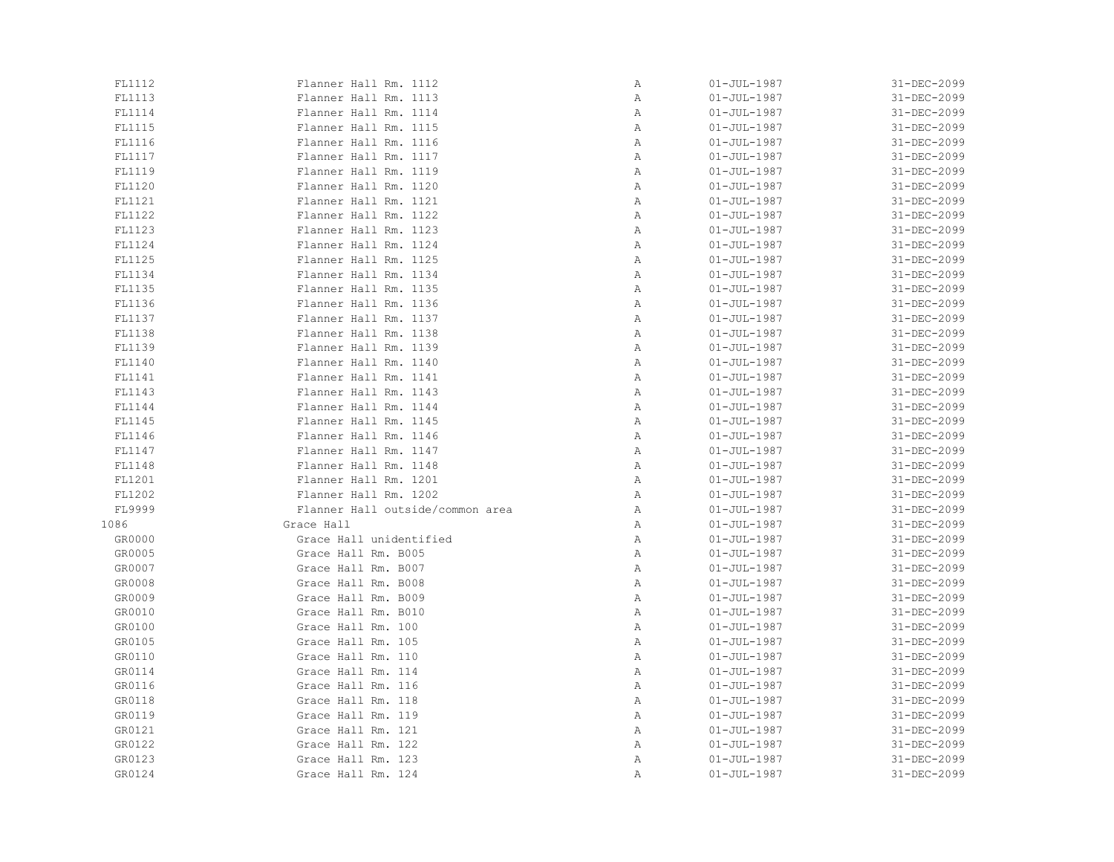| FL1112 | Flanner Hall Rm. 1112            | Α | $01 - JUL - 1987$ | 31-DEC-2099 |
|--------|----------------------------------|---|-------------------|-------------|
| FL1113 | Flanner Hall Rm. 1113            | Α | $01 - JUL - 1987$ | 31-DEC-2099 |
| FL1114 | Flanner Hall Rm. 1114            | Α | $01 - JUL - 1987$ | 31-DEC-2099 |
| FL1115 | Flanner Hall Rm. 1115            | Α | $01 - JUL - 1987$ | 31-DEC-2099 |
| FL1116 | Flanner Hall Rm. 1116            | Α | $01 - JUL - 1987$ | 31-DEC-2099 |
| FL1117 | Flanner Hall Rm. 1117            | Α | $01 - JUL - 1987$ | 31-DEC-2099 |
| FL1119 | Flanner Hall Rm. 1119            | Α | $01 - JUL - 1987$ | 31-DEC-2099 |
| FL1120 | Flanner Hall Rm. 1120            | Α | $01 - JUL - 1987$ | 31-DEC-2099 |
| FL1121 | Flanner Hall Rm. 1121            | Α | $01 - JUL - 1987$ | 31-DEC-2099 |
| FL1122 | Flanner Hall Rm. 1122            | Α | $01 - JUL - 1987$ | 31-DEC-2099 |
| FL1123 | Flanner Hall Rm. 1123            | Α | $01 - JUL - 1987$ | 31-DEC-2099 |
| FL1124 | Flanner Hall Rm. 1124            | Α | $01 - JUL - 1987$ | 31-DEC-2099 |
| FL1125 | Flanner Hall Rm. 1125            | Α | $01 - JUL - 1987$ | 31-DEC-2099 |
| FL1134 | Flanner Hall Rm. 1134            | Α | $01 - JUL - 1987$ | 31-DEC-2099 |
| FL1135 | Flanner Hall Rm. 1135            | Α | $01 - JUL - 1987$ | 31-DEC-2099 |
| FL1136 | Flanner Hall Rm. 1136            | Α | $01 - JUL - 1987$ | 31-DEC-2099 |
| FL1137 | Flanner Hall Rm. 1137            | Α | $01 - JUL - 1987$ | 31-DEC-2099 |
| FL1138 | Flanner Hall Rm. 1138            | Α | $01 - JUL - 1987$ | 31-DEC-2099 |
| FL1139 | Flanner Hall Rm. 1139            | Α | $01 - JUL - 1987$ | 31-DEC-2099 |
| FL1140 | Flanner Hall Rm. 1140            | Α | $01 - JUL - 1987$ | 31-DEC-2099 |
| FL1141 | Flanner Hall Rm. 1141            | Α | $01 - JUL - 1987$ | 31-DEC-2099 |
| FL1143 | Flanner Hall Rm. 1143            | Α | $01 - JUL - 1987$ | 31-DEC-2099 |
| FL1144 | Flanner Hall Rm. 1144            | Α | $01 - JUL - 1987$ | 31-DEC-2099 |
| FL1145 | Flanner Hall Rm. 1145            | Α | $01 - JUL - 1987$ | 31-DEC-2099 |
| FL1146 | Flanner Hall Rm. 1146            | Α | $01 - JUL - 1987$ | 31-DEC-2099 |
| FL1147 | Flanner Hall Rm. 1147            | Α | $01 - JUL - 1987$ | 31-DEC-2099 |
| FL1148 | Flanner Hall Rm. 1148            | Α | $01 - JUL - 1987$ | 31-DEC-2099 |
| FL1201 | Flanner Hall Rm. 1201            | Α | $01 - JUL - 1987$ | 31-DEC-2099 |
| FL1202 | Flanner Hall Rm. 1202            | Α | $01 - JUL - 1987$ | 31-DEC-2099 |
| FL9999 | Flanner Hall outside/common area | Α | $01 - JUL - 1987$ | 31-DEC-2099 |
| 1086   | Grace Hall                       | Α | $01 - JUL - 1987$ | 31-DEC-2099 |
| GR0000 | Grace Hall unidentified          | Α | $01 - JUL - 1987$ | 31-DEC-2099 |
| GR0005 | Grace Hall Rm. B005              | Α | $01 - JUL - 1987$ | 31-DEC-2099 |
| GR0007 | Grace Hall Rm. B007              | Α | $01 - JUL - 1987$ | 31-DEC-2099 |
| GR0008 | Grace Hall Rm. B008              | Α | $01 - JUL - 1987$ | 31-DEC-2099 |
| GR0009 | Grace Hall Rm. B009              | Α | $01 - JUL - 1987$ | 31-DEC-2099 |
| GR0010 | Grace Hall Rm. B010              | Α | $01 - JUL - 1987$ | 31-DEC-2099 |
| GR0100 | Grace Hall Rm. 100               | Α | $01 - JUL - 1987$ | 31-DEC-2099 |
| GR0105 | Grace Hall Rm. 105               | Α | $01 - JUL - 1987$ | 31-DEC-2099 |
| GR0110 | Grace Hall Rm. 110               | Α | $01 - JUL - 1987$ | 31-DEC-2099 |
| GR0114 | Grace Hall Rm. 114               | Α | $01 - JUL - 1987$ | 31-DEC-2099 |
| GR0116 | Grace Hall Rm. 116               | Α | $01 - JUL - 1987$ | 31-DEC-2099 |
| GR0118 | Grace Hall Rm. 118               | Α | $01 - JUL - 1987$ | 31-DEC-2099 |
| GR0119 | Grace Hall Rm. 119               | Α | $01 - JUL - 1987$ | 31-DEC-2099 |
| GR0121 | Grace Hall Rm. 121               | Α | $01 - JUL - 1987$ | 31-DEC-2099 |
| GR0122 | Grace Hall Rm. 122               | Α | $01 - JUL - 1987$ | 31-DEC-2099 |
| GR0123 | Grace Hall Rm. 123               | Α | $01 - JUL - 1987$ | 31-DEC-2099 |
| GR0124 | Grace Hall Rm. 124               | Α | $01 - JUL - 1987$ | 31-DEC-2099 |
|        |                                  |   |                   |             |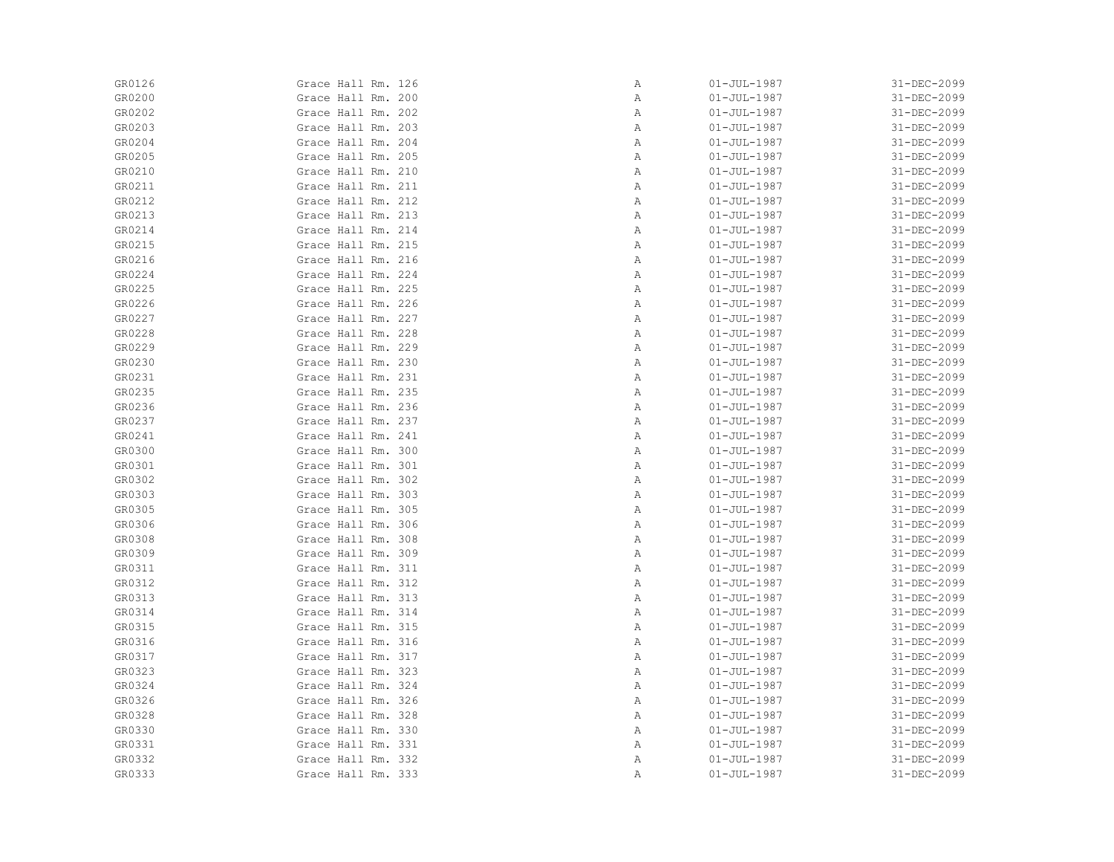| GR0126 | Grace Hall Rm. 126 | Α | $01 - JUL - 1987$ | 31-DEC-2099 |
|--------|--------------------|---|-------------------|-------------|
| GR0200 | Grace Hall Rm. 200 | Α | $01 - JUL - 1987$ | 31-DEC-2099 |
| GR0202 | Grace Hall Rm. 202 | Α | $01 - JUL - 1987$ | 31-DEC-2099 |
| GR0203 | Grace Hall Rm. 203 | Α | $01 - JUL - 1987$ | 31-DEC-2099 |
| GR0204 | Grace Hall Rm. 204 | Α | $01 - JUL - 1987$ | 31-DEC-2099 |
| GR0205 | Grace Hall Rm. 205 | Α | $01 - JUL - 1987$ | 31-DEC-2099 |
| GR0210 | Grace Hall Rm. 210 | Α | $01 - JUL - 1987$ | 31-DEC-2099 |
| GR0211 | Grace Hall Rm. 211 | Α | $01 - JUL - 1987$ | 31-DEC-2099 |
| GR0212 | Grace Hall Rm. 212 | Α | $01 - JUL - 1987$ | 31-DEC-2099 |
| GR0213 | Grace Hall Rm. 213 | Α | $01 - JUL - 1987$ | 31-DEC-2099 |
| GR0214 | Grace Hall Rm. 214 | Α | $01 - JUL - 1987$ | 31-DEC-2099 |
| GR0215 | Grace Hall Rm. 215 | Α | $01 - JUL - 1987$ | 31-DEC-2099 |
| GR0216 | Grace Hall Rm. 216 | Α | $01 - JUL - 1987$ | 31-DEC-2099 |
| GR0224 | Grace Hall Rm. 224 | Α | $01 - JUL - 1987$ | 31-DEC-2099 |
| GR0225 | Grace Hall Rm. 225 | Α | $01 - JUL - 1987$ | 31-DEC-2099 |
| GR0226 | Grace Hall Rm. 226 | Α | $01 - JUL - 1987$ | 31-DEC-2099 |
| GR0227 | Grace Hall Rm. 227 | Α | $01 - JUL - 1987$ | 31-DEC-2099 |
| GR0228 | Grace Hall Rm. 228 | Α | $01 - JUL - 1987$ | 31-DEC-2099 |
| GR0229 | Grace Hall Rm. 229 | Α | $01 - JUL - 1987$ | 31-DEC-2099 |
| GR0230 | Grace Hall Rm. 230 | Α | $01 - JUL - 1987$ | 31-DEC-2099 |
| GR0231 | Grace Hall Rm. 231 | Α | $01 - JUL - 1987$ | 31-DEC-2099 |
| GR0235 | Grace Hall Rm. 235 | Α | $01 - JUL - 1987$ | 31-DEC-2099 |
| GR0236 | Grace Hall Rm. 236 | Α | $01 - JUL - 1987$ | 31-DEC-2099 |
| GR0237 | Grace Hall Rm. 237 | Α | $01 - JUL - 1987$ | 31-DEC-2099 |
| GR0241 | Grace Hall Rm. 241 | Α | $01 - JUL - 1987$ | 31-DEC-2099 |
| GR0300 | Grace Hall Rm. 300 | Α | $01 - JUL - 1987$ | 31-DEC-2099 |
| GR0301 | Grace Hall Rm. 301 | Α | $01 - JUL - 1987$ | 31-DEC-2099 |
| GR0302 | Grace Hall Rm. 302 | Α | $01 - JUL - 1987$ | 31-DEC-2099 |
| GR0303 | Grace Hall Rm. 303 | Α | $01 - JUL - 1987$ | 31-DEC-2099 |
| GR0305 | Grace Hall Rm. 305 | Α | $01 - JUL - 1987$ | 31-DEC-2099 |
| GR0306 | Grace Hall Rm. 306 | Α | $01 - JUL - 1987$ | 31-DEC-2099 |
| GR0308 | Grace Hall Rm. 308 | Α | $01 - JUL - 1987$ | 31-DEC-2099 |
| GR0309 | Grace Hall Rm. 309 | Α | $01 - JUL - 1987$ | 31-DEC-2099 |
| GR0311 | Grace Hall Rm. 311 | Α | $01 - JUL - 1987$ | 31-DEC-2099 |
| GR0312 | Grace Hall Rm. 312 | Α | $01 - JUL - 1987$ | 31-DEC-2099 |
| GR0313 | Grace Hall Rm. 313 | Α | $01 - JUL - 1987$ | 31-DEC-2099 |
| GR0314 | Grace Hall Rm. 314 | Α | $01 - JUL - 1987$ | 31-DEC-2099 |
| GR0315 | Grace Hall Rm. 315 | Α | $01 - JUL - 1987$ | 31-DEC-2099 |
| GR0316 | Grace Hall Rm. 316 | Α | $01 - JUL - 1987$ | 31-DEC-2099 |
| GR0317 | Grace Hall Rm. 317 | Α | $01 - JUL - 1987$ | 31-DEC-2099 |
| GR0323 | Grace Hall Rm. 323 | Α | $01 - JUL - 1987$ | 31-DEC-2099 |
| GR0324 | Grace Hall Rm. 324 | Α | $01 - JUL - 1987$ | 31-DEC-2099 |
| GR0326 | Grace Hall Rm. 326 | Α | $01 - JUL - 1987$ | 31-DEC-2099 |
| GR0328 | Grace Hall Rm. 328 | Α | $01 - JUL - 1987$ | 31-DEC-2099 |
| GR0330 | Grace Hall Rm. 330 | Α | $01 - JUL - 1987$ | 31-DEC-2099 |
| GR0331 | Grace Hall Rm. 331 | Α | $01 - JUL - 1987$ | 31-DEC-2099 |
| GR0332 | Grace Hall Rm. 332 | Α | $01 - JUL - 1987$ | 31-DEC-2099 |
| GR0333 | Grace Hall Rm. 333 | Α | $01 - JUL - 1987$ | 31-DEC-2099 |
|        |                    |   |                   |             |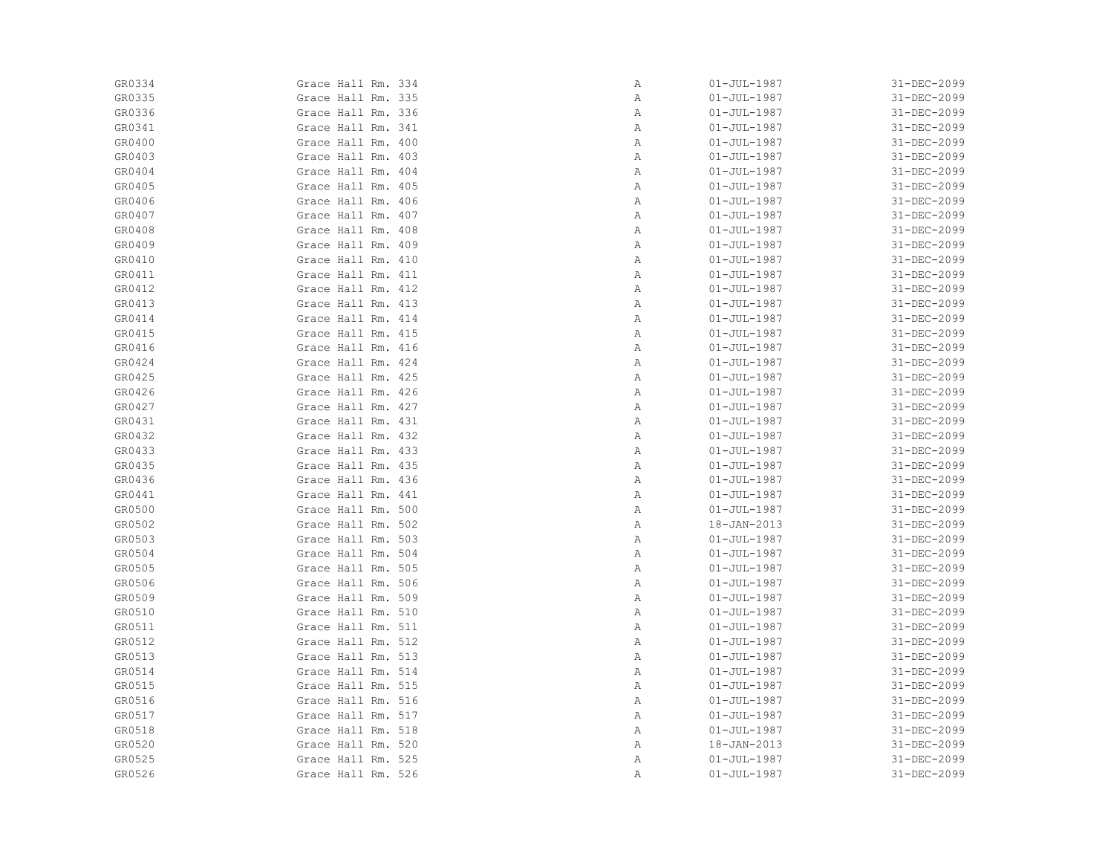| GR0334 | Grace Hall Rm. 334 | Α | $01 - JUL - 1987$ | 31-DEC-2099 |
|--------|--------------------|---|-------------------|-------------|
| GR0335 | Grace Hall Rm. 335 | Α | $01 - JUL - 1987$ | 31-DEC-2099 |
| GR0336 | Grace Hall Rm. 336 | Α | $01 - JUL - 1987$ | 31-DEC-2099 |
| GR0341 | Grace Hall Rm. 341 | Α | $01 - JUL - 1987$ | 31-DEC-2099 |
| GR0400 | Grace Hall Rm. 400 | Α | $01 - JUL - 1987$ | 31-DEC-2099 |
| GR0403 | Grace Hall Rm. 403 | Α | $01 - JUL - 1987$ | 31-DEC-2099 |
| GR0404 | Grace Hall Rm. 404 | Α | $01 - JUL - 1987$ | 31-DEC-2099 |
| GR0405 | Grace Hall Rm. 405 | Α | $01 - JUL - 1987$ | 31-DEC-2099 |
| GR0406 | Grace Hall Rm. 406 | Α | $01 - JUL - 1987$ | 31-DEC-2099 |
| GR0407 | Grace Hall Rm. 407 | Α | $01 - JUL - 1987$ | 31-DEC-2099 |
| GR0408 | Grace Hall Rm. 408 | Α | $01 - JUL - 1987$ | 31-DEC-2099 |
| GR0409 | Grace Hall Rm. 409 | Α | $01 - JUL - 1987$ | 31-DEC-2099 |
| GR0410 | Grace Hall Rm. 410 | Α | $01 - JUL - 1987$ | 31-DEC-2099 |
| GR0411 | Grace Hall Rm. 411 | Α | $01 - JUL - 1987$ | 31-DEC-2099 |
| GR0412 | Grace Hall Rm. 412 | Α | $01 - JUL - 1987$ | 31-DEC-2099 |
| GR0413 | Grace Hall Rm. 413 | Α | $01 - JUL - 1987$ | 31-DEC-2099 |
| GR0414 | Grace Hall Rm. 414 | Α | $01 - JUL - 1987$ | 31-DEC-2099 |
| GR0415 | Grace Hall Rm. 415 | Α | $01 - JUL - 1987$ | 31-DEC-2099 |
| GR0416 | Grace Hall Rm. 416 | Α | $01 - JUL - 1987$ | 31-DEC-2099 |
| GR0424 | Grace Hall Rm. 424 | Α | $01 - JUL - 1987$ | 31-DEC-2099 |
| GR0425 | Grace Hall Rm. 425 | Α | $01 - JUL - 1987$ | 31-DEC-2099 |
| GR0426 | Grace Hall Rm. 426 | Α | $01 - JUL - 1987$ | 31-DEC-2099 |
| GR0427 | Grace Hall Rm. 427 | Α | $01 - JUL - 1987$ | 31-DEC-2099 |
| GR0431 | Grace Hall Rm. 431 | Α | $01 - JUL - 1987$ | 31-DEC-2099 |
| GR0432 | Grace Hall Rm. 432 | Α | $01 - JUL - 1987$ | 31-DEC-2099 |
| GR0433 | Grace Hall Rm. 433 | Α | $01 - JUL - 1987$ | 31-DEC-2099 |
| GR0435 | Grace Hall Rm. 435 | Α | $01 - JUL - 1987$ | 31-DEC-2099 |
| GR0436 | Grace Hall Rm. 436 | Α | $01 - JUL - 1987$ | 31-DEC-2099 |
| GR0441 | Grace Hall Rm. 441 | Α | $01 - JUL - 1987$ | 31-DEC-2099 |
| GR0500 | Grace Hall Rm. 500 | Α | $01 - JUL - 1987$ | 31-DEC-2099 |
| GR0502 | Grace Hall Rm. 502 | Α | 18-JAN-2013       | 31-DEC-2099 |
| GR0503 | Grace Hall Rm. 503 | Α | $01 - JUL - 1987$ | 31-DEC-2099 |
| GR0504 | Grace Hall Rm. 504 | Α | $01 - JUL - 1987$ | 31-DEC-2099 |
| GR0505 | Grace Hall Rm. 505 | Α | $01 - JUL - 1987$ | 31-DEC-2099 |
| GR0506 | Grace Hall Rm. 506 | Α | $01 - JUL - 1987$ | 31-DEC-2099 |
| GR0509 | Grace Hall Rm. 509 | Α | $01 - JUL - 1987$ | 31-DEC-2099 |
| GR0510 | Grace Hall Rm. 510 | Α | $01 - JUL - 1987$ | 31-DEC-2099 |
| GR0511 | Grace Hall Rm. 511 | Α | $01 - JUL - 1987$ | 31-DEC-2099 |
| GR0512 | Grace Hall Rm. 512 | Α | $01 - JUL - 1987$ | 31-DEC-2099 |
| GR0513 | Grace Hall Rm. 513 | Α | $01 - JUL - 1987$ | 31-DEC-2099 |
| GR0514 | Grace Hall Rm. 514 | Α | $01 - JUL - 1987$ | 31-DEC-2099 |
| GR0515 | Grace Hall Rm. 515 | Α | $01 - JUL - 1987$ | 31-DEC-2099 |
| GR0516 | Grace Hall Rm. 516 | Α | $01 - JUL - 1987$ | 31-DEC-2099 |
| GR0517 | Grace Hall Rm. 517 | Α | $01 - JUL - 1987$ | 31-DEC-2099 |
| GR0518 | Grace Hall Rm. 518 | Α | $01 - JUL - 1987$ | 31-DEC-2099 |
| GR0520 | Grace Hall Rm. 520 | Α | 18-JAN-2013       | 31-DEC-2099 |
| GR0525 | Grace Hall Rm. 525 | Α | $01 - JUL - 1987$ | 31-DEC-2099 |
| GR0526 | Grace Hall Rm. 526 | Α | $01 - JUL - 1987$ | 31-DEC-2099 |
|        |                    |   |                   |             |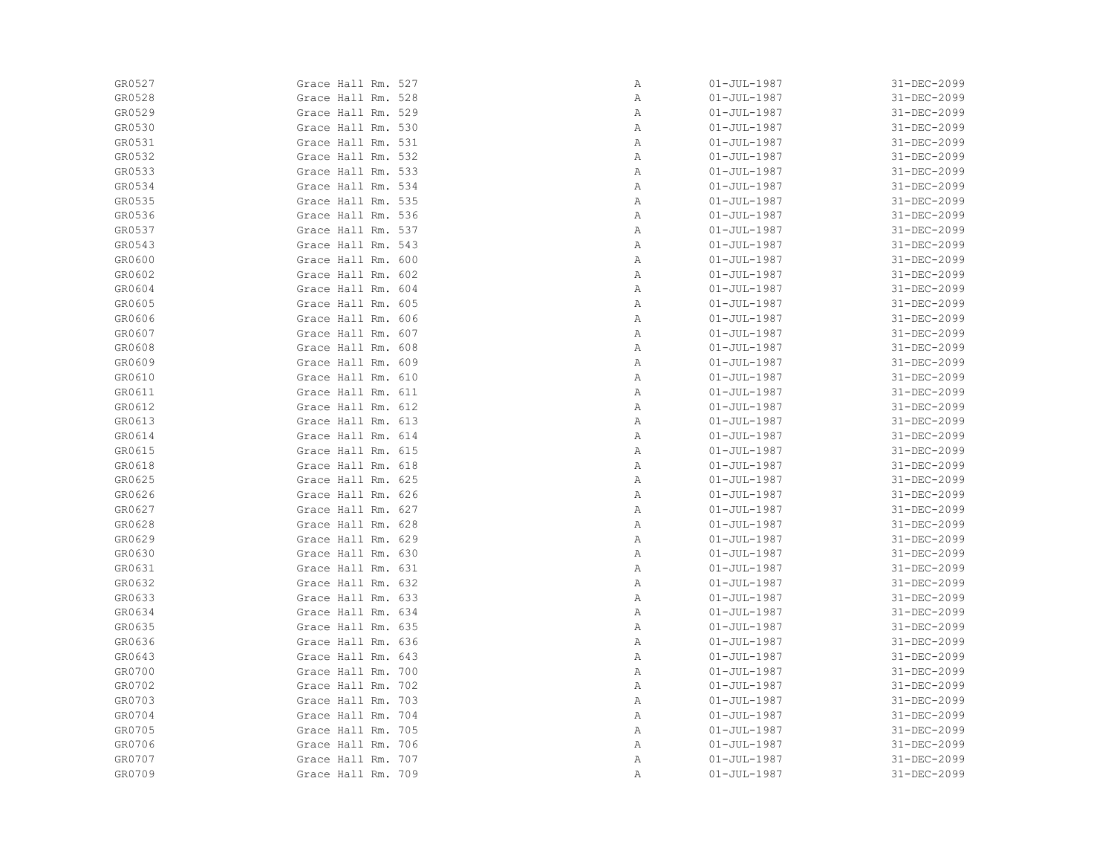| GR0527 | Grace Hall Rm. 527 | Α            | $01 - JUL - 1987$ | 31-DEC-2099 |
|--------|--------------------|--------------|-------------------|-------------|
| GR0528 | Grace Hall Rm. 528 | Α            | $01 - JUL - 1987$ | 31-DEC-2099 |
| GR0529 | Grace Hall Rm. 529 | Α            | $01 - JUL - 1987$ | 31-DEC-2099 |
| GR0530 | Grace Hall Rm. 530 | Α            | $01 - JUL - 1987$ | 31-DEC-2099 |
| GR0531 | Grace Hall Rm. 531 | Α            | $01 - JUL - 1987$ | 31-DEC-2099 |
| GR0532 | Grace Hall Rm. 532 | Α            | $01 - JUL - 1987$ | 31-DEC-2099 |
| GR0533 | Grace Hall Rm. 533 | Α            | $01 - JUL - 1987$ | 31-DEC-2099 |
| GR0534 | Grace Hall Rm. 534 | Α            | $01 - JUL - 1987$ | 31-DEC-2099 |
| GR0535 | Grace Hall Rm. 535 | Α            | $01 - JUL - 1987$ | 31-DEC-2099 |
| GR0536 | Grace Hall Rm. 536 | Α            | $01 - JUL - 1987$ | 31-DEC-2099 |
| GR0537 | Grace Hall Rm. 537 | Α            | $01 - JUL - 1987$ | 31-DEC-2099 |
| GR0543 | Grace Hall Rm. 543 | Α            | $01 - JUL - 1987$ | 31-DEC-2099 |
| GR0600 | Grace Hall Rm. 600 | Α            | $01 - JUL - 1987$ | 31-DEC-2099 |
| GR0602 | Grace Hall Rm. 602 | Α            | $01 - JUL - 1987$ | 31-DEC-2099 |
| GR0604 | Grace Hall Rm. 604 | Α            | $01 - JUL - 1987$ | 31-DEC-2099 |
| GR0605 | Grace Hall Rm. 605 | Α            | $01 - JUL - 1987$ | 31-DEC-2099 |
| GR0606 | Grace Hall Rm. 606 | Α            | $01 - JUL - 1987$ | 31-DEC-2099 |
| GR0607 | Grace Hall Rm. 607 | Α            | $01 - JUL - 1987$ | 31-DEC-2099 |
| GR0608 | Grace Hall Rm. 608 | Α            | $01 - JUL - 1987$ | 31-DEC-2099 |
| GR0609 | Grace Hall Rm. 609 | Α            | $01 - JUL - 1987$ | 31-DEC-2099 |
| GR0610 | Grace Hall Rm. 610 | $\mathbb{A}$ | $01 - JUL - 1987$ | 31-DEC-2099 |
| GR0611 | Grace Hall Rm. 611 | Α            | $01 - JUL - 1987$ | 31-DEC-2099 |
| GR0612 | Grace Hall Rm. 612 | Α            | $01 - JUL - 1987$ | 31-DEC-2099 |
| GR0613 | Grace Hall Rm. 613 | Α            | $01 - JUL - 1987$ | 31-DEC-2099 |
| GR0614 | Grace Hall Rm. 614 | Α            | $01 - JUL - 1987$ | 31-DEC-2099 |
| GR0615 | Grace Hall Rm. 615 | Α            | $01 - JUL - 1987$ | 31-DEC-2099 |
| GR0618 | Grace Hall Rm. 618 | Α            | $01 - JUL - 1987$ | 31-DEC-2099 |
| GR0625 | Grace Hall Rm. 625 | Α            | $01 - JUL - 1987$ | 31-DEC-2099 |
| GR0626 | Grace Hall Rm. 626 | Α            | $01 - JUL - 1987$ | 31-DEC-2099 |
| GR0627 | Grace Hall Rm. 627 | Α            | $01 - JUL - 1987$ | 31-DEC-2099 |
| GR0628 | Grace Hall Rm. 628 | Α            | $01 - JUL - 1987$ | 31-DEC-2099 |
| GR0629 | Grace Hall Rm. 629 | Α            | $01 - JUL - 1987$ | 31-DEC-2099 |
| GR0630 | Grace Hall Rm. 630 | Α            | $01 - JUL - 1987$ | 31-DEC-2099 |
| GR0631 | Grace Hall Rm. 631 | Α            | $01 - JUL - 1987$ | 31-DEC-2099 |
| GR0632 | Grace Hall Rm. 632 | Α            | $01 - JUL - 1987$ | 31-DEC-2099 |
| GR0633 | Grace Hall Rm. 633 | Α            | $01 - JUL - 1987$ | 31-DEC-2099 |
| GR0634 | Grace Hall Rm. 634 | Α            | $01 - JUL - 1987$ | 31-DEC-2099 |
| GR0635 | Grace Hall Rm. 635 | Α            | $01 - JUL - 1987$ | 31-DEC-2099 |
| GR0636 | Grace Hall Rm. 636 | Α            | $01 - JUL - 1987$ | 31-DEC-2099 |
| GR0643 | Grace Hall Rm. 643 | Α            | $01 - JUL - 1987$ | 31-DEC-2099 |
| GR0700 | Grace Hall Rm. 700 | Α            | $01 - JUL - 1987$ | 31-DEC-2099 |
| GR0702 | Grace Hall Rm. 702 | Α            | $01 - JUL - 1987$ | 31-DEC-2099 |
| GR0703 | Grace Hall Rm. 703 | Α            | $01 - JUL - 1987$ | 31-DEC-2099 |
| GR0704 | Grace Hall Rm. 704 | Α            | $01 - JUL - 1987$ | 31-DEC-2099 |
| GR0705 | Grace Hall Rm. 705 | Α            | $01 - JUL - 1987$ | 31-DEC-2099 |
| GR0706 | Grace Hall Rm. 706 | Α            | $01 - JUL - 1987$ | 31-DEC-2099 |
| GR0707 | Grace Hall Rm. 707 | Α            | $01 - JUL - 1987$ | 31-DEC-2099 |
| GR0709 | Grace Hall Rm. 709 | Α            | $01 - JUL - 1987$ | 31-DEC-2099 |
|        |                    |              |                   |             |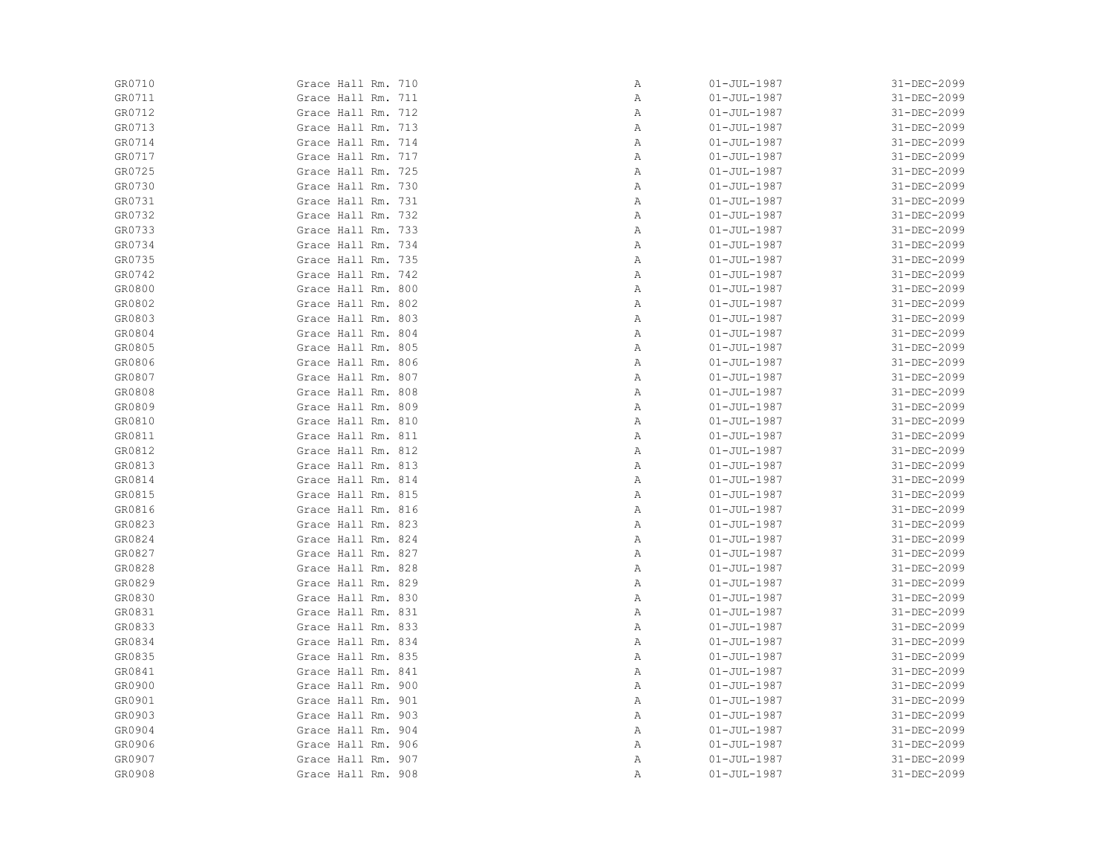| GR0710 | Grace Hall Rm. 710 | Α            | $01 - JUL - 1987$ | 31-DEC-2099 |
|--------|--------------------|--------------|-------------------|-------------|
| GR0711 | Grace Hall Rm. 711 | Α            | $01 - JUL - 1987$ | 31-DEC-2099 |
| GR0712 | Grace Hall Rm. 712 | Α            | $01 - JUL - 1987$ | 31-DEC-2099 |
| GR0713 | Grace Hall Rm. 713 | Α            | $01 - JUL - 1987$ | 31-DEC-2099 |
| GR0714 | Grace Hall Rm. 714 | Α            | $01 - JUL - 1987$ | 31-DEC-2099 |
| GR0717 | Grace Hall Rm. 717 | Α            | $01 - JUL - 1987$ | 31-DEC-2099 |
| GR0725 | Grace Hall Rm. 725 | Α            | $01 - JUL - 1987$ | 31-DEC-2099 |
| GR0730 | Grace Hall Rm. 730 | Α            | $01 - JUL - 1987$ | 31-DEC-2099 |
| GR0731 | Grace Hall Rm. 731 | Α            | $01 - JUL - 1987$ | 31-DEC-2099 |
| GR0732 | Grace Hall Rm. 732 | Α            | $01 - JUL - 1987$ | 31-DEC-2099 |
| GR0733 | Grace Hall Rm. 733 | Α            | $01 - JUL - 1987$ | 31-DEC-2099 |
| GR0734 | Grace Hall Rm. 734 | Α            | $01 - JUL - 1987$ | 31-DEC-2099 |
| GR0735 | Grace Hall Rm. 735 | Α            | $01 - JUL - 1987$ | 31-DEC-2099 |
| GR0742 | Grace Hall Rm. 742 | Α            | $01 - JUL - 1987$ | 31-DEC-2099 |
| GR0800 | Grace Hall Rm. 800 | Α            | $01 - JUL - 1987$ | 31-DEC-2099 |
| GR0802 | Grace Hall Rm. 802 | Α            | $01 - JUL - 1987$ | 31-DEC-2099 |
| GR0803 | Grace Hall Rm. 803 | Α            | $01 - JUL - 1987$ | 31-DEC-2099 |
| GR0804 | Grace Hall Rm. 804 | Α            | $01 - JUL - 1987$ | 31-DEC-2099 |
| GR0805 | Grace Hall Rm. 805 | Α            | $01 - JUL - 1987$ | 31-DEC-2099 |
| GR0806 | Grace Hall Rm. 806 | Α            | $01 - JUL - 1987$ | 31-DEC-2099 |
| GR0807 | Grace Hall Rm. 807 | $\mathbb{A}$ | $01 - JUL - 1987$ | 31-DEC-2099 |
| GR0808 | Grace Hall Rm. 808 | Α            | $01 - JUL - 1987$ | 31-DEC-2099 |
| GR0809 | Grace Hall Rm. 809 | Α            | $01 - JUL - 1987$ | 31-DEC-2099 |
| GR0810 | Grace Hall Rm. 810 | Α            | $01 - JUL - 1987$ | 31-DEC-2099 |
| GR0811 | Grace Hall Rm. 811 | Α            | $01 - JUL - 1987$ | 31-DEC-2099 |
| GR0812 | Grace Hall Rm. 812 | Α            | $01 - JUL - 1987$ | 31-DEC-2099 |
| GR0813 | Grace Hall Rm. 813 | Α            | $01 - JUL - 1987$ | 31-DEC-2099 |
| GR0814 | Grace Hall Rm. 814 | Α            | $01 - JUL - 1987$ | 31-DEC-2099 |
| GR0815 | Grace Hall Rm. 815 | Α            | $01 - JUL - 1987$ | 31-DEC-2099 |
| GR0816 | Grace Hall Rm. 816 | Α            | $01 - JUL - 1987$ | 31-DEC-2099 |
| GR0823 | Grace Hall Rm. 823 | Α            | $01 - JUL - 1987$ | 31-DEC-2099 |
| GR0824 | Grace Hall Rm. 824 | Α            | $01 - JUL - 1987$ | 31-DEC-2099 |
| GR0827 | Grace Hall Rm. 827 | Α            | $01 - JUL - 1987$ | 31-DEC-2099 |
| GR0828 | Grace Hall Rm. 828 | Α            | $01 - JUL - 1987$ | 31-DEC-2099 |
| GR0829 | Grace Hall Rm. 829 | Α            | $01 - JUL - 1987$ | 31-DEC-2099 |
| GR0830 | Grace Hall Rm. 830 | Α            | $01 - JUL - 1987$ | 31-DEC-2099 |
| GR0831 | Grace Hall Rm. 831 | Α            | $01 - JUL - 1987$ | 31-DEC-2099 |
| GR0833 | Grace Hall Rm. 833 | Α            | $01 - JUL - 1987$ | 31-DEC-2099 |
| GR0834 | Grace Hall Rm. 834 | Α            | $01 - JUL - 1987$ | 31-DEC-2099 |
| GR0835 | Grace Hall Rm. 835 | Α            | $01 - JUL - 1987$ | 31-DEC-2099 |
| GR0841 | Grace Hall Rm. 841 | Α            | $01 - JUL - 1987$ | 31-DEC-2099 |
| GR0900 | Grace Hall Rm. 900 | Α            | $01 - JUL - 1987$ | 31-DEC-2099 |
| GR0901 | Grace Hall Rm. 901 | Α            | $01 - JUL - 1987$ | 31-DEC-2099 |
| GR0903 | Grace Hall Rm. 903 | Α            | $01 - JUL - 1987$ | 31-DEC-2099 |
| GR0904 | Grace Hall Rm. 904 | Α            | $01 - JUL - 1987$ | 31-DEC-2099 |
| GR0906 | Grace Hall Rm. 906 | Α            | $01 - JUL - 1987$ | 31-DEC-2099 |
| GR0907 | Grace Hall Rm. 907 | Α            | $01 - JUL - 1987$ | 31-DEC-2099 |
| GR0908 | Grace Hall Rm. 908 | Α            | $01 - JUL - 1987$ | 31-DEC-2099 |
|        |                    |              |                   |             |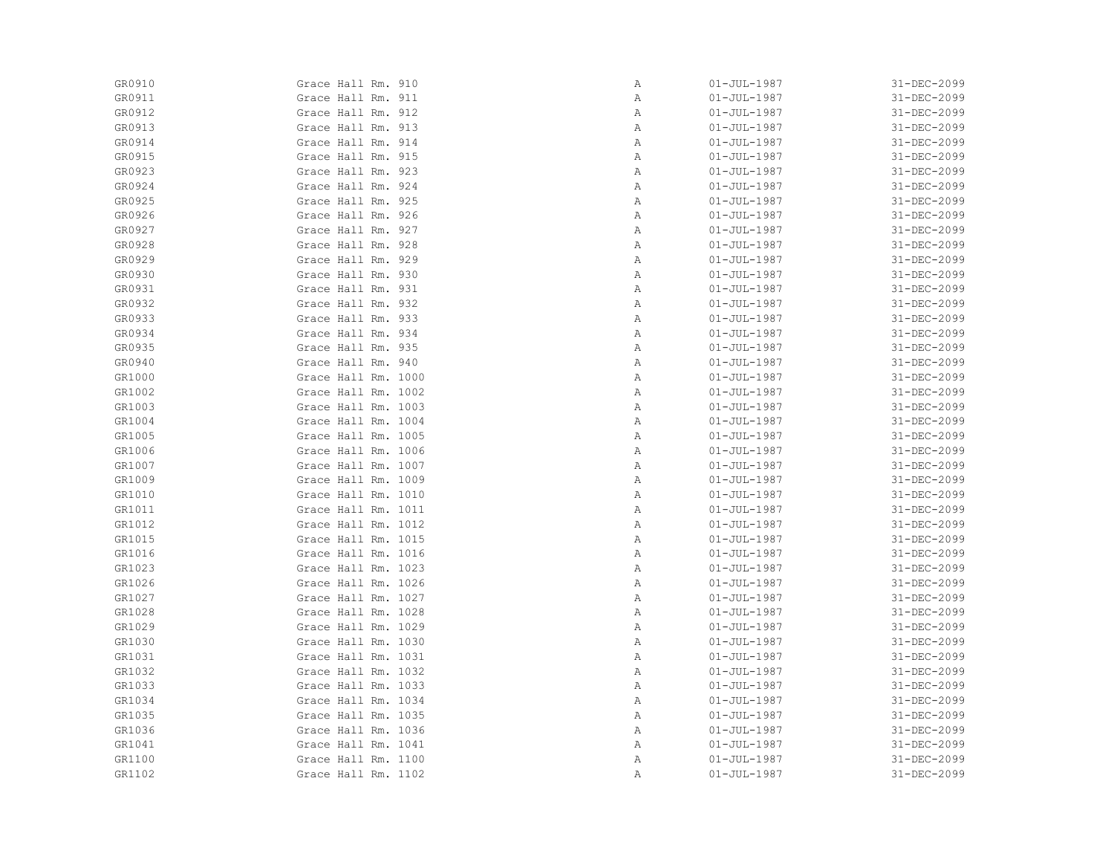| GR0911<br>Grace Hall Rm. 911  | Α | $01 - JUL - 1987$ | 31-DEC-2099 |
|-------------------------------|---|-------------------|-------------|
| GR0912<br>Grace Hall Rm. 912  | Α | $01 - JUL - 1987$ | 31-DEC-2099 |
| GR0913<br>Grace Hall Rm. 913  | Α | $01 - JUL - 1987$ | 31-DEC-2099 |
| GR0914<br>Grace Hall Rm. 914  | Α | $01 - JUL - 1987$ | 31-DEC-2099 |
| GR0915<br>Grace Hall Rm. 915  | Α | $01 - JUL - 1987$ | 31-DEC-2099 |
| GR0923<br>Grace Hall Rm. 923  | Α | $01 - JUL - 1987$ | 31-DEC-2099 |
| GR0924<br>Grace Hall Rm. 924  | Α | $01 - JUL - 1987$ | 31-DEC-2099 |
| GR0925<br>Grace Hall Rm. 925  | Α | $01 - JUL - 1987$ | 31-DEC-2099 |
| GR0926<br>Grace Hall Rm. 926  | Α | $01 - JUL - 1987$ | 31-DEC-2099 |
| GR0927<br>Grace Hall Rm. 927  | Α | $01 - JUL - 1987$ | 31-DEC-2099 |
| GR0928<br>Grace Hall Rm. 928  | Α | 01-JUL-1987       | 31-DEC-2099 |
| GR0929<br>Grace Hall Rm. 929  | Α | $01 - JUL - 1987$ | 31-DEC-2099 |
| GR0930<br>Grace Hall Rm. 930  | Α | $01 - JUL - 1987$ | 31-DEC-2099 |
| GR0931<br>Grace Hall Rm. 931  | Α | $01 - JUL - 1987$ | 31-DEC-2099 |
| GR0932<br>Grace Hall Rm. 932  | Α | $01 - JUL - 1987$ | 31-DEC-2099 |
| GR0933<br>Grace Hall Rm. 933  | Α | $01 - JUL - 1987$ | 31-DEC-2099 |
| GR0934<br>Grace Hall Rm. 934  | Α | $01 - JUL - 1987$ | 31-DEC-2099 |
| GR0935<br>Grace Hall Rm. 935  | Α | $01 - JUL - 1987$ | 31-DEC-2099 |
| GR0940<br>Grace Hall Rm. 940  | Α | 01-JUL-1987       | 31-DEC-2099 |
| GR1000<br>Grace Hall Rm. 1000 | Α | $01 - JUL - 1987$ | 31-DEC-2099 |
| GR1002<br>Grace Hall Rm. 1002 | Α | $01 - JUL - 1987$ | 31-DEC-2099 |
| GR1003<br>Grace Hall Rm. 1003 | Α | $01 - JUL - 1987$ | 31-DEC-2099 |
| GR1004<br>Grace Hall Rm. 1004 | Α | $01 - JUL - 1987$ | 31-DEC-2099 |
| GR1005<br>Grace Hall Rm. 1005 | Α | $01 - JUL - 1987$ | 31-DEC-2099 |
| GR1006<br>Grace Hall Rm. 1006 | Α | $01 - JUL - 1987$ | 31-DEC-2099 |
| GR1007<br>Grace Hall Rm. 1007 | Α | $01 - JUL - 1987$ | 31-DEC-2099 |
| GR1009<br>Grace Hall Rm. 1009 | Α | $01 - JUL - 1987$ | 31-DEC-2099 |
| GR1010<br>Grace Hall Rm. 1010 | Α | $01 - JUL - 1987$ | 31-DEC-2099 |
| GR1011<br>Grace Hall Rm. 1011 | Α | $01 - JUL - 1987$ | 31-DEC-2099 |
| GR1012<br>Grace Hall Rm. 1012 | Α | $01 - JUL - 1987$ | 31-DEC-2099 |
| GR1015<br>Grace Hall Rm. 1015 | Α | $01 - JUL - 1987$ | 31-DEC-2099 |
| GR1016<br>Grace Hall Rm. 1016 | Α | $01 - JUL - 1987$ | 31-DEC-2099 |
| GR1023<br>Grace Hall Rm. 1023 | Α | $01 - JUL - 1987$ | 31-DEC-2099 |
| GR1026<br>Grace Hall Rm. 1026 | Α | $01 - JUL - 1987$ | 31-DEC-2099 |
| GR1027<br>Grace Hall Rm. 1027 | Α | $01 - JUL - 1987$ | 31-DEC-2099 |
| GR1028<br>Grace Hall Rm. 1028 | Α | $01 - JUL - 1987$ | 31-DEC-2099 |
| GR1029<br>Grace Hall Rm. 1029 | Α | $01 - JUL - 1987$ | 31-DEC-2099 |
| Grace Hall Rm. 1030<br>GR1030 | Α | $01 - JUL - 1987$ | 31-DEC-2099 |
| GR1031<br>Grace Hall Rm. 1031 | Α | $01 - JUL - 1987$ | 31-DEC-2099 |
| GR1032<br>Grace Hall Rm. 1032 | Α | $01 - JUL - 1987$ | 31-DEC-2099 |
| GR1033<br>Grace Hall Rm. 1033 | Α | $01 - JUL - 1987$ | 31-DEC-2099 |
| GR1034<br>Grace Hall Rm. 1034 | Α | $01 - JUL - 1987$ | 31-DEC-2099 |
| GR1035<br>Grace Hall Rm. 1035 | Α | $01 - JUL - 1987$ | 31-DEC-2099 |
| GR1036<br>Grace Hall Rm. 1036 | Α | $01 - JUL - 1987$ | 31-DEC-2099 |
| GR1041<br>Grace Hall Rm. 1041 | Α | $01 - JUL - 1987$ | 31-DEC-2099 |
| GR1100<br>Grace Hall Rm. 1100 | Α | $01 - JUL - 1987$ | 31-DEC-2099 |
| GR1102<br>Grace Hall Rm. 1102 | Α | $01 - JUL - 1987$ | 31-DEC-2099 |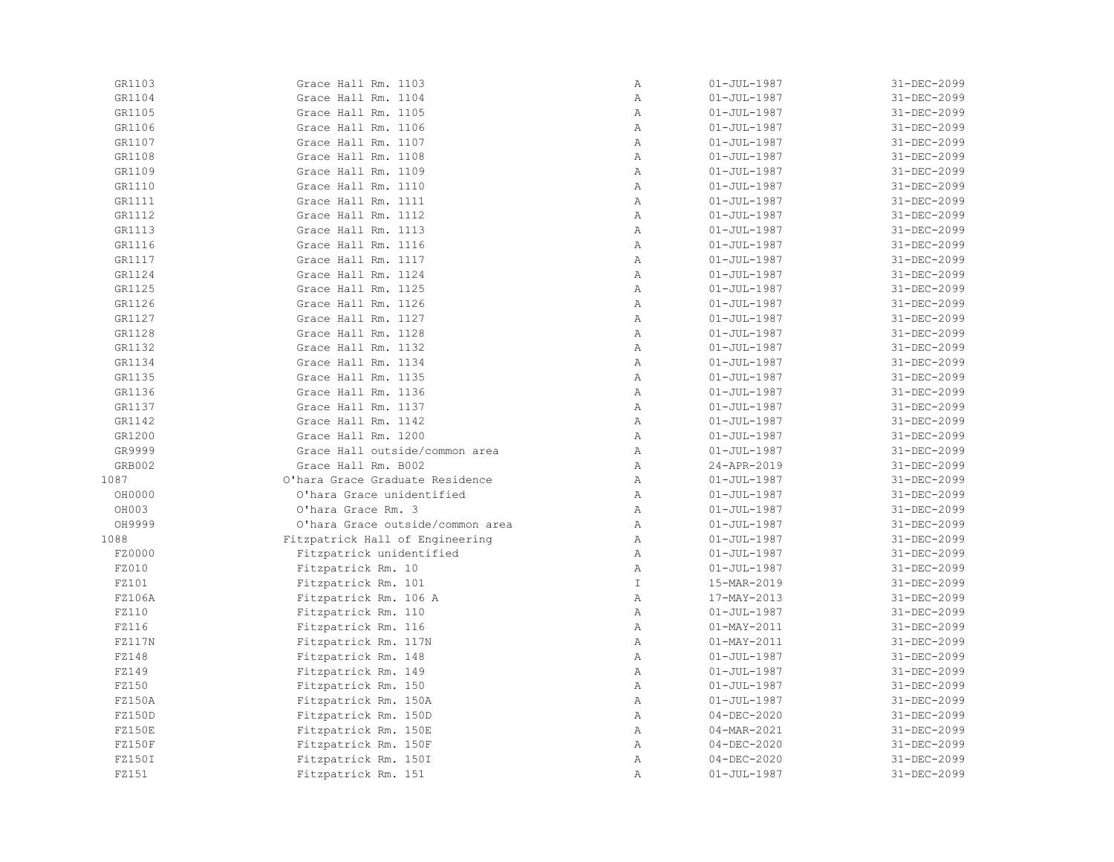| GR1103 | Grace Hall Rm. 1103              | $\, {\bf A}$ | $01 - JUL - 1987$ | 31-DEC-2099 |
|--------|----------------------------------|--------------|-------------------|-------------|
| GR1104 | Grace Hall Rm. 1104              | Α            | $01 - JUL - 1987$ | 31-DEC-2099 |
| GR1105 | Grace Hall Rm. 1105              | Α            | $01 - JUL - 1987$ | 31-DEC-2099 |
| GR1106 | Grace Hall Rm. 1106              | Α            | $01 - JUL - 1987$ | 31-DEC-2099 |
| GR1107 | Grace Hall Rm. 1107              | Α            | $01 - JUL - 1987$ | 31-DEC-2099 |
| GR1108 | Grace Hall Rm. 1108              | $\mathbb{A}$ | $01 - JUL - 1987$ | 31-DEC-2099 |
| GR1109 | Grace Hall Rm. 1109              | $\mathbb{A}$ | $01 - JUL - 1987$ | 31-DEC-2099 |
| GR1110 | Grace Hall Rm. 1110              | $\mathbb{A}$ | $01 - JUL - 1987$ | 31-DEC-2099 |
| GR1111 | Grace Hall Rm. 1111              | $\mathbb{A}$ | $01 - JUL - 1987$ | 31-DEC-2099 |
| GR1112 | Grace Hall Rm. 1112              | $\, {\bf A}$ | $01 - JUL - 1987$ | 31-DEC-2099 |
| GR1113 | Grace Hall Rm. 1113              | Α            | $01 - JUL - 1987$ | 31-DEC-2099 |
| GR1116 | Grace Hall Rm. 1116              | $\mathbb{A}$ | $01 - JUL - 1987$ | 31-DEC-2099 |
| GR1117 | Grace Hall Rm. 1117              | Α            | $01 - JUL - 1987$ | 31-DEC-2099 |
| GR1124 | Grace Hall Rm. 1124              | Α            | $01 - JUL - 1987$ | 31-DEC-2099 |
| GR1125 | Grace Hall Rm. 1125              | $\, {\bf A}$ | $01 - JUL - 1987$ | 31-DEC-2099 |
| GR1126 | Grace Hall Rm. 1126              | $\mathbb{A}$ | $01 - JUL - 1987$ | 31-DEC-2099 |
| GR1127 | Grace Hall Rm. 1127              | $\mathbb{A}$ | $01 - JUL - 1987$ | 31-DEC-2099 |
| GR1128 | Grace Hall Rm. 1128              | $\mathbb{A}$ | $01 - JUL - 1987$ | 31-DEC-2099 |
| GR1132 | Grace Hall Rm. 1132              | $\mathbb{A}$ | $01 - JUL - 1987$ | 31-DEC-2099 |
| GR1134 | Grace Hall Rm. 1134              | $\mathbb{A}$ | $01 - JUL - 1987$ | 31-DEC-2099 |
| GR1135 | Grace Hall Rm. 1135              | $\mathbb{A}$ | $01 - JUL - 1987$ | 31-DEC-2099 |
| GR1136 | Grace Hall Rm. 1136              | $\mathbb{A}$ | $01 - JUL - 1987$ | 31-DEC-2099 |
| GR1137 | Grace Hall Rm. 1137              | $\mathbb{A}$ | $01 - JUL - 1987$ | 31-DEC-2099 |
| GR1142 | Grace Hall Rm. 1142              | $\mathbb A$  | $01 - JUL - 1987$ | 31-DEC-2099 |
| GR1200 | Grace Hall Rm. 1200              | $\mathbb A$  | $01 - JUL - 1987$ | 31-DEC-2099 |
| GR9999 | Grace Hall outside/common area   | Α            | $01 - JUL - 1987$ | 31-DEC-2099 |
| GRB002 | Grace Hall Rm. B002              | $\mathbb{A}$ | 24-APR-2019       | 31-DEC-2099 |
| 1087   | O'hara Grace Graduate Residence  | $\mathbb{A}$ | $01 - JUL - 1987$ | 31-DEC-2099 |
| OH0000 | O'hara Grace unidentified        | $\mathbb{A}$ | $01 - JUL - 1987$ | 31-DEC-2099 |
| OH003  | O'hara Grace Rm. 3               | $\mathbb{A}$ | $01 - JUL - 1987$ | 31-DEC-2099 |
| OH9999 | O'hara Grace outside/common area | $\mathbb{A}$ | $01 - JUL - 1987$ | 31-DEC-2099 |
| 1088   | Fitzpatrick Hall of Engineering  | $\mathbb A$  | $01 - JUL - 1987$ | 31-DEC-2099 |
| FZ0000 | Fitzpatrick unidentified         | Α            | $01 - JUL - 1987$ | 31-DEC-2099 |
| FZ010  | Fitzpatrick Rm. 10               | $\mathbb{A}$ | $01 - JUL - 1987$ | 31-DEC-2099 |
| FZ101  | Fitzpatrick Rm. 101              | $\mathbb{I}$ | 15-MAR-2019       | 31-DEC-2099 |
| FZ106A | Fitzpatrick Rm. 106 A            | $\mathbb A$  | 17-MAY-2013       | 31-DEC-2099 |
| FZ110  | Fitzpatrick Rm. 110              | Α            | $01 - JUL - 1987$ | 31-DEC-2099 |
| FZ116  | Fitzpatrick Rm. 116              | Α            | $01 - MAY - 2011$ | 31-DEC-2099 |
| FZ117N | Fitzpatrick Rm. 117N             | $\mathbb{A}$ | $01 - MAX - 2011$ | 31-DEC-2099 |
| FZ148  | Fitzpatrick Rm. 148              | $\mathbb{A}$ | $01 - JUL - 1987$ | 31-DEC-2099 |
| FZ149  | Fitzpatrick Rm. 149              | $\mathbb{A}$ | $01 - JUL - 1987$ | 31-DEC-2099 |
| FZ150  | Fitzpatrick Rm. 150              | $\, {\bf A}$ | $01 - JUL - 1987$ | 31-DEC-2099 |
| FZ150A | Fitzpatrick Rm. 150A             | $\mathbb{A}$ | $01 - JUL - 1987$ | 31-DEC-2099 |
| FZ150D | Fitzpatrick Rm. 150D             | Α            | $04 - DEC - 2020$ | 31-DEC-2099 |
| FZ150E | Fitzpatrick Rm. 150E             | Α            | $04 - MAR - 2021$ | 31-DEC-2099 |
| FZ150F | Fitzpatrick Rm. 150F             | $\mathbb{A}$ | $04 - DEC - 2020$ | 31-DEC-2099 |
| FZ150I | Fitzpatrick Rm. 150I             | $\mathbb{A}$ | $04 - DEC - 2020$ | 31-DEC-2099 |
| FZ151  | Fitzpatrick Rm. 151              | Α            | $01 - JUL - 1987$ | 31-DEC-2099 |
|        |                                  |              |                   |             |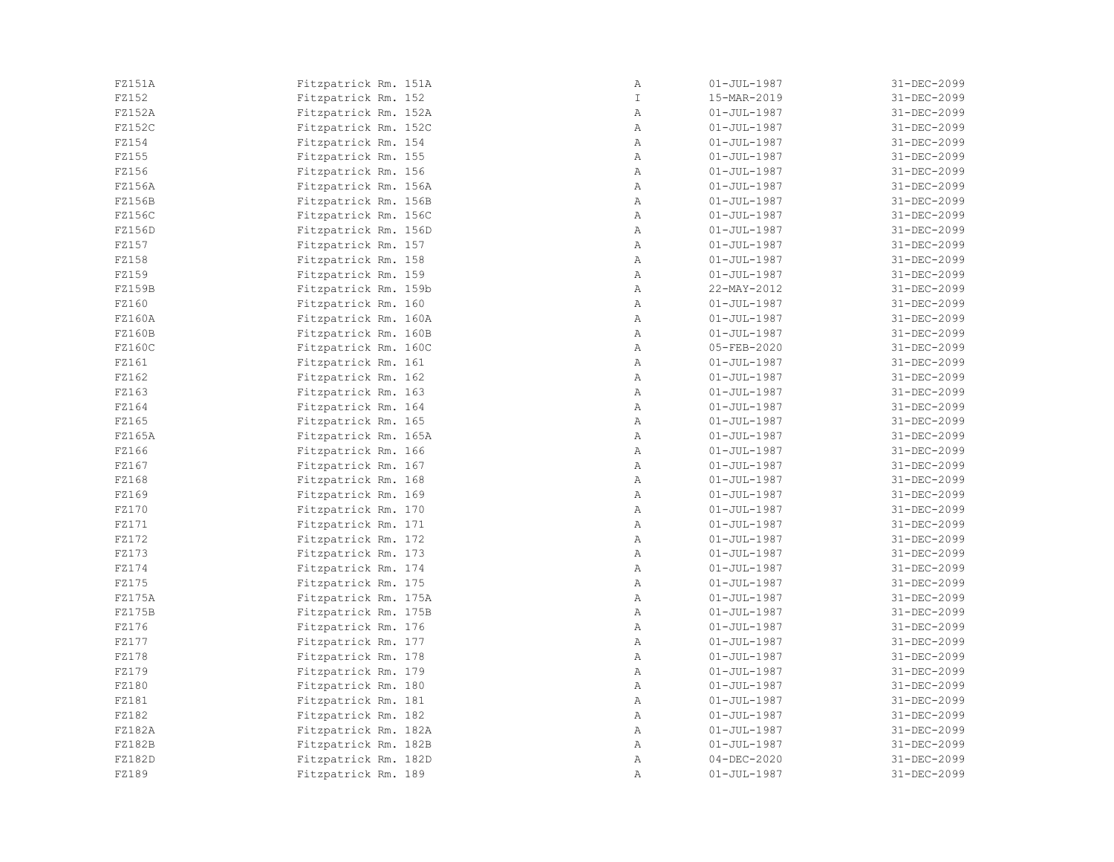| FZ151A | Fitzpatrick Rm. 151A | Α             | $01 - JUL - 1987$ | 31-DEC-2099 |
|--------|----------------------|---------------|-------------------|-------------|
| FZ152  | Fitzpatrick Rm. 152  | $\mathbbm{I}$ | 15-MAR-2019       | 31-DEC-2099 |
| FZ152A | Fitzpatrick Rm. 152A | Α             | $01 - JUL - 1987$ | 31-DEC-2099 |
| FZ152C | Fitzpatrick Rm. 152C | Α             | 01-JUL-1987       | 31-DEC-2099 |
| FZ154  | Fitzpatrick Rm. 154  | Α             | $01 - JUL - 1987$ | 31-DEC-2099 |
| FZ155  | Fitzpatrick Rm. 155  | Α             | $01 - JUL - 1987$ | 31-DEC-2099 |
| FZ156  | Fitzpatrick Rm. 156  | Α             | 01-JUL-1987       | 31-DEC-2099 |
| FZ156A | Fitzpatrick Rm. 156A | Α             | $01 - JUL - 1987$ | 31-DEC-2099 |
| FZ156B | Fitzpatrick Rm. 156B | Α             | $01 - JUL - 1987$ | 31-DEC-2099 |
| FZ156C | Fitzpatrick Rm. 156C | Α             | $01 - JUL - 1987$ | 31-DEC-2099 |
| FZ156D | Fitzpatrick Rm. 156D | Α             | $01 - JUL - 1987$ | 31-DEC-2099 |
| FZ157  | Fitzpatrick Rm. 157  | Α             | $01 - JUL - 1987$ | 31-DEC-2099 |
| FZ158  | Fitzpatrick Rm. 158  | Α             | $01 - JUL - 1987$ | 31-DEC-2099 |
| FZ159  | Fitzpatrick Rm. 159  | Α             | $01 - JUL - 1987$ | 31-DEC-2099 |
| FZ159B | Fitzpatrick Rm. 159b | Α             | 22-MAY-2012       | 31-DEC-2099 |
| FZ160  | Fitzpatrick Rm. 160  | Α             | $01 - JUL - 1987$ | 31-DEC-2099 |
| FZ160A | Fitzpatrick Rm. 160A | Α             | $01 - JUL - 1987$ | 31-DEC-2099 |
| FZ160B | Fitzpatrick Rm. 160B | Α             | $01 - JUL - 1987$ | 31-DEC-2099 |
| FZ160C | Fitzpatrick Rm. 160C | Α             | 05-FEB-2020       | 31-DEC-2099 |
| FZ161  | Fitzpatrick Rm. 161  | Α             | $01 - JUL - 1987$ | 31-DEC-2099 |
| FZ162  | Fitzpatrick Rm. 162  | Α             | $01 - JUL - 1987$ | 31-DEC-2099 |
| FZ163  | Fitzpatrick Rm. 163  | Α             | $01 - JUL - 1987$ | 31-DEC-2099 |
| FZ164  | Fitzpatrick Rm. 164  | Α             | 01-JUL-1987       | 31-DEC-2099 |
| FZ165  | Fitzpatrick Rm. 165  | Α             | 01-JUL-1987       | 31-DEC-2099 |
| FZ165A | Fitzpatrick Rm. 165A | Α             | $01 - JUL - 1987$ | 31-DEC-2099 |
| FZ166  | Fitzpatrick Rm. 166  | Α             | $01 - JUL - 1987$ | 31-DEC-2099 |
| FZ167  | Fitzpatrick Rm. 167  | Α             | $01 - JUL - 1987$ | 31-DEC-2099 |
| FZ168  | Fitzpatrick Rm. 168  | Α             | $01 - JUL - 1987$ | 31-DEC-2099 |
| FZ169  | Fitzpatrick Rm. 169  | Α             | $01 - JUL - 1987$ | 31-DEC-2099 |
| FZ170  | Fitzpatrick Rm. 170  | Α             | $01 - JUL - 1987$ | 31-DEC-2099 |
| FZ171  | Fitzpatrick Rm. 171  | Α             | $01 - JUL - 1987$ | 31-DEC-2099 |
| FZ172  | Fitzpatrick Rm. 172  | Α             | $01 - JUL - 1987$ | 31-DEC-2099 |
| FZ173  | Fitzpatrick Rm. 173  | Α             | $01 - JUL - 1987$ | 31-DEC-2099 |
| FZ174  | Fitzpatrick Rm. 174  | Α             | $01 - JUL - 1987$ | 31-DEC-2099 |
| FZ175  | Fitzpatrick Rm. 175  | Α             | $01 - JUL - 1987$ | 31-DEC-2099 |
| FZ175A | Fitzpatrick Rm. 175A | Α             | $01 - JUL - 1987$ | 31-DEC-2099 |
| FZ175B | Fitzpatrick Rm. 175B | Α             | $01 - JUL - 1987$ | 31-DEC-2099 |
| FZ176  | Fitzpatrick Rm. 176  | Α             | $01 - JUL - 1987$ | 31-DEC-2099 |
| FZ177  | Fitzpatrick Rm. 177  | Α             | $01 - JUL - 1987$ | 31-DEC-2099 |
| FZ178  | Fitzpatrick Rm. 178  | Α             | $01 - JUL - 1987$ | 31-DEC-2099 |
| FZ179  | Fitzpatrick Rm. 179  | Α             | $01 - JUL - 1987$ | 31-DEC-2099 |
| FZ180  | Fitzpatrick Rm. 180  | Α             | 01-JUL-1987       | 31-DEC-2099 |
| FZ181  | Fitzpatrick Rm. 181  | Α             | $01 - JUL - 1987$ | 31-DEC-2099 |
| FZ182  | Fitzpatrick Rm. 182  | Α             | $01 - JUL - 1987$ | 31-DEC-2099 |
| FZ182A | Fitzpatrick Rm. 182A | Α             | $01 - JUL - 1987$ | 31-DEC-2099 |
| FZ182B | Fitzpatrick Rm. 182B | Α             | $01 - JUL - 1987$ | 31-DEC-2099 |
| FZ182D | Fitzpatrick Rm. 182D | Α             | $04 - DEC - 2020$ | 31-DEC-2099 |
| FZ189  | Fitzpatrick Rm. 189  | Α             | 01-JUL-1987       | 31-DEC-2099 |
|        |                      |               |                   |             |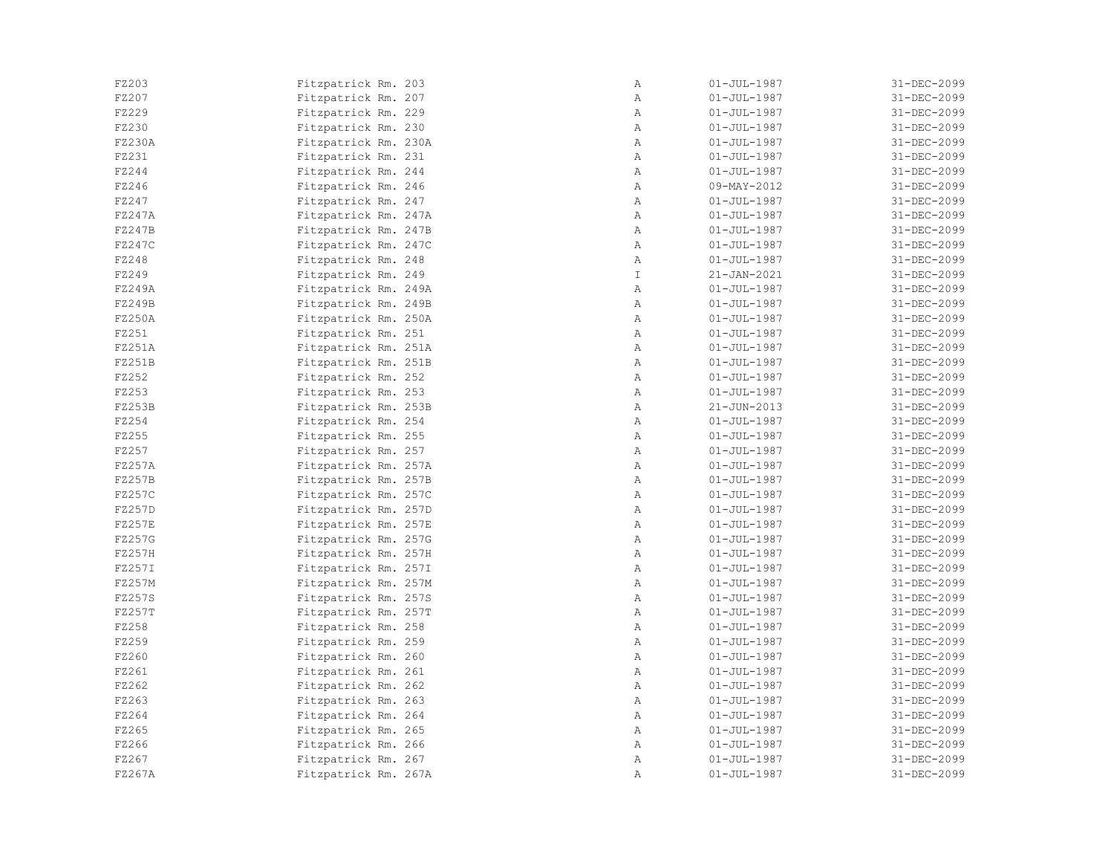| FZ203  | Fitzpatrick Rm. 203  | Α            | $01 - JUL - 1987$ | 31-DEC-2099 |
|--------|----------------------|--------------|-------------------|-------------|
| FZ207  | Fitzpatrick Rm. 207  | Α            | $01 - JUL - 1987$ | 31-DEC-2099 |
| FZ229  | Fitzpatrick Rm. 229  | Α            | $01 - JUL - 1987$ | 31-DEC-2099 |
| FZ230  | Fitzpatrick Rm. 230  | Α            | $01 - JUL - 1987$ | 31-DEC-2099 |
| FZ230A | Fitzpatrick Rm. 230A | $\mathbb{A}$ | $01 - JUL - 1987$ | 31-DEC-2099 |
| FZ231  | Fitzpatrick Rm. 231  | Α            | $01 - JUL - 1987$ | 31-DEC-2099 |
| FZ244  | Fitzpatrick Rm. 244  | $\mathbb{A}$ | $01 - JUL - 1987$ | 31-DEC-2099 |
| FZ246  | Fitzpatrick Rm. 246  | Α            | 09-MAY-2012       | 31-DEC-2099 |
| FZ247  | Fitzpatrick Rm. 247  | Α            | $01 - JUL - 1987$ | 31-DEC-2099 |
| FZ247A | Fitzpatrick Rm. 247A | Α            | $01 - JUL - 1987$ | 31-DEC-2099 |
| FZ247B | Fitzpatrick Rm. 247B | Α            | $01 - JUL - 1987$ | 31-DEC-2099 |
| FZ247C | Fitzpatrick Rm. 247C | Α            | $01 - JUL - 1987$ | 31-DEC-2099 |
| FZ248  | Fitzpatrick Rm. 248  | Α            | $01 - JUL - 1987$ | 31-DEC-2099 |
| FZ249  | Fitzpatrick Rm. 249  | $\mathbb{I}$ | $21 - JAN - 2021$ | 31-DEC-2099 |
| FZ249A | Fitzpatrick Rm. 249A | $\mathbb{A}$ | $01 - JUL - 1987$ | 31-DEC-2099 |
| FZ249B | Fitzpatrick Rm. 249B | Α            | $01 - JUL - 1987$ | 31-DEC-2099 |
| FZ250A | Fitzpatrick Rm. 250A | Α            | $01 - JUL - 1987$ | 31-DEC-2099 |
| FZ251  | Fitzpatrick Rm. 251  | Α            | $01 - JUL - 1987$ | 31-DEC-2099 |
| FZ251A | Fitzpatrick Rm. 251A | Α            | $01 - JUL - 1987$ | 31-DEC-2099 |
| FZ251B | Fitzpatrick Rm. 251B | Α            | $01 - JUL - 1987$ | 31-DEC-2099 |
| FZ252  | Fitzpatrick Rm. 252  | Α            | $01 - JUL - 1987$ | 31-DEC-2099 |
| FZ253  | Fitzpatrick Rm. 253  | Α            | $01 - JUL - 1987$ | 31-DEC-2099 |
| FZ253B | Fitzpatrick Rm. 253B | $\mathbb{A}$ | $21 - JUN - 2013$ | 31-DEC-2099 |
| FZ254  | Fitzpatrick Rm. 254  | Α            | $01 - JUL - 1987$ | 31-DEC-2099 |
| FZ255  | Fitzpatrick Rm. 255  | Α            | $01 - JUL - 1987$ | 31-DEC-2099 |
| FZ257  | Fitzpatrick Rm. 257  | Α            | $01 - JUL - 1987$ | 31-DEC-2099 |
| FZ257A | Fitzpatrick Rm. 257A | Α            | $01 - JUL - 1987$ | 31-DEC-2099 |
| FZ257B | Fitzpatrick Rm. 257B | $\mathbb{A}$ | $01 - JUL - 1987$ | 31-DEC-2099 |
| FZ257C | Fitzpatrick Rm. 257C | Α            | $01 - JUL - 1987$ | 31-DEC-2099 |
| FZ257D | Fitzpatrick Rm. 257D | Α            | $01 - JUL - 1987$ | 31-DEC-2099 |
| FZ257E | Fitzpatrick Rm. 257E | Α            | $01 - JUL - 1987$ | 31-DEC-2099 |
| FZ257G | Fitzpatrick Rm. 257G | $\mathbb{A}$ | $01 - JUL - 1987$ | 31-DEC-2099 |
| FZ257H | Fitzpatrick Rm. 257H | Α            | $01 - JUL - 1987$ | 31-DEC-2099 |
| FZ257I | Fitzpatrick Rm. 257I | Α            | $01 - JUL - 1987$ | 31-DEC-2099 |
| FZ257M | Fitzpatrick Rm. 257M | Α            | $01 - JUL - 1987$ | 31-DEC-2099 |
| FZ257S | Fitzpatrick Rm. 257S | Α            | $01 - JUL - 1987$ | 31-DEC-2099 |
| FZ257T | Fitzpatrick Rm. 257T | Α            | $01 - JUL - 1987$ | 31-DEC-2099 |
| FZ258  | Fitzpatrick Rm. 258  | Α            | $01 - JUL - 1987$ | 31-DEC-2099 |
| FZ259  | Fitzpatrick Rm. 259  | Α            | $01 - JUL - 1987$ | 31-DEC-2099 |
| FZ260  | Fitzpatrick Rm. 260  | Α            | $01 - JUL - 1987$ | 31-DEC-2099 |
| FZ261  | Fitzpatrick Rm. 261  | Α            | $01 - JUL - 1987$ | 31-DEC-2099 |
| FZ262  | Fitzpatrick Rm. 262  | Α            | $01 - JUL - 1987$ | 31-DEC-2099 |
| FZ263  | Fitzpatrick Rm. 263  | Α            | $01 - JUL - 1987$ | 31-DEC-2099 |
| FZ264  | Fitzpatrick Rm. 264  | Α            | $01 - JUL - 1987$ | 31-DEC-2099 |
| FZ265  | Fitzpatrick Rm. 265  | $\mathbb{A}$ | $01 - JUL - 1987$ | 31-DEC-2099 |
| FZ266  | Fitzpatrick Rm. 266  | $\mathbb{A}$ | $01 - JUL - 1987$ | 31-DEC-2099 |
| FZ267  | Fitzpatrick Rm. 267  | Α            | $01 - JUL - 1987$ | 31-DEC-2099 |
| FZ267A | Fitzpatrick Rm. 267A | Α            | $01 - JUL - 1987$ | 31-DEC-2099 |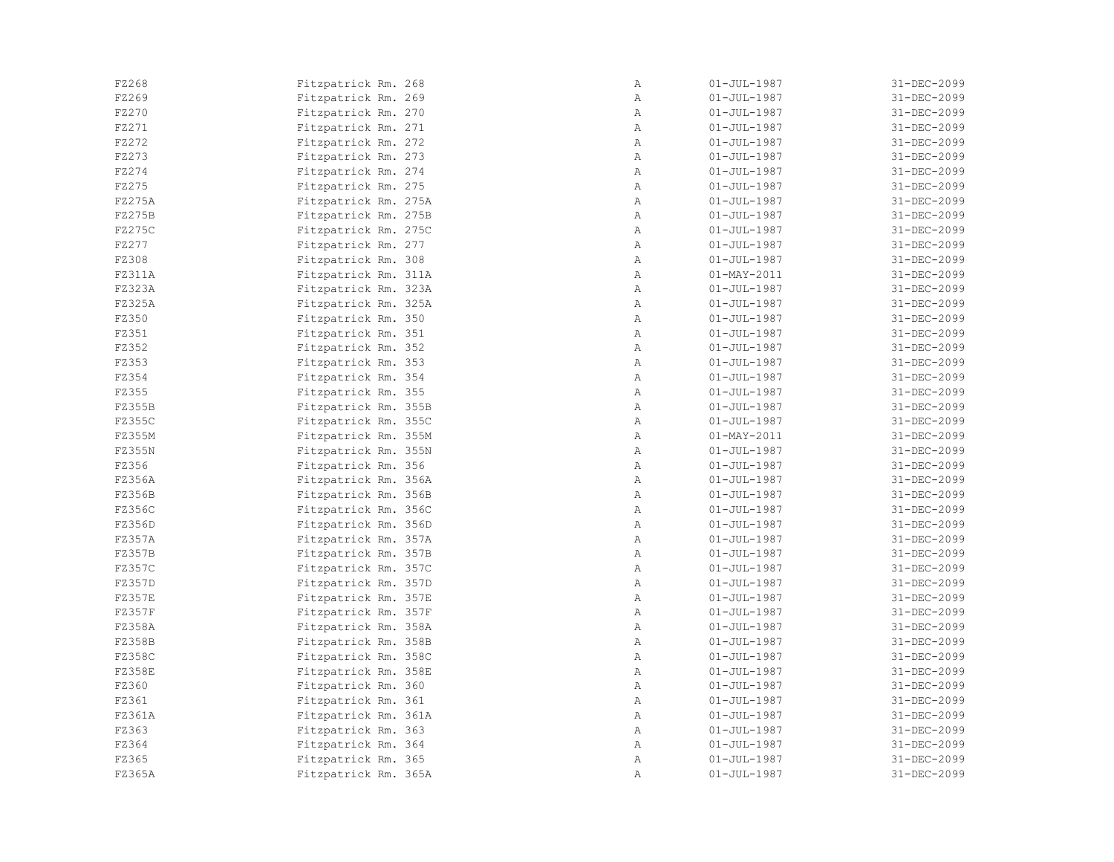| FZ268  | Fitzpatrick Rm. 268  | Α            | $01 - JUL - 1987$ | 31-DEC-2099 |
|--------|----------------------|--------------|-------------------|-------------|
| FZ269  | Fitzpatrick Rm. 269  | $\mathbb{A}$ | $01 - JUL - 1987$ | 31-DEC-2099 |
| FZ270  | Fitzpatrick Rm. 270  | Α            | $01 - JUL - 1987$ | 31-DEC-2099 |
| FZ271  | Fitzpatrick Rm. 271  | Α            | $01 - JUL - 1987$ | 31-DEC-2099 |
| FZ272  | Fitzpatrick Rm. 272  | Α            | $01 - JUL - 1987$ | 31-DEC-2099 |
| FZ273  | Fitzpatrick Rm. 273  | Α            | $01 - JUL - 1987$ | 31-DEC-2099 |
| FZ274  | Fitzpatrick Rm. 274  | $\mathbb{A}$ | $01 - JUL - 1987$ | 31-DEC-2099 |
| FZ275  | Fitzpatrick Rm. 275  | Α            | $01 - JUL - 1987$ | 31-DEC-2099 |
| FZ275A | Fitzpatrick Rm. 275A | Α            | $01 - JUL - 1987$ | 31-DEC-2099 |
| FZ275B | Fitzpatrick Rm. 275B | Α            | $01 - JUL - 1987$ | 31-DEC-2099 |
| FZ275C | Fitzpatrick Rm. 275C | Α            | $01 - JUL - 1987$ | 31-DEC-2099 |
| FZ277  | Fitzpatrick Rm. 277  | Α            | $01 - JUL - 1987$ | 31-DEC-2099 |
| FZ308  | Fitzpatrick Rm. 308  | Α            | $01 - JUL - 1987$ | 31-DEC-2099 |
| FZ311A | Fitzpatrick Rm. 311A | Α            | $01 - MAX - 2011$ | 31-DEC-2099 |
| FZ323A | Fitzpatrick Rm. 323A | Α            | $01 - JUL - 1987$ | 31-DEC-2099 |
| FZ325A | Fitzpatrick Rm. 325A | Α            | $01 - JUL - 1987$ | 31-DEC-2099 |
| FZ350  | Fitzpatrick Rm. 350  | Α            | $01 - JUL - 1987$ | 31-DEC-2099 |
| FZ351  | Fitzpatrick Rm. 351  | $\mathbb{A}$ | $01 - JUL - 1987$ | 31-DEC-2099 |
| FZ352  | Fitzpatrick Rm. 352  | $\mathbb{A}$ | $01 - JUL - 1987$ | 31-DEC-2099 |
| FZ353  | Fitzpatrick Rm. 353  | $\mathbb{A}$ | $01 - JUL - 1987$ | 31-DEC-2099 |
| FZ354  | Fitzpatrick Rm. 354  | $\mathbb{A}$ | $01 - JUL - 1987$ | 31-DEC-2099 |
| FZ355  | Fitzpatrick Rm. 355  | Α            | $01 - JUL - 1987$ | 31-DEC-2099 |
| FZ355B | Fitzpatrick Rm. 355B | Α            | $01 - JUL - 1987$ | 31-DEC-2099 |
| FZ355C | Fitzpatrick Rm. 355C | Α            | $01 - JUL - 1987$ | 31-DEC-2099 |
| FZ355M | Fitzpatrick Rm. 355M | Α            | $01 - MAY - 2011$ | 31-DEC-2099 |
| FZ355N | Fitzpatrick Rm. 355N | Α            | $01 - JUL - 1987$ | 31-DEC-2099 |
| FZ356  | Fitzpatrick Rm. 356  | Α            | $01 - JUL - 1987$ | 31-DEC-2099 |
| FZ356A | Fitzpatrick Rm. 356A | Α            | $01 - JUL - 1987$ | 31-DEC-2099 |
| FZ356B | Fitzpatrick Rm. 356B | $\mathbb{A}$ | $01 - JUL - 1987$ | 31-DEC-2099 |
| FZ356C | Fitzpatrick Rm. 356C | $\mathbb{A}$ | $01 - JUL - 1987$ | 31-DEC-2099 |
| FZ356D | Fitzpatrick Rm. 356D | Α            | $01 - JUL - 1987$ | 31-DEC-2099 |
| FZ357A | Fitzpatrick Rm. 357A | $\mathbb{A}$ | $01 - JUL - 1987$ | 31-DEC-2099 |
| FZ357B | Fitzpatrick Rm. 357B | Α            | $01 - JUL - 1987$ | 31-DEC-2099 |
| FZ357C | Fitzpatrick Rm. 357C | Α            | $01 - JUL - 1987$ | 31-DEC-2099 |
| FZ357D | Fitzpatrick Rm. 357D | Α            | $01 - JUL - 1987$ | 31-DEC-2099 |
| FZ357E | Fitzpatrick Rm. 357E | Α            | $01 - JUL - 1987$ | 31-DEC-2099 |
| FZ357F | Fitzpatrick Rm. 357F | Α            | $01 - JUL - 1987$ | 31-DEC-2099 |
| FZ358A | Fitzpatrick Rm. 358A | Α            | $01 - JUL - 1987$ | 31-DEC-2099 |
| FZ358B | Fitzpatrick Rm. 358B | Α            | $01 - JUL - 1987$ | 31-DEC-2099 |
| FZ358C | Fitzpatrick Rm. 358C | Α            | $01 - JUL - 1987$ | 31-DEC-2099 |
| FZ358E | Fitzpatrick Rm. 358E | $\mathbb{A}$ | $01 - JUL - 1987$ | 31-DEC-2099 |
| FZ360  | Fitzpatrick Rm. 360  | Α            | $01 - JUL - 1987$ | 31-DEC-2099 |
| FZ361  | Fitzpatrick Rm. 361  | Α            | $01 - JUL - 1987$ | 31-DEC-2099 |
| FZ361A | Fitzpatrick Rm. 361A | Α            | $01 - JUL - 1987$ | 31-DEC-2099 |
| FZ363  | Fitzpatrick Rm. 363  | $\mathbb{A}$ | $01 - JUL - 1987$ | 31-DEC-2099 |
| FZ364  | Fitzpatrick Rm. 364  | $\mathbb{A}$ | $01 - JUL - 1987$ | 31-DEC-2099 |
| FZ365  | Fitzpatrick Rm. 365  | Α            | $01 - JUL - 1987$ | 31-DEC-2099 |
| FZ365A | Fitzpatrick Rm. 365A | Α            | $01 - JUL - 1987$ | 31-DEC-2099 |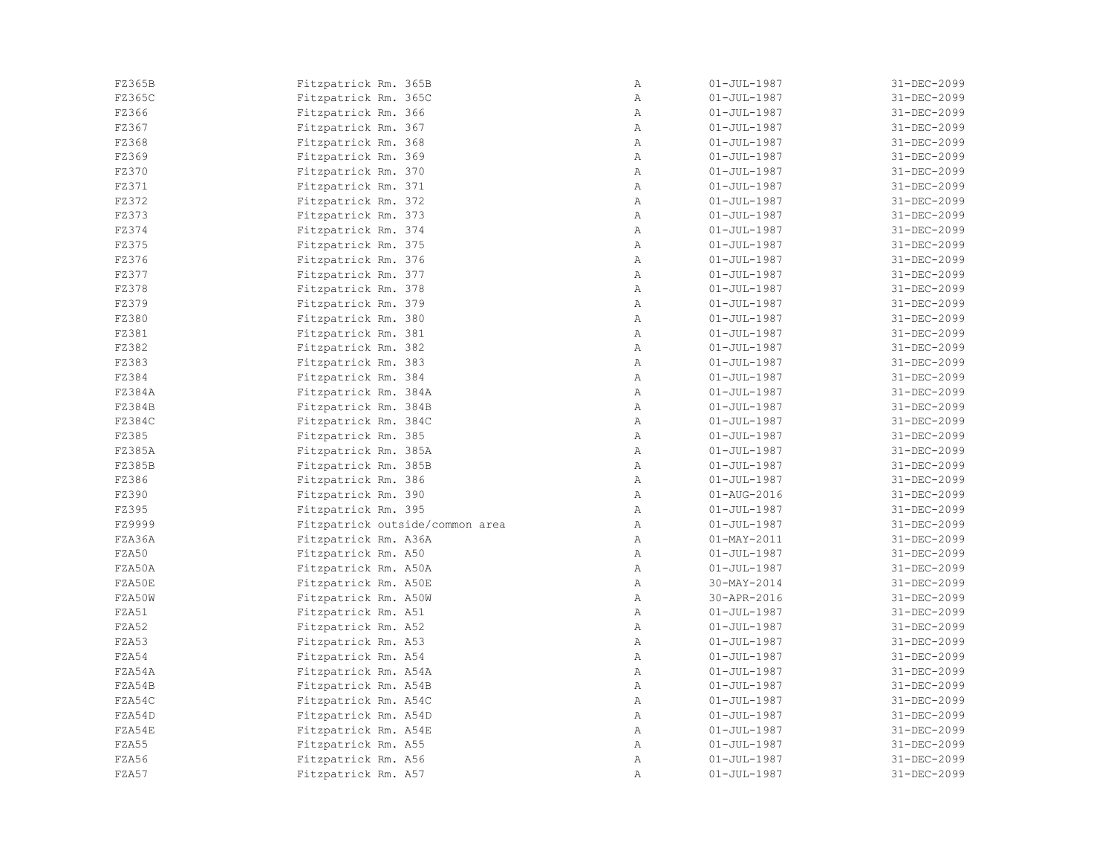| FZ365B | Fitzpatrick Rm. 365B            | Α            | $01 - JUL - 1987$ | 31-DEC-2099 |
|--------|---------------------------------|--------------|-------------------|-------------|
| FZ365C | Fitzpatrick Rm. 365C            | Α            | $01 - JUL - 1987$ | 31-DEC-2099 |
| FZ366  | Fitzpatrick Rm. 366             | Α            | $01 - JUL - 1987$ | 31-DEC-2099 |
| FZ367  | Fitzpatrick Rm. 367             | Α            | $01 - JUL - 1987$ | 31-DEC-2099 |
| FZ368  | Fitzpatrick Rm. 368             | Α            | $01 - JUL - 1987$ | 31-DEC-2099 |
| FZ369  | Fitzpatrick Rm. 369             | Α            | $01 - JUL - 1987$ | 31-DEC-2099 |
| FZ370  | Fitzpatrick Rm. 370             | $\mathbb{A}$ | $01 - JUL - 1987$ | 31-DEC-2099 |
| FZ371  | Fitzpatrick Rm. 371             | Α            | $01 - JUL - 1987$ | 31-DEC-2099 |
| FZ372  | Fitzpatrick Rm. 372             | Α            | $01 - JUL - 1987$ | 31-DEC-2099 |
| FZ373  | Fitzpatrick Rm. 373             | Α            | $01 - JUL - 1987$ | 31-DEC-2099 |
| FZ374  | Fitzpatrick Rm. 374             | Α            | $01 - JUL - 1987$ | 31-DEC-2099 |
| FZ375  | Fitzpatrick Rm. 375             | Α            | $01 - JUL - 1987$ | 31-DEC-2099 |
| FZ376  | Fitzpatrick Rm. 376             | Α            | $01 - JUL - 1987$ | 31-DEC-2099 |
| FZ377  | Fitzpatrick Rm. 377             | Α            | $01 - JUL - 1987$ | 31-DEC-2099 |
| FZ378  | Fitzpatrick Rm. 378             | Α            | $01 - JUL - 1987$ | 31-DEC-2099 |
| FZ379  | Fitzpatrick Rm. 379             | $\mathbb{A}$ | $01 - JUL - 1987$ | 31-DEC-2099 |
| FZ380  | Fitzpatrick Rm. 380             | Α            | $01 - JUL - 1987$ | 31-DEC-2099 |
| FZ381  | Fitzpatrick Rm. 381             | Α            | $01 - JUL - 1987$ | 31-DEC-2099 |
| FZ382  | Fitzpatrick Rm. 382             | Α            | $01 - JUL - 1987$ | 31-DEC-2099 |
| FZ383  | Fitzpatrick Rm. 383             | $\mathbb{A}$ | $01 - JUL - 1987$ | 31-DEC-2099 |
| FZ384  | Fitzpatrick Rm. 384             | Α            | $01 - JUL - 1987$ | 31-DEC-2099 |
| FZ384A | Fitzpatrick Rm. 384A            | Α            | $01 - JUL - 1987$ | 31-DEC-2099 |
| FZ384B | Fitzpatrick Rm. 384B            | Α            | $01 - JUL - 1987$ | 31-DEC-2099 |
| FZ384C | Fitzpatrick Rm. 384C            | Α            | $01 - JUL - 1987$ | 31-DEC-2099 |
| FZ385  | Fitzpatrick Rm. 385             | Α            | $01 - JUL - 1987$ | 31-DEC-2099 |
| FZ385A | Fitzpatrick Rm. 385A            | Α            | $01 - JUL - 1987$ | 31-DEC-2099 |
| FZ385B | Fitzpatrick Rm. 385B            | Α            | $01 - JUL - 1987$ | 31-DEC-2099 |
| FZ386  | Fitzpatrick Rm. 386             | $\mathbb{A}$ | $01 - JUL - 1987$ | 31-DEC-2099 |
| FZ390  | Fitzpatrick Rm. 390             | $\mathbb{A}$ | 01-AUG-2016       | 31-DEC-2099 |
| FZ395  | Fitzpatrick Rm. 395             | Α            | $01 - JUL - 1987$ | 31-DEC-2099 |
| FZ9999 | Fitzpatrick outside/common area | Α            | $01 - JUL - 1987$ | 31-DEC-2099 |
| FZA36A | Fitzpatrick Rm. A36A            | Α            | $01 - MAX - 2011$ | 31-DEC-2099 |
| FZA50  | Fitzpatrick Rm. A50             | Α            | $01 - JUL - 1987$ | 31-DEC-2099 |
| FZA50A | Fitzpatrick Rm. A50A            | Α            | $01 - JUL - 1987$ | 31-DEC-2099 |
| FZA50E | Fitzpatrick Rm. A50E            | Α            | $30-MAY-2014$     | 31-DEC-2099 |
| FZA50W | Fitzpatrick Rm. A50W            | Α            | 30-APR-2016       | 31-DEC-2099 |
| FZA51  | Fitzpatrick Rm. A51             | Α            | $01 - JUL - 1987$ | 31-DEC-2099 |
| FZA52  | Fitzpatrick Rm. A52             | Α            | $01 - JUL - 1987$ | 31-DEC-2099 |
| FZA53  | Fitzpatrick Rm. A53             | $\mathbb{A}$ | $01 - JUL - 1987$ | 31-DEC-2099 |
| FZA54  | Fitzpatrick Rm. A54             | Α            | $01 - JUL - 1987$ | 31-DEC-2099 |
| FZA54A | Fitzpatrick Rm. A54A            | $\mathbb{A}$ | $01 - JUL - 1987$ | 31-DEC-2099 |
| FZA54B | Fitzpatrick Rm. A54B            | Α            | $01 - JUL - 1987$ | 31-DEC-2099 |
| FZA54C | Fitzpatrick Rm. A54C            | $\mathbb{A}$ | $01 - JUL - 1987$ | 31-DEC-2099 |
| FZA54D | Fitzpatrick Rm. A54D            | Α            | $01 - JUL - 1987$ | 31-DEC-2099 |
| FZA54E | Fitzpatrick Rm. A54E            | Α            | $01 - JUL - 1987$ | 31-DEC-2099 |
| FZA55  | Fitzpatrick Rm. A55             | $\mathbb{A}$ | $01 - JUL - 1987$ | 31-DEC-2099 |
| FZA56  | Fitzpatrick Rm. A56             | Α            | $01 - JUL - 1987$ | 31-DEC-2099 |
| FZA57  |                                 | Α            | $01 - JUL - 1987$ | 31-DEC-2099 |
|        | Fitzpatrick Rm. A57             |              |                   |             |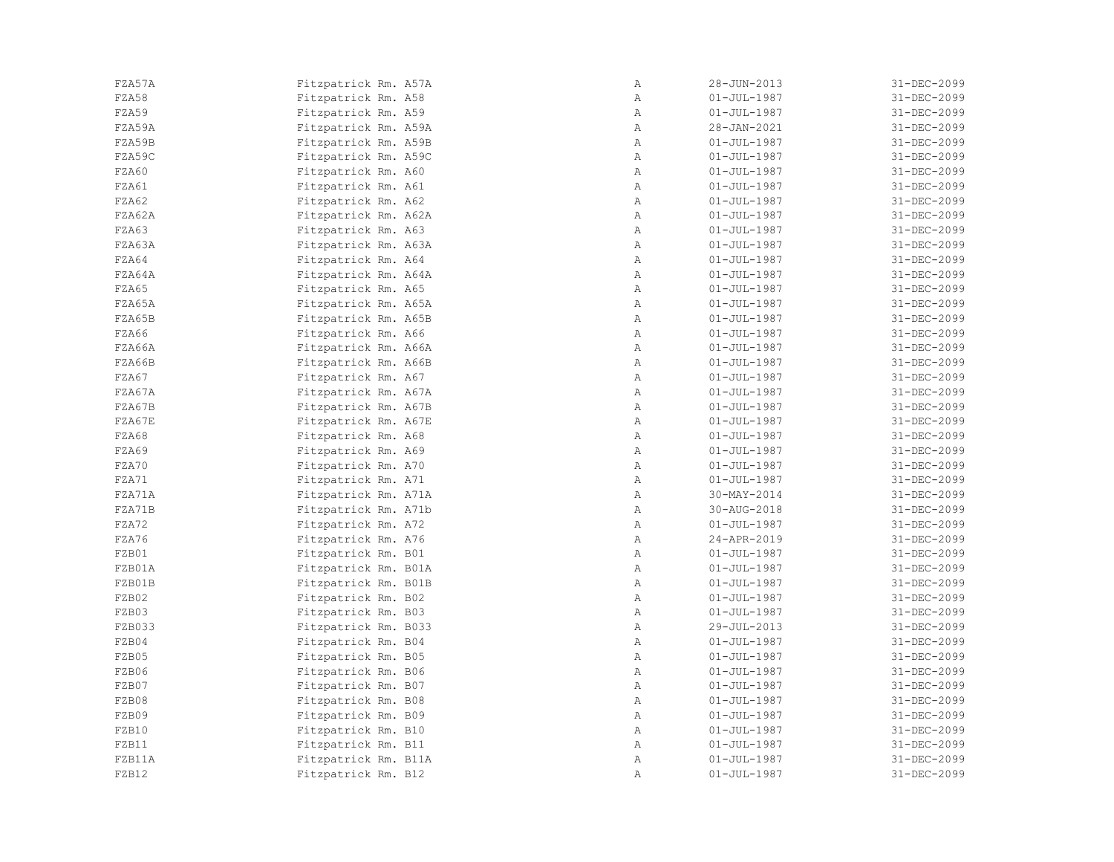| FZA57A | Fitzpatrick Rm. A57A | Α            | $28 - JUN - 2013$ | 31-DEC-2099 |
|--------|----------------------|--------------|-------------------|-------------|
| FZA58  | Fitzpatrick Rm. A58  | Α            | $01 - JUL - 1987$ | 31-DEC-2099 |
| FZA59  | Fitzpatrick Rm. A59  | Α            | $01 - JUL - 1987$ | 31-DEC-2099 |
| FZA59A | Fitzpatrick Rm. A59A | Α            | 28-JAN-2021       | 31-DEC-2099 |
| FZA59B | Fitzpatrick Rm. A59B | $\mathbb{A}$ | $01 - JUL - 1987$ | 31-DEC-2099 |
| FZA59C | Fitzpatrick Rm. A59C | Α            | $01 - JUL - 1987$ | 31-DEC-2099 |
| FZA60  | Fitzpatrick Rm. A60  | $\mathbb{A}$ | $01 - JUL - 1987$ | 31-DEC-2099 |
| FZA61  | Fitzpatrick Rm. A61  | Α            | $01 - JUL - 1987$ | 31-DEC-2099 |
| FZA62  | Fitzpatrick Rm. A62  | Α            | $01 - JUL - 1987$ | 31-DEC-2099 |
| FZA62A | Fitzpatrick Rm. A62A | Α            | $01 - JUL - 1987$ | 31-DEC-2099 |
| FZA63  | Fitzpatrick Rm. A63  | Α            | $01 - JUL - 1987$ | 31-DEC-2099 |
| FZA63A | Fitzpatrick Rm. A63A | Α            | $01 - JUL - 1987$ | 31-DEC-2099 |
| FZA64  | Fitzpatrick Rm. A64  | Α            | $01 - JUL - 1987$ | 31-DEC-2099 |
| FZA64A | Fitzpatrick Rm. A64A | $\mathbb{A}$ | $01 - JUL - 1987$ | 31-DEC-2099 |
| FZA65  | Fitzpatrick Rm. A65  | $\mathbb{A}$ | $01 - JUL - 1987$ | 31-DEC-2099 |
| FZA65A | Fitzpatrick Rm. A65A | Α            | $01 - JUL - 1987$ | 31-DEC-2099 |
| FZA65B | Fitzpatrick Rm. A65B | Α            | $01 - JUL - 1987$ | 31-DEC-2099 |
| FZA66  | Fitzpatrick Rm. A66  | Α            | $01 - JUL - 1987$ | 31-DEC-2099 |
| FZA66A | Fitzpatrick Rm. A66A | Α            | $01 - JUL - 1987$ | 31-DEC-2099 |
| FZA66B | Fitzpatrick Rm. A66B | Α            | $01 - JUL - 1987$ | 31-DEC-2099 |
| FZA67  | Fitzpatrick Rm. A67  | Α            | $01 - JUL - 1987$ | 31-DEC-2099 |
| FZA67A | Fitzpatrick Rm. A67A | Α            | $01 - JUL - 1987$ | 31-DEC-2099 |
| FZA67B | Fitzpatrick Rm. A67B | $\mathbb{A}$ | $01 - JUL - 1987$ | 31-DEC-2099 |
| FZA67E | Fitzpatrick Rm. A67E | Α            | $01 - JUL - 1987$ | 31-DEC-2099 |
| FZA68  | Fitzpatrick Rm. A68  | Α            | $01 - JUL - 1987$ | 31-DEC-2099 |
| FZA69  | Fitzpatrick Rm. A69  | Α            | $01 - JUL - 1987$ | 31-DEC-2099 |
| FZA70  | Fitzpatrick Rm. A70  | Α            | $01 - JUL - 1987$ | 31-DEC-2099 |
| FZA71  | Fitzpatrick Rm. A71  | $\mathbb{A}$ | $01 - JUL - 1987$ | 31-DEC-2099 |
| FZA71A | Fitzpatrick Rm. A71A | Α            | $30 - MAX - 2014$ | 31-DEC-2099 |
| FZA71B | Fitzpatrick Rm. A71b | Α            | 30-AUG-2018       | 31-DEC-2099 |
| FZA72  | Fitzpatrick Rm. A72  | Α            | $01 - JUL - 1987$ | 31-DEC-2099 |
| FZA76  | Fitzpatrick Rm. A76  | $\mathbb{A}$ | 24-APR-2019       | 31-DEC-2099 |
| FZB01  | Fitzpatrick Rm. B01  | Α            | $01 - JUL - 1987$ | 31-DEC-2099 |
| FZB01A | Fitzpatrick Rm. B01A | Α            | $01 - JUL - 1987$ | 31-DEC-2099 |
| FZB01B | Fitzpatrick Rm. B01B | Α            | $01 - JUL - 1987$ | 31-DEC-2099 |
| FZB02  | Fitzpatrick Rm. B02  | Α            | $01 - JUL - 1987$ | 31-DEC-2099 |
| FZB03  | Fitzpatrick Rm. B03  | Α            | $01 - JUL - 1987$ | 31-DEC-2099 |
| FZB033 | Fitzpatrick Rm. B033 | Α            | 29-JUL-2013       | 31-DEC-2099 |
| FZB04  | Fitzpatrick Rm. B04  | Α            | $01 - JUL - 1987$ | 31-DEC-2099 |
| FZB05  | Fitzpatrick Rm. B05  | Α            | $01 - JUL - 1987$ | 31-DEC-2099 |
| FZB06  | Fitzpatrick Rm. B06  | Α            | $01 - JUL - 1987$ | 31-DEC-2099 |
| FZB07  | Fitzpatrick Rm. B07  | Α            | $01 - JUL - 1987$ | 31-DEC-2099 |
| FZB08  | Fitzpatrick Rm. B08  | Α            | $01 - JUL - 1987$ | 31-DEC-2099 |
| FZB09  | Fitzpatrick Rm. B09  | Α            | $01 - JUL - 1987$ | 31-DEC-2099 |
| FZB10  | Fitzpatrick Rm. B10  | $\mathbb{A}$ | $01 - JUL - 1987$ | 31-DEC-2099 |
| FZB11  | Fitzpatrick Rm. B11  | $\mathbb{A}$ | $01 - JUL - 1987$ | 31-DEC-2099 |
| FZB11A | Fitzpatrick Rm. B11A | Α            | $01 - JUL - 1987$ | 31-DEC-2099 |
| FZB12  | Fitzpatrick Rm. B12  | Α            | $01 - JUL - 1987$ | 31-DEC-2099 |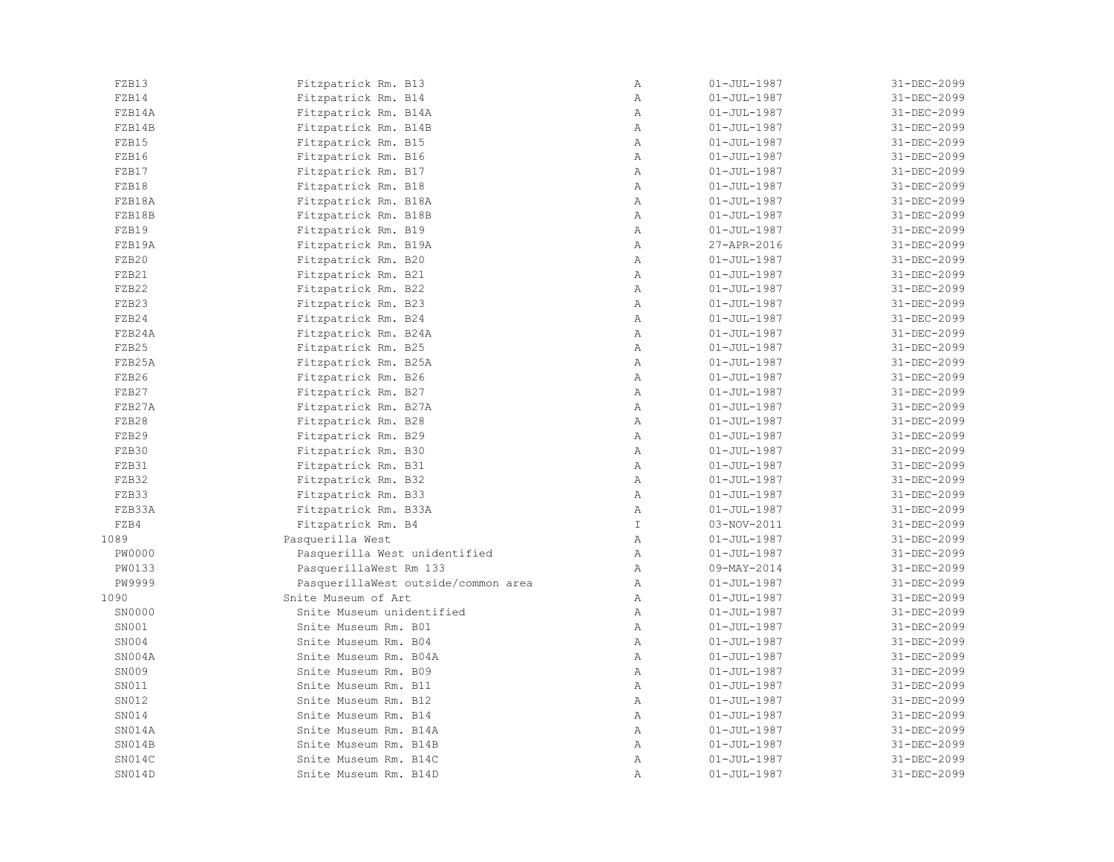| FZB13         | Fitzpatrick Rm. B13                        | $\, {\bf A}$  | $01 - JUL - 1987$ | 31-DEC-2099 |
|---------------|--------------------------------------------|---------------|-------------------|-------------|
| FZB14         | Fitzpatrick Rm. B14                        | $\mathbb{A}$  | $01 - JUL - 1987$ | 31-DEC-2099 |
| FZB14A        | Fitzpatrick Rm. B14A                       | Α             | $01 - JUL - 1987$ | 31-DEC-2099 |
| FZB14B        | Fitzpatrick Rm. B14B                       | $\, {\bf A}$  | $01 - JUL - 1987$ | 31-DEC-2099 |
| FZB15         | Fitzpatrick Rm. B15                        | $\lambda$     | $01 - JUL - 1987$ | 31-DEC-2099 |
| FZB16         | Fitzpatrick Rm. B16                        | $\mathbb{A}$  | $01 - JUL - 1987$ | 31-DEC-2099 |
| FZB17         | Fitzpatrick Rm. B17                        | $\mathbb{A}$  | $01 - JUL - 1987$ | 31-DEC-2099 |
| FZB18         | Fitzpatrick Rm. B18                        | $\mathbb{A}$  | $01 - JUL - 1987$ | 31-DEC-2099 |
| FZB18A        | Fitzpatrick Rm. B18A                       | $\mathbb{A}$  | $01 - JUL - 1987$ | 31-DEC-2099 |
| FZB18B        | Fitzpatrick Rm. B18B                       | $\mathbb{A}$  | $01 - JUL - 1987$ | 31-DEC-2099 |
| FZB19         | Fitzpatrick Rm. B19                        | Α             | $01 - JUL - 1987$ | 31-DEC-2099 |
| FZB19A        | Fitzpatrick Rm. B19A                       | $\mathbb{A}$  | 27-APR-2016       | 31-DEC-2099 |
| FZB20         | Fitzpatrick Rm. B20                        | Α             | $01 - JUL - 1987$ | 31-DEC-2099 |
| FZB21         | Fitzpatrick Rm. B21                        | $\mathbb{A}$  | $01 - JUL - 1987$ | 31-DEC-2099 |
| FZB22         | Fitzpatrick Rm. B22                        | $\mathbb{A}$  | $01 - JUL - 1987$ | 31-DEC-2099 |
| FZB23         | Fitzpatrick Rm. B23                        | $\mathbb{A}$  | $01 - JUL - 1987$ | 31-DEC-2099 |
| FZB24         | Fitzpatrick Rm. B24                        | $\mathbb{A}$  | $01 - JUL - 1987$ | 31-DEC-2099 |
| FZB24A        | Fitzpatrick Rm. B24A                       | Α             | $01 - JUL - 1987$ | 31-DEC-2099 |
| FZB25         | Fitzpatrick Rm. B25                        | $\mathbb{A}$  | $01 - JUL - 1987$ | 31-DEC-2099 |
| FZB25A        | Fitzpatrick Rm. B25A                       | $\mathbb{A}$  | $01 - JUL - 1987$ | 31-DEC-2099 |
| FZB26         | Fitzpatrick Rm. B26                        | $\mathbb{A}$  | $01 - JUL - 1987$ | 31-DEC-2099 |
| FZB27         | Fitzpatrick Rm. B27                        | Α             | $01 - JUL - 1987$ | 31-DEC-2099 |
| FZB27A        | Fitzpatrick Rm. B27A                       | $\mathbb{A}$  | $01 - JUL - 1987$ | 31-DEC-2099 |
| FZB28         |                                            | $\mathbb{A}$  | $01 - JUL - 1987$ | 31-DEC-2099 |
| FZB29         | Fitzpatrick Rm. B28                        | $\mathbb{A}$  | $01 - JUL - 1987$ | 31-DEC-2099 |
| FZB30         | Fitzpatrick Rm. B29<br>Fitzpatrick Rm. B30 | $\mathbb{A}$  | $01 - JUL - 1987$ | 31-DEC-2099 |
| FZB31         | Fitzpatrick Rm. B31                        | $\mathbb{A}$  | $01 - JUL - 1987$ | 31-DEC-2099 |
| FZB32         |                                            | $\mathbb{A}$  | $01 - JUL - 1987$ | 31-DEC-2099 |
| FZB33         | Fitzpatrick Rm. B32                        | $\mathbb{A}$  |                   |             |
|               | Fitzpatrick Rm. B33                        | $\mathbb{A}$  | $01 - JUL - 1987$ | 31-DEC-2099 |
| FZB33A        | Fitzpatrick Rm. B33A                       |               | $01 - JUL - 1987$ | 31-DEC-2099 |
| FZB4          | Fitzpatrick Rm. B4                         | $\mathbbm{I}$ | 03-NOV-2011       | 31-DEC-2099 |
| 1089          | Pasquerilla West                           | $\mathbb{A}$  | $01 - JUL - 1987$ | 31-DEC-2099 |
| <b>PW0000</b> | Pasquerilla West unidentified              | $\mathbb{A}$  | $01 - JUL - 1987$ | 31-DEC-2099 |
| PW0133        | PasquerillaWest Rm 133                     | $\mathbb{A}$  | 09-MAY-2014       | 31-DEC-2099 |
| PW9999        | PasquerillaWest outside/common area        | $\mathbb{A}$  | $01 - JUL - 1987$ | 31-DEC-2099 |
| 1090          | Snite Museum of Art                        | $\mathbb{A}$  | $01 - JUL - 1987$ | 31-DEC-2099 |
| SN0000        | Snite Museum unidentified                  | $\mathbb{A}$  | $01 - JUL - 1987$ | 31-DEC-2099 |
| SN001         | Snite Museum Rm. B01                       | $\mathbb{A}$  | $01 - JUL - 1987$ | 31-DEC-2099 |
| SN004         | Snite Museum Rm. B04                       | $\mathbb{A}$  | $01 - JUL - 1987$ | 31-DEC-2099 |
| SN004A        | Snite Museum Rm. B04A                      | Α             | $01 - JUL - 1987$ | 31-DEC-2099 |
| SN009         | Snite Museum Rm. B09                       | $\mathbb{A}$  | $01 - JUL - 1987$ | 31-DEC-2099 |
| SN011         | Snite Museum Rm. B11                       | $\mathbb{A}$  | $01 - JUL - 1987$ | 31-DEC-2099 |
| SN012         | Snite Museum Rm. B12                       | $\mathbb{A}$  | $01 - JUL - 1987$ | 31-DEC-2099 |
| SN014         | Snite Museum Rm. B14                       | $\mathbb{A}$  | $01 - JUL - 1987$ | 31-DEC-2099 |
| SN014A        | Snite Museum Rm. B14A                      | $\mathbb{A}$  | $01 - JUL - 1987$ | 31-DEC-2099 |
| SN014B        | Snite Museum Rm. B14B                      | $\mathbb{A}$  | $01 - JUL - 1987$ | 31-DEC-2099 |
| SN014C        | Snite Museum Rm. B14C                      | $\, {\bf A}$  | $01 - JUL - 1987$ | 31-DEC-2099 |
| SN014D        | Snite Museum Rm. B14D                      | Α             | $01 - JUL - 1987$ | 31-DEC-2099 |
|               |                                            |               |                   |             |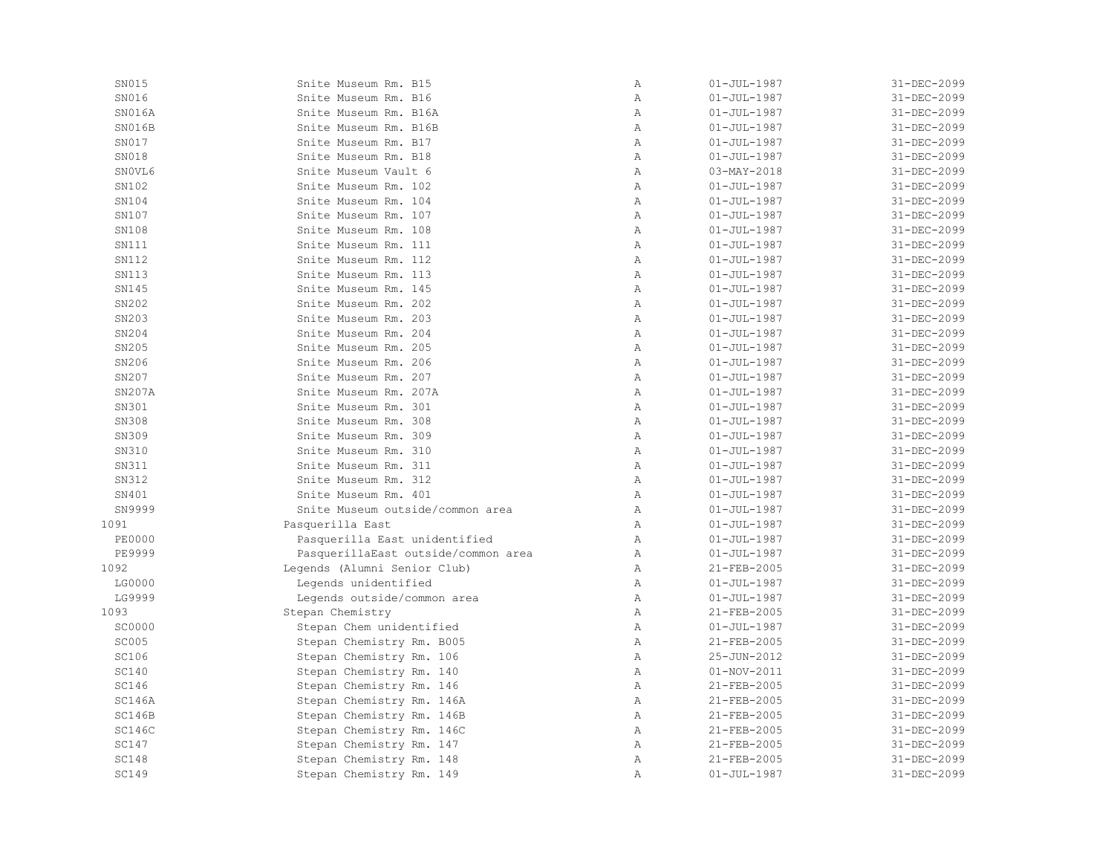| SN015         | Snite Museum Rm. B15                | $\mathbb{A}$ | $01 - JUL - 1987$ | 31-DEC-2099 |
|---------------|-------------------------------------|--------------|-------------------|-------------|
| SN016         | Snite Museum Rm. B16                | Α            | $01 - JUL - 1987$ | 31-DEC-2099 |
| SN016A        | Snite Museum Rm. B16A               | $\mathbb{A}$ | $01 - JUL - 1987$ | 31-DEC-2099 |
| SN016B        | Snite Museum Rm. B16B               | $\mathbb{A}$ | $01 - JUL - 1987$ | 31-DEC-2099 |
| SN017         | Snite Museum Rm. B17                | $\lambda$    | $01 - JUL - 1987$ | 31-DEC-2099 |
| SN018         | Snite Museum Rm. B18                | $\mathbb{A}$ | $01 - JUL - 1987$ | 31-DEC-2099 |
| SNOVL6        | Snite Museum Vault 6                | $\mathbb{A}$ | $03 - MAX - 2018$ | 31-DEC-2099 |
| SN102         | Snite Museum Rm. 102                | $\mathbb{A}$ | $01 - JUL - 1987$ | 31-DEC-2099 |
| SN104         | Snite Museum Rm. 104                | $\mathbb{A}$ | $01 - JUL - 1987$ | 31-DEC-2099 |
| SN107         | Snite Museum Rm. 107                | $\lambda$    | $01 - JUL - 1987$ | 31-DEC-2099 |
| SN108         | Snite Museum Rm. 108                | $\mathbb{A}$ | $01 - JUL - 1987$ | 31-DEC-2099 |
| SN111         | Snite Museum Rm. 111                | $\mathbb{A}$ | $01 - JUL - 1987$ | 31-DEC-2099 |
| SN112         | Snite Museum Rm. 112                | $\lambda$    | $01 - JUL - 1987$ | 31-DEC-2099 |
| SN113         | Snite Museum Rm. 113                | $\mathbb{A}$ | $01 - JUL - 1987$ | 31-DEC-2099 |
| SN145         | Snite Museum Rm. 145                | $\mathbb{A}$ | $01 - JUL - 1987$ | 31-DEC-2099 |
| SN202         | Snite Museum Rm. 202                | $\mathbb{A}$ | $01 - JUL - 1987$ | 31-DEC-2099 |
| SN203         | Snite Museum Rm. 203                | $\mathbb{A}$ | $01 - JUL - 1987$ | 31-DEC-2099 |
| SN204         | Snite Museum Rm. 204                | $\lambda$    | $01 - JUL - 1987$ | 31-DEC-2099 |
| SN205         | Snite Museum Rm. 205                | $\mathbb{A}$ | $01 - JUL - 1987$ | 31-DEC-2099 |
| SN206         | Snite Museum Rm. 206                | $\mathbb{A}$ | $01 - JUL - 1987$ | 31-DEC-2099 |
| SN207         | Snite Museum Rm. 207                | $\lambda$    | $01 - JUL - 1987$ | 31-DEC-2099 |
| SN207A        | Snite Museum Rm. 207A               | $\mathbb{A}$ | $01 - JUL - 1987$ | 31-DEC-2099 |
| SN301         | Snite Museum Rm. 301                | $\mathbb{A}$ | $01 - JUL - 1987$ | 31-DEC-2099 |
| SN308         | Snite Museum Rm. 308                | $\mathbb{A}$ | $01 - JUL - 1987$ | 31-DEC-2099 |
| SN309         | Snite Museum Rm. 309                | A            | $01 - JUL - 1987$ | 31-DEC-2099 |
| SN310         | Snite Museum Rm. 310                | $\lambda$    | $01 - JUL - 1987$ | 31-DEC-2099 |
| SN311         | Snite Museum Rm. 311                | $\mathbb{A}$ | $01 - JUL - 1987$ | 31-DEC-2099 |
| SN312         | Snite Museum Rm. 312                | $\lambda$    | $01 - JUL - 1987$ | 31-DEC-2099 |
| SN401         | Snite Museum Rm. 401                | A            | $01 - JUL - 1987$ | 31-DEC-2099 |
| SN9999        | Snite Museum outside/common area    | $\mathbb{A}$ | $01 - JUL - 1987$ | 31-DEC-2099 |
| 1091          | Pasquerilla East                    | A            | $01 - JUL - 1987$ | 31-DEC-2099 |
| <b>PE0000</b> | Pasquerilla East unidentified       | A            | $01 - JUL - 1987$ | 31-DEC-2099 |
| <b>PE9999</b> | PasquerillaEast outside/common area | $\mathbb{A}$ | $01 - JUL - 1987$ | 31-DEC-2099 |
| 1092          | Legends (Alumni Senior Club)        | $\lambda$    | 21-FEB-2005       | 31-DEC-2099 |
| LG0000        | Legends unidentified                | $\mathbb{A}$ | $01 - JUL - 1987$ | 31-DEC-2099 |
| LG9999        | Legends outside/common area         | $\mathbb{A}$ | $01 - JUL - 1987$ | 31-DEC-2099 |
| 1093          | Stepan Chemistry                    | $\mathbb{A}$ | 21-FEB-2005       | 31-DEC-2099 |
| <b>SC0000</b> | Stepan Chem unidentified            | $\mathbb{A}$ | $01 - JUL - 1987$ | 31-DEC-2099 |
| <b>SC005</b>  | Stepan Chemistry Rm. B005           | Α            | 21-FEB-2005       | 31-DEC-2099 |
| SC106         | Stepan Chemistry Rm. 106            | $\mathbb{A}$ | 25-JUN-2012       | 31-DEC-2099 |
| <b>SC140</b>  | Stepan Chemistry Rm. 140            | $\mathbb{A}$ | $01 - NOV - 2011$ | 31-DEC-2099 |
| SC146         | Stepan Chemistry Rm. 146            | $\mathbb{A}$ | 21-FEB-2005       | 31-DEC-2099 |
| SC146A        | Stepan Chemistry Rm. 146A           | $\mathbb{A}$ | 21-FEB-2005       | 31-DEC-2099 |
| SC146B        | Stepan Chemistry Rm. 146B           | $\mathbb{A}$ | 21-FEB-2005       | 31-DEC-2099 |
| <b>SC146C</b> | Stepan Chemistry Rm. 146C           | $\mathbb{A}$ | 21-FEB-2005       | 31-DEC-2099 |
| <b>SC147</b>  | Stepan Chemistry Rm. 147            | $\lambda$    | 21-FEB-2005       | 31-DEC-2099 |
| <b>SC148</b>  | Stepan Chemistry Rm. 148            | $\mathbb{A}$ | 21-FEB-2005       | 31-DEC-2099 |
| <b>SC149</b>  | Stepan Chemistry Rm. 149            | $\mathbb{A}$ | $01 - JUL - 1987$ | 31-DEC-2099 |
|               |                                     |              |                   |             |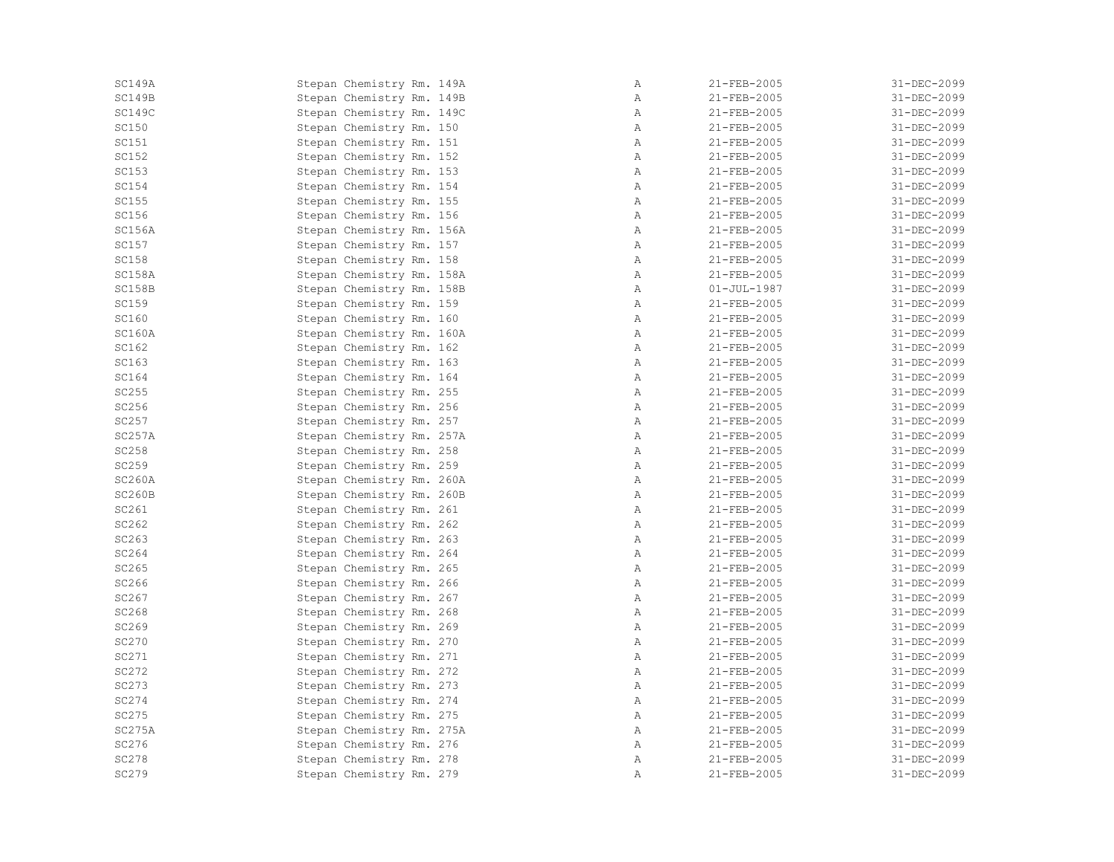| SC149A       | Stepan Chemistry Rm. 149A | Α            | 21-FEB-2005       | 31-DEC-2099 |
|--------------|---------------------------|--------------|-------------------|-------------|
| SC149B       | Stepan Chemistry Rm. 149B | Α            | 21-FEB-2005       | 31-DEC-2099 |
| SC149C       | Stepan Chemistry Rm. 149C | $\mathbb{A}$ | 21-FEB-2005       | 31-DEC-2099 |
| SC150        | Stepan Chemistry Rm. 150  | Α            | 21-FEB-2005       | 31-DEC-2099 |
| SC151        | Stepan Chemistry Rm. 151  | $\mathbb{A}$ | 21-FEB-2005       | 31-DEC-2099 |
| SC152        | Stepan Chemistry Rm. 152  | Α            | 21-FEB-2005       | 31-DEC-2099 |
| <b>SC153</b> | Stepan Chemistry Rm. 153  | $\mathbb{A}$ | 21-FEB-2005       | 31-DEC-2099 |
| <b>SC154</b> | Stepan Chemistry Rm. 154  | Α            | 21-FEB-2005       | 31-DEC-2099 |
| SC155        | Stepan Chemistry Rm. 155  | $\mathbb{A}$ | 21-FEB-2005       | 31-DEC-2099 |
| SC156        | Stepan Chemistry Rm. 156  | Α            | 21-FEB-2005       | 31-DEC-2099 |
| SC156A       | Stepan Chemistry Rm. 156A | $\mathbb{A}$ | 21-FEB-2005       | 31-DEC-2099 |
| SC157        | Stepan Chemistry Rm. 157  | $\mathbb{A}$ | 21-FEB-2005       | 31-DEC-2099 |
| <b>SC158</b> | Stepan Chemistry Rm. 158  | $\mathbb{A}$ | 21-FEB-2005       | 31-DEC-2099 |
| SC158A       | Stepan Chemistry Rm. 158A | $\mathbb{A}$ | 21-FEB-2005       | 31-DEC-2099 |
| SC158B       | Stepan Chemistry Rm. 158B | Α            | $01 - JUL - 1987$ | 31-DEC-2099 |
| SC159        | Stepan Chemistry Rm. 159  | Α            | 21-FEB-2005       | 31-DEC-2099 |
| <b>SC160</b> | Stepan Chemistry Rm. 160  | Α            | 21-FEB-2005       | 31-DEC-2099 |
| SC160A       | Stepan Chemistry Rm. 160A | Α            | 21-FEB-2005       | 31-DEC-2099 |
| SC162        | Stepan Chemistry Rm. 162  | $\mathbb{A}$ | 21-FEB-2005       | 31-DEC-2099 |
| SC163        | Stepan Chemistry Rm. 163  | Α            | 21-FEB-2005       | 31-DEC-2099 |
| SC164        | Stepan Chemistry Rm. 164  | $\mathbb{A}$ | 21-FEB-2005       | 31-DEC-2099 |
| SC255        | Stepan Chemistry Rm. 255  | Α            | 21-FEB-2005       | 31-DEC-2099 |
| SC256        | Stepan Chemistry Rm. 256  | Α            | 21-FEB-2005       | 31-DEC-2099 |
| SC257        | Stepan Chemistry Rm. 257  | Α            | 21-FEB-2005       | 31-DEC-2099 |
| SC257A       | Stepan Chemistry Rm. 257A | $\mathbb{A}$ | 21-FEB-2005       | 31-DEC-2099 |
| SC258        | Stepan Chemistry Rm. 258  | Α            | 21-FEB-2005       | 31-DEC-2099 |
| SC259        | Stepan Chemistry Rm. 259  | $\mathbb{A}$ | 21-FEB-2005       | 31-DEC-2099 |
| SC260A       | Stepan Chemistry Rm. 260A | Α            | 21-FEB-2005       | 31-DEC-2099 |
| SC260B       | Stepan Chemistry Rm. 260B | Α            | 21-FEB-2005       | 31-DEC-2099 |
| SC261        | Stepan Chemistry Rm. 261  | $\mathbb{A}$ | 21-FEB-2005       | 31-DEC-2099 |
| SC262        | Stepan Chemistry Rm. 262  | Α            | 21-FEB-2005       | 31-DEC-2099 |
| SC263        | Stepan Chemistry Rm. 263  | $\mathbb{A}$ | 21-FEB-2005       | 31-DEC-2099 |
| SC264        | Stepan Chemistry Rm. 264  | Α            | 21-FEB-2005       | 31-DEC-2099 |
| SC265        | Stepan Chemistry Rm. 265  | Α            | 21-FEB-2005       | 31-DEC-2099 |
| SC266        | Stepan Chemistry Rm. 266  | $\mathbb{A}$ | 21-FEB-2005       | 31-DEC-2099 |
| SC267        | Stepan Chemistry Rm. 267  | Α            | 21-FEB-2005       | 31-DEC-2099 |
| SC268        | Stepan Chemistry Rm. 268  | Α            | 21-FEB-2005       | 31-DEC-2099 |
| SC269        | Stepan Chemistry Rm. 269  | $\mathbb{A}$ | 21-FEB-2005       | 31-DEC-2099 |
| SC270        | Stepan Chemistry Rm. 270  | $\mathbb{A}$ | 21-FEB-2005       | 31-DEC-2099 |
| SC271        | Stepan Chemistry Rm. 271  | Α            | 21-FEB-2005       | 31-DEC-2099 |
| SC272        | Stepan Chemistry Rm. 272  | Α            | 21-FEB-2005       | 31-DEC-2099 |
| <b>SC273</b> | Stepan Chemistry Rm. 273  | $\mathbb{A}$ | 21-FEB-2005       | 31-DEC-2099 |
| SC274        | Stepan Chemistry Rm. 274  | $\mathbb{A}$ | 21-FEB-2005       | 31-DEC-2099 |
| SC275        | Stepan Chemistry Rm. 275  | $\mathbb{A}$ | 21-FEB-2005       | 31-DEC-2099 |
| SC275A       | Stepan Chemistry Rm. 275A | $\mathbb{A}$ | 21-FEB-2005       | 31-DEC-2099 |
| SC276        | Stepan Chemistry Rm. 276  | $\mathbb{A}$ | 21-FEB-2005       | 31-DEC-2099 |
| <b>SC278</b> | Stepan Chemistry Rm. 278  | Α            | 21-FEB-2005       | 31-DEC-2099 |
| SC279        | Stepan Chemistry Rm. 279  | Α            | 21-FEB-2005       | 31-DEC-2099 |
|              |                           |              |                   |             |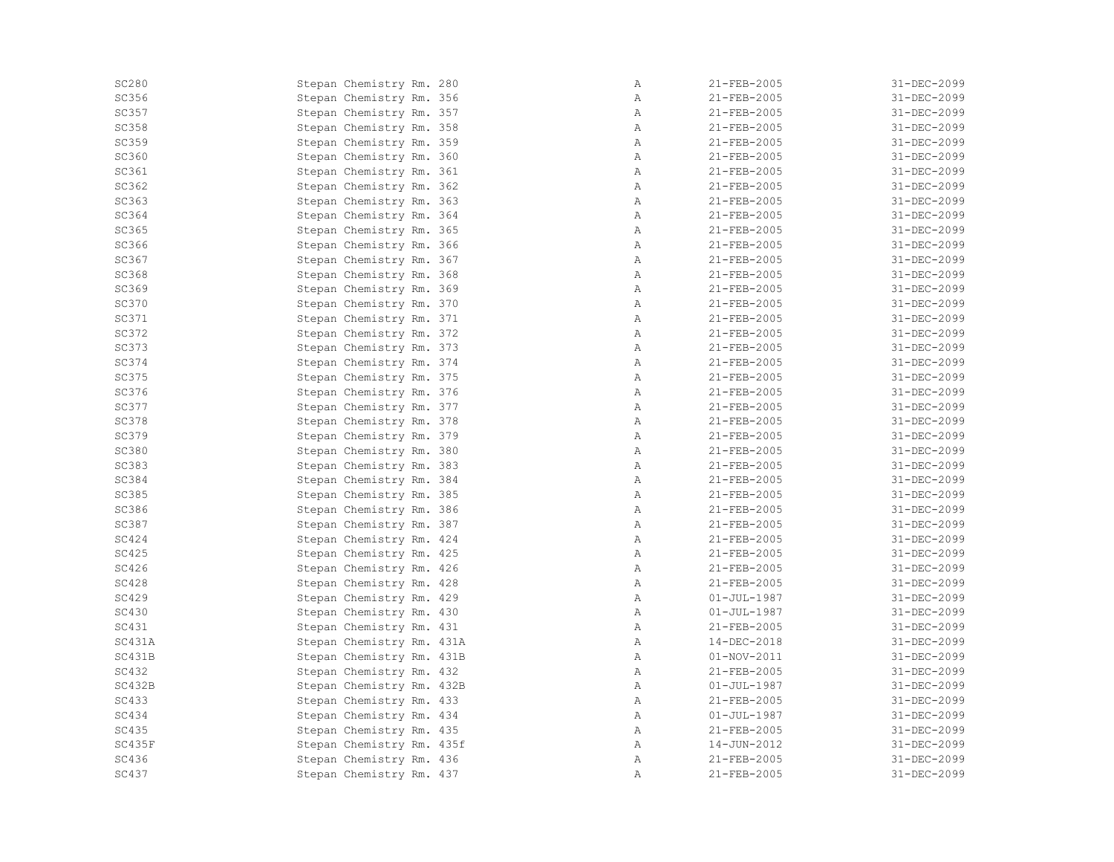| <b>SC280</b> | Stepan Chemistry Rm. 280  | Α            | 21-FEB-2005       | 31-DEC-2099 |
|--------------|---------------------------|--------------|-------------------|-------------|
| SC356        | Stepan Chemistry Rm. 356  | Α            | 21-FEB-2005       | 31-DEC-2099 |
| SC357        | Stepan Chemistry Rm. 357  | $\mathbb{A}$ | 21-FEB-2005       | 31-DEC-2099 |
| <b>SC358</b> | Stepan Chemistry Rm. 358  | Α            | 21-FEB-2005       | 31-DEC-2099 |
| SC359        | Stepan Chemistry Rm. 359  | Α            | 21-FEB-2005       | 31-DEC-2099 |
| SC360        | Stepan Chemistry Rm. 360  | Α            | 21-FEB-2005       | 31-DEC-2099 |
| SC361        | Stepan Chemistry Rm. 361  | $\mathbb{A}$ | 21-FEB-2005       | 31-DEC-2099 |
| SC362        | Stepan Chemistry Rm. 362  | Α            | 21-FEB-2005       | 31-DEC-2099 |
| SC363        | Stepan Chemistry Rm. 363  | Α            | 21-FEB-2005       | 31-DEC-2099 |
| SC364        | Stepan Chemistry Rm. 364  | Α            | 21-FEB-2005       | 31-DEC-2099 |
| SC365        | Stepan Chemistry Rm. 365  | $\mathbb{A}$ | 21-FEB-2005       | 31-DEC-2099 |
| SC366        | Stepan Chemistry Rm. 366  | $\mathbb{A}$ | 21-FEB-2005       | 31-DEC-2099 |
| SC367        | Stepan Chemistry Rm. 367  | $\mathbb{A}$ | 21-FEB-2005       | 31-DEC-2099 |
| <b>SC368</b> | Stepan Chemistry Rm. 368  | $\mathbb{A}$ | 21-FEB-2005       | 31-DEC-2099 |
| SC369        | Stepan Chemistry Rm. 369  | Α            | 21-FEB-2005       | 31-DEC-2099 |
| <b>SC370</b> | Stepan Chemistry Rm. 370  | Α            | 21-FEB-2005       | 31-DEC-2099 |
| SC371        | Stepan Chemistry Rm. 371  | Α            | 21-FEB-2005       | 31-DEC-2099 |
| SC372        | Stepan Chemistry Rm. 372  | Α            | 21-FEB-2005       | 31-DEC-2099 |
| <b>SC373</b> | Stepan Chemistry Rm. 373  | $\mathbb{A}$ | 21-FEB-2005       | 31-DEC-2099 |
| <b>SC374</b> | Stepan Chemistry Rm. 374  | Α            | 21-FEB-2005       | 31-DEC-2099 |
| <b>SC375</b> | Stepan Chemistry Rm. 375  | $\mathbb{A}$ | 21-FEB-2005       | 31-DEC-2099 |
| SC376        | Stepan Chemistry Rm. 376  | Α            | 21-FEB-2005       | 31-DEC-2099 |
| <b>SC377</b> | Stepan Chemistry Rm. 377  | Α            | 21-FEB-2005       | 31-DEC-2099 |
| <b>SC378</b> | Stepan Chemistry Rm. 378  | Α            | 21-FEB-2005       | 31-DEC-2099 |
| <b>SC379</b> | Stepan Chemistry Rm. 379  | $\mathbb{A}$ | 21-FEB-2005       | 31-DEC-2099 |
| <b>SC380</b> | Stepan Chemistry Rm. 380  | Α            | 21-FEB-2005       | 31-DEC-2099 |
| <b>SC383</b> | Stepan Chemistry Rm. 383  | Α            | 21-FEB-2005       | 31-DEC-2099 |
| <b>SC384</b> | Stepan Chemistry Rm. 384  | Α            | $21 - FEB - 2005$ | 31-DEC-2099 |
| <b>SC385</b> | Stepan Chemistry Rm. 385  | Α            | 21-FEB-2005       | 31-DEC-2099 |
| SC386        | Stepan Chemistry Rm. 386  | Α            | 21-FEB-2005       | 31-DEC-2099 |
| SC387        | Stepan Chemistry Rm. 387  | Α            | 21-FEB-2005       | 31-DEC-2099 |
| <b>SC424</b> | Stepan Chemistry Rm. 424  | Α            | 21-FEB-2005       | 31-DEC-2099 |
| <b>SC425</b> | Stepan Chemistry Rm. 425  | Α            | 21-FEB-2005       | 31-DEC-2099 |
| SC426        | Stepan Chemistry Rm. 426  | Α            | 21-FEB-2005       | 31-DEC-2099 |
| <b>SC428</b> | Stepan Chemistry Rm. 428  | $\mathbb{A}$ | 21-FEB-2005       | 31-DEC-2099 |
| <b>SC429</b> | Stepan Chemistry Rm. 429  | Α            | $01 - JUL - 1987$ | 31-DEC-2099 |
| <b>SC430</b> | Stepan Chemistry Rm. 430  | Α            | $01 - JUL - 1987$ | 31-DEC-2099 |
| <b>SC431</b> | Stepan Chemistry Rm. 431  | $\mathbb{A}$ | 21-FEB-2005       | 31-DEC-2099 |
| SC431A       | Stepan Chemistry Rm. 431A | $\mathbb{A}$ | 14-DEC-2018       | 31-DEC-2099 |
| SC431B       | Stepan Chemistry Rm. 431B | Α            | $01 - NOV - 2011$ | 31-DEC-2099 |
| <b>SC432</b> | Stepan Chemistry Rm. 432  | Α            | 21-FEB-2005       | 31-DEC-2099 |
| SC432B       | Stepan Chemistry Rm. 432B | Α            | $01 - JUL - 1987$ | 31-DEC-2099 |
| SC433        | Stepan Chemistry Rm. 433  | Α            | 21-FEB-2005       | 31-DEC-2099 |
| SC434        | Stepan Chemistry Rm. 434  | Α            | $01 - JUL - 1987$ | 31-DEC-2099 |
| <b>SC435</b> | Stepan Chemistry Rm. 435  | Α            | 21-FEB-2005       | 31-DEC-2099 |
| SC435F       | Stepan Chemistry Rm. 435f | $\mathbb{A}$ | 14-JUN-2012       | 31-DEC-2099 |
| SC436        | Stepan Chemistry Rm. 436  | Α            | 21-FEB-2005       | 31-DEC-2099 |
| <b>SC437</b> | Stepan Chemistry Rm. 437  | Α            | 21-FEB-2005       | 31-DEC-2099 |
|              |                           |              |                   |             |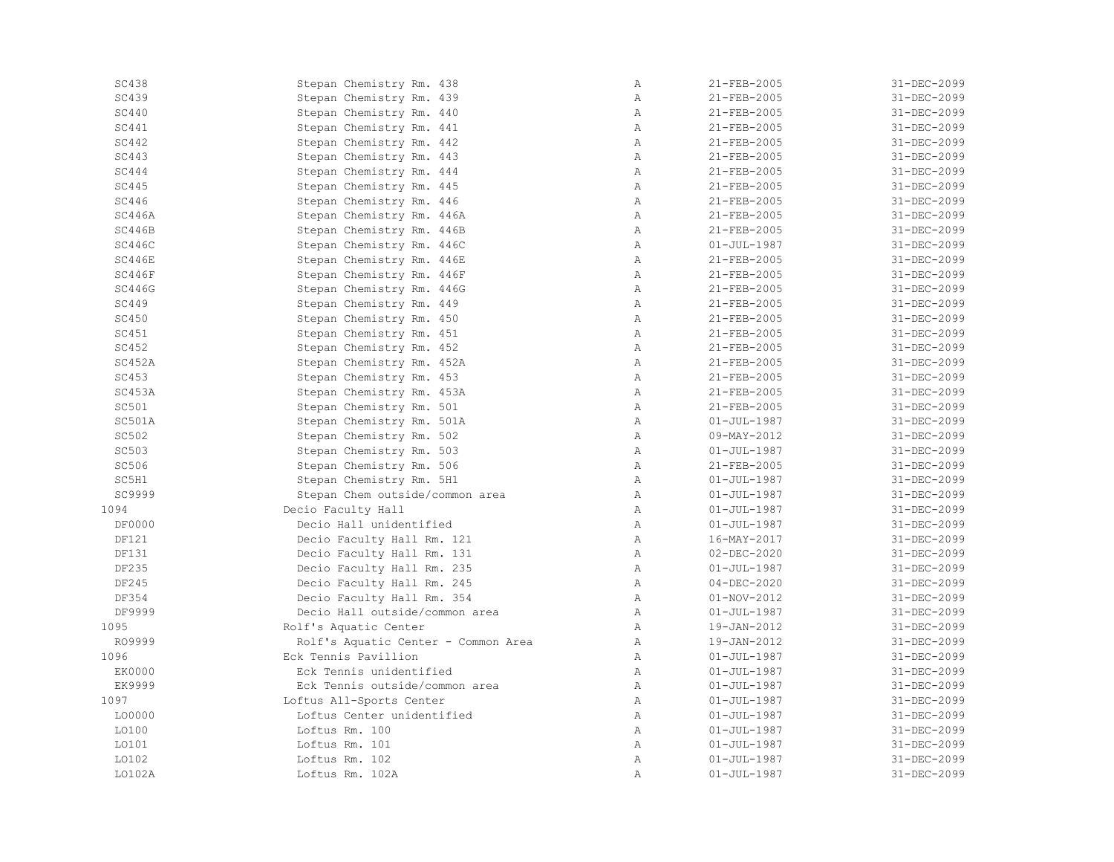| <b>SC438</b>  | Stepan Chemistry Rm. 438            | Α            | 21-FEB-2005       | 31-DEC-2099 |
|---------------|-------------------------------------|--------------|-------------------|-------------|
| <b>SC439</b>  | Stepan Chemistry Rm. 439            | $\mathbb{A}$ | 21-FEB-2005       | 31-DEC-2099 |
| <b>SC440</b>  | Stepan Chemistry Rm. 440            | Α            | 21-FEB-2005       | 31-DEC-2099 |
| SC441         | Stepan Chemistry Rm. 441            | $\mathbb{A}$ | 21-FEB-2005       | 31-DEC-2099 |
| SC442         | Stepan Chemistry Rm. 442            | $\lambda$    | 21-FEB-2005       | 31-DEC-2099 |
| SC443         | Stepan Chemistry Rm. 443            | $\mathbb{A}$ | 21-FEB-2005       | 31-DEC-2099 |
| SC444         | Stepan Chemistry Rm. 444            | Α            | 21-FEB-2005       | 31-DEC-2099 |
| <b>SC445</b>  | Stepan Chemistry Rm. 445            | Α            | 21-FEB-2005       | 31-DEC-2099 |
| SC446         | Stepan Chemistry Rm. 446            | $\mathbb{A}$ | 21-FEB-2005       | 31-DEC-2099 |
| SC446A        | Stepan Chemistry Rm. 446A           | Α            | 21-FEB-2005       | 31-DEC-2099 |
| SC446B        | Stepan Chemistry Rm. 446B           | Α            | 21-FEB-2005       | 31-DEC-2099 |
| SC446C        | Stepan Chemistry Rm. 446C           | $\mathbb{A}$ | $01 - JUL - 1987$ | 31-DEC-2099 |
| SC446E        | Stepan Chemistry Rm. 446E           | Α            | 21-FEB-2005       | 31-DEC-2099 |
| SC446F        | Stepan Chemistry Rm. 446F           | $\mathbb{A}$ | 21-FEB-2005       | 31-DEC-2099 |
| SC446G        | Stepan Chemistry Rm. 446G           | $\mathbb{A}$ | 21-FEB-2005       | 31-DEC-2099 |
| SC449         | Stepan Chemistry Rm. 449            | Α            | 21-FEB-2005       | 31-DEC-2099 |
| SC450         | Stepan Chemistry Rm. 450            | $\mathbb{A}$ | 21-FEB-2005       | 31-DEC-2099 |
| SC451         | Stepan Chemistry Rm. 451            | $\mathbb{A}$ | 21-FEB-2005       | 31-DEC-2099 |
| SC452         | Stepan Chemistry Rm. 452            | Α            | 21-FEB-2005       | 31-DEC-2099 |
| SC452A        | Stepan Chemistry Rm. 452A           | $\mathbb{A}$ | 21-FEB-2005       | 31-DEC-2099 |
| <b>SC453</b>  | Stepan Chemistry Rm. 453            | $\mathbb{A}$ | 21-FEB-2005       | 31-DEC-2099 |
| SC453A        | Stepan Chemistry Rm. 453A           | Α            | 21-FEB-2005       | 31-DEC-2099 |
| SC501         | Stepan Chemistry Rm. 501            | $\mathbb{A}$ | 21-FEB-2005       | 31-DEC-2099 |
| SC501A        | Stepan Chemistry Rm. 501A           | $\mathbb{A}$ | $01 - JUL - 1987$ | 31-DEC-2099 |
| SC502         | Stepan Chemistry Rm. 502            | $\mathbb{A}$ | 09-MAY-2012       | 31-DEC-2099 |
| SC503         | Stepan Chemistry Rm. 503            | $\mathbb A$  | $01 - JUL - 1987$ | 31-DEC-2099 |
| SC506         | Stepan Chemistry Rm. 506            | $\mathbb{A}$ | 21-FEB-2005       | 31-DEC-2099 |
| SC5H1         | Stepan Chemistry Rm. 5H1            | $\mathbb{A}$ | $01 - JUL - 1987$ | 31-DEC-2099 |
| SC9999        | Stepan Chem outside/common area     | $\mathbb{A}$ | $01 - JUL - 1987$ | 31-DEC-2099 |
| 1094          | Decio Faculty Hall                  | Α            | $01 - JUL - 1987$ | 31-DEC-2099 |
| <b>DF0000</b> | Decio Hall unidentified             | Α            | $01 - JUL - 1987$ | 31-DEC-2099 |
| <b>DF121</b>  | Decio Faculty Hall Rm. 121          | $\mathbb{A}$ | 16-MAY-2017       | 31-DEC-2099 |
| <b>DF131</b>  | Decio Faculty Hall Rm. 131          | $\mathbb{A}$ | $02 - DEC - 2020$ | 31-DEC-2099 |
| DF235         | Decio Faculty Hall Rm. 235          | $\mathbb{A}$ | $01 - JUL - 1987$ | 31-DEC-2099 |
| DF245         | Decio Faculty Hall Rm. 245          | $\mathbb{A}$ | $04 - DEC - 2020$ | 31-DEC-2099 |
| DF354         | Decio Faculty Hall Rm. 354          | $\mathbb{A}$ | $01 - NOV - 2012$ | 31-DEC-2099 |
| DF9999        | Decio Hall outside/common area      | $\mathbb{A}$ | $01 - JUL - 1987$ | 31-DEC-2099 |
| 1095          | Rolf's Aquatic Center               | Α            | 19-JAN-2012       | 31-DEC-2099 |
| RO9999        | Rolf's Aquatic Center - Common Area | $\mathbb{A}$ | 19-JAN-2012       | 31-DEC-2099 |
| 1096          | Eck Tennis Pavillion                | Α            | $01 - JUL - 1987$ | 31-DEC-2099 |
| <b>EK0000</b> | Eck Tennis unidentified             | Α            | $01 - JUL - 1987$ | 31-DEC-2099 |
| EK9999        | Eck Tennis outside/common area      | $\mathbb{A}$ | $01 - JUL - 1987$ | 31-DEC-2099 |
| 1097          | Loftus All-Sports Center            | $\mathbb{A}$ | $01 - JUL - 1987$ | 31-DEC-2099 |
| L00000        | Loftus Center unidentified          | $\mathbb{A}$ | $01 - JUL - 1987$ | 31-DEC-2099 |
| L0100         | Loftus Rm. 100                      | $\mathbb{A}$ | $01 - JUL - 1987$ | 31-DEC-2099 |
| L0101         | Loftus Rm. 101                      | $\mathbb{A}$ | $01 - JUL - 1987$ | 31-DEC-2099 |
| L0102         | Loftus Rm. 102                      | Α            | $01 - JUL - 1987$ | 31-DEC-2099 |
| LO102A        | Loftus Rm. 102A                     | Α            | $01 - JUL - 1987$ | 31-DEC-2099 |
|               |                                     |              |                   |             |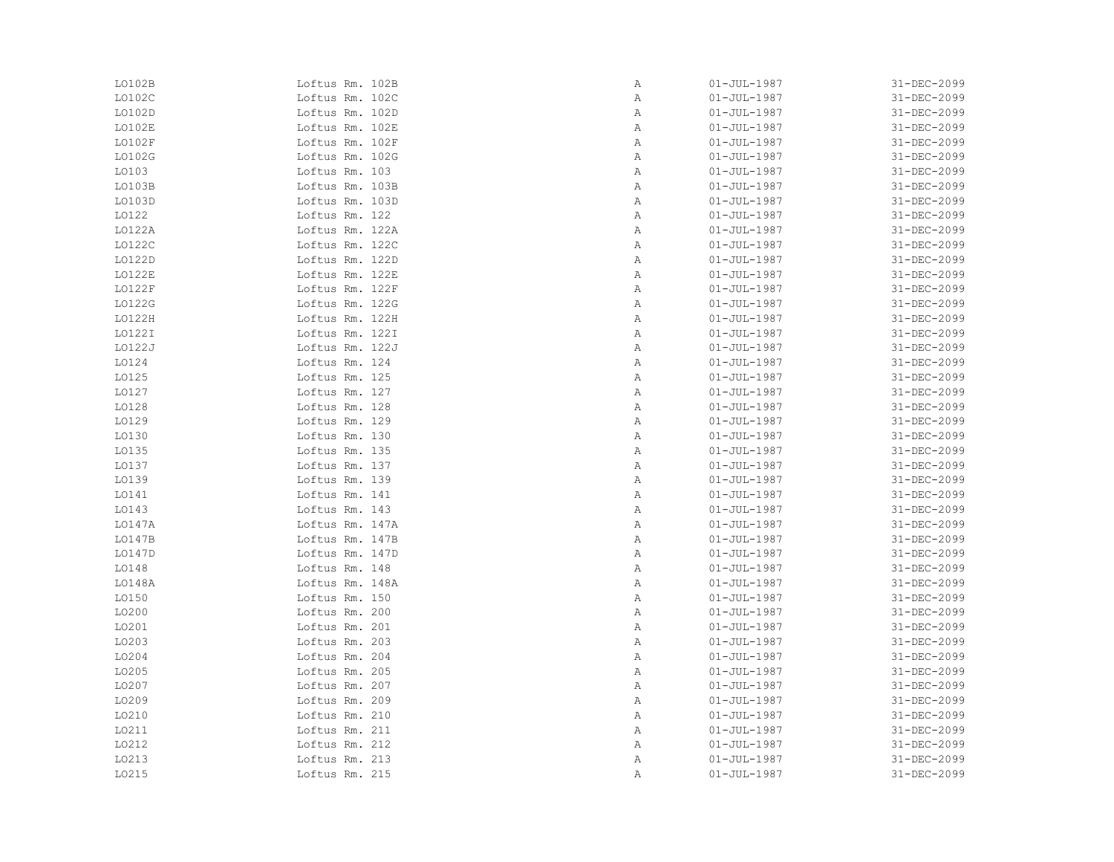| L0102B | Loftus Rm. 102B | Α | $01 - JUL - 1987$ | 31-DEC-2099 |
|--------|-----------------|---|-------------------|-------------|
| LO102C | Loftus Rm. 102C | Α | $01 - JUL - 1987$ | 31-DEC-2099 |
| LO102D | Loftus Rm. 102D | Α | $01 - JUL - 1987$ | 31-DEC-2099 |
| LO102E | Loftus Rm. 102E | Α | $01 - JUL - 1987$ | 31-DEC-2099 |
| L0102F | Loftus Rm. 102F | Α | $01 - JUL - 1987$ | 31-DEC-2099 |
| L0102G | Loftus Rm. 102G | Α | $01 - JUL - 1987$ | 31-DEC-2099 |
| LO103  | Loftus Rm. 103  | Α | $01 - JUL - 1987$ | 31-DEC-2099 |
| LO103B | Loftus Rm. 103B | Α | $01 - JUL - 1987$ | 31-DEC-2099 |
| L0103D | Loftus Rm. 103D | Α | $01 - JUL - 1987$ | 31-DEC-2099 |
| L0122  | Loftus Rm. 122  | Α | $01 - JUL - 1987$ | 31-DEC-2099 |
| LO122A | Loftus Rm. 122A | Α | $01 - JUL - 1987$ | 31-DEC-2099 |
| L0122C | Loftus Rm. 122C | Α | $01 - JUL - 1987$ | 31-DEC-2099 |
| L0122D | Loftus Rm. 122D | Α | $01 - JUL - 1987$ | 31-DEC-2099 |
| LO122E | Loftus Rm. 122E | Α | $01 - JUL - 1987$ | 31-DEC-2099 |
| L0122F | Loftus Rm. 122F | Α | $01 - JUL - 1987$ | 31-DEC-2099 |
| L0122G | Loftus Rm. 122G | Α | $01 - JUL - 1987$ | 31-DEC-2099 |
| L0122H | Loftus Rm. 122H | Α | $01 - JUL - 1987$ | 31-DEC-2099 |
| LO122I | Loftus Rm. 122I | Α | $01 - JUL - 1987$ | 31-DEC-2099 |
| L0122J | Loftus Rm. 122J | Α | $01 - JUL - 1987$ | 31-DEC-2099 |
| L0124  | Loftus Rm. 124  | Α | $01 - JUL - 1987$ | 31-DEC-2099 |
| L0125  | Loftus Rm. 125  | Α | $01 - JUL - 1987$ | 31-DEC-2099 |
| L0127  | Loftus Rm. 127  | Α | $01 - JUL - 1987$ | 31-DEC-2099 |
| L0128  | Loftus Rm. 128  | Α | $01 - JUL - 1987$ | 31-DEC-2099 |
| L0129  | Loftus Rm. 129  | Α | $01 - JUL - 1987$ | 31-DEC-2099 |
| L0130  | Loftus Rm. 130  | Α | $01 - JUL - 1987$ | 31-DEC-2099 |
| L0135  | Loftus Rm. 135  | Α | $01 - JUL - 1987$ | 31-DEC-2099 |
| L0137  | Loftus Rm. 137  | Α | $01 - JUL - 1987$ | 31-DEC-2099 |
| L0139  | Loftus Rm. 139  | Α | $01 - JUL - 1987$ | 31-DEC-2099 |
| L0141  | Loftus Rm. 141  | Α | $01 - JUL - 1987$ | 31-DEC-2099 |
| LO143  | Loftus Rm. 143  | Α | $01 - JUL - 1987$ | 31-DEC-2099 |
| LO147A | Loftus Rm. 147A | Α | $01 - JUL - 1987$ | 31-DEC-2099 |
| LO147B | Loftus Rm. 147B | Α | $01 - JUL - 1987$ | 31-DEC-2099 |
| L0147D | Loftus Rm. 147D | Α | $01 - JUL - 1987$ | 31-DEC-2099 |
| LO148  | Loftus Rm. 148  | Α | $01 - JUL - 1987$ | 31-DEC-2099 |
| LO148A | Loftus Rm. 148A | Α | $01 - JUL - 1987$ | 31-DEC-2099 |
| L0150  | Loftus Rm. 150  | Α | $01 - JUL - 1987$ | 31-DEC-2099 |
| L0200  | Loftus Rm. 200  | Α | $01 - JUL - 1987$ | 31-DEC-2099 |
| L0201  | Loftus Rm. 201  | Α | $01 - JUL - 1987$ | 31-DEC-2099 |
| L0203  | Loftus Rm. 203  | Α | $01 - JUL - 1987$ | 31-DEC-2099 |
| L0204  | Loftus Rm. 204  | Α | $01 - JUL - 1987$ | 31-DEC-2099 |
| L0205  | Loftus Rm. 205  | Α | $01 - JUL - 1987$ | 31-DEC-2099 |
| L0207  | Loftus Rm. 207  | Α | $01 - JUL - 1987$ | 31-DEC-2099 |
| L0209  | Loftus Rm. 209  | Α | $01 - JUL - 1987$ | 31-DEC-2099 |
| L0210  | Loftus Rm. 210  | Α | $01 - JUL - 1987$ | 31-DEC-2099 |
| L0211  | Loftus Rm. 211  | Α | $01 - JUL - 1987$ | 31-DEC-2099 |
| L0212  | Loftus Rm. 212  | Α | $01 - JUL - 1987$ | 31-DEC-2099 |
| L0213  | Loftus Rm. 213  | Α | $01 - JUL - 1987$ | 31-DEC-2099 |
| L0215  | Loftus Rm. 215  | Α | $01 - JUL - 1987$ | 31-DEC-2099 |
|        |                 |   |                   |             |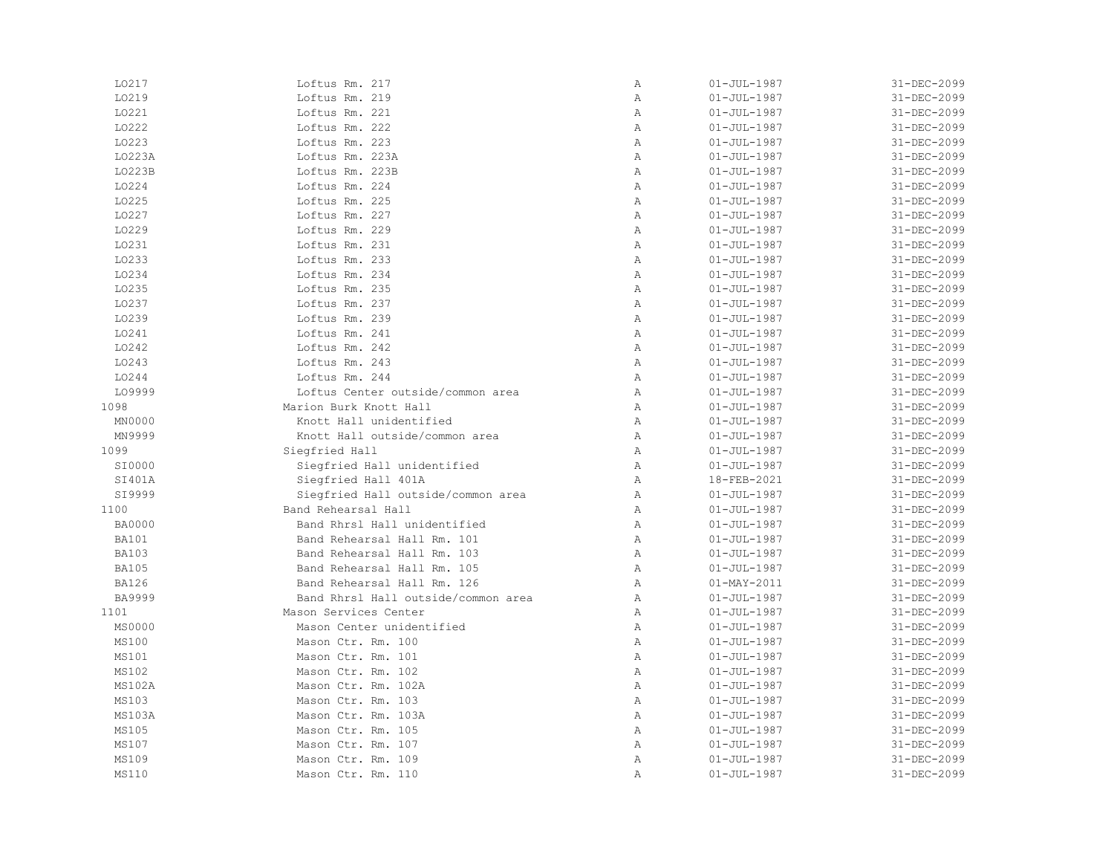| L0217         | Loftus Rm. 217                      | $\, {\bf A}$ | $01 - JUL - 1987$ | 31-DEC-2099 |
|---------------|-------------------------------------|--------------|-------------------|-------------|
| L0219         | Loftus Rm. 219                      | $\mathbb{A}$ | $01 - JUL - 1987$ | 31-DEC-2099 |
| L0221         | Loftus Rm. 221                      | $\mathbb{A}$ | $01 - JUL - 1987$ | 31-DEC-2099 |
| L0222         | Loftus Rm. 222                      | Α            | $01 - JUL - 1987$ | 31-DEC-2099 |
| L0223         | Loftus Rm. 223                      | $\, {\bf A}$ | $01 - JUL - 1987$ | 31-DEC-2099 |
| LO223A        | Loftus Rm. 223A                     | Α            | $01 - JUL - 1987$ | 31-DEC-2099 |
| L0223B        | Loftus Rm. 223B                     | $\mathbb{A}$ | $01 - JUL - 1987$ | 31-DEC-2099 |
| L0224         | Loftus Rm. 224                      | $\mathbb{A}$ | $01 - JUL - 1987$ | 31-DEC-2099 |
| L0225         | Loftus Rm. 225                      | $\mathbb{A}$ | $01 - JUL - 1987$ | 31-DEC-2099 |
| L0227         | Loftus Rm. 227                      | $\mathbb{A}$ | $01 - JUL - 1987$ | 31-DEC-2099 |
| L0229         | Loftus Rm. 229                      | $\mathbb{A}$ | $01 - JUL - 1987$ | 31-DEC-2099 |
| L0231         | Loftus Rm. 231                      | $\mathbb{A}$ | $01 - JUL - 1987$ | 31-DEC-2099 |
| L0233         | Loftus Rm. 233                      | $\, {\bf A}$ | $01 - JUL - 1987$ | 31-DEC-2099 |
| L0234         | Loftus Rm. 234                      | $\mathbb{A}$ | $01 - JUL - 1987$ | 31-DEC-2099 |
| L0235         | Loftus Rm. 235                      | $\, {\bf A}$ | $01 - JUL - 1987$ | 31-DEC-2099 |
| L0237         | Loftus Rm. 237                      | $\, {\bf A}$ | $01 - JUL - 1987$ | 31-DEC-2099 |
| L0239         | Loftus Rm. 239                      | Α            | $01 - JUL - 1987$ | 31-DEC-2099 |
| L0241         | Loftus Rm. 241                      | $\mathbb{A}$ | $01 - JUL - 1987$ | 31-DEC-2099 |
| L0242         | Loftus Rm. 242                      | $\mathbb{A}$ | $01 - JUL - 1987$ | 31-DEC-2099 |
| L0243         | Loftus Rm. 243                      | $\mathbb{A}$ | $01 - JUL - 1987$ | 31-DEC-2099 |
| L0244         | Loftus Rm. 244                      | $\mathbb{A}$ | $01 - JUL - 1987$ | 31-DEC-2099 |
| L09999        | Loftus Center outside/common area   | $\mathbb A$  | $01 - JUL - 1987$ | 31-DEC-2099 |
| 1098          | Marion Burk Knott Hall              | $\mathbb{A}$ | $01 - JUL - 1987$ | 31-DEC-2099 |
| MN0000        | Knott Hall unidentified             | $\mathbb A$  | $01 - JUL - 1987$ | 31-DEC-2099 |
| MN9999        | Knott Hall outside/common area      | $\mathbb{A}$ | $01 - JUL - 1987$ | 31-DEC-2099 |
| 1099          | Siegfried Hall                      | $\mathbb{A}$ | $01 - JUL - 1987$ | 31-DEC-2099 |
| SI0000        | Siegfried Hall unidentified         | Α            | $01 - JUL - 1987$ | 31-DEC-2099 |
| SI401A        | Siegfried Hall 401A                 | Α            | 18-FEB-2021       | 31-DEC-2099 |
| SI9999        | Siegfried Hall outside/common area  | $\mathbb{A}$ | $01 - JUL - 1987$ | 31-DEC-2099 |
| 1100          | Band Rehearsal Hall                 | $\mathbb{A}$ | $01 - JUL - 1987$ | 31-DEC-2099 |
| <b>BA0000</b> | Band Rhrsl Hall unidentified        | Α            | $01 - JUL - 1987$ | 31-DEC-2099 |
| <b>BA101</b>  | Band Rehearsal Hall Rm. 101         | $\mathbb{A}$ | $01 - JUL - 1987$ | 31-DEC-2099 |
| <b>BA103</b>  | Band Rehearsal Hall Rm. 103         | $\mathbb{A}$ | $01 - JUL - 1987$ | 31-DEC-2099 |
| <b>BA105</b>  | Band Rehearsal Hall Rm. 105         | A            | $01 - JUL - 1987$ | 31-DEC-2099 |
| <b>BA126</b>  | Band Rehearsal Hall Rm. 126         | $\mathbb A$  | $01 - MAX - 2011$ | 31-DEC-2099 |
| <b>BA9999</b> | Band Rhrsl Hall outside/common area | Α            | $01 - JUL - 1987$ | 31-DEC-2099 |
| 1101          | Mason Services Center               | $\mathbb{A}$ | $01 - JUL - 1987$ | 31-DEC-2099 |
| MS0000        | Mason Center unidentified           | Α            | $01 - JUL - 1987$ | 31-DEC-2099 |
| MS100         | Mason Ctr. Rm. 100                  | Α            | $01 - JUL - 1987$ | 31-DEC-2099 |
| MS101         | Mason Ctr. Rm. 101                  | $\mathbb{A}$ | $01 - JUL - 1987$ | 31-DEC-2099 |
| MS102         | Mason Ctr. Rm. 102                  | $\mathbb{A}$ | $01 - JUL - 1987$ | 31-DEC-2099 |
| MS102A        | Mason Ctr. Rm. 102A                 | $\mathbb{A}$ | $01 - JUL - 1987$ | 31-DEC-2099 |
| MS103         | Mason Ctr. Rm. 103                  | Α            | $01 - JUL - 1987$ | 31-DEC-2099 |
| MS103A        | Mason Ctr. Rm. 103A                 | $\, {\bf A}$ | $01 - JUL - 1987$ | 31-DEC-2099 |
| MS105         | Mason Ctr. Rm. 105                  | $\mathbb{A}$ | $01 - JUL - 1987$ | 31-DEC-2099 |
| MS107         | Mason Ctr. Rm. 107                  | $\mathbb{A}$ | $01 - JUL - 1987$ | 31-DEC-2099 |
| MS109         | Mason Ctr. Rm. 109                  | Α            | $01 - JUL - 1987$ | 31-DEC-2099 |
| MS110         | Mason Ctr. Rm. 110                  | Α            | $01 - JUL - 1987$ | 31-DEC-2099 |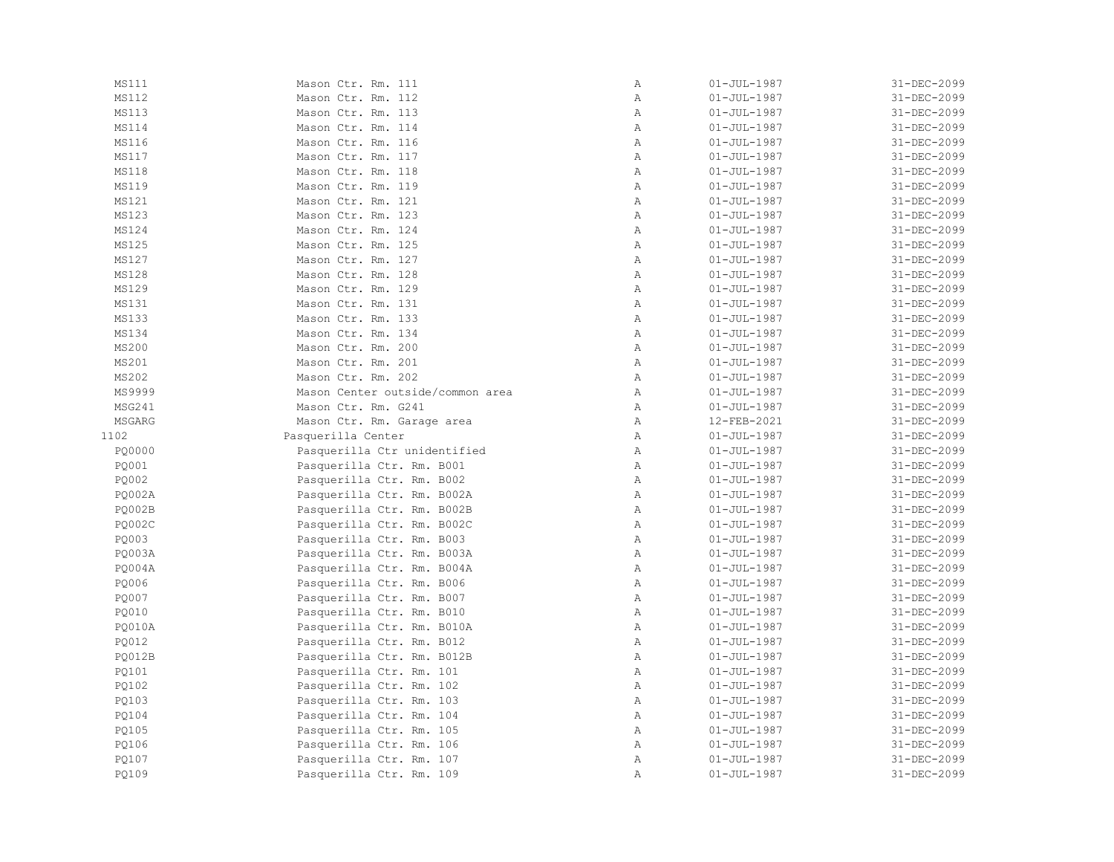| MS111         | Mason Ctr. Rm. 111               | $\, {\bf A}$   | $01 - JUL - 1987$ | 31-DEC-2099 |
|---------------|----------------------------------|----------------|-------------------|-------------|
| MS112         | Mason Ctr. Rm. 112               | $\mathbb{A}$   | $01 - JUL - 1987$ | 31-DEC-2099 |
| <b>MS113</b>  | Mason Ctr. Rm. 113               | Α              | $01 - JUL - 1987$ | 31-DEC-2099 |
| MS114         | Mason Ctr. Rm. 114               | $\overline{A}$ | $01 - JUL - 1987$ | 31-DEC-2099 |
| MS116         | Mason Ctr. Rm. 116               | $\lambda$      | $01 - JUL - 1987$ | 31-DEC-2099 |
| MS117         | Mason Ctr. Rm. 117               | $\mathbb{A}$   | $01 - JUL - 1987$ | 31-DEC-2099 |
| <b>MS118</b>  | Mason Ctr. Rm. 118               | $\mathbb{A}$   | $01 - JUL - 1987$ | 31-DEC-2099 |
| MS119         | Mason Ctr. Rm. 119               | $\mathbb{A}$   | $01 - JUL - 1987$ | 31-DEC-2099 |
| MS121         | Mason Ctr. Rm. 121               | $\mathbb{A}$   | $01 - JUL - 1987$ | 31-DEC-2099 |
| MS123         | Mason Ctr. Rm. 123               | $\mathbb{A}$   | $01 - JUL - 1987$ | 31-DEC-2099 |
| MS124         | Mason Ctr. Rm. 124               | $\mathbb{A}$   | $01 - JUL - 1987$ | 31-DEC-2099 |
| MS125         | Mason Ctr. Rm. 125               | $\mathbb{A}$   | $01 - JUL - 1987$ | 31-DEC-2099 |
| MS127         | Mason Ctr. Rm. 127               | $\mathbb{A}$   | $01 - JUL - 1987$ | 31-DEC-2099 |
| MS128         | Mason Ctr. Rm. 128               | $\mathbb{A}$   | $01 - JUL - 1987$ | 31-DEC-2099 |
| MS129         | Mason Ctr. Rm. 129               | $\mathbb{A}$   | $01 - JUL - 1987$ | 31-DEC-2099 |
| MS131         | Mason Ctr. Rm. 131               | $\mathbb{A}$   | $01 - JUL - 1987$ | 31-DEC-2099 |
| MS133         | Mason Ctr. Rm. 133               | $\mathbb{A}$   | $01 - JUL - 1987$ | 31-DEC-2099 |
| MS134         | Mason Ctr. Rm. 134               | $\mathbb{A}$   | $01 - JUL - 1987$ | 31-DEC-2099 |
| MS200         | Mason Ctr. Rm. 200               | $\mathbb{A}$   | $01 - JUL - 1987$ | 31-DEC-2099 |
| MS201         | Mason Ctr. Rm. 201               | $\mathbb{A}$   | $01 - JUL - 1987$ | 31-DEC-2099 |
| MS202         | Mason Ctr. Rm. 202               | $\mathbb{A}$   | $01 - JUL - 1987$ | 31-DEC-2099 |
| MS9999        | Mason Center outside/common area | Α              | $01 - JUL - 1987$ | 31-DEC-2099 |
| MSG241        | Mason Ctr. Rm. G241              | Α              | $01 - JUL - 1987$ | 31-DEC-2099 |
| MSGARG        | Mason Ctr. Rm. Garage area       | Α              | 12-FEB-2021       | 31-DEC-2099 |
| 1102          | Pasquerilla Center               | $\mathbb{A}$   | $01 - JUL - 1987$ | 31-DEC-2099 |
| PQ0000        | Pasquerilla Ctr unidentified     | $\mathbb{A}$   | $01 - JUL - 1987$ | 31-DEC-2099 |
| PQ001         | Pasquerilla Ctr. Rm. B001        | $\mathbb A$    | $01 - JUL - 1987$ | 31-DEC-2099 |
| PQ002         | Pasquerilla Ctr. Rm. B002        | $\mathbb{A}$   | $01 - JUL - 1987$ | 31-DEC-2099 |
| <b>PQ002A</b> | Pasquerilla Ctr. Rm. B002A       | $\mathbb{A}$   | $01 - JUL - 1987$ | 31-DEC-2099 |
| <b>PQ002B</b> | Pasquerilla Ctr. Rm. B002B       | $\overline{A}$ | $01 - JUL - 1987$ | 31-DEC-2099 |
| <b>PQ002C</b> | Pasquerilla Ctr. Rm. B002C       | $\mathbb{A}$   | $01 - JUL - 1987$ | 31-DEC-2099 |
| PO003         | Pasquerilla Ctr. Rm. B003        | $\mathbb{A}$   | $01 - JUL - 1987$ | 31-DEC-2099 |
| PQ003A        | Pasquerilla Ctr. Rm. B003A       | $\, {\bf A}$   | $01 - JUL - 1987$ | 31-DEC-2099 |
| <b>PQ004A</b> | Pasquerilla Ctr. Rm. B004A       | $\mathbb{A}$   | $01 - JUL - 1987$ | 31-DEC-2099 |
| PQ006         | Pasquerilla Ctr. Rm. B006        | Α              | $01 - JUL - 1987$ | 31-DEC-2099 |
| PQ007         | Pasquerilla Ctr. Rm. B007        | Α              | $01 - JUL - 1987$ | 31-DEC-2099 |
| PQ010         | Pasquerilla Ctr. Rm. B010        | $\lambda$      | $01 - JUL - 1987$ | 31-DEC-2099 |
| PQ010A        | Pasquerilla Ctr. Rm. B010A       | Α              | $01 - JUL - 1987$ | 31-DEC-2099 |
| PQ012         | Pasquerilla Ctr. Rm. B012        | $\mathbb{A}$   | $01 - JUL - 1987$ | 31-DEC-2099 |
| <b>PO012B</b> | Pasquerilla Ctr. Rm. B012B       | $\mathbb{A}$   | $01 - JUL - 1987$ | 31-DEC-2099 |
| PO101         | Pasquerilla Ctr. Rm. 101         | $\mathbb{A}$   | $01 - JUL - 1987$ | 31-DEC-2099 |
| PQ102         | Pasquerilla Ctr. Rm. 102         | $\mathbb{A}$   | $01 - JUL - 1987$ | 31-DEC-2099 |
| PQ103         | Pasquerilla Ctr. Rm. 103         | $\mathbb{A}$   | $01 - JUL - 1987$ | 31-DEC-2099 |
| PQ104         | Pasquerilla Ctr. Rm. 104         | Α              | $01 - JUL - 1987$ | 31-DEC-2099 |
| PQ105         |                                  | $\mathbb{A}$   | $01 - JUL - 1987$ | 31-DEC-2099 |
|               | Pasquerilla Ctr. Rm. 105         |                |                   |             |
| PQ106         | Pasquerilla Ctr. Rm. 106         | $\mathbb{A}$   | $01 - JUL - 1987$ | 31-DEC-2099 |
| PQ107         | Pasquerilla Ctr. Rm. 107         | $\mathbb{A}$   | $01 - JUL - 1987$ | 31-DEC-2099 |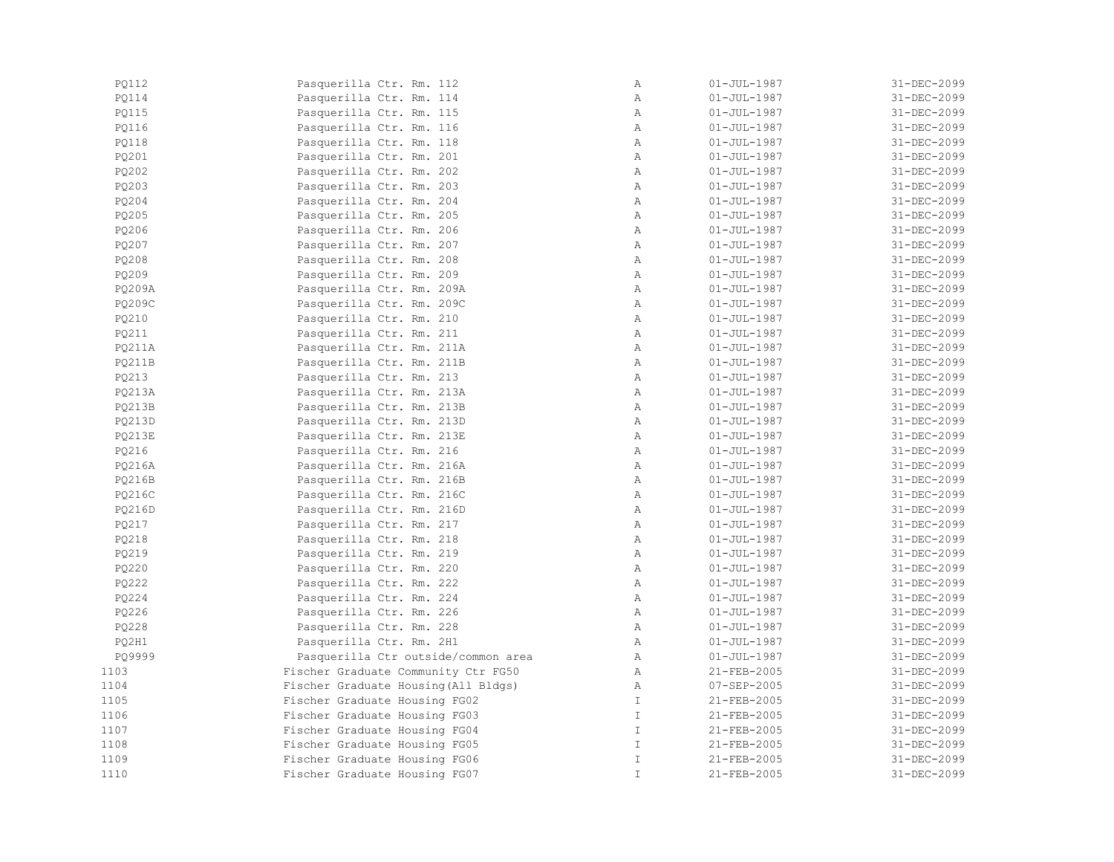| PO112         | Pasquerilla Ctr. Rm. 112             | Α             | $01 - JUL - 1987$ | 31-DEC-2099 |
|---------------|--------------------------------------|---------------|-------------------|-------------|
| <b>PQ114</b>  | Pasquerilla Ctr. Rm. 114             | $\mathbb{A}$  | $01 - JUL - 1987$ | 31-DEC-2099 |
| PQ115         | Pasquerilla Ctr. Rm. 115             | $\mathbb{A}$  | $01 - JUL - 1987$ | 31-DEC-2099 |
| PQ116         | Pasquerilla Ctr. Rm. 116             | Α             | $01 - JUL - 1987$ | 31-DEC-2099 |
| <b>PQ118</b>  | Pasquerilla Ctr. Rm. 118             | Α             | $01 - JUL - 1987$ | 31-DEC-2099 |
| PQ201         | Pasquerilla Ctr. Rm. 201             | Α             | $01 - JUL - 1987$ | 31-DEC-2099 |
| PQ202         | Pasquerilla Ctr. Rm. 202             | $\mathbb{A}$  | $01 - JUL - 1987$ | 31-DEC-2099 |
| PO203         | Pasquerilla Ctr. Rm. 203             | $\mathbb{A}$  | $01 - JUL - 1987$ | 31-DEC-2099 |
| PQ204         | Pasquerilla Ctr. Rm. 204             | $\mathbb{A}$  | $01 - JUL - 1987$ | 31-DEC-2099 |
| PQ205         | Pasquerilla Ctr. Rm. 205             | A             | $01 - JUL - 1987$ | 31-DEC-2099 |
| PQ206         | Pasquerilla Ctr. Rm. 206             | $\mathbb{A}$  | $01 - JUL - 1987$ | 31-DEC-2099 |
| PQ207         | Pasquerilla Ctr. Rm. 207             | A             | $01 - JUL - 1987$ | 31-DEC-2099 |
| PQ208         | Pasquerilla Ctr. Rm. 208             | Α             | $01 - JUL - 1987$ | 31-DEC-2099 |
| PQ209         | Pasquerilla Ctr. Rm. 209             | A             | $01 - JUL - 1987$ | 31-DEC-2099 |
| PQ209A        | Pasquerilla Ctr. Rm. 209A            | $\mathbb{A}$  | $01 - JUL - 1987$ | 31-DEC-2099 |
| PQ209C        | Pasquerilla Ctr. Rm. 209C            | $\mathbb{A}$  | $01 - JUL - 1987$ | 31-DEC-2099 |
| PQ210         | Pasquerilla Ctr. Rm. 210             | Α             | $01 - JUL - 1987$ | 31-DEC-2099 |
| PQ211         | Pasquerilla Ctr. Rm. 211             | $\mathbb{A}$  | $01 - JUL - 1987$ | 31-DEC-2099 |
| <b>PQ211A</b> | Pasquerilla Ctr. Rm. 211A            | $\mathbb{A}$  | $01 - JUL - 1987$ | 31-DEC-2099 |
| <b>PQ211B</b> | Pasquerilla Ctr. Rm. 211B            | $\mathbb{A}$  | $01 - JUL - 1987$ | 31-DEC-2099 |
| PQ213         | Pasquerilla Ctr. Rm. 213             | $\mathbb{A}$  | $01 - JUL - 1987$ | 31-DEC-2099 |
| PO213A        | Pasquerilla Ctr. Rm. 213A            | A             | $01 - JUL - 1987$ | 31-DEC-2099 |
| <b>PQ213B</b> | Pasquerilla Ctr. Rm. 213B            | A             | $01 - JUL - 1987$ | 31-DEC-2099 |
| PQ213D        | Pasquerilla Ctr. Rm. 213D            | Α             | $01 - JUL - 1987$ | 31-DEC-2099 |
| <b>PQ213E</b> | Pasquerilla Ctr. Rm. 213E            | $\mathbb{A}$  | $01 - JUL - 1987$ | 31-DEC-2099 |
| PQ216         | Pasquerilla Ctr. Rm. 216             | $\mathbb{A}$  | $01 - JUL - 1987$ | 31-DEC-2099 |
| PQ216A        | Pasquerilla Ctr. Rm. 216A            | Α             | $01 - JUL - 1987$ | 31-DEC-2099 |
| PQ216B        | Pasquerilla Ctr. Rm. 216B            | Α             | $01 - JUL - 1987$ | 31-DEC-2099 |
| PQ216C        | Pasquerilla Ctr. Rm. 216C            | $\mathbb{A}$  | $01 - JUL - 1987$ | 31-DEC-2099 |
| PQ216D        | Pasquerilla Ctr. Rm. 216D            | $\mathbb{A}$  | $01 - JUL - 1987$ | 31-DEC-2099 |
| PO217         | Pasquerilla Ctr. Rm. 217             | $\mathbb{A}$  | $01 - JUL - 1987$ | 31-DEC-2099 |
| PO218         | Pasquerilla Ctr. Rm. 218             | $\mathbb{A}$  | $01 - JUL - 1987$ | 31-DEC-2099 |
| PQ219         | Pasquerilla Ctr. Rm. 219             | $\mathbb{A}$  | $01 - JUL - 1987$ | 31-DEC-2099 |
| PQ220         | Pasquerilla Ctr. Rm. 220             | A             | $01 - JUL - 1987$ | 31-DEC-2099 |
| PQ222         | Pasquerilla Ctr. Rm. 222             | Α             | $01 - JUL - 1987$ | 31-DEC-2099 |
| PQ224         | Pasquerilla Ctr. Rm. 224             | Α             | $01 - JUL - 1987$ | 31-DEC-2099 |
| PQ226         | Pasquerilla Ctr. Rm. 226             | $\mathbb A$   | $01 - JUL - 1987$ | 31-DEC-2099 |
| PQ228         | Pasquerilla Ctr. Rm. 228             | Α             | $01 - JUL - 1987$ | 31-DEC-2099 |
| PQ2H1         | Pasquerilla Ctr. Rm. 2H1             | Α             | $01 - JUL - 1987$ | 31-DEC-2099 |
| PQ9999        | Pasquerilla Ctr outside/common area  | $\mathbb{A}$  | $01 - JUL - 1987$ | 31-DEC-2099 |
| 1103          | Fischer Graduate Community Ctr FG50  | $\mathbb{A}$  | 21-FEB-2005       | 31-DEC-2099 |
| 1104          | Fischer Graduate Housing (All Bldgs) | $\mathbb{A}$  | 07-SEP-2005       | 31-DEC-2099 |
| 1105          | Fischer Graduate Housing FG02        | $\mathbb{I}$  | 21-FEB-2005       | 31-DEC-2099 |
| 1106          | Fischer Graduate Housing FG03        | $\mathbb{I}$  | $21 - FEB - 2005$ | 31-DEC-2099 |
| 1107          | Fischer Graduate Housing FG04        | $\mathbbm{I}$ | 21-FEB-2005       | 31-DEC-2099 |
| 1108          | Fischer Graduate Housing FG05        | $\mathbb{I}$  | 21-FEB-2005       | 31-DEC-2099 |
| 1109          | Fischer Graduate Housing FG06        | $\mathbbm{I}$ | 21-FEB-2005       | 31-DEC-2099 |
| 1110          | Fischer Graduate Housing FG07        | $\mathbbm{I}$ | 21-FEB-2005       | 31-DEC-2099 |
|               |                                      |               |                   |             |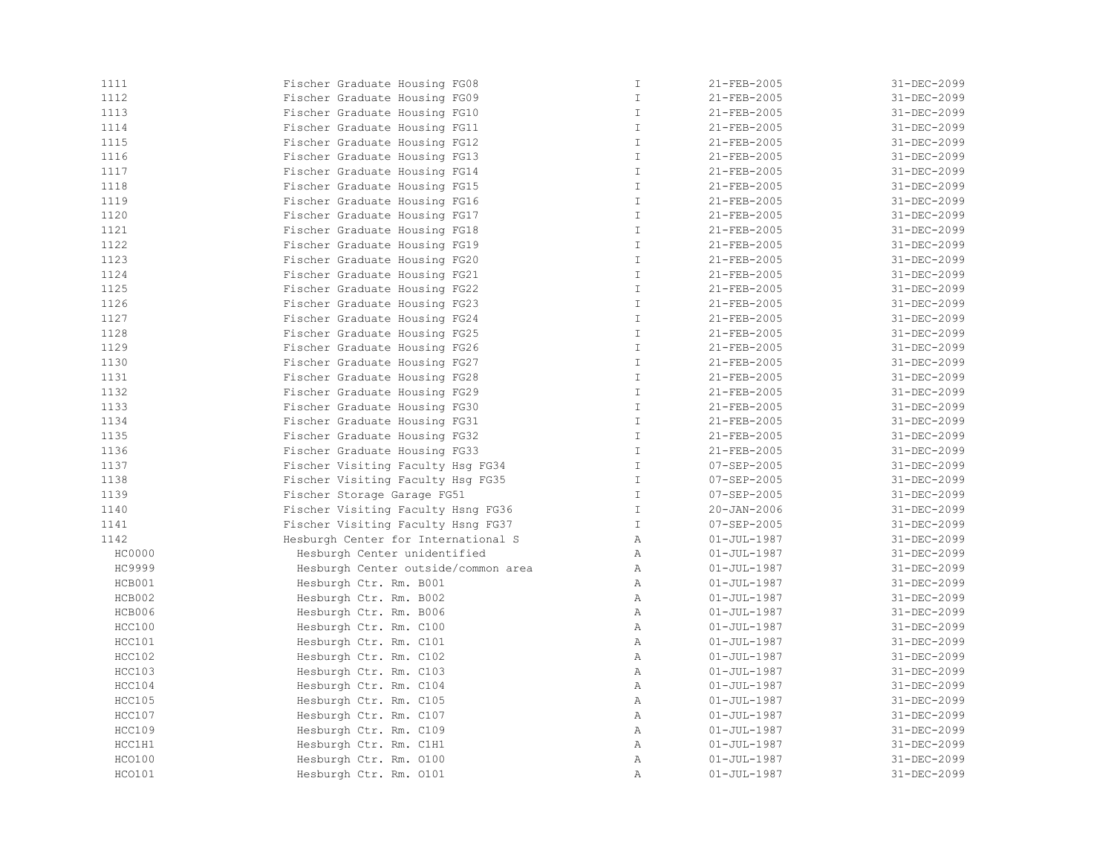| 1111                    | Fischer Graduate Housing FG08                    | $\mathbb T$   | 21-FEB-2005       | 31-DEC-2099 |
|-------------------------|--------------------------------------------------|---------------|-------------------|-------------|
| 1112                    | Fischer Graduate Housing FG09                    | $\mathbbm{I}$ | 21-FEB-2005       | 31-DEC-2099 |
| 1113                    | Fischer Graduate Housing FG10                    | $\mathbb{I}$  | 21-FEB-2005       | 31-DEC-2099 |
| 1114                    | Fischer Graduate Housing FG11                    | $\mathbb T$   | 21-FEB-2005       | 31-DEC-2099 |
| 1115                    | Fischer Graduate Housing FG12                    | $\mathbb T$   | 21-FEB-2005       | 31-DEC-2099 |
| 1116                    | Fischer Graduate Housing FG13                    | $\mathbb T$   | 21-FEB-2005       | 31-DEC-2099 |
| 1117                    | Fischer Graduate Housing FG14                    | $\mathbbm{I}$ | 21-FEB-2005       | 31-DEC-2099 |
| 1118                    | Fischer Graduate Housing FG15                    | $\mathbb T$   | 21-FEB-2005       | 31-DEC-2099 |
| 1119                    | Fischer Graduate Housing FG16                    | $\mathbb T$   | 21-FEB-2005       | 31-DEC-2099 |
| 1120                    | Fischer Graduate Housing FG17                    | T             | 21-FEB-2005       | 31-DEC-2099 |
| 1121                    | Fischer Graduate Housing FG18                    | $\mathbb{I}$  | 21-FEB-2005       | 31-DEC-2099 |
| 1122                    | Fischer Graduate Housing FG19                    | $\mathbb{I}$  | 21-FEB-2005       | 31-DEC-2099 |
| 1123                    | Fischer Graduate Housing FG20                    | $\mathbbm{I}$ | 21-FEB-2005       | 31-DEC-2099 |
| 1124                    | Fischer Graduate Housing FG21                    | $\mathbbm{I}$ | 21-FEB-2005       | 31-DEC-2099 |
| 1125                    | Fischer Graduate Housing FG22                    | $\mathbb{I}$  | 21-FEB-2005       | 31-DEC-2099 |
| 1126                    | Fischer Graduate Housing FG23                    | $\mathbb{I}$  | 21-FEB-2005       | 31-DEC-2099 |
| 1127                    | Fischer Graduate Housing FG24                    | $\mathbbm{I}$ | 21-FEB-2005       | 31-DEC-2099 |
| 1128                    | Fischer Graduate Housing FG25                    | T             | 21-FEB-2005       | 31-DEC-2099 |
| 1129                    | Fischer Graduate Housing FG26                    | $\mathbbm{I}$ | 21-FEB-2005       | 31-DEC-2099 |
| 1130                    | Fischer Graduate Housing FG27                    | $\mathbb{I}$  | 21-FEB-2005       | 31-DEC-2099 |
| 1131                    | Fischer Graduate Housing FG28                    | $\mathbbm{I}$ | 21-FEB-2005       | 31-DEC-2099 |
| 1132                    | Fischer Graduate Housing FG29                    | $\mathbb T$   | 21-FEB-2005       | 31-DEC-2099 |
| 1133                    | Fischer Graduate Housing FG30                    | $\mathbb{I}$  | 21-FEB-2005       | 31-DEC-2099 |
| 1134                    | Fischer Graduate Housing FG31                    | $\mathbbm{I}$ | 21-FEB-2005       | 31-DEC-2099 |
| 1135                    | Fischer Graduate Housing FG32                    | $\mathbbm{I}$ | 21-FEB-2005       | 31-DEC-2099 |
| 1136                    | Fischer Graduate Housing FG33                    | T             | 21-FEB-2005       | 31-DEC-2099 |
| 1137                    | Fischer Visiting Faculty Hsg FG34                | $\mathbb{I}$  | $07 - SEP - 2005$ | 31-DEC-2099 |
| 1138                    | Fischer Visiting Faculty Hsg FG35                | $\mathbb{I}$  | $07 - SEP - 2005$ | 31-DEC-2099 |
| 1139                    | Fischer Storage Garage FG51                      | $\mathbb T$   | $07 - SEP - 2005$ | 31-DEC-2099 |
| 1140                    | Fischer Visiting Faculty Hsng FG36               | $\mathbbm{I}$ | 20-JAN-2006       | 31-DEC-2099 |
| 1141                    | Fischer Visiting Faculty Hsng FG37               | $\mathbb{I}$  | $07 - SEP - 2005$ | 31-DEC-2099 |
| 1142                    | Hesburgh Center for International S              | $\mathbb{A}$  | $01 - JUL - 1987$ | 31-DEC-2099 |
| HC0000                  | Hesburgh Center unidentified                     | $\mathbb{A}$  | $01 - JUL - 1987$ | 31-DEC-2099 |
| HC9999                  | Hesburgh Center outside/common area              | $\mathbb{A}$  | $01 - JUL - 1987$ | 31-DEC-2099 |
| HCB001                  | Hesburgh Ctr. Rm. B001                           | $\mathbb{A}$  | $01 - JUL - 1987$ | 31-DEC-2099 |
| HCB002                  | Hesburgh Ctr. Rm. B002                           | $\mathbb{A}$  | $01 - JUL - 1987$ | 31-DEC-2099 |
| HCB006                  | Hesburgh Ctr. Rm. B006                           | $\mathbb{A}$  | $01 - JUL - 1987$ | 31-DEC-2099 |
| HCC100                  | Hesburgh Ctr. Rm. C100                           | Α             | $01 - JUL - 1987$ | 31-DEC-2099 |
| HCC101                  | Hesburgh Ctr. Rm. C101                           | Α             | $01 - JUL - 1987$ | 31-DEC-2099 |
| HCC102                  | Hesburgh Ctr. Rm. C102                           | Α             | $01 - JUL - 1987$ | 31-DEC-2099 |
| HCC103                  | Hesburgh Ctr. Rm. C103                           | Α             | $01 - JUL - 1987$ | 31-DEC-2099 |
| HCC104                  | Hesburgh Ctr. Rm. C104                           | $\mathbb{A}$  | $01 - JUL - 1987$ | 31-DEC-2099 |
|                         |                                                  | $\mathbb{A}$  | $01 - JUL - 1987$ | 31-DEC-2099 |
| HCC105<br><b>HCC107</b> | Hesburgh Ctr. Rm. C105<br>Hesburgh Ctr. Rm. C107 | Α             | $01 - JUL - 1987$ | 31-DEC-2099 |
| <b>HCC109</b>           | Hesburgh Ctr. Rm. C109                           | $\mathbb{A}$  | $01 - JUL - 1987$ | 31-DEC-2099 |
| HCC1H1                  | Hesburgh Ctr. Rm. C1H1                           | $\mathbb{A}$  | $01 - JUL - 1987$ | 31-DEC-2099 |
| HCO100                  | Hesburgh Ctr. Rm. 0100                           | Α             | $01 - JUL - 1987$ | 31-DEC-2099 |
|                         |                                                  | Α             |                   | 31-DEC-2099 |
| HCO101                  | Hesburgh Ctr. Rm. 0101                           |               | $01 - JUL - 1987$ |             |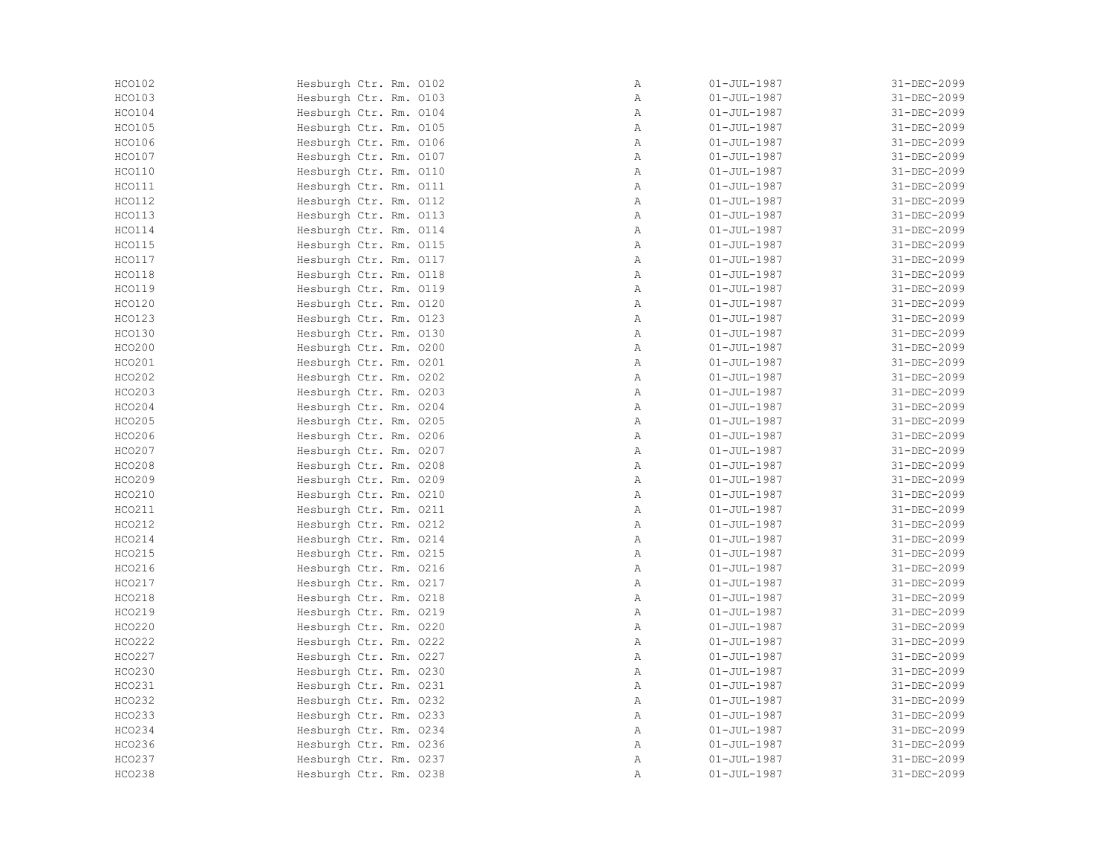| HCO102        | Hesburgh Ctr. Rm. 0102 | Α            | $01 - JUL - 1987$ | 31-DEC-2099 |
|---------------|------------------------|--------------|-------------------|-------------|
| HCO103        | Hesburgh Ctr. Rm. 0103 | Α            | $01 - JUL - 1987$ | 31-DEC-2099 |
| HCO104        | Hesburgh Ctr. Rm. 0104 | $\mathbb{A}$ | $01 - JUL - 1987$ | 31-DEC-2099 |
| HCO105        | Hesburgh Ctr. Rm. 0105 | $\mathbb{A}$ | $01 - JUL - 1987$ | 31-DEC-2099 |
| HCO106        | Hesburgh Ctr. Rm. 0106 | $\mathbb{A}$ | $01 - JUL - 1987$ | 31-DEC-2099 |
| HCO107        | Hesburgh Ctr. Rm. 0107 | $\mathbb{A}$ | $01 - JUL - 1987$ | 31-DEC-2099 |
| HCO110        | Hesburgh Ctr. Rm. 0110 | A            | $01 - JUL - 1987$ | 31-DEC-2099 |
| HCO111        | Hesburgh Ctr. Rm. 0111 | $\mathbb{A}$ | $01 - JUL - 1987$ | 31-DEC-2099 |
| HCO112        | Hesburgh Ctr. Rm. 0112 | $\mathbb{A}$ | $01 - JUL - 1987$ | 31-DEC-2099 |
| HCO113        | Hesburgh Ctr. Rm. 0113 | $\mathbb{A}$ | $01 - JUL - 1987$ | 31-DEC-2099 |
| HCO114        | Hesburgh Ctr. Rm. 0114 | $\mathbb{A}$ | $01 - JUL - 1987$ | 31-DEC-2099 |
| <b>HCO115</b> | Hesburgh Ctr. Rm. 0115 | $\mathbb{A}$ | $01 - JUL - 1987$ | 31-DEC-2099 |
| HCO117        | Hesburgh Ctr. Rm. 0117 | $\mathbb{A}$ | $01 - JUL - 1987$ | 31-DEC-2099 |
| HCO118        | Hesburgh Ctr. Rm. 0118 | A            | $01 - JUL - 1987$ | 31-DEC-2099 |
| <b>HCO119</b> | Hesburgh Ctr. Rm. 0119 | Α            | $01 - JUL - 1987$ | 31-DEC-2099 |
| HCO120        | Hesburgh Ctr. Rm. 0120 | Α            | $01 - JUL - 1987$ | 31-DEC-2099 |
| <b>HCO123</b> | Hesburgh Ctr. Rm. 0123 | Α            | $01 - JUL - 1987$ | 31-DEC-2099 |
| HCO130        | Hesburgh Ctr. Rm. 0130 | $\mathbb{A}$ | $01 - JUL - 1987$ | 31-DEC-2099 |
| HCO200        | Hesburgh Ctr. Rm. 0200 | A            | $01 - JUL - 1987$ | 31-DEC-2099 |
| HCO201        | Hesburgh Ctr. Rm. 0201 | $\mathbb{A}$ | $01 - JUL - 1987$ | 31-DEC-2099 |
| HCO202        | Hesburgh Ctr. Rm. 0202 | $\mathbb{A}$ | $01 - JUL - 1987$ | 31-DEC-2099 |
| HCO203        | Hesburgh Ctr. Rm. 0203 | $\mathbb{A}$ | $01 - JUL - 1987$ | 31-DEC-2099 |
| HCO204        | Hesburgh Ctr. Rm. 0204 | Α            | $01 - JUL - 1987$ | 31-DEC-2099 |
| HCO205        | Hesburgh Ctr. Rm. 0205 | Α            | $01 - JUL - 1987$ | 31-DEC-2099 |
| HCO206        | Hesburgh Ctr. Rm. 0206 | Α            | $01 - JUL - 1987$ | 31-DEC-2099 |
| HCO207        | Hesburgh Ctr. Rm. 0207 | $\mathbb{A}$ | $01 - JUL - 1987$ | 31-DEC-2099 |
| <b>HCO208</b> | Hesburgh Ctr. Rm. 0208 | $\mathbb{A}$ | $01 - JUL - 1987$ | 31-DEC-2099 |
| HCO209        | Hesburgh Ctr. Rm. 0209 | $\mathbb{A}$ | $01 - JUL - 1987$ | 31-DEC-2099 |
| HCO210        | Hesburgh Ctr. Rm. 0210 | A            | $01 - JUL - 1987$ | 31-DEC-2099 |
| HCO211        | Hesburgh Ctr. Rm. 0211 | $\mathbb{A}$ | $01 - JUL - 1987$ | 31-DEC-2099 |
| HCO212        | Hesburgh Ctr. Rm. 0212 | $\mathbb{A}$ | $01 - JUL - 1987$ | 31-DEC-2099 |
| HCO214        | Hesburgh Ctr. Rm. 0214 | $\mathbb{A}$ | $01 - JUL - 1987$ | 31-DEC-2099 |
| HCO215        | Hesburgh Ctr. Rm. 0215 | $\mathbb{A}$ | $01 - JUL - 1987$ | 31-DEC-2099 |
| HCO216        | Hesburgh Ctr. Rm. 0216 | Α            | $01 - JUL - 1987$ | 31-DEC-2099 |
| HCO217        | Hesburgh Ctr. Rm. 0217 | $\mathbb{A}$ | $01 - JUL - 1987$ | 31-DEC-2099 |
| HCO218        | Hesburgh Ctr. Rm. 0218 | $\mathbb{A}$ | $01 - JUL - 1987$ | 31-DEC-2099 |
| HCO219        | Hesburgh Ctr. Rm. 0219 | $\mathbb{A}$ | 01-JUL-1987       | 31-DEC-2099 |
| HCO220        | Hesburgh Ctr. Rm. 0220 | A            | $01 - JUL - 1987$ | 31-DEC-2099 |
| HCO222        | Hesburgh Ctr. Rm. 0222 | A            | $01 - JUL - 1987$ | 31-DEC-2099 |
| HCO227        | Hesburgh Ctr. Rm. 0227 | Α            | $01 - JUL - 1987$ | 31-DEC-2099 |
| HCO230        | Hesburgh Ctr. Rm. 0230 | Α            | $01 - JUL - 1987$ | 31-DEC-2099 |
| HCO231        | Hesburgh Ctr. Rm. 0231 | $\mathbb{A}$ | $01 - JUL - 1987$ | 31-DEC-2099 |
| HCO232        | Hesburgh Ctr. Rm. 0232 | $\mathbb{A}$ | $01 - JUL - 1987$ | 31-DEC-2099 |
| HCO233        | Hesburgh Ctr. Rm. 0233 | $\mathbb{A}$ | $01 - JUL - 1987$ | 31-DEC-2099 |
| HCO234        | Hesburgh Ctr. Rm. 0234 | $\mathbb{A}$ | $01 - JUL - 1987$ | 31-DEC-2099 |
| HCO236        | Hesburgh Ctr. Rm. 0236 | $\mathbb{A}$ | $01 - JUL - 1987$ | 31-DEC-2099 |
| HCO237        | Hesburgh Ctr. Rm. 0237 | Α            | $01 - JUL - 1987$ | 31-DEC-2099 |
| <b>HCO238</b> | Hesburgh Ctr. Rm. 0238 | Α            | $01 - JUL - 1987$ | 31-DEC-2099 |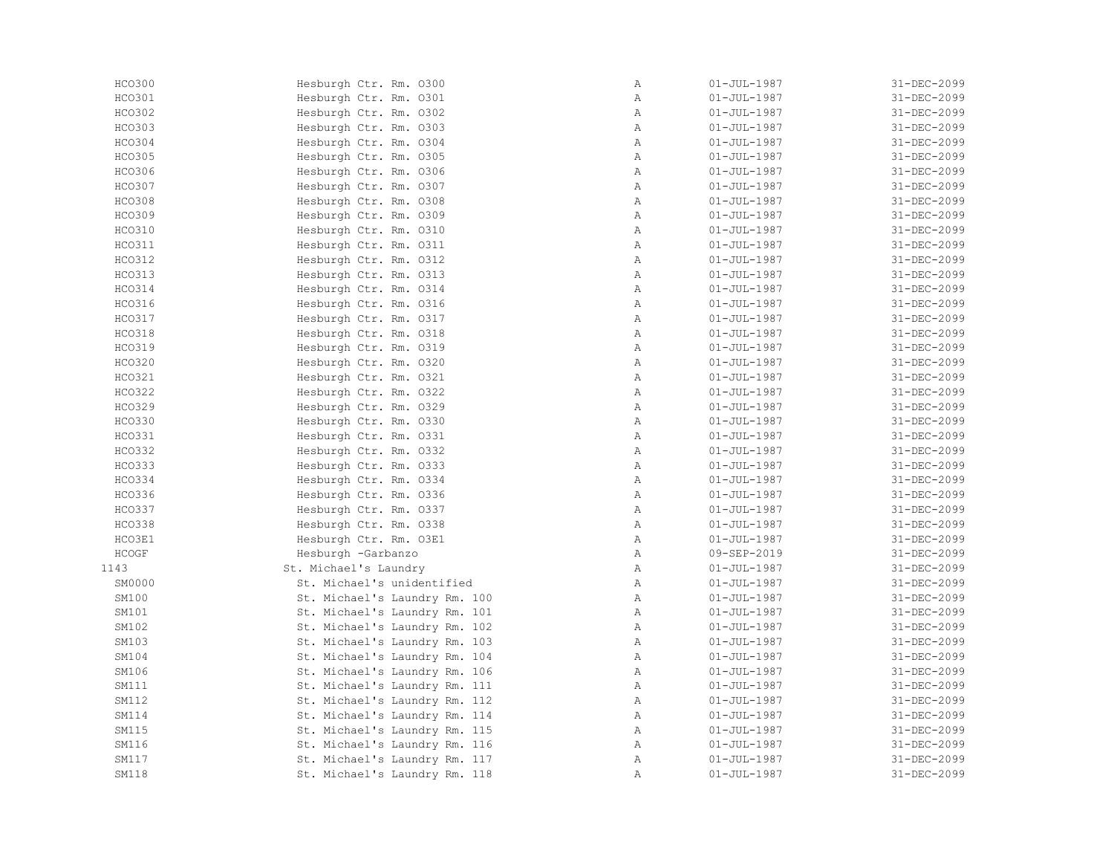| HCO300        | Hesburgh Ctr. Rm. 0300        | Α            | $01 - JUL - 1987$ | 31-DEC-2099 |
|---------------|-------------------------------|--------------|-------------------|-------------|
| HCO301        | Hesburgh Ctr. Rm. 0301        | Α            | $01 - JUL - 1987$ | 31-DEC-2099 |
| HCO302        | Hesburgh Ctr. Rm. 0302        | Α            | $01 - JUL - 1987$ | 31-DEC-2099 |
| HCO303        | Hesburgh Ctr. Rm. 0303        | Α            | $01 - JUL - 1987$ | 31-DEC-2099 |
| HCO304        | Hesburgh Ctr. Rm. 0304        | $\mathbb{A}$ | $01 - JUL - 1987$ | 31-DEC-2099 |
| HCO305        | Hesburgh Ctr. Rm. 0305        | $\mathbb{A}$ | $01 - JUL - 1987$ | 31-DEC-2099 |
| HCO306        | Hesburgh Ctr. Rm. 0306        | $\mathbb{A}$ | $01 - JUL - 1987$ | 31-DEC-2099 |
| HCO307        | Hesburgh Ctr. Rm. 0307        | $\, {\bf A}$ | $01 - JUL - 1987$ | 31-DEC-2099 |
| <b>HCO308</b> | Hesburgh Ctr. Rm. 0308        | $\mathbb{A}$ | $01 - JUL - 1987$ | 31-DEC-2099 |
| HCO309        | Hesburgh Ctr. Rm. 0309        | $\mathbb A$  | $01 - JUL - 1987$ | 31-DEC-2099 |
| HCO310        | Hesburgh Ctr. Rm. 0310        | Α            | $01 - JUL - 1987$ | 31-DEC-2099 |
| <b>HCO311</b> | Hesburgh Ctr. Rm. 0311        | $\mathbb{A}$ | $01 - JUL - 1987$ | 31-DEC-2099 |
| HCO312        | Hesburgh Ctr. Rm. 0312        | Α            | $01 - JUL - 1987$ | 31-DEC-2099 |
| HCO313        | Hesburgh Ctr. Rm. 0313        | $\mathbb{A}$ | $01 - JUL - 1987$ | 31-DEC-2099 |
| <b>HCO314</b> | Hesburgh Ctr. Rm. 0314        | $\mathbb{A}$ | $01 - JUL - 1987$ | 31-DEC-2099 |
| HCO316        | Hesburgh Ctr. Rm. 0316        | $\mathbb{A}$ | $01 - JUL - 1987$ | 31-DEC-2099 |
| HCO317        | Hesburgh Ctr. Rm. 0317        | $\, {\bf A}$ | $01 - JUL - 1987$ | 31-DEC-2099 |
| <b>HCO318</b> | Hesburgh Ctr. Rm. 0318        | $\mathbb{A}$ | $01 - JUL - 1987$ | 31-DEC-2099 |
| <b>HCO319</b> | Hesburgh Ctr. Rm. 0319        | $\mathbb{A}$ | $01 - JUL - 1987$ | 31-DEC-2099 |
| HCO320        | Hesburgh Ctr. Rm. 0320        | Α            | $01 - JUL - 1987$ | 31-DEC-2099 |
| HCO321        | Hesburgh Ctr. Rm. 0321        | Α            | $01 - JUL - 1987$ | 31-DEC-2099 |
| HCO322        | Hesburgh Ctr. Rm. 0322        | Α            | $01 - JUL - 1987$ | 31-DEC-2099 |
| HCO329        | Hesburgh Ctr. Rm. 0329        | $\mathbb{A}$ | $01 - JUL - 1987$ | 31-DEC-2099 |
| <b>HCO330</b> | Hesburgh Ctr. Rm. 0330        | $\mathbb{A}$ | $01 - JUL - 1987$ | 31-DEC-2099 |
| HCO331        | Hesburgh Ctr. Rm. 0331        | $\mathbb{A}$ | $01 - JUL - 1987$ | 31-DEC-2099 |
| HCO332        | Hesburgh Ctr. Rm. 0332        | $\mathbb A$  | $01 - JUL - 1987$ | 31-DEC-2099 |
| <b>HCO333</b> | Hesburgh Ctr. Rm. 0333        | $\mathbb{A}$ | $01 - JUL - 1987$ | 31-DEC-2099 |
| HCO334        | Hesburgh Ctr. Rm. 0334        | $\mathbb{A}$ | $01 - JUL - 1987$ | 31-DEC-2099 |
| HCO336        | Hesburgh Ctr. Rm. 0336        | Α            | $01 - JUL - 1987$ | 31-DEC-2099 |
| HCO337        | Hesburgh Ctr. Rm. 0337        | Α            | $01 - JUL - 1987$ | 31-DEC-2099 |
| <b>HCO338</b> | Hesburgh Ctr. Rm. 0338        | Α            | $01 - JUL - 1987$ | 31-DEC-2099 |
| HCO3E1        | Hesburgh Ctr. Rm. 03E1        | $\mathbb{A}$ | $01 - JUL - 1987$ | 31-DEC-2099 |
| HCOGF         | Hesburgh -Garbanzo            | $\mathbb{A}$ | 09-SEP-2019       | 31-DEC-2099 |
| 1143          | St. Michael's Laundry         | $\mathbb{A}$ | $01 - JUL - 1987$ | 31-DEC-2099 |
| SM0000        | St. Michael's unidentified    | Α            | $01 - JUL - 1987$ | 31-DEC-2099 |
| SM100         | St. Michael's Laundry Rm. 100 | Α            | $01 - JUL - 1987$ | 31-DEC-2099 |
| SM101         | St. Michael's Laundry Rm. 101 | $\mathbb{A}$ | $01 - JUL - 1987$ | 31-DEC-2099 |
| SM102         | St. Michael's Laundry Rm. 102 | Α            | $01 - JUL - 1987$ | 31-DEC-2099 |
| SM103         | St. Michael's Laundry Rm. 103 | Α            | $01 - JUL - 1987$ | 31-DEC-2099 |
| SM104         | St. Michael's Laundry Rm. 104 | Α            | $01 - JUL - 1987$ | 31-DEC-2099 |
| SM106         | St. Michael's Laundry Rm. 106 | Α            | $01 - JUL - 1987$ | 31-DEC-2099 |
| SM111         | St. Michael's Laundry Rm. 111 | $\mathbb{A}$ | $01 - JUL - 1987$ | 31-DEC-2099 |
| SM112         | St. Michael's Laundry Rm. 112 | Α            | $01 - JUL - 1987$ | 31-DEC-2099 |
| SM114         |                               |              |                   | 31-DEC-2099 |
| SM115         | St. Michael's Laundry Rm. 114 | Α            | $01 - JUL - 1987$ | 31-DEC-2099 |
|               | St. Michael's Laundry Rm. 115 | $\mathbb{A}$ | $01 - JUL - 1987$ |             |
| SM116         | St. Michael's Laundry Rm. 116 | $\mathbb{A}$ | $01 - JUL - 1987$ | 31-DEC-2099 |
| SM117         | St. Michael's Laundry Rm. 117 | Α            | $01 - JUL - 1987$ | 31-DEC-2099 |
| SM118         | St. Michael's Laundry Rm. 118 | Α            | $01 - JUL - 1987$ | 31-DEC-2099 |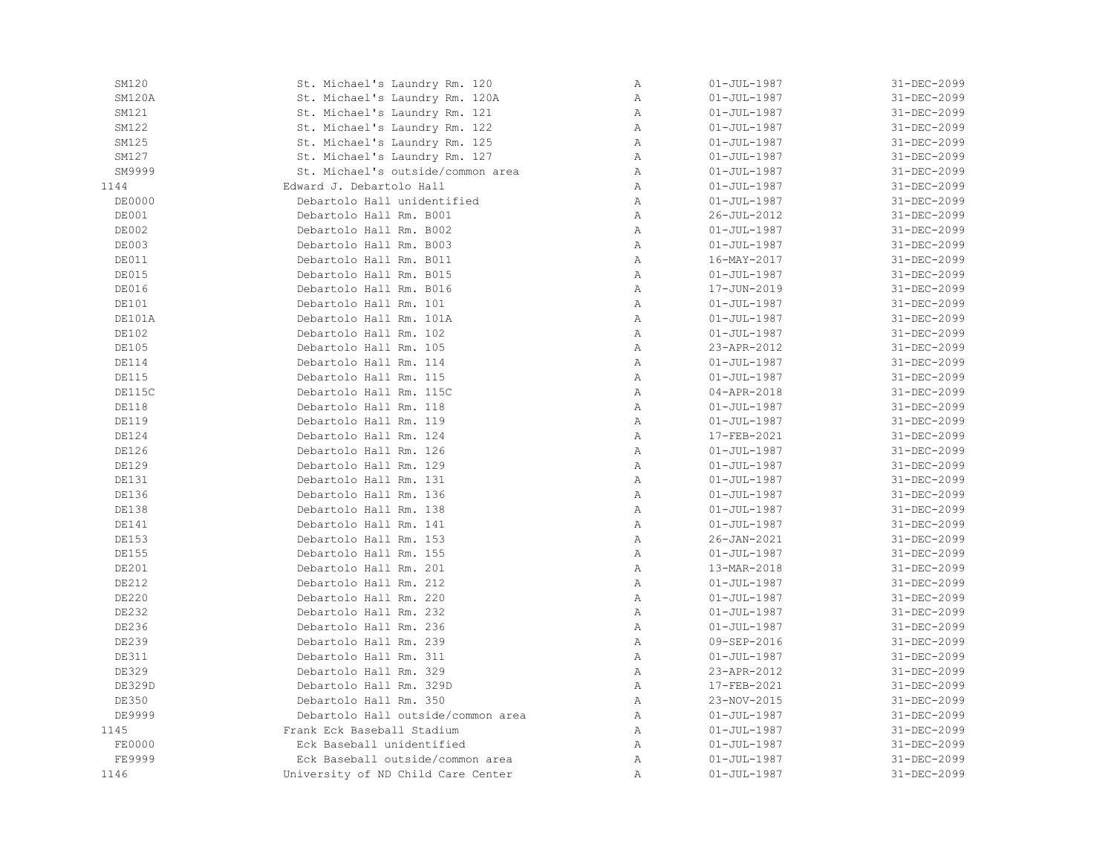| SM120         | St. Michael's Laundry Rm. 120      | Α            | $01 - JUL - 1987$ | 31-DEC-2099       |
|---------------|------------------------------------|--------------|-------------------|-------------------|
| SM120A        | St. Michael's Laundry Rm. 120A     | Α            | $01 - JUL - 1987$ | 31-DEC-2099       |
| SM121         | St. Michael's Laundry Rm. 121      | Α            | $01 - JUL - 1987$ | 31-DEC-2099       |
| SM122         | St. Michael's Laundry Rm. 122      | Α            | $01 - JUL - 1987$ | 31-DEC-2099       |
| SM125         | St. Michael's Laundry Rm. 125      | Α            | $01 - JUL - 1987$ | 31-DEC-2099       |
| SM127         | St. Michael's Laundry Rm. 127      | $\mathbb A$  | $01 - JUL - 1987$ | 31-DEC-2099       |
| SM9999        | St. Michael's outside/common area  | $\mathbb{A}$ | $01 - JUL - 1987$ | 31-DEC-2099       |
| 1144          | Edward J. Debartolo Hall           | Α            | $01 - JUL - 1987$ | 31-DEC-2099       |
| <b>DE0000</b> | Debartolo Hall unidentified        | $\mathbb{A}$ | $01 - JUL - 1987$ | 31-DEC-2099       |
| DE001         | Debartolo Hall Rm. B001            | Α            | 26-JUL-2012       | 31-DEC-2099       |
| DE002         | Debartolo Hall Rm. B002            | Α            | $01 - JUL - 1987$ | 31-DEC-2099       |
| DE003         | Debartolo Hall Rm. B003            | Α            | $01 - JUL - 1987$ | 31-DEC-2099       |
| DE011         | Debartolo Hall Rm. B011            | Α            | 16-MAY-2017       | 31-DEC-2099       |
| <b>DE015</b>  | Debartolo Hall Rm. B015            | $\mathbb A$  | $01 - JUL - 1987$ | $31 - DEC - 2099$ |
| DE016         | Debartolo Hall Rm. B016            | Α            | 17-JUN-2019       | 31-DEC-2099       |
| DE101         | Debartolo Hall Rm. 101             | Α            | $01 - JUL - 1987$ | 31-DEC-2099       |
| DE101A        | Debartolo Hall Rm. 101A            | Α            | $01 - JUL - 1987$ | 31-DEC-2099       |
| DE102         | Debartolo Hall Rm. 102             | $\mathbb{A}$ | $01 - JUL - 1987$ | 31-DEC-2099       |
| <b>DE105</b>  | Debartolo Hall Rm. 105             | Α            | 23-APR-2012       | 31-DEC-2099       |
| <b>DE114</b>  | Debartolo Hall Rm. 114             | Α            | $01 - JUL - 1987$ | 31-DEC-2099       |
| <b>DE115</b>  | Debartolo Hall Rm. 115             | Α            | $01 - JUL - 1987$ | 31-DEC-2099       |
| DE115C        | Debartolo Hall Rm. 115C            | Α            | $04 - APR - 2018$ | 31-DEC-2099       |
| <b>DE118</b>  | Debartolo Hall Rm. 118             | $\mathbb{A}$ | $01 - JUL - 1987$ | 31-DEC-2099       |
| <b>DE119</b>  | Debartolo Hall Rm. 119             | Α            | $01 - JUL - 1987$ | 31-DEC-2099       |
| <b>DE124</b>  | Debartolo Hall Rm. 124             | $\mathbb{A}$ | 17-FEB-2021       | 31-DEC-2099       |
| DE126         | Debartolo Hall Rm. 126             | Α            | $01 - JUL - 1987$ | 31-DEC-2099       |
| <b>DE129</b>  | Debartolo Hall Rm. 129             | Α            | $01 - JUL - 1987$ | 31-DEC-2099       |
| DE131         | Debartolo Hall Rm. 131             | $\, {\bf A}$ | $01 - JUL - 1987$ | 31-DEC-2099       |
| DE136         | Debartolo Hall Rm. 136             | $\mathbb{A}$ | $01 - JUL - 1987$ | 31-DEC-2099       |
| <b>DE138</b>  | Debartolo Hall Rm. 138             | $\mathbb{A}$ | $01 - JUL - 1987$ | 31-DEC-2099       |
| DE141         | Debartolo Hall Rm. 141             | Α            | $01 - JUL - 1987$ | 31-DEC-2099       |
| <b>DE153</b>  | Debartolo Hall Rm. 153             | Α            | 26-JAN-2021       | 31-DEC-2099       |
| DE155         | Debartolo Hall Rm. 155             | $\, {\bf A}$ | $01 - JUL - 1987$ | 31-DEC-2099       |
| DE201         | Debartolo Hall Rm. 201             | $\mathbb{A}$ | 13-MAR-2018       | 31-DEC-2099       |
| DE212         | Debartolo Hall Rm. 212             | Α            | $01 - JUL - 1987$ | 31-DEC-2099       |
| DE220         | Debartolo Hall Rm. 220             | $\mathbb{A}$ | $01 - JUL - 1987$ | 31-DEC-2099       |
| DE232         | Debartolo Hall Rm. 232             | $\mathbb{A}$ | $01 - JUL - 1987$ | 31-DEC-2099       |
| DE236         | Debartolo Hall Rm. 236             | Α            | $01 - JUL - 1987$ | 31-DEC-2099       |
| DE239         | Debartolo Hall Rm. 239             | $\mathbb A$  | 09-SEP-2016       | 31-DEC-2099       |
| <b>DE311</b>  | Debartolo Hall Rm. 311             | Α            | $01 - JUL - 1987$ | 31-DEC-2099       |
| DE329         | Debartolo Hall Rm. 329             | Α            | 23-APR-2012       | 31-DEC-2099       |
| DE329D        | Debartolo Hall Rm. 329D            | Α            | 17-FEB-2021       | 31-DEC-2099       |
| DE350         | Debartolo Hall Rm. 350             | $\mathbb{A}$ | 23-NOV-2015       | 31-DEC-2099       |
| DE9999        | Debartolo Hall outside/common area | Α            | $01 - JUL - 1987$ | 31-DEC-2099       |
| 1145          | Frank Eck Baseball Stadium         | $\mathbb{A}$ | $01 - JUL - 1987$ | 31-DEC-2099       |
| FE0000        | Eck Baseball unidentified          | $\mathbb{A}$ | $01 - JUL - 1987$ | 31-DEC-2099       |
| FE9999        | Eck Baseball outside/common area   | $\, {\bf A}$ | $01 - JUL - 1987$ | 31-DEC-2099       |
| 1146          | University of ND Child Care Center | Α            | $01 - JUL - 1987$ | 31-DEC-2099       |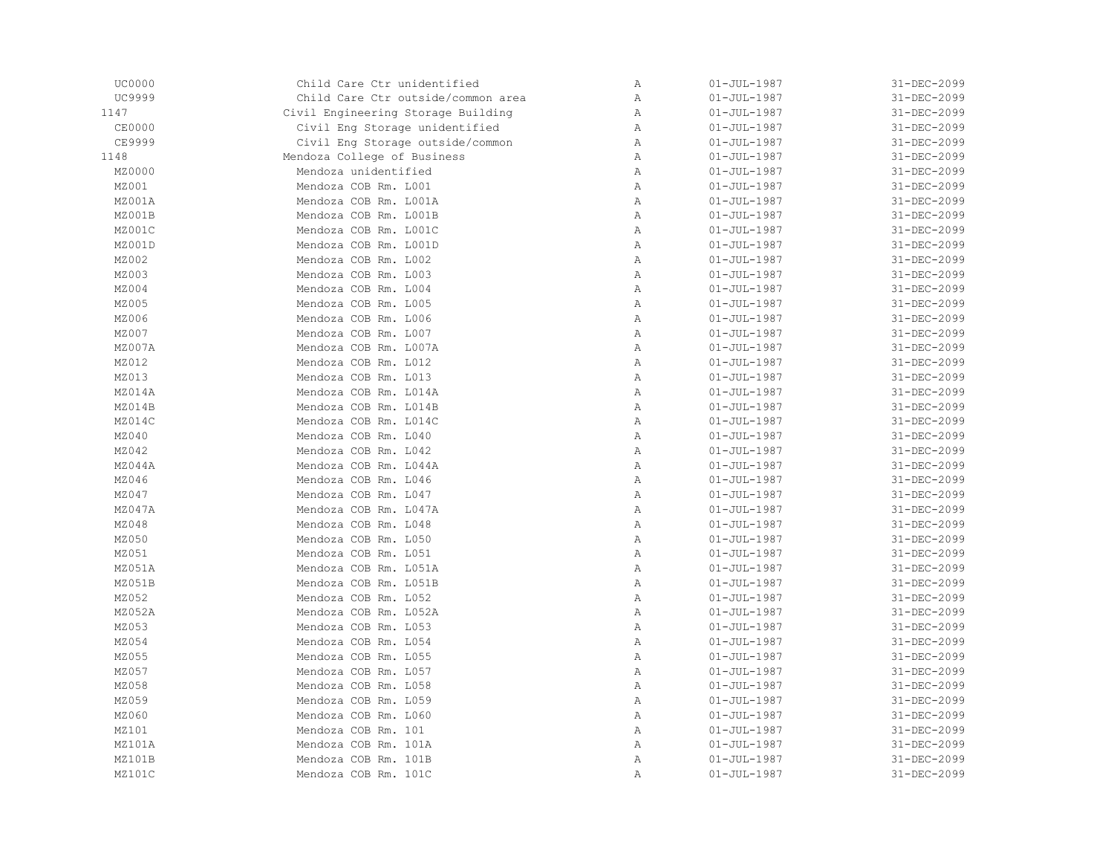| <b>UC0000</b> | Child Care Ctr unidentified        | Α            | $01 - JUL - 1987$ | 31-DEC-2099 |
|---------------|------------------------------------|--------------|-------------------|-------------|
| UC9999        | Child Care Ctr outside/common area | Α            | $01 - JUL - 1987$ | 31-DEC-2099 |
| 1147          | Civil Engineering Storage Building | Α            | $01 - JUL - 1987$ | 31-DEC-2099 |
| <b>CE0000</b> | Civil Eng Storage unidentified     | Α            | $01 - JUL - 1987$ | 31-DEC-2099 |
| CE9999        | Civil Eng Storage outside/common   | $\mathbb{A}$ | $01 - JUL - 1987$ | 31-DEC-2099 |
| 1148          | Mendoza College of Business        | Α            | $01 - JUL - 1987$ | 31-DEC-2099 |
| MZ0000        | Mendoza unidentified               | Α            | $01 - JUL - 1987$ | 31-DEC-2099 |
| MZ001         | Mendoza COB Rm. L001               | Α            | $01 - JUL - 1987$ | 31-DEC-2099 |
| MZ001A        | Mendoza COB Rm. L001A              | $\mathbb{A}$ | $01 - JUL - 1987$ | 31-DEC-2099 |
| MZ001B        | Mendoza COB Rm. L001B              | $\mathbb{A}$ | $01 - JUL - 1987$ | 31-DEC-2099 |
| MZ001C        | Mendoza COB Rm. L001C              | Α            | $01 - JUL - 1987$ | 31-DEC-2099 |
| MZ001D        | Mendoza COB Rm. L001D              | $\, {\bf A}$ | $01 - JUL - 1987$ | 31-DEC-2099 |
| MZ002         | Mendoza COB Rm. L002               | $\mathbb{A}$ | $01 - JUL - 1987$ | 31-DEC-2099 |
| MZ003         | Mendoza COB Rm. L003               | Α            | $01 - JUL - 1987$ | 31-DEC-2099 |
| MZ004         | Mendoza COB Rm. L004               | Α            | $01 - JUL - 1987$ | 31-DEC-2099 |
| MZ005         | Mendoza COB Rm. L005               | $\mathbb{A}$ | $01 - JUL - 1987$ | 31-DEC-2099 |
| MZ006         | Mendoza COB Rm. L006               | Α            | $01 - JUL - 1987$ | 31-DEC-2099 |
| MZ007         | Mendoza COB Rm. L007               | $\mathbb{A}$ | $01 - JUL - 1987$ | 31-DEC-2099 |
| MZ007A        | Mendoza COB Rm. L007A              | Α            | $01 - JUL - 1987$ | 31-DEC-2099 |
| MZ012         | Mendoza COB Rm. L012               | Α            | $01 - JUL - 1987$ | 31-DEC-2099 |
| MZ013         | Mendoza COB Rm. L013               | $\, {\bf A}$ | $01 - JUL - 1987$ | 31-DEC-2099 |
| MZ014A        | Mendoza COB Rm. L014A              | $\, {\bf A}$ | $01 - JUL - 1987$ | 31-DEC-2099 |
| MZ014B        | Mendoza COB Rm. L014B              | $\mathbb{A}$ | $01 - JUL - 1987$ | 31-DEC-2099 |
| MZ014C        | Mendoza COB Rm. L014C              | Α            | $01 - JUL - 1987$ | 31-DEC-2099 |
| MZ040         | Mendoza COB Rm. L040               | $\mathbb{A}$ | $01 - JUL - 1987$ | 31-DEC-2099 |
| MZ042         | Mendoza COB Rm. L042               | $\, {\bf A}$ | $01 - JUL - 1987$ | 31-DEC-2099 |
| MZ044A        | Mendoza COB Rm. L044A              | Α            | $01 - JUL - 1987$ | 31-DEC-2099 |
| MZ046         | Mendoza COB Rm. L046               | $\, {\bf A}$ | $01 - JUL - 1987$ | 31-DEC-2099 |
| MZ047         | Mendoza COB Rm. L047               | $\mathbb{A}$ | $01 - JUL - 1987$ | 31-DEC-2099 |
| MZ047A        | Mendoza COB Rm. L047A              | $\mathbb{A}$ | $01 - JUL - 1987$ | 31-DEC-2099 |
| MZ048         | Mendoza COB Rm. L048               | Α            | $01 - JUL - 1987$ | 31-DEC-2099 |
| MZ050         | Mendoza COB Rm. L050               | Α            | $01 - JUL - 1987$ | 31-DEC-2099 |
| MZ051         | Mendoza COB Rm. L051               | $\, {\bf A}$ | $01 - JUL - 1987$ | 31-DEC-2099 |
| MZ051A        | Mendoza COB Rm. L051A              | $\mathbb{A}$ | $01 - JUL - 1987$ | 31-DEC-2099 |
| MZ051B        | Mendoza COB Rm. L051B              | Α            | $01 - JUL - 1987$ | 31-DEC-2099 |
| MZ052         | Mendoza COB Rm. L052               | $\mathbb{A}$ | $01 - JUL - 1987$ | 31-DEC-2099 |
| MZ052A        | Mendoza COB Rm. L052A              | $\mathbb{A}$ | $01 - JUL - 1987$ | 31-DEC-2099 |
| MZ053         | Mendoza COB Rm. L053               | Α            | $01 - JUL - 1987$ | 31-DEC-2099 |
| MZ054         | Mendoza COB Rm. L054               | Α            | $01 - JUL - 1987$ | 31-DEC-2099 |
| MZ055         | Mendoza COB Rm. L055               | Α            | $01 - JUL - 1987$ | 31-DEC-2099 |
| MZ057         | Mendoza COB Rm. L057               | $\, {\bf A}$ | $01 - JUL - 1987$ | 31-DEC-2099 |
| MZ058         | Mendoza COB Rm. L058               | $\, {\bf A}$ | $01 - JUL - 1987$ | 31-DEC-2099 |
| MZ059         | Mendoza COB Rm. L059               | $\mathbb{A}$ | $01 - JUL - 1987$ | 31-DEC-2099 |
| MZ060         | Mendoza COB Rm. L060               | Α            | $01 - JUL - 1987$ | 31-DEC-2099 |
| MZ101         | Mendoza COB Rm. 101                | $\mathbb{A}$ | $01 - JUL - 1987$ | 31-DEC-2099 |
| MZ101A        | Mendoza COB Rm. 101A               | $\mathbb{A}$ | $01 - JUL - 1987$ | 31-DEC-2099 |
| MZ101B        | Mendoza COB Rm. 101B               | Α            | $01 - JUL - 1987$ | 31-DEC-2099 |
| MZ101C        | Mendoza COB Rm. 101C               | Α            | $01 - JUL - 1987$ | 31-DEC-2099 |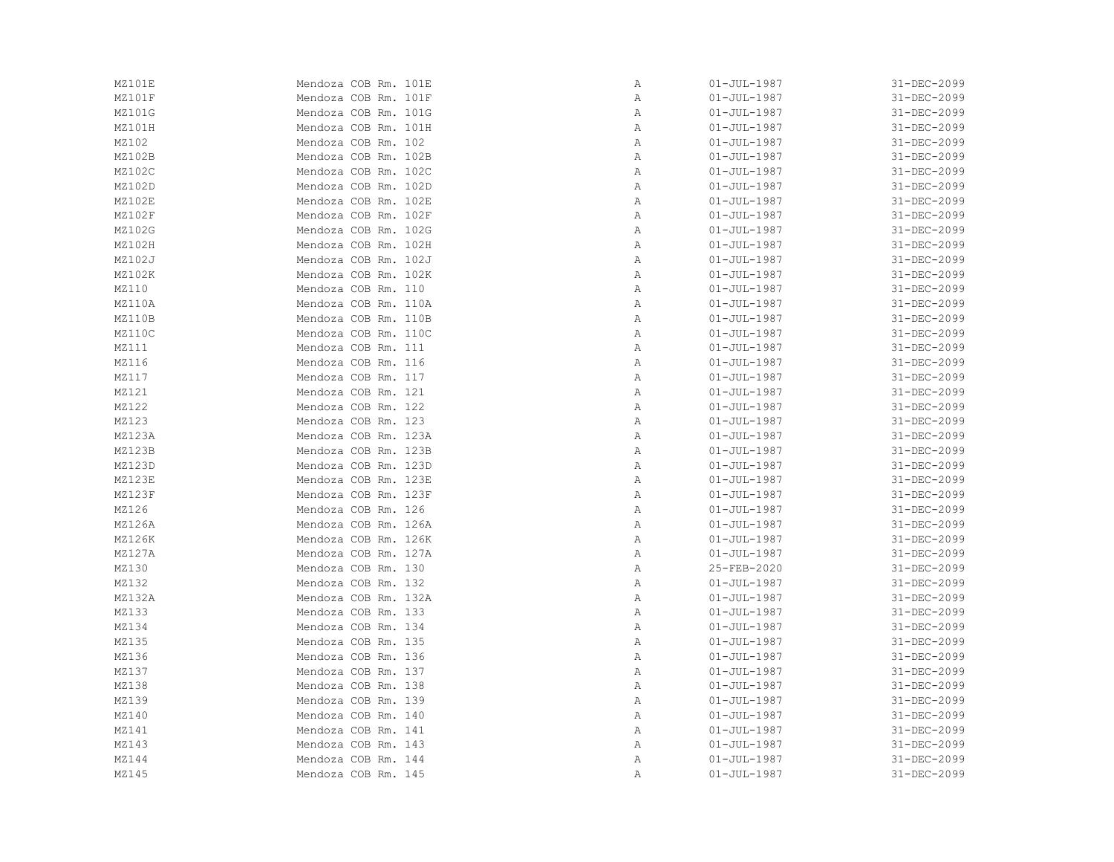| MZ101E | Mendoza COB Rm. 101E | Α            | $01 - JUL - 1987$ | 31-DEC-2099 |
|--------|----------------------|--------------|-------------------|-------------|
| MZ101F | Mendoza COB Rm. 101F | Α            | $01 - JUL - 1987$ | 31-DEC-2099 |
| MZ101G | Mendoza COB Rm. 101G | Α            | $01 - JUL - 1987$ | 31-DEC-2099 |
| MZ101H | Mendoza COB Rm. 101H | Α            | $01 - JUL - 1987$ | 31-DEC-2099 |
| MZ102  | Mendoza COB Rm. 102  | Α            | $01 - JUL - 1987$ | 31-DEC-2099 |
| MZ102B | Mendoza COB Rm. 102B | Α            | $01 - JUL - 1987$ | 31-DEC-2099 |
| MZ102C | Mendoza COB Rm. 102C | Α            | $01 - JUL - 1987$ | 31-DEC-2099 |
| MZ102D | Mendoza COB Rm. 102D | Α            | $01 - JUL - 1987$ | 31-DEC-2099 |
| MZ102E | Mendoza COB Rm. 102E | Α            | $01 - JUL - 1987$ | 31-DEC-2099 |
| MZ102F | Mendoza COB Rm. 102F | Α            | $01 - JUL - 1987$ | 31-DEC-2099 |
| MZ102G | Mendoza COB Rm. 102G | Α            | $01 - JUL - 1987$ | 31-DEC-2099 |
| MZ102H | Mendoza COB Rm. 102H | Α            | $01 - JUL - 1987$ | 31-DEC-2099 |
| MZ102J | Mendoza COB Rm. 102J | Α            | $01 - JUL - 1987$ | 31-DEC-2099 |
| MZ102K | Mendoza COB Rm. 102K | Α            | $01 - JUL - 1987$ | 31-DEC-2099 |
| MZ110  | Mendoza COB Rm. 110  | Α            | $01 - JUL - 1987$ | 31-DEC-2099 |
| MZ110A | Mendoza COB Rm. 110A | Α            | $01 - JUL - 1987$ | 31-DEC-2099 |
| MZ110B | Mendoza COB Rm. 110B | Α            | 01-JUL-1987       | 31-DEC-2099 |
| MZ110C | Mendoza COB Rm. 110C | Α            | $01 - JUL - 1987$ | 31-DEC-2099 |
| MZ111  | Mendoza COB Rm. 111  | Α            | $01 - JUL - 1987$ | 31-DEC-2099 |
| MZ116  | Mendoza COB Rm. 116  | Α            | $01 - JUL - 1987$ | 31-DEC-2099 |
| MZ117  | Mendoza COB Rm. 117  | Α            | $01 - JUL - 1987$ | 31-DEC-2099 |
| MZ121  | Mendoza COB Rm. 121  | Α            | $01 - JUL - 1987$ | 31-DEC-2099 |
| MZ122  | Mendoza COB Rm. 122  | Α            | $01 - JUL - 1987$ | 31-DEC-2099 |
| MZ123  | Mendoza COB Rm. 123  | Α            | $01 - JUL - 1987$ | 31-DEC-2099 |
| MZ123A | Mendoza COB Rm. 123A | Α            | $01 - JUL - 1987$ | 31-DEC-2099 |
| MZ123B | Mendoza COB Rm. 123B | Α            | $01 - JUL - 1987$ | 31-DEC-2099 |
| MZ123D | Mendoza COB Rm. 123D | Α            | $01 - JUL - 1987$ | 31-DEC-2099 |
| MZ123E | Mendoza COB Rm. 123E | Α            | $01 - JUL - 1987$ | 31-DEC-2099 |
| MZ123F | Mendoza COB Rm. 123F | Α            | $01 - JUL - 1987$ | 31-DEC-2099 |
| MZ126  | Mendoza COB Rm. 126  | Α            | $01 - JUL - 1987$ | 31-DEC-2099 |
| MZ126A | Mendoza COB Rm. 126A | Α            | $01 - JUL - 1987$ | 31-DEC-2099 |
| MZ126K | Mendoza COB Rm. 126K | Α            | $01 - JUL - 1987$ | 31-DEC-2099 |
| MZ127A | Mendoza COB Rm. 127A | Α            | $01 - JUL - 1987$ | 31-DEC-2099 |
| MZ130  | Mendoza COB Rm. 130  | $\mathbb{A}$ | 25-FEB-2020       | 31-DEC-2099 |
| MZ132  | Mendoza COB Rm. 132  | Α            | $01 - JUL - 1987$ | 31-DEC-2099 |
| MZ132A | Mendoza COB Rm. 132A | Α            | $01 - JUL - 1987$ | 31-DEC-2099 |
| MZ133  | Mendoza COB Rm. 133  | Α            | $01 - JUL - 1987$ | 31-DEC-2099 |
| MZ134  | Mendoza COB Rm. 134  | Α            | $01 - JUL - 1987$ | 31-DEC-2099 |
| MZ135  | Mendoza COB Rm. 135  | Α            | $01 - JUL - 1987$ | 31-DEC-2099 |
| MZ136  | Mendoza COB Rm. 136  | Α            | $01 - JUL - 1987$ | 31-DEC-2099 |
| MZ137  | Mendoza COB Rm. 137  | Α            | $01 - JUL - 1987$ | 31-DEC-2099 |
| MZ138  | Mendoza COB Rm. 138  | Α            | $01 - JUL - 1987$ | 31-DEC-2099 |
| MZ139  | Mendoza COB Rm. 139  | Α            | $01 - JUL - 1987$ | 31-DEC-2099 |
| MZ140  | Mendoza COB Rm. 140  | Α            | $01 - JUL - 1987$ | 31-DEC-2099 |
| MZ141  | Mendoza COB Rm. 141  | Α            | $01 - JUL - 1987$ | 31-DEC-2099 |
| MZ143  | Mendoza COB Rm. 143  | Α            | $01 - JUL - 1987$ | 31-DEC-2099 |
| MZ144  | Mendoza COB Rm. 144  | Α            | $01 - JUL - 1987$ | 31-DEC-2099 |
| MZ145  | Mendoza COB Rm. 145  | Α            | $01 - JUL - 1987$ | 31-DEC-2099 |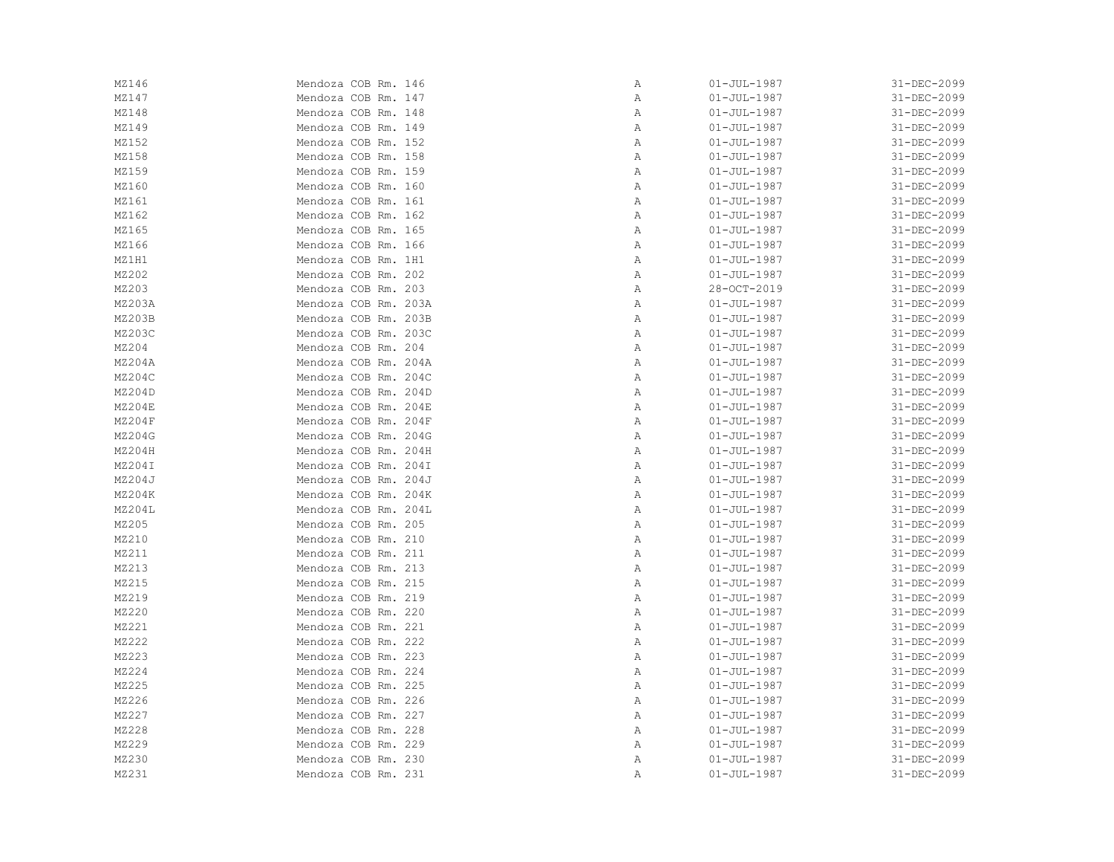| MZ146  | Mendoza COB Rm. 146  | Α | $01 - JUL - 1987$ | 31-DEC-2099 |
|--------|----------------------|---|-------------------|-------------|
| MZ147  | Mendoza COB Rm. 147  | Α | $01 - JUL - 1987$ | 31-DEC-2099 |
| MZ148  | Mendoza COB Rm. 148  | Α | $01 - JUL - 1987$ | 31-DEC-2099 |
| MZ149  | Mendoza COB Rm. 149  | Α | $01 - JUL - 1987$ | 31-DEC-2099 |
| MZ152  | Mendoza COB Rm. 152  | Α | $01 - JUL - 1987$ | 31-DEC-2099 |
| MZ158  | Mendoza COB Rm. 158  | Α | $01 - JUL - 1987$ | 31-DEC-2099 |
| MZ159  | Mendoza COB Rm. 159  | Α | $01 - JUL - 1987$ | 31-DEC-2099 |
| MZ160  | Mendoza COB Rm. 160  | Α | $01 - JUL - 1987$ | 31-DEC-2099 |
| MZ161  | Mendoza COB Rm. 161  | Α | $01 - JUL - 1987$ | 31-DEC-2099 |
| MZ162  | Mendoza COB Rm. 162  | Α | $01 - JUL - 1987$ | 31-DEC-2099 |
| MZ165  | Mendoza COB Rm. 165  | Α | $01 - JUL - 1987$ | 31-DEC-2099 |
| MZ166  | Mendoza COB Rm. 166  | Α | $01 - JUL - 1987$ | 31-DEC-2099 |
| MZ1H1  | Mendoza COB Rm. 1H1  | Α | $01 - JUL - 1987$ | 31-DEC-2099 |
| MZ202  | Mendoza COB Rm. 202  | Α | $01 - JUL - 1987$ | 31-DEC-2099 |
| MZ203  | Mendoza COB Rm. 203  | Α | 28-OCT-2019       | 31-DEC-2099 |
| MZ203A | Mendoza COB Rm. 203A | Α | $01 - JUL - 1987$ | 31-DEC-2099 |
| MZ203B | Mendoza COB Rm. 203B | Α | $01 - JUL - 1987$ | 31-DEC-2099 |
| MZ203C | Mendoza COB Rm. 203C | Α | $01 - JUL - 1987$ | 31-DEC-2099 |
| MZ204  | Mendoza COB Rm. 204  | Α | $01 - JUL - 1987$ | 31-DEC-2099 |
| MZ204A | Mendoza COB Rm. 204A | Α | $01 - JUL - 1987$ | 31-DEC-2099 |
| MZ204C | Mendoza COB Rm. 204C | Α | $01 - JUL - 1987$ | 31-DEC-2099 |
| MZ204D | Mendoza COB Rm. 204D | Α | $01 - JUL - 1987$ | 31-DEC-2099 |
| MZ204E | Mendoza COB Rm. 204E | Α | $01 - JUL - 1987$ | 31-DEC-2099 |
| MZ204F | Mendoza COB Rm. 204F | Α | $01 - JUL - 1987$ | 31-DEC-2099 |
| MZ204G | Mendoza COB Rm. 204G | Α | $01 - JUL - 1987$ | 31-DEC-2099 |
| MZ204H | Mendoza COB Rm. 204H | Α | $01 - JUL - 1987$ | 31-DEC-2099 |
| MZ204I | Mendoza COB Rm. 204I | Α | $01 - JUL - 1987$ | 31-DEC-2099 |
| MZ204J | Mendoza COB Rm. 204J | Α | $01 - JUL - 1987$ | 31-DEC-2099 |
| MZ204K | Mendoza COB Rm. 204K | Α | $01 - JUL - 1987$ | 31-DEC-2099 |
| MZ204L | Mendoza COB Rm. 204L | Α | $01 - JUL - 1987$ | 31-DEC-2099 |
| MZ205  | Mendoza COB Rm. 205  | Α | $01 - JUL - 1987$ | 31-DEC-2099 |
| MZ210  | Mendoza COB Rm. 210  | Α | $01 - JUL - 1987$ | 31-DEC-2099 |
| MZ211  | Mendoza COB Rm. 211  | Α | $01 - JUL - 1987$ | 31-DEC-2099 |
| MZ213  | Mendoza COB Rm. 213  | Α | $01 - JUL - 1987$ | 31-DEC-2099 |
| MZ215  | Mendoza COB Rm. 215  | Α | $01 - JUL - 1987$ | 31-DEC-2099 |
| MZ219  | Mendoza COB Rm. 219  | Α | $01 - JUL - 1987$ | 31-DEC-2099 |
| MZ220  | Mendoza COB Rm. 220  | Α | $01 - JUL - 1987$ | 31-DEC-2099 |
| MZ221  | Mendoza COB Rm. 221  | Α | $01 - JUL - 1987$ | 31-DEC-2099 |
| MZ222  | Mendoza COB Rm. 222  | Α | $01 - JUL - 1987$ | 31-DEC-2099 |
| MZ223  | Mendoza COB Rm. 223  | Α | $01 - JUL - 1987$ | 31-DEC-2099 |
| MZ224  | Mendoza COB Rm. 224  | Α | $01 - JUL - 1987$ | 31-DEC-2099 |
| MZ225  | Mendoza COB Rm. 225  | Α | $01 - JUL - 1987$ | 31-DEC-2099 |
| MZ226  | Mendoza COB Rm. 226  | Α | $01 - JUL - 1987$ | 31-DEC-2099 |
| MZ227  | Mendoza COB Rm. 227  | Α | $01 - JUL - 1987$ | 31-DEC-2099 |
| MZ228  | Mendoza COB Rm. 228  | Α | $01 - JUL - 1987$ | 31-DEC-2099 |
| MZ229  | Mendoza COB Rm. 229  | Α | $01 - JUL - 1987$ | 31-DEC-2099 |
| MZ230  | Mendoza COB Rm. 230  | Α | $01 - JUL - 1987$ | 31-DEC-2099 |
| MZ231  | Mendoza COB Rm. 231  | Α | $01 - JUL - 1987$ | 31-DEC-2099 |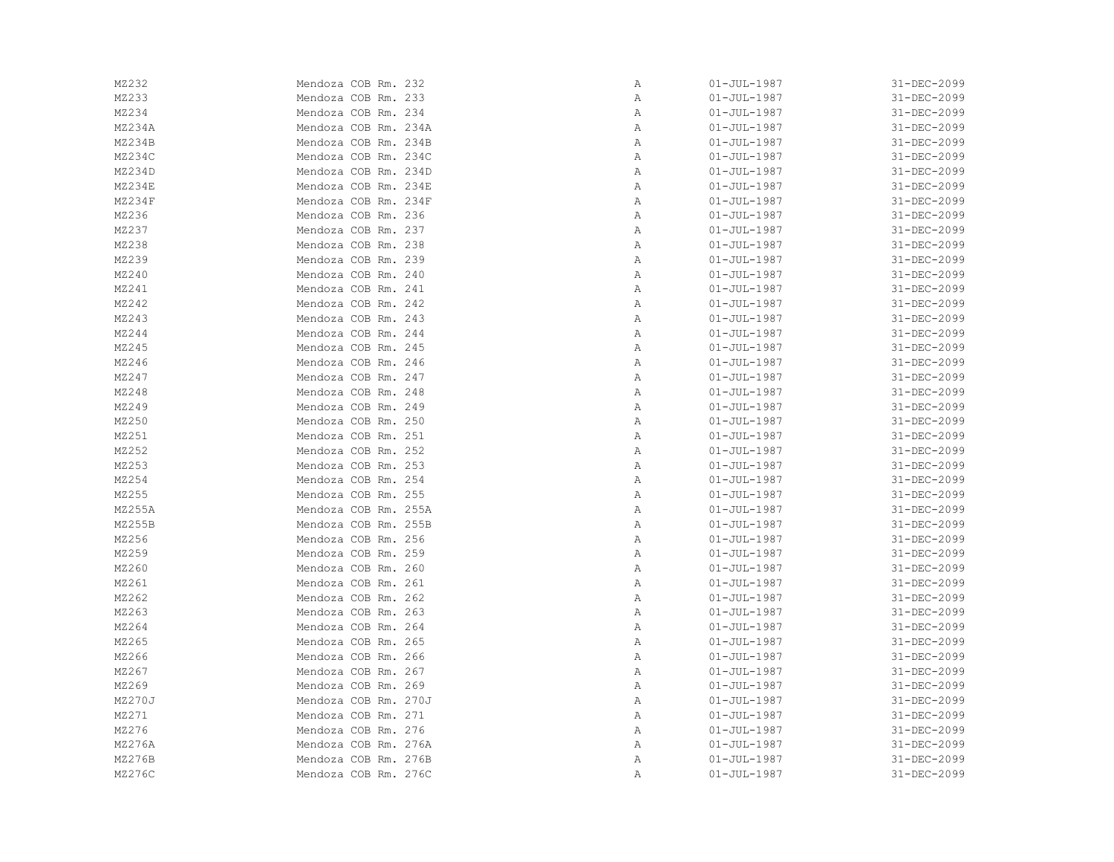| MZ232  | Mendoza COB Rm. 232  | Α | $01 - JUL - 1987$ | 31-DEC-2099 |
|--------|----------------------|---|-------------------|-------------|
| MZ233  | Mendoza COB Rm. 233  | Α | $01 - JUL - 1987$ | 31-DEC-2099 |
| MZ234  | Mendoza COB Rm. 234  | Α | $01 - JUL - 1987$ | 31-DEC-2099 |
| MZ234A | Mendoza COB Rm. 234A | Α | $01 - JUL - 1987$ | 31-DEC-2099 |
| MZ234B | Mendoza COB Rm. 234B | Α | $01 - JUL - 1987$ | 31-DEC-2099 |
| MZ234C | Mendoza COB Rm. 234C | Α | $01 - JUL - 1987$ | 31-DEC-2099 |
| MZ234D | Mendoza COB Rm. 234D | Α | $01 - JUL - 1987$ | 31-DEC-2099 |
| MZ234E | Mendoza COB Rm. 234E | Α | $01 - JUL - 1987$ | 31-DEC-2099 |
| MZ234F | Mendoza COB Rm. 234F | Α | $01 - JUL - 1987$ | 31-DEC-2099 |
| MZ236  | Mendoza COB Rm. 236  | Α | $01 - JUL - 1987$ | 31-DEC-2099 |
| MZ237  | Mendoza COB Rm. 237  | Α | $01 - JUL - 1987$ | 31-DEC-2099 |
| MZ238  | Mendoza COB Rm. 238  | Α | $01 - JUL - 1987$ | 31-DEC-2099 |
| MZ239  | Mendoza COB Rm. 239  | Α | $01 - JUL - 1987$ | 31-DEC-2099 |
| MZ240  | Mendoza COB Rm. 240  | Α | $01 - JUL - 1987$ | 31-DEC-2099 |
| MZ241  | Mendoza COB Rm. 241  | Α | $01 - JUL - 1987$ | 31-DEC-2099 |
| MZ242  | Mendoza COB Rm. 242  | Α | $01 - JUL - 1987$ | 31-DEC-2099 |
| MZ243  | Mendoza COB Rm. 243  | Α | $01 - JUL - 1987$ | 31-DEC-2099 |
| MZ244  | Mendoza COB Rm. 244  | Α | $01 - JUL - 1987$ | 31-DEC-2099 |
| MZ245  | Mendoza COB Rm. 245  | Α | $01 - JUL - 1987$ | 31-DEC-2099 |
| MZ246  | Mendoza COB Rm. 246  | Α | $01 - JUL - 1987$ | 31-DEC-2099 |
| MZ247  | Mendoza COB Rm. 247  | Α | $01 - JUL - 1987$ | 31-DEC-2099 |
| MZ248  | Mendoza COB Rm. 248  | Α | $01 - JUL - 1987$ | 31-DEC-2099 |
| MZ249  | Mendoza COB Rm. 249  | Α | $01 - JUL - 1987$ | 31-DEC-2099 |
| MZ250  | Mendoza COB Rm. 250  | Α | $01 - JUL - 1987$ | 31-DEC-2099 |
| MZ251  | Mendoza COB Rm. 251  | Α | $01 - JUL - 1987$ | 31-DEC-2099 |
| MZ252  | Mendoza COB Rm. 252  | Α | $01 - JUL - 1987$ | 31-DEC-2099 |
| MZ253  | Mendoza COB Rm. 253  | Α | $01 - JUL - 1987$ | 31-DEC-2099 |
| MZ254  | Mendoza COB Rm. 254  | Α | $01 - JUL - 1987$ | 31-DEC-2099 |
| MZ255  | Mendoza COB Rm. 255  | Α | $01 - JUL - 1987$ | 31-DEC-2099 |
| MZ255A | Mendoza COB Rm. 255A | Α | $01 - JUL - 1987$ | 31-DEC-2099 |
| MZ255B | Mendoza COB Rm. 255B | Α | $01 - JUL - 1987$ | 31-DEC-2099 |
| MZ256  | Mendoza COB Rm. 256  | Α | $01 - JUL - 1987$ | 31-DEC-2099 |
| MZ259  | Mendoza COB Rm. 259  | Α | $01 - JUL - 1987$ | 31-DEC-2099 |
| MZ260  | Mendoza COB Rm. 260  | Α | $01 - JUL - 1987$ | 31-DEC-2099 |
| MZ261  | Mendoza COB Rm. 261  | Α | $01 - JUL - 1987$ | 31-DEC-2099 |
| MZ262  | Mendoza COB Rm. 262  | Α | $01 - JUL - 1987$ | 31-DEC-2099 |
| MZ263  | Mendoza COB Rm. 263  | Α | $01 - JUL - 1987$ | 31-DEC-2099 |
| MZ264  | Mendoza COB Rm. 264  | Α | $01 - JUL - 1987$ | 31-DEC-2099 |
| MZ265  | Mendoza COB Rm. 265  | Α | $01 - JUL - 1987$ | 31-DEC-2099 |
| MZ266  | Mendoza COB Rm. 266  | Α | $01 - JUL - 1987$ | 31-DEC-2099 |
| MZ267  | Mendoza COB Rm. 267  | Α | $01 - JUL - 1987$ | 31-DEC-2099 |
| MZ269  | Mendoza COB Rm. 269  | Α | $01 - JUL - 1987$ | 31-DEC-2099 |
| MZ270J | Mendoza COB Rm. 270J | Α | $01 - JUL - 1987$ | 31-DEC-2099 |
| MZ271  | Mendoza COB Rm. 271  | Α | $01 - JUL - 1987$ | 31-DEC-2099 |
| MZ276  | Mendoza COB Rm. 276  | Α | $01 - JUL - 1987$ | 31-DEC-2099 |
| MZ276A | Mendoza COB Rm. 276A | Α | $01 - JUL - 1987$ | 31-DEC-2099 |
| MZ276B | Mendoza COB Rm. 276B | Α | $01 - JUL - 1987$ | 31-DEC-2099 |
| MZ276C | Mendoza COB Rm. 276C | Α | $01 - JUL - 1987$ | 31-DEC-2099 |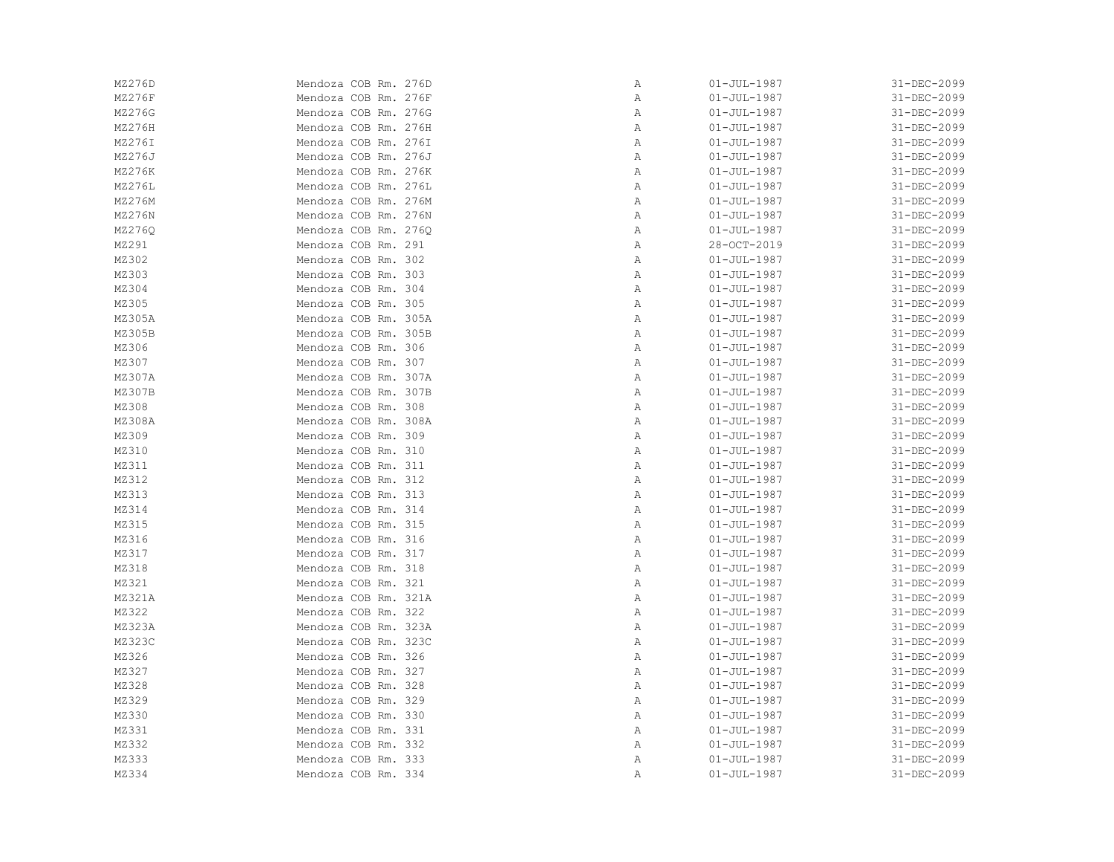| MZ276D        | Mendoza COB Rm. 276D | Α            | $01 - JUL - 1987$ | 31-DEC-2099 |
|---------------|----------------------|--------------|-------------------|-------------|
| MZ276F        | Mendoza COB Rm. 276F | Α            | $01 - JUL - 1987$ | 31-DEC-2099 |
| MZ276G        | Mendoza COB Rm. 276G | Α            | $01 - JUL - 1987$ | 31-DEC-2099 |
| MZ276H        | Mendoza COB Rm. 276H | Α            | $01 - JUL - 1987$ | 31-DEC-2099 |
| MZ276I        | Mendoza COB Rm. 276I | Α            | $01 - JUL - 1987$ | 31-DEC-2099 |
| MZ276J        | Mendoza COB Rm. 276J | Α            | $01 - JUL - 1987$ | 31-DEC-2099 |
| MZ276K        | Mendoza COB Rm. 276K | Α            | $01 - JUL - 1987$ | 31-DEC-2099 |
| <b>MZ276L</b> | Mendoza COB Rm. 276L | Α            | $01 - JUL - 1987$ | 31-DEC-2099 |
| MZ276M        | Mendoza COB Rm. 276M | Α            | $01 - JUL - 1987$ | 31-DEC-2099 |
| MZ276N        | Mendoza COB Rm. 276N | Α            | $01 - JUL - 1987$ | 31-DEC-2099 |
| MZ276Q        | Mendoza COB Rm. 276Q | Α            | $01 - JUL - 1987$ | 31-DEC-2099 |
| MZ291         | Mendoza COB Rm. 291  | $\mathbb{A}$ | 28-OCT-2019       | 31-DEC-2099 |
| MZ302         | Mendoza COB Rm. 302  | Α            | $01 - JUL - 1987$ | 31-DEC-2099 |
| MZ303         | Mendoza COB Rm. 303  | Α            | $01 - JUL - 1987$ | 31-DEC-2099 |
| MZ304         | Mendoza COB Rm. 304  | Α            | $01 - JUL - 1987$ | 31-DEC-2099 |
| MZ305         | Mendoza COB Rm. 305  | Α            | $01 - JUL - 1987$ | 31-DEC-2099 |
| MZ305A        | Mendoza COB Rm. 305A | Α            | $01 - JUL - 1987$ | 31-DEC-2099 |
| MZ305B        | Mendoza COB Rm. 305B | Α            | $01 - JUL - 1987$ | 31-DEC-2099 |
| MZ306         | Mendoza COB Rm. 306  | Α            | $01 - JUL - 1987$ | 31-DEC-2099 |
| MZ307         | Mendoza COB Rm. 307  | Α            | $01 - JUL - 1987$ | 31-DEC-2099 |
| MZ307A        | Mendoza COB Rm. 307A | Α            | $01 - JUL - 1987$ | 31-DEC-2099 |
| MZ307B        | Mendoza COB Rm. 307B | Α            | $01 - JUL - 1987$ | 31-DEC-2099 |
| MZ308         | Mendoza COB Rm. 308  | Α            | $01 - JUL - 1987$ | 31-DEC-2099 |
| MZ308A        | Mendoza COB Rm. 308A | Α            | $01 - JUL - 1987$ | 31-DEC-2099 |
| MZ309         | Mendoza COB Rm. 309  | Α            | $01 - JUL - 1987$ | 31-DEC-2099 |
| MZ310         | Mendoza COB Rm. 310  | Α            | $01 - JUL - 1987$ | 31-DEC-2099 |
| MZ311         | Mendoza COB Rm. 311  | Α            | $01 - JUL - 1987$ | 31-DEC-2099 |
| MZ312         | Mendoza COB Rm. 312  | $\mathbb{A}$ | $01 - JUL - 1987$ | 31-DEC-2099 |
| MZ313         | Mendoza COB Rm. 313  | Α            | $01 - JUL - 1987$ | 31-DEC-2099 |
| MZ314         | Mendoza COB Rm. 314  | Α            | $01 - JUL - 1987$ | 31-DEC-2099 |
| MZ315         | Mendoza COB Rm. 315  | Α            | $01 - JUL - 1987$ | 31-DEC-2099 |
| MZ316         | Mendoza COB Rm. 316  | Α            | $01 - JUL - 1987$ | 31-DEC-2099 |
| MZ317         | Mendoza COB Rm. 317  | Α            | $01 - JUL - 1987$ | 31-DEC-2099 |
| MZ318         | Mendoza COB Rm. 318  | Α            | $01 - JUL - 1987$ | 31-DEC-2099 |
| MZ321         | Mendoza COB Rm. 321  | Α            | $01 - JUL - 1987$ | 31-DEC-2099 |
| MZ321A        | Mendoza COB Rm. 321A | Α            | $01 - JUL - 1987$ | 31-DEC-2099 |
| MZ322         | Mendoza COB Rm. 322  | Α            | $01 - JUL - 1987$ | 31-DEC-2099 |
| MZ323A        | Mendoza COB Rm. 323A | Α            | $01 - JUL - 1987$ | 31-DEC-2099 |
| MZ323C        | Mendoza COB Rm. 323C | Α            | $01 - JUL - 1987$ | 31-DEC-2099 |
| MZ326         | Mendoza COB Rm. 326  | Α            | $01 - JUL - 1987$ | 31-DEC-2099 |
| MZ327         | Mendoza COB Rm. 327  | Α            | $01 - JUL - 1987$ | 31-DEC-2099 |
| MZ328         | Mendoza COB Rm. 328  | Α            | $01 - JUL - 1987$ | 31-DEC-2099 |
| MZ329         | Mendoza COB Rm. 329  | Α            | $01 - JUL - 1987$ | 31-DEC-2099 |
| MZ330         | Mendoza COB Rm. 330  | Α            | $01 - JUL - 1987$ | 31-DEC-2099 |
| MZ331         | Mendoza COB Rm. 331  | Α            | $01 - JUL - 1987$ | 31-DEC-2099 |
| MZ332         | Mendoza COB Rm. 332  | Α            | $01 - JUL - 1987$ | 31-DEC-2099 |
| MZ333         | Mendoza COB Rm. 333  | Α            | $01 - JUL - 1987$ | 31-DEC-2099 |
| MZ334         | Mendoza COB Rm. 334  | Α            | $01 - JUL - 1987$ | 31-DEC-2099 |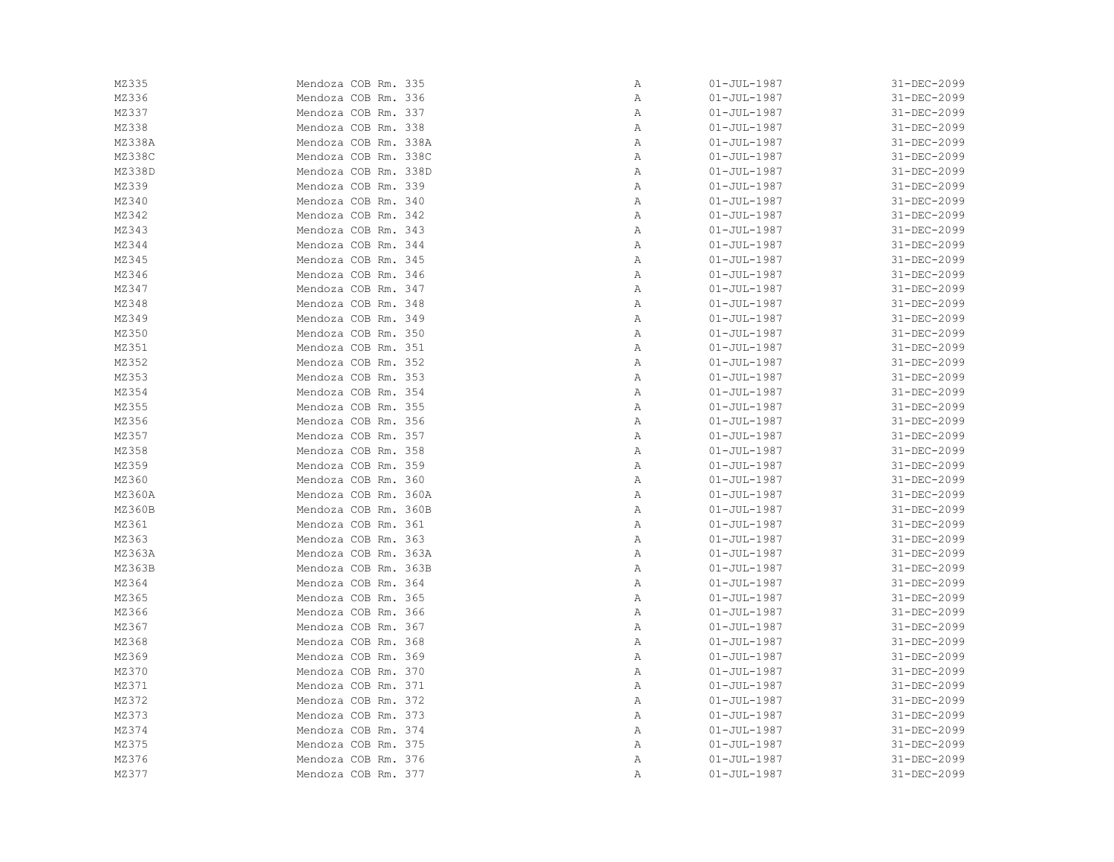| MZ335  | Mendoza COB Rm. 335  | Α | $01 - JUL - 1987$ | 31-DEC-2099 |
|--------|----------------------|---|-------------------|-------------|
| MZ336  | Mendoza COB Rm. 336  | Α | $01 - JUL - 1987$ | 31-DEC-2099 |
| MZ337  | Mendoza COB Rm. 337  | Α | $01 - JUL - 1987$ | 31-DEC-2099 |
| MZ338  | Mendoza COB Rm. 338  | Α | $01 - JUL - 1987$ | 31-DEC-2099 |
| MZ338A | Mendoza COB Rm. 338A | Α | $01 - JUL - 1987$ | 31-DEC-2099 |
| MZ338C | Mendoza COB Rm. 338C | Α | $01 - JUL - 1987$ | 31-DEC-2099 |
| MZ338D | Mendoza COB Rm. 338D | Α | $01 - JUL - 1987$ | 31-DEC-2099 |
| MZ339  | Mendoza COB Rm. 339  | Α | $01 - JUL - 1987$ | 31-DEC-2099 |
| MZ340  | Mendoza COB Rm. 340  | Α | $01 - JUL - 1987$ | 31-DEC-2099 |
| MZ342  | Mendoza COB Rm. 342  | Α | $01 - JUL - 1987$ | 31-DEC-2099 |
| MZ343  | Mendoza COB Rm. 343  | Α | $01 - JUL - 1987$ | 31-DEC-2099 |
| MZ344  | Mendoza COB Rm. 344  | Α | $01 - JUL - 1987$ | 31-DEC-2099 |
| MZ345  | Mendoza COB Rm. 345  | Α | $01 - JUL - 1987$ | 31-DEC-2099 |
| MZ346  | Mendoza COB Rm. 346  | Α | $01 - JUL - 1987$ | 31-DEC-2099 |
| MZ347  | Mendoza COB Rm. 347  | Α | $01 - JUL - 1987$ | 31-DEC-2099 |
| MZ348  | Mendoza COB Rm. 348  | Α | $01 - JUL - 1987$ | 31-DEC-2099 |
| MZ349  | Mendoza COB Rm. 349  | Α | $01 - JUL - 1987$ | 31-DEC-2099 |
| MZ350  | Mendoza COB Rm. 350  | Α | $01 - JUL - 1987$ | 31-DEC-2099 |
| MZ351  | Mendoza COB Rm. 351  | Α | $01 - JUL - 1987$ | 31-DEC-2099 |
| MZ352  | Mendoza COB Rm. 352  | Α | $01 - JUL - 1987$ | 31-DEC-2099 |
| MZ353  | Mendoza COB Rm. 353  | Α | $01 - JUL - 1987$ | 31-DEC-2099 |
| MZ354  | Mendoza COB Rm. 354  | Α | $01 - JUL - 1987$ | 31-DEC-2099 |
| MZ355  | Mendoza COB Rm. 355  | Α | $01 - JUL - 1987$ | 31-DEC-2099 |
| MZ356  | Mendoza COB Rm. 356  | Α | $01 - JUL - 1987$ | 31-DEC-2099 |
| MZ357  | Mendoza COB Rm. 357  | Α | $01 - JUL - 1987$ | 31-DEC-2099 |
| MZ358  | Mendoza COB Rm. 358  | Α | $01 - JUL - 1987$ | 31-DEC-2099 |
| MZ359  | Mendoza COB Rm. 359  | Α | $01 - JUL - 1987$ | 31-DEC-2099 |
| MZ360  | Mendoza COB Rm. 360  | Α | $01 - JUL - 1987$ | 31-DEC-2099 |
| MZ360A | Mendoza COB Rm. 360A | Α | $01 - JUL - 1987$ | 31-DEC-2099 |
| MZ360B | Mendoza COB Rm. 360B | Α | $01 - JUL - 1987$ | 31-DEC-2099 |
| MZ361  | Mendoza COB Rm. 361  | Α | $01 - JUL - 1987$ | 31-DEC-2099 |
| MZ363  | Mendoza COB Rm. 363  | Α | $01 - JUL - 1987$ | 31-DEC-2099 |
| MZ363A | Mendoza COB Rm. 363A | Α | $01 - JUL - 1987$ | 31-DEC-2099 |
| MZ363B | Mendoza COB Rm. 363B | Α | $01 - JUL - 1987$ | 31-DEC-2099 |
| MZ364  | Mendoza COB Rm. 364  | Α | $01 - JUL - 1987$ | 31-DEC-2099 |
| MZ365  | Mendoza COB Rm. 365  | Α | $01 - JUL - 1987$ | 31-DEC-2099 |
| MZ366  | Mendoza COB Rm. 366  | Α | $01 - JUL - 1987$ | 31-DEC-2099 |
| MZ367  | Mendoza COB Rm. 367  | Α | $01 - JUL - 1987$ | 31-DEC-2099 |
| MZ368  | Mendoza COB Rm. 368  | Α | $01 - JUL - 1987$ | 31-DEC-2099 |
| MZ369  | Mendoza COB Rm. 369  | Α | $01 - JUL - 1987$ | 31-DEC-2099 |
| MZ370  | Mendoza COB Rm. 370  | Α | $01 - JUL - 1987$ | 31-DEC-2099 |
| MZ371  | Mendoza COB Rm. 371  | Α | $01 - JUL - 1987$ | 31-DEC-2099 |
| MZ372  | Mendoza COB Rm. 372  | Α | $01 - JUL - 1987$ | 31-DEC-2099 |
| MZ373  | Mendoza COB Rm. 373  | Α | $01 - JUL - 1987$ | 31-DEC-2099 |
| MZ374  | Mendoza COB Rm. 374  | Α | $01 - JUL - 1987$ | 31-DEC-2099 |
| MZ375  | Mendoza COB Rm. 375  | Α | $01 - JUL - 1987$ | 31-DEC-2099 |
| MZ376  | Mendoza COB Rm. 376  | Α | $01 - JUL - 1987$ | 31-DEC-2099 |
| MZ377  | Mendoza COB Rm. 377  | Α | $01 - JUL - 1987$ | 31-DEC-2099 |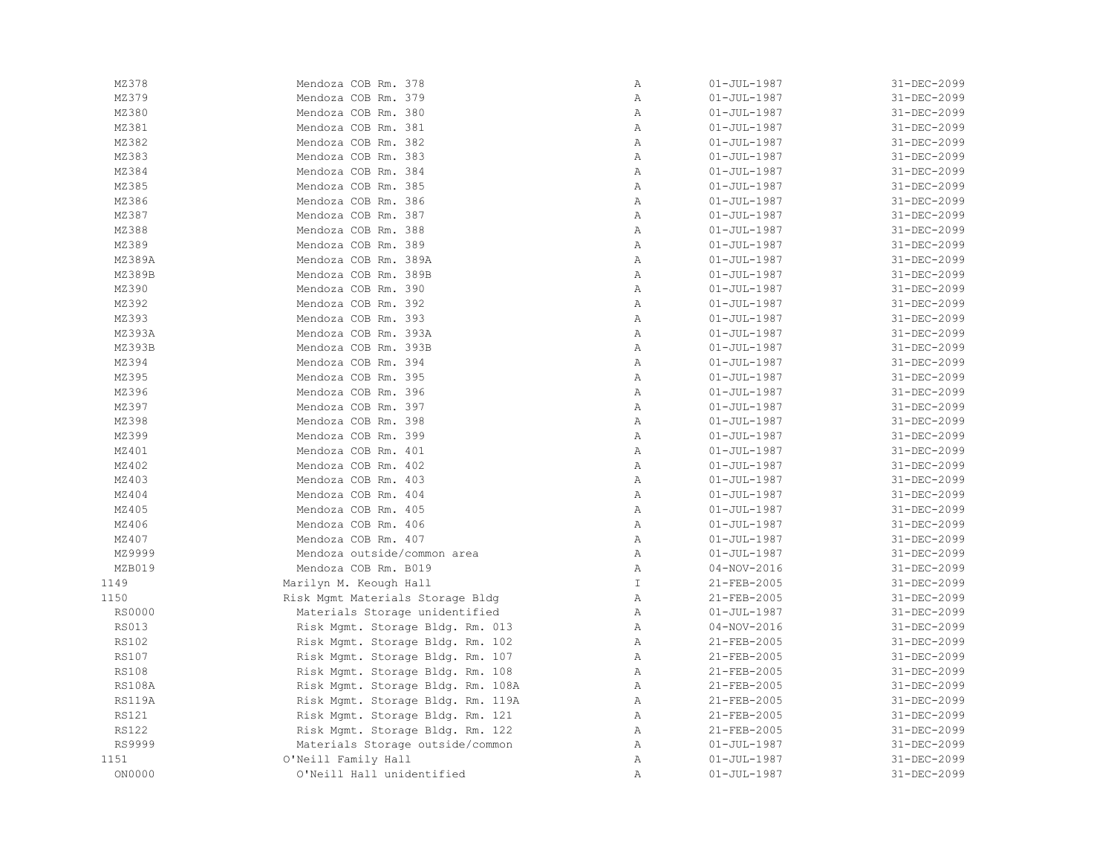| MZ378                        | Mendoza COB Rm. 378               | Α                            | $01 - JUL - 1987$          | 31-DEC-2099                |
|------------------------------|-----------------------------------|------------------------------|----------------------------|----------------------------|
| MZ379                        | Mendoza COB Rm. 379               | $\, {\bf A}$                 | $01 - JUL - 1987$          | 31-DEC-2099                |
| MZ380                        | Mendoza COB Rm. 380               | $\mathbb{A}$                 | $01 - JUL - 1987$          | 31-DEC-2099                |
| MZ381                        | Mendoza COB Rm. 381               | $\mathbb{A}$                 | $01 - JUL - 1987$          | 31-DEC-2099                |
| MZ382                        | Mendoza COB Rm. 382               | $\lambda$                    | $01 - JUL - 1987$          | 31-DEC-2099                |
| MZ383                        | Mendoza COB Rm. 383               | $\mathbb{A}$                 | $01 - JUL - 1987$          | 31-DEC-2099                |
| MZ384                        | Mendoza COB Rm. 384               | $\mathbb{A}$                 | $01 - JUL - 1987$          | 31-DEC-2099                |
| MZ385                        | Mendoza COB Rm. 385               | $\mathbb{A}$                 | $01 - JUL - 1987$          | 31-DEC-2099                |
| MZ386                        | Mendoza COB Rm. 386               | $\mathbb{A}$                 | $01 - JUL - 1987$          | 31-DEC-2099                |
| MZ387                        | Mendoza COB Rm. 387               | $\lambda$                    | $01 - JUL - 1987$          | 31-DEC-2099                |
| MZ388                        | Mendoza COB Rm. 388               | $\mathbb{A}$                 | $01 - JUL - 1987$          | 31-DEC-2099                |
| MZ389                        | Mendoza COB Rm. 389               | $\mathbb{A}$                 | $01 - JUL - 1987$          | 31-DEC-2099                |
| MZ389A                       | Mendoza COB Rm. 389A              | $\mathbb{A}$                 | $01 - JUL - 1987$          | 31-DEC-2099                |
| MZ389B                       | Mendoza COB Rm. 389B              | $\mathbb{A}$                 | $01 - JUL - 1987$          | 31-DEC-2099                |
| MZ390                        | Mendoza COB Rm. 390               | $\, {\bf A}$                 | $01 - JUL - 1987$          | 31-DEC-2099                |
| MZ392                        | Mendoza COB Rm. 392               | Α                            | $01 - JUL - 1987$          | 31-DEC-2099                |
| MZ393                        | Mendoza COB Rm. 393               | $\mathbb{A}$                 | $01 - JUL - 1987$          | 31-DEC-2099                |
| MZ393A                       | Mendoza COB Rm. 393A              | Α                            | $01 - JUL - 1987$          | 31-DEC-2099                |
| MZ393B                       | Mendoza COB Rm. 393B              | $\mathbb{A}$                 | $01 - JUL - 1987$          | 31-DEC-2099                |
| MZ394                        | Mendoza COB Rm. 394               | $\mathbb{A}$                 | $01 - JUL - 1987$          | 31-DEC-2099                |
| MZ395                        | Mendoza COB Rm. 395               | $\overline{A}$               | $01 - JUL - 1987$          | 31-DEC-2099                |
| MZ396                        | Mendoza COB Rm. 396               | $\mathbb{A}$                 | $01 - JUL - 1987$          | 31-DEC-2099                |
| MZ397                        | Mendoza COB Rm. 397               | Α                            | $01 - JUL - 1987$          | 31-DEC-2099                |
| MZ398                        | Mendoza COB Rm. 398               | $\mathbb{A}$                 | $01 - JUL - 1987$          | 31-DEC-2099                |
| MZ399                        | Mendoza COB Rm. 399               | Α                            | $01 - JUL - 1987$          | 31-DEC-2099                |
| MZ401                        | Mendoza COB Rm. 401               | $\lambda$                    | $01 - JUL - 1987$          | 31-DEC-2099                |
| MZ402                        | Mendoza COB Rm. 402               | $\mathbb{A}$                 | $01 - JUL - 1987$          | 31-DEC-2099                |
| MZ403                        | Mendoza COB Rm. 403               | $\lambda$                    | $01 - JUL - 1987$          | 31-DEC-2099                |
| MZ404                        | Mendoza COB Rm. 404               | $\mathbb{A}$                 | $01 - JUL - 1987$          | 31-DEC-2099                |
| MZ405                        | Mendoza COB Rm. 405               | $\mathbb{A}$                 | $01 - JUL - 1987$          | 31-DEC-2099                |
| MZ406                        | Mendoza COB Rm. 406               | $\mathbb{A}$                 | $01 - JUL - 1987$          | 31-DEC-2099                |
| MZ407                        | Mendoza COB Rm. 407               | Α                            | $01 - JUL - 1987$          | 31-DEC-2099                |
| MZ9999                       | Mendoza outside/common area       | $\mathbb{A}$                 | $01 - JUL - 1987$          | 31-DEC-2099                |
| MZB019                       | Mendoza COB Rm. B019              | Α                            | $04 - NOV - 2016$          | 31-DEC-2099                |
| 1149                         | Marilyn M. Keough Hall            | T                            | 21-FEB-2005                | 31-DEC-2099                |
| 1150                         | Risk Mgmt Materials Storage Bldg  | $\mathbb{A}$                 | 21-FEB-2005                | 31-DEC-2099                |
| RS0000                       | Materials Storage unidentified    | $\mathbb{A}$                 | $01 - JUL - 1987$          | 31-DEC-2099                |
| <b>RS013</b>                 | Risk Mgmt. Storage Bldg. Rm. 013  | $\mathbb{A}$                 | $04 - NOV - 2016$          | 31-DEC-2099                |
| RS102                        | Risk Mgmt. Storage Bldg. Rm. 102  | Α                            | 21-FEB-2005                | 31-DEC-2099                |
| <b>RS107</b>                 | Risk Mgmt. Storage Bldg. Rm. 107  | Α                            | 21-FEB-2005                | 31-DEC-2099                |
| <b>RS108</b>                 | Risk Mgmt. Storage Bldg. Rm. 108  | Α                            | 21-FEB-2005                | 31-DEC-2099                |
| <b>RS108A</b>                | Risk Mgmt. Storage Bldg. Rm. 108A | $\mathbb{A}$                 | 21-FEB-2005                | 31-DEC-2099                |
| <b>RS119A</b>                |                                   | $\mathbb{A}$                 | 21-FEB-2005                | 31-DEC-2099                |
|                              | Risk Mgmt. Storage Bldg. Rm. 119A |                              |                            |                            |
| <b>RS121</b><br><b>RS122</b> | Risk Mgmt. Storage Bldg. Rm. 121  | $\mathbb{A}$<br>$\mathbb{A}$ | 21-FEB-2005<br>21-FEB-2005 | 31-DEC-2099<br>31-DEC-2099 |
|                              | Risk Mgmt. Storage Bldg. Rm. 122  |                              |                            |                            |
| RS9999                       | Materials Storage outside/common  | $\mathbb{A}$                 | $01 - JUL - 1987$          | 31-DEC-2099                |
| 1151                         | O'Neill Family Hall               | $\mathbb{A}$                 | $01 - JUL - 1987$          | 31-DEC-2099                |
| ON0000                       | O'Neill Hall unidentified         | $\, {\bf A}$                 | $01 - JUL - 1987$          | 31-DEC-2099                |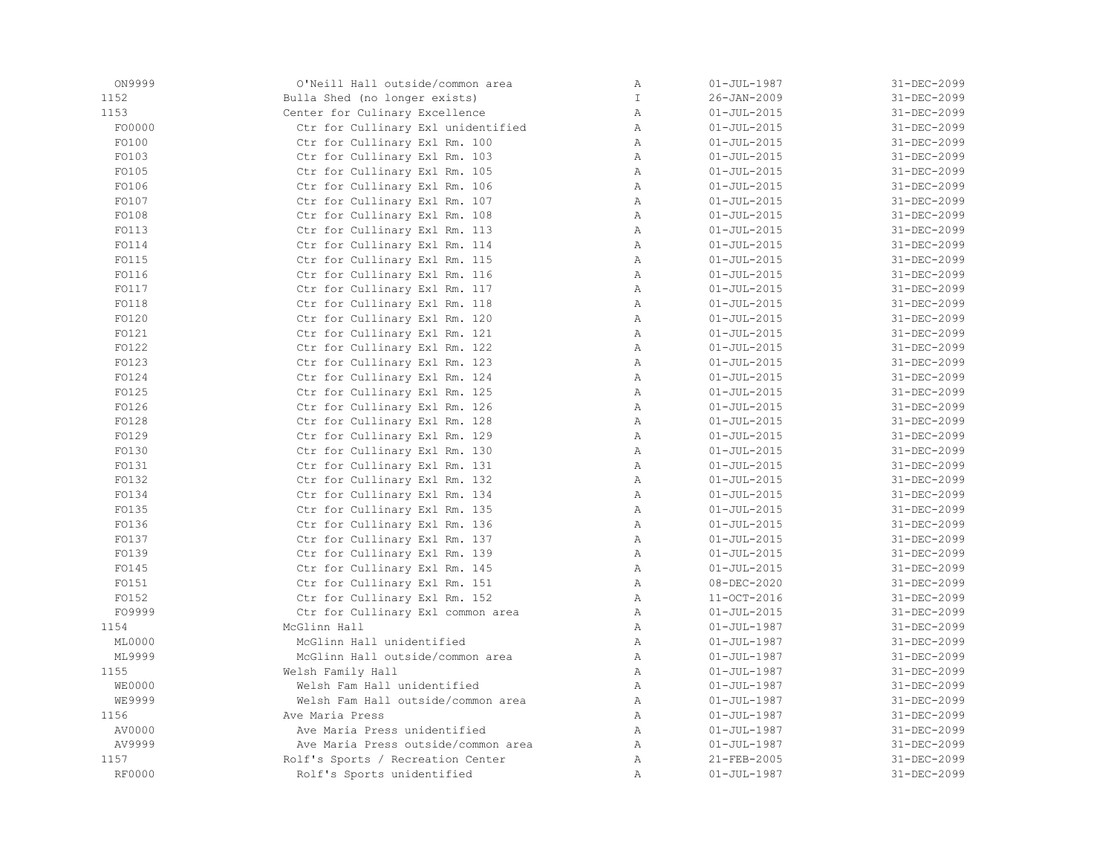| ON9999        | O'Neill Hall outside/common area    | Α            | $01 - JUL - 1987$ | 31-DEC-2099 |
|---------------|-------------------------------------|--------------|-------------------|-------------|
| 1152          | Bulla Shed (no longer exists)       | T            | $26 - JAN - 2009$ | 31-DEC-2099 |
| 1153          | Center for Culinary Excellence      | $\mathbb{A}$ | $01 - JUL - 2015$ | 31-DEC-2099 |
| F00000        | Ctr for Cullinary Exl unidentified  | $\mathbb{A}$ | $01 - JUL - 2015$ | 31-DEC-2099 |
| F0100         | Ctr for Cullinary Exl Rm. 100       | $\mathbb{A}$ | $01 - JUL - 2015$ | 31-DEC-2099 |
| F0103         | Ctr for Cullinary Exl Rm. 103       | $\mathbb{A}$ | $01 - JUL - 2015$ | 31-DEC-2099 |
| F0105         | Ctr for Cullinary Exl Rm. 105       | A            | $01 - JUL - 2015$ | 31-DEC-2099 |
| FO106         | Ctr for Cullinary Exl Rm. 106       | Α            | $01 - JUL - 2015$ | 31-DEC-2099 |
| FO107         | Ctr for Cullinary Exl Rm. 107       | $\mathbb{A}$ | $01 - JUL - 2015$ | 31-DEC-2099 |
| F0108         | Ctr for Cullinary Exl Rm. 108       | $\mathbb{A}$ | $01 - JUL - 2015$ | 31-DEC-2099 |
| F0113         | Ctr for Cullinary Exl Rm. 113       | A            | $01 - JUL - 2015$ | 31-DEC-2099 |
| F0114         | Ctr for Cullinary Exl Rm. 114       | $\mathbb A$  | $01 - JUL - 2015$ | 31-DEC-2099 |
| F0115         | Ctr for Cullinary Exl Rm. 115       | $\mathbb{A}$ | $01 - JUL - 2015$ | 31-DEC-2099 |
| F0116         | Ctr for Cullinary Exl Rm. 116       | A            | $01 - JUL - 2015$ | 31-DEC-2099 |
| F0117         | Ctr for Cullinary Exl Rm. 117       | Α            | $01 - JUL - 2015$ | 31-DEC-2099 |
| F0118         | Ctr for Cullinary Exl Rm. 118       | $\mathbb{A}$ | $01 - JUL - 2015$ | 31-DEC-2099 |
| FO120         | Ctr for Cullinary Exl Rm. 120       | $\mathbb{A}$ | $01 - JUL - 2015$ | 31-DEC-2099 |
| F0121         | Ctr for Cullinary Exl Rm. 121       | $\mathbb{A}$ | $01 - JUL - 2015$ | 31-DEC-2099 |
| F0122         | Ctr for Cullinary Exl Rm. 122       | $\mathbb A$  | $01 - JUL - 2015$ | 31-DEC-2099 |
| F0123         | Ctr for Cullinary Exl Rm. 123       | $\mathbb{A}$ | $01 - JUL - 2015$ | 31-DEC-2099 |
| F0124         | Ctr for Cullinary Exl Rm. 124       | $\mathbb{A}$ | $01 - JUL - 2015$ | 31-DEC-2099 |
| F0125         | Ctr for Cullinary Exl Rm. 125       | Α            | $01 - JUL - 2015$ | 31-DEC-2099 |
| FO126         | Ctr for Cullinary Exl Rm. 126       | $\mathbb{A}$ | $01 - JUL - 2015$ | 31-DEC-2099 |
| FO128         | Ctr for Cullinary Exl Rm. 128       | Α            | $01 - JUL - 2015$ | 31-DEC-2099 |
| F0129         | Ctr for Cullinary Exl Rm. 129       | $\mathbb{A}$ | $01 - JUL - 2015$ | 31-DEC-2099 |
| F0130         | Ctr for Cullinary Exl Rm. 130       | $\mathbb{A}$ | $01 - JUL - 2015$ | 31-DEC-2099 |
| FO131         | Ctr for Cullinary Exl Rm. 131       | A            | $01 - JUL - 2015$ | 31-DEC-2099 |
| F0132         | Ctr for Cullinary Exl Rm. 132       | Α            | $01 - JUL - 2015$ | 31-DEC-2099 |
| FO134         | Ctr for Cullinary Exl Rm. 134       | $\mathbb{A}$ | $01 - JUL - 2015$ | 31-DEC-2099 |
| FO135         | Ctr for Cullinary Exl Rm. 135       | $\mathbb{A}$ | $01 - JUL - 2015$ | 31-DEC-2099 |
| FO136         | Ctr for Cullinary Exl Rm. 136       | $\mathbb{A}$ | $01 - JUL - 2015$ | 31-DEC-2099 |
| F0137         | Ctr for Cullinary Exl Rm. 137       | A            | $01 - JUL - 2015$ | 31-DEC-2099 |
| F0139         | Ctr for Cullinary Exl Rm. 139       | $\mathbb A$  | $01 - JUL - 2015$ | 31-DEC-2099 |
| FO145         | Ctr for Cullinary Exl Rm. 145       | $\mathbb{A}$ | $01 - JUL - 2015$ | 31-DEC-2099 |
| F0151         | Ctr for Cullinary Exl Rm. 151       | Α            | 08-DEC-2020       | 31-DEC-2099 |
| F0152         | Ctr for Cullinary Exl Rm. 152       | $\mathbb{A}$ | 11-OCT-2016       | 31-DEC-2099 |
| F09999        | Ctr for Cullinary Exl common area   | $\mathbb{A}$ | $01 - JUL - 2015$ | 31-DEC-2099 |
| 1154          | McGlinn Hall                        | $\mathbb{A}$ | $01 - JUL - 1987$ | 31-DEC-2099 |
| ML0000        | McGlinn Hall unidentified           | A            | $01 - JUL - 1987$ | 31-DEC-2099 |
| ML9999        | McGlinn Hall outside/common area    | Α            | $01 - JUL - 1987$ | 31-DEC-2099 |
| 1155          | Welsh Family Hall                   | A            | $01 - JUL - 1987$ | 31-DEC-2099 |
| <b>WE0000</b> | Welsh Fam Hall unidentified         | Α            | $01 - JUL - 1987$ | 31-DEC-2099 |
| WE9999        | Welsh Fam Hall outside/common area  | $\mathbb{A}$ | $01 - JUL - 1987$ | 31-DEC-2099 |
| 1156          | Ave Maria Press                     | $\mathbb{A}$ | $01 - JUL - 1987$ | 31-DEC-2099 |
| AV0000        | Ave Maria Press unidentified        | $\mathbb{A}$ | $01 - JUL - 1987$ | 31-DEC-2099 |
| AV9999        | Ave Maria Press outside/common area | $\mathbb{A}$ | $01 - JUL - 1987$ | 31-DEC-2099 |
| 1157          | Rolf's Sports / Recreation Center   | Α            | 21-FEB-2005       | 31-DEC-2099 |
| <b>RF0000</b> | Rolf's Sports unidentified          | Α            | $01 - JUL - 1987$ | 31-DEC-2099 |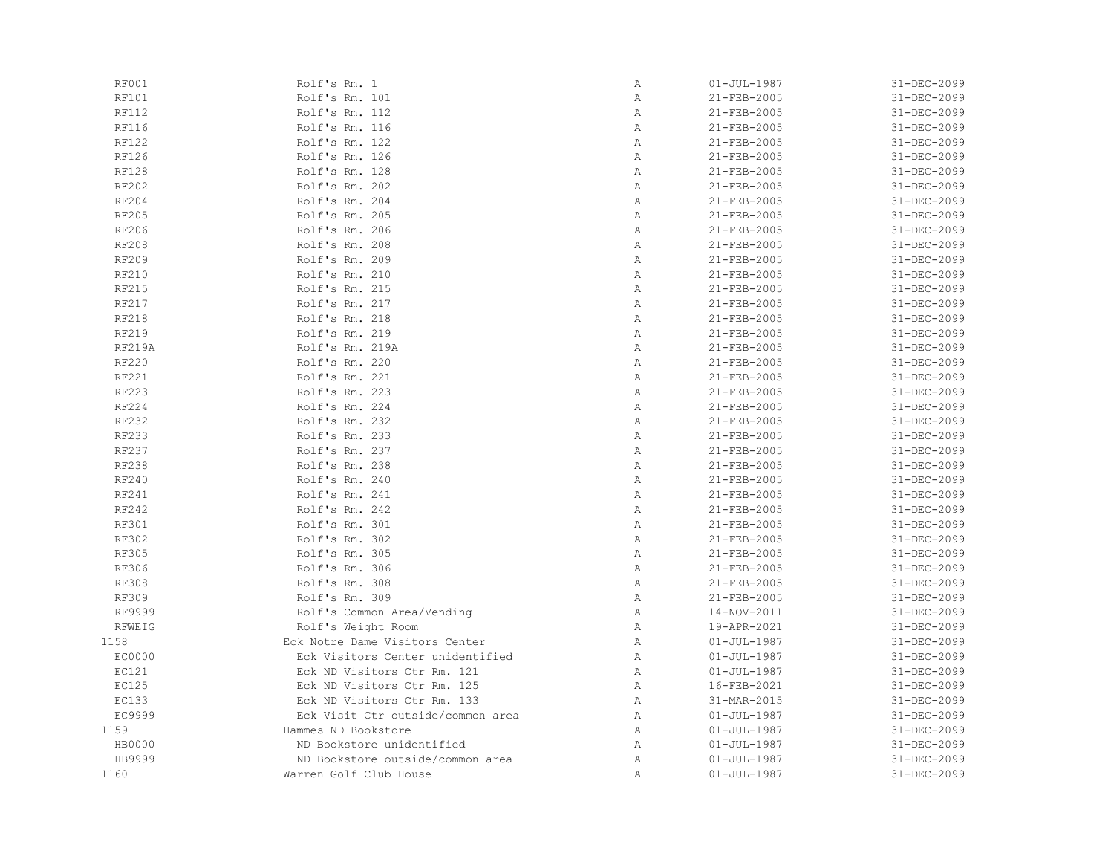| RF001         | Rolf's Rm. 1                      | Α              | $01 - JUL - 1987$ | 31-DEC-2099 |
|---------------|-----------------------------------|----------------|-------------------|-------------|
| RF101         | Rolf's Rm. 101                    | Α              | 21-FEB-2005       | 31-DEC-2099 |
| <b>RF112</b>  | Rolf's Rm. 112                    | Α              | 21-FEB-2005       | 31-DEC-2099 |
| RF116         | Rolf's Rm. 116                    | Α              | 21-FEB-2005       | 31-DEC-2099 |
| <b>RF122</b>  | Rolf's Rm. 122                    | $\overline{A}$ | 21-FEB-2005       | 31-DEC-2099 |
| RF126         | Rolf's Rm. 126                    | Α              | 21-FEB-2005       | 31-DEC-2099 |
| <b>RF128</b>  | Rolf's Rm. 128                    | $\mathbb{A}$   | 21-FEB-2005       | 31-DEC-2099 |
| RF202         | Rolf's Rm. 202                    | $\,$ A         | 21-FEB-2005       | 31-DEC-2099 |
| RF204         | Rolf's Rm. 204                    | Α              | 21-FEB-2005       | 31-DEC-2099 |
| RF205         | Rolf's Rm. 205                    | Α              | 21-FEB-2005       | 31-DEC-2099 |
| RF206         | Rolf's Rm. 206                    | Α              | 21-FEB-2005       | 31-DEC-2099 |
| <b>RF208</b>  | Rolf's Rm. 208                    | Α              | 21-FEB-2005       | 31-DEC-2099 |
| RF209         | Rolf's Rm. 209                    | Α              | 21-FEB-2005       | 31-DEC-2099 |
| RF210         | Rolf's Rm. 210                    | $\overline{A}$ | 21-FEB-2005       | 31-DEC-2099 |
| <b>RF215</b>  | Rolf's Rm. 215                    | Α              | $21 - FEB - 2005$ | 31-DEC-2099 |
| RF217         | Rolf's Rm. 217                    | Α              | 21-FEB-2005       | 31-DEC-2099 |
| RF218         | Rolf's Rm. 218                    | $\,$ A         | 21-FEB-2005       | 31-DEC-2099 |
| RF219         | Rolf's Rm. 219                    | $\, {\bf A}$   | 21-FEB-2005       | 31-DEC-2099 |
| <b>RF219A</b> | Rolf's Rm. 219A                   | Α              | 21-FEB-2005       | 31-DEC-2099 |
| RF220         | Rolf's Rm. 220                    | Α              | 21-FEB-2005       | 31-DEC-2099 |
| RF221         | Rolf's Rm. 221                    | $\, {\bf A}$   | 21-FEB-2005       | 31-DEC-2099 |
| RF223         | Rolf's Rm. 223                    | Α              | 21-FEB-2005       | 31-DEC-2099 |
| RF224         | Rolf's Rm. 224                    | Α              | 21-FEB-2005       | 31-DEC-2099 |
| RF232         | Rolf's Rm. 232                    | Α              | 21-FEB-2005       | 31-DEC-2099 |
| RF233         | Rolf's Rm. 233                    | Α              | 21-FEB-2005       | 31-DEC-2099 |
| RF237         | Rolf's Rm. 237                    | $\,$ A         | 21-FEB-2005       | 31-DEC-2099 |
| <b>RF238</b>  | Rolf's Rm. 238                    | Α              | 21-FEB-2005       | 31-DEC-2099 |
| RF240         | Rolf's Rm. 240                    | $\mathbb{A}$   | 21-FEB-2005       | 31-DEC-2099 |
| RF241         | Rolf's Rm. 241                    | $\, {\bf A}$   | 21-FEB-2005       | 31-DEC-2099 |
| RF242         | Rolf's Rm. 242                    | Α              | 21-FEB-2005       | 31-DEC-2099 |
| RF301         | Rolf's Rm. 301                    | Α              | 21-FEB-2005       | 31-DEC-2099 |
| <b>RF302</b>  | Rolf's Rm. 302                    | $\overline{A}$ | $21 - FEB - 2005$ | 31-DEC-2099 |
| <b>RF305</b>  | Rolf's Rm. 305                    | Α              | 21-FEB-2005       | 31-DEC-2099 |
| <b>RF306</b>  | Rolf's Rm. 306                    | Α              | 21-FEB-2005       | 31-DEC-2099 |
| <b>RF308</b>  | Rolf's Rm. 308                    | Α              | 21-FEB-2005       | 31-DEC-2099 |
| <b>RF309</b>  | Rolf's Rm. 309                    | Α              | 21-FEB-2005       | 31-DEC-2099 |
| RF9999        | Rolf's Common Area/Vending        | Α              | 14-NOV-2011       | 31-DEC-2099 |
| RFWEIG        | Rolf's Weight Room                | Α              | 19-APR-2021       | 31-DEC-2099 |
| 1158          | Eck Notre Dame Visitors Center    | $\, {\bf A}$   | $01 - JUL - 1987$ | 31-DEC-2099 |
| EC0000        | Eck Visitors Center unidentified  | Α              | $01 - JUL - 1987$ | 31-DEC-2099 |
| EC121         | Eck ND Visitors Ctr Rm. 121       | Α              | $01 - JUL - 1987$ | 31-DEC-2099 |
| <b>EC125</b>  | Eck ND Visitors Ctr Rm. 125       | Α              | 16-FEB-2021       | 31-DEC-2099 |
| <b>EC133</b>  | Eck ND Visitors Ctr Rm. 133       | Α              | 31-MAR-2015       | 31-DEC-2099 |
| EC9999        | Eck Visit Ctr outside/common area | Α              | $01 - JUL - 1987$ | 31-DEC-2099 |
| 1159          | Hammes ND Bookstore               | Α              | $01 - JUL - 1987$ | 31-DEC-2099 |
| HB0000        | ND Bookstore unidentified         | Α              | $01 - JUL - 1987$ | 31-DEC-2099 |
| HB9999        | ND Bookstore outside/common area  | Α              | $01 - JUL - 1987$ | 31-DEC-2099 |
| 1160          | Warren Golf Club House            | Α              | $01 - JUL - 1987$ | 31-DEC-2099 |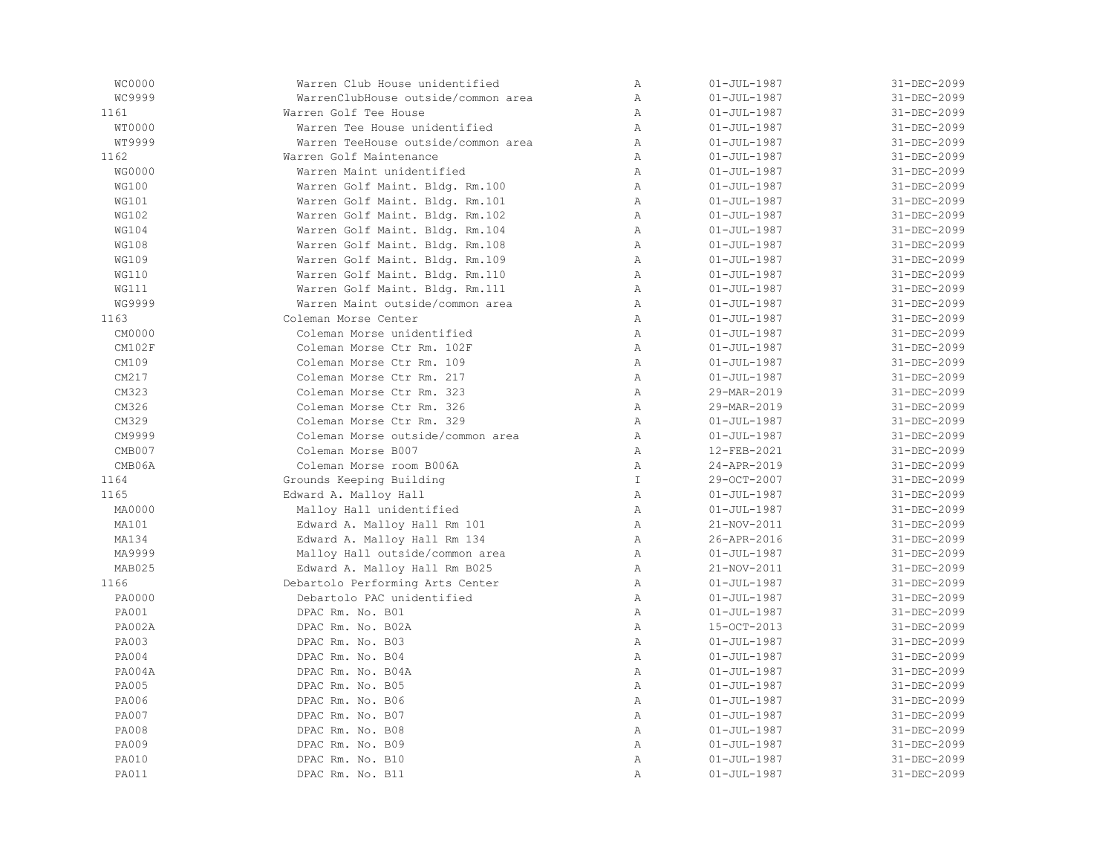| WC0000        | Warren Club House unidentified      | Α              | $01 - JUL - 1987$ | 31-DEC-2099 |
|---------------|-------------------------------------|----------------|-------------------|-------------|
| WC9999        | WarrenClubHouse outside/common area | $\, {\bf A}$   | $01 - JUL - 1987$ | 31-DEC-2099 |
| 1161          | Warren Golf Tee House               | $\mathbb{A}$   | $01 - JUL - 1987$ | 31-DEC-2099 |
| WT0000        | Warren Tee House unidentified       | $\mathbb{A}$   | $01 - JUL - 1987$ | 31-DEC-2099 |
| WT9999        | Warren TeeHouse outside/common area | $\mathbb{A}$   | $01 - JUL - 1987$ | 31-DEC-2099 |
| 1162          | Warren Golf Maintenance             | $\mathbb{A}$   | $01 - JUL - 1987$ | 31-DEC-2099 |
| WG0000        | Warren Maint unidentified           | A              | $01 - JUL - 1987$ | 31-DEC-2099 |
| <b>WG100</b>  | Warren Golf Maint. Bldg. Rm.100     | Α              | $01 - JUL - 1987$ | 31-DEC-2099 |
| WG101         | Warren Golf Maint. Bldg. Rm.101     | $\mathbb{A}$   | $01 - JUL - 1987$ | 31-DEC-2099 |
| <b>WG102</b>  | Warren Golf Maint. Bldg. Rm.102     | $\mathbb{A}$   | $01 - JUL - 1987$ | 31-DEC-2099 |
| <b>WG104</b>  | Warren Golf Maint. Bldg. Rm.104     | Α              | $01 - JUL - 1987$ | 31-DEC-2099 |
| <b>WG108</b>  | Warren Golf Maint. Bldg. Rm.108     | $\mathbb{A}$   | $01 - JUL - 1987$ | 31-DEC-2099 |
| WG109         | Warren Golf Maint. Bldg. Rm.109     | $\mathbb{A}$   | $01 - JUL - 1987$ | 31-DEC-2099 |
| <b>WG110</b>  | Warren Golf Maint. Bldg. Rm.110     | A              | $01 - JUL - 1987$ | 31-DEC-2099 |
| WG111         | Warren Golf Maint. Bldg. Rm.111     | Α              | $01 - JUL - 1987$ | 31-DEC-2099 |
| WG9999        | Warren Maint outside/common area    | $\mathbb{A}$   | $01 - JUL - 1987$ | 31-DEC-2099 |
| 1163          | Coleman Morse Center                | $\mathbb{A}$   | $01 - JUL - 1987$ | 31-DEC-2099 |
| CM0000        | Coleman Morse unidentified          | $\mathbb{A}$   | $01 - JUL - 1987$ | 31-DEC-2099 |
| CM102F        | Coleman Morse Ctr Rm. 102F          | Α              | $01 - JUL - 1987$ | 31-DEC-2099 |
| CM109         | Coleman Morse Ctr Rm. 109           | Α              | $01 - JUL - 1987$ | 31-DEC-2099 |
| CM217         | Coleman Morse Ctr Rm. 217           | $\mathbb{A}$   | $01 - JUL - 1987$ | 31-DEC-2099 |
| CM323         | Coleman Morse Ctr Rm. 323           | $\lambda$      | 29-MAR-2019       | 31-DEC-2099 |
| CM326         | Coleman Morse Ctr Rm. 326           | A              | 29-MAR-2019       | 31-DEC-2099 |
| CM329         | Coleman Morse Ctr Rm. 329           | Α              | $01 - JUL - 1987$ | 31-DEC-2099 |
| CM9999        | Coleman Morse outside/common area   | A              | $01 - JUL - 1987$ | 31-DEC-2099 |
| CMB007        | Coleman Morse B007                  | $\mathbb{A}$   | 12-FEB-2021       | 31-DEC-2099 |
| CMB06A        | Coleman Morse room B006A            | Α              | 24-APR-2019       | 31-DEC-2099 |
| 1164          | Grounds Keeping Building            | $\mathbb{I}$   | 29-OCT-2007       | 31-DEC-2099 |
| 1165          | Edward A. Malloy Hall               | $\mathbb{A}$   | $01 - JUL - 1987$ | 31-DEC-2099 |
| MA0000        | Malloy Hall unidentified            | A              | $01 - JUL - 1987$ | 31-DEC-2099 |
| MA101         | Edward A. Malloy Hall Rm 101        | $\mathbb{A}$   | 21-NOV-2011       | 31-DEC-2099 |
| MA134         | Edward A. Malloy Hall Rm 134        | A              | 26-APR-2016       | 31-DEC-2099 |
| MA9999        | Malloy Hall outside/common area     | Α              | $01 - JUL - 1987$ | 31-DEC-2099 |
| MAB025        | Edward A. Malloy Hall Rm B025       | A              | 21-NOV-2011       | 31-DEC-2099 |
| 1166          | Debartolo Performing Arts Center    | Α              | $01 - JUL - 1987$ | 31-DEC-2099 |
| PA0000        | Debartolo PAC unidentified          | $\mathbb{A}$   | $01 - JUL - 1987$ | 31-DEC-2099 |
| <b>PA001</b>  | DPAC Rm. No. B01                    | $\mathbb{A}$   | $01 - JUL - 1987$ | 31-DEC-2099 |
| <b>PA002A</b> | DPAC Rm. No. B02A                   | $\mathbb{A}$   | 15-OCT-2013       | 31-DEC-2099 |
| <b>PA003</b>  | DPAC Rm. No. B03                    | $\overline{A}$ | $01 - JUL - 1987$ | 31-DEC-2099 |
| <b>PA004</b>  | DPAC Rm. No. B04                    | $\mathbb{A}$   | $01 - JUL - 1987$ | 31-DEC-2099 |
| PA004A        | DPAC Rm. No. B04A                   | $\mathbb{A}$   | $01 - JUL - 1987$ | 31-DEC-2099 |
| PA005         | DPAC Rm. No. B05                    | $\, {\bf A}$   | $01 - JUL - 1987$ | 31-DEC-2099 |
| PA006         | DPAC Rm. No. B06                    | $\mathbb{A}$   | $01 - JUL - 1987$ | 31-DEC-2099 |
| PA007         | DPAC Rm. No. B07                    | $\mathbb{A}$   | $01 - JUL - 1987$ | 31-DEC-2099 |
| <b>PA008</b>  | DPAC Rm. No. B08                    | $\mathbb{A}$   | $01 - JUL - 1987$ | 31-DEC-2099 |
| PA009         | DPAC Rm. No. B09                    | $\mathbb{A}$   | $01 - JUL - 1987$ | 31-DEC-2099 |
| <b>PA010</b>  | DPAC Rm. No. B10                    | Α              | $01 - JUL - 1987$ | 31-DEC-2099 |
| PA011         | DPAC Rm. No. B11                    | Α              | $01 - JUL - 1987$ | 31-DEC-2099 |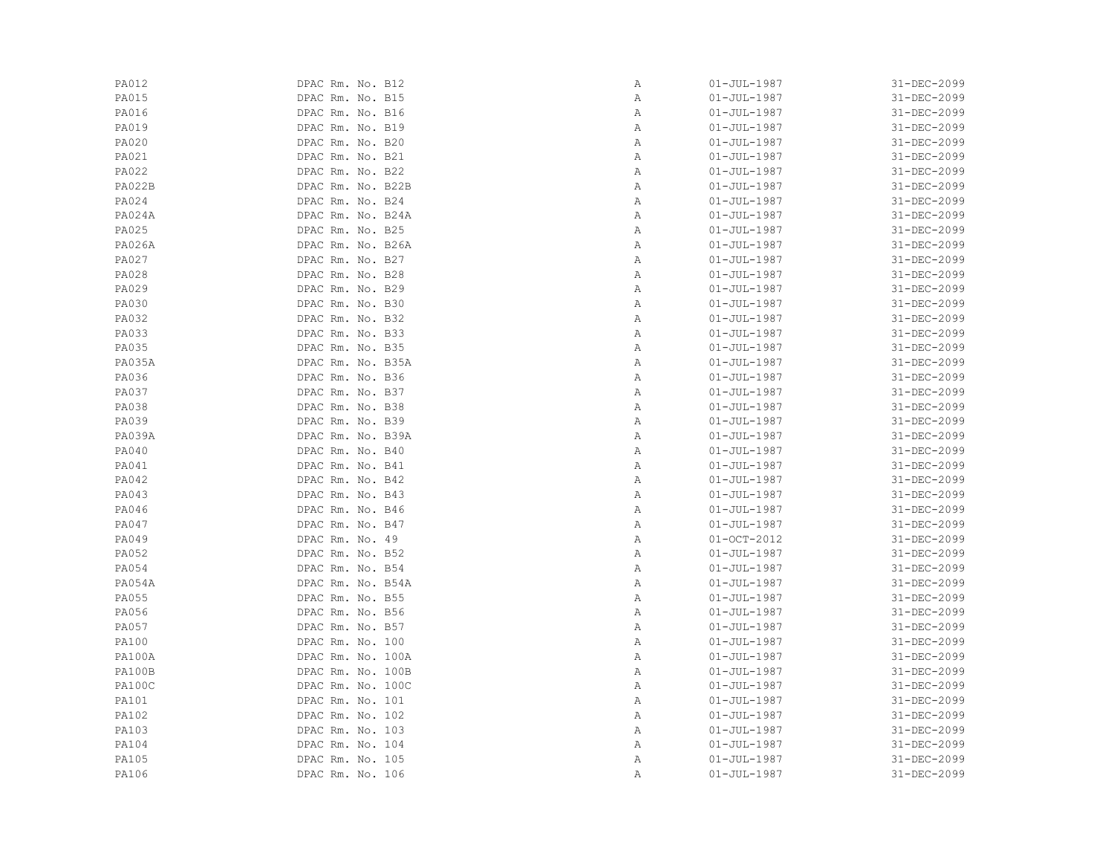| PA012         | DPAC Rm. No. B12  | Α | $01 - JUL - 1987$ | 31-DEC-2099 |
|---------------|-------------------|---|-------------------|-------------|
| PA015         | DPAC Rm. No. B15  | Α | $01 - JUL - 1987$ | 31-DEC-2099 |
| <b>PA016</b>  | DPAC Rm. No. B16  | Α | $01 - JUL - 1987$ | 31-DEC-2099 |
| <b>PA019</b>  | DPAC Rm. No. B19  | Α | $01 - JUL - 1987$ | 31-DEC-2099 |
| PA020         | DPAC Rm. No. B20  | Α | $01 - JUL - 1987$ | 31-DEC-2099 |
| PA021         | DPAC Rm. No. B21  | Α | $01 - JUL - 1987$ | 31-DEC-2099 |
| PA022         | DPAC Rm. No. B22  | Α | $01 - JUL - 1987$ | 31-DEC-2099 |
| <b>PA022B</b> | DPAC Rm. No. B22B | Α | $01 - JUL - 1987$ | 31-DEC-2099 |
| PA024         | DPAC Rm. No. B24  | Α | $01 - JUL - 1987$ | 31-DEC-2099 |
| <b>PA024A</b> | DPAC Rm. No. B24A | Α | $01 - JUL - 1987$ | 31-DEC-2099 |
| PA025         | DPAC Rm. No. B25  | Α | $01 - JUL - 1987$ | 31-DEC-2099 |
| <b>PA026A</b> | DPAC Rm. No. B26A | Α | $01 - JUL - 1987$ | 31-DEC-2099 |
| PA027         | DPAC Rm. No. B27  | Α | $01 - JUL - 1987$ | 31-DEC-2099 |
| PA028         | DPAC Rm. No. B28  | Α | $01 - JUL - 1987$ | 31-DEC-2099 |
| PA029         | DPAC Rm. No. B29  | Α | $01 - JUL - 1987$ | 31-DEC-2099 |
| <b>PA030</b>  | DPAC Rm. No. B30  | Α | $01 - JUL - 1987$ | 31-DEC-2099 |
| <b>PA032</b>  | DPAC Rm. No. B32  | Α | $01 - JUL - 1987$ | 31-DEC-2099 |
| <b>PA033</b>  | DPAC Rm. No. B33  | Α | $01 - JUL - 1987$ | 31-DEC-2099 |
| PA035         | DPAC Rm. No. B35  | Α | $01 - JUL - 1987$ | 31-DEC-2099 |
| <b>PA035A</b> | DPAC Rm. No. B35A | Α | $01 - JUL - 1987$ | 31-DEC-2099 |
| PA036         | DPAC Rm. No. B36  | Α | $01 - JUL - 1987$ | 31-DEC-2099 |
| PA037         | DPAC Rm. No. B37  | Α | $01 - JUL - 1987$ | 31-DEC-2099 |
| <b>PA038</b>  | DPAC Rm. No. B38  | Α | $01 - JUL - 1987$ | 31-DEC-2099 |
| <b>PA039</b>  | DPAC Rm. No. B39  | Α | $01 - JUL - 1987$ | 31-DEC-2099 |
| <b>PA039A</b> | DPAC Rm. No. B39A | Α | $01 - JUL - 1987$ | 31-DEC-2099 |
| <b>PA040</b>  | DPAC Rm. No. B40  | Α | $01 - JUL - 1987$ | 31-DEC-2099 |
| PA041         | DPAC Rm. No. B41  | Α | $01 - JUL - 1987$ | 31-DEC-2099 |
| <b>PA042</b>  | DPAC Rm. No. B42  | Α | $01 - JUL - 1987$ | 31-DEC-2099 |
| PA043         | DPAC Rm. No. B43  | Α | $01 - JUL - 1987$ | 31-DEC-2099 |
| PA046         | DPAC Rm. No. B46  | Α | $01 - JUL - 1987$ | 31-DEC-2099 |
| PA047         | DPAC Rm. No. B47  | Α | $01 - JUL - 1987$ | 31-DEC-2099 |
| PA049         | DPAC Rm. No. 49   | Α | $01-0CT-2012$     | 31-DEC-2099 |
| PA052         | DPAC Rm. No. B52  | Α | $01 - JUL - 1987$ | 31-DEC-2099 |
| PA054         | DPAC Rm. No. B54  | Α | $01 - JUL - 1987$ | 31-DEC-2099 |
| PA054A        | DPAC Rm. No. B54A | Α | $01 - JUL - 1987$ | 31-DEC-2099 |
| PA055         | DPAC Rm. No. B55  | Α | $01 - JUL - 1987$ | 31-DEC-2099 |
| PA056         | DPAC Rm. No. B56  | Α | $01 - JUL - 1987$ | 31-DEC-2099 |
| PA057         | DPAC Rm. No. B57  | Α | $01 - JUL - 1987$ | 31-DEC-2099 |
| <b>PA100</b>  | DPAC Rm. No. 100  | Α | $01 - JUL - 1987$ | 31-DEC-2099 |
| <b>PA100A</b> | DPAC Rm. No. 100A | Α | $01 - JUL - 1987$ | 31-DEC-2099 |
| <b>PA100B</b> | DPAC Rm. No. 100B | Α | $01 - JUL - 1987$ | 31-DEC-2099 |
| PA100C        | DPAC Rm. No. 100C | Α | $01 - JUL - 1987$ | 31-DEC-2099 |
| PA101         | DPAC Rm. No. 101  | Α | $01 - JUL - 1987$ | 31-DEC-2099 |
| <b>PA102</b>  | DPAC Rm. No. 102  | Α | $01 - JUL - 1987$ | 31-DEC-2099 |
| <b>PA103</b>  | DPAC Rm. No. 103  | Α | $01 - JUL - 1987$ | 31-DEC-2099 |
| PA104         | DPAC Rm. No. 104  | Α | $01 - JUL - 1987$ | 31-DEC-2099 |
| PA105         | DPAC Rm. No. 105  | Α | $01 - JUL - 1987$ | 31-DEC-2099 |
| <b>PA106</b>  | DPAC Rm. No. 106  | Α | $01 - JUL - 1987$ | 31-DEC-2099 |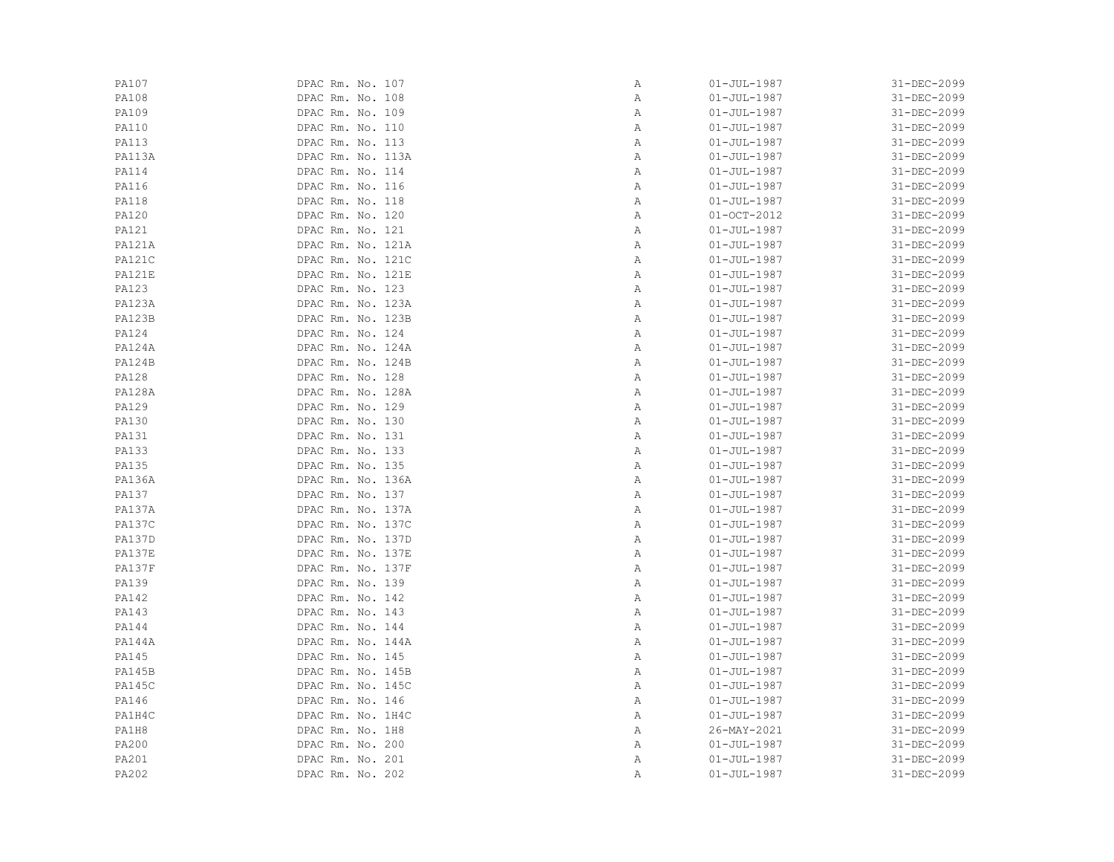| PA107         | DPAC Rm. No. 107  | Α | $01 - JUL - 1987$ | 31-DEC-2099 |
|---------------|-------------------|---|-------------------|-------------|
| PA108         | DPAC Rm. No. 108  | Α | $01 - JUL - 1987$ | 31-DEC-2099 |
| PA109         | DPAC Rm. No. 109  | Α | $01 - JUL - 1987$ | 31-DEC-2099 |
| <b>PA110</b>  | DPAC Rm. No. 110  | Α | $01 - JUL - 1987$ | 31-DEC-2099 |
| <b>PA113</b>  | DPAC Rm. No. 113  | Α | $01 - JUL - 1987$ | 31-DEC-2099 |
| PA113A        | DPAC Rm. No. 113A | Α | $01 - JUL - 1987$ | 31-DEC-2099 |
| <b>PA114</b>  | DPAC Rm. No. 114  | Α | $01 - JUL - 1987$ | 31-DEC-2099 |
| <b>PA116</b>  | DPAC Rm. No. 116  | Α | $01 - JUL - 1987$ | 31-DEC-2099 |
| <b>PA118</b>  | DPAC Rm. No. 118  | Α | $01 - JUL - 1987$ | 31-DEC-2099 |
| PA120         | DPAC Rm. No. 120  | Α | $01-0CT-2012$     | 31-DEC-2099 |
| PA121         | DPAC Rm. No. 121  | Α | $01 - JUL - 1987$ | 31-DEC-2099 |
| <b>PA121A</b> | DPAC Rm. No. 121A | Α | $01 - JUL - 1987$ | 31-DEC-2099 |
| PA121C        | DPAC Rm. No. 121C | Α | $01 - JUL - 1987$ | 31-DEC-2099 |
| PA121E        | DPAC Rm. No. 121E | Α | $01 - JUL - 1987$ | 31-DEC-2099 |
| <b>PA123</b>  | DPAC Rm. No. 123  | Α | $01 - JUL - 1987$ | 31-DEC-2099 |
| <b>PA123A</b> | DPAC Rm. No. 123A | Α | $01 - JUL - 1987$ | 31-DEC-2099 |
| <b>PA123B</b> | DPAC Rm. No. 123B | Α | $01 - JUL - 1987$ | 31-DEC-2099 |
| PA124         | DPAC Rm. No. 124  | Α | $01 - JUL - 1987$ | 31-DEC-2099 |
| PA124A        | DPAC Rm. No. 124A | Α | $01 - JUL - 1987$ | 31-DEC-2099 |
| <b>PA124B</b> | DPAC Rm. No. 124B | Α | $01 - JUL - 1987$ | 31-DEC-2099 |
| <b>PA128</b>  | DPAC Rm. No. 128  | Α | $01 - JUL - 1987$ | 31-DEC-2099 |
| <b>PA128A</b> | DPAC Rm. No. 128A | Α | $01 - JUL - 1987$ | 31-DEC-2099 |
| PA129         | DPAC Rm. No. 129  | Α | $01 - JUL - 1987$ | 31-DEC-2099 |
| PA130         | DPAC Rm. No. 130  | Α | $01 - JUL - 1987$ | 31-DEC-2099 |
| <b>PA131</b>  | DPAC Rm. No. 131  | Α | $01 - JUL - 1987$ | 31-DEC-2099 |
| PA133         | DPAC Rm. No. 133  | Α | $01 - JUL - 1987$ | 31-DEC-2099 |
| PA135         | DPAC Rm. No. 135  | Α | $01 - JUL - 1987$ | 31-DEC-2099 |
| <b>PA136A</b> | DPAC Rm. No. 136A | Α | $01 - JUL - 1987$ | 31-DEC-2099 |
| <b>PA137</b>  | DPAC Rm. No. 137  | Α | $01 - JUL - 1987$ | 31-DEC-2099 |
| PA137A        | DPAC Rm. No. 137A | Α | $01 - JUL - 1987$ | 31-DEC-2099 |
| PA137C        | DPAC Rm. No. 137C | Α | $01 - JUL - 1987$ | 31-DEC-2099 |
| <b>PA137D</b> | DPAC Rm. No. 137D | Α | $01 - JUL - 1987$ | 31-DEC-2099 |
| PA137E        | DPAC Rm. No. 137E | Α | $01 - JUL - 1987$ | 31-DEC-2099 |
| PA137F        | DPAC Rm. No. 137F | Α | $01 - JUL - 1987$ | 31-DEC-2099 |
| PA139         | DPAC Rm. No. 139  | Α | $01 - JUL - 1987$ | 31-DEC-2099 |
| <b>PA142</b>  | DPAC Rm. No. 142  | Α | $01 - JUL - 1987$ | 31-DEC-2099 |
| <b>PA143</b>  | DPAC Rm. No. 143  | Α | $01 - JUL - 1987$ | 31-DEC-2099 |
| <b>PA144</b>  | DPAC Rm. No. 144  | Α | $01 - JUL - 1987$ | 31-DEC-2099 |
| <b>PA144A</b> | DPAC Rm. No. 144A | Α | $01 - JUL - 1987$ | 31-DEC-2099 |
| PA145         | DPAC Rm. No. 145  | Α | $01 - JUL - 1987$ | 31-DEC-2099 |
| <b>PA145B</b> | DPAC Rm. No. 145B | Α | $01 - JUL - 1987$ | 31-DEC-2099 |
| <b>PA145C</b> | DPAC Rm. No. 145C | Α | $01 - JUL - 1987$ | 31-DEC-2099 |
| PA146         | DPAC Rm. No. 146  | Α | $01 - JUL - 1987$ | 31-DEC-2099 |
| PA1H4C        | DPAC Rm. No. 1H4C | Α | $01 - JUL - 1987$ | 31-DEC-2099 |
| PA1H8         | DPAC Rm. No. 1H8  | Α | 26-MAY-2021       | 31-DEC-2099 |
| PA200         | DPAC Rm. No. 200  | Α | $01 - JUL - 1987$ | 31-DEC-2099 |
| PA201         | DPAC Rm. No. 201  | Α | $01 - JUL - 1987$ | 31-DEC-2099 |
| PA202         | DPAC Rm. No. 202  | Α | $01 - JUL - 1987$ | 31-DEC-2099 |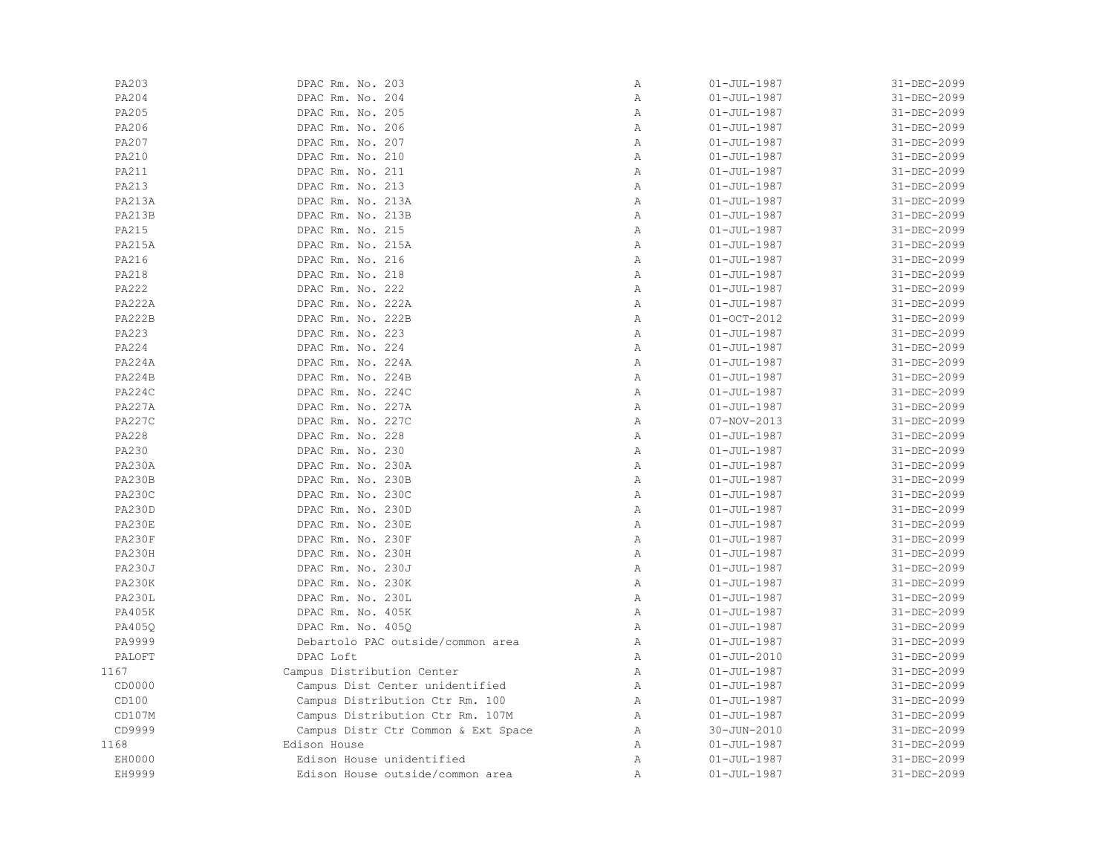| PA203         | DPAC Rm. No. 203                    | Α              | $01 - JUL - 1987$ | 31-DEC-2099 |
|---------------|-------------------------------------|----------------|-------------------|-------------|
| PA204         | DPAC Rm. No. 204                    | Α              | $01 - JUL - 1987$ | 31-DEC-2099 |
| PA205         | DPAC Rm. No. 205                    | Α              |                   | 31-DEC-2099 |
|               |                                     |                | $01 - JUL - 1987$ |             |
| PA206         | DPAC Rm. No. 206                    | Α              | $01 - JUL - 1987$ | 31-DEC-2099 |
| PA207         | DPAC Rm. No. 207                    | $\mathbb{A}$   | $01 - JUL - 1987$ | 31-DEC-2099 |
| <b>PA210</b>  | DPAC Rm. No. 210                    | Α              | $01 - JUL - 1987$ | 31-DEC-2099 |
| <b>PA211</b>  | DPAC Rm. No. 211                    | $\mathbb{A}$   | $01 - JUL - 1987$ | 31-DEC-2099 |
| PA213         | DPAC Rm. No. 213                    | $\mathbb{A}$   | $01 - JUL - 1987$ | 31-DEC-2099 |
| <b>PA213A</b> | DPAC Rm. No. 213A                   | Α              | $01 - JUL - 1987$ | 31-DEC-2099 |
| <b>PA213B</b> | DPAC Rm. No. 213B                   | Α              | $01 - JUL - 1987$ | 31-DEC-2099 |
| PA215         | DPAC Rm. No. 215                    | Α              | $01 - JUL - 1987$ | 31-DEC-2099 |
| <b>PA215A</b> | DPAC Rm. No. 215A                   | Α              | $01 - JUL - 1987$ | 31-DEC-2099 |
| PA216         | DPAC Rm. No. 216                    | Α              | $01 - JUL - 1987$ | 31-DEC-2099 |
| PA218         | DPAC Rm. No. 218                    | $\mathbb{A}$   | $01 - JUL - 1987$ | 31-DEC-2099 |
| <b>PA222</b>  | DPAC Rm. No. 222                    | $\mathbb{A}$   | $01 - JUL - 1987$ | 31-DEC-2099 |
| <b>PA222A</b> | DPAC Rm. No. 222A                   | $\mathbb{A}$   | $01 - JUL - 1987$ | 31-DEC-2099 |
| <b>PA222B</b> | DPAC Rm. No. 222B                   | $\mathbb{A}$   | $01 - OCT - 2012$ | 31-DEC-2099 |
| PA223         | DPAC Rm. No. 223                    | Α              | $01 - JUL - 1987$ | 31-DEC-2099 |
| PA224         | DPAC Rm. No. 224                    | Α              |                   |             |
|               |                                     |                | $01 - JUL - 1987$ | 31-DEC-2099 |
| <b>PA224A</b> | DPAC Rm. No. 224A                   | Α              | $01 - JUL - 1987$ | 31-DEC-2099 |
| <b>PA224B</b> | DPAC Rm. No. 224B                   | Α              | $01 - JUL - 1987$ | 31-DEC-2099 |
| PA224C        | DPAC Rm. No. 224C                   | Α              | $01 - JUL - 1987$ | 31-DEC-2099 |
| <b>PA227A</b> | DPAC Rm. No. 227A                   | $\mathbb{A}$   | $01 - JUL - 1987$ | 31-DEC-2099 |
| <b>PA227C</b> | DPAC Rm. No. 227C                   | A              | 07-NOV-2013       | 31-DEC-2099 |
| PA228         | DPAC Rm. No. 228                    | $\mathbb{A}$   | $01 - JUL - 1987$ | 31-DEC-2099 |
| PA230         | DPAC Rm. No. 230                    | $\mathbb{A}$   | $01 - JUL - 1987$ | 31-DEC-2099 |
| <b>PA230A</b> | DPAC Rm. No. 230A                   | Α              | $01 - JUL - 1987$ | 31-DEC-2099 |
| <b>PA230B</b> | DPAC Rm. No. 230B                   | $\overline{A}$ | $01 - JUL - 1987$ | 31-DEC-2099 |
| PA230C        | DPAC Rm. No. 230C                   | Α              | $01 - JUL - 1987$ | 31-DEC-2099 |
| <b>PA230D</b> | DPAC Rm. No. 230D                   | Α              | $01 - JUL - 1987$ | 31-DEC-2099 |
| PA230E        | DPAC Rm. No. 230E                   | Α              | $01 - JUL - 1987$ | 31-DEC-2099 |
| PA230F        | DPAC Rm. No. 230F                   | $\mathbb{A}$   | $01 - JUL - 1987$ | 31-DEC-2099 |
| PA230H        | DPAC Rm. No. 230H                   | $\mathbb{A}$   | $01 - JUL - 1987$ | 31-DEC-2099 |
| <b>PA230J</b> | DPAC Rm. No. 230J                   | $\mathbb{A}$   | $01 - JUL - 1987$ | 31-DEC-2099 |
| PA230K        | DPAC Rm. No. 230K                   | A              | $01 - JUL - 1987$ | 31-DEC-2099 |
| PA230L        | DPAC Rm. No. 230L                   | Α              | $01 - JUL - 1987$ | 31-DEC-2099 |
|               |                                     | Α              |                   |             |
| PA405K        | DPAC Rm. No. 405K                   |                | $01 - JUL - 1987$ | 31-DEC-2099 |
| PA405Q        | DPAC Rm. No. 405Q                   | Α              | $01 - JUL - 1987$ | 31-DEC-2099 |
| PA9999        | Debartolo PAC outside/common area   | Α              | $01 - JUL - 1987$ | 31-DEC-2099 |
| PALOFT        | DPAC Loft                           | Α              | $01 - JUL - 2010$ | 31-DEC-2099 |
| 1167          | Campus Distribution Center          | Α              | $01 - JUL - 1987$ | 31-DEC-2099 |
| CD0000        | Campus Dist Center unidentified     | $\mathbb{A}$   | $01 - JUL - 1987$ | 31-DEC-2099 |
| CD100         | Campus Distribution Ctr Rm. 100     | Α              | $01 - JUL - 1987$ | 31-DEC-2099 |
| CD107M        | Campus Distribution Ctr Rm. 107M    | Α              | $01 - JUL - 1987$ | 31-DEC-2099 |
| CD9999        | Campus Distr Ctr Common & Ext Space | Α              | $30 - JUN - 2010$ | 31-DEC-2099 |
| 1168          | Edison House                        | Α              | $01 - JUL - 1987$ | 31-DEC-2099 |
| EH0000        | Edison House unidentified           | Α              | $01 - JUL - 1987$ | 31-DEC-2099 |
| EH9999        | Edison House outside/common area    | Α              | $01 - JUL - 1987$ | 31-DEC-2099 |
|               |                                     |                |                   |             |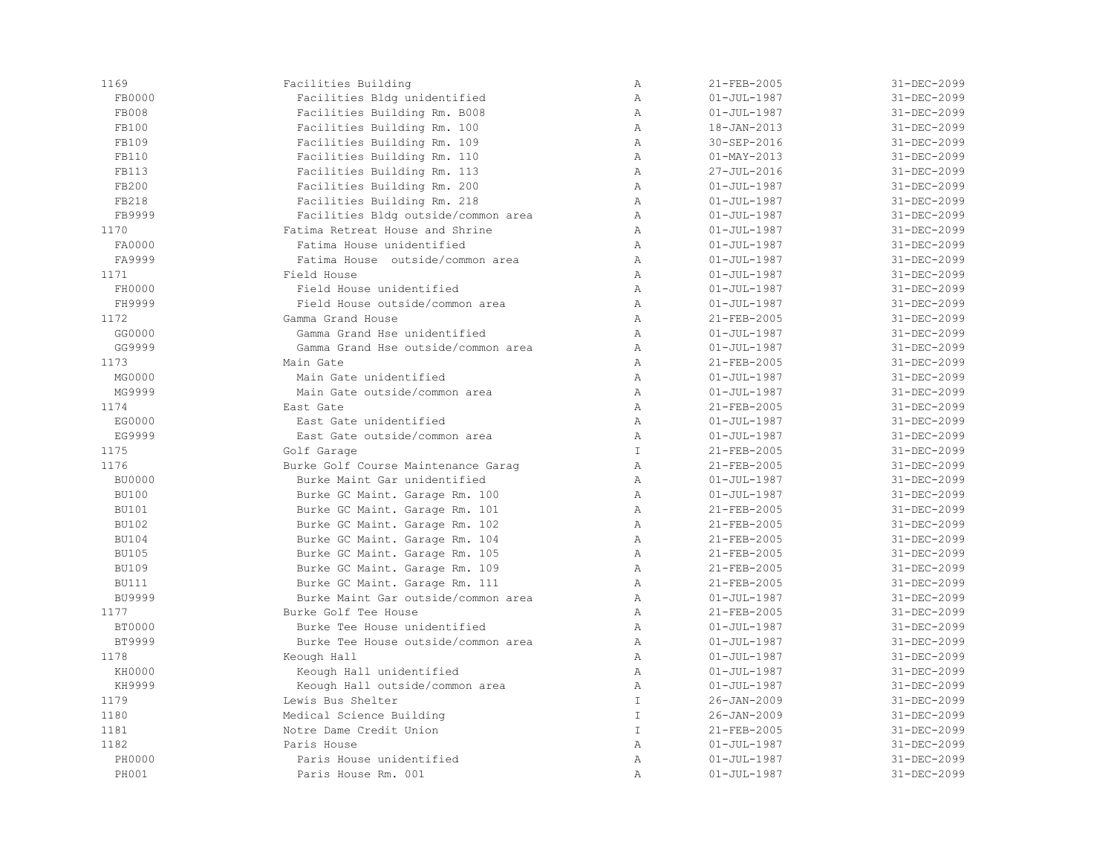| 1169          | Facilities Building                 | Α              | 21-FEB-2005       | 31-DEC-2099 |
|---------------|-------------------------------------|----------------|-------------------|-------------|
| FB0000        | Facilities Bldg unidentified        | $\mathbb{A}$   | $01 - JUL - 1987$ | 31-DEC-2099 |
| FB008         | Facilities Building Rm. B008        | Α              | $01 - JUL - 1987$ | 31-DEC-2099 |
| FB100         | Facilities Building Rm. 100         | $\mathbb{A}$   | 18-JAN-2013       | 31-DEC-2099 |
| FB109         | Facilities Building Rm. 109         | $\mathbb{A}$   | 30-SEP-2016       | 31-DEC-2099 |
| FB110         | Facilities Building Rm. 110         | Α              | $01 - MAX - 2013$ | 31-DEC-2099 |
| <b>FB113</b>  | Facilities Building Rm. 113         | $\mathbb{A}$   | 27-JUL-2016       | 31-DEC-2099 |
| FB200         | Facilities Building Rm. 200         | $\mathbb{A}$   | $01 - JUL - 1987$ | 31-DEC-2099 |
| FB218         | Facilities Building Rm. 218         | $\mathbb{A}$   | $01 - JUL - 1987$ | 31-DEC-2099 |
| FB9999        | Facilities Bldg outside/common area | $\mathbb{A}$   | $01 - JUL - 1987$ | 31-DEC-2099 |
| 1170          | Fatima Retreat House and Shrine     | $\mathbb{A}$   | $01 - JUL - 1987$ | 31-DEC-2099 |
| FA0000        | Fatima House unidentified           | $\mathbb{A}$   | $01 - JUL - 1987$ | 31-DEC-2099 |
| FA9999        | Fatima House outside/common area    | $\mathbb{A}$   | $01 - JUL - 1987$ | 31-DEC-2099 |
| 1171          | Field House                         | $\mathbb{A}$   | $01 - JUL - 1987$ | 31-DEC-2099 |
| FH0000        | Field House unidentified            | $\mathbb{A}$   | $01 - JUL - 1987$ | 31-DEC-2099 |
| FH9999        | Field House outside/common area     | $\mathbb{A}$   | $01 - JUL - 1987$ | 31-DEC-2099 |
| 1172          | Gamma Grand House                   | $\mathbb{A}$   | 21-FEB-2005       | 31-DEC-2099 |
| GG0000        | Gamma Grand Hse unidentified        | $\mathbb{A}$   | $01 - JUL - 1987$ | 31-DEC-2099 |
| GG9999        | Gamma Grand Hse outside/common area | Α              | $01 - JUL - 1987$ | 31-DEC-2099 |
| 1173          | Main Gate                           | $\lambda$      | 21-FEB-2005       | 31-DEC-2099 |
| MG0000        | Main Gate unidentified              | $\lambda$      | $01 - JUL - 1987$ | 31-DEC-2099 |
| MG9999        | Main Gate outside/common area       | $\mathbb{A}$   | $01 - JUL - 1987$ | 31-DEC-2099 |
| 1174          | East Gate                           | $\mathbb{A}$   | 21-FEB-2005       | 31-DEC-2099 |
| EG0000        | East Gate unidentified              | $\mathbb{A}$   | $01 - JUL - 1987$ | 31-DEC-2099 |
| EG9999        | East Gate outside/common area       | $\mathbb{A}$   | $01 - JUL - 1987$ | 31-DEC-2099 |
| 1175          | Golf Garage                         | T              | 21-FEB-2005       | 31-DEC-2099 |
| 1176          | Burke Golf Course Maintenance Garag | $\mathbb{A}$   | 21-FEB-2005       | 31-DEC-2099 |
| <b>BU0000</b> | Burke Maint Gar unidentified        | $\mathbb{A}$   | $01 - JUL - 1987$ | 31-DEC-2099 |
| <b>BU100</b>  | Burke GC Maint. Garage Rm. 100      | $\mathbb{A}$   | $01 - JUL - 1987$ | 31-DEC-2099 |
| <b>BU101</b>  | Burke GC Maint. Garage Rm. 101      | $\mathbb{A}$   | 21-FEB-2005       | 31-DEC-2099 |
| <b>BU102</b>  | Burke GC Maint. Garage Rm. 102      | $\mathbb{A}$   | 21-FEB-2005       | 31-DEC-2099 |
| <b>BU104</b>  | Burke GC Maint. Garage Rm. 104      | $\mathbb{A}$   | 21-FEB-2005       | 31-DEC-2099 |
| <b>BU105</b>  | Burke GC Maint. Garage Rm. 105      | Α              | 21-FEB-2005       | 31-DEC-2099 |
| <b>BU109</b>  | Burke GC Maint. Garage Rm. 109      | Α              | 21-FEB-2005       | 31-DEC-2099 |
| <b>BU111</b>  | Burke GC Maint. Garage Rm. 111      | $\mathbb{A}$   | 21-FEB-2005       | 31-DEC-2099 |
| <b>BU9999</b> | Burke Maint Gar outside/common area | $\mathbb{A}$   | $01 - JUL - 1987$ | 31-DEC-2099 |
| 1177          | Burke Golf Tee House                | $\mathbb{A}$   | 21-FEB-2005       | 31-DEC-2099 |
| <b>BT0000</b> | Burke Tee House unidentified        | $\mathbb{A}$   | $01 - JUL - 1987$ | 31-DEC-2099 |
| BT9999        | Burke Tee House outside/common area | $\mathbb{A}$   | $01 - JUL - 1987$ | 31-DEC-2099 |
| 1178          | Keough Hall                         | $\mathbb{A}$   | $01 - JUL - 1987$ | 31-DEC-2099 |
| KH0000        | Keough Hall unidentified            | $\mathbb{A}$   | $01 - JUL - 1987$ | 31-DEC-2099 |
| KH9999        | Keough Hall outside/common area     | Α              | $01 - JUL - 1987$ | 31-DEC-2099 |
| 1179          | Lewis Bus Shelter                   | $\mathbbm{I}$  | $26 - JAN - 2009$ | 31-DEC-2099 |
| 1180          | Medical Science Building            | $\mathbbm{I}$  | $26 - JAN - 2009$ | 31-DEC-2099 |
| 1181          | Notre Dame Credit Union             | $\mathbb T$    | 21-FEB-2005       | 31-DEC-2099 |
| 1182          | Paris House                         | $\mathbb{A}$   | $01 - JUL - 1987$ | 31-DEC-2099 |
| PH0000        | Paris House unidentified            | $\mathbb{A}$   | $01 - JUL - 1987$ | 31-DEC-2099 |
| <b>PH001</b>  | Paris House Rm. 001                 | $\overline{A}$ | $01 - JUL - 1987$ | 31-DEC-2099 |
|               |                                     |                |                   |             |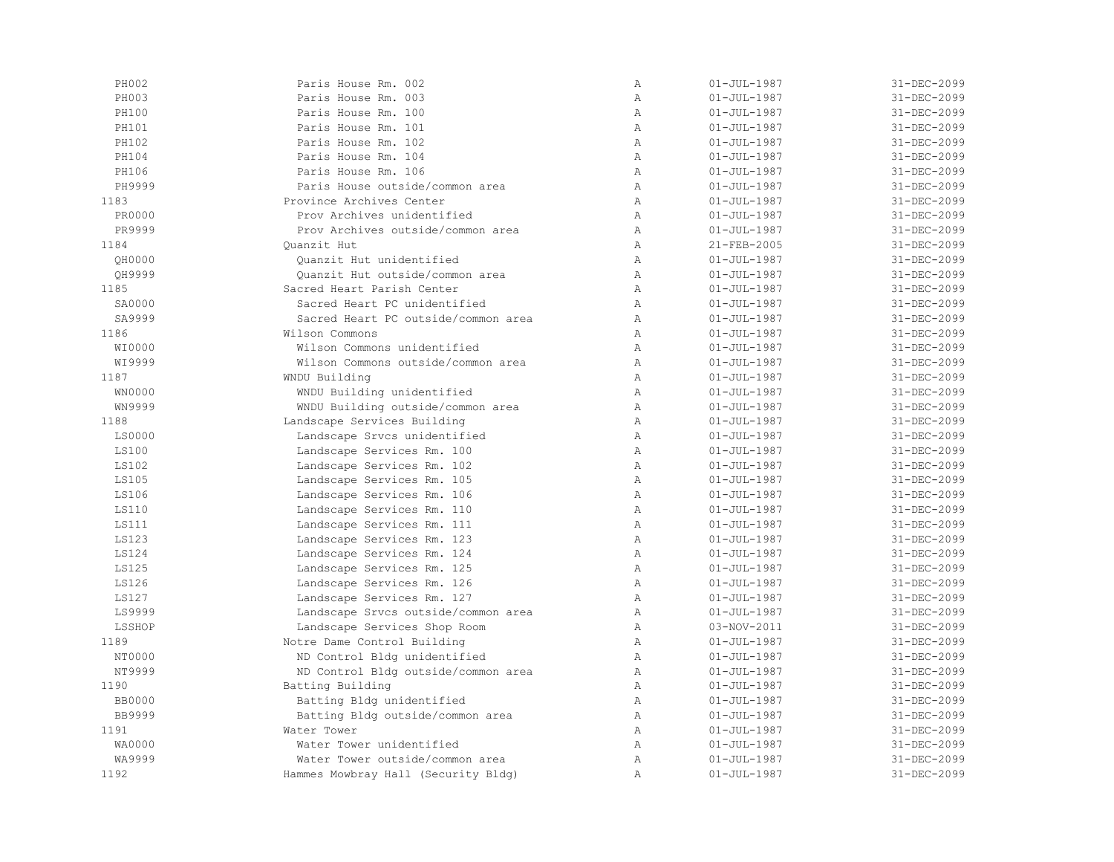| PH002         | Paris House Rm. 002                 | Α            | $01 - JUL - 1987$ | 31-DEC-2099 |
|---------------|-------------------------------------|--------------|-------------------|-------------|
| PH003         | Paris House Rm. 003                 | Α            | $01 - JUL - 1987$ | 31-DEC-2099 |
| PH100         | Paris House Rm. 100                 | $\mathbb{A}$ | $01 - JUL - 1987$ | 31-DEC-2099 |
| <b>PH101</b>  | Paris House Rm. 101                 | $\mathbb{A}$ | $01 - JUL - 1987$ | 31-DEC-2099 |
| PH102         | Paris House Rm. 102                 | $\lambda$    | $01 - JUL - 1987$ | 31-DEC-2099 |
| PH104         | Paris House Rm. 104                 | $\mathbb{A}$ | $01 - JUL - 1987$ | 31-DEC-2099 |
| PH106         | Paris House Rm. 106                 | $\mathbb{A}$ | $01 - JUL - 1987$ | 31-DEC-2099 |
| PH9999        | Paris House outside/common area     | $\mathbb{A}$ | $01 - JUL - 1987$ | 31-DEC-2099 |
| 1183          | Province Archives Center            | $\mathbb{A}$ | $01 - JUL - 1987$ | 31-DEC-2099 |
| PR0000        | Prov Archives unidentified          | Α            | $01 - JUL - 1987$ | 31-DEC-2099 |
| PR9999        | Prov Archives outside/common area   | Α            | $01 - JUL - 1987$ | 31-DEC-2099 |
| 1184          | Quanzit Hut                         | Α            | 21-FEB-2005       | 31-DEC-2099 |
| QH0000        | Quanzit Hut unidentified            | $\lambda$    | $01 - JUL - 1987$ | 31-DEC-2099 |
| OH9999        | Quanzit Hut outside/common area     | $\mathbb{A}$ | $01 - JUL - 1987$ | 31-DEC-2099 |
| 1185          | Sacred Heart Parish Center          | $\mathbb{A}$ | $01 - JUL - 1987$ | 31-DEC-2099 |
| SA0000        | Sacred Heart PC unidentified        | $\mathbb{A}$ | $01 - JUL - 1987$ | 31-DEC-2099 |
| SA9999        | Sacred Heart PC outside/common area | $\mathbb{A}$ | $01 - JUL - 1987$ | 31-DEC-2099 |
| 1186          | Wilson Commons                      | $\mathbb{A}$ | $01 - JUL - 1987$ | 31-DEC-2099 |
| WI0000        | Wilson Commons unidentified         | $\, {\bf A}$ | $01 - JUL - 1987$ | 31-DEC-2099 |
| WI9999        | Wilson Commons outside/common area  | Α            | $01 - JUL - 1987$ | 31-DEC-2099 |
| 1187          | WNDU Building                       | $\mathbb{A}$ | $01 - JUL - 1987$ | 31-DEC-2099 |
| WN0000        | WNDU Building unidentified          | Α            | $01 - JUL - 1987$ | 31-DEC-2099 |
| WN9999        | WNDU Building outside/common area   | $\mathbb{A}$ | $01 - JUL - 1987$ | 31-DEC-2099 |
| 1188          | Landscape Services Building         | $\mathbb{A}$ | $01 - JUL - 1987$ | 31-DEC-2099 |
| LS0000        | Landscape Srvcs unidentified        | $\mathbb{A}$ | $01 - JUL - 1987$ | 31-DEC-2099 |
| <b>LS100</b>  | Landscape Services Rm. 100          | $\mathbb{A}$ | $01 - JUL - 1987$ | 31-DEC-2099 |
| <b>LS102</b>  | Landscape Services Rm. 102          | $\mathbb{A}$ | $01 - JUL - 1987$ | 31-DEC-2099 |
| <b>LS105</b>  | Landscape Services Rm. 105          | $\mathbb{A}$ | $01 - JUL - 1987$ | 31-DEC-2099 |
| LS106         | Landscape Services Rm. 106          | Α            | $01 - JUL - 1987$ | 31-DEC-2099 |
| <b>LS110</b>  | Landscape Services Rm. 110          | $\lambda$    | $01 - JUL - 1987$ | 31-DEC-2099 |
| <b>LS111</b>  | Landscape Services Rm. 111          | $\mathbb{A}$ | $01 - JUL - 1987$ | 31-DEC-2099 |
| <b>LS123</b>  | Landscape Services Rm. 123          | $\mathbb{A}$ | $01 - JUL - 1987$ | 31-DEC-2099 |
| LS124         | Landscape Services Rm. 124          | $\mathbb{A}$ | $01 - JUL - 1987$ | 31-DEC-2099 |
| <b>LS125</b>  | Landscape Services Rm. 125          | $\mathbb{A}$ | $01 - JUL - 1987$ | 31-DEC-2099 |
| LS126         | Landscape Services Rm. 126          | $\mathbb{A}$ | $01 - JUL - 1987$ | 31-DEC-2099 |
| LS127         | Landscape Services Rm. 127          | $\mathbb{A}$ | $01 - JUL - 1987$ | 31-DEC-2099 |
| LS9999        | Landscape Srvcs outside/common area | $\mathbb{A}$ | $01 - JUL - 1987$ | 31-DEC-2099 |
| LSSHOP        | Landscape Services Shop Room        | $\mathbb{A}$ | 03-NOV-2011       | 31-DEC-2099 |
| 1189          | Notre Dame Control Building         | Α            | $01 - JUL - 1987$ | 31-DEC-2099 |
| NT0000        | ND Control Bldg unidentified        | Α            | $01 - JUL - 1987$ | 31-DEC-2099 |
| NT9999        | ND Control Bldg outside/common area | $\mathbb{A}$ | $01 - JUL - 1987$ | 31-DEC-2099 |
| 1190          | Batting Building                    | $\mathbb{A}$ | $01 - JUL - 1987$ | 31-DEC-2099 |
| <b>BB0000</b> | Batting Bldg unidentified           | $\mathbb{A}$ | $01 - JUL - 1987$ | 31-DEC-2099 |
| <b>BB9999</b> | Batting Bldg outside/common area    | $\, {\bf A}$ | $01 - JUL - 1987$ | 31-DEC-2099 |
| 1191          | Water Tower                         | $\mathbb{A}$ | $01 - JUL - 1987$ | 31-DEC-2099 |
| WA0000        | Water Tower unidentified            | $\mathbb{A}$ | $01 - JUL - 1987$ | 31-DEC-2099 |
| WA9999        | Water Tower outside/common area     | $\mathbb{A}$ | $01 - JUL - 1987$ | 31-DEC-2099 |
| 1192          | Hammes Mowbray Hall (Security Bldg) | $\lambda$    | $01 - JUL - 1987$ | 31-DEC-2099 |
|               |                                     |              |                   |             |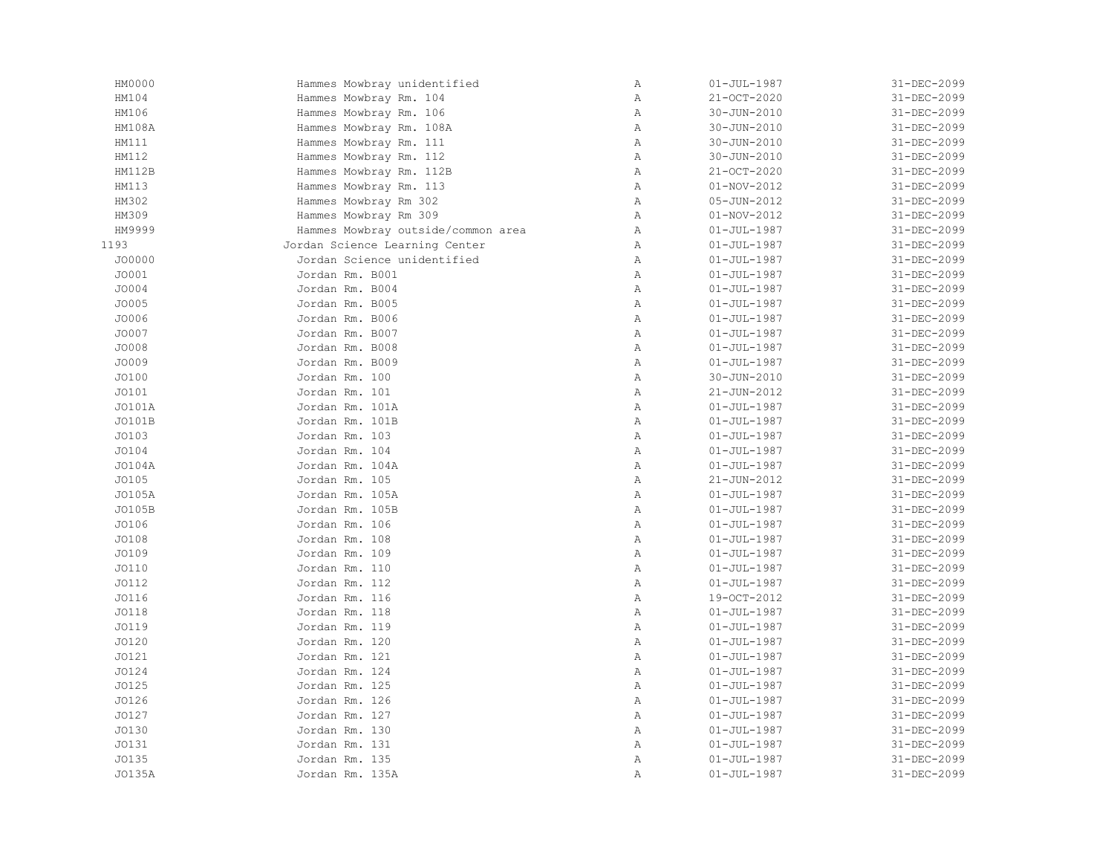| HM0000       | Hammes Mowbray unidentified        | $\mathbb A$  | $01 - JUL - 1987$ | 31-DEC-2099 |
|--------------|------------------------------------|--------------|-------------------|-------------|
| HM104        | Hammes Mowbray Rm. 104             | $\, {\bf A}$ | 21-OCT-2020       | 31-DEC-2099 |
| HM106        | Hammes Mowbray Rm. 106             | Α            | 30-JUN-2010       | 31-DEC-2099 |
| HM108A       | Hammes Mowbray Rm. 108A            | Α            | 30-JUN-2010       | 31-DEC-2099 |
| HM111        | Hammes Mowbray Rm. 111             | $\mathbb{A}$ | $30 - JUN - 2010$ | 31-DEC-2099 |
| HM112        | Hammes Mowbray Rm. 112             | Α            | 30-JUN-2010       | 31-DEC-2099 |
| HM112B       | Hammes Mowbray Rm. 112B            | Α            | 21-OCT-2020       | 31-DEC-2099 |
| HM113        | Hammes Mowbray Rm. 113             | $\, {\bf A}$ | 01-NOV-2012       | 31-DEC-2099 |
| HM302        | Hammes Mowbray Rm 302              | $\mathbb A$  | $05 - JUN - 2012$ | 31-DEC-2099 |
| HM309        | Hammes Mowbray Rm 309              | Α            | $01 - NOV - 2012$ | 31-DEC-2099 |
| HM9999       | Hammes Mowbray outside/common area | Α            | $01 - JUL - 1987$ | 31-DEC-2099 |
| 1193         | Jordan Science Learning Center     | Α            | $01 - JUL - 1987$ | 31-DEC-2099 |
| J00000       | Jordan Science unidentified        | Α            | $01 - JUL - 1987$ | 31-DEC-2099 |
| J0001        | Jordan Rm. B001                    | $\mathbb{A}$ | $01 - JUL - 1987$ | 31-DEC-2099 |
| J0004        | Jordan Rm. B004                    | $\mathbb{A}$ | $01 - JUL - 1987$ | 31-DEC-2099 |
| JO005        | Jordan Rm. B005                    | Α            | $01 - JUL - 1987$ | 31-DEC-2099 |
| JO006        | Jordan Rm. B006                    | Α            | $01 - JUL - 1987$ | 31-DEC-2099 |
| J0007        | Jordan Rm. B007                    | Α            | $01 - JUL - 1987$ | 31-DEC-2099 |
| JO008        | Jordan Rm. B008                    | $\, {\bf A}$ | $01 - JUL - 1987$ | 31-DEC-2099 |
| J0009        | Jordan Rm. B009                    | $\, {\bf A}$ | $01 - JUL - 1987$ | 31-DEC-2099 |
| J0100        | Jordan Rm. 100                     | Α            | 30-JUN-2010       | 31-DEC-2099 |
| J0101        | Jordan Rm. 101                     | $\, {\bf A}$ | 21-JUN-2012       | 31-DEC-2099 |
| J0101A       | Jordan Rm. 101A                    | $\mathbb{A}$ | $01 - JUL - 1987$ | 31-DEC-2099 |
| J0101B       | Jordan Rm. 101B                    | Α            | $01 - JUL - 1987$ | 31-DEC-2099 |
| J0103        | Jordan Rm. 103                     | Α            | $01 - JUL - 1987$ | 31-DEC-2099 |
| JO104        | Jordan Rm. 104                     | $\, {\bf A}$ | $01 - JUL - 1987$ | 31-DEC-2099 |
| J0104A       | Jordan Rm. 104A                    | Α            | $01 - JUL - 1987$ | 31-DEC-2099 |
| J0105        | Jordan Rm. 105                     | $\mathbb{A}$ | 21-JUN-2012       | 31-DEC-2099 |
| J0105A       | Jordan Rm. 105A                    | $\, {\bf A}$ | $01 - JUL - 1987$ | 31-DEC-2099 |
| J0105B       | Jordan Rm. 105B                    | $\mathbb A$  | $01 - JUL - 1987$ | 31-DEC-2099 |
| JO106        | Jordan Rm. 106                     | Α            | $01 - JUL - 1987$ | 31-DEC-2099 |
| JO108        | Jordan Rm. 108                     | $\mathbb{A}$ | $01 - JUL - 1987$ | 31-DEC-2099 |
| JO109        | Jordan Rm. 109                     | $\, {\bf A}$ | $01 - JUL - 1987$ | 31-DEC-2099 |
| J0110        | Jordan Rm. 110                     | Α            | $01 - JUL - 1987$ | 31-DEC-2099 |
| <b>JO112</b> | Jordan Rm. 112                     | Α            | $01 - JUL - 1987$ | 31-DEC-2099 |
| J0116        | Jordan Rm. 116                     | $\, {\bf A}$ | 19-OCT-2012       | 31-DEC-2099 |
| JO118        | Jordan Rm. 118                     | $\, {\bf A}$ | $01 - JUL - 1987$ | 31-DEC-2099 |
| J0119        | Jordan Rm. 119                     | $\, {\bf A}$ | $01 - JUL - 1987$ | 31-DEC-2099 |
| J0120        | Jordan Rm. 120                     | Α            | $01 - JUL - 1987$ | 31-DEC-2099 |
| J0121        | Jordan Rm. 121                     | Α            | $01 - JUL - 1987$ | 31-DEC-2099 |
| JO124        | Jordan Rm. 124                     | Α            | $01 - JUL - 1987$ | 31-DEC-2099 |
| J0125        | Jordan Rm. 125                     | Α            | $01 - JUL - 1987$ | 31-DEC-2099 |
| JO126        | Jordan Rm. 126                     | Α            | $01 - JUL - 1987$ | 31-DEC-2099 |
| J0127        | Jordan Rm. 127                     | $\, {\bf A}$ | $01 - JUL - 1987$ | 31-DEC-2099 |
| J0130        | Jordan Rm. 130                     | $\, {\bf A}$ | $01 - JUL - 1987$ | 31-DEC-2099 |
| J0131        | Jordan Rm. 131                     | $\, {\bf A}$ | $01 - JUL - 1987$ | 31-DEC-2099 |
| J0135        | Jordan Rm. 135                     | Α            | $01 - JUL - 1987$ | 31-DEC-2099 |
| J0135A       | Jordan Rm. 135A                    | Α            | $01 - JUL - 1987$ | 31-DEC-2099 |
|              |                                    |              |                   |             |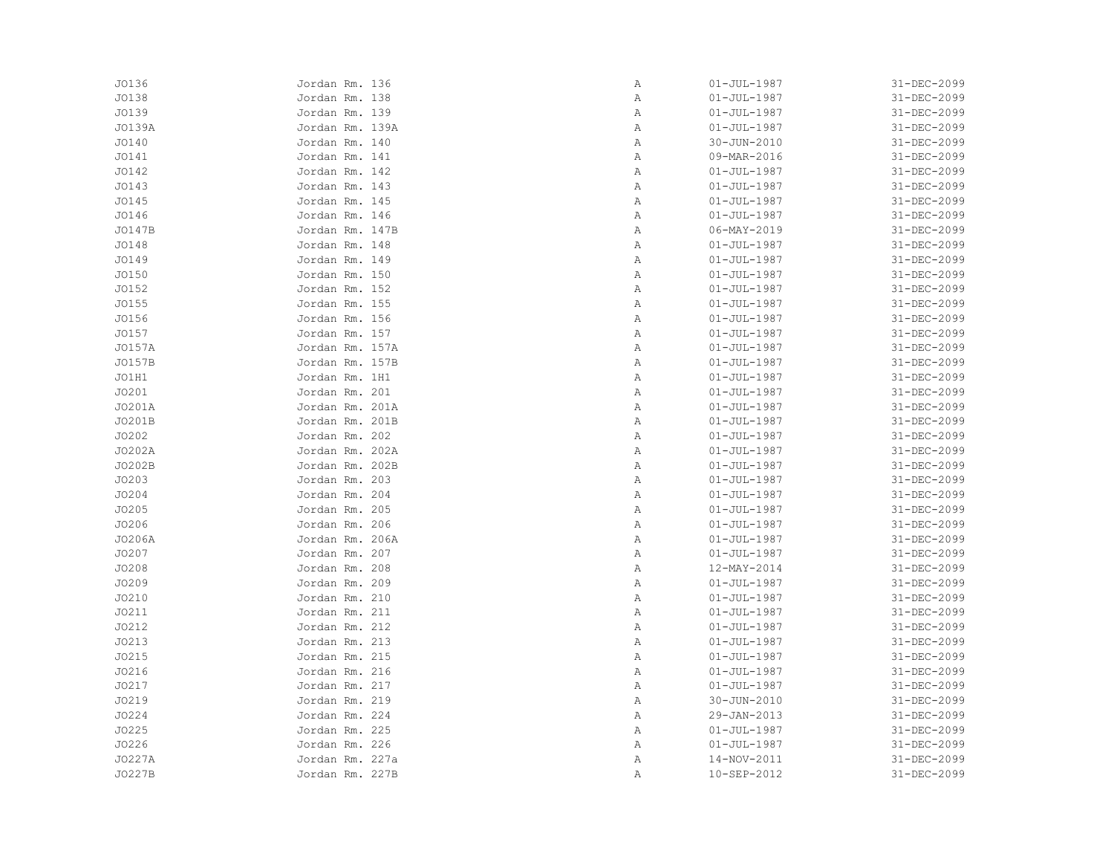| J0136  | Jordan Rm. 136  | Α | $01 - JUL - 1987$ | 31-DEC-2099 |
|--------|-----------------|---|-------------------|-------------|
| JO138  | Jordan Rm. 138  | Α | $01 - JUL - 1987$ | 31-DEC-2099 |
| J0139  | Jordan Rm. 139  | Α | $01 - JUL - 1987$ | 31-DEC-2099 |
| J0139A | Jordan Rm. 139A | Α | $01 - JUL - 1987$ | 31-DEC-2099 |
| JO140  | Jordan Rm. 140  | Α | $30 - JUN - 2010$ | 31-DEC-2099 |
| JO141  | Jordan Rm. 141  | Α | 09-MAR-2016       | 31-DEC-2099 |
| J0142  | Jordan Rm. 142  | Α | $01 - JUL - 1987$ | 31-DEC-2099 |
| JO143  | Jordan Rm. 143  | Α | $01 - JUL - 1987$ | 31-DEC-2099 |
| JO145  | Jordan Rm. 145  | Α | $01 - JUL - 1987$ | 31-DEC-2099 |
| JO146  | Jordan Rm. 146  | Α | $01 - JUL - 1987$ | 31-DEC-2099 |
| J0147B | Jordan Rm. 147B | Α | $06 - MAX - 2019$ | 31-DEC-2099 |
| JO148  | Jordan Rm. 148  | Α | $01 - JUL - 1987$ | 31-DEC-2099 |
| JO149  | Jordan Rm. 149  | Α | $01 - JUL - 1987$ | 31-DEC-2099 |
| J0150  | Jordan Rm. 150  | Α | $01 - JUL - 1987$ | 31-DEC-2099 |
| J0152  | Jordan Rm. 152  | Α | $01 - JUL - 1987$ | 31-DEC-2099 |
| J0155  | Jordan Rm. 155  | Α | $01 - JUL - 1987$ | 31-DEC-2099 |
| JO156  | Jordan Rm. 156  | Α | $01 - JUL - 1987$ | 31-DEC-2099 |
| J0157  | Jordan Rm. 157  | Α | $01 - JUL - 1987$ | 31-DEC-2099 |
| J0157A | Jordan Rm. 157A | Α | $01 - JUL - 1987$ | 31-DEC-2099 |
| J0157B | Jordan Rm. 157B | Α | $01 - JUL - 1987$ | 31-DEC-2099 |
| JO1H1  | Jordan Rm. 1H1  | Α | $01 - JUL - 1987$ | 31-DEC-2099 |
| J0201  | Jordan Rm. 201  | Α | $01 - JUL - 1987$ | 31-DEC-2099 |
| J0201A | Jordan Rm. 201A | Α | $01 - JUL - 1987$ | 31-DEC-2099 |
| J0201B | Jordan Rm. 201B | Α | $01 - JUL - 1987$ | 31-DEC-2099 |
| J0202  | Jordan Rm. 202  | Α | $01 - JUL - 1987$ | 31-DEC-2099 |
| J0202A | Jordan Rm. 202A | Α | $01 - JUL - 1987$ | 31-DEC-2099 |
| J0202B | Jordan Rm. 202B | Α | $01 - JUL - 1987$ | 31-DEC-2099 |
| J0203  | Jordan Rm. 203  | Α | $01 - JUL - 1987$ | 31-DEC-2099 |
| J0204  | Jordan Rm. 204  | Α | $01 - JUL - 1987$ | 31-DEC-2099 |
| J0205  | Jordan Rm. 205  | Α | $01 - JUL - 1987$ | 31-DEC-2099 |
| JO206  | Jordan Rm. 206  | Α | $01 - JUL - 1987$ | 31-DEC-2099 |
| J0206A | Jordan Rm. 206A | Α | $01 - JUL - 1987$ | 31-DEC-2099 |
| J0207  | Jordan Rm. 207  | Α | $01 - JUL - 1987$ | 31-DEC-2099 |
| JO208  | Jordan Rm. 208  | Α | 12-MAY-2014       | 31-DEC-2099 |
| J0209  | Jordan Rm. 209  | Α | $01 - JUL - 1987$ | 31-DEC-2099 |
| J0210  | Jordan Rm. 210  | Α | $01 - JUL - 1987$ | 31-DEC-2099 |
| J0211  | Jordan Rm. 211  | Α | $01 - JUL - 1987$ | 31-DEC-2099 |
| J0212  | Jordan Rm. 212  | Α | $01 - JUL - 1987$ | 31-DEC-2099 |
| J0213  | Jordan Rm. 213  | Α | $01 - JUL - 1987$ | 31-DEC-2099 |
| J0215  | Jordan Rm. 215  | Α | $01 - JUL - 1987$ | 31-DEC-2099 |
| J0216  | Jordan Rm. 216  | Α | $01 - JUL - 1987$ | 31-DEC-2099 |
| J0217  | Jordan Rm. 217  | Α | $01 - JUL - 1987$ | 31-DEC-2099 |
| JO219  | Jordan Rm. 219  | Α | 30-JUN-2010       | 31-DEC-2099 |
| J0224  | Jordan Rm. 224  | Α | 29-JAN-2013       | 31-DEC-2099 |
| J0225  | Jordan Rm. 225  | Α | $01 - JUL - 1987$ | 31-DEC-2099 |
| J0226  | Jordan Rm. 226  | Α | $01 - JUL - 1987$ | 31-DEC-2099 |
| J0227A | Jordan Rm. 227a | Α | 14-NOV-2011       | 31-DEC-2099 |
| J0227B | Jordan Rm. 227B | Α | 10-SEP-2012       | 31-DEC-2099 |
|        |                 |   |                   |             |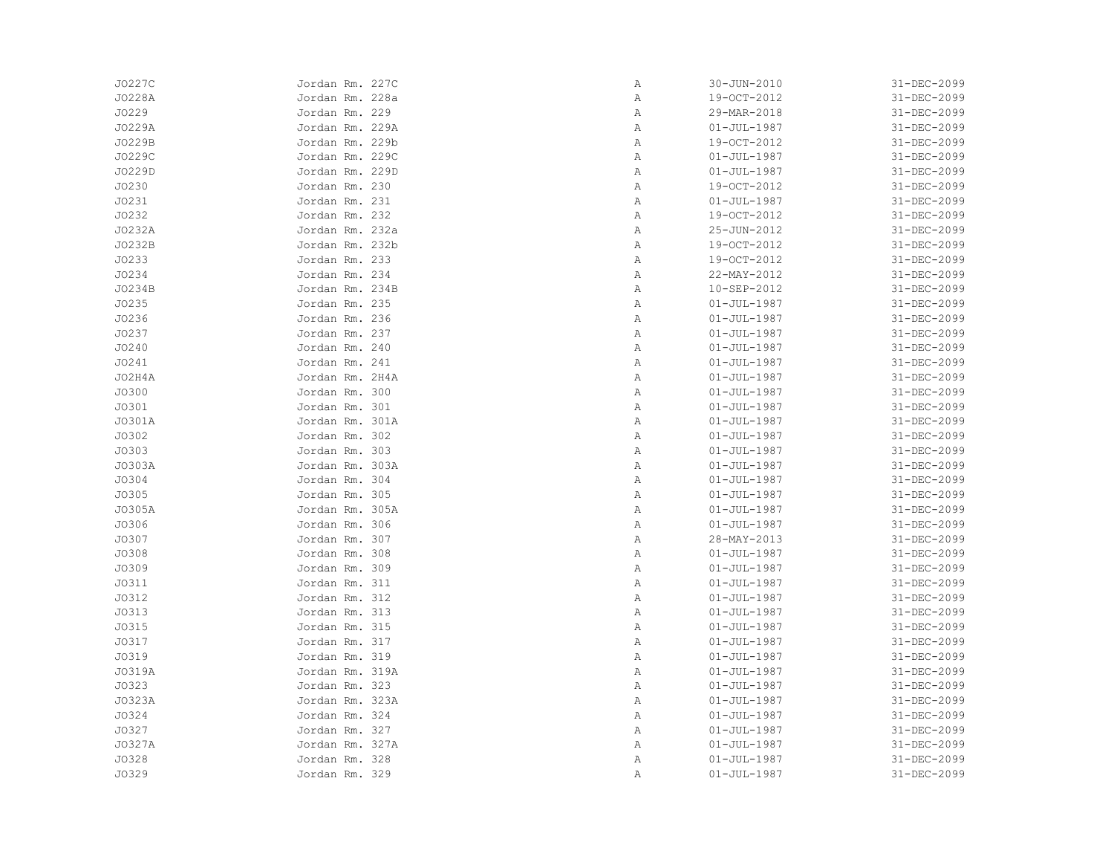|       | J0227C | Jordan Rm. 227C | Α | $30 - JUN - 2010$ | 31-DEC-2099 |
|-------|--------|-----------------|---|-------------------|-------------|
|       | J0228A | Jordan Rm. 228a | Α | 19-OCT-2012       | 31-DEC-2099 |
| J0229 |        | Jordan Rm. 229  | Α | 29-MAR-2018       | 31-DEC-2099 |
|       | J0229A | Jordan Rm. 229A | Α | $01 - JUL - 1987$ | 31-DEC-2099 |
|       | J0229B | Jordan Rm. 229b | Α | 19-OCT-2012       | 31-DEC-2099 |
|       | J0229C | Jordan Rm. 229C | Α | $01 - JUL - 1987$ | 31-DEC-2099 |
|       | J0229D | Jordan Rm. 229D | Α | $01 - JUL - 1987$ | 31-DEC-2099 |
| J0230 |        | Jordan Rm. 230  | Α | 19-OCT-2012       | 31-DEC-2099 |
| J0231 |        | Jordan Rm. 231  | Α | $01 - JUL - 1987$ | 31-DEC-2099 |
| J0232 |        | Jordan Rm. 232  | Α | 19-OCT-2012       | 31-DEC-2099 |
|       | J0232A | Jordan Rm. 232a | Α | 25-JUN-2012       | 31-DEC-2099 |
|       | J0232B | Jordan Rm. 232b | Α | 19-OCT-2012       | 31-DEC-2099 |
| J0233 |        | Jordan Rm. 233  | Α | 19-OCT-2012       | 31-DEC-2099 |
| J0234 |        | Jordan Rm. 234  | Α | 22-MAY-2012       | 31-DEC-2099 |
|       | J0234B | Jordan Rm. 234B | Α | 10-SEP-2012       | 31-DEC-2099 |
| J0235 |        | Jordan Rm. 235  | Α | $01 - JUL - 1987$ | 31-DEC-2099 |
| J0236 |        | Jordan Rm. 236  | Α | $01 - JUL - 1987$ | 31-DEC-2099 |
| J0237 |        | Jordan Rm. 237  | Α | $01 - JUL - 1987$ | 31-DEC-2099 |
| JO240 |        | Jordan Rm. 240  | Α | $01 - JUL - 1987$ | 31-DEC-2099 |
| J0241 |        | Jordan Rm. 241  | Α | $01 - JUL - 1987$ | 31-DEC-2099 |
|       | JO2H4A | Jordan Rm. 2H4A | Α | $01 - JUL - 1987$ | 31-DEC-2099 |
| J0300 |        | Jordan Rm. 300  | Α | $01 - JUL - 1987$ | 31-DEC-2099 |
| J0301 |        | Jordan Rm. 301  | Α | $01 - JUL - 1987$ | 31-DEC-2099 |
|       | J0301A | Jordan Rm. 301A | Α | $01 - JUL - 1987$ | 31-DEC-2099 |
| J0302 |        | Jordan Rm. 302  | Α | $01 - JUL - 1987$ | 31-DEC-2099 |
| J0303 |        | Jordan Rm. 303  | Α | $01 - JUL - 1987$ | 31-DEC-2099 |
|       | J0303A | Jordan Rm. 303A | Α | $01 - JUL - 1987$ | 31-DEC-2099 |
| J0304 |        | Jordan Rm. 304  | Α | $01 - JUL - 1987$ | 31-DEC-2099 |
| J0305 |        | Jordan Rm. 305  | Α | $01 - JUL - 1987$ | 31-DEC-2099 |
|       | J0305A | Jordan Rm. 305A | Α | $01 - JUL - 1987$ | 31-DEC-2099 |
| J0306 |        | Jordan Rm. 306  | Α | $01 - JUL - 1987$ | 31-DEC-2099 |
| J0307 |        | Jordan Rm. 307  | Α | 28-MAY-2013       | 31-DEC-2099 |
| J0308 |        | Jordan Rm. 308  | Α | $01 - JUL - 1987$ | 31-DEC-2099 |
| J0309 |        | Jordan Rm. 309  | Α | $01 - JUL - 1987$ | 31-DEC-2099 |
| J0311 |        | Jordan Rm. 311  | Α | $01 - JUL - 1987$ | 31-DEC-2099 |
| J0312 |        | Jordan Rm. 312  | Α | $01 - JUL - 1987$ | 31-DEC-2099 |
| J0313 |        | Jordan Rm. 313  | Α | $01 - JUL - 1987$ | 31-DEC-2099 |
| J0315 |        | Jordan Rm. 315  | Α | $01 - JUL - 1987$ | 31-DEC-2099 |
| J0317 |        | Jordan Rm. 317  | Α | $01 - JUL - 1987$ | 31-DEC-2099 |
| J0319 |        | Jordan Rm. 319  | Α | $01 - JUL - 1987$ | 31-DEC-2099 |
|       | J0319A | Jordan Rm. 319A | Α | $01 - JUL - 1987$ | 31-DEC-2099 |
| J0323 |        | Jordan Rm. 323  | Α | $01 - JUL - 1987$ | 31-DEC-2099 |
|       | J0323A | Jordan Rm. 323A | Α | $01 - JUL - 1987$ | 31-DEC-2099 |
| J0324 |        | Jordan Rm. 324  | Α | $01 - JUL - 1987$ | 31-DEC-2099 |
| J0327 |        | Jordan Rm. 327  | Α | $01 - JUL - 1987$ | 31-DEC-2099 |
|       | J0327A | Jordan Rm. 327A | Α | $01 - JUL - 1987$ | 31-DEC-2099 |
| J0328 |        | Jordan Rm. 328  | Α | $01 - JUL - 1987$ | 31-DEC-2099 |
| J0329 |        | Jordan Rm. 329  | Α | $01 - JUL - 1987$ | 31-DEC-2099 |
|       |        |                 |   |                   |             |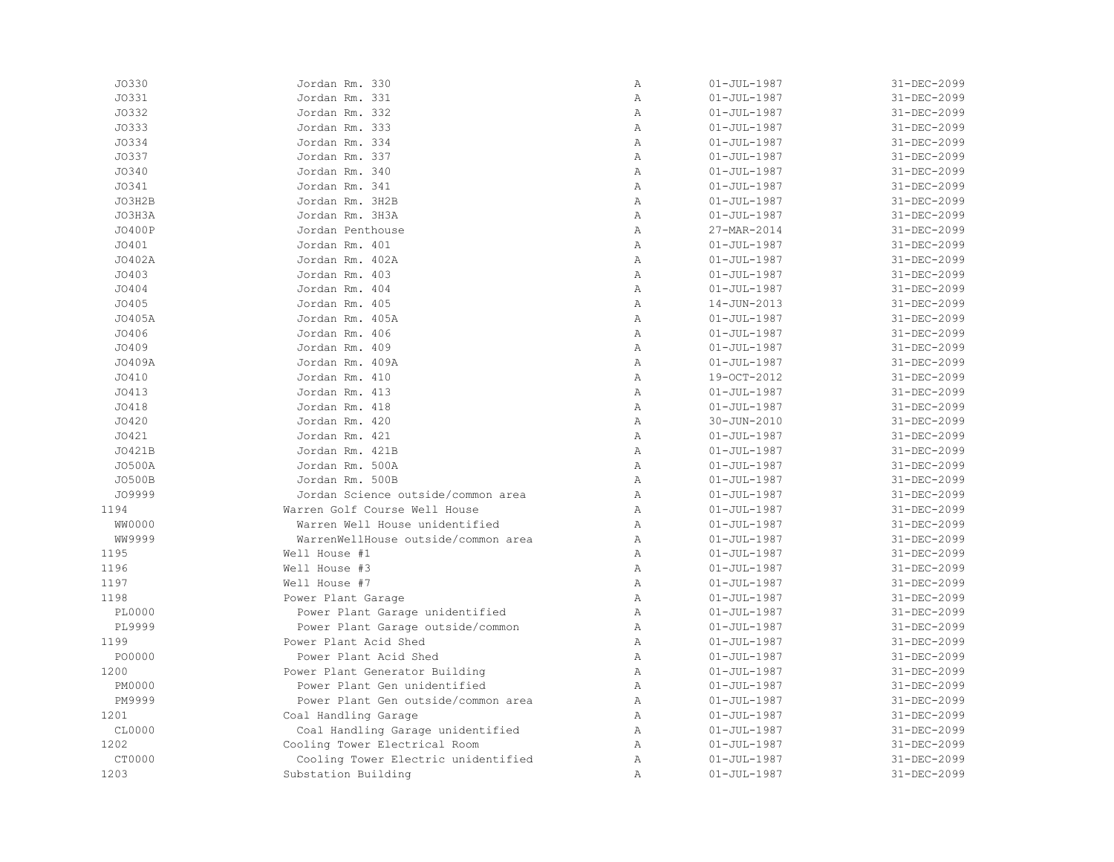| J0330         | Jordan Rm. 330                      | Α              | $01 - JUL - 1987$ | 31-DEC-2099 |
|---------------|-------------------------------------|----------------|-------------------|-------------|
| J0331         | Jordan Rm. 331                      | Α              | $01 - JUL - 1987$ | 31-DEC-2099 |
| J0332         | Jordan Rm. 332                      | Α              | $01 - JUL - 1987$ | 31-DEC-2099 |
| J0333         | Jordan Rm. 333                      | $\mathbb{A}$   | $01 - JUL - 1987$ | 31-DEC-2099 |
| J0334         | Jordan Rm. 334                      | $\overline{A}$ | $01 - JUL - 1987$ | 31-DEC-2099 |
| J0337         | Jordan Rm. 337                      | Α              | $01 - JUL - 1987$ | 31-DEC-2099 |
| J0340         | Jordan Rm. 340                      | $\mathbb{A}$   | $01 - JUL - 1987$ | 31-DEC-2099 |
| J0341         | Jordan Rm. 341                      | $\overline{A}$ | $01 - JUL - 1987$ | 31-DEC-2099 |
| JO3H2B        | Jordan Rm. 3H2B                     | $\mathbb{A}$   | $01 - JUL - 1987$ | 31-DEC-2099 |
| JO3H3A        | Jordan Rm. 3H3A                     | $\mathbb{A}$   | $01 - JUL - 1987$ | 31-DEC-2099 |
| J0400P        | Jordan Penthouse                    | $\mathbb{A}$   | 27-MAR-2014       | 31-DEC-2099 |
| J0401         | Jordan Rm. 401                      | $\mathbb{A}$   | $01 - JUL - 1987$ | 31-DEC-2099 |
| J0402A        | Jordan Rm. 402A                     | $\mathbb{A}$   | $01 - JUL - 1987$ | 31-DEC-2099 |
| J0403         | Jordan Rm. 403                      | $\mathbb{A}$   | $01 - JUL - 1987$ | 31-DEC-2099 |
| JO404         | Jordan Rm. 404                      | $\mathbb{A}$   | $01 - JUL - 1987$ | 31-DEC-2099 |
| J0405         | Jordan Rm. 405                      | $\, {\bf A}$   | 14-JUN-2013       | 31-DEC-2099 |
| J0405A        | Jordan Rm. 405A                     | $\, {\bf A}$   | $01 - JUL - 1987$ | 31-DEC-2099 |
| J0406         | Jordan Rm. 406                      | $\, {\bf A}$   | $01 - JUL - 1987$ | 31-DEC-2099 |
| J0409         | Jordan Rm. 409                      | Α              | $01 - JUL - 1987$ | 31-DEC-2099 |
| J0409A        | Jordan Rm. 409A                     | Α              | $01 - JUL - 1987$ | 31-DEC-2099 |
| J0410         | Jordan Rm. 410                      | $\mathbb{A}$   | 19-OCT-2012       | 31-DEC-2099 |
| J0413         | Jordan Rm. 413                      | $\mathbb{A}$   | $01 - JUL - 1987$ | 31-DEC-2099 |
| JO418         | Jordan Rm. 418                      | $\mathbb{A}$   | $01 - JUL - 1987$ | 31-DEC-2099 |
| J0420         | Jordan Rm. 420                      | Α              | 30-JUN-2010       | 31-DEC-2099 |
| J0421         | Jordan Rm. 421                      | $\mathbb{A}$   | $01 - JUL - 1987$ | 31-DEC-2099 |
| J0421B        | Jordan Rm. 421B                     | $\mathbb{A}$   | $01 - JUL - 1987$ | 31-DEC-2099 |
| J0500A        | Jordan Rm. 500A                     | $\mathbb{A}$   | $01 - JUL - 1987$ | 31-DEC-2099 |
| J0500B        | Jordan Rm. 500B                     | $\mathbb{A}$   | $01 - JUL - 1987$ | 31-DEC-2099 |
| J09999        | Jordan Science outside/common area  | Α              | $01 - JUL - 1987$ | 31-DEC-2099 |
| 1194          | Warren Golf Course Well House       | $\mathbb{A}$   | $01 - JUL - 1987$ | 31-DEC-2099 |
| WW0000        | Warren Well House unidentified      | $\mathbb{A}$   | $01 - JUL - 1987$ | 31-DEC-2099 |
| WW9999        | WarrenWellHouse outside/common area | $\, {\bf A}$   | $01 - JUL - 1987$ | 31-DEC-2099 |
| 1195          | Well House #1                       | Α              | $01 - JUL - 1987$ | 31-DEC-2099 |
| 1196          | Well House #3                       | Α              | $01 - JUL - 1987$ | 31-DEC-2099 |
| 1197          | Well House #7                       | $\mathbb{A}$   | $01 - JUL - 1987$ | 31-DEC-2099 |
| 1198          | Power Plant Garage                  | $\mathbb{A}$   | $01 - JUL - 1987$ | 31-DEC-2099 |
| <b>PL0000</b> | Power Plant Garage unidentified     | Α              | $01 - JUL - 1987$ | 31-DEC-2099 |
| PL9999        | Power Plant Garage outside/common   | $\mathbb{A}$   | $01 - JUL - 1987$ | 31-DEC-2099 |
| 1199          | Power Plant Acid Shed               | A              | $01 - JUL - 1987$ | 31-DEC-2099 |
| PO0000        | Power Plant Acid Shed               | $\, {\bf A}$   | $01 - JUL - 1987$ | 31-DEC-2099 |
| 1200          | Power Plant Generator Building      | $\mathbb{A}$   | $01 - JUL - 1987$ | 31-DEC-2099 |
| PM0000        | Power Plant Gen unidentified        | Α              | $01 - JUL - 1987$ | 31-DEC-2099 |
| PM9999        | Power Plant Gen outside/common area | Α              | $01 - JUL - 1987$ | 31-DEC-2099 |
| 1201          | Coal Handling Garage                | $\mathbb{A}$   | $01 - JUL - 1987$ | 31-DEC-2099 |
| CL0000        | Coal Handling Garage unidentified   | Α              | $01 - JUL - 1987$ | 31-DEC-2099 |
| 1202          | Cooling Tower Electrical Room       | Α              | $01 - JUL - 1987$ | 31-DEC-2099 |
| CT0000        | Cooling Tower Electric unidentified | $\mathbb{A}$   | $01 - JUL - 1987$ | 31-DEC-2099 |
| 1203          | Substation Building                 | A              | $01 - JUL - 1987$ | 31-DEC-2099 |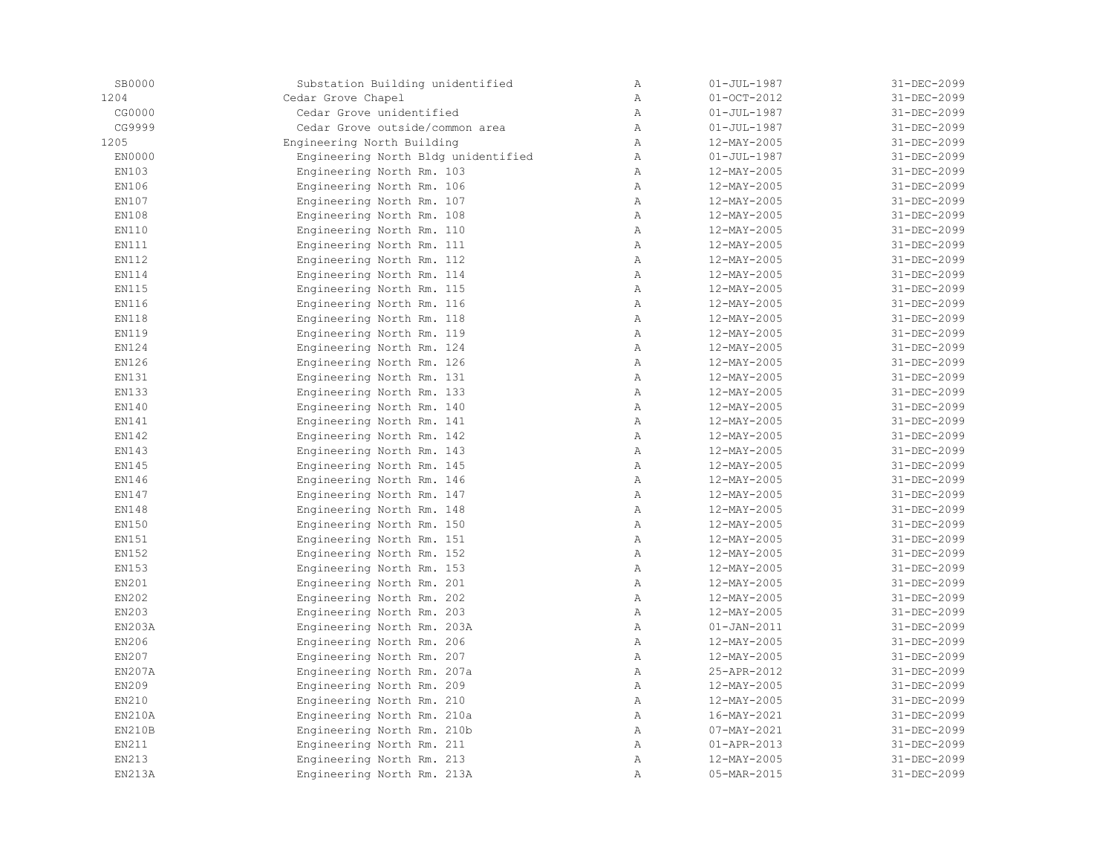| SB0000 | Substation Building unidentified    | Α            | $01 - JUL - 1987$        | 31-DEC-2099 |
|--------|-------------------------------------|--------------|--------------------------|-------------|
| 1204   | Cedar Grove Chapel                  | $\lambda$    | $01 - OCT - 2012$        | 31-DEC-2099 |
| CG0000 | Cedar Grove unidentified            | $\mathbb{A}$ | $01 - JUL - 1987$        | 31-DEC-2099 |
| CG9999 | Cedar Grove outside/common area     | $\mathbb{A}$ | $01 - JUL - 1987$        | 31-DEC-2099 |
| 1205   | Engineering North Building          | $\mathbb{A}$ | 12-MAY-2005              | 31-DEC-2099 |
| EN0000 | Engineering North Bldg unidentified | Α            | $01 - JUL - 1987$        | 31-DEC-2099 |
| EN103  | Engineering North Rm. 103           | $\mathbb A$  | 12-MAY-2005              | 31-DEC-2099 |
| EN106  | Engineering North Rm. 106           | Α            | 12-MAY-2005              | 31-DEC-2099 |
| EN107  | Engineering North Rm. 107           | $\mathbb{A}$ | 12-MAY-2005              | 31-DEC-2099 |
| EN108  | Engineering North Rm. 108           | $\mathbb{A}$ | 12-MAY-2005              | 31-DEC-2099 |
| EN110  | Engineering North Rm. 110           | Α            | 12-MAY-2005              | 31-DEC-2099 |
| EN111  | Engineering North Rm. 111           | $\mathbb{A}$ | 12-MAY-2005              | 31-DEC-2099 |
| EN112  | Engineering North Rm. 112           | $\mathbb{A}$ | 12-MAY-2005              | 31-DEC-2099 |
| EN114  | Engineering North Rm. 114           | A            | 12-MAY-2005              | 31-DEC-2099 |
| EN115  | Engineering North Rm. 115           | Α            | 12-MAY-2005              | 31-DEC-2099 |
| EN116  | Engineering North Rm. 116           | $\mathbb{A}$ | 12-MAY-2005              | 31-DEC-2099 |
| EN118  | Engineering North Rm. 118           | $\mathbb{A}$ | 12-MAY-2005              | 31-DEC-2099 |
| EN119  | Engineering North Rm. 119           | $\mathbb{A}$ | 12-MAY-2005              | 31-DEC-2099 |
| EN124  | Engineering North Rm. 124           | $\mathbb A$  | 12-MAY-2005              | 31-DEC-2099 |
| EN126  | Engineering North Rm. 126           | Α            | 12-MAY-2005              | 31-DEC-2099 |
| EN131  | Engineering North Rm. 131           | $\mathbb{A}$ | 12-MAY-2005              | 31-DEC-2099 |
| EN133  | Engineering North Rm. 133           | $\lambda$    | 12-MAY-2005              | 31-DEC-2099 |
| EN140  | Engineering North Rm. 140           | A            | 12-MAY-2005              | 31-DEC-2099 |
| EN141  | Engineering North Rm. 141           | $\mathbb{A}$ | 12-MAY-2005              | 31-DEC-2099 |
| EN142  | Engineering North Rm. 142           | $\mathbb{A}$ | 12-MAY-2005              | 31-DEC-2099 |
| EN143  | Engineering North Rm. 143           | Α            | 12-MAY-2005              | 31-DEC-2099 |
| EN145  | Engineering North Rm. 145           | Α            | 12-MAY-2005              | 31-DEC-2099 |
| EN146  | Engineering North Rm. 146           | $\mathbb{A}$ | 12-MAY-2005              | 31-DEC-2099 |
| EN147  | Engineering North Rm. 147           | $\mathbb{A}$ | 12-MAY-2005              | 31-DEC-2099 |
| EN148  | Engineering North Rm. 148           | A            | 12-MAY-2005              | 31-DEC-2099 |
| EN150  | Engineering North Rm. 150           | $\mathbb{A}$ | 12-MAY-2005              | 31-DEC-2099 |
| EN151  | Engineering North Rm. 151           | $\mathbb{A}$ | 12-MAY-2005              | 31-DEC-2099 |
| EN152  | Engineering North Rm. 152           | $\, {\bf A}$ | 12-MAY-2005              | 31-DEC-2099 |
| EN153  | Engineering North Rm. 153           | $\mathbb{A}$ | 12-MAY-2005              | 31-DEC-2099 |
| EN201  | Engineering North Rm. 201           | Α            | 12-MAY-2005              | 31-DEC-2099 |
| EN202  | Engineering North Rm. 202           | $\mathbb{A}$ | 12-MAY-2005              | 31-DEC-2099 |
| EN203  | Engineering North Rm. 203           | $\mathbb{A}$ | 12-MAY-2005              | 31-DEC-2099 |
| EN203A | Engineering North Rm. 203A          | $\mathbb{A}$ | $01 - JAN - 2011$        | 31-DEC-2099 |
| EN206  | Engineering North Rm. 206           | A            | 12-MAY-2005              | 31-DEC-2099 |
| EN207  | Engineering North Rm. 207           | A            | $12 - MAX - 2005$        | 31-DEC-2099 |
| EN207A | Engineering North Rm. 207a          | Α            | 25-APR-2012              | 31-DEC-2099 |
| EN209  | Engineering North Rm. 209           | Α            | 12-MAY-2005              | 31-DEC-2099 |
| EN210  | Engineering North Rm. 210           | $\mathbb{A}$ | 12-MAY-2005              | 31-DEC-2099 |
| EN210A | Engineering North Rm. 210a          | Α            | 16-MAY-2021              | 31-DEC-2099 |
| EN210B | Engineering North Rm. 210b          | $\mathbb{A}$ | $07 - \text{MAX} - 2021$ | 31-DEC-2099 |
| EN211  | Engineering North Rm. 211           | A            | $01 - APR - 2013$        | 31-DEC-2099 |
| EN213  | Engineering North Rm. 213           | $\, {\bf A}$ | 12-MAY-2005              | 31-DEC-2099 |
| EN213A | Engineering North Rm. 213A          | Α            | 05-MAR-2015              | 31-DEC-2099 |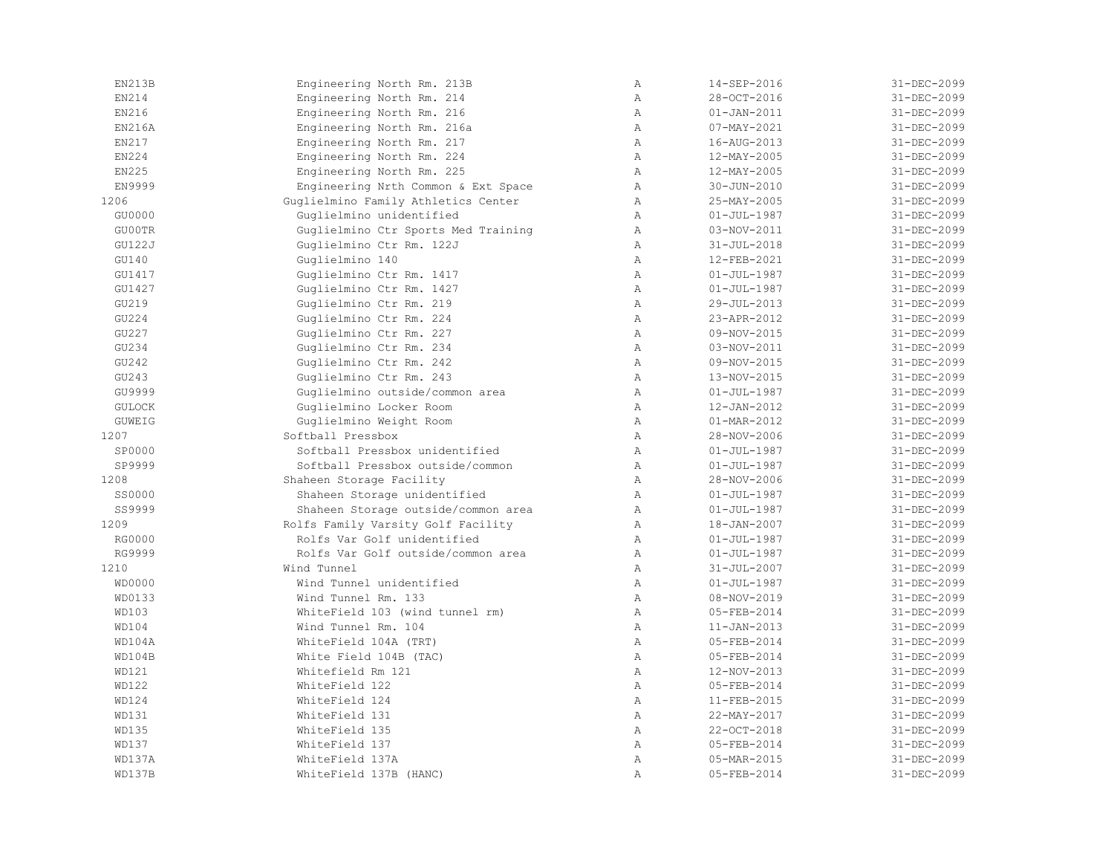| EN213B        | Engineering North Rm. 213B          | $\mathbb{A}$   | 14-SEP-2016       | 31-DEC-2099 |
|---------------|-------------------------------------|----------------|-------------------|-------------|
| EN214         | Engineering North Rm. 214           | Α              | 28-OCT-2016       | 31-DEC-2099 |
| EN216         | Engineering North Rm. 216           | $\mathbb{A}$   | $01 - JAN - 2011$ | 31-DEC-2099 |
| EN216A        | Engineering North Rm. 216a          | $\mathbb{A}$   | $07 - MAX - 2021$ | 31-DEC-2099 |
| EN217         | Engineering North Rm. 217           | $\lambda$      | 16-AUG-2013       | 31-DEC-2099 |
| EN224         | Engineering North Rm. 224           | A              | 12-MAY-2005       | 31-DEC-2099 |
| EN225         | Engineering North Rm. 225           | A              | 12-MAY-2005       | 31-DEC-2099 |
| EN9999        | Engineering Nrth Common & Ext Space | Α              | 30-JUN-2010       | 31-DEC-2099 |
| 1206          | Guglielmino Family Athletics Center | $\mathbb{A}$   | 25-MAY-2005       | 31-DEC-2099 |
| GU0000        | Guglielmino unidentified            | $\mathbb A$    | $01 - JUL - 1987$ | 31-DEC-2099 |
| GU00TR        | Guglielmino Ctr Sports Med Training | A              | 03-NOV-2011       | 31-DEC-2099 |
| GU122J        | Guglielmino Ctr Rm. 122J            | $\mathbb{A}$   | $31 - JUL - 2018$ | 31-DEC-2099 |
| GU140         | Guglielmino 140                     | $\mathbb{A}$   | 12-FEB-2021       | 31-DEC-2099 |
| GU1417        | Guglielmino Ctr Rm. 1417            | $\overline{A}$ | $01 - JUL - 1987$ | 31-DEC-2099 |
| GU1427        | Guglielmino Ctr Rm. 1427            | $\mathbb{A}$   | $01 - JUL - 1987$ | 31-DEC-2099 |
| GU219         | Guglielmino Ctr Rm. 219             | A              | 29-JUL-2013       | 31-DEC-2099 |
| GU224         | Guglielmino Ctr Rm. 224             | Α              | 23-APR-2012       | 31-DEC-2099 |
| GU227         | Guglielmino Ctr Rm. 227             | $\mathbb A$    | 09-NOV-2015       | 31-DEC-2099 |
| GU234         | Guglielmino Ctr Rm. 234             | $\mathbb{A}$   | 03-NOV-2011       | 31-DEC-2099 |
| GU242         | Guglielmino Ctr Rm. 242             | $\mathbb{A}$   | 09-NOV-2015       | 31-DEC-2099 |
| GU243         | Guglielmino Ctr Rm. 243             | $\lambda$      | 13-NOV-2015       | 31-DEC-2099 |
| GU9999        | Guglielmino outside/common area     | $\mathbb{A}$   | $01 - JUL - 1987$ | 31-DEC-2099 |
| <b>GULOCK</b> | Guglielmino Locker Room             | Α              | 12-JAN-2012       | 31-DEC-2099 |
| <b>GUWEIG</b> | Guglielmino Weight Room             | Α              | $01 - MAR - 2012$ | 31-DEC-2099 |
| 1207          | Softball Pressbox                   | $\mathbb{A}$   | 28-NOV-2006       | 31-DEC-2099 |
| SP0000        | Softball Pressbox unidentified      | $\lambda$      | $01 - JUL - 1987$ | 31-DEC-2099 |
| SP9999        | Softball Pressbox outside/common    | $\mathbb{A}$   | $01 - JUL - 1987$ | 31-DEC-2099 |
| 1208          | Shaheen Storage Facility            | $\mathbb{A}$   | 28-NOV-2006       | 31-DEC-2099 |
| SS0000        | Shaheen Storage unidentified        | $\mathbb{A}$   | $01 - JUL - 1987$ | 31-DEC-2099 |
| SS9999        | Shaheen Storage outside/common area | $\mathbb{A}$   | $01 - JUL - 1987$ | 31-DEC-2099 |
| 1209          | Rolfs Family Varsity Golf Facility  | A              | 18-JAN-2007       | 31-DEC-2099 |
| RG0000        | Rolfs Var Golf unidentified         | A              | $01 - JUL - 1987$ | 31-DEC-2099 |
| RG9999        | Rolfs Var Golf outside/common area  | Α              | $01 - JUL - 1987$ | 31-DEC-2099 |
| 1210          | Wind Tunnel                         | $\lambda$      | $31 - JUL - 2007$ | 31-DEC-2099 |
| WD0000        | Wind Tunnel unidentified            | A              | $01 - JUL - 1987$ | 31-DEC-2099 |
| WD0133        | Wind Tunnel Rm. 133                 | $\mathbb{A}$   | 08-NOV-2019       | 31-DEC-2099 |
| WD103         | WhiteField 103 (wind tunnel rm)     | $\mathbb{A}$   | 05-FEB-2014       | 31-DEC-2099 |
| WD104         | Wind Tunnel Rm. 104                 | $\mathbb{A}$   | $11 - JAN - 2013$ | 31-DEC-2099 |
| WD104A        | WhiteField 104A (TRT)               | $\mathbb A$    | 05-FEB-2014       | 31-DEC-2099 |
| WD104B        | White Field 104B (TAC)              | $\mathbb{A}$   | 05-FEB-2014       | 31-DEC-2099 |
| WD121         | Whitefield Rm 121                   | $\mathbb{A}$   | 12-NOV-2013       | 31-DEC-2099 |
| WD122         | WhiteField 122                      | $\lambda$      | 05-FEB-2014       | 31-DEC-2099 |
| WD124         | WhiteField 124                      | $\mathbb{A}$   | 11-FEB-2015       | 31-DEC-2099 |
| WD131         | WhiteField 131                      | $\mathbb{A}$   | 22-MAY-2017       | 31-DEC-2099 |
| WD135         | WhiteField 135                      | $\mathbb{A}$   | 22-OCT-2018       | 31-DEC-2099 |
| WD137         | WhiteField 137                      | $\lambda$      | 05-FEB-2014       | 31-DEC-2099 |
| WD137A        | WhiteField 137A                     | Α              | 05-MAR-2015       | 31-DEC-2099 |
| WD137B        | WhiteField 137B (HANC)              | Α              | 05-FEB-2014       | 31-DEC-2099 |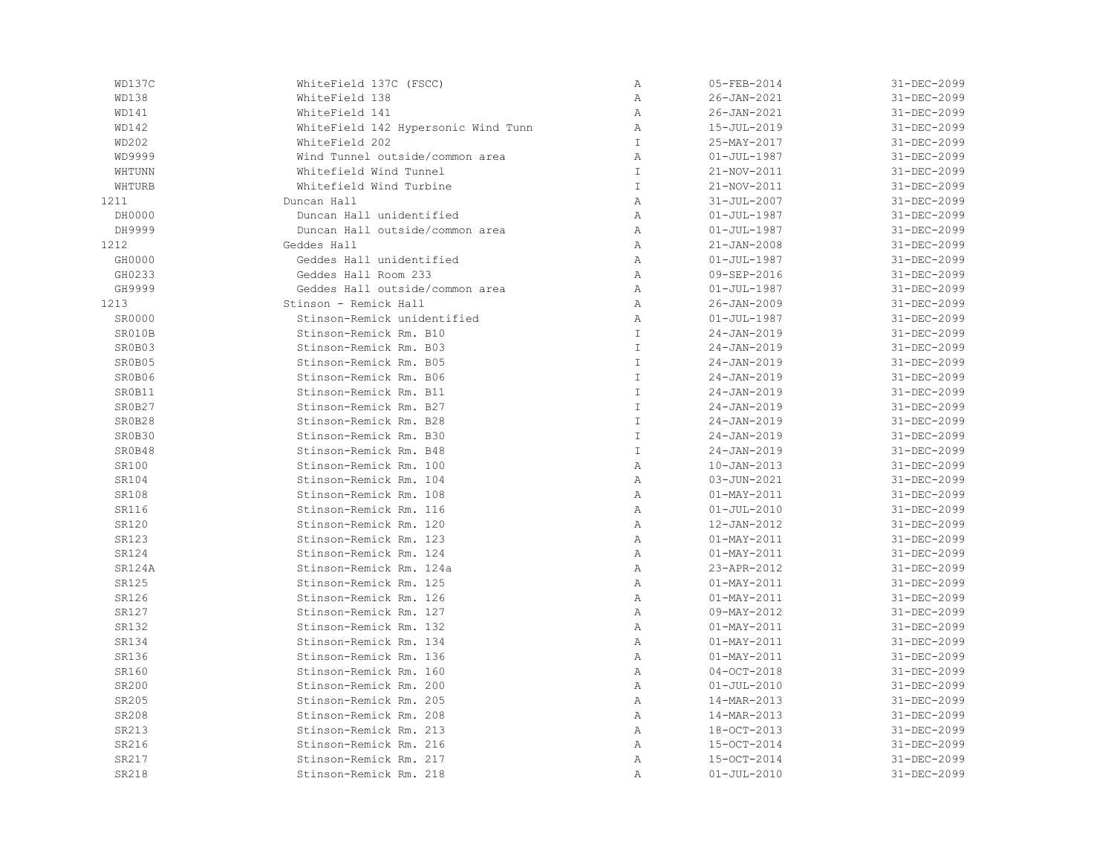| WD137C | WhiteField 137C (FSCC)              | $\, {\bf A}$  | 05-FEB-2014       | 31-DEC-2099 |
|--------|-------------------------------------|---------------|-------------------|-------------|
| WD138  | WhiteField 138                      | $\, {\bf A}$  | 26-JAN-2021       | 31-DEC-2099 |
| WD141  | WhiteField 141                      | Α             | 26-JAN-2021       | 31-DEC-2099 |
| WD142  | WhiteField 142 Hypersonic Wind Tunn | Α             | 15-JUL-2019       | 31-DEC-2099 |
| WD202  | WhiteField 202                      | $\mathbb T$   | 25-MAY-2017       | 31-DEC-2099 |
| WD9999 | Wind Tunnel outside/common area     | $\mathbb{A}$  | $01 - JUL - 1987$ | 31-DEC-2099 |
| WHTUNN | Whitefield Wind Tunnel              | $\mathbbm{I}$ | 21-NOV-2011       | 31-DEC-2099 |
| WHTURB | Whitefield Wind Turbine             | $\mathbbm{I}$ | 21-NOV-2011       | 31-DEC-2099 |
| 1211   | Duncan Hall                         | $\mathbb{A}$  | $31 - JUL - 2007$ | 31-DEC-2099 |
| DH0000 | Duncan Hall unidentified            | $\mathbb{A}$  | $01 - JUL - 1987$ | 31-DEC-2099 |
| DH9999 | Duncan Hall outside/common area     | $\, {\bf A}$  | $01 - JUL - 1987$ | 31-DEC-2099 |
| 1212   | Geddes Hall                         | $\mathbb{A}$  | $21 - JAN - 2008$ | 31-DEC-2099 |
| GH0000 | Geddes Hall unidentified            | $\mathbb{A}$  | $01 - JUL - 1987$ | 31-DEC-2099 |
| GH0233 | Geddes Hall Room 233                | $\mathbb{A}$  | 09-SEP-2016       | 31-DEC-2099 |
| GH9999 | Geddes Hall outside/common area     | Α             | $01 - JUL - 1987$ | 31-DEC-2099 |
| 1213   | Stinson - Remick Hall               | $\mathbb{A}$  | $26 - JAN - 2009$ | 31-DEC-2099 |
| SR0000 | Stinson-Remick unidentified         | $\mathbb{A}$  | $01 - JUL - 1987$ | 31-DEC-2099 |
| SR010B | Stinson-Remick Rm. B10              | $\mathsf{T}$  | $24 - JAN - 2019$ | 31-DEC-2099 |
| SR0B03 | Stinson-Remick Rm. B03              | $\mathsf{T}$  | $24 - JAN - 2019$ | 31-DEC-2099 |
| SR0B05 | Stinson-Remick Rm. B05              | $\mathbb T$   | $24 - JAN - 2019$ | 31-DEC-2099 |
| SR0B06 | Stinson-Remick Rm. B06              | $\mathbbm{I}$ | $24 - JAN - 2019$ | 31-DEC-2099 |
| SR0B11 | Stinson-Remick Rm. B11              | $\top$        | $24 - JAN - 2019$ | 31-DEC-2099 |
| SR0B27 | Stinson-Remick Rm. B27              | $\mathsf{T}$  | $24 - JAN - 2019$ | 31-DEC-2099 |
| SR0B28 | Stinson-Remick Rm. B28              | $\mathbbm{I}$ | $24 - JAN - 2019$ | 31-DEC-2099 |
| SR0B30 | Stinson-Remick Rm. B30              | $\mathbbm{I}$ | $24 - JAN - 2019$ | 31-DEC-2099 |
| SR0B48 | Stinson-Remick Rm. B48              | $\mathbbm{I}$ | $24 - JAN - 2019$ | 31-DEC-2099 |
| SR100  | Stinson-Remick Rm. 100              | $\, {\bf A}$  | $10 - JAN - 2013$ | 31-DEC-2099 |
| SR104  | Stinson-Remick Rm. 104              | $\, {\bf A}$  | 03-JUN-2021       | 31-DEC-2099 |
| SR108  | Stinson-Remick Rm. 108              | $\mathbb{A}$  | $01 - MAX - 2011$ | 31-DEC-2099 |
| SR116  | Stinson-Remick Rm. 116              | $\mathbb{A}$  | $01 - JUL - 2010$ | 31-DEC-2099 |
| SR120  | Stinson-Remick Rm. 120              | Α             | 12-JAN-2012       | 31-DEC-2099 |
| SR123  | Stinson-Remick Rm. 123              | $\mathbb{A}$  | $01 - MAX - 2011$ | 31-DEC-2099 |
| SR124  | Stinson-Remick Rm. 124              | $\, {\bf A}$  | $01 - MAX - 2011$ | 31-DEC-2099 |
| SR124A | Stinson-Remick Rm. 124a             | $\mathbb{A}$  | 23-APR-2012       | 31-DEC-2099 |
| SR125  | Stinson-Remick Rm. 125              | $\, {\bf A}$  | $01 - MAX - 2011$ | 31-DEC-2099 |
| SR126  | Stinson-Remick Rm. 126              | $\mathbb{A}$  | $01 - MAX - 2011$ | 31-DEC-2099 |
| SR127  | Stinson-Remick Rm. 127              | $\mathbb{A}$  | 09-MAY-2012       | 31-DEC-2099 |
| SR132  | Stinson-Remick Rm. 132              | $\mathbb{A}$  | $01 - MAX - 2011$ | 31-DEC-2099 |
| SR134  | Stinson-Remick Rm. 134              | $\, {\bf A}$  | $01 - MAX - 2011$ | 31-DEC-2099 |
| SR136  | Stinson-Remick Rm. 136              | $\, {\bf A}$  | $01 - MAX - 2011$ | 31-DEC-2099 |
| SR160  | Stinson-Remick Rm. 160              | $\, {\bf A}$  | $04-0CT-2018$     | 31-DEC-2099 |
| SR200  | Stinson-Remick Rm. 200              | $\, {\bf A}$  | $01 - JUL - 2010$ | 31-DEC-2099 |
| SR205  | Stinson-Remick Rm. 205              | $\mathbb{A}$  | 14-MAR-2013       | 31-DEC-2099 |
| SR208  | Stinson-Remick Rm. 208              | Α             | 14-MAR-2013       | 31-DEC-2099 |
| SR213  | Stinson-Remick Rm. 213              | $\mathbb{A}$  | 18-OCT-2013       | 31-DEC-2099 |
| SR216  | Stinson-Remick Rm. 216              | $\mathbb{A}$  | 15-OCT-2014       | 31-DEC-2099 |
| SR217  | Stinson-Remick Rm. 217              | Α             | 15-OCT-2014       | 31-DEC-2099 |
| SR218  | Stinson-Remick Rm. 218              | Α             | $01 - JUL - 2010$ | 31-DEC-2099 |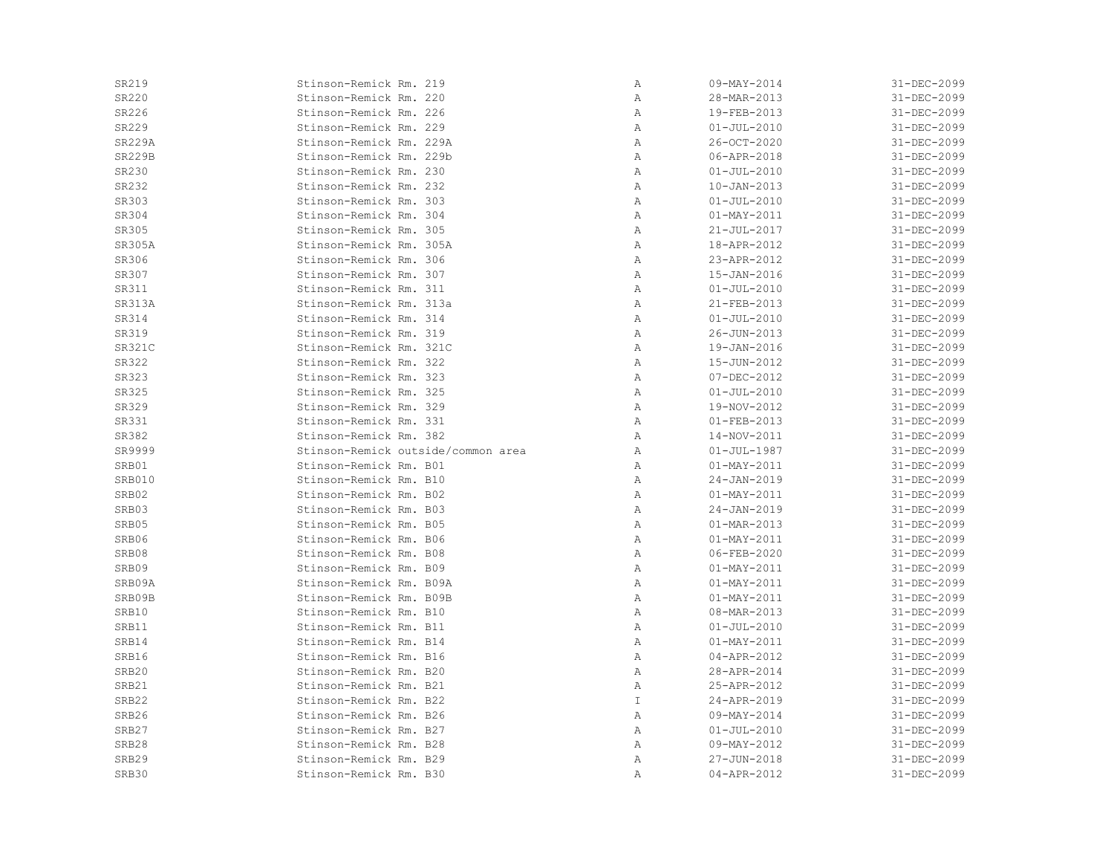| SR219         | Stinson-Remick Rm. 219             | Α             | $09 - MAX - 2014$ | 31-DEC-2099 |
|---------------|------------------------------------|---------------|-------------------|-------------|
| SR220         | Stinson-Remick Rm. 220             | Α             | 28-MAR-2013       | 31-DEC-2099 |
| SR226         | Stinson-Remick Rm. 226             | Α             | 19-FEB-2013       | 31-DEC-2099 |
| SR229         | Stinson-Remick Rm. 229             | Α             | $01 - JUL - 2010$ | 31-DEC-2099 |
| <b>SR229A</b> | Stinson-Remick Rm. 229A            | $\mathbb{A}$  | 26-OCT-2020       | 31-DEC-2099 |
| <b>SR229B</b> | Stinson-Remick Rm. 229b            | Α             | 06-APR-2018       | 31-DEC-2099 |
| SR230         | Stinson-Remick Rm. 230             | Α             | $01 - JUL - 2010$ | 31-DEC-2099 |
| SR232         | Stinson-Remick Rm. 232             | Α             | $10 - JAN - 2013$ | 31-DEC-2099 |
| SR303         | Stinson-Remick Rm. 303             | Α             | $01 - JUL - 2010$ | 31-DEC-2099 |
| SR304         | Stinson-Remick Rm. 304             | Α             | $01 - MAX - 2011$ | 31-DEC-2099 |
| SR305         | Stinson-Remick Rm. 305             | Α             | $21 - JUL - 2017$ | 31-DEC-2099 |
| SR305A        | Stinson-Remick Rm. 305A            | Α             | 18-APR-2012       | 31-DEC-2099 |
| SR306         | Stinson-Remick Rm. 306             | Α             | 23-APR-2012       | 31-DEC-2099 |
| SR307         | Stinson-Remick Rm. 307             | Α             | $15 - JAN - 2016$ | 31-DEC-2099 |
| SR311         | Stinson-Remick Rm. 311             | Α             | $01 - JUL - 2010$ | 31-DEC-2099 |
| <b>SR313A</b> | Stinson-Remick Rm. 313a            | Α             | 21-FEB-2013       | 31-DEC-2099 |
| SR314         | Stinson-Remick Rm. 314             | Α             | $01 - JUL - 2010$ | 31-DEC-2099 |
| SR319         | Stinson-Remick Rm. 319             | Α             | 26-JUN-2013       | 31-DEC-2099 |
| <b>SR321C</b> | Stinson-Remick Rm. 321C            | Α             | 19-JAN-2016       | 31-DEC-2099 |
| SR322         | Stinson-Remick Rm. 322             | Α             | 15-JUN-2012       | 31-DEC-2099 |
| SR323         | Stinson-Remick Rm. 323             | Α             | $07 - DEC - 2012$ | 31-DEC-2099 |
| SR325         | Stinson-Remick Rm. 325             | Α             | $01 - JUL - 2010$ | 31-DEC-2099 |
| SR329         | Stinson-Remick Rm. 329             | Α             | 19-NOV-2012       | 31-DEC-2099 |
| SR331         | Stinson-Remick Rm. 331             | Α             | $01 - FEB - 2013$ | 31-DEC-2099 |
| SR382         | Stinson-Remick Rm. 382             | Α             | 14-NOV-2011       | 31-DEC-2099 |
| SR9999        | Stinson-Remick outside/common area | Α             | $01 - JUL - 1987$ | 31-DEC-2099 |
| SRB01         | Stinson-Remick Rm. B01             | Α             | $01 - MAX - 2011$ | 31-DEC-2099 |
| SRB010        | Stinson-Remick Rm. B10             | Α             | $24 - JAN - 2019$ | 31-DEC-2099 |
| SRB02         | Stinson-Remick Rm. B02             | Α             | 01-MAY-2011       | 31-DEC-2099 |
| SRB03         | Stinson-Remick Rm. B03             | Α             | $24 - JAN - 2019$ | 31-DEC-2099 |
| SRB05         | Stinson-Remick Rm. B05             | Α             | 01-MAR-2013       | 31-DEC-2099 |
| SRB06         | Stinson-Remick Rm. B06             | Α             | $01 - MAX - 2011$ | 31-DEC-2099 |
| SRB08         | Stinson-Remick Rm. B08             | Α             | $06 - FEB - 2020$ | 31-DEC-2099 |
| SRB09         | Stinson-Remick Rm. B09             | Α             | $01 - MAX - 2011$ | 31-DEC-2099 |
| SRB09A        | Stinson-Remick Rm. B09A            | Α             | $01 - MAX - 2011$ | 31-DEC-2099 |
| SRB09B        | Stinson-Remick Rm. B09B            | Α             | $01 - MAX - 2011$ | 31-DEC-2099 |
| SRB10         | Stinson-Remick Rm. B10             | Α             | 08-MAR-2013       | 31-DEC-2099 |
| SRB11         | Stinson-Remick Rm. B11             | Α             | $01 - JUL - 2010$ | 31-DEC-2099 |
| SRB14         | Stinson-Remick Rm. B14             | Α             | 01-MAY-2011       | 31-DEC-2099 |
| SRB16         | Stinson-Remick Rm. B16             | Α             | 04-APR-2012       | 31-DEC-2099 |
| SRB20         | Stinson-Remick Rm. B20             | Α             | 28-APR-2014       | 31-DEC-2099 |
| SRB21         | Stinson-Remick Rm. B21             | Α             | 25-APR-2012       | 31-DEC-2099 |
| SRB22         | Stinson-Remick Rm. B22             | $\mathbbm{I}$ | 24-APR-2019       | 31-DEC-2099 |
| SRB26         | Stinson-Remick Rm. B26             | Α             | 09-MAY-2014       | 31-DEC-2099 |
| SRB27         | Stinson-Remick Rm. B27             | Α             | $01 - JUL - 2010$ | 31-DEC-2099 |
| SRB28         | Stinson-Remick Rm. B28             | Α             | 09-MAY-2012       | 31-DEC-2099 |
| SRB29         | Stinson-Remick Rm. B29             | Α             | 27-JUN-2018       | 31-DEC-2099 |
| SRB30         | Stinson-Remick Rm. B30             | $\mathbb{A}$  | 04-APR-2012       | 31-DEC-2099 |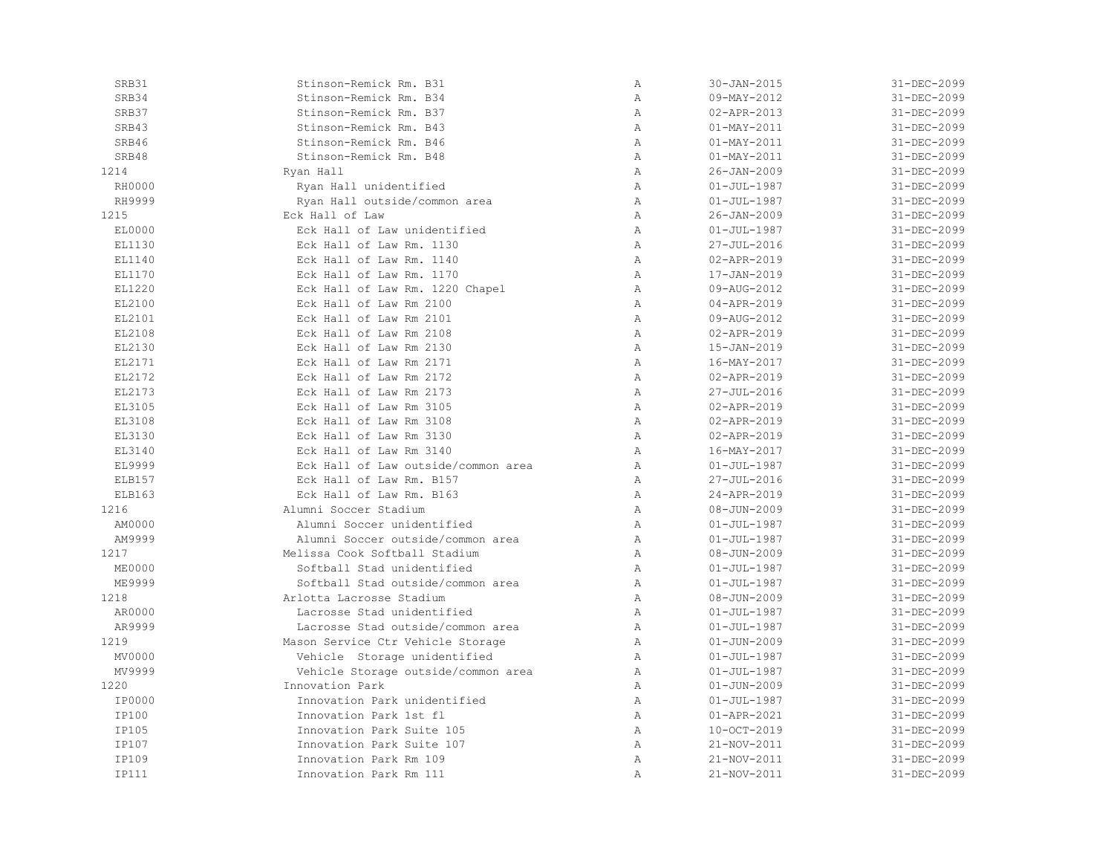| SRB31         | Stinson-Remick Rm. B31              | $\mathbb{A}$   | $30 - JAN - 2015$ | 31-DEC-2099 |
|---------------|-------------------------------------|----------------|-------------------|-------------|
| SRB34         | Stinson-Remick Rm. B34              | Α              | 09-MAY-2012       | 31-DEC-2099 |
| SRB37         | Stinson-Remick Rm. B37              | $\mathbb{A}$   | 02-APR-2013       | 31-DEC-2099 |
| SRB43         | Stinson-Remick Rm. B43              | $\mathbb{A}$   | $01 - MAX - 2011$ | 31-DEC-2099 |
| SRB46         | Stinson-Remick Rm. B46              | $\overline{A}$ | $01 - MAX - 2011$ | 31-DEC-2099 |
| SRB48         | Stinson-Remick Rm. B48              | $\mathbb{A}$   | $01 - MAX - 2011$ | 31-DEC-2099 |
| 1214          | Ryan Hall                           | $\mathbb{A}$   | $26 - JAN - 2009$ | 31-DEC-2099 |
| RH0000        | Ryan Hall unidentified              | $\, {\bf A}$   | $01 - JUL - 1987$ | 31-DEC-2099 |
| RH9999        | Ryan Hall outside/common area       | $\mathbb{A}$   | $01 - JUL - 1987$ | 31-DEC-2099 |
| 1215          | Eck Hall of Law                     | Α              | $26 - JAN - 2009$ | 31-DEC-2099 |
| EL0000        | Eck Hall of Law unidentified        | $\mathbb{A}$   | $01 - JUL - 1987$ | 31-DEC-2099 |
| EL1130        | Eck Hall of Law Rm. 1130            | $\mathbb{A}$   | 27-JUL-2016       | 31-DEC-2099 |
| EL1140        | Eck Hall of Law Rm. 1140            | $\mathbb{A}$   | 02-APR-2019       | 31-DEC-2099 |
| EL1170        | Eck Hall of Law Rm. 1170            | $\mathbb{A}$   | 17-JAN-2019       | 31-DEC-2099 |
| EL1220        | Eck Hall of Law Rm. 1220 Chapel     | $\, {\bf A}$   | 09-AUG-2012       | 31-DEC-2099 |
| EL2100        | Eck Hall of Law Rm 2100             | $\mathbb{A}$   | 04-APR-2019       | 31-DEC-2099 |
| EL2101        | Eck Hall of Law Rm 2101             | $\, {\bf A}$   | 09-AUG-2012       | 31-DEC-2099 |
| EL2108        | Eck Hall of Law Rm 2108             | Α              | 02-APR-2019       | 31-DEC-2099 |
| EL2130        | Eck Hall of Law Rm 2130             | $\mathbb{A}$   | 15-JAN-2019       | 31-DEC-2099 |
| EL2171        | Eck Hall of Law Rm 2171             | $\mathbb{A}$   | 16-MAY-2017       | 31-DEC-2099 |
| EL2172        | Eck Hall of Law Rm 2172             | $\mathbb{A}$   | 02-APR-2019       | 31-DEC-2099 |
| EL2173        | Eck Hall of Law Rm 2173             | $\, {\bf A}$   | 27-JUL-2016       | 31-DEC-2099 |
| EL3105        | Eck Hall of Law Rm 3105             | $\, {\bf A}$   | 02-APR-2019       | 31-DEC-2099 |
| EL3108        | Eck Hall of Law Rm 3108             | Α              | 02-APR-2019       | 31-DEC-2099 |
| EL3130        | Eck Hall of Law Rm 3130             | $\mathbb{A}$   | 02-APR-2019       | 31-DEC-2099 |
| EL3140        | Eck Hall of Law Rm 3140             | $\overline{A}$ | 16-MAY-2017       | 31-DEC-2099 |
| EL9999        | Eck Hall of Law outside/common area | $\mathbb{A}$   | $01 - JUL - 1987$ | 31-DEC-2099 |
| ELB157        | Eck Hall of Law Rm. B157            | $\mathbb{A}$   | 27-JUL-2016       | 31-DEC-2099 |
| ELB163        | Eck Hall of Law Rm. B163            | $\mathbb{A}$   | 24-APR-2019       | 31-DEC-2099 |
| 1216          | Alumni Soccer Stadium               | $\mathbb{A}$   | $08 - JUN - 2009$ | 31-DEC-2099 |
| AM0000        | Alumni Soccer unidentified          | $\mathbb{A}$   | $01 - JUL - 1987$ | 31-DEC-2099 |
| AM9999        | Alumni Soccer outside/common area   | $\mathbb{A}$   | $01 - JUL - 1987$ | 31-DEC-2099 |
| 1217          | Melissa Cook Softball Stadium       | $\, {\bf A}$   | $08 - JUN - 2009$ | 31-DEC-2099 |
| <b>ME0000</b> | Softball Stad unidentified          | $\lambda$      | $01 - JUL - 1987$ | 31-DEC-2099 |
| ME9999        | Softball Stad outside/common area   | $\mathbb{A}$   | $01 - JUL - 1987$ | 31-DEC-2099 |
| 1218          | Arlotta Lacrosse Stadium            | $\mathbb{A}$   | $08 - JUN - 2009$ | 31-DEC-2099 |
| AR0000        | Lacrosse Stad unidentified          | $\mathbb{A}$   | $01 - JUL - 1987$ | 31-DEC-2099 |
| AR9999        | Lacrosse Stad outside/common area   | $\mathbb{A}$   | $01 - JUL - 1987$ | 31-DEC-2099 |
| 1219          | Mason Service Ctr Vehicle Storage   | $\mathbb{A}$   | $01 - JUN - 2009$ | 31-DEC-2099 |
| MV0000        | Vehicle Storage unidentified        | Α              | $01 - JUL - 1987$ | 31-DEC-2099 |
| MV9999        | Vehicle Storage outside/common area | Α              | $01 - JUL - 1987$ | 31-DEC-2099 |
| 1220          | Innovation Park                     | $\mathbb{A}$   | $01 - JUN - 2009$ | 31-DEC-2099 |
| IP0000        | Innovation Park unidentified        | $\mathbb{A}$   | $01 - JUL - 1987$ | 31-DEC-2099 |
| IP100         | Innovation Park 1st fl              | $\mathbb{A}$   | 01-APR-2021       | 31-DEC-2099 |
| IP105         | Innovation Park Suite 105           | $\mathbb{A}$   | 10-OCT-2019       | 31-DEC-2099 |
| IP107         | Innovation Park Suite 107           | $\mathbb{A}$   | 21-NOV-2011       | 31-DEC-2099 |
| IP109         | Innovation Park Rm 109              | Α              | 21-NOV-2011       | 31-DEC-2099 |
| IP111         | Innovation Park Rm 111              | Α              | 21-NOV-2011       | 31-DEC-2099 |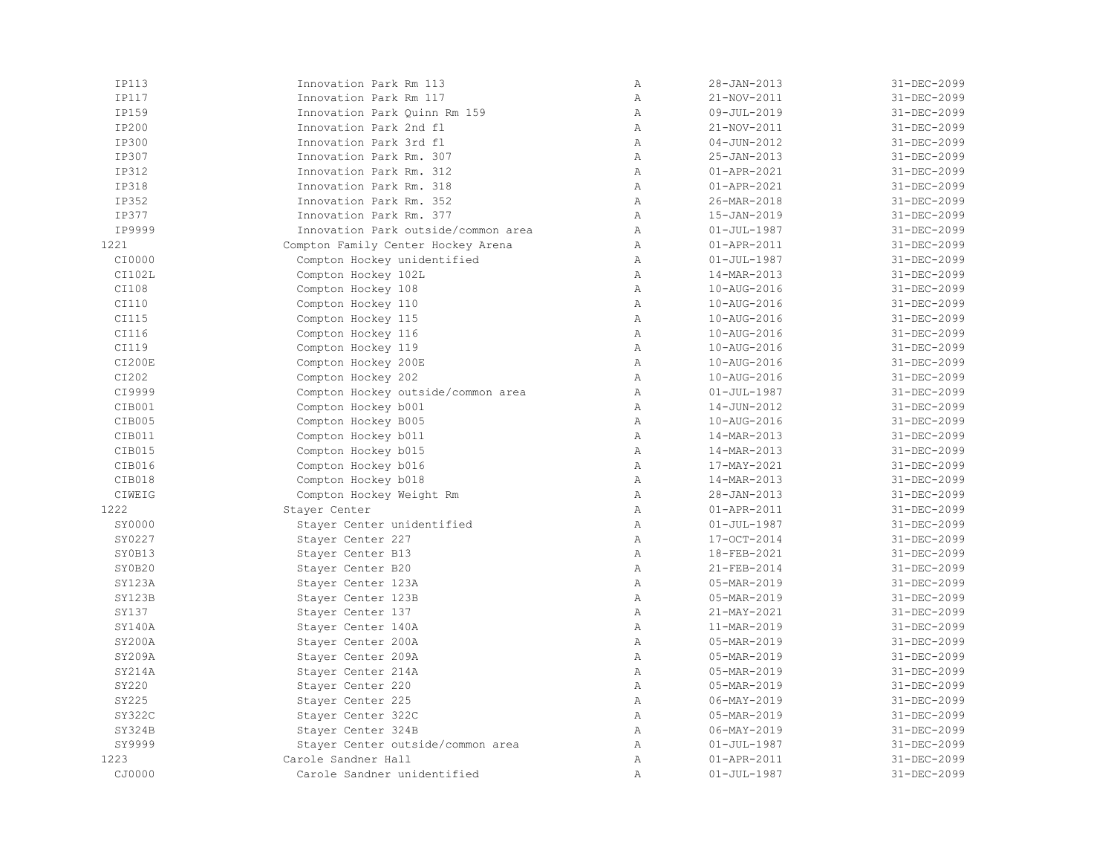| IP113  | Innovation Park Rm 113              | $\mathbb{A}$ | $28 - JAN - 2013$ | 31-DEC-2099 |
|--------|-------------------------------------|--------------|-------------------|-------------|
| IP117  | Innovation Park Rm 117              | Α            | 21-NOV-2011       | 31-DEC-2099 |
| IP159  | Innovation Park Quinn Rm 159        | $\mathbb{A}$ | 09-JUL-2019       | 31-DEC-2099 |
| IP200  | Innovation Park 2nd fl              | Α            | 21-NOV-2011       | 31-DEC-2099 |
| IP300  | Innovation Park 3rd fl              | $\mathbb{A}$ | $04 - JUN - 2012$ | 31-DEC-2099 |
| IP307  | Innovation Park Rm. 307             | $\mathbb{A}$ | 25-JAN-2013       | 31-DEC-2099 |
| IP312  | Innovation Park Rm. 312             | $\mathbb{A}$ | $01 - APR - 2021$ | 31-DEC-2099 |
| IP318  | Innovation Park Rm. 318             | $\mathbb{A}$ | $01 - APR - 2021$ | 31-DEC-2099 |
| IP352  | Innovation Park Rm. 352             | $\mathbb{A}$ | 26-MAR-2018       | 31-DEC-2099 |
| IP377  | Innovation Park Rm. 377             | Α            | 15-JAN-2019       | 31-DEC-2099 |
| IP9999 | Innovation Park outside/common area | $\mathbb{A}$ | $01 - JUL - 1987$ | 31-DEC-2099 |
| 1221   | Compton Family Center Hockey Arena  | $\mathbb{A}$ | 01-APR-2011       | 31-DEC-2099 |
| CI0000 | Compton Hockey unidentified         | $\mathbb{A}$ | $01 - JUL - 1987$ | 31-DEC-2099 |
| CI102L | Compton Hockey 102L                 | $\lambda$    | 14-MAR-2013       | 31-DEC-2099 |
| CI108  | Compton Hockey 108                  | $\mathbb{A}$ | 10-AUG-2016       | 31-DEC-2099 |
| CI110  | Compton Hockey 110                  | Α            | 10-AUG-2016       | 31-DEC-2099 |
| CI115  | Compton Hockey 115                  | Α            | 10-AUG-2016       | 31-DEC-2099 |
| CI116  | Compton Hockey 116                  | $\lambda$    | 10-AUG-2016       | 31-DEC-2099 |
| CI119  | Compton Hockey 119                  | $\mathbb{A}$ | 10-AUG-2016       | 31-DEC-2099 |
| CI200E | Compton Hockey 200E                 | $\mathbb{A}$ | 10-AUG-2016       | 31-DEC-2099 |
| CI202  | Compton Hockey 202                  | $\mathbb{A}$ | 10-AUG-2016       | 31-DEC-2099 |
| CI9999 | Compton Hockey outside/common area  | $\mathbb{A}$ | $01 - JUL - 1987$ | 31-DEC-2099 |
| CIB001 | Compton Hockey b001                 | $\mathbb{A}$ | 14-JUN-2012       | 31-DEC-2099 |
| CIB005 | Compton Hockey B005                 | Α            | 10-AUG-2016       | 31-DEC-2099 |
| CIB011 | Compton Hockey b011                 | $\mathbb{A}$ | 14-MAR-2013       | 31-DEC-2099 |
| CIB015 | Compton Hockey b015                 | Α            | 14-MAR-2013       | 31-DEC-2099 |
| CIB016 | Compton Hockey b016                 | $\mathbb{A}$ | 17-MAY-2021       | 31-DEC-2099 |
| CIB018 | Compton Hockey b018                 | $\mathbb{A}$ | 14-MAR-2013       | 31-DEC-2099 |
| CIWEIG | Compton Hockey Weight Rm            | $\mathbb{A}$ | $28 - JAN - 2013$ | 31-DEC-2099 |
| 1222   | Stayer Center                       | $\mathbb{A}$ | 01-APR-2011       | 31-DEC-2099 |
| SY0000 | Stayer Center unidentified          | $\mathbb{A}$ | $01 - JUL - 1987$ | 31-DEC-2099 |
| SY0227 | Stayer Center 227                   | $\mathbb{A}$ | 17-OCT-2014       | 31-DEC-2099 |
| SY0B13 | Stayer Center B13                   | $\mathbb{A}$ | 18-FEB-2021       | 31-DEC-2099 |
| SY0B20 | Stayer Center B20                   | Α            | 21-FEB-2014       | 31-DEC-2099 |
| SY123A | Stayer Center 123A                  | $\mathbb{A}$ | 05-MAR-2019       | 31-DEC-2099 |
| SY123B | Stayer Center 123B                  | $\mathbb{A}$ | 05-MAR-2019       | 31-DEC-2099 |
| SY137  | Stayer Center 137                   | $\mathbb{A}$ | 21-MAY-2021       | 31-DEC-2099 |
| SY140A | Stayer Center 140A                  | $\mathbb{A}$ | 11-MAR-2019       | 31-DEC-2099 |
| SY200A | Stayer Center 200A                  | $\mathbb{A}$ | 05-MAR-2019       | 31-DEC-2099 |
| SY209A | Stayer Center 209A                  | Α            | 05-MAR-2019       | 31-DEC-2099 |
| SY214A | Stayer Center 214A                  | $\mathbb{A}$ | 05-MAR-2019       | 31-DEC-2099 |
| SY220  | Stayer Center 220                   | $\mathbb{A}$ | 05-MAR-2019       | 31-DEC-2099 |
| SY225  | Stayer Center 225                   | $\mathbb{A}$ | $06 - MAX - 2019$ | 31-DEC-2099 |
| SY322C | Stayer Center 322C                  | $\mathbb{A}$ | 05-MAR-2019       | 31-DEC-2099 |
| SY324B | Stayer Center 324B                  | $\mathbb{A}$ | $06 - MAX - 2019$ | 31-DEC-2099 |
| SY9999 | Stayer Center outside/common area   | $\mathbb{A}$ | $01 - JUL - 1987$ | 31-DEC-2099 |
| 1223   | Carole Sandner Hall                 | Α            | 01-APR-2011       | 31-DEC-2099 |
| CJ0000 | Carole Sandner unidentified         | $\mathbb{A}$ | $01 - JUL - 1987$ | 31-DEC-2099 |
|        |                                     |              |                   |             |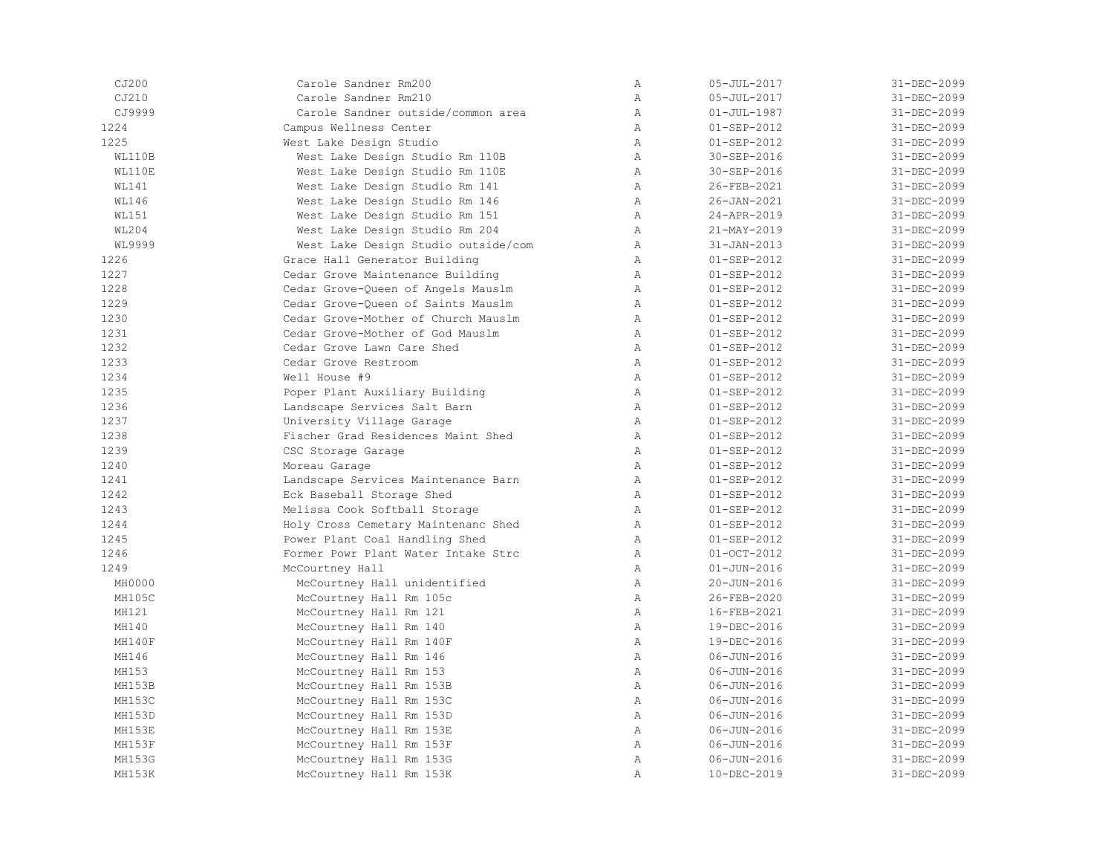| CJ200        | Carole Sandner Rm200                | $\mathbb{A}$   | $05 - JUL - 2017$ | 31-DEC-2099 |
|--------------|-------------------------------------|----------------|-------------------|-------------|
| CJ210        | Carole Sandner Rm210                | $\lambda$      | $05 - JUL - 2017$ | 31-DEC-2099 |
| CJ9999       | Carole Sandner outside/common area  | $\mathbb{A}$   | $01 - JUL - 1987$ | 31-DEC-2099 |
| 1224         | Campus Wellness Center              | A              | $01 - SEP - 2012$ | 31-DEC-2099 |
| 1225         | West Lake Design Studio             | A              | $01 - SEP - 2012$ | 31-DEC-2099 |
| WL110B       | West Lake Design Studio Rm 110B     | A              | 30-SEP-2016       | 31-DEC-2099 |
| WL110E       | West Lake Design Studio Rm 110E     | A              | 30-SEP-2016       | 31-DEC-2099 |
| <b>WL141</b> | West Lake Design Studio Rm 141      | Α              | 26-FEB-2021       | 31-DEC-2099 |
| <b>WL146</b> | West Lake Design Studio Rm 146      | Α              | 26-JAN-2021       | 31-DEC-2099 |
| <b>WL151</b> | West Lake Design Studio Rm 151      | A              | 24-APR-2019       | 31-DEC-2099 |
| <b>WL204</b> | West Lake Design Studio Rm 204      | A              | 21-MAY-2019       | 31-DEC-2099 |
| WL9999       | West Lake Design Studio outside/com | A              | $31 - JAN - 2013$ | 31-DEC-2099 |
| 1226         | Grace Hall Generator Building       | A              | $01 - SEP - 2012$ | 31-DEC-2099 |
| 1227         | Cedar Grove Maintenance Building    | A              | $01 - SEP - 2012$ | 31-DEC-2099 |
| 1228         | Cedar Grove-Queen of Angels Mauslm  | $\mathbb A$    | $01 - SEP - 2012$ | 31-DEC-2099 |
| 1229         | Cedar Grove-Queen of Saints Mauslm  | A              | $01 - SEP - 2012$ | 31-DEC-2099 |
| 1230         | Cedar Grove-Mother of Church Mauslm | Α              | $01 - SEP - 2012$ | 31-DEC-2099 |
| 1231         | Cedar Grove-Mother of God Mauslm    | $\lambda$      | $01 - SEP - 2012$ | 31-DEC-2099 |
| 1232         | Cedar Grove Lawn Care Shed          | $\mathbb{A}$   | $01 - SEP - 2012$ | 31-DEC-2099 |
| 1233         | Cedar Grove Restroom                | $\mathbb{A}$   | $01 - SEP - 2012$ | 31-DEC-2099 |
| 1234         | Well House #9                       | A              | $01 - SEP - 2012$ | 31-DEC-2099 |
| 1235         | Poper Plant Auxiliary Building      | A              | $01 - SEP - 2012$ | 31-DEC-2099 |
| 1236         | Landscape Services Salt Barn        | A              | $01 - SEP - 2012$ | 31-DEC-2099 |
| 1237         | University Village Garage           | A              | $01 - SEP - 2012$ | 31-DEC-2099 |
| 1238         | Fischer Grad Residences Maint Shed  | Α              | $01 - SEP - 2012$ | 31-DEC-2099 |
| 1239         | CSC Storage Garage                  | A              | $01 - SEP - 2012$ | 31-DEC-2099 |
| 1240         | Moreau Garage                       | $\mathbb{A}$   | $01 - SEP - 2012$ | 31-DEC-2099 |
| 1241         | Landscape Services Maintenance Barn | $\mathbb{A}$   | $01 - SEP - 2012$ | 31-DEC-2099 |
| 1242         | Eck Baseball Storage Shed           | A              | $01 - SEP - 2012$ | 31-DEC-2099 |
| 1243         | Melissa Cook Softball Storage       | A              | $01 - SEP - 2012$ | 31-DEC-2099 |
| 1244         | Holy Cross Cemetary Maintenanc Shed | $\mathbb{A}$   | $01 - SEP - 2012$ | 31-DEC-2099 |
| 1245         | Power Plant Coal Handling Shed      | A              | $01 - SEP - 2012$ | 31-DEC-2099 |
| 1246         | Former Powr Plant Water Intake Strc | Α              | $01-0CT-2012$     | 31-DEC-2099 |
| 1249         | McCourtney Hall                     | $\lambda$      | $01 - JUN - 2016$ | 31-DEC-2099 |
| MH0000       | McCourtney Hall unidentified        | $\mathbb{A}$   | 20-JUN-2016       | 31-DEC-2099 |
| MH105C       | McCourtney Hall Rm 105c             | A              | 26-FEB-2020       | 31-DEC-2099 |
| MH121        | McCourtney Hall Rm 121              | A              | 16-FEB-2021       | 31-DEC-2099 |
| MH140        | McCourtney Hall Rm 140              | A              | 19-DEC-2016       | 31-DEC-2099 |
| MH140F       | McCourtney Hall Rm 140F             | A              | 19-DEC-2016       | 31-DEC-2099 |
| MH146        | McCourtney Hall Rm 146              | Α              | $06 - JUN - 2016$ | 31-DEC-2099 |
| MH153        | McCourtney Hall Rm 153              | $\lambda$      | $06 - JUN - 2016$ | 31-DEC-2099 |
| MH153B       | McCourtney Hall Rm 153B             | $\mathbb{A}$   | $06 - JUN - 2016$ | 31-DEC-2099 |
| MH153C       | McCourtney Hall Rm 153C             | $\mathbb{A}$   | 06-JUN-2016       | 31-DEC-2099 |
| MH153D       | McCourtney Hall Rm 153D             | $\mathbb A$    | $06 - JUN - 2016$ | 31-DEC-2099 |
| MH153E       | McCourtney Hall Rm 153E             | $\mathbb{A}$   | $06 - JUN - 2016$ | 31-DEC-2099 |
| MH153F       | McCourtney Hall Rm 153F             | A              | $06 - JUN - 2016$ | 31-DEC-2099 |
| MH153G       | McCourtney Hall Rm 153G             | $\mathbb{A}$   | $06 - JUN - 2016$ | 31-DEC-2099 |
| MH153K       | McCourtney Hall Rm 153K             | $\overline{A}$ | 10-DEC-2019       | 31-DEC-2099 |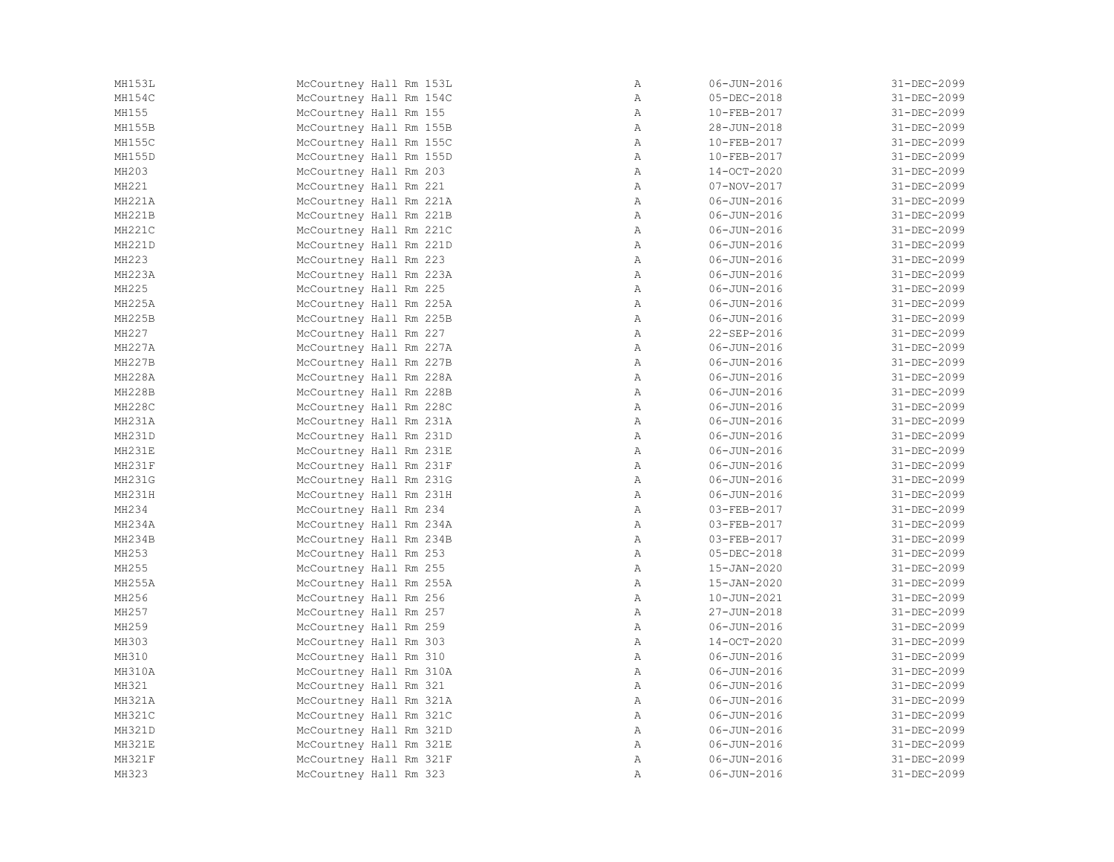| McCourtney Hall Rm 153L | Α            | $06 - JUN - 2016$ | 31-DEC-2099 |
|-------------------------|--------------|-------------------|-------------|
| McCourtney Hall Rm 154C | $\mathbb{A}$ | 05-DEC-2018       | 31-DEC-2099 |
| McCourtney Hall Rm 155  | $\mathbb{A}$ | 10-FEB-2017       | 31-DEC-2099 |
| McCourtney Hall Rm 155B | A            | 28-JUN-2018       | 31-DEC-2099 |
| McCourtney Hall Rm 155C | A            | 10-FEB-2017       | 31-DEC-2099 |
| McCourtney Hall Rm 155D | $\mathbb{A}$ | 10-FEB-2017       | 31-DEC-2099 |
| McCourtney Hall Rm 203  | $\mathbb{A}$ | 14-OCT-2020       | 31-DEC-2099 |
| McCourtney Hall Rm 221  | $\mathbb{A}$ | $07 - NOV - 2017$ | 31-DEC-2099 |
| McCourtney Hall Rm 221A | A            | $06 - JUN - 2016$ | 31-DEC-2099 |
| McCourtney Hall Rm 221B | A            | $06 - JUN - 2016$ | 31-DEC-2099 |
| McCourtney Hall Rm 221C | A            | $06 - JUN - 2016$ | 31-DEC-2099 |
| McCourtney Hall Rm 221D | $\mathbb{A}$ | $06 - JUN - 2016$ | 31-DEC-2099 |
| McCourtney Hall Rm 223  | $\mathbb{A}$ | $06 - JUN - 2016$ | 31-DEC-2099 |
| McCourtney Hall Rm 223A | A            | $06 - JUN - 2016$ | 31-DEC-2099 |
| McCourtney Hall Rm 225  | $\mathbb{A}$ | $06 - JUN - 2016$ | 31-DEC-2099 |
| McCourtney Hall Rm 225A | A            | $06 - JUN - 2016$ | 31-DEC-2099 |
| McCourtney Hall Rm 225B | A            | 06-JUN-2016       | 31-DEC-2099 |
| McCourtney Hall Rm 227  | A            | 22-SEP-2016       | 31-DEC-2099 |
| McCourtney Hall Rm 227A | $\mathbb{A}$ | $06 - JUN - 2016$ | 31-DEC-2099 |
| McCourtney Hall Rm 227B | $\mathbb{A}$ | $06 - JUN - 2016$ | 31-DEC-2099 |
| McCourtney Hall Rm 228A | A            | $06 - JUN - 2016$ | 31-DEC-2099 |
| McCourtney Hall Rm 228B | $\mathbb{A}$ | $06 - JUN - 2016$ | 31-DEC-2099 |
| McCourtney Hall Rm 228C | $\mathbb{A}$ | $06 - JUN - 2016$ | 31-DEC-2099 |
| McCourtney Hall Rm 231A | A            | $06 - JUN - 2016$ | 31-DEC-2099 |
| McCourtney Hall Rm 231D | A            | 06-JUN-2016       | 31-DEC-2099 |
| McCourtney Hall Rm 231E | $\mathbb{A}$ | $06 - JUN - 2016$ | 31-DEC-2099 |
| McCourtney Hall Rm 231F | A            | $06 - JUN - 2016$ | 31-DEC-2099 |
| McCourtney Hall Rm 231G | $\mathbb{A}$ | $06 - JUN - 2016$ | 31-DEC-2099 |
| McCourtney Hall Rm 231H | A            | 06-JUN-2016       | 31-DEC-2099 |
| McCourtney Hall Rm 234  | A            | 03-FEB-2017       | 31-DEC-2099 |
| McCourtney Hall Rm 234A | $\mathbb{A}$ | 03-FEB-2017       | 31-DEC-2099 |
| McCourtney Hall Rm 234B | A            | 03-FEB-2017       | 31-DEC-2099 |
| McCourtney Hall Rm 253  | $\mathbb{A}$ | $05 - DEC - 2018$ | 31-DEC-2099 |
| McCourtney Hall Rm 255  | $\mathbb{A}$ | 15-JAN-2020       | 31-DEC-2099 |
| McCourtney Hall Rm 255A | $\mathbb{A}$ | 15-JAN-2020       | 31-DEC-2099 |
| McCourtney Hall Rm 256  | A            | 10-JUN-2021       | 31-DEC-2099 |
| McCourtney Hall Rm 257  | A            | 27-JUN-2018       | 31-DEC-2099 |
| McCourtney Hall Rm 259  | A            | 06-JUN-2016       | 31-DEC-2099 |
| McCourtney Hall Rm 303  | A            | 14-OCT-2020       | 31-DEC-2099 |
| McCourtney Hall Rm 310  | $\mathbb{A}$ | $06 - JUN - 2016$ | 31-DEC-2099 |
| McCourtney Hall Rm 310A | $\mathbb{A}$ | $06 - JUN - 2016$ | 31-DEC-2099 |
| McCourtney Hall Rm 321  | $\mathbb{A}$ | $06 - JUN - 2016$ | 31-DEC-2099 |
| McCourtney Hall Rm 321A | A            | $06 - JUN - 2016$ | 31-DEC-2099 |
| McCourtney Hall Rm 321C | A            | $06 - JUN - 2016$ | 31-DEC-2099 |
| McCourtney Hall Rm 321D | $\mathbb{A}$ | $06 - JUN - 2016$ | 31-DEC-2099 |
| McCourtney Hall Rm 321E | $\mathbb{A}$ | $06 - JUN - 2016$ | 31-DEC-2099 |
| McCourtney Hall Rm 321F | Α            | $06 - JUN - 2016$ | 31-DEC-2099 |
| McCourtney Hall Rm 323  | Α            | $06 - JUN - 2016$ | 31-DEC-2099 |
|                         |              |                   |             |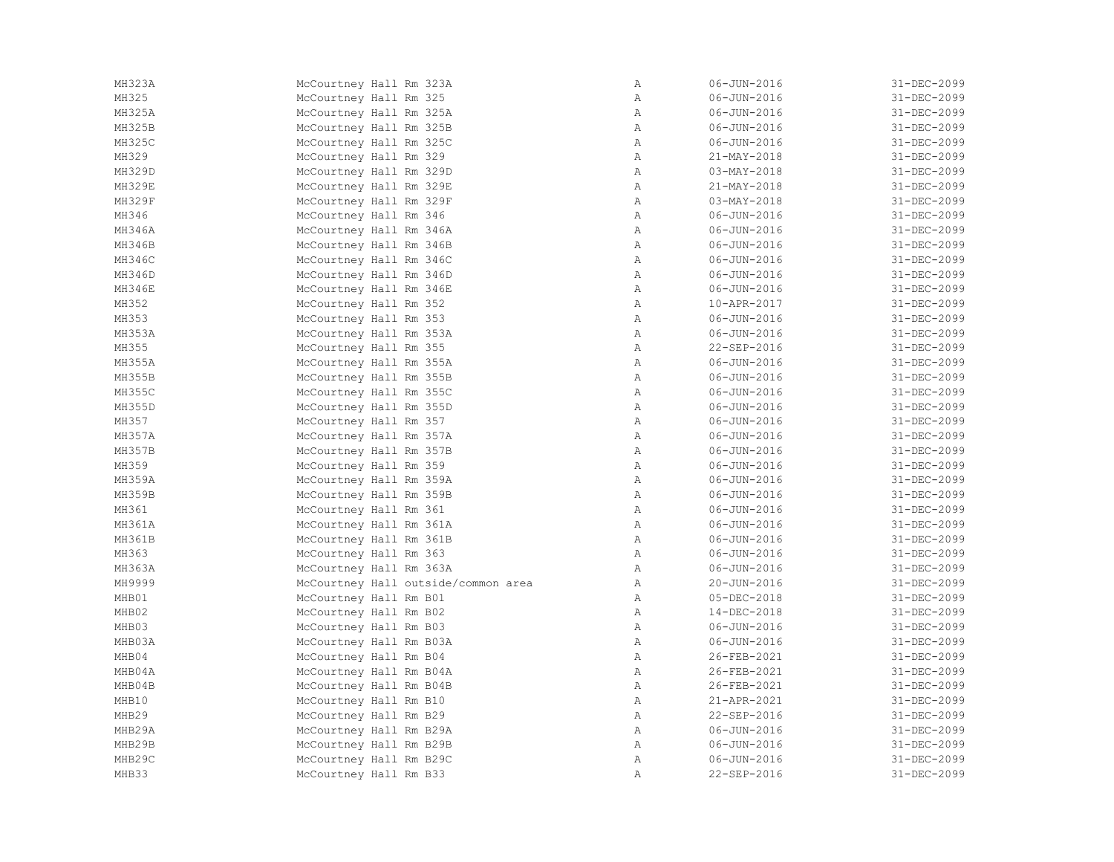| MH323A        | McCourtney Hall Rm 323A             | Α            | $06 - JUN - 2016$ | 31-DEC-2099 |
|---------------|-------------------------------------|--------------|-------------------|-------------|
| MH325         | McCourtney Hall Rm 325              | Α            | $06 - JUN - 2016$ | 31-DEC-2099 |
| MH325A        | McCourtney Hall Rm 325A             | Α            | $06 - JUN - 2016$ | 31-DEC-2099 |
| MH325B        | McCourtney Hall Rm 325B             | $\mathbb{A}$ | $06 - JUN - 2016$ | 31-DEC-2099 |
| MH325C        | McCourtney Hall Rm 325C             | A            | $06 - JUN - 2016$ | 31-DEC-2099 |
| MH329         | McCourtney Hall Rm 329              | $\mathbb{A}$ | 21-MAY-2018       | 31-DEC-2099 |
| MH329D        | McCourtney Hall Rm 329D             | A            | $03 - MAX - 2018$ | 31-DEC-2099 |
| <b>MH329E</b> | McCourtney Hall Rm 329E             | $\mathbb{A}$ | 21-MAY-2018       | 31-DEC-2099 |
| MH329F        | McCourtney Hall Rm 329F             | $\mathbb{A}$ | $03 - MAX - 2018$ | 31-DEC-2099 |
| MH346         | McCourtney Hall Rm 346              | $\mathbb A$  | $06 - JUN - 2016$ | 31-DEC-2099 |
| MH346A        | McCourtney Hall Rm 346A             | $\mathbb{A}$ | $06 - JUN - 2016$ | 31-DEC-2099 |
| MH346B        | McCourtney Hall Rm 346B             | A            | $06 - JUN - 2016$ | 31-DEC-2099 |
| MH346C        | McCourtney Hall Rm 346C             | Α            | $06 - JUN - 2016$ | 31-DEC-2099 |
| MH346D        | McCourtney Hall Rm 346D             | A            | $06 - JUN - 2016$ | 31-DEC-2099 |
| MH346E        | McCourtney Hall Rm 346E             | Α            | $06 - JUN - 2016$ | 31-DEC-2099 |
| MH352         | McCourtney Hall Rm 352              | A            | 10-APR-2017       | 31-DEC-2099 |
| MH353         | McCourtney Hall Rm 353              | $\mathbb{A}$ | $06 - JUN - 2016$ | 31-DEC-2099 |
| MH353A        | McCourtney Hall Rm 353A             | $\mathbb{A}$ | $06 - JUN - 2016$ | 31-DEC-2099 |
| MH355         | McCourtney Hall Rm 355              | $\mathbb A$  | 22-SEP-2016       | 31-DEC-2099 |
| MH355A        | McCourtney Hall Rm 355A             | A            | $06 - JUN - 2016$ | 31-DEC-2099 |
| MH355B        | McCourtney Hall Rm 355B             | A            | $06 - JUN - 2016$ | 31-DEC-2099 |
| MH355C        | McCourtney Hall Rm 355C             | A            | $06 - JUN - 2016$ | 31-DEC-2099 |
| MH355D        | McCourtney Hall Rm 355D             | A            | $06 - JUN - 2016$ | 31-DEC-2099 |
| MH357         | McCourtney Hall Rm 357              | $\mathbb{A}$ | $06 - JUN - 2016$ | 31-DEC-2099 |
| MH357A        | McCourtney Hall Rm 357A             | Α            | $06 - JUN - 2016$ | 31-DEC-2099 |
| <b>MH357B</b> | McCourtney Hall Rm 357B             | $\mathbb A$  | $06 - JUN - 2016$ | 31-DEC-2099 |
| MH359         | McCourtney Hall Rm 359              | A            | $06 - JUN - 2016$ | 31-DEC-2099 |
| MH359A        | McCourtney Hall Rm 359A             | A            | $06 - JUN - 2016$ | 31-DEC-2099 |
| MH359B        | McCourtney Hall Rm 359B             | A            | $06 - JUN - 2016$ | 31-DEC-2099 |
| MH361         | McCourtney Hall Rm 361              | A            | 06-JUN-2016       | 31-DEC-2099 |
| MH361A        | McCourtney Hall Rm 361A             | A            | $06 - JUN - 2016$ | 31-DEC-2099 |
| MH361B        | McCourtney Hall Rm 361B             | A            | $06 - JUN - 2016$ | 31-DEC-2099 |
| MH363         | McCourtney Hall Rm 363              | A            | $06 - JUN - 2016$ | 31-DEC-2099 |
| MH363A        | McCourtney Hall Rm 363A             | $\mathbb{A}$ | $06 - JUN - 2016$ | 31-DEC-2099 |
| MH9999        | McCourtney Hall outside/common area | $\mathbb{A}$ | 20-JUN-2016       | 31-DEC-2099 |
| MHB01         | McCourtney Hall Rm B01              | $\mathbb{A}$ | 05-DEC-2018       | 31-DEC-2099 |
| MHB02         | McCourtney Hall Rm B02              | $\mathbb{A}$ | 14-DEC-2018       | 31-DEC-2099 |
| MHB03         | McCourtney Hall Rm B03              | $\mathbb{A}$ | 06-JUN-2016       | 31-DEC-2099 |
| MHB03A        | McCourtney Hall Rm B03A             | A            | $06 - JUN - 2016$ | 31-DEC-2099 |
| MHB04         | McCourtney Hall Rm B04              | $\mathbb{A}$ | 26-FEB-2021       | 31-DEC-2099 |
| MHB04A        | McCourtney Hall Rm B04A             | $\mathbb{A}$ | 26-FEB-2021       | 31-DEC-2099 |
| MHB04B        | McCourtney Hall Rm B04B             | Α            | 26-FEB-2021       | 31-DEC-2099 |
| MHB10         | McCourtney Hall Rm B10              | A            | 21-APR-2021       | 31-DEC-2099 |
| MHB29         | McCourtney Hall Rm B29              | $\mathbb A$  | 22-SEP-2016       | 31-DEC-2099 |
| MHB29A        | McCourtney Hall Rm B29A             | $\mathbb{A}$ | $06 - JUN - 2016$ | 31-DEC-2099 |
| MHB29B        | McCourtney Hall Rm B29B             | Α            | $06 - JUN - 2016$ | 31-DEC-2099 |
| MHB29C        | McCourtney Hall Rm B29C             | $\mathbb{A}$ | $06 - JUN - 2016$ | 31-DEC-2099 |
| MHB33         | McCourtney Hall Rm B33              | $\lambda$    | 22-SEP-2016       | 31-DEC-2099 |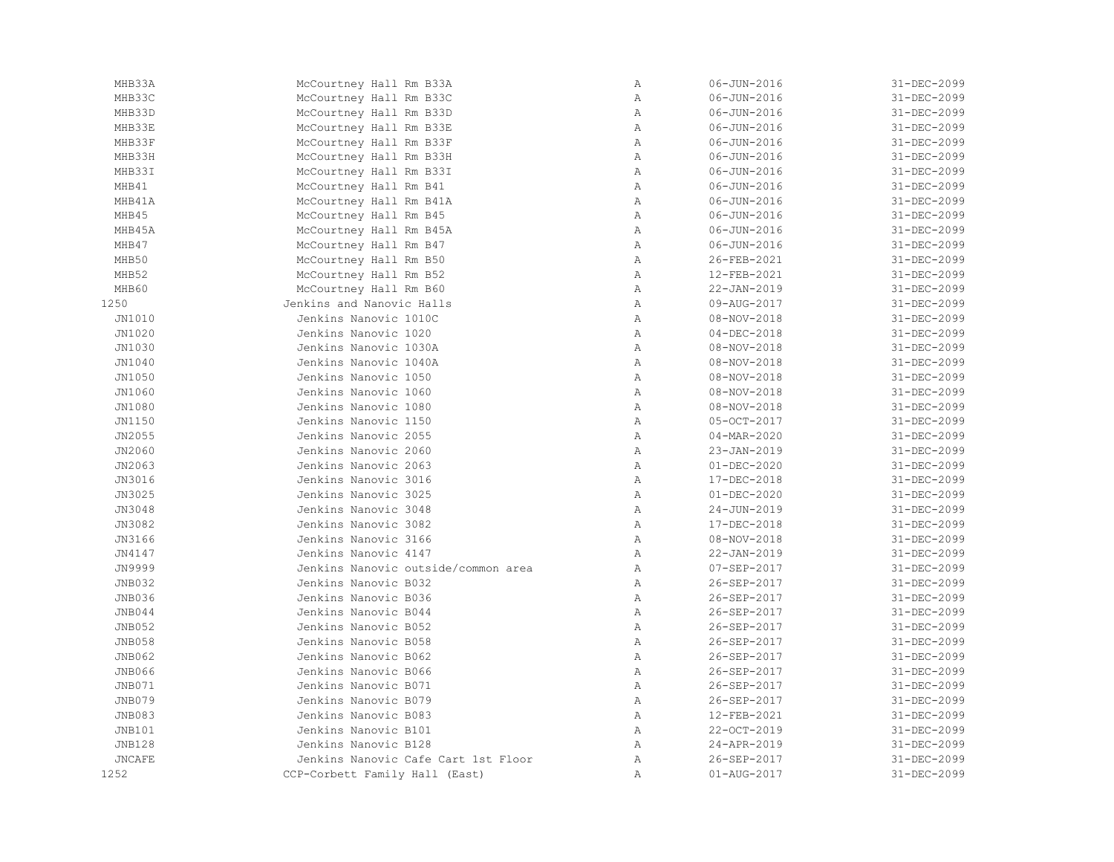| MHB33A        | McCourtney Hall Rm B33A             | $\mathbb{A}$ | $06 - JUN - 2016$ | 31-DEC-2099 |
|---------------|-------------------------------------|--------------|-------------------|-------------|
| MHB33C        | McCourtney Hall Rm B33C             | $\, {\bf A}$ | $06 - JUN - 2016$ | 31-DEC-2099 |
| MHB33D        | McCourtney Hall Rm B33D             | Α            | $06 - JUN - 2016$ | 31-DEC-2099 |
| MHB33E        | McCourtney Hall Rm B33E             | $\mathbb{A}$ | 06-JUN-2016       | 31-DEC-2099 |
| MHB33F        | McCourtney Hall Rm B33F             | $\mathbb{A}$ | $06 - JUN - 2016$ | 31-DEC-2099 |
| MHB33H        | McCourtney Hall Rm B33H             | $\, {\bf A}$ | $06 - JUN - 2016$ | 31-DEC-2099 |
| MHB33I        | McCourtney Hall Rm B33I             | $\mathbb{A}$ | $06 - JUN - 2016$ | 31-DEC-2099 |
| MHB41         | McCourtney Hall Rm B41              | $\, {\bf A}$ | $06 - JUN - 2016$ | 31-DEC-2099 |
| MHB41A        | McCourtney Hall Rm B41A             | Α            | $06 - JUN - 2016$ | 31-DEC-2099 |
| MHB45         | McCourtney Hall Rm B45              | Α            | $06 - JUN - 2016$ | 31-DEC-2099 |
| MHB45A        | McCourtney Hall Rm B45A             | $\mathbb{A}$ | $06 - JUN - 2016$ | 31-DEC-2099 |
| MHB47         | McCourtney Hall Rm B47              | $\mathbb{A}$ | 06-JUN-2016       | 31-DEC-2099 |
| MHB50         | McCourtney Hall Rm B50              | $\mathbb{A}$ | 26-FEB-2021       | 31-DEC-2099 |
| MHB52         | McCourtney Hall Rm B52              | $\mathbb{A}$ | 12-FEB-2021       | 31-DEC-2099 |
| MHB60         | McCourtney Hall Rm B60              | $\, {\bf A}$ | 22-JAN-2019       | 31-DEC-2099 |
| 1250          | Jenkins and Nanovic Halls           | Α            | 09-AUG-2017       | 31-DEC-2099 |
| JN1010        | Jenkins Nanovic 1010C               | $\, {\bf A}$ | $08 - NOV - 2018$ | 31-DEC-2099 |
| JN1020        | Jenkins Nanovic 1020                | Α            | $04 - DEC - 2018$ | 31-DEC-2099 |
| JN1030        | Jenkins Nanovic 1030A               | $\mathbb{A}$ | $08 - NOV - 2018$ | 31-DEC-2099 |
| JN1040        | Jenkins Nanovic 1040A               | $\mathbb{A}$ | 08-NOV-2018       | 31-DEC-2099 |
| JN1050        | Jenkins Nanovic 1050                | $\mathbb{A}$ | $08 - NOV - 2018$ | 31-DEC-2099 |
| JN1060        | Jenkins Nanovic 1060                | $\mathbb{A}$ | $08 - NOV - 2018$ | 31-DEC-2099 |
| JN1080        | Jenkins Nanovic 1080                | $\mathbb{A}$ | $08 - NOV - 2018$ | 31-DEC-2099 |
| JN1150        | Jenkins Nanovic 1150                | $\, {\bf A}$ | 05-OCT-2017       | 31-DEC-2099 |
| JN2055        | Jenkins Nanovic 2055                | $\, {\bf A}$ | $04 - MAR - 2020$ | 31-DEC-2099 |
| JN2060        | Jenkins Nanovic 2060                | Α            | 23-JAN-2019       | 31-DEC-2099 |
| JN2063        | Jenkins Nanovic 2063                | $\mathbb{A}$ | $01 - DEC - 2020$ | 31-DEC-2099 |
| JN3016        | Jenkins Nanovic 3016                | $\mathbb{A}$ | 17-DEC-2018       | 31-DEC-2099 |
| JN3025        | Jenkins Nanovic 3025                | $\mathbb{A}$ | $01 - DEC - 2020$ | 31-DEC-2099 |
| JN3048        | Jenkins Nanovic 3048                | A            | 24-JUN-2019       | 31-DEC-2099 |
| JN3082        | Jenkins Nanovic 3082                | Α            | 17-DEC-2018       | 31-DEC-2099 |
| JN3166        | Jenkins Nanovic 3166                | $\, {\bf A}$ | $08 - NOV - 2018$ | 31-DEC-2099 |
| JN4147        | Jenkins Nanovic 4147                | $\, {\bf A}$ | 22-JAN-2019       | 31-DEC-2099 |
| JN9999        | Jenkins Nanovic outside/common area | Α            | 07-SEP-2017       | 31-DEC-2099 |
| JNB032        | Jenkins Nanovic B032                | $\mathbb{A}$ | 26-SEP-2017       | 31-DEC-2099 |
| JNB036        | Jenkins Nanovic B036                | $\mathbb{A}$ | 26-SEP-2017       | 31-DEC-2099 |
| JNB044        | Jenkins Nanovic B044                | $\mathbb{A}$ | 26-SEP-2017       | 31-DEC-2099 |
| JNB052        | Jenkins Nanovic B052                | $\, {\bf A}$ | 26-SEP-2017       | 31-DEC-2099 |
| <b>JNB058</b> | Jenkins Nanovic B058                | $\mathbb{A}$ | 26-SEP-2017       | 31-DEC-2099 |
| JNB062        | Jenkins Nanovic B062                | Α            | 26-SEP-2017       | 31-DEC-2099 |
| JNB066        | Jenkins Nanovic B066                | $\, {\bf A}$ | 26-SEP-2017       | 31-DEC-2099 |
| JNB071        | Jenkins Nanovic B071                | Α            | 26-SEP-2017       | 31-DEC-2099 |
| <b>JNB079</b> | Jenkins Nanovic B079                | Α            | 26-SEP-2017       | 31-DEC-2099 |
| <b>JNB083</b> | Jenkins Nanovic B083                | Α            | 12-FEB-2021       | 31-DEC-2099 |
| JNB101        | Jenkins Nanovic B101                | $\mathbb{A}$ | 22-OCT-2019       | 31-DEC-2099 |
| <b>JNB128</b> | Jenkins Nanovic B128                | $\mathbb{A}$ | 24-APR-2019       | 31-DEC-2099 |
| <b>JNCAFE</b> | Jenkins Nanovic Cafe Cart 1st Floor | Α            | 26-SEP-2017       | 31-DEC-2099 |
| 1252          | CCP-Corbett Family Hall (East)      | Α            | 01-AUG-2017       | 31-DEC-2099 |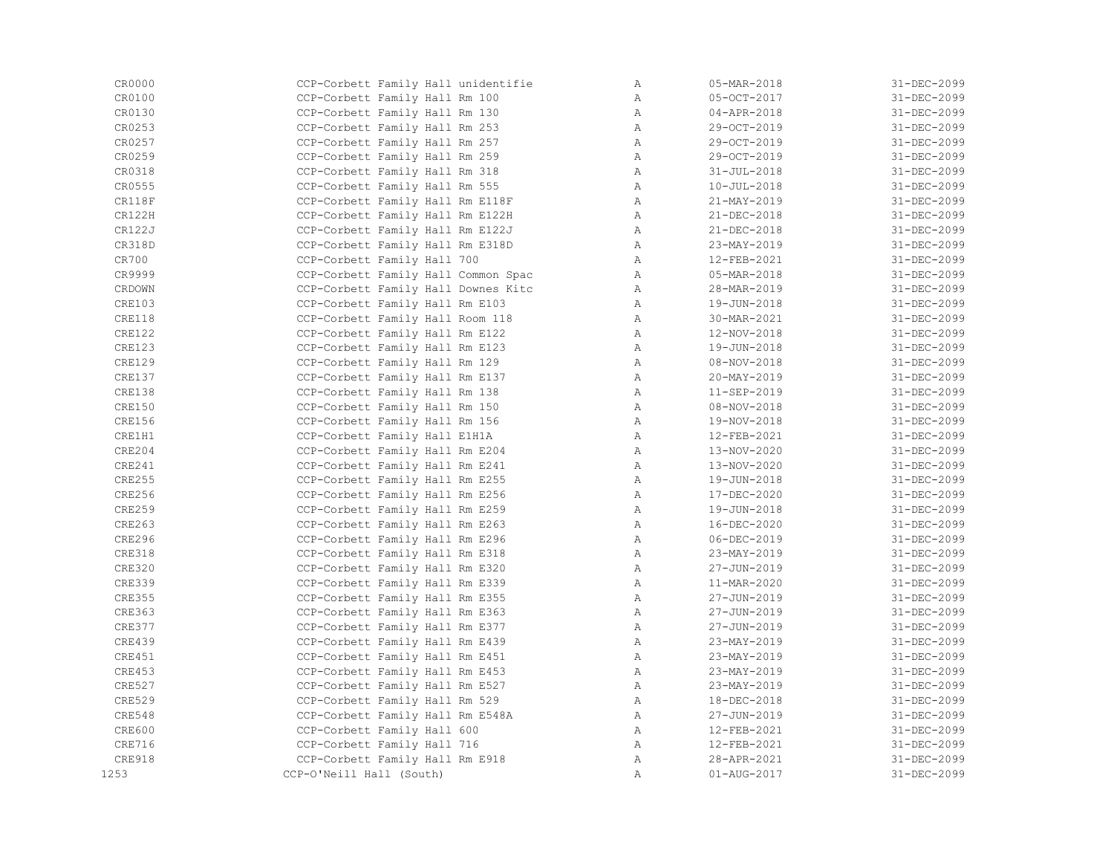| CR0000        | CCP-Corbett Family Hall unidentifie | Α            | 05-MAR-2018       | 31-DEC-2099       |
|---------------|-------------------------------------|--------------|-------------------|-------------------|
| CR0100        | CCP-Corbett Family Hall Rm 100      | $\mathbb{A}$ | 05-OCT-2017       | 31-DEC-2099       |
| CR0130        | CCP-Corbett Family Hall Rm 130      | $\mathbb{A}$ | 04-APR-2018       | 31-DEC-2099       |
| CR0253        | CCP-Corbett Family Hall Rm 253      | $\mathbb{A}$ | 29-OCT-2019       | 31-DEC-2099       |
| CR0257        | CCP-Corbett Family Hall Rm 257      | A            | 29-OCT-2019       | 31-DEC-2099       |
| CR0259        | CCP-Corbett Family Hall Rm 259      | $\mathbb{A}$ | 29-OCT-2019       | 31-DEC-2099       |
| CR0318        | CCP-Corbett Family Hall Rm 318      | $\mathbb{A}$ | $31 - JUL - 2018$ | 31-DEC-2099       |
| CR0555        | CCP-Corbett Family Hall Rm 555      | A            | $10 - JUL - 2018$ | 31-DEC-2099       |
| CR118F        | CCP-Corbett Family Hall Rm E118F    | A            | 21-MAY-2019       | 31-DEC-2099       |
| CR122H        | CCP-Corbett Family Hall Rm E122H    | A            | 21-DEC-2018       | 31-DEC-2099       |
| CR122J        | CCP-Corbett Family Hall Rm E122J    | $\mathbb{A}$ | 21-DEC-2018       | 31-DEC-2099       |
| CR318D        | CCP-Corbett Family Hall Rm E318D    | A            | 23-MAY-2019       | 31-DEC-2099       |
| CR700         | CCP-Corbett Family Hall 700         | $\mathbb{A}$ | 12-FEB-2021       | 31-DEC-2099       |
| CR9999        | CCP-Corbett Family Hall Common Spac | A            | 05-MAR-2018       | 31-DEC-2099       |
| CRDOWN        | CCP-Corbett Family Hall Downes Kitc | $\mathbb{A}$ | 28-MAR-2019       | 31-DEC-2099       |
| CRE103        | CCP-Corbett Family Hall Rm E103     | A            | 19-JUN-2018       | 31-DEC-2099       |
| CRE118        | CCP-Corbett Family Hall Room 118    | A            | 30-MAR-2021       | 31-DEC-2099       |
| CRE122        | CCP-Corbett Family Hall Rm E122     | A            | 12-NOV-2018       | 31-DEC-2099       |
| CRE123        | CCP-Corbett Family Hall Rm E123     | A            | 19-JUN-2018       | 31-DEC-2099       |
| <b>CRE129</b> | CCP-Corbett Family Hall Rm 129      | A            | $08 - NOV - 2018$ | 31-DEC-2099       |
| CRE137        | CCP-Corbett Family Hall Rm E137     | A            | 20-MAY-2019       | 31-DEC-2099       |
| CRE138        | CCP-Corbett Family Hall Rm 138      | $\mathbb{A}$ | 11-SEP-2019       | $31 - DEC - 2099$ |
| CRE150        | CCP-Corbett Family Hall Rm 150      | A            | $08 - NOV - 2018$ | 31-DEC-2099       |
| <b>CRE156</b> | CCP-Corbett Family Hall Rm 156      | $\mathbb{A}$ | 19-NOV-2018       | 31-DEC-2099       |
| CRE1H1        | CCP-Corbett Family Hall E1H1A       | A            | 12-FEB-2021       | 31-DEC-2099       |
| <b>CRE204</b> | CCP-Corbett Family Hall Rm E204     | A            | 13-NOV-2020       | 31-DEC-2099       |
| CRE241        | CCP-Corbett Family Hall Rm E241     | A            | 13-NOV-2020       | 31-DEC-2099       |
| <b>CRE255</b> | CCP-Corbett Family Hall Rm E255     | A            | 19-JUN-2018       | 31-DEC-2099       |
| <b>CRE256</b> | CCP-Corbett Family Hall Rm E256     | A            | 17-DEC-2020       | 31-DEC-2099       |
| CRE259        | CCP-Corbett Family Hall Rm E259     | A            | 19-JUN-2018       | 31-DEC-2099       |
| CRE263        | CCP-Corbett Family Hall Rm E263     | A            | 16-DEC-2020       | 31-DEC-2099       |
| CRE296        | CCP-Corbett Family Hall Rm E296     | A            | $06 - DEC - 2019$ | 31-DEC-2099       |
| CRE318        | CCP-Corbett Family Hall Rm E318     | $\mathbb{A}$ | 23-MAY-2019       | 31-DEC-2099       |
| <b>CRE320</b> | CCP-Corbett Family Hall Rm E320     | A            | 27-JUN-2019       | 31-DEC-2099       |
| <b>CRE339</b> | CCP-Corbett Family Hall Rm E339     | $\mathbb{A}$ | 11-MAR-2020       | 31-DEC-2099       |
| <b>CRE355</b> | CCP-Corbett Family Hall Rm E355     | A            | 27-JUN-2019       | 31-DEC-2099       |
| <b>CRE363</b> | CCP-Corbett Family Hall Rm E363     | A            | 27-JUN-2019       | 31-DEC-2099       |
| <b>CRE377</b> | CCP-Corbett Family Hall Rm E377     | $\mathbb{A}$ | 27-JUN-2019       | 31-DEC-2099       |
| CRE439        | CCP-Corbett Family Hall Rm E439     | A            | 23-MAY-2019       | 31-DEC-2099       |
| CRE451        | CCP-Corbett Family Hall Rm E451     | $\mathbb{A}$ | 23-MAY-2019       | 31-DEC-2099       |
| <b>CRE453</b> | CCP-Corbett Family Hall Rm E453     | $\mathbb{A}$ | 23-MAY-2019       | 31-DEC-2099       |
| <b>CRE527</b> | CCP-Corbett Family Hall Rm E527     | $\mathbb{A}$ | 23-MAY-2019       | 31-DEC-2099       |
| <b>CRE529</b> | CCP-Corbett Family Hall Rm 529      | A            | 18-DEC-2018       | 31-DEC-2099       |
| CRE548        | CCP-Corbett Family Hall Rm E548A    | A            | 27-JUN-2019       | 31-DEC-2099       |
| <b>CRE600</b> | CCP-Corbett Family Hall 600         | A            | 12-FEB-2021       | 31-DEC-2099       |
| CRE716        | CCP-Corbett Family Hall 716         | $\mathbb{A}$ | 12-FEB-2021       | 31-DEC-2099       |
| <b>CRE918</b> | CCP-Corbett Family Hall Rm E918     | A            | 28-APR-2021       | 31-DEC-2099       |
| 1253          | CCP-O'Neill Hall (South)            | Α            | $01 - AUG - 2017$ | 31-DEC-2099       |
|               |                                     |              |                   |                   |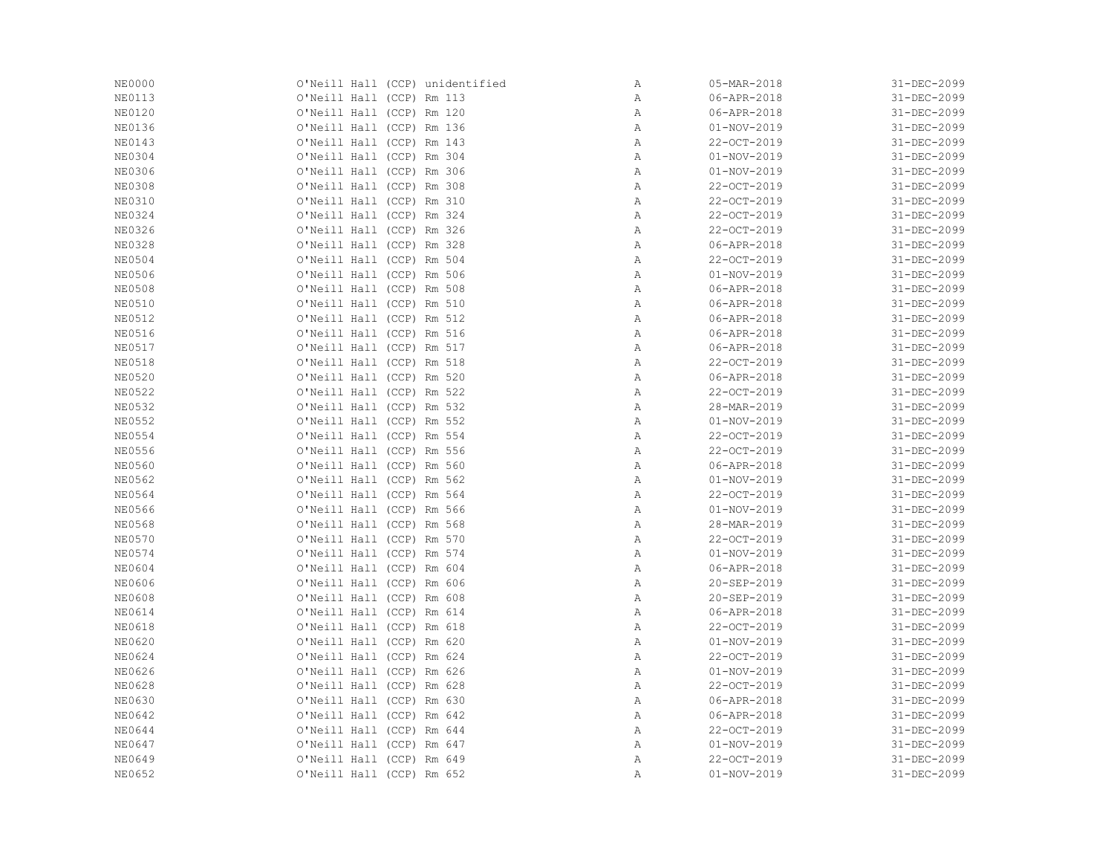| <b>NE0000</b> | O'Neill Hall (CCP) unidentified | Α            | 05-MAR-2018       | 31-DEC-2099 |
|---------------|---------------------------------|--------------|-------------------|-------------|
| <b>NE0113</b> | O'Neill Hall (CCP) Rm 113       | Α            | 06-APR-2018       | 31-DEC-2099 |
| <b>NE0120</b> | O'Neill Hall (CCP) Rm 120       | Α            | 06-APR-2018       | 31-DEC-2099 |
| <b>NE0136</b> | O'Neill Hall (CCP) Rm 136       | Α            | $01 - NOV - 2019$ | 31-DEC-2099 |
| <b>NE0143</b> | O'Neill Hall (CCP) Rm 143       | Α            | 22-OCT-2019       | 31-DEC-2099 |
| <b>NE0304</b> | O'Neill Hall (CCP) Rm 304       | $\mathbb{A}$ | $01 - NOV - 2019$ | 31-DEC-2099 |
| <b>NE0306</b> | O'Neill Hall (CCP) Rm 306       | $\mathbb{A}$ | $01 - NOV - 2019$ | 31-DEC-2099 |
| <b>NE0308</b> | O'Neill Hall (CCP) Rm 308       | Α            | 22-OCT-2019       | 31-DEC-2099 |
| <b>NE0310</b> | O'Neill Hall (CCP) Rm 310       | Α            | 22-OCT-2019       | 31-DEC-2099 |
| <b>NE0324</b> | O'Neill Hall (CCP) Rm 324       | Α            | 22-OCT-2019       | 31-DEC-2099 |
| <b>NE0326</b> | O'Neill Hall (CCP) Rm 326       | Α            | 22-OCT-2019       | 31-DEC-2099 |
| <b>NE0328</b> | O'Neill Hall (CCP) Rm 328       | Α            | 06-APR-2018       | 31-DEC-2099 |
| <b>NE0504</b> | O'Neill Hall (CCP) Rm 504       | Α            | 22-OCT-2019       | 31-DEC-2099 |
| <b>NE0506</b> | O'Neill Hall (CCP) Rm 506       | $\, {\bf A}$ | $01 - NOV - 2019$ | 31-DEC-2099 |
| <b>NE0508</b> | O'Neill Hall (CCP) Rm 508       | Α            | 06-APR-2018       | 31-DEC-2099 |
| <b>NE0510</b> | O'Neill Hall (CCP) Rm 510       | Α            | 06-APR-2018       | 31-DEC-2099 |
| <b>NE0512</b> | O'Neill Hall (CCP) Rm 512       | Α            | 06-APR-2018       | 31-DEC-2099 |
| NE0516        | O'Neill Hall (CCP) Rm 516       | Α            | 06-APR-2018       | 31-DEC-2099 |
| <b>NE0517</b> | O'Neill Hall (CCP) Rm 517       | $\, {\bf A}$ | 06-APR-2018       | 31-DEC-2099 |
| <b>NE0518</b> | O'Neill Hall (CCP) Rm 518       | Α            | 22-OCT-2019       | 31-DEC-2099 |
| <b>NE0520</b> | O'Neill Hall (CCP) Rm 520       | Α            | 06-APR-2018       | 31-DEC-2099 |
| <b>NE0522</b> | O'Neill Hall (CCP) Rm 522       | Α            | 22-OCT-2019       | 31-DEC-2099 |
| <b>NE0532</b> | O'Neill Hall (CCP) Rm 532       | $\mathbb{A}$ | 28-MAR-2019       | 31-DEC-2099 |
| <b>NE0552</b> | O'Neill Hall (CCP) Rm 552       | Α            | $01 - NOV - 2019$ | 31-DEC-2099 |
| <b>NE0554</b> | O'Neill Hall (CCP) Rm 554       | Α            | 22-OCT-2019       | 31-DEC-2099 |
| <b>NE0556</b> | O'Neill Hall (CCP) Rm 556       | Α            | 22-OCT-2019       | 31-DEC-2099 |
| <b>NE0560</b> | O'Neill Hall (CCP) Rm 560       | Α            | 06-APR-2018       | 31-DEC-2099 |
| NE0562        | O'Neill Hall (CCP) Rm 562       | Α            | $01 - NOV - 2019$ | 31-DEC-2099 |
| <b>NE0564</b> | O'Neill Hall (CCP) Rm 564       | Α            | 22-OCT-2019       | 31-DEC-2099 |
| <b>NE0566</b> | O'Neill Hall (CCP) Rm 566       | Α            | 01-NOV-2019       | 31-DEC-2099 |
| <b>NE0568</b> | O'Neill Hall (CCP) Rm 568       | Α            | 28-MAR-2019       | 31-DEC-2099 |
| <b>NE0570</b> | O'Neill Hall (CCP) Rm 570       | Α            | 22-OCT-2019       | 31-DEC-2099 |
| NE0574        | O'Neill Hall (CCP) Rm 574       | Α            | $01 - NOV - 2019$ | 31-DEC-2099 |
| NE0604        | O'Neill Hall (CCP) Rm 604       | $\mathbb{A}$ | 06-APR-2018       | 31-DEC-2099 |
| <b>NE0606</b> | O'Neill Hall (CCP) Rm 606       | Α            | 20-SEP-2019       | 31-DEC-2099 |
| <b>NE0608</b> | O'Neill Hall (CCP) Rm 608       | Α            | 20-SEP-2019       | 31-DEC-2099 |
| NE0614        | O'Neill Hall (CCP) Rm 614       | Α            | 06-APR-2018       | 31-DEC-2099 |
| <b>NE0618</b> | O'Neill Hall (CCP) Rm 618       | Α            | 22-OCT-2019       | 31-DEC-2099 |
| NE0620        | O'Neill Hall (CCP) Rm 620       | Α            | $01 - NOV - 2019$ | 31-DEC-2099 |
| NE0624        | O'Neill Hall (CCP) Rm 624       | Α            | 22-OCT-2019       | 31-DEC-2099 |
| NE0626        | O'Neill Hall (CCP) Rm 626       | Α            | $01 - NOV - 2019$ | 31-DEC-2099 |
| <b>NE0628</b> | O'Neill Hall (CCP) Rm 628       | Α            | 22-OCT-2019       | 31-DEC-2099 |
| NE0630        | O'Neill Hall (CCP) Rm 630       | Α            | 06-APR-2018       | 31-DEC-2099 |
| NE0642        | O'Neill Hall (CCP) Rm 642       | Α            | 06-APR-2018       | 31-DEC-2099 |
| NE0644        | O'Neill Hall (CCP) Rm 644       | Α            | 22-OCT-2019       | 31-DEC-2099 |
| <b>NE0647</b> | O'Neill Hall (CCP) Rm 647       | Α            | $01 - NOV - 2019$ | 31-DEC-2099 |
| NE0649        | O'Neill Hall (CCP) Rm 649       | Α            | 22-OCT-2019       | 31-DEC-2099 |
| NE0652        | O'Neill Hall (CCP) Rm 652       | Α            | $01 - NOV - 2019$ | 31-DEC-2099 |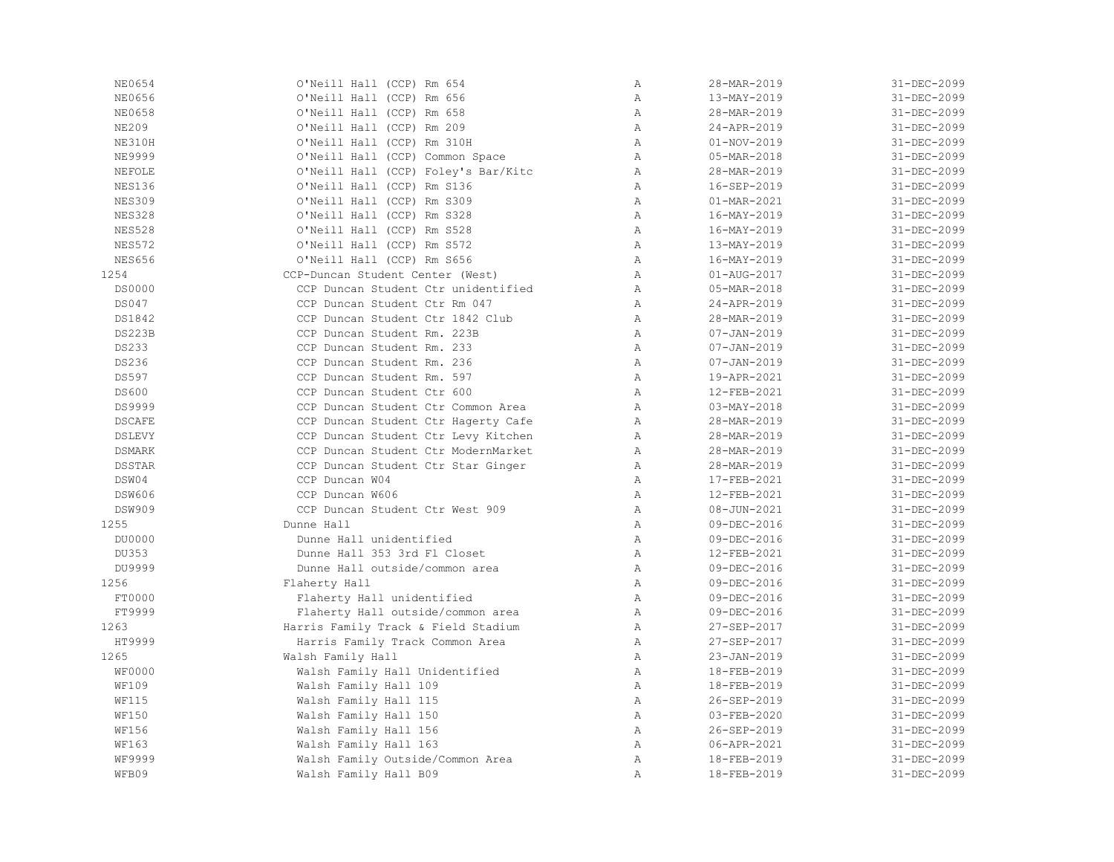| NE0654        | O'Neill Hall (CCP) Rm 654           | $\, {\bf A}$ | 28-MAR-2019              | 31-DEC-2099 |
|---------------|-------------------------------------|--------------|--------------------------|-------------|
| NE0656        | O'Neill Hall (CCP) Rm 656           | Α            | 13-MAY-2019              | 31-DEC-2099 |
| NE0658        | O'Neill Hall (CCP) Rm 658           | Α            | 28-MAR-2019              | 31-DEC-2099 |
| <b>NE209</b>  | O'Neill Hall (CCP) Rm 209           | $\lambda$    | 24-APR-2019              | 31-DEC-2099 |
| NE310H        | O'Neill Hall (CCP) Rm 310H          | $\lambda$    | $01 - NOV - 2019$        | 31-DEC-2099 |
| <b>NE9999</b> | O'Neill Hall (CCP) Common Space     | $\mathbb{A}$ | 05-MAR-2018              | 31-DEC-2099 |
| NEFOLE        | O'Neill Hall (CCP) Foley's Bar/Kitc | $\mathbb{A}$ | 28-MAR-2019              | 31-DEC-2099 |
| <b>NES136</b> | O'Neill Hall (CCP) Rm S136          | A            | 16-SEP-2019              | 31-DEC-2099 |
| <b>NES309</b> | O'Neill Hall (CCP) Rm S309          | A            | 01-MAR-2021              | 31-DEC-2099 |
| <b>NES328</b> | O'Neill Hall (CCP) Rm S328          | A            | 16-MAY-2019              | 31-DEC-2099 |
| <b>NES528</b> | O'Neill Hall (CCP) Rm S528          | A            | 16-MAY-2019              | 31-DEC-2099 |
| <b>NES572</b> | O'Neill Hall (CCP) Rm S572          | $\mathbb{A}$ | 13-MAY-2019              | 31-DEC-2099 |
| <b>NES656</b> | O'Neill Hall (CCP) Rm S656          | Α            | 16-MAY-2019              | 31-DEC-2099 |
| 1254          | CCP-Duncan Student Center (West)    | A            | $01 - AUG - 2017$        | 31-DEC-2099 |
| <b>DS0000</b> | CCP Duncan Student Ctr unidentified | A            | 05-MAR-2018              | 31-DEC-2099 |
| DS047         | CCP Duncan Student Ctr Rm 047       | A            | 24-APR-2019              | 31-DEC-2099 |
| DS1842        | CCP Duncan Student Ctr 1842 Club    | A            | 28-MAR-2019              | 31-DEC-2099 |
| <b>DS223B</b> | CCP Duncan Student Rm. 223B         | A            | $07 - JAN - 2019$        | 31-DEC-2099 |
| DS233         | CCP Duncan Student Rm. 233          | $\mathbb{A}$ | $07 - JAN - 2019$        | 31-DEC-2099 |
| DS236         | CCP Duncan Student Rm. 236          | A            | $07 - JAN - 2019$        | 31-DEC-2099 |
| DS597         | CCP Duncan Student Rm. 597          | A            | 19-APR-2021              | 31-DEC-2099 |
| <b>DS600</b>  | CCP Duncan Student Ctr 600          | A            | 12-FEB-2021              | 31-DEC-2099 |
| DS9999        | CCP Duncan Student Ctr Common Area  | A            | $03 - \text{MAX} - 2018$ | 31-DEC-2099 |
| <b>DSCAFE</b> | CCP Duncan Student Ctr Hagerty Cafe | $\mathbb{A}$ | 28-MAR-2019              | 31-DEC-2099 |
| DSLEVY        | CCP Duncan Student Ctr Levy Kitchen | A            | 28-MAR-2019              | 31-DEC-2099 |
| <b>DSMARK</b> | CCP Duncan Student Ctr ModernMarket | A            | 28-MAR-2019              | 31-DEC-2099 |
| <b>DSSTAR</b> | CCP Duncan Student Ctr Star Ginger  | A            | 28-MAR-2019              | 31-DEC-2099 |
| DSW04         | CCP Duncan W04                      | A            | 17-FEB-2021              | 31-DEC-2099 |
| <b>DSW606</b> | CCP Duncan W606                     | A            | 12-FEB-2021              | 31-DEC-2099 |
| <b>DSW909</b> | CCP Duncan Student Ctr West 909     | A            | $08 - JUN - 2021$        | 31-DEC-2099 |
| 1255          | Dunne Hall                          | Α            | 09-DEC-2016              | 31-DEC-2099 |
| DU0000        | Dunne Hall unidentified             | A            | 09-DEC-2016              | 31-DEC-2099 |
| DU353         | Dunne Hall 353 3rd Fl Closet        | A            | 12-FEB-2021              | 31-DEC-2099 |
| DU9999        | Dunne Hall outside/common area      | A            | 09-DEC-2016              | 31-DEC-2099 |
| 1256          | Flaherty Hall                       | $\mathbb{A}$ | 09-DEC-2016              | 31-DEC-2099 |
| FT0000        | Flaherty Hall unidentified          | A            | 09-DEC-2016              | 31-DEC-2099 |
| FT9999        | Flaherty Hall outside/common area   | A            | 09-DEC-2016              | 31-DEC-2099 |
| 1263          | Harris Family Track & Field Stadium | Α            | 27-SEP-2017              | 31-DEC-2099 |
| HT9999        | Harris Family Track Common Area     | A            | 27-SEP-2017              | 31-DEC-2099 |
| 1265          | Walsh Family Hall                   | Α            | 23-JAN-2019              | 31-DEC-2099 |
| <b>WF0000</b> | Walsh Family Hall Unidentified      | $\mathbb{A}$ | 18-FEB-2019              | 31-DEC-2099 |
| <b>WF109</b>  | Walsh Family Hall 109               | $\mathbb{A}$ | 18-FEB-2019              | 31-DEC-2099 |
| <b>WF115</b>  | Walsh Family Hall 115               | $\mathbb{A}$ | 26-SEP-2019              | 31-DEC-2099 |
| <b>WF150</b>  | Walsh Family Hall 150               | A            | 03-FEB-2020              | 31-DEC-2099 |
| <b>WF156</b>  | Walsh Family Hall 156               | A            | 26-SEP-2019              | 31-DEC-2099 |
| <b>WF163</b>  | Walsh Family Hall 163               | A            | 06-APR-2021              | 31-DEC-2099 |
| WF9999        | Walsh Family Outside/Common Area    | $\mathbb{A}$ | 18-FEB-2019              | 31-DEC-2099 |
| WFB09         | Walsh Family Hall B09               | $\mathbb{A}$ | 18-FEB-2019              | 31-DEC-2099 |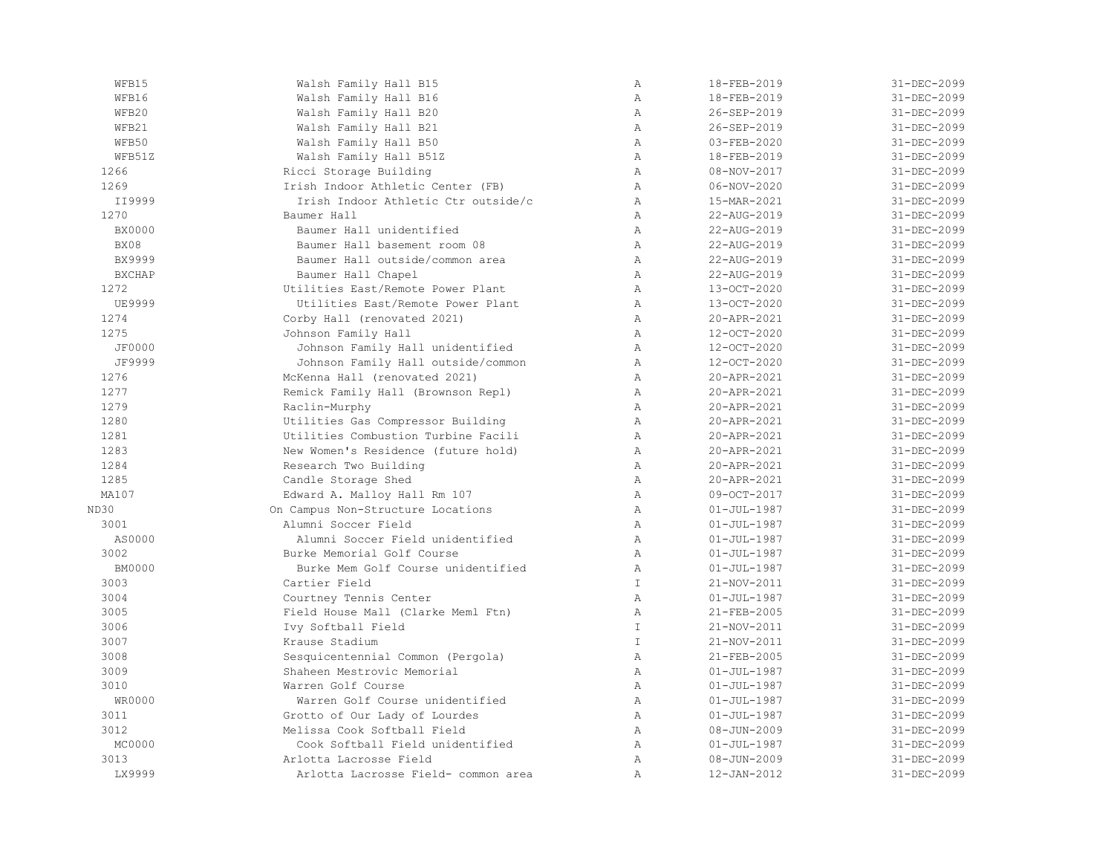| WFB15         | Walsh Family Hall B15               | $\mathbb{A}$   | 18-FEB-2019       | 31-DEC-2099       |
|---------------|-------------------------------------|----------------|-------------------|-------------------|
| WFB16         | Walsh Family Hall B16               | $\overline{A}$ | 18-FEB-2019       | 31-DEC-2099       |
| WFB20         | Walsh Family Hall B20               | $\mathbb{A}$   | 26-SEP-2019       | 31-DEC-2099       |
| WFB21         | Walsh Family Hall B21               | $\mathbb{A}$   | 26-SEP-2019       | 31-DEC-2099       |
| WFB50         | Walsh Family Hall B50               | $\mathbb{A}$   | $03 - FEB - 2020$ | 31-DEC-2099       |
| WFB51Z        | Walsh Family Hall B51Z              | $\mathbb{A}$   | 18-FEB-2019       | 31-DEC-2099       |
| 1266          | Ricci Storage Building              | A              | 08-NOV-2017       | 31-DEC-2099       |
| 1269          | Irish Indoor Athletic Center (FB)   | Α              | $06 - NOV - 2020$ | 31-DEC-2099       |
| II9999        | Irish Indoor Athletic Ctr outside/c | $\mathbb{A}$   | 15-MAR-2021       | 31-DEC-2099       |
| 1270          | Baumer Hall                         | $\mathbb{A}$   | 22-AUG-2019       | 31-DEC-2099       |
| <b>BX0000</b> | Baumer Hall unidentified            | A              | 22-AUG-2019       | 31-DEC-2099       |
| BX08          | Baumer Hall basement room 08        | $\mathbb{A}$   | 22-AUG-2019       | 31-DEC-2099       |
| <b>BX9999</b> | Baumer Hall outside/common area     | A              | 22-AUG-2019       | 31-DEC-2099       |
| <b>BXCHAP</b> | Baumer Hall Chapel                  | A              | 22-AUG-2019       | 31-DEC-2099       |
| 1272          | Utilities East/Remote Power Plant   | Α              | 13-OCT-2020       | 31-DEC-2099       |
| <b>UE9999</b> | Utilities East/Remote Power Plant   | $\mathbb{A}$   | 13-OCT-2020       | 31-DEC-2099       |
| 1274          | Corby Hall (renovated 2021)         | $\mathbb{A}$   | 20-APR-2021       | 31-DEC-2099       |
| 1275          | Johnson Family Hall                 | $\lambda$      | 12-OCT-2020       | 31-DEC-2099       |
| <b>JF0000</b> | Johnson Family Hall unidentified    | A              | 12-OCT-2020       | 31-DEC-2099       |
| JF9999        | Johnson Family Hall outside/common  | Α              | 12-OCT-2020       | 31-DEC-2099       |
| 1276          | McKenna Hall (renovated 2021)       | A              | 20-APR-2021       | 31-DEC-2099       |
| 1277          | Remick Family Hall (Brownson Repl)  | $\lambda$      | 20-APR-2021       | 31-DEC-2099       |
| 1279          | Raclin-Murphy                       | $\lambda$      | 20-APR-2021       | 31-DEC-2099       |
| 1280          | Utilities Gas Compressor Building   | $\mathbb{A}$   | 20-APR-2021       | 31-DEC-2099       |
| 1281          | Utilities Combustion Turbine Facili | A              | 20-APR-2021       | 31-DEC-2099       |
| 1283          | New Women's Residence (future hold) | $\mathbb{A}$   | 20-APR-2021       | 31-DEC-2099       |
| 1284          | Research Two Building               | A              | 20-APR-2021       | 31-DEC-2099       |
| 1285          | Candle Storage Shed                 | A              | 20-APR-2021       | 31-DEC-2099       |
| MA107         | Edward A. Malloy Hall Rm 107        | $\mathbb{A}$   | 09-OCT-2017       | 31-DEC-2099       |
| ND30          | On Campus Non-Structure Locations   | A              | $01 - JUL - 1987$ | 31-DEC-2099       |
| 3001          | Alumni Soccer Field                 | $\mathbb{A}$   | $01 - JUL - 1987$ | 31-DEC-2099       |
| AS0000        | Alumni Soccer Field unidentified    | A              | $01 - JUL - 1987$ | 31-DEC-2099       |
| 3002          | Burke Memorial Golf Course          | $\mathbb{A}$   | $01 - JUL - 1987$ | 31-DEC-2099       |
| <b>BM0000</b> | Burke Mem Golf Course unidentified  | $\mathbb{A}$   | $01 - JUL - 1987$ | 31-DEC-2099       |
| 3003          | Cartier Field                       | $\mathbb{I}$   | 21-NOV-2011       | 31-DEC-2099       |
| 3004          | Courtney Tennis Center              | $\mathbb{A}$   | $01 - JUL - 1987$ | 31-DEC-2099       |
| 3005          | Field House Mall (Clarke Meml Ftn)  | $\mathbb{A}$   | 21-FEB-2005       | 31-DEC-2099       |
| 3006          | Ivy Softball Field                  | $\mathbbm{I}$  | 21-NOV-2011       | 31-DEC-2099       |
| 3007          | Krause Stadium                      | T              | 21-NOV-2011       | 31-DEC-2099       |
| 3008          | Sesquicentennial Common (Pergola)   | A              | 21-FEB-2005       | 31-DEC-2099       |
| 3009          | Shaheen Mestrovic Memorial          | $\mathbb{A}$   | $01 - JUL - 1987$ | 31-DEC-2099       |
| 3010          | Warren Golf Course                  | Α              | $01 - JUL - 1987$ | 31-DEC-2099       |
| WR0000        | Warren Golf Course unidentified     | $\mathbb{A}$   | $01 - JUL - 1987$ | 31-DEC-2099       |
| 3011          | Grotto of Our Lady of Lourdes       | $\mathbb{A}$   | $01 - JUL - 1987$ | 31-DEC-2099       |
| 3012          | Melissa Cook Softball Field         | $\mathbb{A}$   | $08 - JUN - 2009$ | $31 - DEC - 2099$ |
| MC0000        | Cook Softball Field unidentified    | $\lambda$      | $01 - JUL - 1987$ | 31-DEC-2099       |
| 3013          | Arlotta Lacrosse Field              | $\mathbb{A}$   | $08 - JUN - 2009$ | 31-DEC-2099       |
| LX9999        | Arlotta Lacrosse Field- common area | $\mathbb{A}$   | 12-JAN-2012       | 31-DEC-2099       |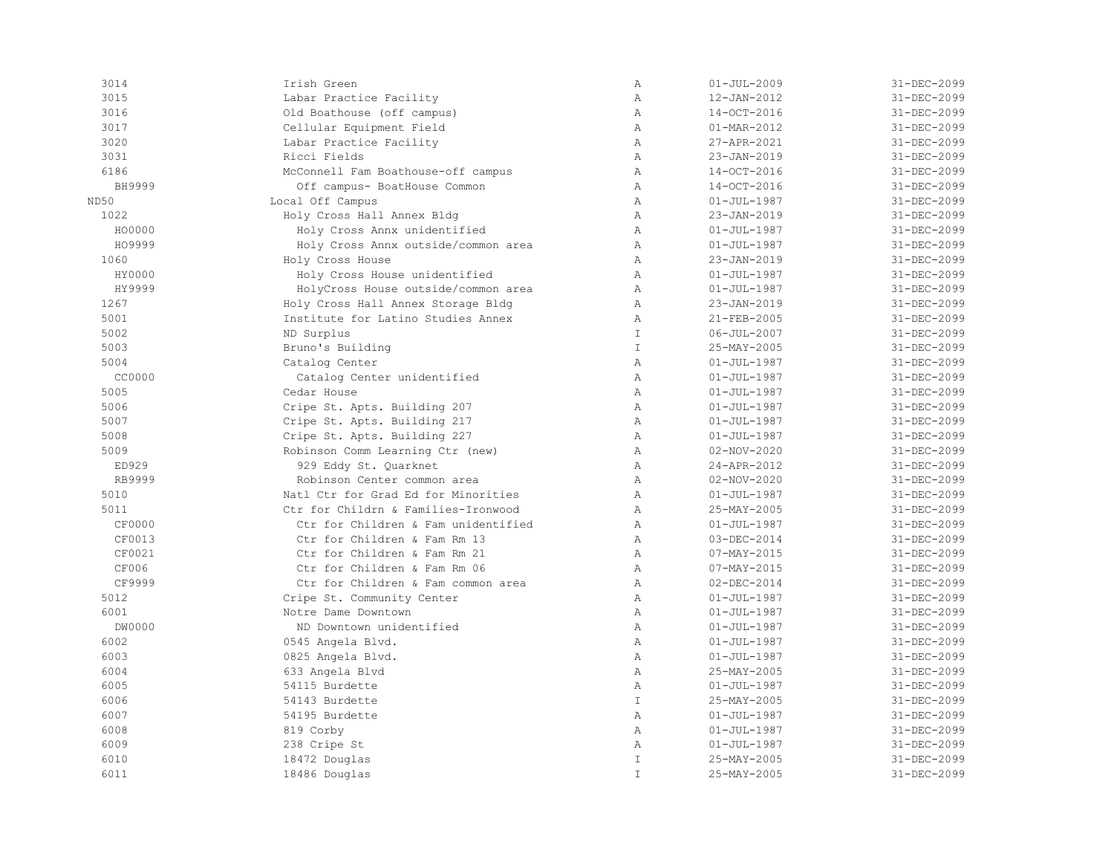| 3014   | Irish Green                         | Α             | $01 - JUL - 2009$ | 31-DEC-2099 |
|--------|-------------------------------------|---------------|-------------------|-------------|
| 3015   | Labar Practice Facility             | $\mathbb{A}$  | 12-JAN-2012       | 31-DEC-2099 |
| 3016   | Old Boathouse (off campus)          | Α             | 14-OCT-2016       | 31-DEC-2099 |
| 3017   | Cellular Equipment Field            | Α             | 01-MAR-2012       | 31-DEC-2099 |
| 3020   | Labar Practice Facility             | $\mathbb{A}$  | 27-APR-2021       | 31-DEC-2099 |
| 3031   | Ricci Fields                        | $\mathbb{A}$  | 23-JAN-2019       | 31-DEC-2099 |
| 6186   | McConnell Fam Boathouse-off campus  | $\mathbb{A}$  | 14-OCT-2016       | 31-DEC-2099 |
| BH9999 | Off campus- BoatHouse Common        | $\mathbb{A}$  | 14-OCT-2016       | 31-DEC-2099 |
| ND50   | Local Off Campus                    | $\mathbb{A}$  | $01 - JUL - 1987$ | 31-DEC-2099 |
| 1022   | Holy Cross Hall Annex Bldg          | $\mathbb{A}$  | 23-JAN-2019       | 31-DEC-2099 |
| HO0000 | Holy Cross Annx unidentified        | Α             | $01 - JUL - 1987$ | 31-DEC-2099 |
| HO9999 | Holy Cross Annx outside/common area | $\mathbb{A}$  | $01 - JUL - 1987$ | 31-DEC-2099 |
| 1060   | Holy Cross House                    | $\lambda$     | 23-JAN-2019       | 31-DEC-2099 |
| HY0000 | Holy Cross House unidentified       | $\mathbb{A}$  | $01 - JUL - 1987$ | 31-DEC-2099 |
| HY9999 | HolyCross House outside/common area | $\mathbb{A}$  | $01 - JUL - 1987$ | 31-DEC-2099 |
| 1267   | Holy Cross Hall Annex Storage Bldg  | $\mathbb{A}$  | 23-JAN-2019       | 31-DEC-2099 |
| 5001   | Institute for Latino Studies Annex  | $\mathbb{A}$  | 21-FEB-2005       | 31-DEC-2099 |
| 5002   | ND Surplus                          | $\mathbb T$   | $06 - JUL - 2007$ | 31-DEC-2099 |
| 5003   | Bruno's Building                    | $\mathbb T$   | 25-MAY-2005       | 31-DEC-2099 |
| 5004   | Catalog Center                      | $\mathbb{A}$  | $01 - JUL - 1987$ | 31-DEC-2099 |
| CC0000 | Catalog Center unidentified         | Α             | $01 - JUL - 1987$ | 31-DEC-2099 |
| 5005   | Cedar House                         | Α             | $01 - JUL - 1987$ | 31-DEC-2099 |
| 5006   | Cripe St. Apts. Building 207        | $\mathbb{A}$  | $01 - JUL - 1987$ | 31-DEC-2099 |
| 5007   | Cripe St. Apts. Building 217        | $\mathbb{A}$  | $01 - JUL - 1987$ | 31-DEC-2099 |
| 5008   | Cripe St. Apts. Building 227        | $\mathbb{A}$  | $01 - JUL - 1987$ | 31-DEC-2099 |
| 5009   | Robinson Comm Learning Ctr (new)    | $\mathbb{A}$  | $02 - NOV - 2020$ | 31-DEC-2099 |
| ED929  | 929 Eddy St. Quarknet               | $\mathbb{A}$  | 24-APR-2012       | 31-DEC-2099 |
| RB9999 | Robinson Center common area         | $\mathbb{A}$  | $02 - NOV - 2020$ | 31-DEC-2099 |
| 5010   | Natl Ctr for Grad Ed for Minorities | $\mathbb{A}$  | $01 - JUL - 1987$ | 31-DEC-2099 |
| 5011   | Ctr for Childrn & Families-Ironwood | $\mathbb{A}$  | 25-MAY-2005       | 31-DEC-2099 |
| CF0000 | Ctr for Children & Fam unidentified | Α             | $01 - JUL - 1987$ | 31-DEC-2099 |
| CF0013 | Ctr for Children & Fam Rm 13        | Α             | 03-DEC-2014       | 31-DEC-2099 |
| CF0021 | Ctr for Children & Fam Rm 21        | $\mathbb{A}$  | $07 - MAX - 2015$ | 31-DEC-2099 |
| CF006  | Ctr for Children & Fam Rm 06        | $\mathbb{A}$  | $07 - MAX - 2015$ | 31-DEC-2099 |
| CF9999 | Ctr for Children & Fam common area  | Α             | $02 - DEC - 2014$ | 31-DEC-2099 |
| 5012   | Cripe St. Community Center          | $\mathbb{A}$  | $01 - JUL - 1987$ | 31-DEC-2099 |
| 6001   | Notre Dame Downtown                 | $\mathbb{A}$  | $01 - JUL - 1987$ | 31-DEC-2099 |
| DW0000 | ND Downtown unidentified            | Α             | $01 - JUL - 1987$ | 31-DEC-2099 |
| 6002   | 0545 Angela Blvd.                   | $\mathbb{A}$  | $01 - JUL - 1987$ | 31-DEC-2099 |
| 6003   | 0825 Angela Blvd.                   | Α             | $01 - JUL - 1987$ | 31-DEC-2099 |
| 6004   | 633 Angela Blvd                     | $\lambda$     | 25-MAY-2005       | 31-DEC-2099 |
| 6005   | 54115 Burdette                      | $\mathbb{A}$  | $01 - JUL - 1987$ | 31-DEC-2099 |
| 6006   | 54143 Burdette                      | $\mathbb{I}$  | 25-MAY-2005       | 31-DEC-2099 |
| 6007   | 54195 Burdette                      | $\mathbb{A}$  | $01 - JUL - 1987$ | 31-DEC-2099 |
| 6008   | 819 Corby                           | $\mathbb{A}$  | $01 - JUL - 1987$ | 31-DEC-2099 |
| 6009   | 238 Cripe St                        | $\mathbb{A}$  | $01 - JUL - 1987$ | 31-DEC-2099 |
| 6010   | 18472 Douglas                       | $\mathbbm{I}$ | 25-MAY-2005       | 31-DEC-2099 |
| 6011   | 18486 Douglas                       | $\mathbbm{I}$ | 25-MAY-2005       | 31-DEC-2099 |
|        |                                     |               |                   |             |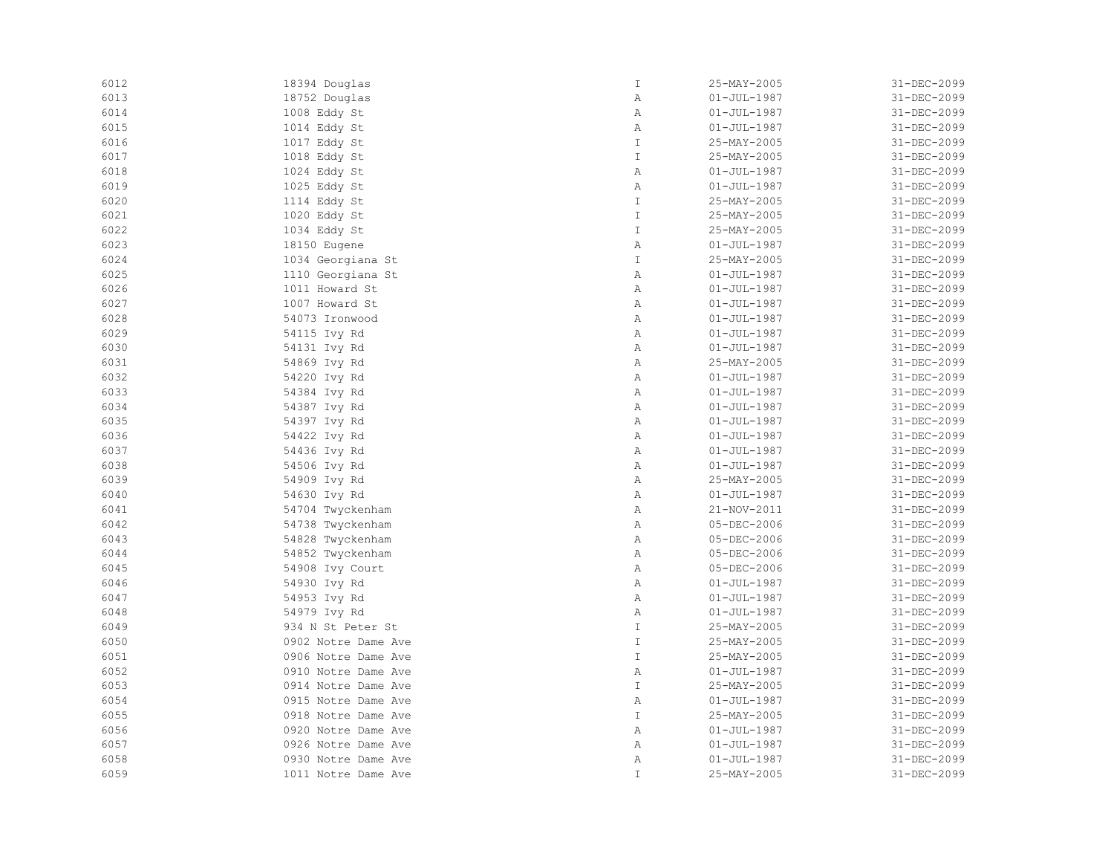| 6012 | 18394 Douglas       | $\mathbbm{I}$ | 25-MAY-2005       | 31-DEC-2099 |
|------|---------------------|---------------|-------------------|-------------|
| 6013 | 18752 Douglas       | Α             | $01 - JUL - 1987$ | 31-DEC-2099 |
| 6014 | 1008 Eddy St        | Α             | $01 - JUL - 1987$ | 31-DEC-2099 |
| 6015 | 1014 Eddy St        | Α             | $01 - JUL - 1987$ | 31-DEC-2099 |
| 6016 | 1017 Eddy St        | $\mathbb{I}$  | 25-MAY-2005       | 31-DEC-2099 |
| 6017 | 1018 Eddy St        | $\mathbbm{I}$ | 25-MAY-2005       | 31-DEC-2099 |
| 6018 | 1024 Eddy St        | $\, {\bf A}$  | $01 - JUL - 1987$ | 31-DEC-2099 |
| 6019 | 1025 Eddy St        | Α             | $01 - JUL - 1987$ | 31-DEC-2099 |
| 6020 | 1114 Eddy St        | $\mathbbm{I}$ | 25-MAY-2005       | 31-DEC-2099 |
| 6021 | 1020 Eddy St        | $\mathbbm{I}$ | 25-MAY-2005       | 31-DEC-2099 |
| 6022 | 1034 Eddy St        | $\mathbb{I}$  | 25-MAY-2005       | 31-DEC-2099 |
| 6023 | 18150 Eugene        | Α             | $01 - JUL - 1987$ | 31-DEC-2099 |
| 6024 | 1034 Georgiana St   | $\mathbbm{I}$ | 25-MAY-2005       | 31-DEC-2099 |
| 6025 | 1110 Georgiana St   | $\, {\bf A}$  | $01 - JUL - 1987$ | 31-DEC-2099 |
| 6026 | 1011 Howard St      | Α             | $01 - JUL - 1987$ | 31-DEC-2099 |
| 6027 | 1007 Howard St      | Α             | $01 - JUL - 1987$ | 31-DEC-2099 |
| 6028 | 54073 Ironwood      | Α             | $01 - JUL - 1987$ | 31-DEC-2099 |
| 6029 | 54115 Ivy Rd        | Α             | $01 - JUL - 1987$ | 31-DEC-2099 |
| 6030 | 54131 Ivy Rd        | Α             | $01 - JUL - 1987$ | 31-DEC-2099 |
| 6031 | 54869 Ivy Rd        | Α             | 25-MAY-2005       | 31-DEC-2099 |
| 6032 | 54220 Ivy Rd        | $\mathbb{A}$  | $01 - JUL - 1987$ | 31-DEC-2099 |
| 6033 | 54384 Ivy Rd        | Α             | $01 - JUL - 1987$ | 31-DEC-2099 |
| 6034 | 54387 Ivy Rd        | Α             | $01 - JUL - 1987$ | 31-DEC-2099 |
| 6035 | 54397 Ivy Rd        | Α             | $01 - JUL - 1987$ | 31-DEC-2099 |
| 6036 | 54422 Ivy Rd        | Α             | $01 - JUL - 1987$ | 31-DEC-2099 |
| 6037 | 54436 Ivy Rd        | Α             | $01 - JUL - 1987$ | 31-DEC-2099 |
| 6038 | 54506 Ivy Rd        | Α             | $01 - JUL - 1987$ | 31-DEC-2099 |
| 6039 | 54909 Ivy Rd        | Α             | 25-MAY-2005       | 31-DEC-2099 |
| 6040 | 54630 Ivy Rd        | Α             | $01 - JUL - 1987$ | 31-DEC-2099 |
| 6041 | 54704 Twyckenham    | $\mathbb{A}$  | 21-NOV-2011       | 31-DEC-2099 |
| 6042 | 54738 Twyckenham    | Α             | 05-DEC-2006       | 31-DEC-2099 |
| 6043 | 54828 Twyckenham    | Α             | 05-DEC-2006       | 31-DEC-2099 |
| 6044 | 54852 Twyckenham    | Α             | 05-DEC-2006       | 31-DEC-2099 |
| 6045 | 54908 Ivy Court     | Α             | 05-DEC-2006       | 31-DEC-2099 |
| 6046 | 54930 Ivy Rd        | Α             | $01 - JUL - 1987$ | 31-DEC-2099 |
| 6047 | 54953 Ivy Rd        | Α             | $01 - JUL - 1987$ | 31-DEC-2099 |
| 6048 | 54979 Ivy Rd        | Α             | $01 - JUL - 1987$ | 31-DEC-2099 |
| 6049 | 934 N St Peter St   | $\mathbbm{I}$ | 25-MAY-2005       | 31-DEC-2099 |
| 6050 | 0902 Notre Dame Ave | $\mathbbm{I}$ | 25-MAY-2005       | 31-DEC-2099 |
| 6051 | 0906 Notre Dame Ave | $\mathbbm{I}$ | 25-MAY-2005       | 31-DEC-2099 |
| 6052 | 0910 Notre Dame Ave | Α             | $01 - JUL - 1987$ | 31-DEC-2099 |
| 6053 | 0914 Notre Dame Ave | $\mathbb{I}$  | 25-MAY-2005       | 31-DEC-2099 |
| 6054 | 0915 Notre Dame Ave | Α             | $01 - JUL - 1987$ | 31-DEC-2099 |
| 6055 | 0918 Notre Dame Ave | $\mathbbm{I}$ | 25-MAY-2005       | 31-DEC-2099 |
| 6056 | 0920 Notre Dame Ave | Α             | $01 - JUL - 1987$ | 31-DEC-2099 |
| 6057 | 0926 Notre Dame Ave | $\mathbb{A}$  | $01 - JUL - 1987$ | 31-DEC-2099 |
| 6058 | 0930 Notre Dame Ave | Α             | $01 - JUL - 1987$ | 31-DEC-2099 |
| 6059 |                     | $\mathbbm{I}$ | 25-MAY-2005       | 31-DEC-2099 |
|      | 1011 Notre Dame Ave |               |                   |             |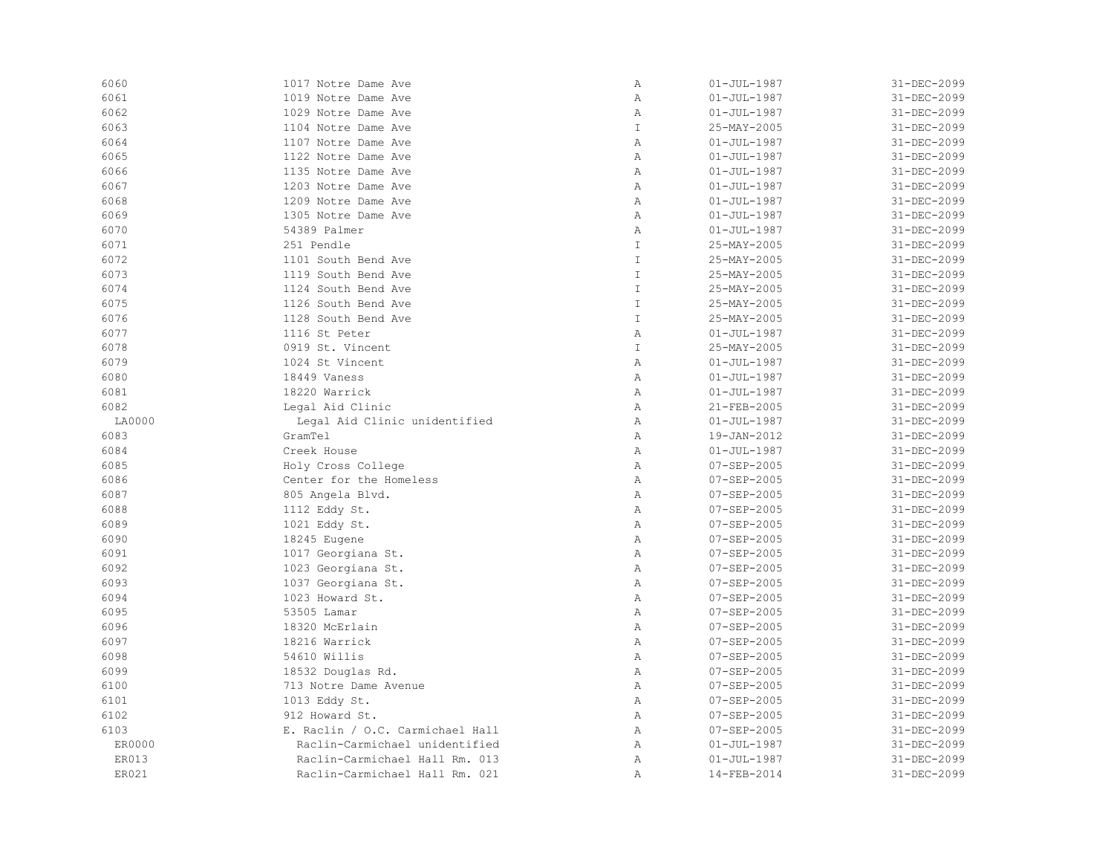| 6060   | 1017 Notre Dame Ave              | Α              | $01 - JUL - 1987$ | 31-DEC-2099 |
|--------|----------------------------------|----------------|-------------------|-------------|
| 6061   | 1019 Notre Dame Ave              | Α              | $01 - JUL - 1987$ | 31-DEC-2099 |
| 6062   | 1029 Notre Dame Ave              | Α              | $01 - JUL - 1987$ | 31-DEC-2099 |
| 6063   | 1104 Notre Dame Ave              | $\mathbbm{I}$  | 25-MAY-2005       | 31-DEC-2099 |
| 6064   | 1107 Notre Dame Ave              | $\mathbb{A}$   | $01 - JUL - 1987$ | 31-DEC-2099 |
| 6065   | 1122 Notre Dame Ave              | $\mathbb{A}$   | $01 - JUL - 1987$ | 31-DEC-2099 |
| 6066   | 1135 Notre Dame Ave              | $\mathbb{A}$   | $01 - JUL - 1987$ | 31-DEC-2099 |
| 6067   | 1203 Notre Dame Ave              | Α              | $01 - JUL - 1987$ | 31-DEC-2099 |
| 6068   | 1209 Notre Dame Ave              | Α              | $01 - JUL - 1987$ | 31-DEC-2099 |
| 6069   | 1305 Notre Dame Ave              | $\,$ A         | $01 - JUL - 1987$ | 31-DEC-2099 |
| 6070   | 54389 Palmer                     | $\overline{A}$ | $01 - JUL - 1987$ | 31-DEC-2099 |
| 6071   | 251 Pendle                       | $\mathbbm{I}$  | 25-MAY-2005       | 31-DEC-2099 |
| 6072   | 1101 South Bend Ave              | $\mathbb T$    | 25-MAY-2005       | 31-DEC-2099 |
| 6073   | 1119 South Bend Ave              | $\mathbb T$    | 25-MAY-2005       | 31-DEC-2099 |
| 6074   | 1124 South Bend Ave              | $\mathbbm{I}$  | 25-MAY-2005       | 31-DEC-2099 |
| 6075   | 1126 South Bend Ave              | $\mathbbm{I}$  | 25-MAY-2005       | 31-DEC-2099 |
| 6076   | 1128 South Bend Ave              | $\mathbbm{I}$  | 25-MAY-2005       | 31-DEC-2099 |
| 6077   | 1116 St Peter                    | $\, {\bf A}$   | $01 - JUL - 1987$ | 31-DEC-2099 |
| 6078   | 0919 St. Vincent                 | $\mathbf{I}$   | 25-MAY-2005       | 31-DEC-2099 |
| 6079   | 1024 St Vincent                  | $\mathbb{A}$   | $01 - JUL - 1987$ | 31-DEC-2099 |
| 6080   | 18449 Vaness                     | $\mathbb{A}$   | $01 - JUL - 1987$ | 31-DEC-2099 |
| 6081   | 18220 Warrick                    | $\mathbb{A}$   | $01 - JUL - 1987$ | 31-DEC-2099 |
| 6082   | Legal Aid Clinic                 | $\mathbb{A}$   | 21-FEB-2005       | 31-DEC-2099 |
| LA0000 | Legal Aid Clinic unidentified    | Α              | $01 - JUL - 1987$ | 31-DEC-2099 |
| 6083   | GramTel                          | Α              | 19-JAN-2012       | 31-DEC-2099 |
| 6084   | Creek House                      | Α              | $01 - JUL - 1987$ | 31-DEC-2099 |
| 6085   | Holy Cross College               | $\mathbb{A}$   | $07 - SEP - 2005$ | 31-DEC-2099 |
| 6086   | Center for the Homeless          | Α              | $07 - SEP - 2005$ | 31-DEC-2099 |
| 6087   | 805 Angela Blvd.                 | Α              | $07 - SEP - 2005$ | 31-DEC-2099 |
| 6088   | 1112 Eddy St.                    | Α              | $07 - SEP - 2005$ | 31-DEC-2099 |
| 6089   | 1021 Eddy St.                    | Α              | $07 - SEP - 2005$ | 31-DEC-2099 |
| 6090   | 18245 Eugene                     | Α              | $07 - SEP - 2005$ | 31-DEC-2099 |
| 6091   | 1017 Georgiana St.               | Α              | $07 - SEP - 2005$ | 31-DEC-2099 |
| 6092   | 1023 Georgiana St.               | $\mathbb{A}$   | $07 - SEP - 2005$ | 31-DEC-2099 |
| 6093   | 1037 Georgiana St.               | Α              | $07 - SEP - 2005$ | 31-DEC-2099 |
| 6094   | 1023 Howard St.                  | $\mathbb{A}$   | $07 - SEP - 2005$ | 31-DEC-2099 |
| 6095   | 53505 Lamar                      | Α              | 07-SEP-2005       | 31-DEC-2099 |
| 6096   | 18320 McErlain                   | Α              | $07 - SEP - 2005$ | 31-DEC-2099 |
| 6097   | 18216 Warrick                    | $\mathbb{A}$   | $07 - SEP - 2005$ | 31-DEC-2099 |
| 6098   | 54610 Willis                     | Α              | $07 - SEP - 2005$ | 31-DEC-2099 |
| 6099   | 18532 Douglas Rd.                | Α              | $07 - SEP - 2005$ | 31-DEC-2099 |
| 6100   | 713 Notre Dame Avenue            | Α              | $07 - SEP - 2005$ | 31-DEC-2099 |
| 6101   | 1013 Eddy St.                    | Α              | 07-SEP-2005       | 31-DEC-2099 |
| 6102   | 912 Howard St.                   | Α              | $07 - SEP - 2005$ | 31-DEC-2099 |
| 6103   | E. Raclin / O.C. Carmichael Hall | Α              | $07 - SEP - 2005$ | 31-DEC-2099 |
| ER0000 | Raclin-Carmichael unidentified   | Α              | $01 - JUL - 1987$ | 31-DEC-2099 |
| ER013  | Raclin-Carmichael Hall Rm. 013   | Α              | $01 - JUL - 1987$ | 31-DEC-2099 |
| ER021  | Raclin-Carmichael Hall Rm. 021   | Α              | 14-FEB-2014       | 31-DEC-2099 |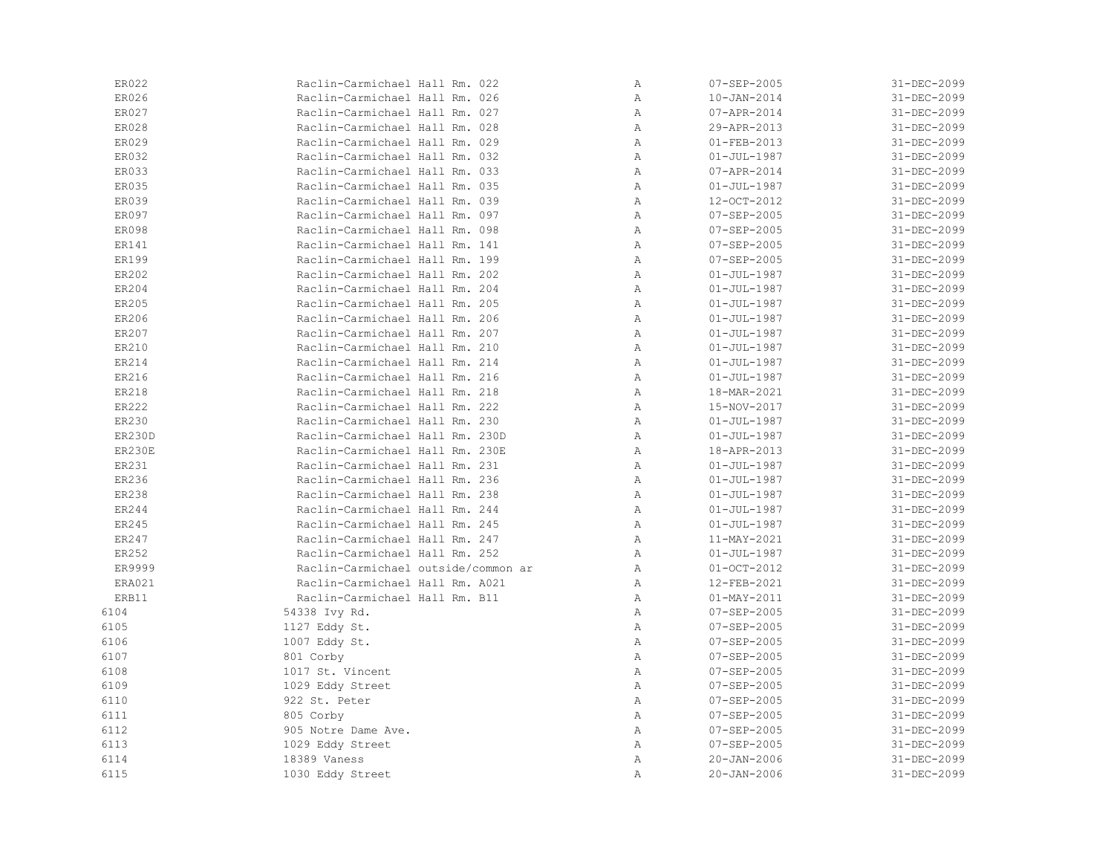| ER022         | Raclin-Carmichael Hall Rm. 022      | Α            | $07 - SEP - 2005$        | 31-DEC-2099 |
|---------------|-------------------------------------|--------------|--------------------------|-------------|
| ER026         | Raclin-Carmichael Hall Rm. 026      | Α            | $10 - JAN - 2014$        | 31-DEC-2099 |
| ER027         | Raclin-Carmichael Hall Rm. 027      | Α            | 07-APR-2014              | 31-DEC-2099 |
| ER028         | Raclin-Carmichael Hall Rm. 028      | Α            | 29-APR-2013              | 31-DEC-2099 |
| ER029         | Raclin-Carmichael Hall Rm. 029      | $\mathbb{A}$ | $01 - FEB - 2013$        | 31-DEC-2099 |
| ER032         | Raclin-Carmichael Hall Rm. 032      | Α            | $01 - JUL - 1987$        | 31-DEC-2099 |
| ER033         | Raclin-Carmichael Hall Rm. 033      | Α            | 07-APR-2014              | 31-DEC-2099 |
| ER035         | Raclin-Carmichael Hall Rm. 035      | Α            | $01 - JUL - 1987$        | 31-DEC-2099 |
| ER039         | Raclin-Carmichael Hall Rm. 039      | Α            | 12-OCT-2012              | 31-DEC-2099 |
| ER097         | Raclin-Carmichael Hall Rm. 097      | Α            | $07 - SEP - 2005$        | 31-DEC-2099 |
| <b>ER098</b>  | Raclin-Carmichael Hall Rm. 098      | Α            | $07 - SEP - 2005$        | 31-DEC-2099 |
| ER141         | Raclin-Carmichael Hall Rm. 141      | Α            | $07 - SEP - 2005$        | 31-DEC-2099 |
| ER199         | Raclin-Carmichael Hall Rm. 199      | Α            | 07-SEP-2005              | 31-DEC-2099 |
| ER202         | Raclin-Carmichael Hall Rm. 202      | $\mathbb{A}$ | $01 - JUL - 1987$        | 31-DEC-2099 |
| ER204         | Raclin-Carmichael Hall Rm. 204      | Α            | $01 - JUL - 1987$        | 31-DEC-2099 |
| ER205         | Raclin-Carmichael Hall Rm. 205      | Α            | $01 - JUL - 1987$        | 31-DEC-2099 |
| ER206         | Raclin-Carmichael Hall Rm. 206      | Α            | $01 - JUL - 1987$        | 31-DEC-2099 |
| ER207         | Raclin-Carmichael Hall Rm. 207      | Α            | $01 - JUL - 1987$        | 31-DEC-2099 |
| ER210         | Raclin-Carmichael Hall Rm. 210      | Α            | $01 - JUL - 1987$        | 31-DEC-2099 |
| ER214         | Raclin-Carmichael Hall Rm. 214      | Α            | $01 - JUL - 1987$        | 31-DEC-2099 |
| ER216         | Raclin-Carmichael Hall Rm. 216      | Α            | $01 - JUL - 1987$        | 31-DEC-2099 |
| ER218         | Raclin-Carmichael Hall Rm. 218      | Α            | 18-MAR-2021              | 31-DEC-2099 |
| ER222         | Raclin-Carmichael Hall Rm. 222      | Α            | 15-NOV-2017              | 31-DEC-2099 |
| ER230         | Raclin-Carmichael Hall Rm. 230      | Α            | $01 - JUL - 1987$        | 31-DEC-2099 |
| <b>ER230D</b> | Raclin-Carmichael Hall Rm. 230D     | Α            | $01 - JUL - 1987$        | 31-DEC-2099 |
| ER230E        | Raclin-Carmichael Hall Rm. 230E     | Α            | 18-APR-2013              | 31-DEC-2099 |
| ER231         | Raclin-Carmichael Hall Rm. 231      | Α            | $01 - JUL - 1987$        | 31-DEC-2099 |
| ER236         | Raclin-Carmichael Hall Rm. 236      | Α            | $01 - JUL - 1987$        | 31-DEC-2099 |
| ER238         | Raclin-Carmichael Hall Rm. 238      | Α            | $01 - JUL - 1987$        | 31-DEC-2099 |
| ER244         | Raclin-Carmichael Hall Rm. 244      | Α            | $01 - JUL - 1987$        | 31-DEC-2099 |
| ER245         | Raclin-Carmichael Hall Rm. 245      | Α            | $01 - JUL - 1987$        | 31-DEC-2099 |
| ER247         | Raclin-Carmichael Hall Rm. 247      | $\mathbb{A}$ | $11 - \text{MAX} - 2021$ | 31-DEC-2099 |
| ER252         | Raclin-Carmichael Hall Rm. 252      | Α            | $01 - JUL - 1987$        | 31-DEC-2099 |
| ER9999        | Raclin-Carmichael outside/common ar | Α            | $01-0CT-2012$            | 31-DEC-2099 |
| ERA021        | Raclin-Carmichael Hall Rm. A021     | Α            | 12-FEB-2021              | 31-DEC-2099 |
| ERB11         | Raclin-Carmichael Hall Rm. B11      | Α            | $01 - MAX - 2011$        | 31-DEC-2099 |
| 6104          | 54338 Ivy Rd.                       | Α            | $07 - SEP - 2005$        | 31-DEC-2099 |
| 6105          | 1127 Eddy St.                       | Α            | 07-SEP-2005              | 31-DEC-2099 |
| 6106          | 1007 Eddy St.                       | Α            | 07-SEP-2005              | 31-DEC-2099 |
| 6107          | 801 Corby                           | Α            | $07 - SEP - 2005$        | 31-DEC-2099 |
| 6108          | 1017 St. Vincent                    | Α            | $07 - SEP - 2005$        | 31-DEC-2099 |
| 6109          | 1029 Eddy Street                    | Α            | $07 - SEP - 2005$        | 31-DEC-2099 |
| 6110          | 922 St. Peter                       | Α            | 07-SEP-2005              | 31-DEC-2099 |
| 6111          | 805 Corby                           | Α            | $07 - SEP - 2005$        | 31-DEC-2099 |
| 6112          | 905 Notre Dame Ave.                 | Α            | $07 - SEP - 2005$        | 31-DEC-2099 |
| 6113          | 1029 Eddy Street                    | $\mathbb{A}$ | $07 - SEP - 2005$        | 31-DEC-2099 |
| 6114          | 18389 Vaness                        | Α            | $20 - JAN - 2006$        | 31-DEC-2099 |
| 6115          | 1030 Eddy Street                    | Α            | $20 - JAN - 2006$        | 31-DEC-2099 |
|               |                                     |              |                          |             |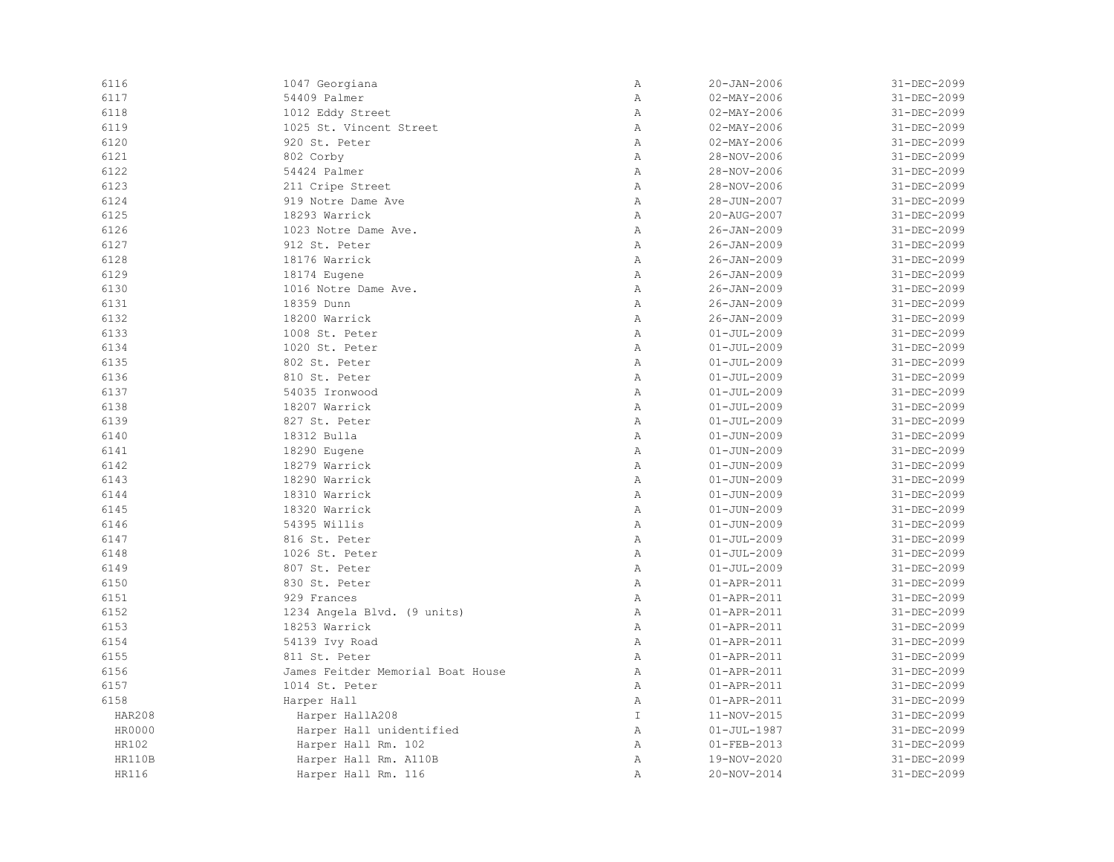| 6116          | 1047 Georgiana                    | Α             | $20 - JAN - 2006$ | 31-DEC-2099 |
|---------------|-----------------------------------|---------------|-------------------|-------------|
| 6117          | 54409 Palmer                      | Α             | $02 - MAX - 2006$ | 31-DEC-2099 |
| 6118          | 1012 Eddy Street                  | Α             | $02 - MAX - 2006$ | 31-DEC-2099 |
| 6119          | 1025 St. Vincent Street           | $\mathbb{A}$  | $02 - MAX - 2006$ | 31-DEC-2099 |
| 6120          | 920 St. Peter                     | $\mathbb{A}$  | $02 - MAX - 2006$ | 31-DEC-2099 |
| 6121          | 802 Corby                         | $\mathbb{A}$  | 28-NOV-2006       | 31-DEC-2099 |
| 6122          | 54424 Palmer                      | $\mathbb{A}$  | 28-NOV-2006       | 31-DEC-2099 |
| 6123          | 211 Cripe Street                  | Α             | 28-NOV-2006       | 31-DEC-2099 |
| 6124          | 919 Notre Dame Ave                | Α             | 28-JUN-2007       | 31-DEC-2099 |
| 6125          | 18293 Warrick                     | Α             | 20-AUG-2007       | 31-DEC-2099 |
| 6126          | 1023 Notre Dame Ave.              | Α             | $26 - JAN - 2009$ | 31-DEC-2099 |
| 6127          | 912 St. Peter                     | $\mathbb{A}$  | $26 - JAN - 2009$ | 31-DEC-2099 |
| 6128          | 18176 Warrick                     | $\mathbb{A}$  | $26 - JAN - 2009$ | 31-DEC-2099 |
| 6129          | 18174 Eugene                      | $\mathbb{A}$  | $26 - JAN - 2009$ | 31-DEC-2099 |
| 6130          | 1016 Notre Dame Ave.              | Α             | $26 - JAN - 2009$ | 31-DEC-2099 |
| 6131          | 18359 Dunn                        | Α             | $26 - JAN - 2009$ | 31-DEC-2099 |
| 6132          | 18200 Warrick                     | Α             | $26 - JAN - 2009$ | 31-DEC-2099 |
| 6133          | 1008 St. Peter                    | Α             | $01 - JUL - 2009$ | 31-DEC-2099 |
| 6134          | 1020 St. Peter                    | Α             | $01 - JUL - 2009$ | 31-DEC-2099 |
| 6135          | 802 St. Peter                     | Α             | $01 - JUL - 2009$ | 31-DEC-2099 |
| 6136          | 810 St. Peter                     | Α             | $01 - JUL - 2009$ | 31-DEC-2099 |
| 6137          | 54035 Ironwood                    | $\mathbb{A}$  | $01 - JUL - 2009$ | 31-DEC-2099 |
| 6138          | 18207 Warrick                     | $\mathbb{A}$  | $01 - JUL - 2009$ | 31-DEC-2099 |
| 6139          | 827 St. Peter                     | $\, {\bf A}$  | $01 - JUL - 2009$ | 31-DEC-2099 |
| 6140          | 18312 Bulla                       | Α             | $01 - JUN - 2009$ | 31-DEC-2099 |
| 6141          | 18290 Eugene                      | Α             | $01 - JUN - 2009$ | 31-DEC-2099 |
| 6142          | 18279 Warrick                     | $\mathbb{A}$  | $01 - JUN - 2009$ | 31-DEC-2099 |
| 6143          | 18290 Warrick                     | $\, {\bf A}$  | $01 - JUN - 2009$ | 31-DEC-2099 |
| 6144          | 18310 Warrick                     | Α             | $01 - JUN - 2009$ | 31-DEC-2099 |
| 6145          | 18320 Warrick                     | $\mathbb{A}$  | $01 - JUN - 2009$ | 31-DEC-2099 |
| 6146          | 54395 Willis                      | $\mathbb{A}$  | $01 - JUN - 2009$ | 31-DEC-2099 |
| 6147          | 816 St. Peter                     | $\mathbb{A}$  | $01 - JUL - 2009$ | 31-DEC-2099 |
| 6148          | 1026 St. Peter                    | Α             | $01 - JUL - 2009$ | 31-DEC-2099 |
| 6149          | 807 St. Peter                     | $\mathbb{A}$  | $01 - JUL - 2009$ | 31-DEC-2099 |
| 6150          | 830 St. Peter                     | Α             | 01-APR-2011       | 31-DEC-2099 |
| 6151          | 929 Frances                       | Α             | 01-APR-2011       | 31-DEC-2099 |
| 6152          | 1234 Angela Blvd. (9 units)       | Α             | 01-APR-2011       | 31-DEC-2099 |
| 6153          | 18253 Warrick                     | Α             | 01-APR-2011       | 31-DEC-2099 |
| 6154          | 54139 Ivy Road                    | Α             | 01-APR-2011       | 31-DEC-2099 |
| 6155          | 811 St. Peter                     | $\mathbb{A}$  | 01-APR-2011       | 31-DEC-2099 |
| 6156          | James Feitder Memorial Boat House | Α             | 01-APR-2011       | 31-DEC-2099 |
| 6157          | 1014 St. Peter                    | Α             | 01-APR-2011       | 31-DEC-2099 |
| 6158          | Harper Hall                       | Α             | 01-APR-2011       | 31-DEC-2099 |
| <b>HAR208</b> | Harper HallA208                   | $\mathbbm{I}$ | 11-NOV-2015       | 31-DEC-2099 |
| HR0000        | Harper Hall unidentified          | Α             | $01 - JUL - 1987$ | 31-DEC-2099 |
| HR102         | Harper Hall Rm. 102               | Α             | $01 - FEB - 2013$ | 31-DEC-2099 |
| <b>HR110B</b> | Harper Hall Rm. A110B             | Α             | 19-NOV-2020       | 31-DEC-2099 |
| HR116         | Harper Hall Rm. 116               | $\mathbb{A}$  | 20-NOV-2014       | 31-DEC-2099 |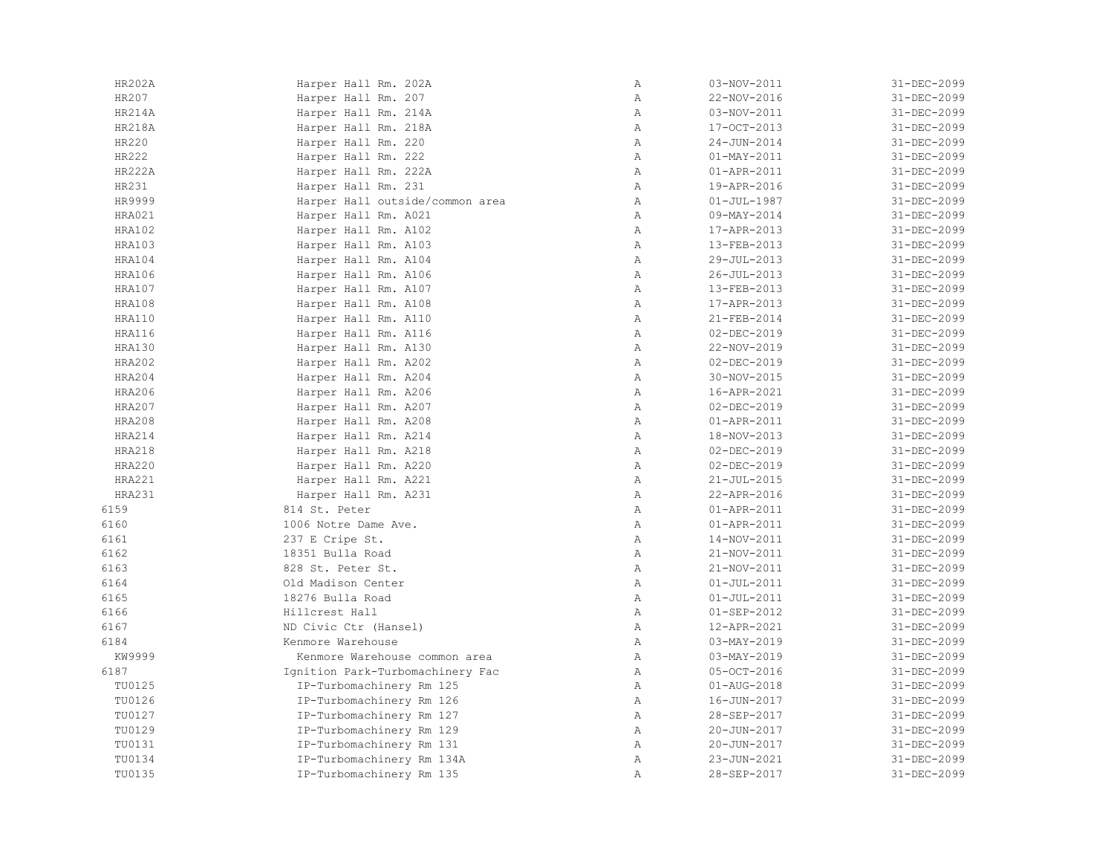| <b>HR202A</b> | Harper Hall Rm. 202A             | Α            | 03-NOV-2011       | 31-DEC-2099 |
|---------------|----------------------------------|--------------|-------------------|-------------|
| HR207         | Harper Hall Rm. 207              | Α            | 22-NOV-2016       | 31-DEC-2099 |
| <b>HR214A</b> | Harper Hall Rm. 214A             | Α            | 03-NOV-2011       | 31-DEC-2099 |
| HR218A        | Harper Hall Rm. 218A             | Α            | 17-OCT-2013       | 31-DEC-2099 |
| HR220         | Harper Hall Rm. 220              | $\mathbb{A}$ | $24 - JUN - 2014$ | 31-DEC-2099 |
| HR222         | Harper Hall Rm. 222              | $\mathbb{A}$ | $01 - MAX - 2011$ | 31-DEC-2099 |
| <b>HR222A</b> | Harper Hall Rm. 222A             | Α            | 01-APR-2011       | 31-DEC-2099 |
| HR231         | Harper Hall Rm. 231              | $\, {\bf A}$ | 19-APR-2016       | 31-DEC-2099 |
| HR9999        | Harper Hall outside/common area  | Α            | $01 - JUL - 1987$ | 31-DEC-2099 |
| HRA021        | Harper Hall Rm. A021             | Α            | $09 - MAY - 2014$ | 31-DEC-2099 |
| HRA102        | Harper Hall Rm. A102             | Α            | 17-APR-2013       | 31-DEC-2099 |
| <b>HRA103</b> | Harper Hall Rm. A103             | Α            | 13-FEB-2013       | 31-DEC-2099 |
| HRA104        | Harper Hall Rm. A104             | Α            | 29-JUL-2013       | 31-DEC-2099 |
| HRA106        | Harper Hall Rm. A106             | $\mathbb{A}$ | $26 - JUL - 2013$ | 31-DEC-2099 |
| <b>HRA107</b> | Harper Hall Rm. A107             | $\mathbb{A}$ | 13-FEB-2013       | 31-DEC-2099 |
| HRA108        | Harper Hall Rm. A108             | $\mathbb{A}$ | 17-APR-2013       | 31-DEC-2099 |
| HRA110        | Harper Hall Rm. A110             | $\mathbb{A}$ | 21-FEB-2014       | 31-DEC-2099 |
| HRA116        | Harper Hall Rm. A116             | $\mathbb{A}$ | $02 - DEC - 2019$ | 31-DEC-2099 |
| <b>HRA130</b> | Harper Hall Rm. A130             | Α            | 22-NOV-2019       | 31-DEC-2099 |
| <b>HRA202</b> | Harper Hall Rm. A202             | $\mathbb{A}$ | 02-DEC-2019       | 31-DEC-2099 |
| HRA204        | Harper Hall Rm. A204             | $\mathbb{A}$ | 30-NOV-2015       | 31-DEC-2099 |
| HRA206        | Harper Hall Rm. A206             | Α            | 16-APR-2021       | 31-DEC-2099 |
| HRA207        | Harper Hall Rm. A207             | $\mathbb{A}$ | 02-DEC-2019       | 31-DEC-2099 |
| <b>HRA208</b> | Harper Hall Rm. A208             | Α            | $01 - APR - 2011$ | 31-DEC-2099 |
| HRA214        | Harper Hall Rm. A214             | Α            | 18-NOV-2013       | 31-DEC-2099 |
| <b>HRA218</b> | Harper Hall Rm. A218             | $\, {\bf A}$ | $02 - DEC - 2019$ | 31-DEC-2099 |
| <b>HRA220</b> | Harper Hall Rm. A220             | $\mathbb{A}$ | $02 - DEC - 2019$ | 31-DEC-2099 |
| <b>HRA221</b> | Harper Hall Rm. A221             | $\mathbb{A}$ | $21 - JUL - 2015$ | 31-DEC-2099 |
| <b>HRA231</b> | Harper Hall Rm. A231             | $\mathbb{A}$ | 22-APR-2016       | 31-DEC-2099 |
| 6159          | 814 St. Peter                    | Α            | 01-APR-2011       | 31-DEC-2099 |
| 6160          | 1006 Notre Dame Ave.             | Α            | 01-APR-2011       | 31-DEC-2099 |
| 6161          | 237 E Cripe St.                  | $\mathbb{A}$ | 14-NOV-2011       | 31-DEC-2099 |
| 6162          | 18351 Bulla Road                 | $\mathbb{A}$ | 21-NOV-2011       | 31-DEC-2099 |
| 6163          | 828 St. Peter St.                | $\mathbb{A}$ | 21-NOV-2011       | 31-DEC-2099 |
| 6164          | Old Madison Center               | $\mathbb{A}$ | $01 - JUL - 2011$ | 31-DEC-2099 |
| 6165          | 18276 Bulla Road                 | Α            | $01 - JUL - 2011$ | 31-DEC-2099 |
| 6166          | Hillcrest Hall                   | $\mathbb{A}$ | $01 - SEP - 2012$ | 31-DEC-2099 |
| 6167          | ND Civic Ctr (Hansel)            | Α            | 12-APR-2021       | 31-DEC-2099 |
| 6184          | Kenmore Warehouse                | $\mathbb{A}$ | 03-MAY-2019       | 31-DEC-2099 |
| KW9999        | Kenmore Warehouse common area    | Α            | $03 - MAX - 2019$ | 31-DEC-2099 |
| 6187          | Ignition Park-Turbomachinery Fac | Α            | 05-OCT-2016       | 31-DEC-2099 |
| TU0125        | IP-Turbomachinery Rm 125         | Α            | 01-AUG-2018       | 31-DEC-2099 |
| TU0126        | IP-Turbomachinery Rm 126         | $\mathbb{A}$ | 16-JUN-2017       | 31-DEC-2099 |
| TU0127        | IP-Turbomachinery Rm 127         | $\, {\bf A}$ | 28-SEP-2017       | 31-DEC-2099 |
| TU0129        | IP-Turbomachinery Rm 129         | $\mathbb{A}$ | 20-JUN-2017       | 31-DEC-2099 |
| TU0131        | IP-Turbomachinery Rm 131         | $\mathbb{A}$ | 20-JUN-2017       | 31-DEC-2099 |
| TU0134        | IP-Turbomachinery Rm 134A        | Α            | 23-JUN-2021       | 31-DEC-2099 |
| TU0135        | IP-Turbomachinery Rm 135         | Α            | 28-SEP-2017       | 31-DEC-2099 |
|               |                                  |              |                   |             |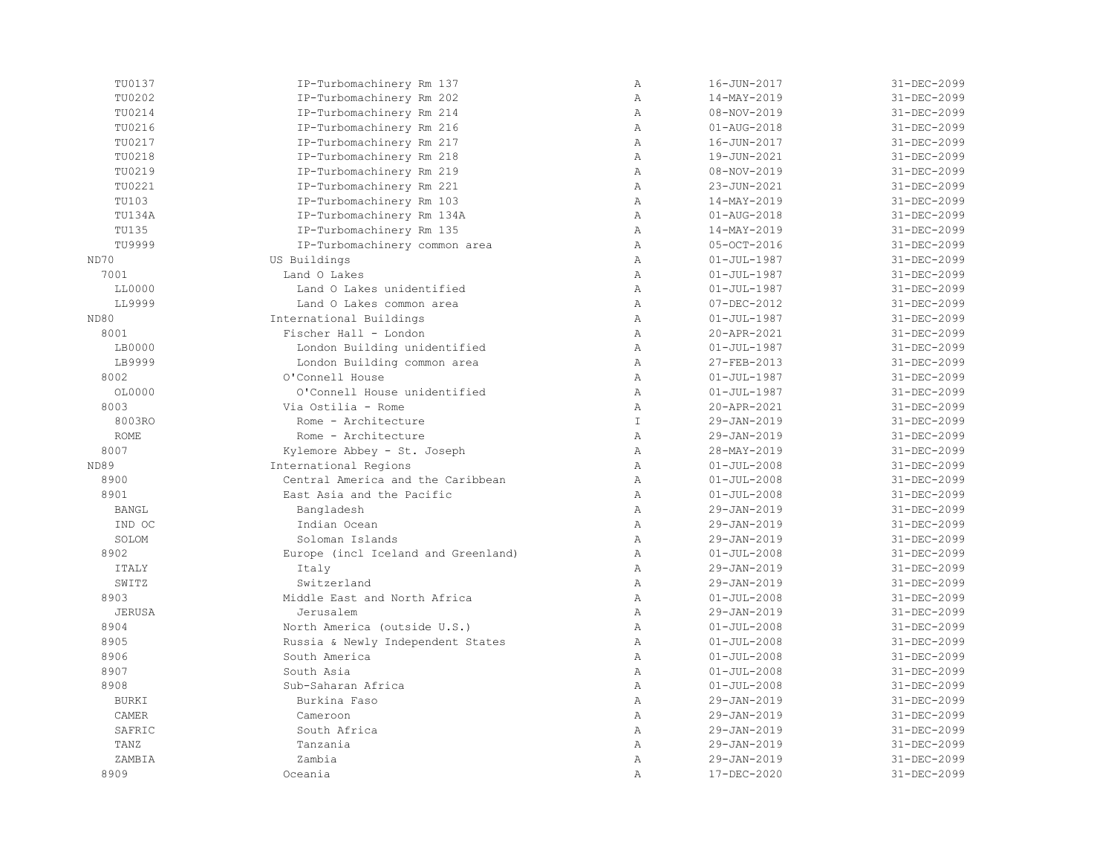| TU0137        | IP-Turbomachinery Rm 137            | $\mathbb{A}$   | 16-JUN-2017       | 31-DEC-2099 |
|---------------|-------------------------------------|----------------|-------------------|-------------|
| TU0202        | IP-Turbomachinery Rm 202            | $\overline{A}$ | 14-MAY-2019       | 31-DEC-2099 |
| TU0214        | IP-Turbomachinery Rm 214            | $\mathbb{A}$   | 08-NOV-2019       | 31-DEC-2099 |
| TU0216        | IP-Turbomachinery Rm 216            | Α              | $01 - AUG - 2018$ | 31-DEC-2099 |
| TU0217        | IP-Turbomachinery Rm 217            | $\mathbb{A}$   | 16-JUN-2017       | 31-DEC-2099 |
| TU0218        | IP-Turbomachinery Rm 218            | $\mathbb{A}$   | 19-JUN-2021       | 31-DEC-2099 |
| TU0219        | IP-Turbomachinery Rm 219            | Α              | 08-NOV-2019       | 31-DEC-2099 |
| TU0221        | IP-Turbomachinery Rm 221            | Α              | 23-JUN-2021       | 31-DEC-2099 |
| TU103         | IP-Turbomachinery Rm 103            | $\mathbb{A}$   | 14-MAY-2019       | 31-DEC-2099 |
| TU134A        | IP-Turbomachinery Rm 134A           | $\mathbb{A}$   | $01 - AUG - 2018$ | 31-DEC-2099 |
| TU135         | IP-Turbomachinery Rm 135            | $\mathbb{A}$   | 14-MAY-2019       | 31-DEC-2099 |
| TU9999        | IP-Turbomachinery common area       | $\mathbb{A}$   | 05-OCT-2016       | 31-DEC-2099 |
| ND70          | US Buildings                        | $\mathbb{A}$   | $01 - JUL - 1987$ | 31-DEC-2099 |
| 7001          | Land O Lakes                        | $\mathbb{A}$   | $01 - JUL - 1987$ | 31-DEC-2099 |
| LL0000        | Land O Lakes unidentified           | $\mathbb{A}$   | $01 - JUL - 1987$ | 31-DEC-2099 |
| LL9999        | Land O Lakes common area            | $\mathbb{A}$   | $07 - DEC - 2012$ | 31-DEC-2099 |
| ND80          | International Buildings             | $\mathbb{A}$   | $01 - JUL - 1987$ | 31-DEC-2099 |
| 8001          | Fischer Hall - London               | $\mathbb{A}$   | 20-APR-2021       | 31-DEC-2099 |
| LB0000        | London Building unidentified        | $\mathbb{A}$   | $01 - JUL - 1987$ | 31-DEC-2099 |
| LB9999        | London Building common area         | $\mathbb{A}$   | 27-FEB-2013       | 31-DEC-2099 |
| 8002          | O'Connell House                     | $\mathbb{A}$   | $01 - JUL - 1987$ | 31-DEC-2099 |
| OL0000        | O'Connell House unidentified        | Α              | $01 - JUL - 1987$ | 31-DEC-2099 |
| 8003          | Via Ostilia - Rome                  | $\mathbb{A}$   | 20-APR-2021       | 31-DEC-2099 |
| 8003RO        | Rome - Architecture                 | $\mathbbm{I}$  | 29-JAN-2019       | 31-DEC-2099 |
| <b>ROME</b>   | Rome - Architecture                 | $\mathbb{A}$   | 29-JAN-2019       | 31-DEC-2099 |
| 8007          | Kylemore Abbey - St. Joseph         | $\mathbb{A}$   | 28-MAY-2019       | 31-DEC-2099 |
| ND89          | International Regions               | $\mathbb{A}$   | $01 - JUL - 2008$ | 31-DEC-2099 |
| 8900          | Central America and the Caribbean   | $\mathbb{A}$   | $01 - JUL - 2008$ | 31-DEC-2099 |
| 8901          | East Asia and the Pacific           | $\mathbb{A}$   | $01 - JUL - 2008$ | 31-DEC-2099 |
| <b>BANGL</b>  | Bangladesh                          | $\mathbb{A}$   | 29-JAN-2019       | 31-DEC-2099 |
| IND OC        | Indian Ocean                        | $\mathbb{A}$   | 29-JAN-2019       | 31-DEC-2099 |
| SOLOM         | Soloman Islands                     | $\mathbb{A}$   | 29-JAN-2019       | 31-DEC-2099 |
| 8902          | Europe (incl Iceland and Greenland) | Α              | $01 - JUL - 2008$ | 31-DEC-2099 |
| <b>ITALY</b>  | Italy                               | Α              | 29-JAN-2019       | 31-DEC-2099 |
| SWITZ         | Switzerland                         | $\mathbb{A}$   | 29-JAN-2019       | 31-DEC-2099 |
| 8903          | Middle East and North Africa        | $\lambda$      | $01 - JUL - 2008$ | 31-DEC-2099 |
| <b>JERUSA</b> | Jerusalem                           | $\lambda$      | 29-JAN-2019       | 31-DEC-2099 |
| 8904          | North America (outside U.S.)        | $\mathbb{A}$   | $01 - JUL - 2008$ | 31-DEC-2099 |
| 8905          | Russia & Newly Independent States   | $\mathbb{A}$   | $01 - JUL - 2008$ | 31-DEC-2099 |
| 8906          | South America                       | $\mathbb{A}$   | $01 - JUL - 2008$ | 31-DEC-2099 |
| 8907          | South Asia                          | $\lambda$      | $01 - JUL - 2008$ | 31-DEC-2099 |
| 8908          | Sub-Saharan Africa                  | $\mathbb{A}$   | $01 - JUL - 2008$ | 31-DEC-2099 |
| <b>BURKI</b>  | Burkina Faso                        | $\mathbb{A}$   | 29-JAN-2019       | 31-DEC-2099 |
| CAMER         | Cameroon                            | $\mathbb{A}$   | 29-JAN-2019       | 31-DEC-2099 |
| SAFRIC        | South Africa                        | $\mathbb{A}$   | 29-JAN-2019       | 31-DEC-2099 |
| TANZ          | Tanzania                            | $\mathbb{A}$   | 29-JAN-2019       | 31-DEC-2099 |
| ZAMBIA        | Zambia                              | Α              | 29-JAN-2019       | 31-DEC-2099 |
| 8909          | Oceania                             | $\mathbb{A}$   | 17-DEC-2020       | 31-DEC-2099 |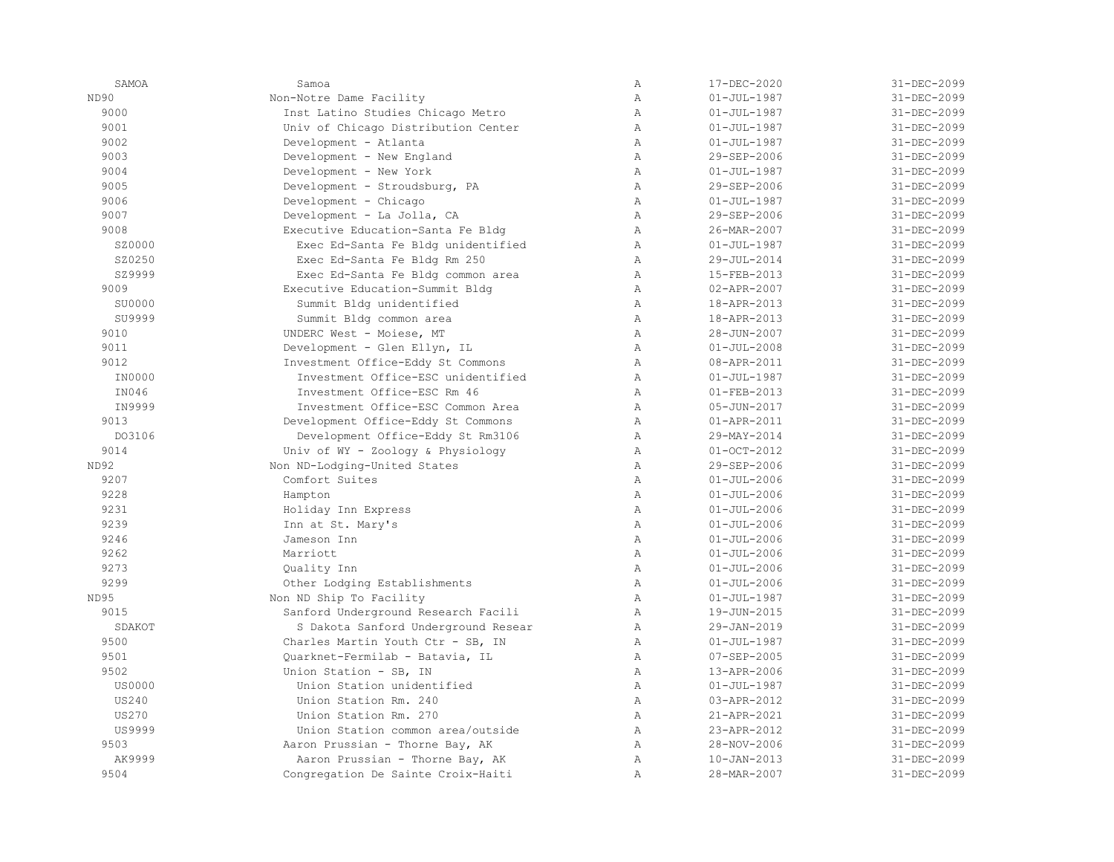| SAMOA         | Samoa                               | Α              | 17-DEC-2020       | 31-DEC-2099       |
|---------------|-------------------------------------|----------------|-------------------|-------------------|
| ND90          | Non-Notre Dame Facility             | $\overline{A}$ | $01 - JUL - 1987$ | 31-DEC-2099       |
| 9000          | Inst Latino Studies Chicago Metro   | $\mathbb{A}$   | $01 - JUL - 1987$ | 31-DEC-2099       |
| 9001          | Univ of Chicago Distribution Center | $\mathbb{A}$   | $01 - JUL - 1987$ | 31-DEC-2099       |
| 9002          | Development - Atlanta               | $\mathbb{A}$   | $01 - JUL - 1987$ | 31-DEC-2099       |
| 9003          | Development - New England           | $\mathbb{A}$   | 29-SEP-2006       | 31-DEC-2099       |
| 9004          | Development - New York              | $\lambda$      | $01 - JUL - 1987$ | 31-DEC-2099       |
| 9005          | Development - Stroudsburg, PA       | $\mathbb{A}$   | 29-SEP-2006       | 31-DEC-2099       |
| 9006          | Development - Chicago               | $\mathbb{A}$   | $01 - JUL - 1987$ | 31-DEC-2099       |
| 9007          | Development - La Jolla, CA          | $\mathbb{A}$   | 29-SEP-2006       | 31-DEC-2099       |
| 9008          | Executive Education-Santa Fe Bldg   | $\mathbb{A}$   | 26-MAR-2007       | 31-DEC-2099       |
| SZ0000        | Exec Ed-Santa Fe Bldg unidentified  | Α              | $01 - JUL - 1987$ | 31-DEC-2099       |
| SZ0250        | Exec Ed-Santa Fe Bldg Rm 250        | $\lambda$      | 29-JUL-2014       | 31-DEC-2099       |
| SZ9999        | Exec Ed-Santa Fe Bldg common area   | $\lambda$      | 15-FEB-2013       | 31-DEC-2099       |
| 9009          | Executive Education-Summit Bldg     | $\mathbb{A}$   | $02 - APR - 2007$ | 31-DEC-2099       |
| SU0000        | Summit Bldg unidentified            | $\mathbb{A}$   | 18-APR-2013       | 31-DEC-2099       |
| SU9999        | Summit Bldg common area             | $\mathbb{A}$   | 18-APR-2013       | 31-DEC-2099       |
| 9010          | UNDERC West - Moiese, MT            | $\mathbb{A}$   | 28-JUN-2007       | 31-DEC-2099       |
| 9011          | Development - Glen Ellyn, IL        | $\lambda$      | $01 - JUL - 2008$ | 31-DEC-2099       |
| 9012          | Investment Office-Eddy St Commons   | $\mathbb{A}$   | 08-APR-2011       | 31-DEC-2099       |
| IN0000        | Investment Office-ESC unidentified  | $\mathbb{A}$   | $01 - JUL - 1987$ | 31-DEC-2099       |
| IN046         | Investment Office-ESC Rm 46         | $\overline{A}$ | $01 - FEB - 2013$ | 31-DEC-2099       |
| IN9999        | Investment Office-ESC Common Area   | $\mathbb{A}$   | $05 - JUN - 2017$ | 31-DEC-2099       |
| 9013          | Development Office-Eddy St Commons  | Α              | 01-APR-2011       | 31-DEC-2099       |
| DO3106        | Development Office-Eddy St Rm3106   | Α              | 29-MAY-2014       | 31-DEC-2099       |
| 9014          | Univ of WY - Zoology & Physiology   | $\mathbb{A}$   | $01 - OCT - 2012$ | 31-DEC-2099       |
| ND92          | Non ND-Lodging-United States        | $\mathbb{A}$   | 29-SEP-2006       | 31-DEC-2099       |
| 9207          | Comfort Suites                      | $\mathbb{A}$   | $01 - JUL - 2006$ | 31-DEC-2099       |
| 9228          | Hampton                             | $\mathbb{A}$   | $01 - JUL - 2006$ | 31-DEC-2099       |
| 9231          | Holiday Inn Express                 | $\mathbb{A}$   | $01 - JUL - 2006$ | 31-DEC-2099       |
| 9239          | Inn at St. Mary's                   | $\lambda$      | $01 - JUL - 2006$ | 31-DEC-2099       |
| 9246          | Jameson Inn                         | $\mathbb{A}$   | $01 - JUL - 2006$ | 31-DEC-2099       |
| 9262          | Marriott                            | $\mathbb{A}$   | $01 - JUL - 2006$ | 31-DEC-2099       |
| 9273          | Quality Inn                         | $\mathbb{A}$   | $01 - JUL - 2006$ | 31-DEC-2099       |
| 9299          | Other Lodging Establishments        | $\mathbb{A}$   | $01 - JUL - 2006$ | 31-DEC-2099       |
| ND95          | Non ND Ship To Facility             | $\mathbb{A}$   | $01 - JUL - 1987$ | 31-DEC-2099       |
| 9015          | Sanford Underground Research Facili | $\lambda$      | 19-JUN-2015       | 31-DEC-2099       |
| SDAKOT        | S Dakota Sanford Underground Resear | $\mathbb{A}$   | 29-JAN-2019       | 31-DEC-2099       |
| 9500          | Charles Martin Youth Ctr - SB, IN   | $\mathbb{A}$   | $01 - JUL - 1987$ | 31-DEC-2099       |
| 9501          | Ouarknet-Fermilab - Batavia, IL     | $\mathbb{A}$   | $07 - SEP - 2005$ | 31-DEC-2099       |
| 9502          | Union Station - SB, IN              | $\mathbb{A}$   | 13-APR-2006       | 31-DEC-2099       |
| <b>US0000</b> | Union Station unidentified          | $\mathbb{A}$   | $01 - JUL - 1987$ | 31-DEC-2099       |
| <b>US240</b>  | Union Station Rm. 240               | Α              | 03-APR-2012       | 31-DEC-2099       |
| <b>US270</b>  | Union Station Rm. 270               | $\mathbb{A}$   | 21-APR-2021       | 31-DEC-2099       |
| US9999        | Union Station common area/outside   | $\mathbb{A}$   | 23-APR-2012       | 31-DEC-2099       |
| 9503          | Aaron Prussian - Thorne Bay, AK     | $\lambda$      | 28-NOV-2006       | $31 - DEC - 2099$ |
| AK9999        | Aaron Prussian - Thorne Bay, AK     | $\mathbb{A}$   | $10 - JAN - 2013$ | 31-DEC-2099       |
| 9504          | Congregation De Sainte Croix-Haiti  | $\mathbb{A}$   | 28-MAR-2007       | 31-DEC-2099       |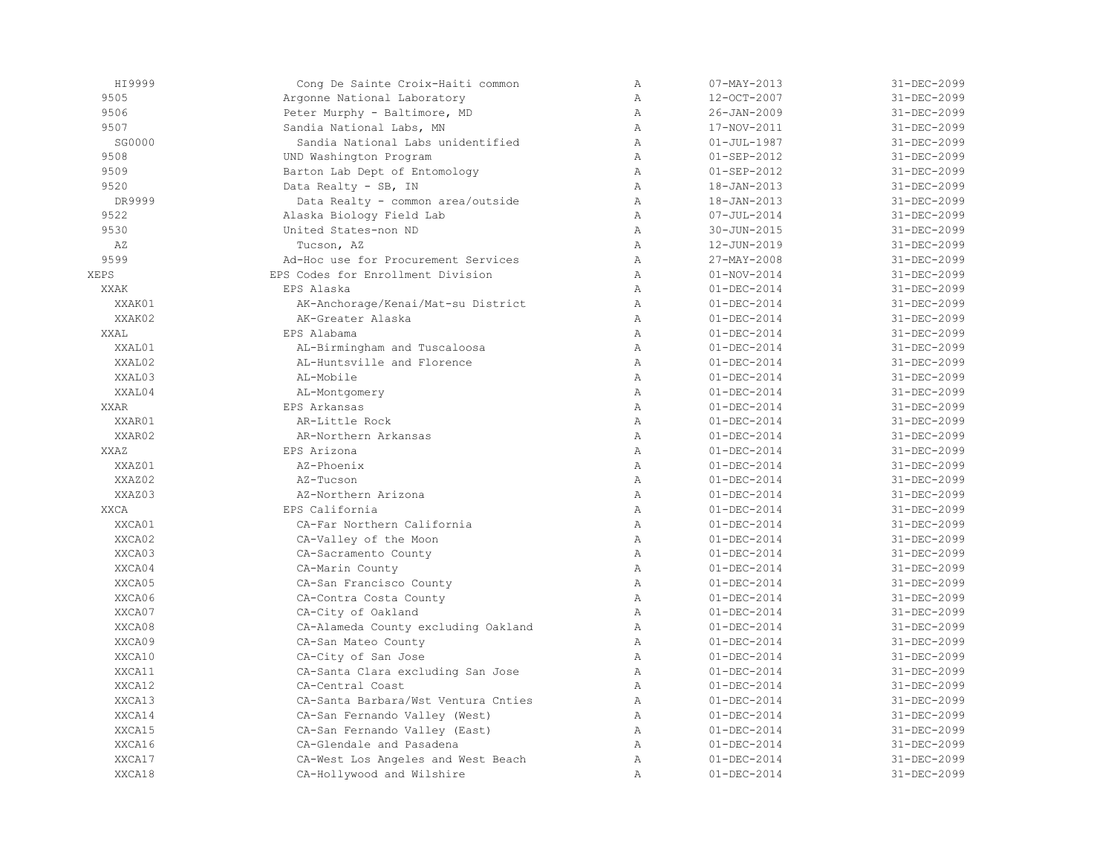| HI9999      | Cong De Sainte Croix-Haiti common   | $\mathbb{A}$   | $07 - MAX - 2013$ | 31-DEC-2099 |
|-------------|-------------------------------------|----------------|-------------------|-------------|
| 9505        | Argonne National Laboratory         | $\lambda$      | 12-OCT-2007       | 31-DEC-2099 |
| 9506        | Peter Murphy - Baltimore, MD        | $\mathbb{A}$   | $26 - JAN - 2009$ | 31-DEC-2099 |
| 9507        | Sandia National Labs, MN            | $\mathbb{A}$   | 17-NOV-2011       | 31-DEC-2099 |
| SG0000      | Sandia National Labs unidentified   | $\mathbb{A}$   | $01 - JUL - 1987$ | 31-DEC-2099 |
| 9508        | UND Washington Program              | $\mathbb{A}$   | $01 - SEP - 2012$ | 31-DEC-2099 |
| 9509        | Barton Lab Dept of Entomology       | $\mathbb{A}$   | $01 - SEP - 2012$ | 31-DEC-2099 |
| 9520        | Data Realty - SB, IN                | $\mathbb{A}$   | $18 - JAN - 2013$ | 31-DEC-2099 |
| DR9999      | Data Realty - common area/outside   | $\mathbb{A}$   | $18 - JAN - 2013$ | 31-DEC-2099 |
| 9522        | Alaska Biology Field Lab            | Α              | $07 - JUL - 2014$ | 31-DEC-2099 |
| 9530        | United States-non ND                | $\lambda$      | 30-JUN-2015       | 31-DEC-2099 |
| AZ          | Tucson, AZ                          | $\mathbb{A}$   | $12 - JUN - 2019$ | 31-DEC-2099 |
| 9599        | Ad-Hoc use for Procurement Services | $\mathbb{A}$   | 27-MAY-2008       | 31-DEC-2099 |
| XEPS        | EPS Codes for Enrollment Division   | $\lambda$      | $01 - NOV - 2014$ | 31-DEC-2099 |
| <b>XXAK</b> | EPS Alaska                          | $\mathbb{A}$   | $01 - DEC - 2014$ | 31-DEC-2099 |
| XXAK01      | AK-Anchorage/Kenai/Mat-su District  | Α              | $01 - DEC - 2014$ | 31-DEC-2099 |
| XXAK02      | AK-Greater Alaska                   | $\mathbb{A}$   | $01 - DEC - 2014$ | 31-DEC-2099 |
| XXAL        | EPS Alabama                         | $\mathbb{A}$   | $01 - DEC - 2014$ | 31-DEC-2099 |
| XXAL01      | AL-Birmingham and Tuscaloosa        | $\, {\bf A}$   | $01 - DEC - 2014$ | 31-DEC-2099 |
| XXAL02      | AL-Huntsville and Florence          | Α              | $01 - DEC - 2014$ | 31-DEC-2099 |
| XXAL03      | AL-Mobile                           | $\overline{A}$ | $01 - DEC - 2014$ | 31-DEC-2099 |
| XXAL04      | AL-Montgomery                       | $\lambda$      | $01 - DEC - 2014$ | 31-DEC-2099 |
| <b>XXAR</b> | EPS Arkansas                        | $\overline{A}$ | $01 - DEC - 2014$ | 31-DEC-2099 |
| XXAR01      | AR-Little Rock                      | $\mathbb{A}$   | $01 - DEC - 2014$ | 31-DEC-2099 |
| XXAR02      | AR-Northern Arkansas                | $\mathbb{A}$   | $01 - DEC - 2014$ | 31-DEC-2099 |
| XXAZ        | EPS Arizona                         | $\mathbb{A}$   | $01 - DEC - 2014$ | 31-DEC-2099 |
| XXAZ01      | AZ-Phoenix                          | $\mathbb{A}$   | $01 - DEC - 2014$ | 31-DEC-2099 |
| XXAZ02      | AZ-Tucson                           | $\, {\bf A}$   | $01 - DEC - 2014$ | 31-DEC-2099 |
| XXAZ03      | AZ-Northern Arizona                 | Α              | $01 - DEC - 2014$ | 31-DEC-2099 |
| <b>XXCA</b> | EPS California                      | $\mathbb{A}$   | $01 - DEC - 2014$ | 31-DEC-2099 |
| XXCA01      | CA-Far Northern California          | $\mathbb{A}$   | $01 - DEC - 2014$ | 31-DEC-2099 |
| XXCA02      | CA-Valley of the Moon               | $\mathbb{A}$   | $01 - DEC - 2014$ | 31-DEC-2099 |
| XXCA03      | CA-Sacramento County                | $\mathbb{A}$   | $01 - DEC - 2014$ | 31-DEC-2099 |
| XXCA04      | CA-Marin County                     | $\mathbb{A}$   | $01 - DEC - 2014$ | 31-DEC-2099 |
| XXCA05      | CA-San Francisco County             | $\mathbb{A}$   | $01 - DEC - 2014$ | 31-DEC-2099 |
| XXCA06      | CA-Contra Costa County              | $\mathbb{A}$   | $01 - DEC - 2014$ | 31-DEC-2099 |
| XXCA07      | CA-City of Oakland                  | Α              | $01 - DEC - 2014$ | 31-DEC-2099 |
| XXCA08      | CA-Alameda County excluding Oakland | Α              | $01 - DEC - 2014$ | 31-DEC-2099 |
| XXCA09      | CA-San Mateo County                 | $\mathbb{A}$   | $01 - DEC - 2014$ | 31-DEC-2099 |
| XXCA10      | CA-City of San Jose                 | $\mathbb{A}$   | $01 - DEC - 2014$ | 31-DEC-2099 |
| XXCA11      | CA-Santa Clara excluding San Jose   | $\mathbb{A}$   | $01 - DEC - 2014$ | 31-DEC-2099 |
| XXCA12      | CA-Central Coast                    | Α              | $01 - DEC - 2014$ | 31-DEC-2099 |
| XXCA13      | CA-Santa Barbara/Wst Ventura Cnties | $\mathbb{A}$   | $01 - DEC - 2014$ | 31-DEC-2099 |
| XXCA14      | CA-San Fernando Valley (West)       | $\mathbb{A}$   | $01 - DEC - 2014$ | 31-DEC-2099 |
| XXCA15      | CA-San Fernando Valley (East)       | Α              | $01 - DEC - 2014$ | 31-DEC-2099 |
| XXCA16      | CA-Glendale and Pasadena            | $\mathbb{A}$   | $01 - DEC - 2014$ | 31-DEC-2099 |
| XXCA17      | CA-West Los Angeles and West Beach  | $\mathbb{A}$   | $01 - DEC - 2014$ | 31-DEC-2099 |
| XXCA18      | CA-Hollywood and Wilshire           | $\overline{A}$ | $01 - DEC - 2014$ | 31-DEC-2099 |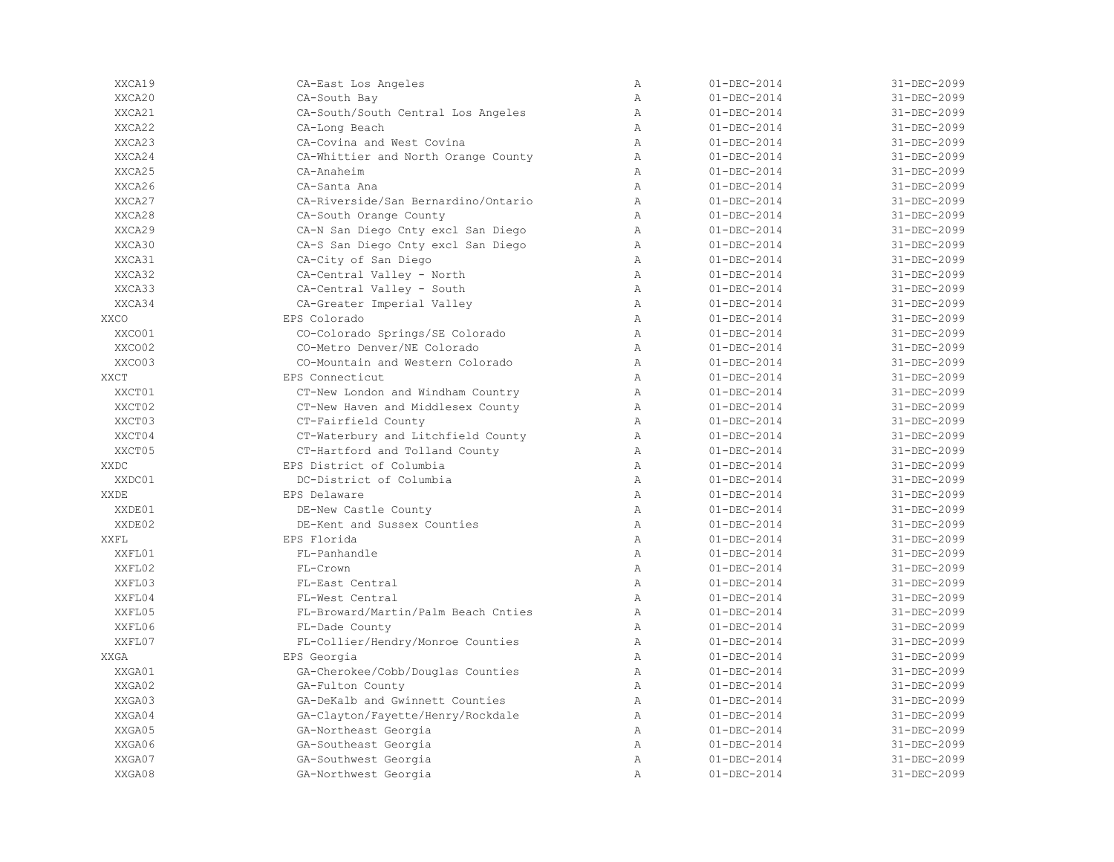| XXCA19      | CA-East Los Angeles                 | $\mathbb{A}$   | $01 - DEC - 2014$ | 31-DEC-2099 |
|-------------|-------------------------------------|----------------|-------------------|-------------|
| XXCA20      | CA-South Bay                        | Α              | $01 - DEC - 2014$ | 31-DEC-2099 |
| XXCA21      | CA-South/South Central Los Angeles  | $\mathbb{A}$   | $01 - DEC - 2014$ | 31-DEC-2099 |
| XXCA22      | CA-Long Beach                       | $\mathbb{A}$   | $01 - DEC - 2014$ | 31-DEC-2099 |
| XXCA23      | CA-Covina and West Covina           | $\overline{A}$ | $01 - DEC - 2014$ | 31-DEC-2099 |
| XXCA24      | CA-Whittier and North Orange County | $\mathbb{A}$   | $01 - DEC - 2014$ | 31-DEC-2099 |
| XXCA25      | CA-Anaheim                          | $\mathbb{A}$   | $01 - DEC - 2014$ | 31-DEC-2099 |
| XXCA26      | CA-Santa Ana                        | $\mathbb{A}$   | $01 - DEC - 2014$ | 31-DEC-2099 |
| XXCA27      | CA-Riverside/San Bernardino/Ontario | $\mathbb{A}$   | $01 - DEC - 2014$ | 31-DEC-2099 |
| XXCA28      | CA-South Orange County              | $\lambda$      | $01 - DEC - 2014$ | 31-DEC-2099 |
| XXCA29      | CA-N San Diego Cnty excl San Diego  | $\mathbb{A}$   | $01 - DEC - 2014$ | 31-DEC-2099 |
| XXCA30      | CA-S San Diego Cnty excl San Diego  | $\mathbb{A}$   | $01 - DEC - 2014$ | 31-DEC-2099 |
| XXCA31      | CA-City of San Diego                | $\lambda$      | $01 - DEC - 2014$ | 31-DEC-2099 |
| XXCA32      | CA-Central Valley - North           | $\mathbb{A}$   | $01 - DEC - 2014$ | 31-DEC-2099 |
| XXCA33      | CA-Central Valley - South           | $\mathbb{A}$   | $01 - DEC - 2014$ | 31-DEC-2099 |
| XXCA34      | CA-Greater Imperial Valley          | Α              | $01 - DEC - 2014$ | 31-DEC-2099 |
| <b>XXCO</b> | EPS Colorado                        | $\mathbb{A}$   | $01 - DEC - 2014$ | 31-DEC-2099 |
| XXCO01      | CO-Colorado Springs/SE Colorado     | $\lambda$      | $01 - DEC - 2014$ | 31-DEC-2099 |
| XXCO02      | CO-Metro Denver/NE Colorado         | $\mathbb{A}$   | $01 - DEC - 2014$ | 31-DEC-2099 |
| XXCO03      | CO-Mountain and Western Colorado    | $\mathbb{A}$   | $01 - DEC - 2014$ | 31-DEC-2099 |
| XXCT        | EPS Connecticut                     | $\lambda$      | $01 - DEC - 2014$ | 31-DEC-2099 |
| XXCT01      | CT-New London and Windham Country   | $\mathbb{A}$   | $01 - DEC - 2014$ | 31-DEC-2099 |
| XXCT02      | CT-New Haven and Middlesex County   | $\mathbb{A}$   | $01 - DEC - 2014$ | 31-DEC-2099 |
| XXCT03      | CT-Fairfield County                 | $\mathbb{A}$   | $01 - DEC - 2014$ | 31-DEC-2099 |
| XXCT04      | CT-Waterbury and Litchfield County  | Α              | $01 - DEC - 2014$ | 31-DEC-2099 |
| XXCT05      | CT-Hartford and Tolland County      | Α              | $01 - DEC - 2014$ | 31-DEC-2099 |
| XXDC        | EPS District of Columbia            | $\mathbb{A}$   | $01 - DEC - 2014$ | 31-DEC-2099 |
| XXDC01      | DC-District of Columbia             | $\mathbb{A}$   | $01 - DEC - 2014$ | 31-DEC-2099 |
| XXDE        | EPS Delaware                        | $\mathbb{A}$   | $01 - DEC - 2014$ | 31-DEC-2099 |
| XXDE01      | DE-New Castle County                | $\lambda$      | $01 - DEC - 2014$ | 31-DEC-2099 |
| XXDE02      | DE-Kent and Sussex Counties         | Α              | $01 - DEC - 2014$ | 31-DEC-2099 |
| XXFL        | EPS Florida                         | $\mathbb{A}$   | $01 - DEC - 2014$ | 31-DEC-2099 |
| XXFL01      | FL-Panhandle                        | $\mathbb{A}$   | $01 - DEC - 2014$ | 31-DEC-2099 |
| XXFL02      | $FI-Crown$                          | $\lambda$      | $01 - DEC - 2014$ | 31-DEC-2099 |
| XXFL03      | FL-East Central                     | $\mathbb{A}$   | $01 - DEC - 2014$ | 31-DEC-2099 |
| XXFL04      | FL-West Central                     | $\mathbb{A}$   | $01 - DEC - 2014$ | 31-DEC-2099 |
| XXFL05      | FL-Broward/Martin/Palm Beach Cnties | $\mathbb{A}$   | $01 - DEC - 2014$ | 31-DEC-2099 |
| XXFL06      | FL-Dade County                      | $\mathbb{A}$   | $01 - DEC - 2014$ | 31-DEC-2099 |
| XXFL07      | FL-Collier/Hendry/Monroe Counties   | $\mathbb{A}$   | $01 - DEC - 2014$ | 31-DEC-2099 |
| <b>XXGA</b> | EPS Georgia                         | $\mathbb{A}$   | $01 - DEC - 2014$ | 31-DEC-2099 |
| XXGA01      | GA-Cherokee/Cobb/Douglas Counties   | $\mathbb{A}$   | $01 - DEC - 2014$ | 31-DEC-2099 |
| XXGA02      | GA-Fulton County                    | $\mathbb{A}$   | $01 - DEC - 2014$ | 31-DEC-2099 |
| XXGA03      | GA-DeKalb and Gwinnett Counties     | $\mathbb{A}$   | $01 - DEC - 2014$ | 31-DEC-2099 |
| XXGA04      | GA-Clayton/Fayette/Henry/Rockdale   | $\mathbb{A}$   | $01 - DEC - 2014$ | 31-DEC-2099 |
| XXGA05      | GA-Northeast Georgia                | $\mathbb{A}$   | $01 - DEC - 2014$ | 31-DEC-2099 |
| XXGA06      | GA-Southeast Georgia                | $\lambda$      | $01 - DEC - 2014$ | 31-DEC-2099 |
| XXGA07      | GA-Southwest Georgia                | $\overline{A}$ | $01 - DEC - 2014$ | 31-DEC-2099 |
| XXGA08      | GA-Northwest Georgia                | $\overline{A}$ | $01 - DEC - 2014$ | 31-DEC-2099 |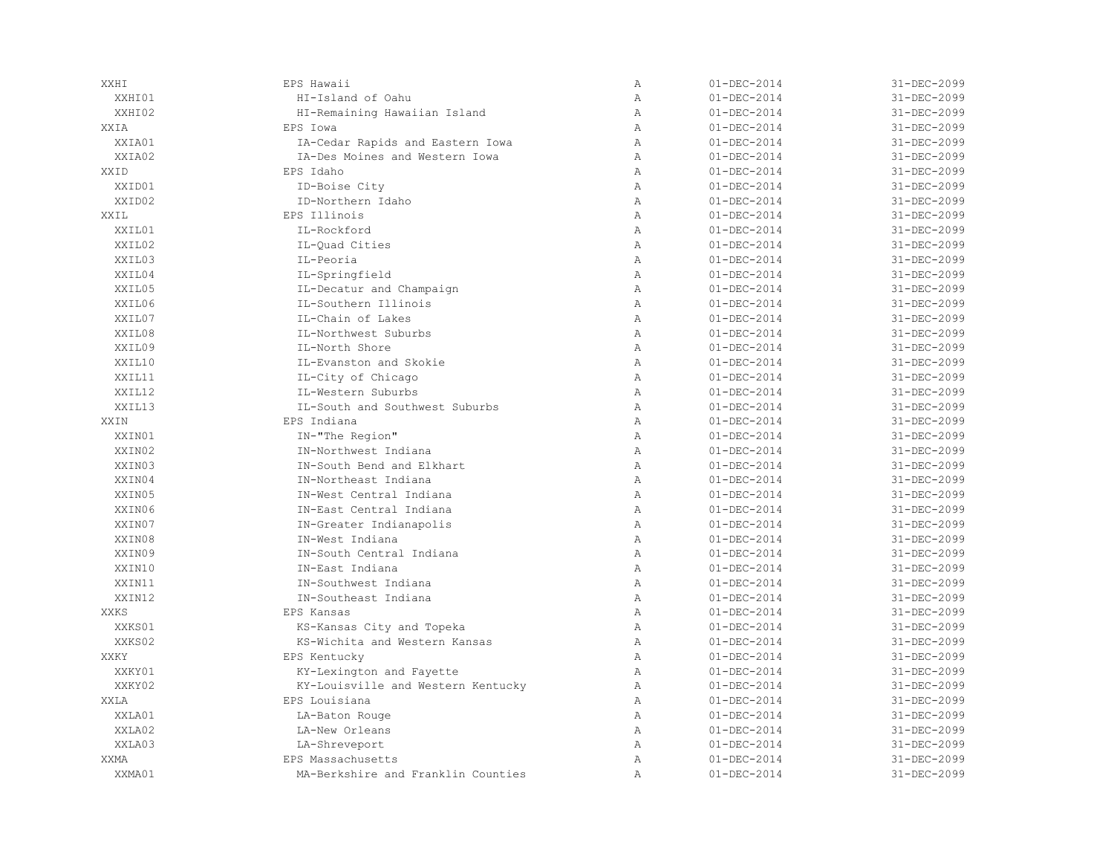| XXHI        | EPS Hawaii                         | $\mathbb{A}$   | $01 - DEC - 2014$ | 31-DEC-2099 |
|-------------|------------------------------------|----------------|-------------------|-------------|
| XXHI01      | HI-Island of Oahu                  | $\, {\bf A}$   | $01 - DEC - 2014$ | 31-DEC-2099 |
| XXHI02      | HI-Remaining Hawaiian Island       | $\mathbb{A}$   | $01 - DEC - 2014$ | 31-DEC-2099 |
| XXIA        | EPS Iowa                           | $\mathbb{A}$   | $01 - DEC - 2014$ | 31-DEC-2099 |
| XXIA01      | IA-Cedar Rapids and Eastern Iowa   | $\overline{A}$ | $01 - DEC - 2014$ | 31-DEC-2099 |
| XXTA02      | IA-Des Moines and Western Iowa     | $\mathbb{A}$   | $01 - DEC - 2014$ | 31-DEC-2099 |
| XXID        | EPS Idaho                          | $\mathbb{A}$   | $01 - DEC - 2014$ | 31-DEC-2099 |
| XXID01      | ID-Boise City                      | $\mathbb{A}$   | $01 - DEC - 2014$ | 31-DEC-2099 |
| XXID02      | ID-Northern Idaho                  | $\mathbb{A}$   | $01 - DEC - 2014$ | 31-DEC-2099 |
| XXIL        | EPS Illinois                       | $\mathbb{A}$   | $01 - DEC - 2014$ | 31-DEC-2099 |
| XXIL01      | IL-Rockford                        | $\, {\bf A}$   | $01 - DEC - 2014$ | 31-DEC-2099 |
| XXIL02      | IL-Quad Cities                     | $\overline{A}$ | $01 - DEC - 2014$ | 31-DEC-2099 |
| XXIL03      | IL-Peoria                          | $\overline{A}$ | $01 - DEC - 2014$ | 31-DEC-2099 |
| XXIL04      | IL-Springfield                     | $\mathbb{A}$   | $01 - DEC - 2014$ | 31-DEC-2099 |
| XXIL05      | IL-Decatur and Champaign           | $\mathbb{A}$   | $01 - DEC - 2014$ | 31-DEC-2099 |
| XXIL06      | IL-Southern Illinois               | $\mathbb{A}$   | $01 - DEC - 2014$ | 31-DEC-2099 |
| XXIL07      | IL-Chain of Lakes                  | $\mathbb{A}$   | $01 - DEC - 2014$ | 31-DEC-2099 |
| XXIL08      | IL-Northwest Suburbs               | $\mathbb{A}$   | $01 - DEC - 2014$ | 31-DEC-2099 |
| XXIL09      | IL-North Shore                     | $\, {\bf A}$   | $01 - DEC - 2014$ | 31-DEC-2099 |
| XXIL10      | IL-Evanston and Skokie             | $\mathbb{A}$   | $01 - DEC - 2014$ | 31-DEC-2099 |
| XXIL11      | IL-City of Chicago                 | $\mathbb{A}$   | $01 - DEC - 2014$ | 31-DEC-2099 |
| XXIL12      | IL-Western Suburbs                 | $\lambda$      | $01 - DEC - 2014$ | 31-DEC-2099 |
| XXIL13      | IL-South and Southwest Suburbs     | $\mathbb{A}$   | $01 - DEC - 2014$ | 31-DEC-2099 |
| XXIN        | EPS Indiana                        | $\mathbb{A}$   | $01 - DEC - 2014$ | 31-DEC-2099 |
| XXIN01      | IN-"The Region"                    | $\mathbb{A}$   | $01 - DEC - 2014$ | 31-DEC-2099 |
| XXIN02      | IN-Northwest Indiana               | $\mathbb{A}$   | $01 - DEC - 2014$ | 31-DEC-2099 |
| XXIN03      | IN-South Bend and Elkhart          | $\mathbb{A}$   | $01 - DEC - 2014$ | 31-DEC-2099 |
| XXIN04      | IN-Northeast Indiana               | $\mathbb{A}$   | $01 - DEC - 2014$ | 31-DEC-2099 |
| XXIN05      | IN-West Central Indiana            | $\mathbb{A}$   | $01 - DEC - 2014$ | 31-DEC-2099 |
| XXIN06      | IN-East Central Indiana            | $\overline{A}$ | $01 - DEC - 2014$ | 31-DEC-2099 |
| XXIN07      | IN-Greater Indianapolis            | $\overline{A}$ | $01 - DEC - 2014$ | 31-DEC-2099 |
| XXIN08      | IN-West Indiana                    | $\mathbb{A}$   | $01 - DEC - 2014$ | 31-DEC-2099 |
| XXIN09      | IN-South Central Indiana           | $\mathbb{A}$   | $01 - DEC - 2014$ | 31-DEC-2099 |
| XXIN10      | IN-East Indiana                    | $\overline{A}$ | $01 - DEC - 2014$ | 31-DEC-2099 |
| XXIN11      | IN-Southwest Indiana               | $\mathbb{A}$   | $01 - DEC - 2014$ | 31-DEC-2099 |
| XXIN12      | IN-Southeast Indiana               | $\mathbb{A}$   | $01 - DEC - 2014$ | 31-DEC-2099 |
| <b>XXKS</b> | EPS Kansas                         | $\mathbb{A}$   | $01 - DEC - 2014$ | 31-DEC-2099 |
| XXKS01      | KS-Kansas City and Topeka          | $\, {\bf A}$   | $01 - DEC - 2014$ | 31-DEC-2099 |
| XXKS02      | KS-Wichita and Western Kansas      | $\, {\bf A}$   | $01 - DEC - 2014$ | 31-DEC-2099 |
| XXKY        | EPS Kentucky                       | Α              | $01 - DEC - 2014$ | 31-DEC-2099 |
| XXKY01      | KY-Lexington and Fayette           | $\mathbb{A}$   | $01 - DEC - 2014$ | 31-DEC-2099 |
| XXKY02      | KY-Louisville and Western Kentucky | $\mathbb{A}$   | $01 - DEC - 2014$ | 31-DEC-2099 |
| XXLA        | EPS Louisiana                      | $\mathbb{A}$   | $01 - DEC - 2014$ | 31-DEC-2099 |
| XXLA01      | LA-Baton Rouge                     | $\, {\bf A}$   | $01 - DEC - 2014$ | 31-DEC-2099 |
| XXLA02      | LA-New Orleans                     | $\mathbb{A}$   | $01 - DEC - 2014$ | 31-DEC-2099 |
| XXLA03      | LA-Shreveport                      | $\mathbb{A}$   | $01 - DEC - 2014$ | 31-DEC-2099 |
| XXMA        | EPS Massachusetts                  | $\mathbb{A}$   | $01 - DEC - 2014$ | 31-DEC-2099 |
| XXMA01      | MA-Berkshire and Franklin Counties | $\overline{A}$ | $01 - DEC - 2014$ | 31-DEC-2099 |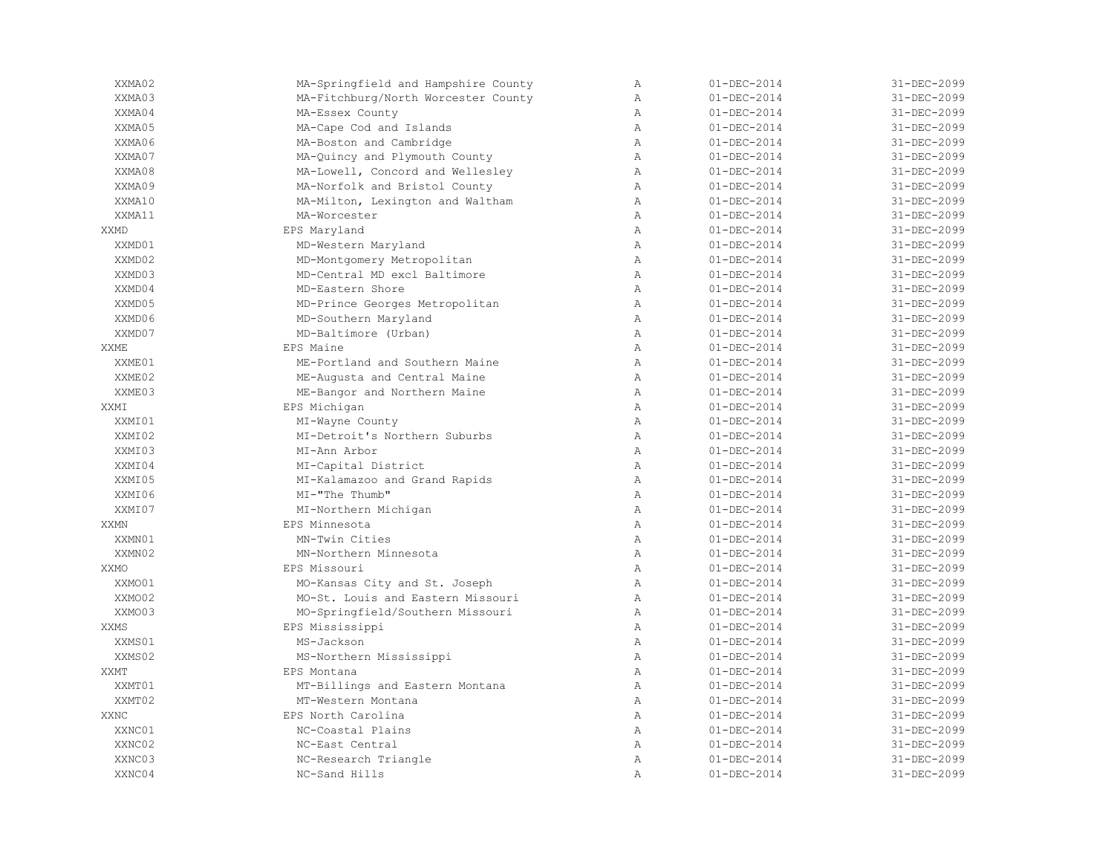| XXMA02      | MA-Springfield and Hampshire County | Α              | $01 - DEC - 2014$ | 31-DEC-2099 |
|-------------|-------------------------------------|----------------|-------------------|-------------|
| XXMA03      | MA-Fitchburg/North Worcester County | Α              | $01 - DEC - 2014$ | 31-DEC-2099 |
| XXMA04      | MA-Essex County                     | Α              | $01 - DEC - 2014$ | 31-DEC-2099 |
| XXMA05      | MA-Cape Cod and Islands             | $\lambda$      | $01 - DEC - 2014$ | 31-DEC-2099 |
| XXMA06      | MA-Boston and Cambridge             | $\overline{A}$ | $01 - DEC - 2014$ | 31-DEC-2099 |
| XXMA07      | MA-Quincy and Plymouth County       | $\mathbb{A}$   | $01 - DEC - 2014$ | 31-DEC-2099 |
| XXMA08      | MA-Lowell, Concord and Wellesley    | $\mathbb{A}$   | $01 - DEC - 2014$ | 31-DEC-2099 |
| XXMA09      | MA-Norfolk and Bristol County       | $\mathbb{A}$   | $01 - DEC - 2014$ | 31-DEC-2099 |
| XXMA10      | MA-Milton, Lexington and Waltham    | $\mathbb{A}$   | $01 - DEC - 2014$ | 31-DEC-2099 |
| XXMA11      | MA-Worcester                        | $\, {\bf A}$   | $01 - DEC - 2014$ | 31-DEC-2099 |
| XXMD        | EPS Maryland                        | $\mathbb{A}$   | $01 - DEC - 2014$ | 31-DEC-2099 |
| XXMD01      | MD-Western Maryland                 | $\mathbb{A}$   | $01 - DEC - 2014$ | 31-DEC-2099 |
| XXMD02      | MD-Montgomery Metropolitan          | Α              | $01 - DEC - 2014$ | 31-DEC-2099 |
| XXMD03      | MD-Central MD excl Baltimore        | $\mathbb{A}$   | $01 - DEC - 2014$ | 31-DEC-2099 |
| XXMD04      | MD-Eastern Shore                    | $\mathbb{A}$   | $01 - DEC - 2014$ | 31-DEC-2099 |
| XXMD05      | MD-Prince Georges Metropolitan      | $\mathbb{A}$   | $01 - DEC - 2014$ | 31-DEC-2099 |
| XXMD06      | MD-Southern Maryland                | $\mathbb{A}$   | $01 - DEC - 2014$ | 31-DEC-2099 |
| XXMD07      | MD-Baltimore (Urban)                | $\, {\bf A}$   | $01 - DEC - 2014$ | 31-DEC-2099 |
| <b>XXME</b> | EPS Maine                           | $\mathbb{A}$   | $01 - DEC - 2014$ | 31-DEC-2099 |
| XXME01      | ME-Portland and Southern Maine      | $\mathbb{A}$   | $01 - DEC - 2014$ | 31-DEC-2099 |
| XXME02      | ME-Augusta and Central Maine        | $\mathbb{A}$   | $01 - DEC - 2014$ | 31-DEC-2099 |
| XXME03      | ME-Bangor and Northern Maine        | Α              | $01 - DEC - 2014$ | 31-DEC-2099 |
| XXMI        | EPS Michigan                        | $\mathbb{A}$   | $01 - DEC - 2014$ | 31-DEC-2099 |
| XXMI01      | MI-Wayne County                     | $\mathbb{A}$   | $01 - DEC - 2014$ | 31-DEC-2099 |
| XXMI02      | MI-Detroit's Northern Suburbs       | $\mathbb{A}$   | $01 - DEC - 2014$ | 31-DEC-2099 |
| XXMI03      | MI-Ann Arbor                        | $\mathbb{A}$   | $01 - DEC - 2014$ | 31-DEC-2099 |
| XXMI04      | MI-Capital District                 | $\mathbb{A}$   | $01 - DEC - 2014$ | 31-DEC-2099 |
| XXMI05      | MI-Kalamazoo and Grand Rapids       | $\mathbb{A}$   | $01 - DEC - 2014$ | 31-DEC-2099 |
| XXMI06      | MI-"The Thumb"                      | $\mathbb{A}$   | $01 - DEC - 2014$ | 31-DEC-2099 |
| XXMI07      | MI-Northern Michigan                | $\mathbb{A}$   | $01 - DEC - 2014$ | 31-DEC-2099 |
| <b>XXMN</b> | EPS Minnesota                       | Α              | $01 - DEC - 2014$ | 31-DEC-2099 |
| XXMN01      | MN-Twin Cities                      | $\mathbb{A}$   | $01 - DEC - 2014$ | 31-DEC-2099 |
| XXMN02      | MN-Northern Minnesota               | $\mathbb{A}$   | $01 - DEC - 2014$ | 31-DEC-2099 |
| XXMO        | EPS Missouri                        | $\mathbb{A}$   | $01 - DEC - 2014$ | 31-DEC-2099 |
| XXMO01      | MO-Kansas City and St. Joseph       | $\mathbb{A}$   | $01 - DEC - 2014$ | 31-DEC-2099 |
| XXMO02      | MO-St. Louis and Eastern Missouri   | $\mathbb{A}$   | $01 - DEC - 2014$ | 31-DEC-2099 |
| XXMO03      | MO-Springfield/Southern Missouri    | $\mathbb{A}$   | $01 - DEC - 2014$ | 31-DEC-2099 |
| <b>XXMS</b> | EPS Mississippi                     | $\mathbb{A}$   | $01 - DEC - 2014$ | 31-DEC-2099 |
| XXMS01      | MS-Jackson                          | $\, {\bf A}$   | $01 - DEC - 2014$ | 31-DEC-2099 |
| XXMS02      | MS-Northern Mississippi             | Α              | $01 - DEC - 2014$ | 31-DEC-2099 |
| XXMT        | EPS Montana                         | $\lambda$      | $01 - DEC - 2014$ | 31-DEC-2099 |
| XXMT01      | MT-Billings and Eastern Montana     | $\mathbb{A}$   | $01 - DEC - 2014$ | 31-DEC-2099 |
| XXMT02      | MT-Western Montana                  | $\mathbb{A}$   | $01 - DEC - 2014$ | 31-DEC-2099 |
| <b>XXNC</b> | EPS North Carolina                  | $\mathbb{A}$   | $01 - DEC - 2014$ | 31-DEC-2099 |
| XXNC01      | NC-Coastal Plains                   | $\mathbb{A}$   | $01 - DEC - 2014$ | 31-DEC-2099 |
| XXNC02      | NC-East Central                     | $\overline{A}$ | $01 - DEC - 2014$ | 31-DEC-2099 |
| XXNC03      | NC-Research Triangle                | Α              | $01 - DEC - 2014$ | 31-DEC-2099 |
| XXNC04      | NC-Sand Hills                       | Α              | $01 - DEC - 2014$ | 31-DEC-2099 |
|             |                                     |                |                   |             |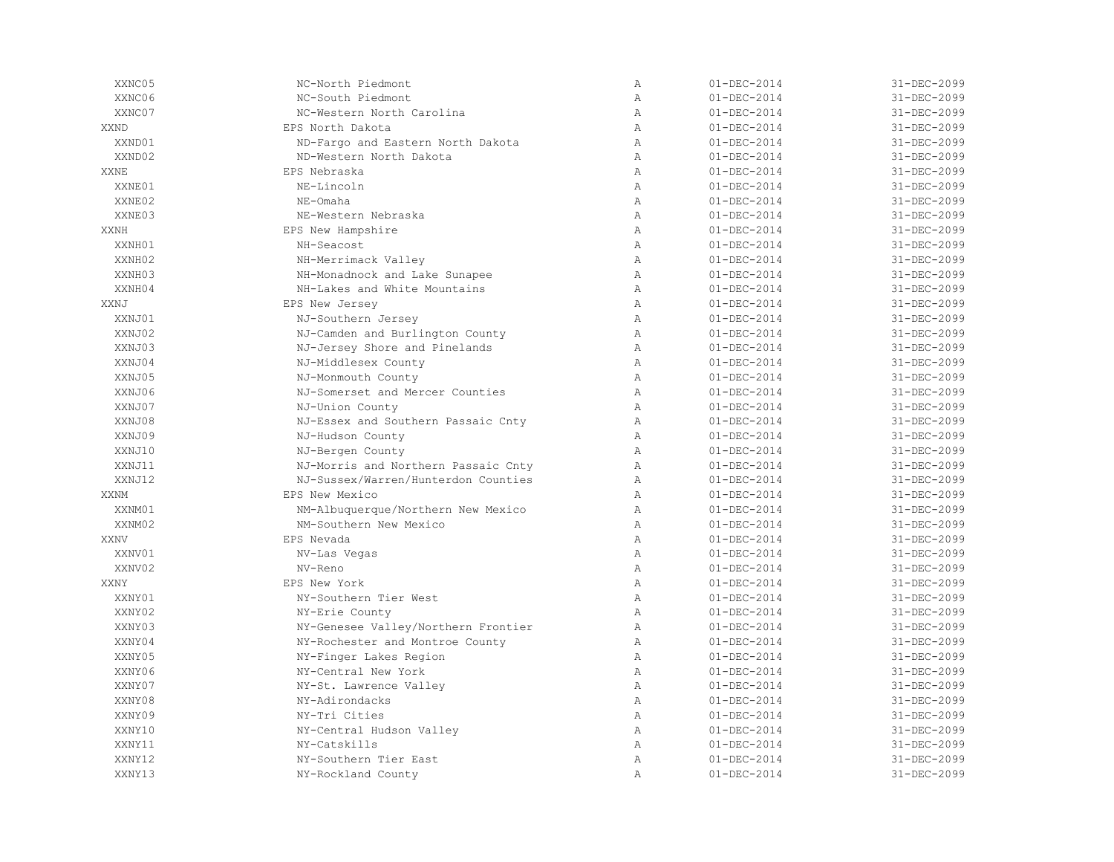| XXNC05      | NC-North Piedmont                   | Α              | $01 - DEC - 2014$ | 31-DEC-2099 |
|-------------|-------------------------------------|----------------|-------------------|-------------|
| XXNC06      | NC-South Piedmont                   | $\overline{A}$ | $01 - DEC - 2014$ | 31-DEC-2099 |
| XXNC07      | NC-Western North Carolina           | $\mathbb{A}$   | $01 - DEC - 2014$ | 31-DEC-2099 |
| XXND        | EPS North Dakota                    | $\mathbb{A}$   | $01 - DEC - 2014$ | 31-DEC-2099 |
| XXND01      | ND-Fargo and Eastern North Dakota   | $\mathbb{A}$   | $01 - DEC - 2014$ | 31-DEC-2099 |
| XXND02      | ND-Western North Dakota             | $\mathbb{A}$   | $01 - DEC - 2014$ | 31-DEC-2099 |
| XXNE        | EPS Nebraska                        | $\mathbb{A}$   | $01 - DEC - 2014$ | 31-DEC-2099 |
| XXNE01      | NE-Lincoln                          | $\overline{A}$ | $01 - DEC - 2014$ | 31-DEC-2099 |
| XXNE02      | NE-Omaha                            | $\mathbb{A}$   | $01 - DEC - 2014$ | 31-DEC-2099 |
| XXNE03      | NE-Western Nebraska                 | $\mathbb{A}$   | $01 - DEC - 2014$ | 31-DEC-2099 |
| <b>XXNH</b> | EPS New Hampshire                   | $\overline{A}$ | $01 - DEC - 2014$ | 31-DEC-2099 |
| XXNH01      | NH-Seacost                          | $\, {\bf A}$   | $01 - DEC - 2014$ | 31-DEC-2099 |
| XXNH02      | NH-Merrimack Valley                 | $\mathbb{A}$   | $01 - DEC - 2014$ | 31-DEC-2099 |
| XXNH03      | NH-Monadnock and Lake Sunapee       | $\mathbb{A}$   | $01 - DEC - 2014$ | 31-DEC-2099 |
| XXNH04      | NH-Lakes and White Mountains        | Α              | $01 - DEC - 2014$ | 31-DEC-2099 |
| XXNJ        | EPS New Jersey                      | $\mathbb{A}$   | $01 - DEC - 2014$ | 31-DEC-2099 |
| XXNJ01      | NJ-Southern Jersey                  | $\mathbb{A}$   | $01 - DEC - 2014$ | 31-DEC-2099 |
| XXNJ02      | NJ-Camden and Burlington County     | $\mathbb{A}$   | $01 - DEC - 2014$ | 31-DEC-2099 |
| XXNJ03      | NJ-Jersey Shore and Pinelands       | $\mathbb{A}$   | $01 - DEC - 2014$ | 31-DEC-2099 |
| XXNJ04      | NJ-Middlesex County                 | $\mathbb{A}$   | $01 - DEC - 2014$ | 31-DEC-2099 |
| XXNJ05      | NJ-Monmouth County                  | $\mathbb{A}$   | $01 - DEC - 2014$ | 31-DEC-2099 |
| XXNJ06      | NJ-Somerset and Mercer Counties     | $\overline{A}$ | $01 - DEC - 2014$ | 31-DEC-2099 |
| XXNJ07      | NJ-Union County                     | $\lambda$      | $01 - DEC - 2014$ | 31-DEC-2099 |
| XXNJ08      | NJ-Essex and Southern Passaic Cnty  | $\mathbb{A}$   | $01 - DEC - 2014$ | 31-DEC-2099 |
| XXNJ09      | NJ-Hudson County                    | $\mathbb{A}$   | $01 - DEC - 2014$ | 31-DEC-2099 |
| XXNJ10      | NJ-Bergen County                    | $\mathbb{A}$   | $01 - DEC - 2014$ | 31-DEC-2099 |
| XXNJ11      | NJ-Morris and Northern Passaic Cnty | $\mathbb{A}$   | $01 - DEC - 2014$ | 31-DEC-2099 |
| XXNJ12      | NJ-Sussex/Warren/Hunterdon Counties | $\, {\bf A}$   | $01 - DEC - 2014$ | 31-DEC-2099 |
| XXNM        | EPS New Mexico                      | $\mathbb{A}$   | $01 - DEC - 2014$ | 31-DEC-2099 |
| XXNM01      | NM-Albuquerque/Northern New Mexico  | $\mathbb{A}$   | $01 - DEC - 2014$ | 31-DEC-2099 |
| XXNM02      | NM-Southern New Mexico              | $\overline{A}$ | $01 - DEC - 2014$ | 31-DEC-2099 |
| <b>XXNV</b> | EPS Nevada                          | $\mathbb{A}$   | $01 - DEC - 2014$ | 31-DEC-2099 |
| XXNV01      | NV-Las Vegas                        | $\mathbb{A}$   | $01 - DEC - 2014$ | 31-DEC-2099 |
| XXNV02      | NV-Reno                             | $\mathbb{A}$   | $01 - DEC - 2014$ | 31-DEC-2099 |
| <b>XXNY</b> | EPS New York                        | $\overline{A}$ | $01 - DEC - 2014$ | 31-DEC-2099 |
| XXNY01      | NY-Southern Tier West               | $\lambda$      | $01 - DEC - 2014$ | 31-DEC-2099 |
| XXNY02      | NY-Erie County                      | $\mathbb{A}$   | $01 - DEC - 2014$ | 31-DEC-2099 |
| XXNY03      | NY-Genesee Valley/Northern Frontier | $\mathbb{A}$   | $01 - DEC - 2014$ | 31-DEC-2099 |
| XXNY04      | NY-Rochester and Montroe County     | $\mathbb{A}$   | $01 - DEC - 2014$ | 31-DEC-2099 |
| XXNY05      | NY-Finger Lakes Region              | $\mathbb{A}$   | $01 - DEC - 2014$ | 31-DEC-2099 |
| XXNY06      | NY-Central New York                 | $\mathbb{A}$   | $01 - DEC - 2014$ | 31-DEC-2099 |
| XXNY07      | NY-St. Lawrence Vallev              | $\mathbb{A}$   | $01 - DEC - 2014$ | 31-DEC-2099 |
| XXNY08      | NY-Adirondacks                      | $\overline{A}$ | $01 - DEC - 2014$ | 31-DEC-2099 |
| XXNY09      | NY-Tri Cities                       | $\mathbb{A}$   | $01 - DEC - 2014$ | 31-DEC-2099 |
| XXNY10      | NY-Central Hudson Valley            | Α              | $01 - DEC - 2014$ | 31-DEC-2099 |
| XXNY11      | NY-Catskills                        | $\mathbb{A}$   | $01 - DEC - 2014$ | 31-DEC-2099 |
| XXNY12      | NY-Southern Tier East               | $\overline{A}$ | $01 - DEC - 2014$ | 31-DEC-2099 |
| XXNY13      | NY-Rockland County                  | $\overline{A}$ | $01 - DEC - 2014$ | 31-DEC-2099 |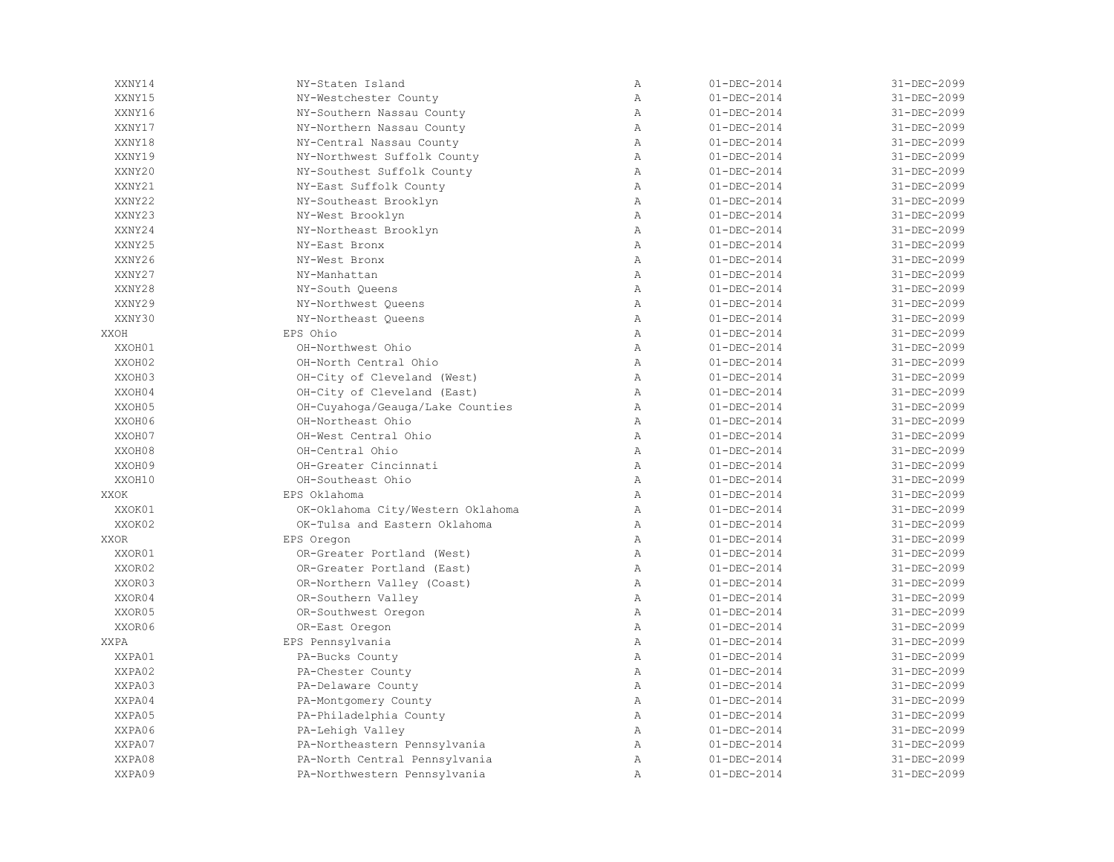| XXNY14      | NY-Staten Island                  | Α              | $01 - DEC - 2014$ | 31-DEC-2099 |
|-------------|-----------------------------------|----------------|-------------------|-------------|
| XXNY15      | NY-Westchester County             | $\overline{A}$ | $01 - DEC - 2014$ | 31-DEC-2099 |
| XXNY16      | NY-Southern Nassau County         | $\mathbb{A}$   | $01 - DEC - 2014$ | 31-DEC-2099 |
| XXNY17      | NY-Northern Nassau County         | $\mathbb{A}$   | $01 - DEC - 2014$ | 31-DEC-2099 |
| XXNY18      | NY-Central Nassau County          | $\mathbb{A}$   | $01 - DEC - 2014$ | 31-DEC-2099 |
| XXNY19      | NY-Northwest Suffolk County       | Α              | $01 - DEC - 2014$ | 31-DEC-2099 |
| XXNY20      | NY-Southest Suffolk County        | $\overline{A}$ | $01 - DEC - 2014$ | 31-DEC-2099 |
| XXNY21      | NY-East Suffolk County            | $\mathbb{A}$   | $01 - DEC - 2014$ | 31-DEC-2099 |
| XXNY22      | NY-Southeast Brooklyn             | $\mathbb{A}$   | $01 - DEC - 2014$ | 31-DEC-2099 |
| XXNY23      | NY-West Brooklyn                  | $\mathbb{A}$   | $01 - DEC - 2014$ | 31-DEC-2099 |
| XXNY24      | NY-Northeast Brooklyn             | $\mathbb{A}$   | $01 - DEC - 2014$ | 31-DEC-2099 |
| XXNY25      | NY-East Bronx                     | $\, {\bf A}$   | $01 - DEC - 2014$ | 31-DEC-2099 |
| XXNY26      | NY-West Bronx                     | $\overline{A}$ | $01 - DEC - 2014$ | 31-DEC-2099 |
| XXNY27      | NY-Manhattan                      | $\overline{A}$ | $01 - DEC - 2014$ | 31-DEC-2099 |
| XXNY28      | NY-South Oueens                   | $\mathbb{A}$   | $01 - DEC - 2014$ | 31-DEC-2099 |
| XXNY29      | NY-Northwest Queens               | $\mathbb{A}$   | $01 - DEC - 2014$ | 31-DEC-2099 |
| XXNY30      | NY-Northeast Queens               | Α              | $01 - DEC - 2014$ | 31-DEC-2099 |
| XXOH        | EPS Ohio                          | $\mathbb{A}$   | $01 - DEC - 2014$ | 31-DEC-2099 |
| XXOH01      | OH-Northwest Ohio                 | $\overline{A}$ | $01 - DEC - 2014$ | 31-DEC-2099 |
| XXOH02      | OH-North Central Ohio             | $\mathbb{A}$   | $01 - DEC - 2014$ | 31-DEC-2099 |
| XXOH03      | OH-City of Cleveland (West)       | $\mathbb{A}$   | $01 - DEC - 2014$ | 31-DEC-2099 |
| XXOH04      | OH-City of Cleveland (East)       | $\mathbb{A}$   | $01 - DEC - 2014$ | 31-DEC-2099 |
| XXOH05      | OH-Cuyahoga/Geauga/Lake Counties  | $\mathbb{A}$   | $01 - DEC - 2014$ | 31-DEC-2099 |
| XXOH06      | OH-Northeast Ohio                 | $\, {\bf A}$   | $01 - DEC - 2014$ | 31-DEC-2099 |
| XXOH07      | OH-West Central Ohio              | $\lambda$      | $01 - DEC - 2014$ | 31-DEC-2099 |
| XXOH08      | OH-Central Ohio                   | $\mathbb{A}$   | $01 - DEC - 2014$ | 31-DEC-2099 |
| XXOH09      | OH-Greater Cincinnati             | $\mathbb{A}$   | $01 - DEC - 2014$ | 31-DEC-2099 |
| XXOH10      | OH-Southeast Ohio                 | $\mathbb{A}$   | $01 - DEC - 2014$ | 31-DEC-2099 |
| XXOK        | EPS Oklahoma                      | $\mathbb{A}$   | $01 - DEC - 2014$ | 31-DEC-2099 |
| XXOK01      | OK-Oklahoma City/Western Oklahoma | $\mathbb{A}$   | $01 - DEC - 2014$ | 31-DEC-2099 |
| XXOK02      | OK-Tulsa and Eastern Oklahoma     | Α              | $01 - DEC - 2014$ | 31-DEC-2099 |
| <b>XXOR</b> | EPS Oregon                        | $\mathbb{A}$   | $01 - DEC - 2014$ | 31-DEC-2099 |
| XXOR01      | OR-Greater Portland (West)        | $\mathbb{A}$   | $01 - DEC - 2014$ | 31-DEC-2099 |
| XXOR02      | OR-Greater Portland (East)        | $\mathbb{A}$   | $01 - DEC - 2014$ | 31-DEC-2099 |
| XXOR03      | OR-Northern Valley (Coast)        | $\mathbb{A}$   | $01 - DEC - 2014$ | 31-DEC-2099 |
| XXOR04      | OR-Southern Valley                | $\, {\bf A}$   | $01 - DEC - 2014$ | 31-DEC-2099 |
| XXOR05      | OR-Southwest Oregon               | Α              | $01 - DEC - 2014$ | 31-DEC-2099 |
| XXOR06      | OR-East Oregon                    | $\mathbb{A}$   | $01 - DEC - 2014$ | 31-DEC-2099 |
| XXPA        | EPS Pennsylvania                  | $\mathbb{A}$   | $01 - DEC - 2014$ | 31-DEC-2099 |
| XXPA01      | PA-Bucks County                   | $\mathbb{A}$   | $01 - DEC - 2014$ | 31-DEC-2099 |
| XXPA02      | PA-Chester County                 | $\mathbb{A}$   | $01 - DEC - 2014$ | 31-DEC-2099 |
| XXPA03      | PA-Delaware County                | $\, {\bf A}$   | $01 - DEC - 2014$ | 31-DEC-2099 |
| XXPA04      | PA-Montgomery County              | Α              | $01 - DEC - 2014$ | 31-DEC-2099 |
| XXPA05      | PA-Philadelphia County            | $\mathbb{A}$   | $01 - DEC - 2014$ | 31-DEC-2099 |
| XXPA06      | PA-Lehigh Valley                  | $\mathbb{A}$   | $01 - DEC - 2014$ | 31-DEC-2099 |
| XXPA07      | PA-Northeastern Pennsylvania      | $\mathbb{A}$   | $01 - DEC - 2014$ | 31-DEC-2099 |
| XXPA08      | PA-North Central Pennsylvania     | Α              | $01 - DEC - 2014$ | 31-DEC-2099 |
| XXPA09      | PA-Northwestern Pennsylvania      | Α              | $01 - DEC - 2014$ | 31-DEC-2099 |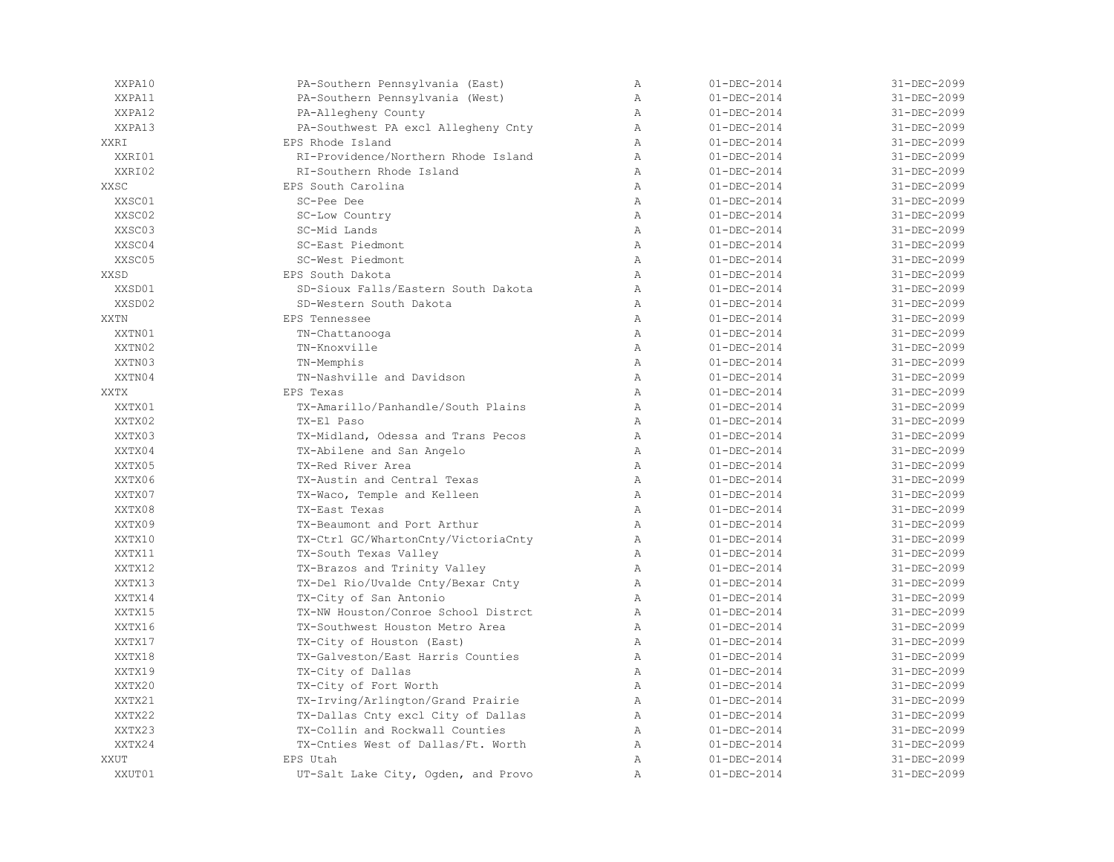| XXPA10      | PA-Southern Pennsylvania (East)     | $\mathbb{A}$   | $01 - DEC - 2014$ | 31-DEC-2099 |
|-------------|-------------------------------------|----------------|-------------------|-------------|
| XXPA11      | PA-Southern Pennsylvania (West)     | Α              | $01 - DEC - 2014$ | 31-DEC-2099 |
| XXPA12      | PA-Allegheny County                 | Α              | $01 - DEC - 2014$ | 31-DEC-2099 |
| XXPA13      | PA-Southwest PA excl Allegheny Cnty | $\mathbb{A}$   | $01 - DEC - 2014$ | 31-DEC-2099 |
| <b>XXRT</b> | EPS Rhode Island                    | $\lambda$      | $01 - DEC - 2014$ | 31-DEC-2099 |
| XXRI01      | RT-Providence/Northern Rhode Island | $\lambda$      | $01 - DEC - 2014$ | 31-DEC-2099 |
| XXRI02      | RI-Southern Rhode Island            | $\mathbb{A}$   | $01 - DEC - 2014$ | 31-DEC-2099 |
| XXSC        | EPS South Carolina                  | $\mathbb{A}$   | $01 - DEC - 2014$ | 31-DEC-2099 |
| XXSC01      | SC-Pee Dee                          | $\mathbb{A}$   | $01 - DEC - 2014$ | 31-DEC-2099 |
| XXSC02      | SC-Low Country                      | $\mathbb{A}$   | $01 - DEC - 2014$ | 31-DEC-2099 |
| XXSC03      | SC-Mid Lands                        | $\mathbb{A}$   | $01 - DEC - 2014$ | 31-DEC-2099 |
| XXSC04      | SC-East Piedmont                    | $\mathbb{A}$   | $01 - DEC - 2014$ | 31-DEC-2099 |
| XXSC05      | SC-West Piedmont                    | A              | $01 - DEC - 2014$ | 31-DEC-2099 |
| XXSD        | EPS South Dakota                    | A              | $01 - DEC - 2014$ | 31-DEC-2099 |
| XXSD01      | SD-Sioux Falls/Eastern South Dakota | $\, {\bf A}$   | $01 - DEC - 2014$ | 31-DEC-2099 |
| XXSD02      | SD-Western South Dakota             | $\mathbb{A}$   | $01 - DEC - 2014$ | 31-DEC-2099 |
| <b>XXTN</b> | EPS Tennessee                       | $\mathbb{A}$   | $01 - DEC - 2014$ | 31-DEC-2099 |
| XXTN01      | TN-Chattanooga                      | $\lambda$      | $01 - DEC - 2014$ | 31-DEC-2099 |
| XXTN02      | TN-Knoxville                        | $\mathbb{A}$   | $01 - DEC - 2014$ | 31-DEC-2099 |
| XXTN03      | TN-Memphis                          | A              | $01 - DEC - 2014$ | 31-DEC-2099 |
| XXTN04      | TN-Nashville and Davidson           | $\mathbb{A}$   | $01 - DEC - 2014$ | 31-DEC-2099 |
| XXTX        | <b>EPS Texas</b>                    | $\lambda$      | $01 - DEC - 2014$ | 31-DEC-2099 |
| XXTX01      | TX-Amarillo/Panhandle/South Plains  | $\lambda$      | $01 - DEC - 2014$ | 31-DEC-2099 |
| XXTX02      | TX-El Paso                          | Α              | $01 - DEC - 2014$ | 31-DEC-2099 |
| XXTX03      | TX-Midland, Odessa and Trans Pecos  | Α              | $01 - DEC - 2014$ | 31-DEC-2099 |
| XXTX04      | TX-Abilene and San Angelo           | $\lambda$      | $01 - DEC - 2014$ | 31-DEC-2099 |
| XXTX05      | TX-Red River Area                   | $\lambda$      | $01 - DEC - 2014$ | 31-DEC-2099 |
| XXTX06      | TX-Austin and Central Texas         | $\mathbb{A}$   | $01 - DEC - 2014$ | 31-DEC-2099 |
| XXTX07      | TX-Waco, Temple and Kelleen         | $\mathbb{A}$   | $01 - DEC - 2014$ | 31-DEC-2099 |
| XXTX08      | TX-East Texas                       | A              | $01 - DEC - 2014$ | 31-DEC-2099 |
| XXTX09      | TX-Beaumont and Port Arthur         | A              | $01 - DEC - 2014$ | 31-DEC-2099 |
| XXTX10      | TX-Ctrl GC/WhartonCnty/VictoriaCnty | A              | $01 - DEC - 2014$ | 31-DEC-2099 |
| XXTX11      | TX-South Texas Valley               | A              | $01 - DEC - 2014$ | 31-DEC-2099 |
| XXTX12      | TX-Brazos and Trinity Valley        | A              | $01 - DEC - 2014$ | 31-DEC-2099 |
| XXTX13      | TX-Del Rio/Uvalde Cnty/Bexar Cnty   | Α              | $01 - DEC - 2014$ | 31-DEC-2099 |
| XXTX14      | TX-City of San Antonio              | $\lambda$      | $01 - DEC - 2014$ | 31-DEC-2099 |
| XXTX15      | TX-NW Houston/Conroe School Distrct | A              | $01 - DEC - 2014$ | 31-DEC-2099 |
| XXTX16      | TX-Southwest Houston Metro Area     | $\lambda$      | $01 - DEC - 2014$ | 31-DEC-2099 |
| XXTX17      | TX-City of Houston (East)           | $\lambda$      | $01 - DEC - 2014$ | 31-DEC-2099 |
| XXTX18      | TX-Galveston/East Harris Counties   | $\mathbb{A}$   | $01 - DEC - 2014$ | 31-DEC-2099 |
| XXTX19      | TX-City of Dallas                   | $\mathbb{A}$   | $01 - DEC - 2014$ | 31-DEC-2099 |
| XXTX20      | TX-City of Fort Worth               | A              | $01 - DEC - 2014$ | 31-DEC-2099 |
| XXTX21      | TX-Irving/Arlington/Grand Prairie   | A              | $01 - DEC - 2014$ | 31-DEC-2099 |
| XXTX22      | TX-Dallas Cnty excl City of Dallas  | A              | $01 - DEC - 2014$ | 31-DEC-2099 |
| XXTX23      | TX-Collin and Rockwall Counties     | Α              | $01 - DEC - 2014$ | 31-DEC-2099 |
| XXTX24      | TX-Cnties West of Dallas/Ft. Worth  | $\mathbb{A}$   | $01 - DEC - 2014$ | 31-DEC-2099 |
| XXUT        | EPS Utah                            | $\mathbb{A}$   | $01 - DEC - 2014$ | 31-DEC-2099 |
| XXUT01      | UT-Salt Lake City, Ogden, and Provo | $\overline{A}$ | $01 - DEC - 2014$ | 31-DEC-2099 |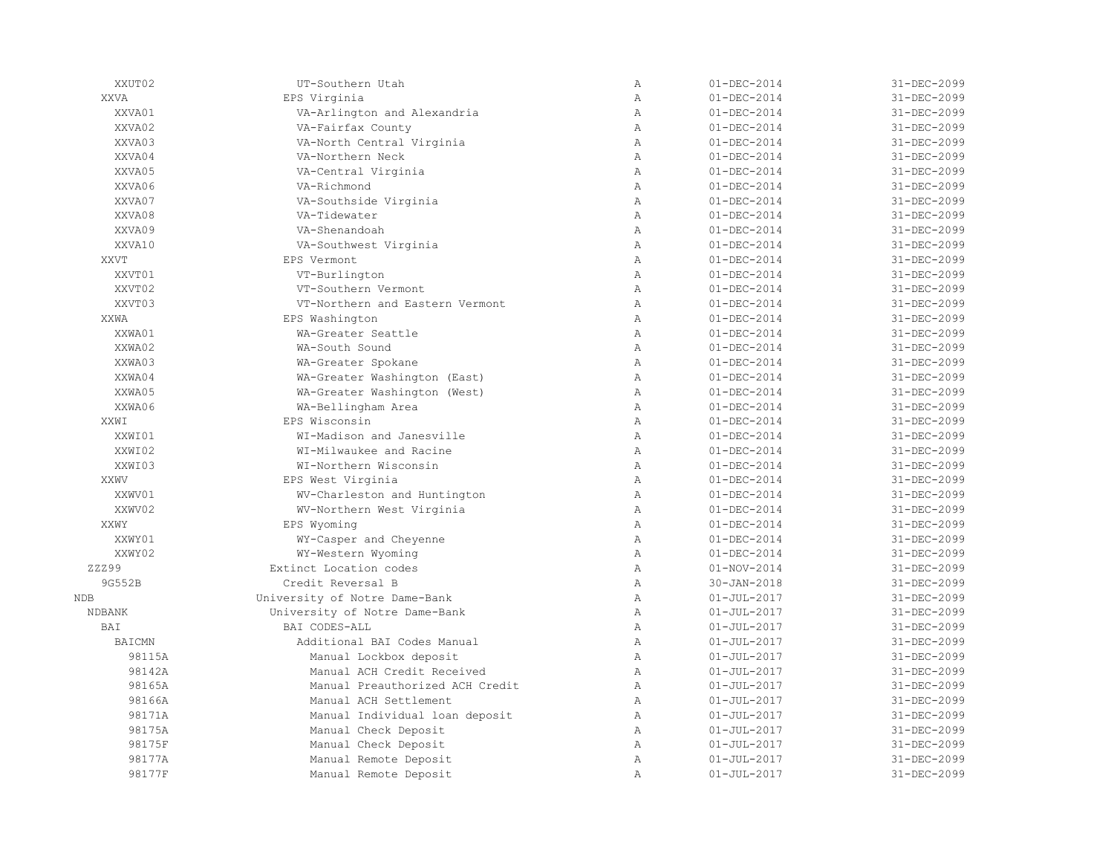| XXUT02        | UT-Southern Utah                | Α              | $01 - DEC - 2014$ | 31-DEC-2099 |
|---------------|---------------------------------|----------------|-------------------|-------------|
| <b>XXVA</b>   | EPS Virginia                    | $\overline{A}$ | $01 - DEC - 2014$ | 31-DEC-2099 |
| XXVA01        | VA-Arlington and Alexandria     | $\mathbb{A}$   | $01 - DEC - 2014$ | 31-DEC-2099 |
| XXVA02        | VA-Fairfax County               | $\mathbb{A}$   | $01 - DEC - 2014$ | 31-DEC-2099 |
| XXVA03        | VA-North Central Virginia       | $\mathbb{A}$   | $01 - DEC - 2014$ | 31-DEC-2099 |
| XXVA04        | VA-Northern Neck                | A              | $01 - DEC - 2014$ | 31-DEC-2099 |
| XXVA05        | VA-Central Virginia             | $\overline{A}$ | $01 - DEC - 2014$ | 31-DEC-2099 |
| XXVA06        | VA-Richmond                     | $\mathbb{A}$   | $01 - DEC - 2014$ | 31-DEC-2099 |
| XXVA07        | VA-Southside Virginia           | $\mathbb{A}$   | $01 - DEC - 2014$ | 31-DEC-2099 |
| XXVA08        | VA-Tidewater                    | $\mathbb{A}$   | $01 - DEC - 2014$ | 31-DEC-2099 |
| XXVA09        | VA-Shenandoah                   | $\mathbb{A}$   | $01 - DEC - 2014$ | 31-DEC-2099 |
| XXVA10        | VA-Southwest Virginia           | Α              | $01 - DEC - 2014$ | 31-DEC-2099 |
| XXVT          | EPS Vermont                     | $\overline{A}$ | $01 - DEC - 2014$ | 31-DEC-2099 |
| XXVT01        | VT-Burlington                   | $\overline{A}$ | $01 - DEC - 2014$ | 31-DEC-2099 |
| XXVT02        | VT-Southern Vermont             | $\mathbb{A}$   | $01 - DEC - 2014$ | 31-DEC-2099 |
| XXVT03        | VT-Northern and Eastern Vermont | $\mathbb{A}$   | $01 - DEC - 2014$ | 31-DEC-2099 |
| XXWA          | EPS Washington                  | Α              | $01 - DEC - 2014$ | 31-DEC-2099 |
| XXWA01        | WA-Greater Seattle              | $\mathbb{A}$   | $01 - DEC - 2014$ | 31-DEC-2099 |
| XXWA02        | WA-South Sound                  | $\overline{A}$ | $01 - DEC - 2014$ | 31-DEC-2099 |
| XXWA03        | WA-Greater Spokane              | $\mathbb{A}$   | $01 - DEC - 2014$ | 31-DEC-2099 |
| XXWA04        | WA-Greater Washington (East)    | $\mathbb{A}$   | $01 - DEC - 2014$ | 31-DEC-2099 |
| XXWA05        | WA-Greater Washington (West)    | $\mathbb{A}$   | $01 - DEC - 2014$ | 31-DEC-2099 |
| XXWA06        | WA-Bellingham Area              | $\mathbb{A}$   | $01 - DEC - 2014$ | 31-DEC-2099 |
| XXWI          | EPS Wisconsin                   | Α              | $01 - DEC - 2014$ | 31-DEC-2099 |
| XXWI01        | WI-Madison and Janesville       | Α              | $01 - DEC - 2014$ | 31-DEC-2099 |
| XXWI02        | WT-Milwaukee and Racine         | $\mathbb{A}$   | $01 - DEC - 2014$ | 31-DEC-2099 |
| XXWI03        | WI-Northern Wisconsin           | $\mathbb{A}$   | $01 - DEC - 2014$ | 31-DEC-2099 |
| XXWV          | EPS West Virginia               | $\mathbb{A}$   | $01 - DEC - 2014$ | 31-DEC-2099 |
| XXWV01        | WV-Charleston and Huntington    | $\mathbb{A}$   | $01 - DEC - 2014$ | 31-DEC-2099 |
| XXWV02        | WV-Northern West Virginia       | $\mathbb{A}$   | $01 - DEC - 2014$ | 31-DEC-2099 |
| XXWY          | EPS Wyoming                     | Α              | $01 - DEC - 2014$ | 31-DEC-2099 |
| XXWY01        | WY-Casper and Cheyenne          | $\mathbb{A}$   | $01 - DEC - 2014$ | 31-DEC-2099 |
| XXWY02        | WY-Western Wyoming              | $\mathbb{A}$   | $01 - DEC - 2014$ | 31-DEC-2099 |
| ZZZ99         | Extinct Location codes          | $\mathbb{A}$   | $01 - NOV - 2014$ | 31-DEC-2099 |
| 9G552B        | Credit Reversal B               | $\mathbb{A}$   | $30 - JAN - 2018$ | 31-DEC-2099 |
| NDB           | University of Notre Dame-Bank   | Α              | $01 - JUL - 2017$ | 31-DEC-2099 |
| <b>NDBANK</b> | University of Notre Dame-Bank   | Α              | $01 - JUL - 2017$ | 31-DEC-2099 |
| BAI           | BAT CODES-ALL                   | $\mathbb{A}$   | $01 - JUL - 2017$ | 31-DEC-2099 |
| <b>BAICMN</b> | Additional BAI Codes Manual     | $\mathbb{A}$   | $01 - JUL - 2017$ | 31-DEC-2099 |
| 98115A        | Manual Lockbox deposit          | $\mathbb{A}$   | $01 - JUL - 2017$ | 31-DEC-2099 |
| 98142A        | Manual ACH Credit Received      | $\mathbb{A}$   | $01 - JUL - 2017$ | 31-DEC-2099 |
| 98165A        | Manual Preauthorized ACH Credit | $\mathbb{A}$   | $01 - JUL - 2017$ | 31-DEC-2099 |
| 98166A        | Manual ACH Settlement           | Α              | $01 - JUL - 2017$ | 31-DEC-2099 |
| 98171A        | Manual Individual loan deposit  | $\mathbb{A}$   | $01 - JUL - 2017$ | 31-DEC-2099 |
| 98175A        | Manual Check Deposit            | $\mathbb{A}$   | $01 - JUL - 2017$ | 31-DEC-2099 |
| 98175F        | Manual Check Deposit            | $\mathbb{A}$   | $01 - JUL - 2017$ | 31-DEC-2099 |
| 98177A        | Manual Remote Deposit           | Α              | $01 - JUL - 2017$ | 31-DEC-2099 |
| 98177F        | Manual Remote Deposit           | Α              | $01 - JUL - 2017$ | 31-DEC-2099 |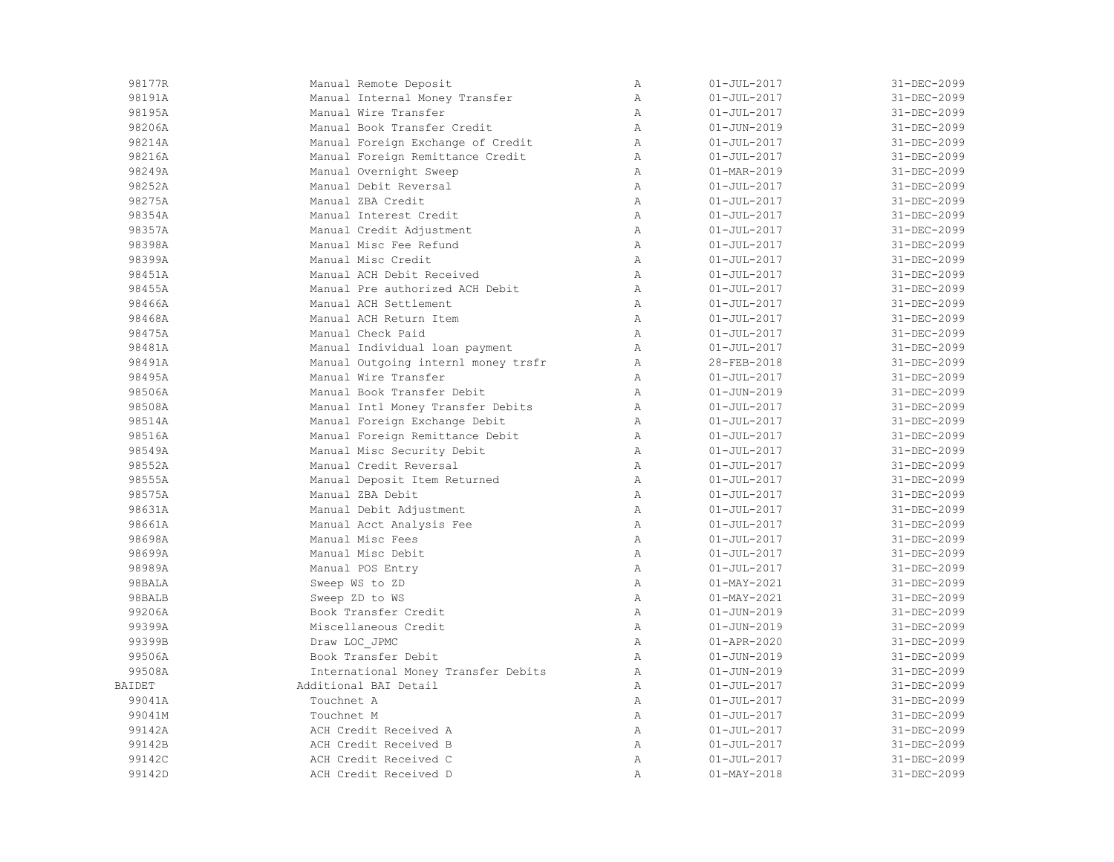| 98177R        | Manual Remote Deposit               | $\mathbb{A}$ | $01 - JUL - 2017$        | 31-DEC-2099 |
|---------------|-------------------------------------|--------------|--------------------------|-------------|
| 98191A        | Manual Internal Money Transfer      | Α            | $01 - JUL - 2017$        | 31-DEC-2099 |
| 98195A        | Manual Wire Transfer                | $\mathbb{A}$ | $01 - JUL - 2017$        | 31-DEC-2099 |
| 98206A        | Manual Book Transfer Credit         | $\mathbb{A}$ | $01 - JUN - 2019$        | 31-DEC-2099 |
| 98214A        | Manual Foreign Exchange of Credit   | $\mathbb{A}$ | $01 - JUL - 2017$        | 31-DEC-2099 |
| 98216A        | Manual Foreign Remittance Credit    | Α            | $01 - JUL - 2017$        | 31-DEC-2099 |
| 98249A        | Manual Overnight Sweep              | Α            | 01-MAR-2019              | 31-DEC-2099 |
| 98252A        | Manual Debit Reversal               | Α            | $01 - JUL - 2017$        | 31-DEC-2099 |
| 98275A        | Manual ZBA Credit                   | Α            | $01 - JUL - 2017$        | 31-DEC-2099 |
| 98354A        | Manual Interest Credit              | Α            | $01 - JUL - 2017$        | 31-DEC-2099 |
| 98357A        | Manual Credit Adjustment            | $\mathbb{A}$ | $01 - JUL - 2017$        | 31-DEC-2099 |
| 98398A        | Manual Misc Fee Refund              | $\mathbb{A}$ | $01 - JUL - 2017$        | 31-DEC-2099 |
| 98399A        | Manual Misc Credit                  | $\mathbb{A}$ | $01 - JUL - 2017$        | 31-DEC-2099 |
| 98451A        | Manual ACH Debit Received           | $\mathbb{A}$ | $01 - JUL - 2017$        | 31-DEC-2099 |
| 98455A        | Manual Pre authorized ACH Debit     | Α            | $01 - JUL - 2017$        | 31-DEC-2099 |
| 98466A        | Manual ACH Settlement               | Α            | $01 - JUL - 2017$        | 31-DEC-2099 |
| 98468A        | Manual ACH Return Item              | Α            | $01 - JUL - 2017$        | 31-DEC-2099 |
| 98475A        | Manual Check Paid                   | Α            | $01 - JUL - 2017$        | 31-DEC-2099 |
| 98481A        | Manual Individual loan payment      | $\mathbb{A}$ | $01 - JUL - 2017$        | 31-DEC-2099 |
| 98491A        | Manual Outgoing internl money trsfr | Α            | 28-FEB-2018              | 31-DEC-2099 |
| 98495A        | Manual Wire Transfer                | $\mathbb{A}$ | $01 - JUL - 2017$        | 31-DEC-2099 |
| 98506A        | Manual Book Transfer Debit          | Α            | $01 - JUN - 2019$        | 31-DEC-2099 |
| 98508A        | Manual Intl Money Transfer Debits   | Α            | $01 - JUL - 2017$        | 31-DEC-2099 |
| 98514A        | Manual Foreign Exchange Debit       | Α            | $01 - JUL - 2017$        | 31-DEC-2099 |
| 98516A        | Manual Foreign Remittance Debit     | Α            | $01 - JUL - 2017$        | 31-DEC-2099 |
| 98549A        | Manual Misc Security Debit          | Α            | $01 - JUL - 2017$        | 31-DEC-2099 |
| 98552A        | Manual Credit Reversal              | $\mathbb{A}$ | $01 - JUL - 2017$        | 31-DEC-2099 |
| 98555A        | Manual Deposit Item Returned        | $\mathbb{A}$ | $01 - JUL - 2017$        | 31-DEC-2099 |
| 98575A        | Manual ZBA Debit                    | Α            | $01 - JUL - 2017$        | 31-DEC-2099 |
| 98631A        | Manual Debit Adjustment             | A            | $01 - JUL - 2017$        | 31-DEC-2099 |
| 98661A        | Manual Acct Analysis Fee            | Α            | $01 - JUL - 2017$        | 31-DEC-2099 |
| 98698A        | Manual Misc Fees                    | Α            | $01 - JUL - 2017$        | 31-DEC-2099 |
| 98699A        | Manual Misc Debit                   | Α            | $01 - JUL - 2017$        | 31-DEC-2099 |
| 98989A        | Manual POS Entry                    | Α            | $01 - JUL - 2017$        | 31-DEC-2099 |
| 98BALA        | Sweep WS to ZD                      | $\mathbb{A}$ | $01 - \text{MAX} - 2021$ | 31-DEC-2099 |
| 98BALB        | Sweep ZD to WS                      | $\mathbb{A}$ | $01 - MAX - 2021$        | 31-DEC-2099 |
| 99206A        | Book Transfer Credit                | $\mathbb{A}$ | $01 - JUN - 2019$        | 31-DEC-2099 |
| 99399A        | Miscellaneous Credit                | Α            | $01 - JUN - 2019$        | 31-DEC-2099 |
| 99399B        | Draw LOC JPMC                       | Α            | $01 - APR - 2020$        | 31-DEC-2099 |
| 99506A        | Book Transfer Debit                 | Α            | $01 - JUN - 2019$        | 31-DEC-2099 |
| 99508A        | International Money Transfer Debits | Α            | $01 - JUN - 2019$        | 31-DEC-2099 |
| <b>BAIDET</b> | Additional BAI Detail               | $\mathbb{A}$ | $01 - JUL - 2017$        | 31-DEC-2099 |
| 99041A        | Touchnet A                          | $\mathbb{A}$ | $01 - JUL - 2017$        | 31-DEC-2099 |
| 99041M        | Touchnet M                          | Α            | $01 - JUL - 2017$        | 31-DEC-2099 |
| 99142A        | ACH Credit Received A               | $\mathbb{A}$ | $01 - JUL - 2017$        | 31-DEC-2099 |
| 99142B        | ACH Credit Received B               | $\mathbb{A}$ | $01 - JUL - 2017$        | 31-DEC-2099 |
| 99142C        | ACH Credit Received C               | Α            | $01 - JUL - 2017$        | 31-DEC-2099 |
| 99142D        | ACH Credit Received D               | Α            | $01 - MAX - 2018$        | 31-DEC-2099 |
|               |                                     |              |                          |             |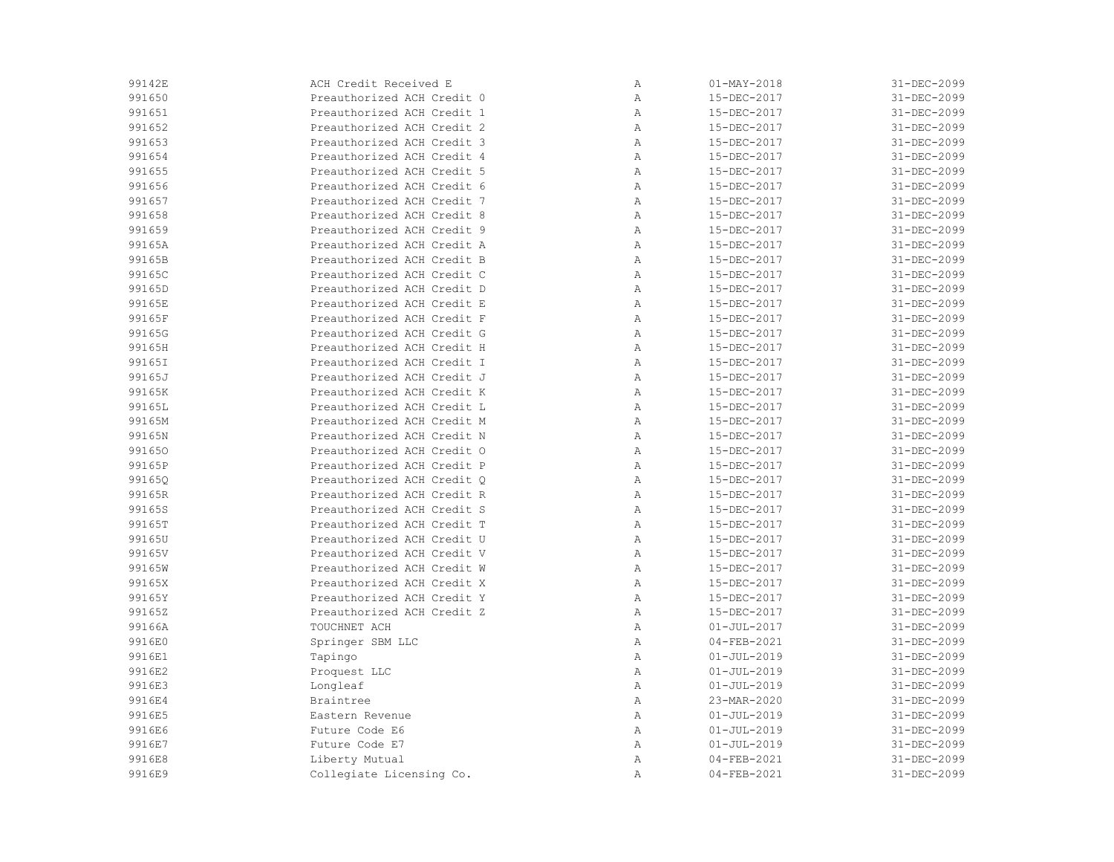| 99142E | ACH Credit Received E      | Α            | $01 - MAX - 2018$ | 31-DEC-2099 |
|--------|----------------------------|--------------|-------------------|-------------|
| 991650 | Preauthorized ACH Credit 0 | Α            | 15-DEC-2017       | 31-DEC-2099 |
| 991651 | Preauthorized ACH Credit 1 | Α            | 15-DEC-2017       | 31-DEC-2099 |
| 991652 | Preauthorized ACH Credit 2 | Α            | 15-DEC-2017       | 31-DEC-2099 |
| 991653 | Preauthorized ACH Credit 3 | Α            | 15-DEC-2017       | 31-DEC-2099 |
| 991654 | Preauthorized ACH Credit 4 | Α            | 15-DEC-2017       | 31-DEC-2099 |
| 991655 | Preauthorized ACH Credit 5 | Α            | 15-DEC-2017       | 31-DEC-2099 |
| 991656 | Preauthorized ACH Credit 6 | Α            | 15-DEC-2017       | 31-DEC-2099 |
| 991657 | Preauthorized ACH Credit 7 | Α            | 15-DEC-2017       | 31-DEC-2099 |
| 991658 | Preauthorized ACH Credit 8 | Α            | 15-DEC-2017       | 31-DEC-2099 |
| 991659 | Preauthorized ACH Credit 9 | Α            | 15-DEC-2017       | 31-DEC-2099 |
| 99165A | Preauthorized ACH Credit A | Α            | 15-DEC-2017       | 31-DEC-2099 |
| 99165B | Preauthorized ACH Credit B | Α            | 15-DEC-2017       | 31-DEC-2099 |
| 99165C | Preauthorized ACH Credit C | Α            | 15-DEC-2017       | 31-DEC-2099 |
| 99165D | Preauthorized ACH Credit D | Α            | 15-DEC-2017       | 31-DEC-2099 |
| 99165E | Preauthorized ACH Credit E | Α            | 15-DEC-2017       | 31-DEC-2099 |
| 99165F | Preauthorized ACH Credit F | Α            | 15-DEC-2017       | 31-DEC-2099 |
| 99165G | Preauthorized ACH Credit G | Α            | 15-DEC-2017       | 31-DEC-2099 |
| 99165H | Preauthorized ACH Credit H | Α            | 15-DEC-2017       | 31-DEC-2099 |
| 99165I | Preauthorized ACH Credit I | Α            | 15-DEC-2017       | 31-DEC-2099 |
| 99165J | Preauthorized ACH Credit J | Α            | 15-DEC-2017       | 31-DEC-2099 |
| 99165K | Preauthorized ACH Credit K | Α            | 15-DEC-2017       | 31-DEC-2099 |
| 99165L | Preauthorized ACH Credit L | $\mathbb{A}$ | 15-DEC-2017       | 31-DEC-2099 |
| 99165M | Preauthorized ACH Credit M | Α            | 15-DEC-2017       | 31-DEC-2099 |
| 99165N | Preauthorized ACH Credit N | Α            | 15-DEC-2017       | 31-DEC-2099 |
| 991650 | Preauthorized ACH Credit O | Α            | 15-DEC-2017       | 31-DEC-2099 |
| 99165P | Preauthorized ACH Credit P | Α            | 15-DEC-2017       | 31-DEC-2099 |
| 99165Q | Preauthorized ACH Credit O | Α            | 15-DEC-2017       | 31-DEC-2099 |
| 99165R | Preauthorized ACH Credit R | Α            | 15-DEC-2017       | 31-DEC-2099 |
| 99165S | Preauthorized ACH Credit S | $\mathbb{A}$ | 15-DEC-2017       | 31-DEC-2099 |
| 99165T | Preauthorized ACH Credit T | Α            | 15-DEC-2017       | 31-DEC-2099 |
| 99165U | Preauthorized ACH Credit U | Α            | 15-DEC-2017       | 31-DEC-2099 |
| 99165V | Preauthorized ACH Credit V | Α            | 15-DEC-2017       | 31-DEC-2099 |
| 99165W | Preauthorized ACH Credit W | Α            | 15-DEC-2017       | 31-DEC-2099 |
| 99165X | Preauthorized ACH Credit X | Α            | 15-DEC-2017       | 31-DEC-2099 |
| 99165Y | Preauthorized ACH Credit Y | Α            | 15-DEC-2017       | 31-DEC-2099 |
| 99165Z | Preauthorized ACH Credit Z | Α            | 15-DEC-2017       | 31-DEC-2099 |
| 99166A | TOUCHNET ACH               | Α            | $01 - JUL - 2017$ | 31-DEC-2099 |
| 9916E0 | Springer SBM LLC           | $\mathbb{A}$ | $04 - FEB - 2021$ | 31-DEC-2099 |
| 9916E1 | Tapingo                    | Α            | $01 - JUL - 2019$ | 31-DEC-2099 |
| 9916E2 | Proquest LLC               | Α            | $01 - JUL - 2019$ | 31-DEC-2099 |
| 9916E3 | Longleaf                   | Α            | $01 - JUL - 2019$ | 31-DEC-2099 |
| 9916E4 | Braintree                  | $\mathbb{A}$ | 23-MAR-2020       | 31-DEC-2099 |
| 9916E5 | Eastern Revenue            | Α            | $01 - JUL - 2019$ | 31-DEC-2099 |
| 9916E6 | Future Code E6             | Α            | $01 - JUL - 2019$ | 31-DEC-2099 |
| 9916E7 | Future Code E7             | Α            | $01 - JUL - 2019$ | 31-DEC-2099 |
| 9916E8 | Liberty Mutual             | Α            | $04 - FEB - 2021$ | 31-DEC-2099 |
| 9916E9 | Collegiate Licensing Co.   | Α            | $04 - FEB - 2021$ | 31-DEC-2099 |
|        |                            |              |                   |             |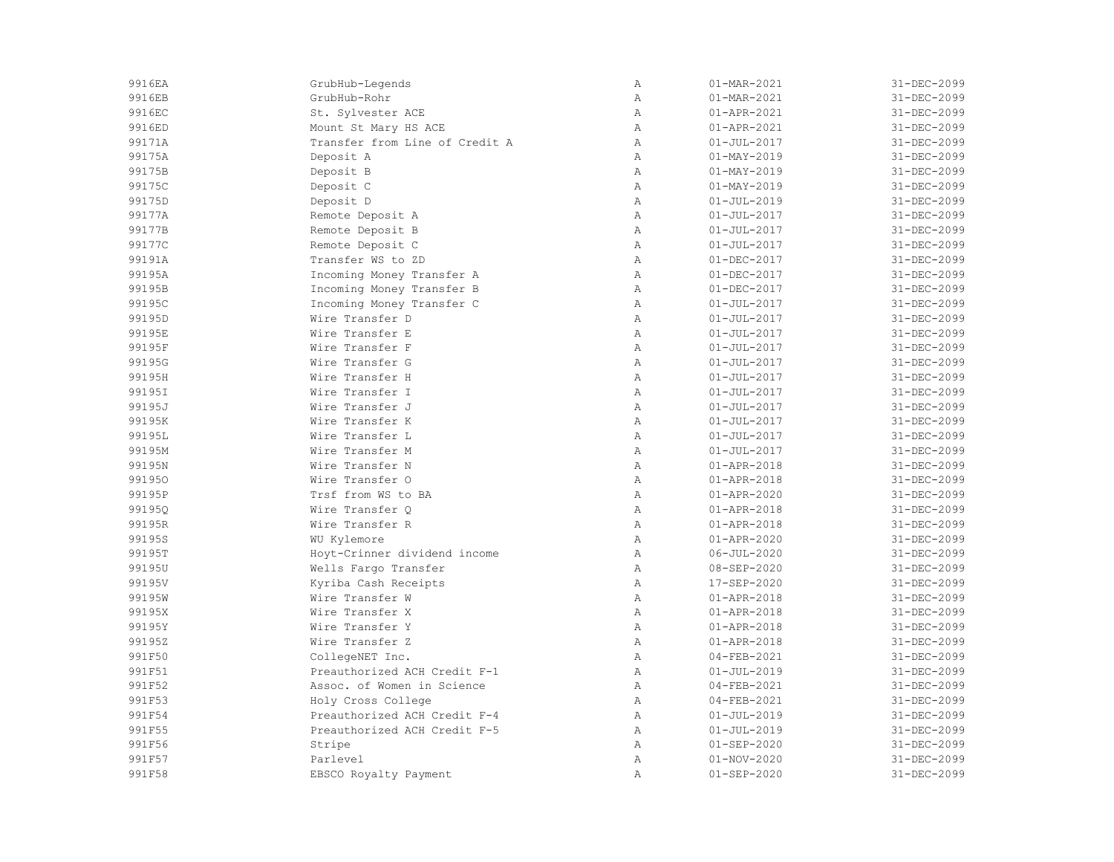| 9916EA | GrubHub-Legends                | $\mathbb{A}$   | 01-MAR-2021       | 31-DEC-2099 |
|--------|--------------------------------|----------------|-------------------|-------------|
| 9916EB | GrubHub-Rohr                   | $\overline{A}$ | 01-MAR-2021       | 31-DEC-2099 |
| 9916EC | St. Sylvester ACE              | $\mathbb{A}$   | 01-APR-2021       | 31-DEC-2099 |
| 9916ED | Mount St Mary HS ACE           | $\mathbb{A}$   | 01-APR-2021       | 31-DEC-2099 |
| 99171A | Transfer from Line of Credit A | $\mathbb{A}$   | $01 - JUL - 2017$ | 31-DEC-2099 |
| 99175A | Deposit A                      | $\mathbb{A}$   | $01 - MAX - 2019$ | 31-DEC-2099 |
| 99175B | Deposit B                      | $\mathbb{A}$   | $01 - MAX - 2019$ | 31-DEC-2099 |
| 99175C | Deposit C                      | $\mathbb{A}$   | $01 - MAX - 2019$ | 31-DEC-2099 |
| 99175D | Deposit D                      | $\mathbb{A}$   | $01 - JUL - 2019$ | 31-DEC-2099 |
| 99177A | Remote Deposit A               | $\, {\bf A}$   | $01 - JUL - 2017$ | 31-DEC-2099 |
| 99177B | Remote Deposit B               | $\, {\bf A}$   | $01 - JUL - 2017$ | 31-DEC-2099 |
| 99177C | Remote Deposit C               | $\mathbb{A}$   | $01 - JUL - 2017$ | 31-DEC-2099 |
| 99191A | Transfer WS to ZD              | $\mathbb{A}$   | $01 - DEC - 2017$ | 31-DEC-2099 |
| 99195A | Incoming Money Transfer A      | $\mathbb{A}$   | $01 - DEC - 2017$ | 31-DEC-2099 |
| 99195B | Incoming Money Transfer B      | Α              | $01 - DEC - 2017$ | 31-DEC-2099 |
| 99195C | Incoming Money Transfer C      | Α              | $01 - JUL - 2017$ | 31-DEC-2099 |
| 99195D | Wire Transfer D                | Α              | $01 - JUL - 2017$ | 31-DEC-2099 |
| 99195E | Wire Transfer E                | $\mathbb{A}$   | $01 - JUL - 2017$ | 31-DEC-2099 |
| 99195F | Wire Transfer F                | $\mathbb{A}$   | $01 - JUL - 2017$ | 31-DEC-2099 |
| 99195G | Wire Transfer G                | Α              | $01 - JUL - 2017$ | 31-DEC-2099 |
| 99195H | Wire Transfer H                | $\overline{A}$ | $01 - JUL - 2017$ | 31-DEC-2099 |
| 99195I | Wire Transfer I                | $\overline{A}$ | $01 - JUL - 2017$ | 31-DEC-2099 |
| 99195J | Wire Transfer J                | $\overline{A}$ | $01 - JUL - 2017$ | 31-DEC-2099 |
| 99195K | Wire Transfer K                | $\mathbb{A}$   | $01 - JUL - 2017$ | 31-DEC-2099 |
| 99195L | Wire Transfer L                | $\mathbb{A}$   | $01 - JUL - 2017$ | 31-DEC-2099 |
| 99195M | Wire Transfer M                | $\mathbb{A}$   | $01 - JUL - 2017$ | 31-DEC-2099 |
| 99195N | Wire Transfer N                | $\mathbb{A}$   | $01 - APR - 2018$ | 31-DEC-2099 |
| 991950 | Wire Transfer O                | $\, {\bf A}$   | $01 - APR - 2018$ | 31-DEC-2099 |
| 99195P | Trsf from WS to BA             | Α              | $01 - APR - 2020$ | 31-DEC-2099 |
| 99195Q | Wire Transfer Q                | $\mathbb{A}$   | $01 - APR - 2018$ | 31-DEC-2099 |
| 99195R | Wire Transfer R                | $\mathbb{A}$   | $01 - APR - 2018$ | 31-DEC-2099 |
| 99195S | WU Kylemore                    | $\mathbb{A}$   | $01 - APR - 2020$ | 31-DEC-2099 |
| 99195T | Hoyt-Crinner dividend income   | $\mathbb{A}$   | $06 - JUL - 2020$ | 31-DEC-2099 |
| 99195U | Wells Fargo Transfer           | $\mathbb{A}$   | $08 - SEP - 2020$ | 31-DEC-2099 |
| 99195V | Kyriba Cash Receipts           | $\mathbb{A}$   | 17-SEP-2020       | 31-DEC-2099 |
| 99195W | Wire Transfer W                | $\mathbb{A}$   | $01 - APR - 2018$ | 31-DEC-2099 |
| 99195X | Wire Transfer X                | $\, {\bf A}$   | $01 - APR - 2018$ | 31-DEC-2099 |
| 99195Y | Wire Transfer Y                | $\lambda$      | $01 - APR - 2018$ | 31-DEC-2099 |
| 99195Z | Wire Transfer Z                | $\lambda$      | $01 - APR - 2018$ | 31-DEC-2099 |
| 991F50 | CollegeNET Inc.                | $\mathbb{A}$   | $04 - FEB - 2021$ | 31-DEC-2099 |
| 991F51 | Preauthorized ACH Credit F-1   | $\mathbb{A}$   | $01 - JUL - 2019$ | 31-DEC-2099 |
| 991F52 | Assoc. of Women in Science     | Α              | $04 - FEB - 2021$ | 31-DEC-2099 |
| 991F53 | Holy Cross College             | $\mathbb{A}$   | $04 - FEB - 2021$ | 31-DEC-2099 |
| 991F54 | Preauthorized ACH Credit F-4   | $\mathbb{A}$   | $01 - JUL - 2019$ | 31-DEC-2099 |
| 991F55 | Preauthorized ACH Credit F-5   | Α              | $01 - JUL - 2019$ | 31-DEC-2099 |
| 991F56 | Stripe                         | $\mathbb{A}$   | $01 - SEP - 2020$ | 31-DEC-2099 |
| 991F57 | Parlevel                       | $\mathbb{A}$   | $01 - NOV - 2020$ | 31-DEC-2099 |
| 991F58 | EBSCO Royalty Payment          | $\overline{A}$ | $01 - SEP - 2020$ | 31-DEC-2099 |
|        |                                |                |                   |             |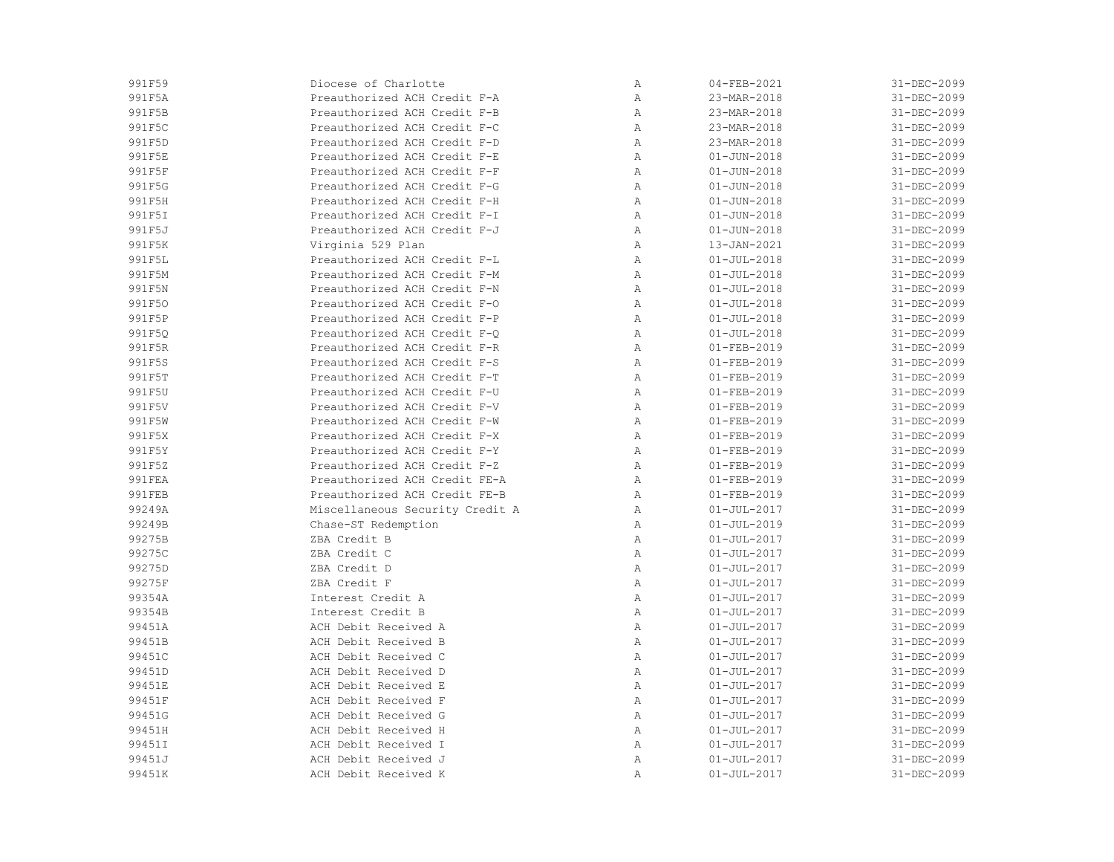| 991F59           | Diocese of Charlotte            | Α                 | $04 - FEB - 2021$                      | 31-DEC-2099                |
|------------------|---------------------------------|-------------------|----------------------------------------|----------------------------|
| 991F5A           | Preauthorized ACH Credit F-A    | Α                 | 23-MAR-2018                            | 31-DEC-2099                |
| 991F5B           | Preauthorized ACH Credit F-B    | Α                 | 23-MAR-2018                            | 31-DEC-2099                |
| 991F5C           | Preauthorized ACH Credit F-C    | Α                 | 23-MAR-2018                            | 31-DEC-2099                |
| 991F5D           | Preauthorized ACH Credit F-D    | $\mathbb{A}$      | 23-MAR-2018                            | 31-DEC-2099                |
| 991F5E           | Preauthorized ACH Credit F-E    | Α                 | $01 - JUN - 2018$                      | 31-DEC-2099                |
| 991F5F           | Preauthorized ACH Credit F-F    | Α                 | $01 - JUN - 2018$                      | 31-DEC-2099                |
| 991F5G           | Preauthorized ACH Credit F-G    | Α                 | $01 - JUN - 2018$                      | 31-DEC-2099                |
| 991F5H           | Preauthorized ACH Credit F-H    | Α                 | $01 - JUN - 2018$                      | 31-DEC-2099                |
| 991F5I           | Preauthorized ACH Credit F-I    | Α                 | $01 - JUN - 2018$                      | 31-DEC-2099                |
| 991F5J           | Preauthorized ACH Credit F-J    | Α                 | $01 - JUN - 2018$                      | 31-DEC-2099                |
| 991F5K           | Virginia 529 Plan               | $\mathbb{A}$      | 13-JAN-2021                            | 31-DEC-2099                |
| 991F5L           | Preauthorized ACH Credit F-L    | $\mathbb{A}$      | $01 - JUL - 2018$                      | 31-DEC-2099                |
| 991F5M           | Preauthorized ACH Credit F-M    | $\mathbb{A}$      | $01 - JUL - 2018$                      | 31-DEC-2099                |
| 991F5N           | Preauthorized ACH Credit F-N    | Α                 | $01 - JUL - 2018$                      | 31-DEC-2099                |
| 991F50           | Preauthorized ACH Credit F-0    | Α                 | $01 - JUL - 2018$                      | 31-DEC-2099                |
| 991F5P           | Preauthorized ACH Credit F-P    | Α                 | $01 - JUL - 2018$                      | 31-DEC-2099                |
| 991F5Q           | Preauthorized ACH Credit F-Q    | Α                 | $01 - JUL - 2018$                      | 31-DEC-2099                |
| 991F5R           | Preauthorized ACH Credit F-R    | $\mathbb{A}$      | $01 - FEB - 2019$                      | 31-DEC-2099                |
| 991F5S           | Preauthorized ACH Credit F-S    | $\mathbb{A}$      | $01 - FEB - 2019$                      | 31-DEC-2099                |
| 991F5T           | Preauthorized ACH Credit F-T    | $\mathbb{A}$      | $01 - FEB - 2019$                      | 31-DEC-2099                |
| 991F5U           | Preauthorized ACH Credit F-U    | Α                 | $01 - FEB - 2019$                      | 31-DEC-2099                |
| 991F5V           | Preauthorized ACH Credit F-V    | Α                 | $01 - FEB - 2019$                      | 31-DEC-2099                |
| 991F5W           | Preauthorized ACH Credit F-W    | Α                 | $01 - FEB - 2019$                      | 31-DEC-2099                |
| 991F5X           | Preauthorized ACH Credit F-X    | Α                 | $01 - FEB - 2019$                      | 31-DEC-2099                |
| 991F5Y           | Preauthorized ACH Credit F-Y    | Α                 | $01 - FEB - 2019$                      | 31-DEC-2099                |
| 991F5Z           | Preauthorized ACH Credit F-Z    | $\mathbb{A}$      | $01 - FEB - 2019$                      | 31-DEC-2099                |
| 991FEA           | Preauthorized ACH Credit FE-A   | $\mathbb{A}$      | $01 - FEB - 2019$                      | 31-DEC-2099                |
| 991FEB           | Preauthorized ACH Credit FE-B   | Α                 | $01 - FEB - 2019$                      | 31-DEC-2099                |
| 99249A           | Miscellaneous Security Credit A | Α                 | $01 - JUL - 2017$                      | 31-DEC-2099                |
| 99249B           | Chase-ST Redemption             | Α                 | $01 - JUL - 2019$                      | 31-DEC-2099                |
| 99275B           | ZBA Credit B                    | Α                 | $01 - JUL - 2017$                      | 31-DEC-2099                |
| 99275C           | ZBA Credit C                    | Α                 | $01 - JUL - 2017$                      | 31-DEC-2099                |
|                  |                                 |                   |                                        |                            |
| 99275D           | ZBA Credit D<br>ZBA Credit F    | Α                 | $01 - JUL - 2017$                      | 31-DEC-2099                |
| 99275F<br>99354A | Interest Credit A               | Α                 | $01 - JUL - 2017$<br>$01 - JUL - 2017$ | 31-DEC-2099<br>31-DEC-2099 |
| 99354B           | Interest Credit B               | Α<br>$\, {\bf A}$ | $01 - JUL - 2017$                      | 31-DEC-2099                |
|                  |                                 |                   |                                        |                            |
| 99451A           | ACH Debit Received A            | Α                 | $01 - JUL - 2017$                      | 31-DEC-2099                |
| 99451B           | ACH Debit Received B            | Α                 | $01 - JUL - 2017$                      | 31-DEC-2099                |
| 99451C           | ACH Debit Received C            | Α                 | $01 - JUL - 2017$                      | 31-DEC-2099                |
| 99451D           | ACH Debit Received D            | Α                 | $01 - JUL - 2017$                      | 31-DEC-2099                |
| 99451E           | ACH Debit Received E            | Α                 | $01 - JUL - 2017$                      | 31-DEC-2099                |
| 99451F           | ACH Debit Received F            | Α                 | $01 - JUL - 2017$                      | 31-DEC-2099                |
| 99451G           | ACH Debit Received G            | Α                 | $01 - JUL - 2017$                      | 31-DEC-2099                |
| 99451H           | ACH Debit Received H            | Α                 | $01 - JUL - 2017$                      | 31-DEC-2099                |
| 99451I           | ACH Debit Received I            | $\mathbb{A}$      | $01 - JUL - 2017$                      | 31-DEC-2099                |
| 99451J           | ACH Debit Received J            | Α                 | $01 - JUL - 2017$                      | 31-DEC-2099                |
| 99451K           | ACH Debit Received K            | Α                 | $01 - JUL - 2017$                      | 31-DEC-2099                |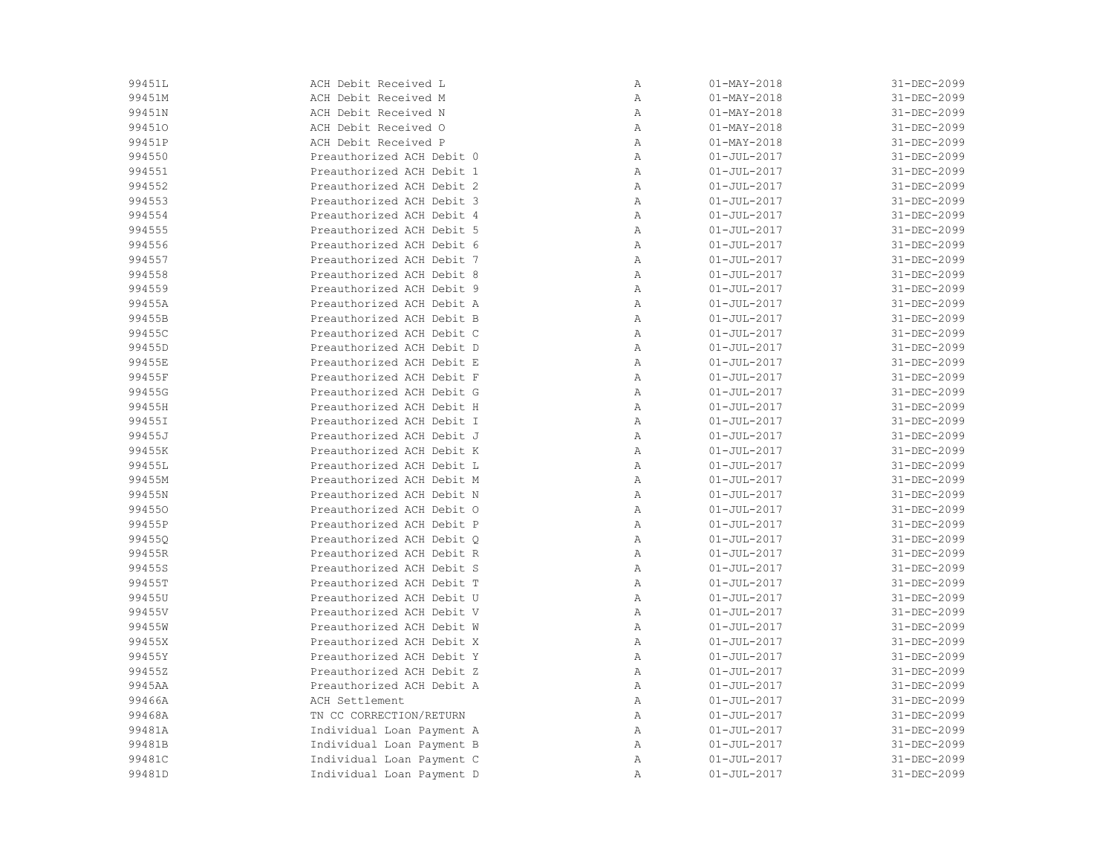| 99451L | ACH Debit Received L      | Α            | $01 - MAX - 2018$        | 31-DEC-2099 |
|--------|---------------------------|--------------|--------------------------|-------------|
| 99451M | ACH Debit Received M      | $\, {\bf A}$ | $01 - \text{MAX} - 2018$ | 31-DEC-2099 |
| 99451N | ACH Debit Received N      | Α            | $01 - MAX - 2018$        | 31-DEC-2099 |
| 994510 | ACH Debit Received O      | Α            | $01 - MAX - 2018$        | 31-DEC-2099 |
| 99451P | ACH Debit Received P      | Α            | $01 - MAX - 2018$        | 31-DEC-2099 |
| 994550 | Preauthorized ACH Debit 0 | Α            | $01 - JUL - 2017$        | 31-DEC-2099 |
| 994551 | Preauthorized ACH Debit 1 | Α            | $01 - JUL - 2017$        | 31-DEC-2099 |
| 994552 | Preauthorized ACH Debit 2 | Α            | $01 - JUL - 2017$        | 31-DEC-2099 |
| 994553 | Preauthorized ACH Debit 3 | Α            | $01 - JUL - 2017$        | 31-DEC-2099 |
| 994554 | Preauthorized ACH Debit 4 | Α            | $01 - JUL - 2017$        | 31-DEC-2099 |
| 994555 | Preauthorized ACH Debit 5 | Α            | $01 - JUL - 2017$        | 31-DEC-2099 |
| 994556 | Preauthorized ACH Debit 6 | Α            | $01 - JUL - 2017$        | 31-DEC-2099 |
| 994557 | Preauthorized ACH Debit 7 | Α            | $01 - JUL - 2017$        | 31-DEC-2099 |
| 994558 | Preauthorized ACH Debit 8 | Α            | $01 - JUL - 2017$        | 31-DEC-2099 |
| 994559 | Preauthorized ACH Debit 9 | Α            | $01 - JUL - 2017$        | 31-DEC-2099 |
| 99455A | Preauthorized ACH Debit A | Α            | $01 - JUL - 2017$        | 31-DEC-2099 |
| 99455B | Preauthorized ACH Debit B | Α            | $01 - JUL - 2017$        | 31-DEC-2099 |
| 99455C | Preauthorized ACH Debit C | Α            | $01 - JUL - 2017$        | 31-DEC-2099 |
| 99455D | Preauthorized ACH Debit D | Α            | $01 - JUL - 2017$        | 31-DEC-2099 |
| 99455E | Preauthorized ACH Debit E | Α            | $01 - JUL - 2017$        | 31-DEC-2099 |
| 99455F | Preauthorized ACH Debit F | Α            | $01 - JUL - 2017$        | 31-DEC-2099 |
| 99455G | Preauthorized ACH Debit G | Α            | $01 - JUL - 2017$        | 31-DEC-2099 |
| 99455H | Preauthorized ACH Debit H | Α            | $01 - JUL - 2017$        | 31-DEC-2099 |
| 99455I | Preauthorized ACH Debit I | Α            | $01 - JUL - 2017$        | 31-DEC-2099 |
| 99455J | Preauthorized ACH Debit J | Α            | $01 - JUL - 2017$        | 31-DEC-2099 |
| 99455K | Preauthorized ACH Debit K | Α            | $01 - JUL - 2017$        | 31-DEC-2099 |
| 99455L | Preauthorized ACH Debit L | Α            | $01 - JUL - 2017$        | 31-DEC-2099 |
| 99455M | Preauthorized ACH Debit M | Α            | $01 - JUL - 2017$        | 31-DEC-2099 |
| 99455N | Preauthorized ACH Debit N | Α            | $01 - JUL - 2017$        | 31-DEC-2099 |
| 994550 | Preauthorized ACH Debit O | $\mathbb{A}$ | $01 - JUL - 2017$        | 31-DEC-2099 |
| 99455P | Preauthorized ACH Debit P | Α            | $01 - JUL - 2017$        | 31-DEC-2099 |
| 99455Q | Preauthorized ACH Debit O | Α            | $01 - JUL - 2017$        | 31-DEC-2099 |
| 99455R | Preauthorized ACH Debit R | Α            | $01 - JUL - 2017$        | 31-DEC-2099 |
| 99455S | Preauthorized ACH Debit S | Α            | $01 - JUL - 2017$        | 31-DEC-2099 |
| 99455T | Preauthorized ACH Debit T | Α            | $01 - JUL - 2017$        | 31-DEC-2099 |
| 99455U | Preauthorized ACH Debit U | Α            | $01 - JUL - 2017$        | 31-DEC-2099 |
| 99455V | Preauthorized ACH Debit V | Α            | $01 - JUL - 2017$        | 31-DEC-2099 |
| 99455W | Preauthorized ACH Debit W | Α            | $01 - JUL - 2017$        | 31-DEC-2099 |
| 99455X | Preauthorized ACH Debit X | Α            | $01 - JUL - 2017$        | 31-DEC-2099 |
| 99455Y | Preauthorized ACH Debit Y | Α            | $01 - JUL - 2017$        | 31-DEC-2099 |
| 99455Z | Preauthorized ACH Debit Z | Α            | $01 - JUL - 2017$        | 31-DEC-2099 |
| 9945AA | Preauthorized ACH Debit A | Α            | $01 - JUL - 2017$        | 31-DEC-2099 |
| 99466A | ACH Settlement            | Α            | $01 - JUL - 2017$        | 31-DEC-2099 |
| 99468A | TN CC CORRECTION/RETURN   | Α            | $01 - JUL - 2017$        | 31-DEC-2099 |
| 99481A | Individual Loan Payment A | Α            | $01 - JUL - 2017$        | 31-DEC-2099 |
| 99481B | Individual Loan Payment B | Α            | $01 - JUL - 2017$        | 31-DEC-2099 |
| 99481C | Individual Loan Payment C | Α            | $01 - JUL - 2017$        | 31-DEC-2099 |
| 99481D | Individual Loan Payment D | $\mathbb{A}$ | $01 - JUL - 2017$        | 31-DEC-2099 |
|        |                           |              |                          |             |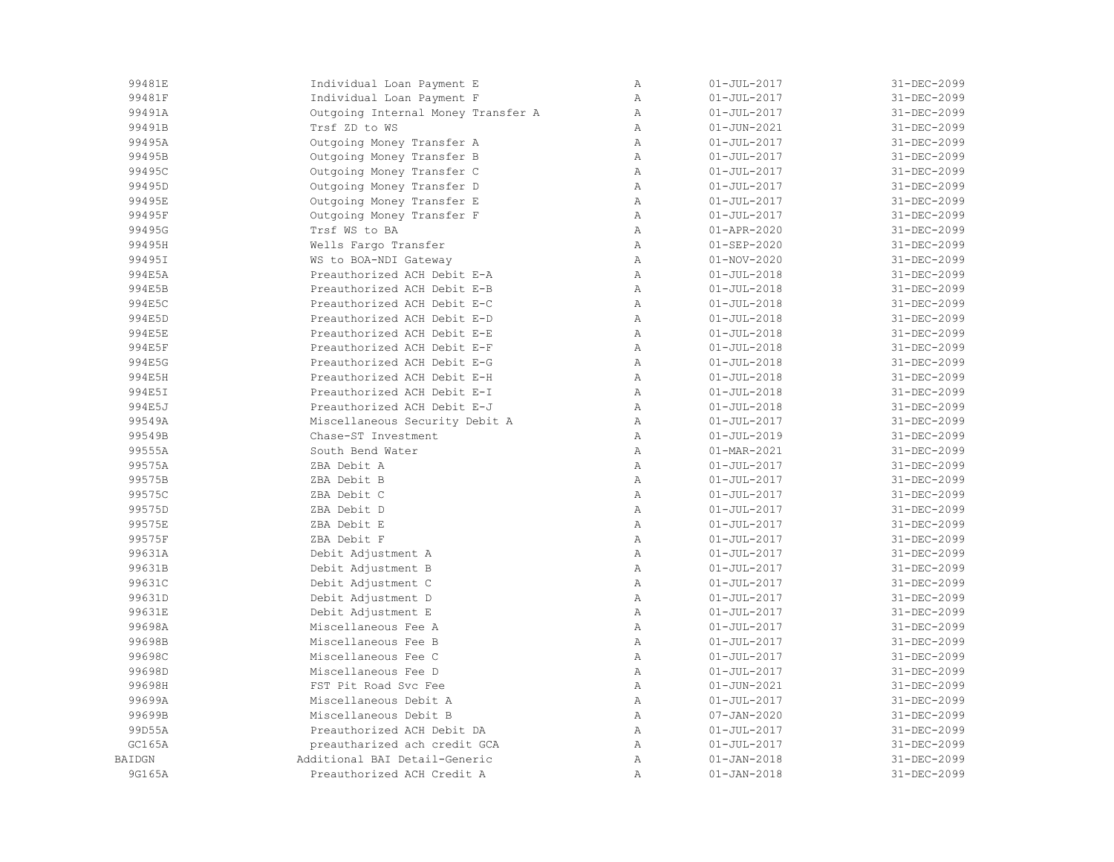| 99481E        | Individual Loan Payment E          | $\mathbb{A}$ | $01 - JUL - 2017$ | 31-DEC-2099 |
|---------------|------------------------------------|--------------|-------------------|-------------|
| 99481F        | Individual Loan Payment F          | $\, {\bf A}$ | $01 - JUL - 2017$ | 31-DEC-2099 |
| 99491A        | Outgoing Internal Money Transfer A | Α            | $01 - JUL - 2017$ | 31-DEC-2099 |
| 99491B        | Trsf ZD to WS                      | $\mathbb{A}$ | $01 - JUN - 2021$ | 31-DEC-2099 |
| 99495A        | Outgoing Money Transfer A          | $\mathbb{A}$ | $01 - JUL - 2017$ | 31-DEC-2099 |
| 99495B        | Outgoing Money Transfer B          | $\, {\bf A}$ | $01 - JUL - 2017$ | 31-DEC-2099 |
| 99495C        | Outgoing Money Transfer C          | Α            | $01 - JUL - 2017$ | 31-DEC-2099 |
| 99495D        | Outgoing Money Transfer D          | Α            | $01 - JUL - 2017$ | 31-DEC-2099 |
| 99495E        | Outgoing Money Transfer E          | $\mathbb{A}$ | $01 - JUL - 2017$ | 31-DEC-2099 |
| 99495F        | Outgoing Money Transfer F          | $\mathbb{A}$ | $01 - JUL - 2017$ | 31-DEC-2099 |
| 99495G        | Trsf WS to BA                      | Α            | $01 - APR - 2020$ | 31-DEC-2099 |
| 99495H        | Wells Fargo Transfer               | Α            | $01 - SEP - 2020$ | 31-DEC-2099 |
| 99495I        | WS to BOA-NDI Gateway              | $\mathbb{A}$ | $01 - NOV - 2020$ | 31-DEC-2099 |
| 994E5A        | Preauthorized ACH Debit E-A        | $\mathbb{A}$ | $01 - JUL - 2018$ | 31-DEC-2099 |
| 994E5B        | Preauthorized ACH Debit E-B        | Α            | $01 - JUL - 2018$ | 31-DEC-2099 |
| 994E5C        | Preauthorized ACH Debit E-C        | $\mathbb{A}$ | $01 - JUL - 2018$ | 31-DEC-2099 |
| 994E5D        | Preauthorized ACH Debit E-D        | $\mathbb{A}$ | $01 - JUL - 2018$ | 31-DEC-2099 |
| 994E5E        | Preauthorized ACH Debit E-E        | $\mathbb{A}$ | $01 - JUL - 2018$ | 31-DEC-2099 |
| 994E5F        | Preauthorized ACH Debit E-F        | Α            | $01 - JUL - 2018$ | 31-DEC-2099 |
| 994E5G        | Preauthorized ACH Debit E-G        | Α            | $01 - JUL - 2018$ | 31-DEC-2099 |
| 994E5H        | Preauthorized ACH Debit E-H        | $\mathbb{A}$ | $01 - JUL - 2018$ | 31-DEC-2099 |
| 994E5I        | Preauthorized ACH Debit E-I        | $\lambda$    | $01 - JUL - 2018$ | 31-DEC-2099 |
| 994E5J        | Preauthorized ACH Debit E-J        | $\mathbb{A}$ | $01 - JUL - 2018$ | 31-DEC-2099 |
| 99549A        | Miscellaneous Security Debit A     | Α            | $01 - JUL - 2017$ | 31-DEC-2099 |
| 99549B        | Chase-ST Investment                | $\mathbb{A}$ | $01 - JUL - 2019$ | 31-DEC-2099 |
| 99555A        | South Bend Water                   | $\mathbb{A}$ | 01-MAR-2021       | 31-DEC-2099 |
| 99575A        | ZBA Debit A                        | Α            | $01 - JUL - 2017$ | 31-DEC-2099 |
| 99575B        | ZBA Debit B                        | $\mathbb{A}$ | $01 - JUL - 2017$ | 31-DEC-2099 |
| 99575C        | ZBA Debit C                        | $\mathbb{A}$ | $01 - JUL - 2017$ | 31-DEC-2099 |
| 99575D        | ZBA Debit D                        | $\mathbb{A}$ | $01 - JUL - 2017$ | 31-DEC-2099 |
| 99575E        | ZBA Debit E                        | $\mathbb{A}$ | $01 - JUL - 2017$ | 31-DEC-2099 |
| 99575F        | ZBA Debit F                        | $\mathbb{A}$ | $01 - JUL - 2017$ | 31-DEC-2099 |
| 99631A        | Debit Adjustment A                 | $\, {\bf A}$ | $01 - JUL - 2017$ | 31-DEC-2099 |
| 99631B        | Debit Adjustment B                 | $\mathbb{A}$ | $01 - JUL - 2017$ | 31-DEC-2099 |
| 99631C        | Debit Adjustment C                 | Α            | $01 - JUL - 2017$ | 31-DEC-2099 |
| 99631D        | Debit Adjustment D                 | $\mathbb{A}$ | $01 - JUL - 2017$ | 31-DEC-2099 |
| 99631E        | Debit Adjustment E                 | $\mathbb{A}$ | $01 - JUL - 2017$ | 31-DEC-2099 |
| 99698A        | Miscellaneous Fee A                | $\mathbb{A}$ | $01 - JUL - 2017$ | 31-DEC-2099 |
| 99698B        | Miscellaneous Fee B                | $\mathbb{A}$ | $01 - JUL - 2017$ | 31-DEC-2099 |
| 99698C        | Miscellaneous Fee C                | $\mathbb{A}$ | $01 - JUL - 2017$ | 31-DEC-2099 |
| 99698D        | Miscellaneous Fee D                | $\mathbb{A}$ | $01 - JUL - 2017$ | 31-DEC-2099 |
| 99698H        | FST Pit Road Svc Fee               | $\, {\bf A}$ | $01 - JUN - 2021$ | 31-DEC-2099 |
| 99699A        | Miscellaneous Debit A              | $\mathbb{A}$ | $01 - JUL - 2017$ | 31-DEC-2099 |
| 99699B        | Miscellaneous Debit B              | $\mathbb{A}$ | $07 - JAN - 2020$ | 31-DEC-2099 |
| 99D55A        | Preauthorized ACH Debit DA         | $\mathbb{A}$ | $01 - JUL - 2017$ | 31-DEC-2099 |
| GC165A        | preautharized ach credit GCA       | $\mathbb{A}$ | $01 - JUL - 2017$ | 31-DEC-2099 |
| <b>BAIDGN</b> | Additional BAI Detail-Generic      | Α            | $01 - JAN - 2018$ | 31-DEC-2099 |
| 9G165A        | Preauthorized ACH Credit A         | Α            | $01 - JAN - 2018$ | 31-DEC-2099 |
|               |                                    |              |                   |             |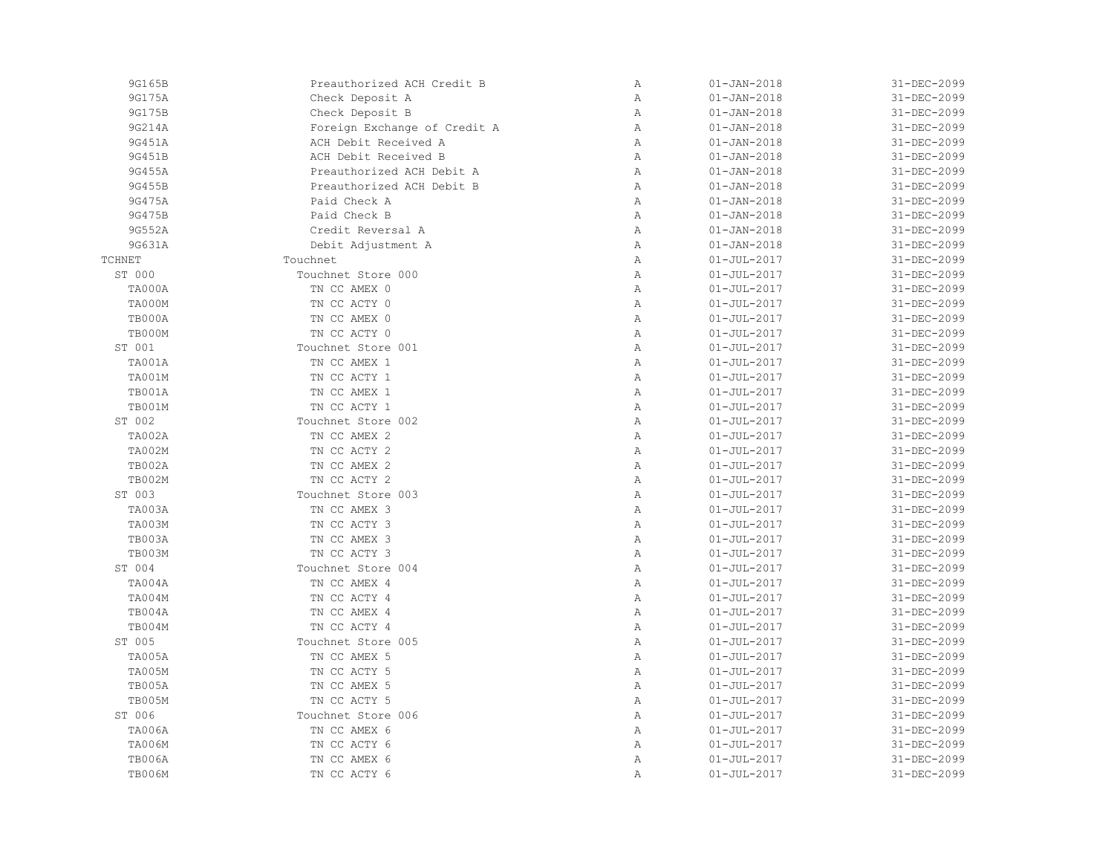| 9G165B        | Preauthorized ACH Credit B   | Α            | $01 - JAN - 2018$ | 31-DEC-2099 |
|---------------|------------------------------|--------------|-------------------|-------------|
| 9G175A        | Check Deposit A              | $\, {\bf A}$ | $01 - JAN - 2018$ | 31-DEC-2099 |
| 9G175B        | Check Deposit B              | Α            | $01 - JAN - 2018$ | 31-DEC-2099 |
| 9G214A        | Foreign Exchange of Credit A | Α            | $01 - JAN - 2018$ | 31-DEC-2099 |
| 9G451A        | ACH Debit Received A         | Α            | $01 - JAN - 2018$ | 31-DEC-2099 |
| 9G451B        | ACH Debit Received B         | Α            | $01 - JAN - 2018$ | 31-DEC-2099 |
| 9G455A        | Preauthorized ACH Debit A    | Α            | $01 - JAN - 2018$ | 31-DEC-2099 |
| 9G455B        | Preauthorized ACH Debit B    | Α            | $01 - JAN - 2018$ | 31-DEC-2099 |
| 9G475A        | Paid Check A                 | $\mathbb{A}$ | $01 - JAN - 2018$ | 31-DEC-2099 |
| 9G475B        | Paid Check B                 | Α            | $01 - JAN - 2018$ | 31-DEC-2099 |
| 9G552A        | Credit Reversal A            | Α            | $01 - JAN - 2018$ | 31-DEC-2099 |
| 9G631A        | Debit Adjustment A           | $\, {\bf A}$ | $01 - JAN - 2018$ | 31-DEC-2099 |
| <b>TCHNET</b> | Touchnet                     | Α            | $01 - JUL - 2017$ | 31-DEC-2099 |
| ST 000        | Touchnet Store 000           | $\mathbb{A}$ | $01 - JUL - 2017$ | 31-DEC-2099 |
| TA000A        | TN CC AMEX 0                 | Α            | $01 - JUL - 2017$ | 31-DEC-2099 |
| TA000M        | TN CC ACTY 0                 | $\mathbb{A}$ | $01 - JUL - 2017$ | 31-DEC-2099 |
| TB000A        | TN CC AMEX 0                 | Α            | $01 - JUL - 2017$ | 31-DEC-2099 |
| TB000M        | TN CC ACTY 0                 | $\mathbb{A}$ | $01 - JUL - 2017$ | 31-DEC-2099 |
| ST 001        | Touchnet Store 001           | $\, {\bf A}$ | $01 - JUL - 2017$ | 31-DEC-2099 |
| TA001A        | TN CC AMEX 1                 | Α            | $01 - JUL - 2017$ | 31-DEC-2099 |
| TA001M        | TN CC ACTY 1                 | Α            | $01 - JUL - 2017$ | 31-DEC-2099 |
| TB001A        | TN CC AMEX 1                 | Α            | $01 - JUL - 2017$ | 31-DEC-2099 |
| TB001M        | TN CC ACTY 1                 | $\mathbb{A}$ | $01 - JUL - 2017$ | 31-DEC-2099 |
| ST 002        | Touchnet Store 002           | Α            | $01 - JUL - 2017$ | 31-DEC-2099 |
| TA002A        | TN CC AMEX 2                 | $\mathbb{A}$ | $01 - JUL - 2017$ | 31-DEC-2099 |
| TA002M        | TN CC ACTY 2                 | $\, {\bf A}$ | $01 - JUL - 2017$ | 31-DEC-2099 |
| TB002A        | TN CC AMEX 2                 | Α            | $01 - JUL - 2017$ | 31-DEC-2099 |
| TB002M        | TN CC ACTY 2                 | Α            | $01 - JUL - 2017$ | 31-DEC-2099 |
| ST 003        | Touchnet Store 003           | $\mathbb{A}$ | $01 - JUL - 2017$ | 31-DEC-2099 |
| TA003A        | TN CC AMEX 3                 | $\mathbb{A}$ | $01 - JUL - 2017$ | 31-DEC-2099 |
| TA003M        | TN CC ACTY 3                 | Α            | $01 - JUL - 2017$ | 31-DEC-2099 |
| TB003A        | TN CC AMEX 3                 | $\mathbb{A}$ | $01 - JUL - 2017$ | 31-DEC-2099 |
| <b>TB003M</b> | TN CC ACTY 3                 | $\, {\bf A}$ | $01 - JUL - 2017$ | 31-DEC-2099 |
| ST 004        | Touchnet Store 004           | Α            | $01 - JUL - 2017$ | 31-DEC-2099 |
| TA004A        | TN CC AMEX 4                 | Α            | $01 - JUL - 2017$ | 31-DEC-2099 |
| TA004M        | TN CC ACTY 4                 | $\mathbb{A}$ | $01 - JUL - 2017$ | 31-DEC-2099 |
| TB004A        | TN CC AMEX 4                 | $\mathbb{A}$ | $01 - JUL - 2017$ | 31-DEC-2099 |
| TB004M        | TN CC ACTY 4                 | $\mathbb{A}$ | $01 - JUL - 2017$ | 31-DEC-2099 |
| ST 005        | Touchnet Store 005           | $\mathbb{A}$ | $01 - JUL - 2017$ | 31-DEC-2099 |
| TA005A        | TN CC AMEX 5                 | Α            | $01 - JUL - 2017$ | 31-DEC-2099 |
| <b>TA005M</b> | TN CC ACTY 5                 | Α            | $01 - JUL - 2017$ | 31-DEC-2099 |
| TB005A        | TN CC AMEX 5                 | Α            | $01 - JUL - 2017$ | 31-DEC-2099 |
| TB005M        | TN CC ACTY 5                 | $\mathbb{A}$ | $01 - JUL - 2017$ | 31-DEC-2099 |
| ST 006        | Touchnet Store 006           | Α            | $01 - JUL - 2017$ | 31-DEC-2099 |
| <b>TA006A</b> | TN CC AMEX 6                 | Α            | $01 - JUL - 2017$ | 31-DEC-2099 |
| TA006M        | TN CC ACTY 6                 | $\mathbb{A}$ | $01 - JUL - 2017$ | 31-DEC-2099 |
|               |                              |              |                   |             |
| <b>TB006A</b> | TN CC AMEX 6                 | Α            | $01 - JUL - 2017$ | 31-DEC-2099 |
| TB006M        | TN CC ACTY 6                 | Α            | $01 - JUL - 2017$ | 31-DEC-2099 |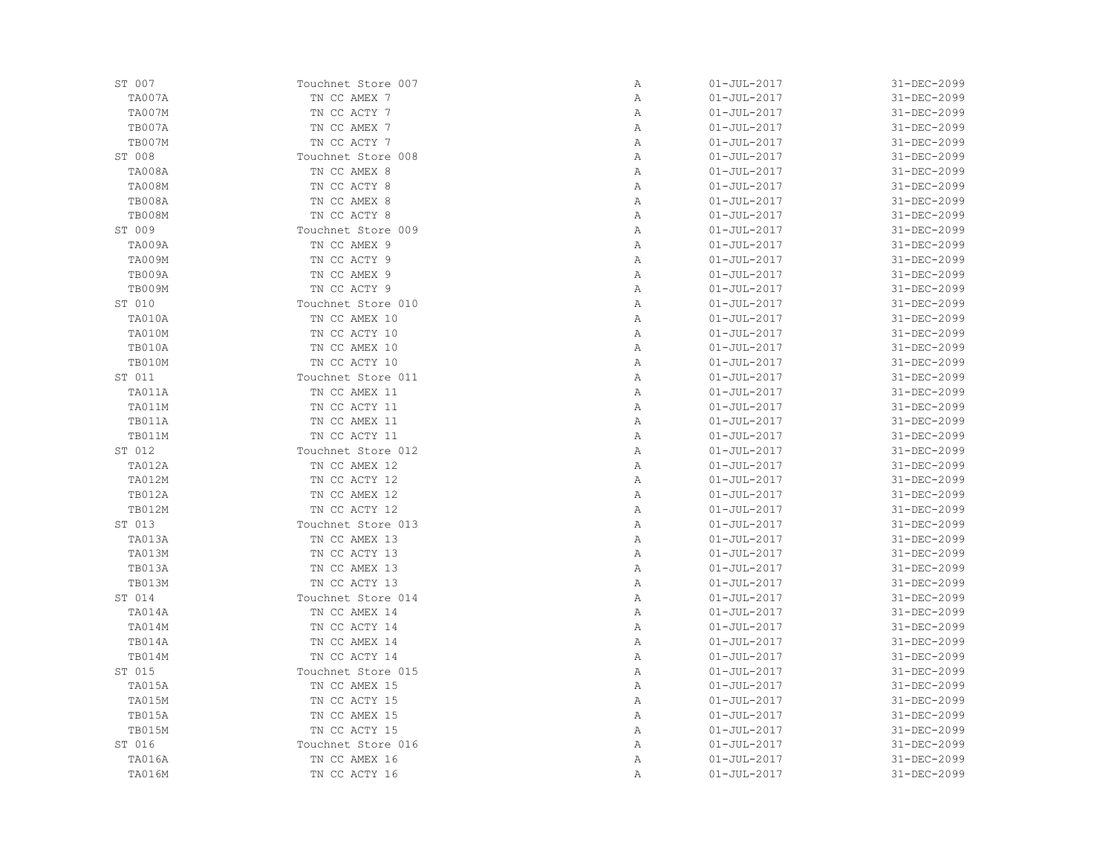| ST 007        | Touchnet Store 007 | Α | $01 - JUL - 2017$ | 31-DEC-2099 |
|---------------|--------------------|---|-------------------|-------------|
| TA007A        | TN CC AMEX 7       | Α | $01 - JUL - 2017$ | 31-DEC-2099 |
| TA007M        | TN CC ACTY 7       | Α | $01 - JUL - 2017$ | 31-DEC-2099 |
| TB007A        | TN CC AMEX 7       | Α | $01 - JUL - 2017$ | 31-DEC-2099 |
| TB007M        | TN CC ACTY 7       | Α | $01 - JUL - 2017$ | 31-DEC-2099 |
| ST 008        | Touchnet Store 008 | Α | $01 - JUL - 2017$ | 31-DEC-2099 |
| TA008A        | TN CC AMEX 8       | Α | $01 - JUL - 2017$ | 31-DEC-2099 |
| TA008M        | TN CC ACTY 8       | Α | $01 - JUL - 2017$ | 31-DEC-2099 |
| TB008A        | TN CC AMEX 8       | Α | $01 - JUL - 2017$ | 31-DEC-2099 |
| TB008M        | TN CC ACTY 8       | Α | $01 - JUL - 2017$ | 31-DEC-2099 |
| ST 009        | Touchnet Store 009 | Α | $01 - JUL - 2017$ | 31-DEC-2099 |
| TA009A        | TN CC AMEX 9       | Α | $01 - JUL - 2017$ | 31-DEC-2099 |
| TA009M        | TN CC ACTY 9       | Α | $01 - JUL - 2017$ | 31-DEC-2099 |
| TB009A        | TN CC AMEX 9       | Α | $01 - JUL - 2017$ | 31-DEC-2099 |
| TB009M        | TN CC ACTY 9       | Α | $01 - JUL - 2017$ | 31-DEC-2099 |
| ST 010        | Touchnet Store 010 | Α | $01 - JUL - 2017$ | 31-DEC-2099 |
| TA010A        | TN CC AMEX 10      | Α | $01 - JUL - 2017$ | 31-DEC-2099 |
| TA010M        | TN CC ACTY 10      | Α | $01 - JUL - 2017$ | 31-DEC-2099 |
| TB010A        | TN CC AMEX 10      | Α | $01 - JUL - 2017$ | 31-DEC-2099 |
| TB010M        | TN CC ACTY 10      | Α | $01 - JUL - 2017$ | 31-DEC-2099 |
| ST 011        | Touchnet Store 011 | Α | $01 - JUL - 2017$ | 31-DEC-2099 |
| TA011A        | TN CC AMEX 11      | Α | $01 - JUL - 2017$ | 31-DEC-2099 |
| TA011M        | TN CC ACTY 11      | Α | $01 - JUL - 2017$ | 31-DEC-2099 |
| TB011A        | TN CC AMEX 11      | Α | $01 - JUL - 2017$ | 31-DEC-2099 |
| TB011M        | TN CC ACTY 11      | Α | $01 - JUL - 2017$ | 31-DEC-2099 |
| ST 012        | Touchnet Store 012 | Α | $01 - JUL - 2017$ | 31-DEC-2099 |
| TA012A        | TN CC AMEX 12      | Α | $01 - JUL - 2017$ | 31-DEC-2099 |
| TA012M        | TN CC ACTY 12      | Α | $01 - JUL - 2017$ | 31-DEC-2099 |
| TB012A        | TN CC AMEX 12      | Α | $01 - JUL - 2017$ | 31-DEC-2099 |
| TB012M        | TN CC ACTY 12      | Α | $01 - JUL - 2017$ | 31-DEC-2099 |
| ST 013        | Touchnet Store 013 | Α | $01 - JUL - 2017$ | 31-DEC-2099 |
| TA013A        | TN CC AMEX 13      | Α | $01 - JUL - 2017$ | 31-DEC-2099 |
| TA013M        | TN CC ACTY 13      | Α | $01 - JUL - 2017$ | 31-DEC-2099 |
| TB013A        | TN CC AMEX 13      | Α | $01 - JUL - 2017$ | 31-DEC-2099 |
| TB013M        | TN CC ACTY 13      | Α | $01 - JUL - 2017$ | 31-DEC-2099 |
| ST 014        | Touchnet Store 014 | Α | $01 - JUL - 2017$ | 31-DEC-2099 |
| TA014A        | TN CC AMEX 14      | Α | $01 - JUL - 2017$ | 31-DEC-2099 |
| TA014M        | TN CC ACTY 14      | Α | $01 - JUL - 2017$ | 31-DEC-2099 |
| TB014A        | TN CC AMEX 14      | Α | $01 - JUL - 2017$ | 31-DEC-2099 |
| TB014M        | TN CC ACTY 14      | Α | $01 - JUL - 2017$ | 31-DEC-2099 |
| ST 015        | Touchnet Store 015 | Α | $01 - JUL - 2017$ | 31-DEC-2099 |
| TA015A        | TN CC AMEX 15      | Α | $01 - JUL - 2017$ | 31-DEC-2099 |
| <b>TA015M</b> | TN CC ACTY 15      | Α | $01 - JUL - 2017$ | 31-DEC-2099 |
| TB015A        | TN CC AMEX 15      | Α | $01 - JUL - 2017$ | 31-DEC-2099 |
| TB015M        | TN CC ACTY 15      | Α | $01 - JUL - 2017$ | 31-DEC-2099 |
| ST 016        | Touchnet Store 016 | Α | $01 - JUL - 2017$ | 31-DEC-2099 |
| TA016A        | TN CC AMEX 16      | Α | $01 - JUL - 2017$ | 31-DEC-2099 |
| TA016M        | TN CC ACTY 16      | Α | $01 - JUL - 2017$ | 31-DEC-2099 |
|               |                    |   |                   |             |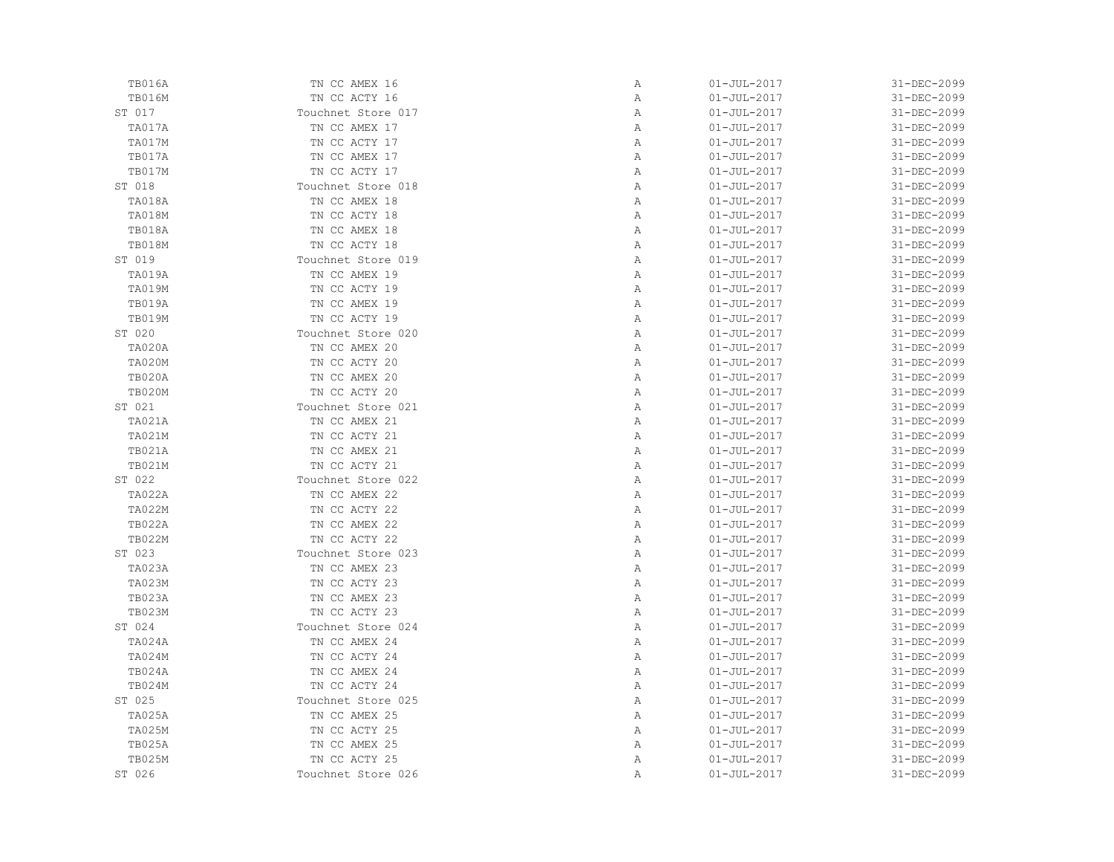| TB016A        | TN CC AMEX 16      | Α            | $01 - JUL - 2017$ | 31-DEC-2099 |
|---------------|--------------------|--------------|-------------------|-------------|
| <b>TB016M</b> | TN CC ACTY 16      | Α            | $01 - JUL - 2017$ | 31-DEC-2099 |
| ST 017        | Touchnet Store 017 | Α            | $01 - JUL - 2017$ | 31-DEC-2099 |
| TA017A        | TN CC AMEX 17      | Α            | $01 - JUL - 2017$ | 31-DEC-2099 |
| TA017M        | TN CC ACTY 17      | $\mathbb{A}$ | $01 - JUL - 2017$ | 31-DEC-2099 |
| TB017A        | TN CC AMEX 17      | Α            | $01 - JUL - 2017$ | 31-DEC-2099 |
| <b>TB017M</b> | TN CC ACTY 17      | Α            | $01 - JUL - 2017$ | 31-DEC-2099 |
| ST 018        | Touchnet Store 018 | Α            | $01 - JUL - 2017$ | 31-DEC-2099 |
| TA018A        | TN CC AMEX 18      | Α            | $01 - JUL - 2017$ | 31-DEC-2099 |
| TA018M        | TN CC ACTY 18      | Α            | $01 - JUL - 2017$ | 31-DEC-2099 |
| TB018A        | TN CC AMEX 18      | $\mathbb{A}$ | $01 - JUL - 2017$ | 31-DEC-2099 |
| TB018M        | TN CC ACTY 18      | $\mathbb{A}$ | $01 - JUL - 2017$ | 31-DEC-2099 |
| ST 019        | Touchnet Store 019 | $\mathbb{A}$ | $01 - JUL - 2017$ | 31-DEC-2099 |
| TA019A        | TN CC AMEX 19      | Α            | $01 - JUL - 2017$ | 31-DEC-2099 |
| TA019M        | TN CC ACTY 19      | Α            | $01 - JUL - 2017$ | 31-DEC-2099 |
| TB019A        | TN CC AMEX 19      | Α            | $01 - JUL - 2017$ | 31-DEC-2099 |
| <b>TB019M</b> | TN CC ACTY 19      | Α            | $01 - JUL - 2017$ | 31-DEC-2099 |
| ST 020        | Touchnet Store 020 | Α            | $01 - JUL - 2017$ | 31-DEC-2099 |
| TA020A        | TN CC AMEX 20      | Α            | $01 - JUL - 2017$ | 31-DEC-2099 |
| TA020M        | TN CC ACTY 20      | $\mathbb{A}$ | $01 - JUL - 2017$ | 31-DEC-2099 |
| <b>TB020A</b> | TN CC AMEX 20      | $\mathbb{A}$ | $01 - JUL - 2017$ | 31-DEC-2099 |
| <b>TB020M</b> | TN CC ACTY 20      | Α            | $01 - JUL - 2017$ | 31-DEC-2099 |
| ST 021        | Touchnet Store 021 | Α            | $01 - JUL - 2017$ | 31-DEC-2099 |
| TA021A        | TN CC AMEX 21      | Α            | $01 - JUL - 2017$ | 31-DEC-2099 |
| TA021M        | TN CC ACTY 21      | Α            | $01 - JUL - 2017$ | 31-DEC-2099 |
| TB021A        | TN CC AMEX 21      | Α            | $01 - JUL - 2017$ | 31-DEC-2099 |
| TB021M        | TN CC ACTY 21      | $\mathbb{A}$ | $01 - JUL - 2017$ | 31-DEC-2099 |
| ST 022        | Touchnet Store 022 | $\mathbb{A}$ | $01 - JUL - 2017$ | 31-DEC-2099 |
| TA022A        | TN CC AMEX 22      | $\mathbb{A}$ | $01 - JUL - 2017$ | 31-DEC-2099 |
| TA022M        | TN CC ACTY 22      | $\mathbb{A}$ | $01 - JUL - 2017$ | 31-DEC-2099 |
| TB022A        | TN CC AMEX 22      | Α            | $01 - JUL - 2017$ | 31-DEC-2099 |
| <b>TB022M</b> | TN CC ACTY 22      | Α            | $01 - JUL - 2017$ | 31-DEC-2099 |
| ST 023        | Touchnet Store 023 | Α            | $01 - JUL - 2017$ | 31-DEC-2099 |
| TA023A        | TN CC AMEX 23      | Α            | $01 - JUL - 2017$ | 31-DEC-2099 |
| <b>TA023M</b> | TN CC ACTY 23      | $\mathbb{A}$ | $01 - JUL - 2017$ | 31-DEC-2099 |
| TB023A        | TN CC AMEX 23      | Α            | $01 - JUL - 2017$ | 31-DEC-2099 |
| <b>TB023M</b> | TN CC ACTY 23      | Α            | $01 - JUL - 2017$ | 31-DEC-2099 |
| ST 024        | Touchnet Store 024 | Α            | $01 - JUL - 2017$ | 31-DEC-2099 |
| TA024A        | TN CC AMEX 24      | Α            | $01 - JUL - 2017$ | 31-DEC-2099 |
| TA024M        | TN CC ACTY 24      | Α            | $01 - JUL - 2017$ | 31-DEC-2099 |
| TB024A        | TN CC AMEX 24      | Α            | $01 - JUL - 2017$ | 31-DEC-2099 |
| TB024M        | TN CC ACTY 24      | Α            | $01 - JUL - 2017$ | 31-DEC-2099 |
| ST 025        | Touchnet Store 025 | Α            | $01 - JUL - 2017$ | 31-DEC-2099 |
| TA025A        | TN CC AMEX 25      | Α            | $01 - JUL - 2017$ | 31-DEC-2099 |
| <b>TA025M</b> | TN CC ACTY 25      | Α            | $01 - JUL - 2017$ | 31-DEC-2099 |
| TB025A        | TN CC AMEX 25      | Α            | $01 - JUL - 2017$ | 31-DEC-2099 |
| <b>TB025M</b> | TN CC ACTY 25      | Α            | $01 - JUL - 2017$ | 31-DEC-2099 |
| ST 026        | Touchnet Store 026 | Α            | $01 - JUL - 2017$ | 31-DEC-2099 |
|               |                    |              |                   |             |

| 01-JUL-2017       | 31-DEC-2099 |
|-------------------|-------------|
| $01 - JUL - 2017$ | 31-DEC-2099 |
| 01-JUL-2017       | 31-DEC-2099 |
| $01 - JUL - 2017$ | 31-DEC-2099 |
| $01 - JUL - 2017$ | 31-DEC-2099 |
| $01 - JUL - 2017$ | 31-DEC-2099 |
| $01 - JUL - 2017$ | 31-DEC-2099 |
| $01 - JUL - 2017$ | 31-DEC-2099 |
| $01 - JUL - 2017$ | 31-DEC-2099 |
|                   |             |
| $01 - JUL - 2017$ | 31-DEC-2099 |
| $01 - JUL - 2017$ | 31-DEC-2099 |
| $01 - JUL - 2017$ | 31-DEC-2099 |
| $01 - JUL - 2017$ | 31-DEC-2099 |
| $01 - JUL - 2017$ | 31-DEC-2099 |
| $01 - JUL - 2017$ | 31-DEC-2099 |
| $01 - JUL - 2017$ | 31-DEC-2099 |
| $01 - JUL - 2017$ | 31-DEC-2099 |
| $01 - JUL - 2017$ | 31-DEC-2099 |
| $01 - JUL - 2017$ | 31-DEC-2099 |
| $01 - JUL - 2017$ | 31-DEC-2099 |
| $01 - JUL - 2017$ | 31-DEC-2099 |
| $01 - JUL - 2017$ | 31-DEC-2099 |
| $01 - JUL - 2017$ | 31-DEC-2099 |
| $01 - JUL - 2017$ | 31-DEC-2099 |
| $01 - JUL - 2017$ | 31-DEC-2099 |
| $01 - JUL - 2017$ | 31-DEC-2099 |
| $01 - JUL - 2017$ | 31-DEC-2099 |
| $01 - JUL - 2017$ | 31-DEC-2099 |
| $01 - JUL - 2017$ | 31-DEC-2099 |
| $01 - JUL - 2017$ | 31-DEC-2099 |
| $01 - JUL - 2017$ | 31-DEC-2099 |
| $01 - JUL - 2017$ | 31-DEC-2099 |
| $01 - JUL - 2017$ | 31-DEC-2099 |
| $01 - JUL - 2017$ | 31-DEC-2099 |
| $01 - JUL - 2017$ |             |
|                   | 31-DEC-2099 |
| 01-JUL-2017       | 31-DEC-2099 |
| $01 - JUL - 2017$ | 31-DEC-2099 |
| $01 - JUL - 2017$ | 31-DEC-2099 |
| $01 - JUL - 2017$ | 31-DEC-2099 |
| $01 - JUL - 2017$ | 31-DEC-2099 |
| $01 - JUL - 2017$ | 31-DEC-2099 |
| $01 - JUL - 2017$ | 31-DEC-2099 |
| $01 - JUL - 2017$ | 31-DEC-2099 |
| $01 - JUL - 2017$ | 31-DEC-2099 |
| $01 - JUL - 2017$ | 31-DEC-2099 |
| $01 - JUL - 2017$ | 31-DEC-2099 |
| $01 - JUL - 2017$ | 31-DEC-2099 |
| $01 - JUL - 2017$ | 31-DEC-2099 |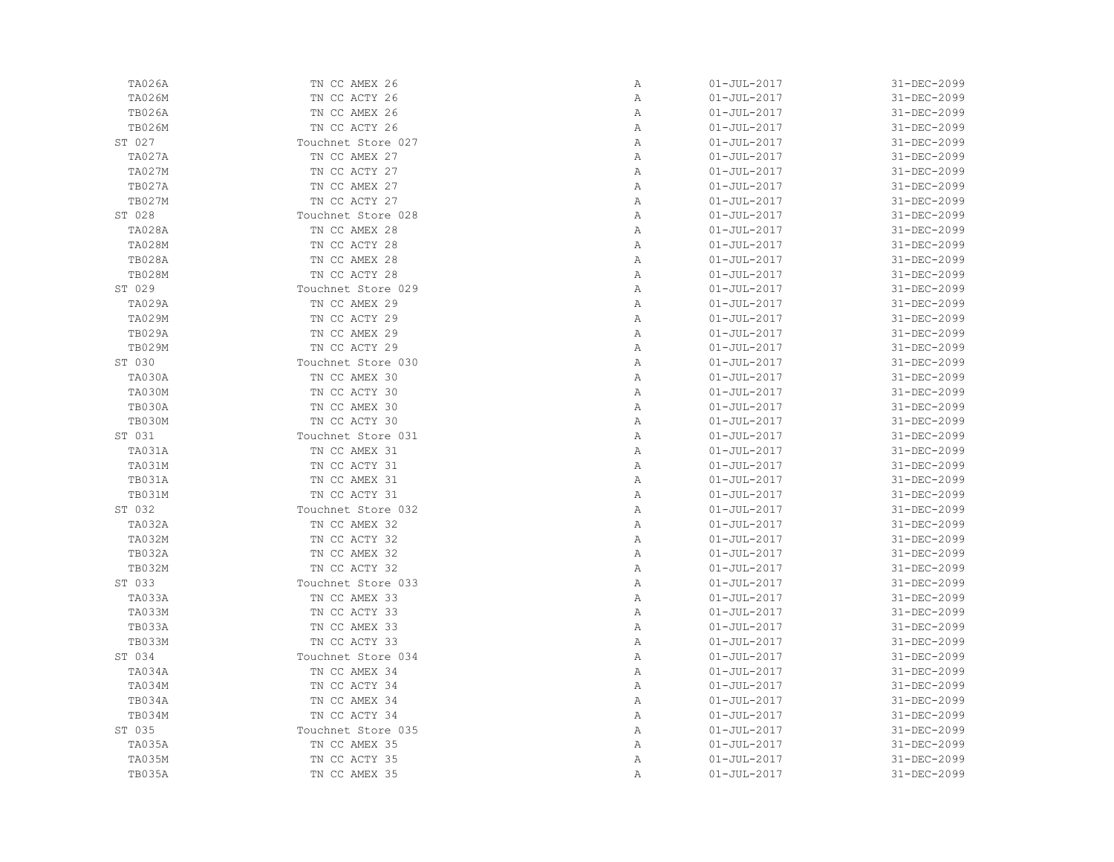| <b>TA026A</b> | TN CC AMEX 26      | Α            | $01 - JUL - 2017$ | 31-DEC-2099 |
|---------------|--------------------|--------------|-------------------|-------------|
| TA026M        | TN CC ACTY 26      | Α            | $01 - JUL - 2017$ | 31-DEC-2099 |
| <b>TB026A</b> | TN CC AMEX 26      | Α            | $01 - JUL - 2017$ | 31-DEC-2099 |
| <b>TB026M</b> | TN CC ACTY 26      | Α            | $01 - JUL - 2017$ | 31-DEC-2099 |
| ST 027        | Touchnet Store 027 | $\mathbb{A}$ | $01 - JUL - 2017$ | 31-DEC-2099 |
| TA027A        | TN CC AMEX 27      | Α            | $01 - JUL - 2017$ | 31-DEC-2099 |
| <b>TA027M</b> | TN CC ACTY 27      | Α            | $01 - JUL - 2017$ | 31-DEC-2099 |
| TB027A        | TN CC AMEX 27      | Α            | $01 - JUL - 2017$ | 31-DEC-2099 |
| <b>TB027M</b> | TN CC ACTY 27      | Α            | $01 - JUL - 2017$ | 31-DEC-2099 |
| ST 028        | Touchnet Store 028 | Α            | $01 - JUL - 2017$ | 31-DEC-2099 |
| <b>TA028A</b> | TN CC AMEX 28      | Α            | $01 - JUL - 2017$ | 31-DEC-2099 |
| <b>TA028M</b> | TN CC ACTY 28      | Α            | $01 - JUL - 2017$ | 31-DEC-2099 |
| <b>TB028A</b> | TN CC AMEX 28      | Α            | $01 - JUL - 2017$ | 31-DEC-2099 |
| <b>TB028M</b> | TN CC ACTY 28      | Α            | $01 - JUL - 2017$ | 31-DEC-2099 |
| ST 029        | Touchnet Store 029 | Α            | $01 - JUL - 2017$ | 31-DEC-2099 |
| TA029A        | TN CC AMEX 29      | Α            | $01 - JUL - 2017$ | 31-DEC-2099 |
| <b>TA029M</b> | TN CC ACTY 29      | Α            | $01 - JUL - 2017$ | 31-DEC-2099 |
| <b>TB029A</b> | TN CC AMEX 29      | Α            | $01 - JUL - 2017$ | 31-DEC-2099 |
| <b>TB029M</b> | TN CC ACTY 29      | Α            | $01 - JUL - 2017$ | 31-DEC-2099 |
| ST 030        | Touchnet Store 030 | Α            | $01 - JUL - 2017$ | 31-DEC-2099 |
| TA030A        | TN CC AMEX 30      | Α            | $01 - JUL - 2017$ | 31-DEC-2099 |
| TA030M        | TN CC ACTY 30      | Α            | $01 - JUL - 2017$ | 31-DEC-2099 |
| TB030A        | TN CC AMEX 30      | Α            | $01 - JUL - 2017$ | 31-DEC-2099 |
| TB030M        | TN CC ACTY 30      | Α            | $01 - JUL - 2017$ | 31-DEC-2099 |
| ST 031        | Touchnet Store 031 | Α            | $01 - JUL - 2017$ | 31-DEC-2099 |
| TA031A        | TN CC AMEX 31      | Α            | $01 - JUL - 2017$ | 31-DEC-2099 |
| TA031M        | TN CC ACTY 31      | Α            | $01 - JUL - 2017$ | 31-DEC-2099 |
| TB031A        | TN CC AMEX 31      | Α            | $01 - JUL - 2017$ | 31-DEC-2099 |
| TB031M        | TN CC ACTY 31      | Α            | $01 - JUL - 2017$ | 31-DEC-2099 |
| ST 032        | Touchnet Store 032 | Α            | $01 - JUL - 2017$ | 31-DEC-2099 |
| TA032A        | TN CC AMEX 32      | Α            | $01 - JUL - 2017$ | 31-DEC-2099 |
| TA032M        | TN CC ACTY 32      | Α            | $01 - JUL - 2017$ | 31-DEC-2099 |
| TB032A        | TN CC AMEX 32      | Α            | $01 - JUL - 2017$ | 31-DEC-2099 |
| TB032M        | TN CC ACTY 32      | Α            | $01 - JUL - 2017$ | 31-DEC-2099 |
| ST 033        | Touchnet Store 033 | Α            | $01 - JUL - 2017$ | 31-DEC-2099 |
| TA033A        | TN CC AMEX 33      | Α            | $01 - JUL - 2017$ | 31-DEC-2099 |
| TA033M        | TN CC ACTY 33      | Α            | $01 - JUL - 2017$ | 31-DEC-2099 |
| TB033A        | TN CC AMEX 33      | Α            | $01 - JUL - 2017$ | 31-DEC-2099 |
| TB033M        | TN CC ACTY 33      | Α            | $01 - JUL - 2017$ | 31-DEC-2099 |
| ST 034        | Touchnet Store 034 | Α            | $01 - JUL - 2017$ | 31-DEC-2099 |
| TA034A        | TN CC AMEX 34      | Α            | $01 - JUL - 2017$ | 31-DEC-2099 |
| TA034M        | TN CC ACTY 34      | Α            | $01 - JUL - 2017$ | 31-DEC-2099 |
| TB034A        | TN CC AMEX 34      | Α            | $01 - JUL - 2017$ | 31-DEC-2099 |
| TB034M        | TN CC ACTY 34      | Α            | $01 - JUL - 2017$ | 31-DEC-2099 |
| ST 035        | Touchnet Store 035 | Α            | $01 - JUL - 2017$ | 31-DEC-2099 |
| TA035A        | TN CC AMEX 35      | Α            | $01 - JUL - 2017$ | 31-DEC-2099 |
| TA035M        | TN CC ACTY 35      | Α            | $01 - JUL - 2017$ | 31-DEC-2099 |
| TB035A        | TN CC AMEX 35      | Α            | $01 - JUL - 2017$ | 31-DEC-2099 |
|               |                    |              |                   |             |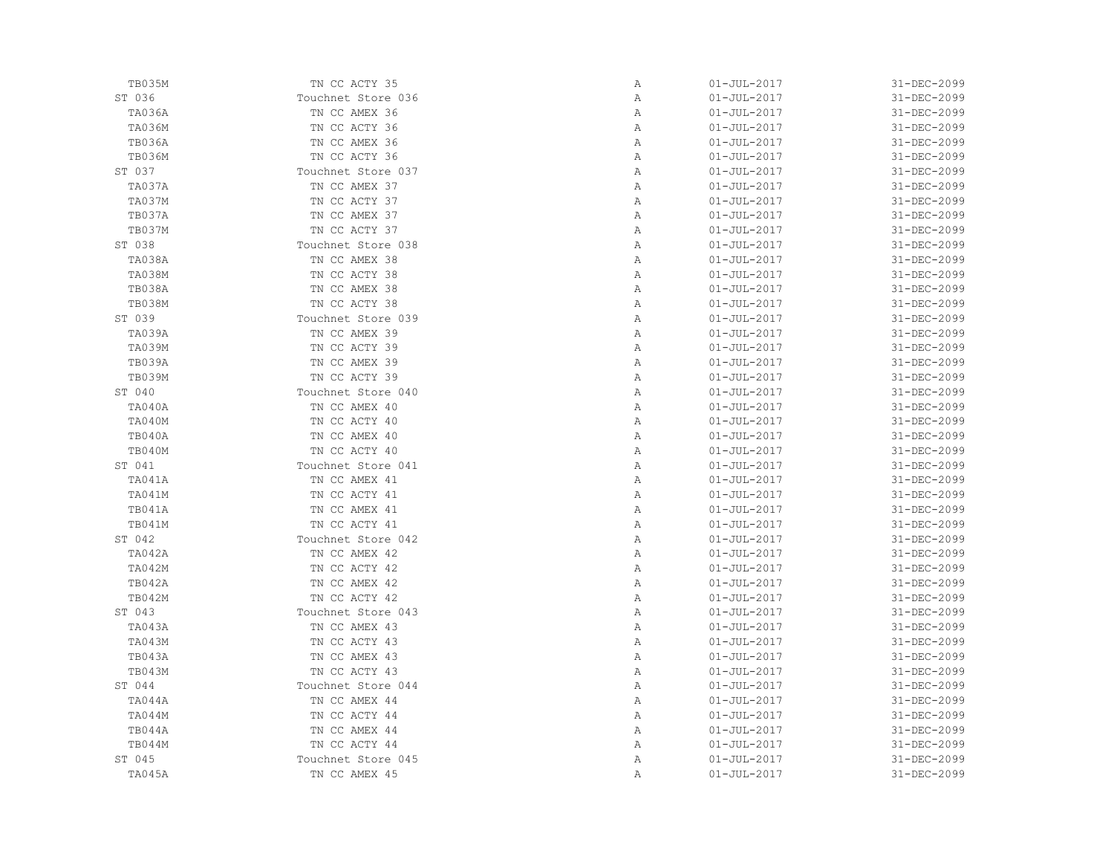| TB035M        | TN CC ACTY 35      | Α | $01 - JUL - 2017$ | 31-DEC-2099 |
|---------------|--------------------|---|-------------------|-------------|
| ST 036        | Touchnet Store 036 | Α | $01 - JUL - 2017$ | 31-DEC-2099 |
| TA036A        | TN CC AMEX 36      | Α | $01 - JUL - 2017$ | 31-DEC-2099 |
| <b>TA036M</b> | TN CC ACTY 36      | Α | $01 - JUL - 2017$ | 31-DEC-2099 |
| TB036A        | TN CC AMEX 36      | Α | $01 - JUL - 2017$ | 31-DEC-2099 |
| <b>TB036M</b> | TN CC ACTY 36      | Α | $01 - JUL - 2017$ | 31-DEC-2099 |
| ST 037        | Touchnet Store 037 | Α | $01 - JUL - 2017$ | 31-DEC-2099 |
| TA037A        | TN CC AMEX 37      | Α | $01 - JUL - 2017$ | 31-DEC-2099 |
| TA037M        | TN CC ACTY 37      | Α | $01 - JUL - 2017$ | 31-DEC-2099 |
| TB037A        | TN CC AMEX 37      | Α | $01 - JUL - 2017$ | 31-DEC-2099 |
| TB037M        | TN CC ACTY 37      | Α | $01 - JUL - 2017$ | 31-DEC-2099 |
| ST 038        | Touchnet Store 038 | Α | $01 - JUL - 2017$ | 31-DEC-2099 |
| TA038A        | TN CC AMEX 38      | Α | $01 - JUL - 2017$ | 31-DEC-2099 |
| <b>TA038M</b> | TN CC ACTY 38      | Α | $01 - JUL - 2017$ | 31-DEC-2099 |
| TB038A        | TN CC AMEX 38      | Α | $01 - JUL - 2017$ | 31-DEC-2099 |
| <b>TB038M</b> | TN CC ACTY 38      | Α | $01 - JUL - 2017$ | 31-DEC-2099 |
| ST 039        | Touchnet Store 039 | Α | $01 - JUL - 2017$ | 31-DEC-2099 |
| TA039A        | TN CC AMEX 39      | Α | $01 - JUL - 2017$ | 31-DEC-2099 |
| TA039M        | TN CC ACTY 39      | Α | $01 - JUL - 2017$ | 31-DEC-2099 |
| TB039A        | TN CC AMEX 39      | Α | $01 - JUL - 2017$ | 31-DEC-2099 |
| TB039M        | TN CC ACTY 39      | Α | $01 - JUL - 2017$ | 31-DEC-2099 |
| ST 040        | Touchnet Store 040 | Α | $01 - JUL - 2017$ | 31-DEC-2099 |
| TA040A        | TN CC AMEX 40      | Α | $01 - JUL - 2017$ | 31-DEC-2099 |
| TA040M        | TN CC ACTY 40      | Α | $01 - JUL - 2017$ | 31-DEC-2099 |
| TB040A        | TN CC AMEX 40      | Α | $01 - JUL - 2017$ | 31-DEC-2099 |
| TB040M        | TN CC ACTY 40      | Α | $01 - JUL - 2017$ | 31-DEC-2099 |
| ST 041        | Touchnet Store 041 | Α | $01 - JUL - 2017$ | 31-DEC-2099 |
| TA041A        | TN CC AMEX 41      | Α | $01 - JUL - 2017$ | 31-DEC-2099 |
| TA041M        | TN CC ACTY 41      | Α | $01 - JUL - 2017$ | 31-DEC-2099 |
| TB041A        | TN CC AMEX 41      | Α | $01 - JUL - 2017$ | 31-DEC-2099 |
| TB041M        | TN CC ACTY 41      | Α | $01 - JUL - 2017$ | 31-DEC-2099 |
| ST 042        | Touchnet Store 042 | Α | $01 - JUL - 2017$ | 31-DEC-2099 |
| TA042A        | TN CC AMEX 42      | Α | $01 - JUL - 2017$ | 31-DEC-2099 |
| TA042M        | TN CC ACTY 42      | Α | $01 - JUL - 2017$ | 31-DEC-2099 |
| TB042A        | TN CC AMEX 42      | Α | $01 - JUL - 2017$ | 31-DEC-2099 |
| TB042M        | TN CC ACTY 42      | Α | $01 - JUL - 2017$ | 31-DEC-2099 |
| ST 043        | Touchnet Store 043 | Α | $01 - JUL - 2017$ | 31-DEC-2099 |
| TA043A        | TN CC AMEX 43      | Α | $01 - JUL - 2017$ | 31-DEC-2099 |
| TA043M        | TN CC ACTY 43      | Α | $01 - JUL - 2017$ | 31-DEC-2099 |
| TB043A        | TN CC AMEX 43      | Α | $01 - JUL - 2017$ | 31-DEC-2099 |
| TB043M        | TN CC ACTY 43      | Α | $01 - JUL - 2017$ | 31-DEC-2099 |
| ST 044        | Touchnet Store 044 | Α | $01 - JUL - 2017$ | 31-DEC-2099 |
| TA044A        | TN CC AMEX 44      | Α | $01 - JUL - 2017$ | 31-DEC-2099 |
| TA044M        | TN CC ACTY 44      | Α | $01 - JUL - 2017$ | 31-DEC-2099 |
| TB044A        | TN CC AMEX 44      | Α | $01 - JUL - 2017$ | 31-DEC-2099 |
| TB044M        | TN CC ACTY 44      | Α | $01 - JUL - 2017$ | 31-DEC-2099 |
| ST 045        | Touchnet Store 045 | Α | $01 - JUL - 2017$ | 31-DEC-2099 |
| TA045A        | TN CC AMEX 45      | Α | $01 - JUL - 2017$ | 31-DEC-2099 |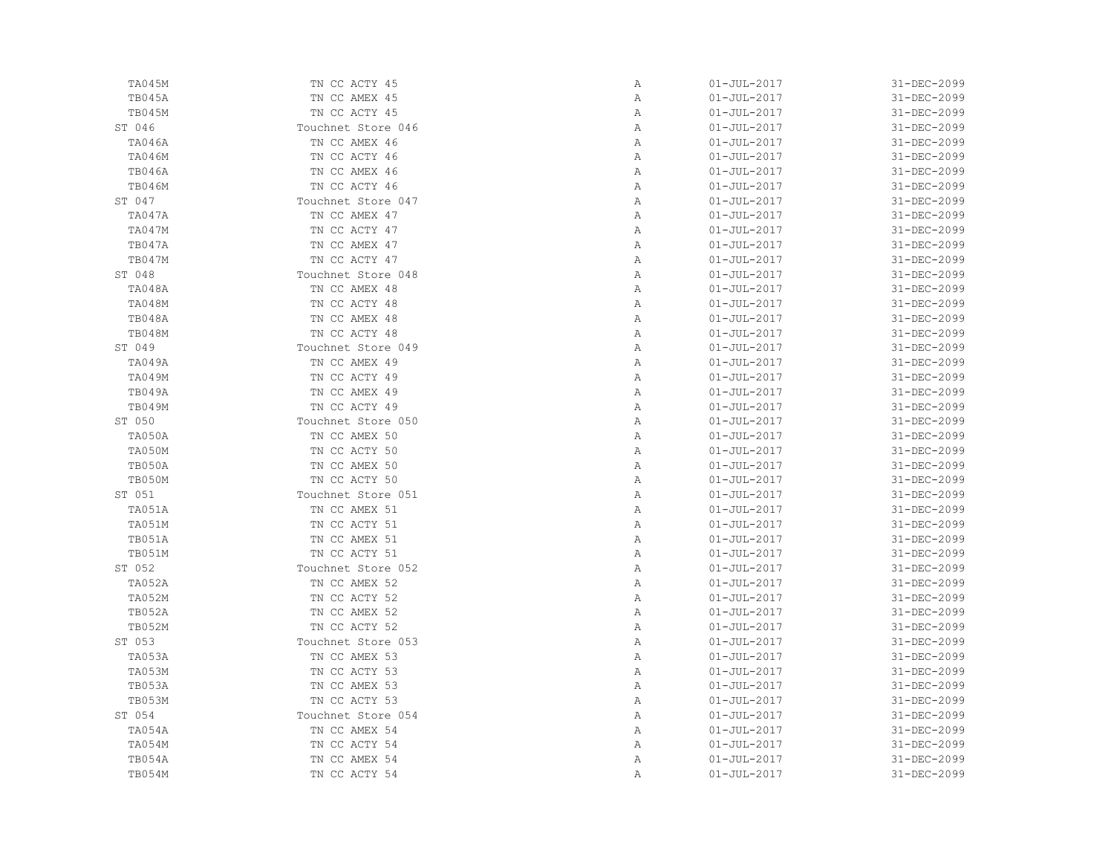| TA045M        | TN CC ACTY 45      | Α            | $01 - JUL - 2017$ | 31-DEC-2099 |
|---------------|--------------------|--------------|-------------------|-------------|
| TB045A        | TN CC AMEX 45      | Α            | $01 - JUL - 2017$ | 31-DEC-2099 |
| TB045M        | TN CC ACTY 45      | Α            | $01 - JUL - 2017$ | 31-DEC-2099 |
| ST 046        | Touchnet Store 046 | Α            | $01 - JUL - 2017$ | 31-DEC-2099 |
| <b>TA046A</b> | TN CC AMEX 46      | Α            | $01 - JUL - 2017$ | 31-DEC-2099 |
| <b>TA046M</b> | TN CC ACTY 46      | Α            | $01 - JUL - 2017$ | 31-DEC-2099 |
| <b>TB046A</b> | TN CC AMEX 46      | Α            | $01 - JUL - 2017$ | 31-DEC-2099 |
| <b>TB046M</b> | TN CC ACTY 46      | Α            | $01 - JUL - 2017$ | 31-DEC-2099 |
| ST 047        | Touchnet Store 047 | $\mathbb{A}$ | $01 - JUL - 2017$ | 31-DEC-2099 |
| TA047A        | TN CC AMEX 47      | Α            | $01 - JUL - 2017$ | 31-DEC-2099 |
| TA047M        | TN CC ACTY 47      | Α            | $01 - JUL - 2017$ | 31-DEC-2099 |
| TB047A        | TN CC AMEX 47      | Α            | $01 - JUL - 2017$ | 31-DEC-2099 |
| TB047M        | TN CC ACTY 47      | Α            | $01 - JUL - 2017$ | 31-DEC-2099 |
| ST 048        | Touchnet Store 048 | Α            | $01 - JUL - 2017$ | 31-DEC-2099 |
| TA048A        | TN CC AMEX 48      | Α            | $01 - JUL - 2017$ | 31-DEC-2099 |
| TA048M        | TN CC ACTY 48      | $\mathbb{A}$ | $01 - JUL - 2017$ | 31-DEC-2099 |
| TB048A        | TN CC AMEX 48      | $\mathbb{A}$ | $01 - JUL - 2017$ | 31-DEC-2099 |
| TB048M        | TN CC ACTY 48      | Α            | $01 - JUL - 2017$ | 31-DEC-2099 |
| ST 049        | Touchnet Store 049 | Α            | $01 - JUL - 2017$ | 31-DEC-2099 |
| TA049A        | TN CC AMEX 49      | Α            | $01 - JUL - 2017$ | 31-DEC-2099 |
| <b>TA049M</b> | TN CC ACTY 49      | Α            | $01 - JUL - 2017$ | 31-DEC-2099 |
| TB049A        | TN CC AMEX 49      | Α            | $01 - JUL - 2017$ | 31-DEC-2099 |
| TB049M        | TN CC ACTY 49      | Α            | $01 - JUL - 2017$ | 31-DEC-2099 |
| ST 050        | Touchnet Store 050 | Α            | $01 - JUL - 2017$ | 31-DEC-2099 |
| TA050A        | TN CC AMEX 50      | Α            | $01 - JUL - 2017$ | 31-DEC-2099 |
| TA050M        | TN CC ACTY 50      | Α            | $01 - JUL - 2017$ | 31-DEC-2099 |
| TB050A        | TN CC AMEX 50      | Α            | $01 - JUL - 2017$ | 31-DEC-2099 |
| TB050M        | TN CC ACTY 50      | Α            | $01 - JUL - 2017$ | 31-DEC-2099 |
| ST 051        | Touchnet Store 051 | $\mathbb{A}$ | $01 - JUL - 2017$ | 31-DEC-2099 |
| TA051A        | TN CC AMEX 51      | $\mathbb{A}$ | $01 - JUL - 2017$ | 31-DEC-2099 |
| TA051M        | TN CC ACTY 51      | Α            | $01 - JUL - 2017$ | 31-DEC-2099 |
| TB051A        | TN CC AMEX 51      | Α            | $01 - JUL - 2017$ | 31-DEC-2099 |
| TB051M        | TN CC ACTY 51      | Α            | $01 - JUL - 2017$ | 31-DEC-2099 |
| ST 052        | Touchnet Store 052 | Α            | $01 - JUL - 2017$ | 31-DEC-2099 |
| TA052A        | TN CC AMEX 52      | Α            | $01 - JUL - 2017$ | 31-DEC-2099 |
| <b>TA052M</b> | TN CC ACTY 52      | Α            | $01 - JUL - 2017$ | 31-DEC-2099 |
| TB052A        | TN CC AMEX 52      | $\mathbb{A}$ | $01 - JUL - 2017$ | 31-DEC-2099 |
| <b>TB052M</b> | TN CC ACTY 52      | Α            | $01 - JUL - 2017$ | 31-DEC-2099 |
| ST 053        | Touchnet Store 053 | Α            | $01 - JUL - 2017$ | 31-DEC-2099 |
| TA053A        | TN CC AMEX 53      | Α            | $01 - JUL - 2017$ | 31-DEC-2099 |
| TA053M        | TN CC ACTY 53      | Α            | $01 - JUL - 2017$ | 31-DEC-2099 |
| TB053A        | TN CC AMEX 53      | Α            | $01 - JUL - 2017$ | 31-DEC-2099 |
| TB053M        | TN CC ACTY 53      | Α            | $01 - JUL - 2017$ | 31-DEC-2099 |
| ST 054        | Touchnet Store 054 | Α            | $01 - JUL - 2017$ | 31-DEC-2099 |
| TA054A        | TN CC AMEX 54      | Α            | $01 - JUL - 2017$ | 31-DEC-2099 |
| TA054M        | TN CC ACTY 54      | Α            | $01 - JUL - 2017$ | 31-DEC-2099 |
| TB054A        | TN CC AMEX 54      | Α            | $01 - JUL - 2017$ | 31-DEC-2099 |
| TB054M        | TN CC ACTY 54      | Α            | $01 - JUL - 2017$ | 31-DEC-2099 |
|               |                    |              |                   |             |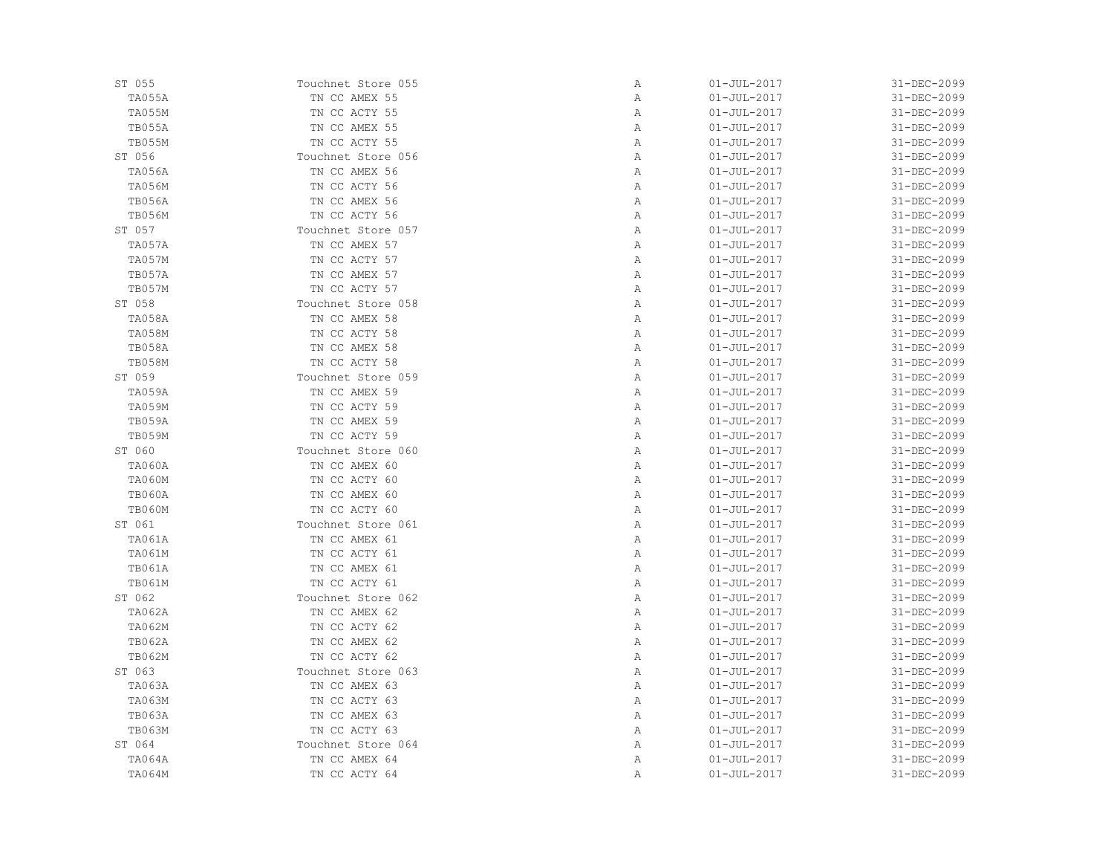| ST 055        | Touchnet Store 055 | Α | $01 - JUL - 2017$ | 31-DEC-2099 |
|---------------|--------------------|---|-------------------|-------------|
| TA055A        | TN CC AMEX 55      | Α | $01 - JUL - 2017$ | 31-DEC-2099 |
| <b>TA055M</b> | TN CC ACTY 55      | Α | $01 - JUL - 2017$ | 31-DEC-2099 |
| TB055A        | TN CC AMEX 55      | Α | $01 - JUL - 2017$ | 31-DEC-2099 |
| TB055M        | TN CC ACTY 55      | Α | $01 - JUL - 2017$ | 31-DEC-2099 |
| ST 056        | Touchnet Store 056 | Α | $01 - JUL - 2017$ | 31-DEC-2099 |
| <b>TA056A</b> | TN CC AMEX 56      | Α | $01 - JUL - 2017$ | 31-DEC-2099 |
| <b>TA056M</b> | TN CC ACTY 56      | Α | $01 - JUL - 2017$ | 31-DEC-2099 |
| <b>TB056A</b> | TN CC AMEX 56      | Α | $01 - JUL - 2017$ | 31-DEC-2099 |
| <b>TB056M</b> | TN CC ACTY 56      | Α | $01 - JUL - 2017$ | 31-DEC-2099 |
| ST 057        | Touchnet Store 057 | Α | $01 - JUL - 2017$ | 31-DEC-2099 |
| TA057A        | TN CC AMEX 57      | Α | $01 - JUL - 2017$ | 31-DEC-2099 |
| TA057M        | TN CC ACTY 57      | Α | $01 - JUL - 2017$ | 31-DEC-2099 |
| TB057A        | TN CC AMEX 57      | Α | $01 - JUL - 2017$ | 31-DEC-2099 |
| TB057M        | TN CC ACTY 57      | Α | $01 - JUL - 2017$ | 31-DEC-2099 |
| ST 058        | Touchnet Store 058 | Α | $01 - JUL - 2017$ | 31-DEC-2099 |
| TA058A        | TN CC AMEX 58      | Α | $01 - JUL - 2017$ | 31-DEC-2099 |
| <b>TA058M</b> | TN CC ACTY 58      | Α | $01 - JUL - 2017$ | 31-DEC-2099 |
| TB058A        | TN CC AMEX 58      | Α | $01 - JUL - 2017$ | 31-DEC-2099 |
| <b>TB058M</b> | TN CC ACTY 58      | Α | $01 - JUL - 2017$ | 31-DEC-2099 |
| ST 059        | Touchnet Store 059 | Α | $01 - JUL - 2017$ | 31-DEC-2099 |
| TA059A        | TN CC AMEX 59      | Α | $01 - JUL - 2017$ | 31-DEC-2099 |
| <b>TA059M</b> | TN CC ACTY 59      | Α | $01 - JUL - 2017$ | 31-DEC-2099 |
| TB059A        | TN CC AMEX 59      | Α | $01 - JUL - 2017$ | 31-DEC-2099 |
| <b>TB059M</b> | TN CC ACTY 59      | Α | $01 - JUL - 2017$ | 31-DEC-2099 |
| ST 060        | Touchnet Store 060 | Α | $01 - JUL - 2017$ | 31-DEC-2099 |
| <b>TA060A</b> | TN CC AMEX 60      | Α | $01 - JUL - 2017$ | 31-DEC-2099 |
| <b>TA060M</b> | TN CC ACTY 60      | Α | $01 - JUL - 2017$ | 31-DEC-2099 |
| TB060A        | TN CC AMEX 60      | Α | $01 - JUL - 2017$ | 31-DEC-2099 |
| <b>TB060M</b> | TN CC ACTY 60      | Α | $01 - JUL - 2017$ | 31-DEC-2099 |
| ST 061        | Touchnet Store 061 | Α | $01 - JUL - 2017$ | 31-DEC-2099 |
| <b>TA061A</b> | TN CC AMEX 61      | Α | $01 - JUL - 2017$ | 31-DEC-2099 |
| <b>TA061M</b> | TN CC ACTY 61      | Α | $01 - JUL - 2017$ | 31-DEC-2099 |
| <b>TB061A</b> | TN CC AMEX 61      | Α | $01 - JUL - 2017$ | 31-DEC-2099 |
| TB061M        | TN CC ACTY 61      | Α | $01 - JUL - 2017$ | 31-DEC-2099 |
| ST 062        | Touchnet Store 062 | Α | $01 - JUL - 2017$ | 31-DEC-2099 |
| <b>TA062A</b> | TN CC AMEX 62      | Α | $01 - JUL - 2017$ | 31-DEC-2099 |
| TA062M        | TN CC ACTY 62      | Α | $01 - JUL - 2017$ | 31-DEC-2099 |
| <b>TB062A</b> | TN CC AMEX 62      | Α | $01 - JUL - 2017$ | 31-DEC-2099 |
| <b>TB062M</b> | TN CC ACTY 62      | Α | $01 - JUL - 2017$ | 31-DEC-2099 |
| ST 063        | Touchnet Store 063 | Α | $01 - JUL - 2017$ | 31-DEC-2099 |
| TA063A        | TN CC AMEX 63      | Α | $01 - JUL - 2017$ | 31-DEC-2099 |
| <b>TA063M</b> | TN CC ACTY 63      | Α | $01 - JUL - 2017$ | 31-DEC-2099 |
| TB063A        | TN CC AMEX 63      | Α | $01 - JUL - 2017$ | 31-DEC-2099 |
| <b>TB063M</b> | TN CC ACTY 63      | Α | $01 - JUL - 2017$ | 31-DEC-2099 |
| ST 064        | Touchnet Store 064 | Α | $01 - JUL - 2017$ | 31-DEC-2099 |
| TA064A        | TN CC AMEX 64      | Α | $01 - JUL - 2017$ | 31-DEC-2099 |
|               | TN CC ACTY 64      | Α | $01 - JUL - 2017$ |             |
| TA064M        |                    |   |                   | 31-DEC-2099 |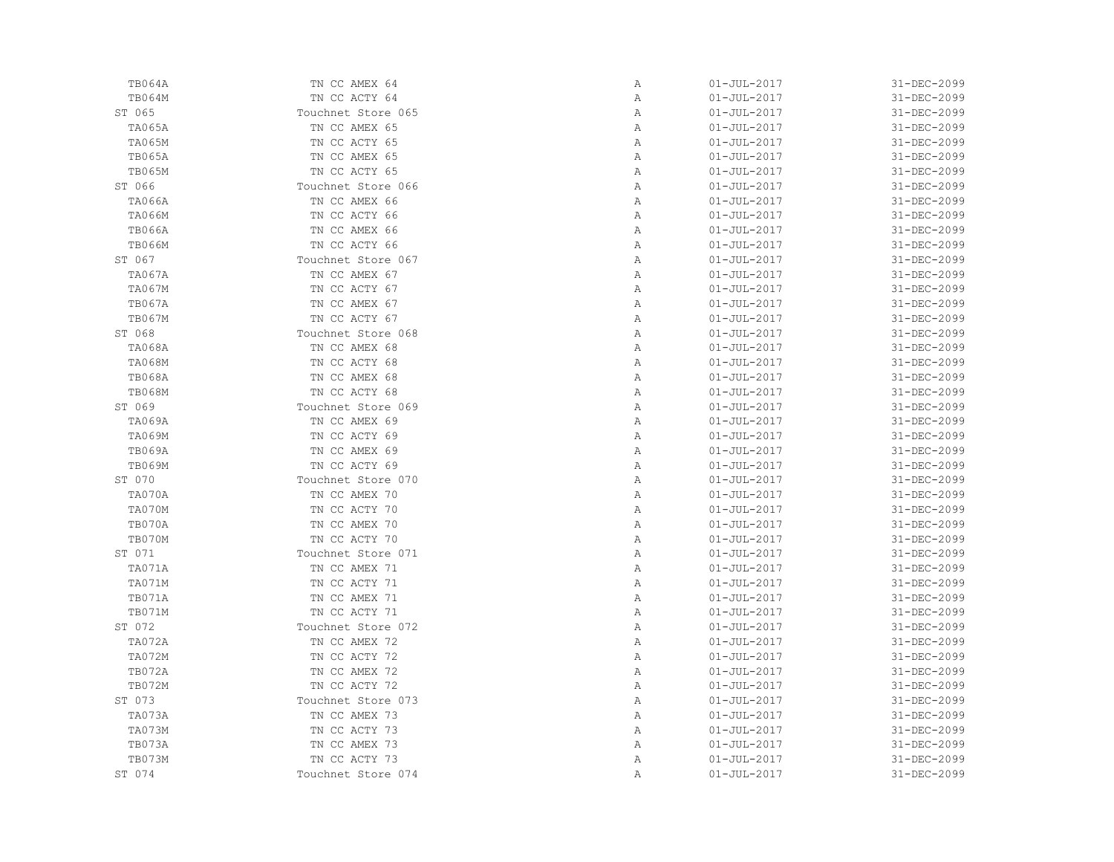| TB064A        | TN CC AMEX 64      | Α            | $01 - JUL - 2017$ | 31-DEC-2099 |
|---------------|--------------------|--------------|-------------------|-------------|
| TB064M        | TN CC ACTY 64      | Α            | $01 - JUL - 2017$ | 31-DEC-2099 |
| ST 065        | Touchnet Store 065 | Α            | $01 - JUL - 2017$ | 31-DEC-2099 |
| <b>TA065A</b> | TN CC AMEX 65      | Α            | $01 - JUL - 2017$ | 31-DEC-2099 |
| <b>TA065M</b> | TN CC ACTY 65      | Α            | $01 - JUL - 2017$ | 31-DEC-2099 |
| <b>TB065A</b> | TN CC AMEX 65      | Α            | $01 - JUL - 2017$ | 31-DEC-2099 |
| TB065M        | TN CC ACTY 65      | Α            | $01 - JUL - 2017$ | 31-DEC-2099 |
| ST 066        | Touchnet Store 066 | $\mathbb{A}$ | $01 - JUL - 2017$ | 31-DEC-2099 |
| <b>TA066A</b> | TN CC AMEX 66      | Α            | $01 - JUL - 2017$ | 31-DEC-2099 |
| <b>TA066M</b> | TN CC ACTY 66      | Α            | $01 - JUL - 2017$ | 31-DEC-2099 |
| <b>TB066A</b> | TN CC AMEX 66      | Α            | $01 - JUL - 2017$ | 31-DEC-2099 |
| <b>TB066M</b> | TN CC ACTY 66      | Α            | $01 - JUL - 2017$ | 31-DEC-2099 |
| ST 067        | Touchnet Store 067 | Α            | $01 - JUL - 2017$ | 31-DEC-2099 |
| <b>TA067A</b> | TN CC AMEX 67      | $\mathbb{A}$ | $01 - JUL - 2017$ | 31-DEC-2099 |
| TA067M        | TN CC ACTY 67      | Α            | $01 - JUL - 2017$ | 31-DEC-2099 |
| TB067A        | TN CC AMEX 67      | Α            | $01 - JUL - 2017$ | 31-DEC-2099 |
| <b>TB067M</b> | TN CC ACTY 67      | Α            | $01 - JUL - 2017$ | 31-DEC-2099 |
| ST 068        | Touchnet Store 068 | Α            | $01 - JUL - 2017$ | 31-DEC-2099 |
| <b>TA068A</b> | TN CC AMEX 68      | Α            | $01 - JUL - 2017$ | 31-DEC-2099 |
| <b>TA068M</b> | TN CC ACTY 68      | $\mathbb{A}$ | $01 - JUL - 2017$ | 31-DEC-2099 |
| <b>TB068A</b> | TN CC AMEX 68      | $\mathbb{A}$ | $01 - JUL - 2017$ | 31-DEC-2099 |
| <b>TB068M</b> | TN CC ACTY 68      | $\mathbb{A}$ | $01 - JUL - 2017$ | 31-DEC-2099 |
| ST 069        | Touchnet Store 069 | Α            | $01 - JUL - 2017$ | 31-DEC-2099 |
| TA069A        | TN CC AMEX 69      | Α            | $01 - JUL - 2017$ | 31-DEC-2099 |
| <b>TA069M</b> | TN CC ACTY 69      | Α            | $01 - JUL - 2017$ | 31-DEC-2099 |
| TB069A        | TN CC AMEX 69      | $\mathbb{A}$ | $01 - JUL - 2017$ | 31-DEC-2099 |
| <b>TB069M</b> | TN CC ACTY 69      | Α            | $01 - JUL - 2017$ | 31-DEC-2099 |
| ST 070        | Touchnet Store 070 | Α            | $01 - JUL - 2017$ | 31-DEC-2099 |
| TA070A        | TN CC AMEX 70      | Α            | $01 - JUL - 2017$ | 31-DEC-2099 |
| TA070M        | TN CC ACTY 70      | Α            | $01 - JUL - 2017$ | 31-DEC-2099 |
| TB070A        | TN CC AMEX 70      | Α            | $01 - JUL - 2017$ | 31-DEC-2099 |
| TB070M        | TN CC ACTY 70      | $\mathbb{A}$ | $01 - JUL - 2017$ | 31-DEC-2099 |
| ST 071        | Touchnet Store 071 | Α            | $01 - JUL - 2017$ | 31-DEC-2099 |
| TA071A        | TN CC AMEX 71      | Α            | $01 - JUL - 2017$ | 31-DEC-2099 |
| TA071M        | TN CC ACTY 71      | Α            | $01 - JUL - 2017$ | 31-DEC-2099 |
| TB071A        | TN CC AMEX 71      | Α            | $01 - JUL - 2017$ | 31-DEC-2099 |
| TB071M        | TN CC ACTY 71      | Α            | $01 - JUL - 2017$ | 31-DEC-2099 |
| ST 072        | Touchnet Store 072 | $\mathbb{A}$ | $01 - JUL - 2017$ | 31-DEC-2099 |
| TA072A        | TN CC AMEX 72      | Α            | $01 - JUL - 2017$ | 31-DEC-2099 |
| TA072M        | TN CC ACTY 72      | Α            | $01 - JUL - 2017$ | 31-DEC-2099 |
| TB072A        | TN CC AMEX 72      | Α            | $01 - JUL - 2017$ | 31-DEC-2099 |
| <b>TB072M</b> | TN CC ACTY 72      | Α            | $01 - JUL - 2017$ | 31-DEC-2099 |
| ST 073        | Touchnet Store 073 | Α            | $01 - JUL - 2017$ | 31-DEC-2099 |
| TA073A        | TN CC AMEX 73      | Α            | $01 - JUL - 2017$ | 31-DEC-2099 |
| TA073M        | TN CC ACTY 73      | Α            | $01 - JUL - 2017$ | 31-DEC-2099 |
| TB073A        | TN CC AMEX 73      | Α            | $01 - JUL - 2017$ | 31-DEC-2099 |
| TB073M        | TN CC ACTY 73      | Α            | $01 - JUL - 2017$ | 31-DEC-2099 |
| ST 074        | Touchnet Store 074 | Α            | $01 - JUL - 2017$ | 31-DEC-2099 |
|               |                    |              |                   |             |

| Α | 01-JUL-2017       | 31-DEC-2099 |
|---|-------------------|-------------|
| Α | 01-JUL-2017       | 31-DEC-2099 |
| Α | 01-JUL-2017       | 31-DEC-2099 |
| Α | $01 - JUL - 2017$ | 31-DEC-2099 |
| Α | $01 - JUL - 2017$ | 31-DEC-2099 |
| Α | $01 - JUL - 2017$ | 31-DEC-2099 |
| Α | $01 - JUL - 2017$ | 31-DEC-2099 |
| Α | $01 - JUL - 2017$ | 31-DEC-2099 |
| Α | $01 - JUL - 2017$ | 31-DEC-2099 |
| Α | $01 - JUL - 2017$ | 31-DEC-2099 |
| Α | $01 - JUL - 2017$ | 31-DEC-2099 |
| Α | $01 - JUL - 2017$ | 31-DEC-2099 |
| Α | $01 - JUL - 2017$ | 31-DEC-2099 |
| Α | $01 - JUL - 2017$ | 31-DEC-2099 |
| Α | $01 - JUL - 2017$ | 31-DEC-2099 |
| Α | $01 - JUL - 2017$ | 31-DEC-2099 |
| Α | $01 - JUL - 2017$ | 31-DEC-2099 |
| Α | $01 - JUL - 2017$ | 31-DEC-2099 |
| Α | $01 - JUL - 2017$ | 31-DEC-2099 |
| Α | $01 - JUL - 2017$ | 31-DEC-2099 |
| Α | $01 - JUL - 2017$ | 31-DEC-2099 |
| Α | $01 - JUL - 2017$ | 31-DEC-2099 |
| Α | $01 - JUL - 2017$ | 31-DEC-2099 |
| Α | $01 - JUL - 2017$ | 31-DEC-2099 |
| Α | $01 - JUL - 2017$ | 31-DEC-2099 |
| Α | $01 - JUL - 2017$ | 31-DEC-2099 |
| Α | $01 - JUL - 2017$ | 31-DEC-2099 |
| Α | $01 - JUL - 2017$ | 31-DEC-2099 |
| Α | $01 - JUL - 2017$ | 31-DEC-2099 |
| Α | $01 - JUL - 2017$ | 31-DEC-2099 |
| Α | $01 - JUL - 2017$ | 31-DEC-2099 |
| Α | $01 - JUL - 2017$ | 31-DEC-2099 |
| Α | $01 - JUL - 2017$ | 31-DEC-2099 |
| Α | $01 - JUL - 2017$ | 31-DEC-2099 |
| Α | $01 - JUL - 2017$ | 31-DEC-2099 |
| Α | $01 - JUL - 2017$ | 31-DEC-2099 |
| Α | $01 - JUL - 2017$ | 31-DEC-2099 |
| Α | $01 - JUL - 2017$ | 31-DEC-2099 |
| Α | $01 - JUL - 2017$ | 31-DEC-2099 |
| Α | $01 - JUL - 2017$ | 31-DEC-2099 |
| Α | $01 - JUL - 2017$ | 31-DEC-2099 |
| Α | $01 - JUL - 2017$ | 31-DEC-2099 |
| Α | $01 - JUL - 2017$ | 31-DEC-2099 |
| Α | $01 - JUL - 2017$ | 31-DEC-2099 |
| Α | $01 - JUL - 2017$ | 31-DEC-2099 |
| Α | $01 - JUL - 2017$ | 31-DEC-2099 |
| Α | $01 - JUL - 2017$ | 31-DEC-2099 |
| Α | 01-JUL-2017       | 31-DEC-2099 |
|   |                   |             |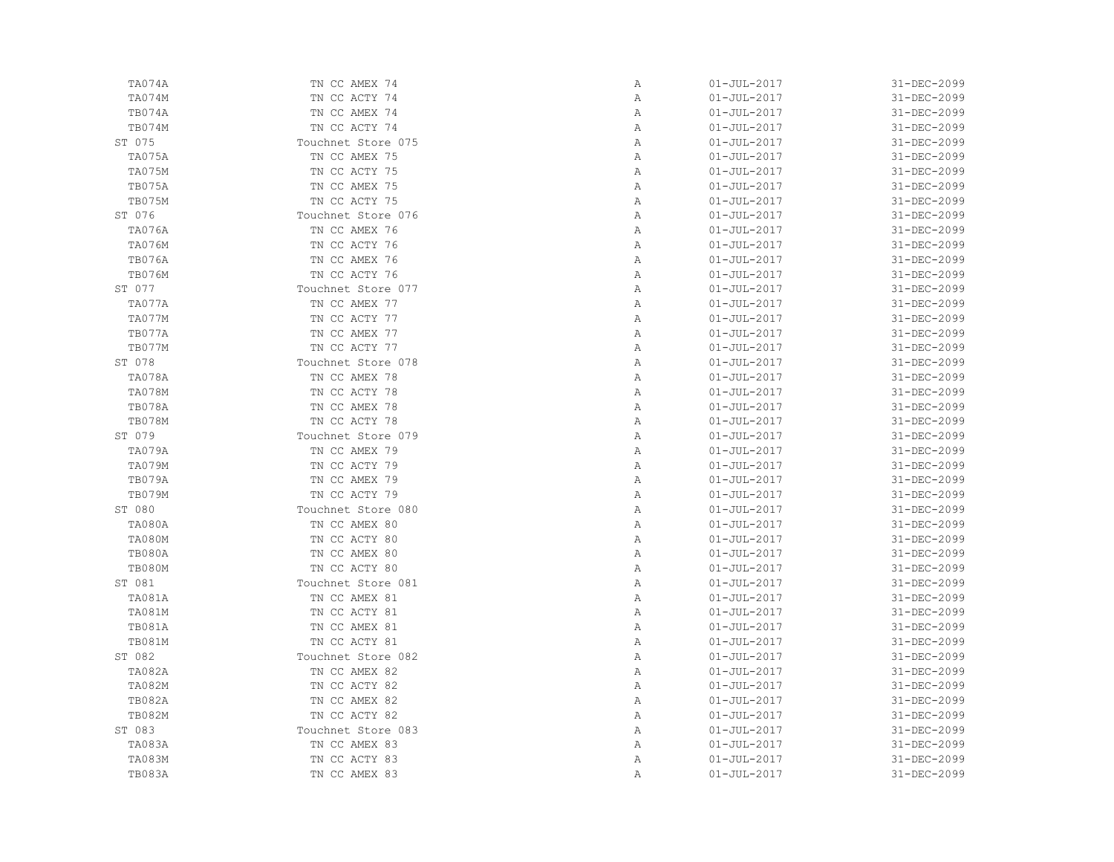| TA074A        | TN CC AMEX 74      | Α            | $01 - JUL - 2017$ | 31-DEC-2099 |
|---------------|--------------------|--------------|-------------------|-------------|
| TA074M        | TN CC ACTY 74      | Α            | $01 - JUL - 2017$ | 31-DEC-2099 |
| TB074A        | TN CC AMEX 74      | Α            | $01 - JUL - 2017$ | 31-DEC-2099 |
| TB074M        | TN CC ACTY 74      | Α            | $01 - JUL - 2017$ | 31-DEC-2099 |
| ST 075        | Touchnet Store 075 | Α            | $01 - JUL - 2017$ | 31-DEC-2099 |
| TA075A        | TN CC AMEX 75      | $\mathbb{A}$ | $01 - JUL - 2017$ | 31-DEC-2099 |
| TA075M        | TN CC ACTY 75      | Α            | $01 - JUL - 2017$ | 31-DEC-2099 |
| TB075A        | TN CC AMEX 75      | Α            | $01 - JUL - 2017$ | 31-DEC-2099 |
| TB075M        | TN CC ACTY 75      | Α            | $01 - JUL - 2017$ | 31-DEC-2099 |
| ST 076        | Touchnet Store 076 | Α            | $01 - JUL - 2017$ | 31-DEC-2099 |
| <b>TA076A</b> | TN CC AMEX 76      | Α            | $01 - JUL - 2017$ | 31-DEC-2099 |
| <b>TA076M</b> | TN CC ACTY 76      | $\mathbb{A}$ | $01 - JUL - 2017$ | 31-DEC-2099 |
| TB076A        | TN CC AMEX 76      | $\mathbb{A}$ | $01 - JUL - 2017$ | 31-DEC-2099 |
| <b>TB076M</b> | TN CC ACTY 76      | $\mathbb{A}$ | $01 - JUL - 2017$ | 31-DEC-2099 |
| ST 077        | Touchnet Store 077 | Α            | $01 - JUL - 2017$ | 31-DEC-2099 |
| TA077A        | TN CC AMEX 77      | Α            | $01 - JUL - 2017$ | 31-DEC-2099 |
| TA077M        | TN CC ACTY 77      | Α            | $01 - JUL - 2017$ | 31-DEC-2099 |
| TB077A        | TN CC AMEX 77      | Α            | $01 - JUL - 2017$ | 31-DEC-2099 |
| TB077M        | TN CC ACTY 77      | Α            | $01 - JUL - 2017$ | 31-DEC-2099 |
| ST 078        | Touchnet Store 078 | Α            | $01 - JUL - 2017$ | 31-DEC-2099 |
| TA078A        | TN CC AMEX 78      | Α            | $01 - JUL - 2017$ | 31-DEC-2099 |
| <b>TA078M</b> | TN CC ACTY 78      | $\mathbb{A}$ | $01 - JUL - 2017$ | 31-DEC-2099 |
| TB078A        | TN CC AMEX 78      | $\mathbb{A}$ | $01 - JUL - 2017$ | 31-DEC-2099 |
| <b>TB078M</b> | TN CC ACTY 78      | Α            | $01 - JUL - 2017$ | 31-DEC-2099 |
| ST 079        | Touchnet Store 079 | Α            | $01 - JUL - 2017$ | 31-DEC-2099 |
| TA079A        | TN CC AMEX 79      | Α            | $01 - JUL - 2017$ | 31-DEC-2099 |
| <b>TA079M</b> | TN CC ACTY 79      | Α            | $01 - JUL - 2017$ | 31-DEC-2099 |
| TB079A        | TN CC AMEX 79      | Α            | $01 - JUL - 2017$ | 31-DEC-2099 |
| TB079M        | TN CC ACTY 79      | Α            | $01 - JUL - 2017$ | 31-DEC-2099 |
| ST 080        | Touchnet Store 080 | $\mathbb{A}$ | $01 - JUL - 2017$ | 31-DEC-2099 |
| TA080A        | TN CC AMEX 80      | $\mathbb{A}$ | $01 - JUL - 2017$ | 31-DEC-2099 |
| <b>TA080M</b> | TN CC ACTY 80      | $\mathbb{A}$ | $01 - JUL - 2017$ | 31-DEC-2099 |
| TB080A        | TN CC AMEX 80      | Α            | $01 - JUL - 2017$ | 31-DEC-2099 |
| <b>TB080M</b> | TN CC ACTY 80      | $\mathbb{A}$ | $01 - JUL - 2017$ | 31-DEC-2099 |
| ST 081        | Touchnet Store 081 | Α            | $01 - JUL - 2017$ | 31-DEC-2099 |
| <b>TA081A</b> | TN CC AMEX 81      | Α            | $01 - JUL - 2017$ | 31-DEC-2099 |
| TA081M        | TN CC ACTY 81      | Α            | $01 - JUL - 2017$ | 31-DEC-2099 |
| <b>TB081A</b> | TN CC AMEX 81      | Α            | $01 - JUL - 2017$ | 31-DEC-2099 |
| <b>TB081M</b> | TN CC ACTY 81      | Α            | $01 - JUL - 2017$ | 31-DEC-2099 |
| ST 082        | Touchnet Store 082 | Α            | $01 - JUL - 2017$ | 31-DEC-2099 |
| <b>TA082A</b> | TN CC AMEX 82      | Α            | $01 - JUL - 2017$ | 31-DEC-2099 |
| <b>TA082M</b> | TN CC ACTY 82      | Α            | $01 - JUL - 2017$ | 31-DEC-2099 |
| <b>TB082A</b> | TN CC AMEX 82      | Α            | $01 - JUL - 2017$ | 31-DEC-2099 |
| <b>TB082M</b> | TN CC ACTY 82      | Α            | $01 - JUL - 2017$ | 31-DEC-2099 |
| ST 083        | Touchnet Store 083 | Α            | $01 - JUL - 2017$ | 31-DEC-2099 |
| TA083A        | TN CC AMEX 83      | Α            | $01 - JUL - 2017$ | 31-DEC-2099 |
| <b>TA083M</b> | TN CC ACTY 83      | Α            | $01 - JUL - 2017$ | 31-DEC-2099 |
| TB083A        | TN CC AMEX 83      | $\mathbb{A}$ | $01 - JUL - 2017$ | 31-DEC-2099 |
|               |                    |              |                   |             |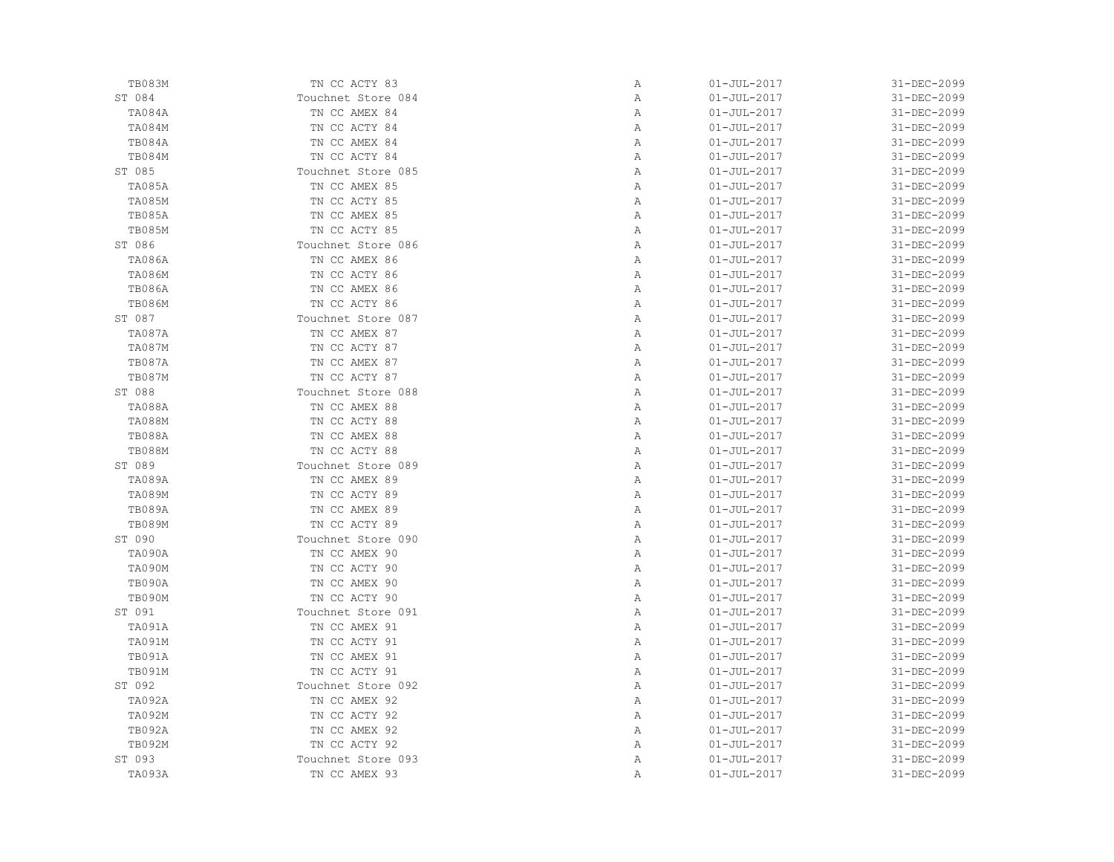| TB083M        | TN CC ACTY 83      | Α | $01 - JUL - 2017$ | 31-DEC-2099       |
|---------------|--------------------|---|-------------------|-------------------|
| ST 084        | Touchnet Store 084 | Α | $01 - JUL - 2017$ | 31-DEC-2099       |
| TA084A        | TN CC AMEX 84      | Α | $01 - JUL - 2017$ | 31-DEC-2099       |
| <b>TA084M</b> | TN CC ACTY 84      | Α | $01 - JUL - 2017$ | 31-DEC-2099       |
| TB084A        | TN CC AMEX 84      | Α | $01 - JUL - 2017$ | 31-DEC-2099       |
| TB084M        | TN CC ACTY 84      | Α | $01 - JUL - 2017$ | 31-DEC-2099       |
| ST 085        | Touchnet Store 085 | Α | $01 - JUL - 2017$ | 31-DEC-2099       |
| <b>TA085A</b> | TN CC AMEX 85      | Α | $01 - JUL - 2017$ | 31-DEC-2099       |
| <b>TA085M</b> | TN CC ACTY 85      | Α | $01 - JUL - 2017$ | 31-DEC-2099       |
| TB085A        | TN CC AMEX 85      | Α | $01 - JUL - 2017$ | 31-DEC-2099       |
| <b>TB085M</b> | TN CC ACTY 85      | Α | $01 - JUL - 2017$ | 31-DEC-2099       |
| ST 086        | Touchnet Store 086 | Α | $01 - JUL - 2017$ | 31-DEC-2099       |
| <b>TA086A</b> | TN CC AMEX 86      | Α | $01 - JUL - 2017$ | 31-DEC-2099       |
| <b>TA086M</b> | TN CC ACTY 86      | Α | $01 - JUL - 2017$ | 31-DEC-2099       |
| <b>TB086A</b> | TN CC AMEX 86      | Α | $01 - JUL - 2017$ | 31-DEC-2099       |
| <b>TB086M</b> | TN CC ACTY 86      | Α | $01 - JUL - 2017$ | 31-DEC-2099       |
| ST 087        | Touchnet Store 087 | Α | $01 - JUL - 2017$ | 31-DEC-2099       |
| TA087A        | TN CC AMEX 87      | Α | $01 - JUL - 2017$ | 31-DEC-2099       |
| <b>TA087M</b> | TN CC ACTY 87      | Α | $01 - JUL - 2017$ | 31-DEC-2099       |
| <b>TB087A</b> | TN CC AMEX 87      | Α | $01 - JUL - 2017$ | 31-DEC-2099       |
| <b>TB087M</b> | TN CC ACTY 87      | Α | $01 - JUL - 2017$ | 31-DEC-2099       |
| ST 088        | Touchnet Store 088 | Α | $01 - JUL - 2017$ | 31-DEC-2099       |
| TA088A        | TN CC AMEX 88      | Α | $01 - JUL - 2017$ | 31-DEC-2099       |
| <b>TA088M</b> | TN CC ACTY 88      | Α | $01 - JUL - 2017$ | 31-DEC-2099       |
| <b>TB088A</b> | TN CC AMEX 88      | Α | $01 - JUL - 2017$ | 31-DEC-2099       |
| <b>TB088M</b> | TN CC ACTY 88      | Α | $01 - JUL - 2017$ | 31-DEC-2099       |
| ST 089        | Touchnet Store 089 | Α | $01 - JUL - 2017$ | 31-DEC-2099       |
| <b>TA089A</b> | TN CC AMEX 89      | Α | $01 - JUL - 2017$ | 31-DEC-2099       |
| <b>TA089M</b> | TN CC ACTY 89      | Α | $01 - JUL - 2017$ | 31-DEC-2099       |
| TB089A        | TN CC AMEX 89      | Α | $01 - JUL - 2017$ | 31-DEC-2099       |
| <b>TB089M</b> | TN CC ACTY 89      | Α | $01 - JUL - 2017$ | 31-DEC-2099       |
| ST 090        | Touchnet Store 090 | Α | $01 - JUL - 2017$ | 31-DEC-2099       |
| TA090A        | TN CC AMEX 90      | Α | $01 - JUL - 2017$ | 31-DEC-2099       |
| TA090M        | TN CC ACTY 90      | Α | $01 - JUL - 2017$ | 31-DEC-2099       |
| TB090A        | TN CC AMEX 90      | Α | $01 - JUL - 2017$ | 31-DEC-2099       |
| TB090M        | TN CC ACTY 90      | Α | $01 - JUL - 2017$ | 31-DEC-2099       |
| ST 091        | Touchnet Store 091 | Α | $01 - JUL - 2017$ | $31 - DEC - 2099$ |
| TA091A        | TN CC AMEX 91      | Α | $01 - JUL - 2017$ | 31-DEC-2099       |
| TA091M        | TN CC ACTY 91      | Α | $01 - JUL - 2017$ | 31-DEC-2099       |
| TB091A        | TN CC AMEX 91      | Α | $01 - JUL - 2017$ | 31-DEC-2099       |
| TB091M        | TN CC ACTY 91      | Α | $01 - JUL - 2017$ | 31-DEC-2099       |
| ST 092        | Touchnet Store 092 | Α | $01 - JUL - 2017$ | 31-DEC-2099       |
| TA092A        | TN CC AMEX 92      | Α | $01 - JUL - 2017$ | 31-DEC-2099       |
| <b>TA092M</b> | TN CC ACTY 92      | Α | $01 - JUL - 2017$ | 31-DEC-2099       |
| TB092A        | TN CC AMEX 92      | Α | $01 - JUL - 2017$ | 31-DEC-2099       |
| TB092M        | TN CC ACTY 92      | Α | $01 - JUL - 2017$ | 31-DEC-2099       |
| ST 093        | Touchnet Store 093 | Α | $01 - JUL - 2017$ | 31-DEC-2099       |
| TA093A        | TN CC AMEX 93      | Α | $01 - JUL - 2017$ | 31-DEC-2099       |
|               |                    |   |                   |                   |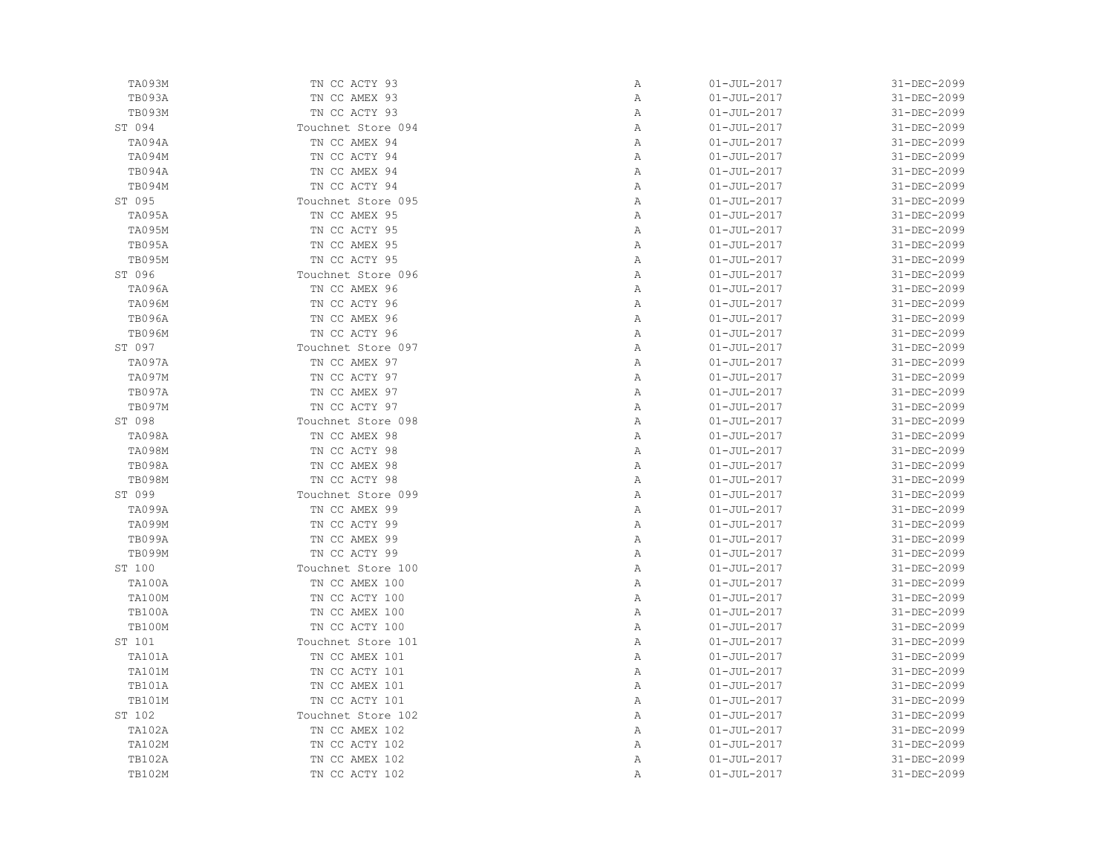| TA093M        | TN CC ACTY 93      | Α            | $01 - JUL - 2017$ | 31-DEC-2099 |
|---------------|--------------------|--------------|-------------------|-------------|
| TB093A        | TN CC AMEX 93      | Α            | $01 - JUL - 2017$ | 31-DEC-2099 |
| TB093M        | TN CC ACTY 93      | Α            | $01 - JUL - 2017$ | 31-DEC-2099 |
| ST 094        | Touchnet Store 094 | Α            | $01 - JUL - 2017$ | 31-DEC-2099 |
| TA094A        | TN CC AMEX 94      | Α            | $01 - JUL - 2017$ | 31-DEC-2099 |
| TA094M        | TN CC ACTY 94      | Α            | $01 - JUL - 2017$ | 31-DEC-2099 |
| TB094A        | TN CC AMEX 94      | Α            | $01 - JUL - 2017$ | 31-DEC-2099 |
| TB094M        | TN CC ACTY 94      | Α            | $01 - JUL - 2017$ | 31-DEC-2099 |
| ST 095        | Touchnet Store 095 | $\mathbb{A}$ | $01 - JUL - 2017$ | 31-DEC-2099 |
| TA095A        | TN CC AMEX 95      | Α            | $01 - JUL - 2017$ | 31-DEC-2099 |
| TA095M        | TN CC ACTY 95      | Α            | $01 - JUL - 2017$ | 31-DEC-2099 |
| TB095A        | TN CC AMEX 95      | Α            | $01 - JUL - 2017$ | 31-DEC-2099 |
| <b>TB095M</b> | TN CC ACTY 95      | Α            | $01 - JUL - 2017$ | 31-DEC-2099 |
| ST 096        | Touchnet Store 096 | Α            | $01 - JUL - 2017$ | 31-DEC-2099 |
| TA096A        | TN CC AMEX 96      | Α            | $01 - JUL - 2017$ | 31-DEC-2099 |
| TA096M        | TN CC ACTY 96      | $\mathbb{A}$ | $01 - JUL - 2017$ | 31-DEC-2099 |
| <b>TB096A</b> | TN CC AMEX 96      | Α            | $01 - JUL - 2017$ | 31-DEC-2099 |
| <b>TB096M</b> | TN CC ACTY 96      | Α            | $01 - JUL - 2017$ | 31-DEC-2099 |
| ST 097        | Touchnet Store 097 | Α            | $01 - JUL - 2017$ | 31-DEC-2099 |
| TA097A        | TN CC AMEX 97      | Α            | $01 - JUL - 2017$ | 31-DEC-2099 |
| TA097M        | TN CC ACTY 97      | Α            | $01 - JUL - 2017$ | 31-DEC-2099 |
| TB097A        | TN CC AMEX 97      | Α            | $01 - JUL - 2017$ | 31-DEC-2099 |
| TB097M        | TN CC ACTY 97      | Α            | $01 - JUL - 2017$ | 31-DEC-2099 |
| ST 098        | Touchnet Store 098 | Α            | $01 - JUL - 2017$ | 31-DEC-2099 |
| TA098A        | TN CC AMEX 98      | Α            | $01 - JUL - 2017$ | 31-DEC-2099 |
| TA098M        | TN CC ACTY 98      | Α            | $01 - JUL - 2017$ | 31-DEC-2099 |
| TB098A        | TN CC AMEX 98      | Α            | $01 - JUL - 2017$ | 31-DEC-2099 |
| <b>TB098M</b> | TN CC ACTY 98      | Α            | $01 - JUL - 2017$ | 31-DEC-2099 |
| ST 099        | Touchnet Store 099 | $\mathbb{A}$ | $01 - JUL - 2017$ | 31-DEC-2099 |
| TA099A        | TN CC AMEX 99      | $\mathbb{A}$ | $01 - JUL - 2017$ | 31-DEC-2099 |
| TA099M        | TN CC ACTY 99      | Α            | $01 - JUL - 2017$ | 31-DEC-2099 |
| TB099A        | TN CC AMEX 99      | Α            | $01 - JUL - 2017$ | 31-DEC-2099 |
| <b>TB099M</b> | TN CC ACTY 99      | Α            | $01 - JUL - 2017$ | 31-DEC-2099 |
| ST 100        | Touchnet Store 100 | Α            | $01 - JUL - 2017$ | 31-DEC-2099 |
| TA100A        | TN CC AMEX 100     | Α            | $01 - JUL - 2017$ | 31-DEC-2099 |
| TA100M        | TN CC ACTY 100     | Α            | $01 - JUL - 2017$ | 31-DEC-2099 |
| TB100A        | TN CC AMEX 100     | Α            | $01 - JUL - 2017$ | 31-DEC-2099 |
| TB100M        | TN CC ACTY 100     | Α            | $01 - JUL - 2017$ | 31-DEC-2099 |
| ST 101        | Touchnet Store 101 | Α            | $01 - JUL - 2017$ | 31-DEC-2099 |
| TA101A        | TN CC AMEX 101     | Α            | $01 - JUL - 2017$ | 31-DEC-2099 |
| TA101M        | TN CC ACTY 101     |              | $01 - JUL - 2017$ | 31-DEC-2099 |
| <b>TB101A</b> |                    | Α<br>Α       |                   | 31-DEC-2099 |
|               | TN CC AMEX 101     |              | $01 - JUL - 2017$ |             |
| TB101M        | TN CC ACTY 101     | Α            | $01 - JUL - 2017$ | 31-DEC-2099 |
| ST 102        | Touchnet Store 102 | Α            | $01 - JUL - 2017$ | 31-DEC-2099 |
| <b>TA102A</b> | TN CC AMEX 102     | Α            | $01 - JUL - 2017$ | 31-DEC-2099 |
| <b>TA102M</b> | TN CC ACTY 102     | Α            | $01 - JUL - 2017$ | 31-DEC-2099 |
| <b>TB102A</b> | TN CC AMEX 102     | Α            | $01 - JUL - 2017$ | 31-DEC-2099 |
| <b>TB102M</b> | TN CC ACTY 102     | Α            | $01 - JUL - 2017$ | 31-DEC-2099 |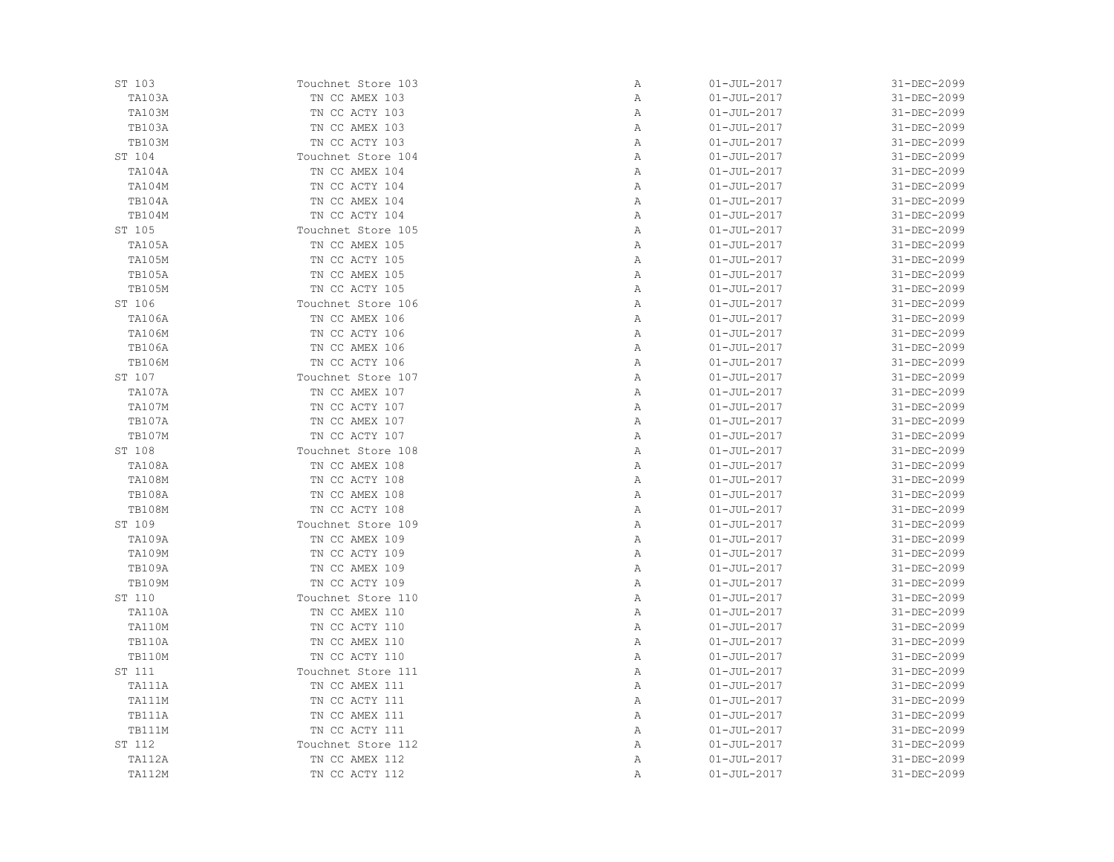| ST 103        | Touchnet Store 103 | Α            | $01 - JUL - 2017$ | 31-DEC-2099 |
|---------------|--------------------|--------------|-------------------|-------------|
| TA103A        | TN CC AMEX 103     | Α            | $01 - JUL - 2017$ | 31-DEC-2099 |
| <b>TA103M</b> | TN CC ACTY 103     | Α            | $01 - JUL - 2017$ | 31-DEC-2099 |
| TB103A        | TN CC AMEX 103     | Α            | $01 - JUL - 2017$ | 31-DEC-2099 |
| TB103M        | TN CC ACTY 103     | Α            | $01 - JUL - 2017$ | 31-DEC-2099 |
| ST 104        | Touchnet Store 104 | Α            | $01 - JUL - 2017$ | 31-DEC-2099 |
| TA104A        | TN CC AMEX 104     | $\mathbb{A}$ | $01 - JUL - 2017$ | 31-DEC-2099 |
| <b>TA104M</b> | TN CC ACTY 104     | Α            | $01 - JUL - 2017$ | 31-DEC-2099 |
| TB104A        | TN CC AMEX 104     | Α            | $01 - JUL - 2017$ | 31-DEC-2099 |
| TB104M        | TN CC ACTY 104     | Α            | $01 - JUL - 2017$ | 31-DEC-2099 |
| ST 105        | Touchnet Store 105 | Α            | $01 - JUL - 2017$ | 31-DEC-2099 |
| <b>TA105A</b> | TN CC AMEX 105     | Α            | $01 - JUL - 2017$ | 31-DEC-2099 |
| <b>TA105M</b> | TN CC ACTY 105     | Α            | $01 - JUL - 2017$ | 31-DEC-2099 |
| TB105A        | TN CC AMEX 105     | Α            | $01 - JUL - 2017$ | 31-DEC-2099 |
| <b>TB105M</b> | TN CC ACTY 105     | Α            | $01 - JUL - 2017$ | 31-DEC-2099 |
| ST 106        | Touchnet Store 106 | $\mathbb{A}$ | $01 - JUL - 2017$ | 31-DEC-2099 |
| <b>TA106A</b> | TN CC AMEX 106     | Α            | $01 - JUL - 2017$ | 31-DEC-2099 |
| TA106M        | TN CC ACTY 106     | Α            | $01 - JUL - 2017$ | 31-DEC-2099 |
| <b>TB106A</b> | TN CC AMEX 106     | Α            | $01 - JUL - 2017$ | 31-DEC-2099 |
| <b>TB106M</b> | TN CC ACTY 106     | $\mathbb{A}$ | $01 - JUL - 2017$ | 31-DEC-2099 |
| ST 107        | Touchnet Store 107 | $\mathbb{A}$ | $01 - JUL - 2017$ | 31-DEC-2099 |
| TA107A        | TN CC AMEX 107     | Α            | $01 - JUL - 2017$ | 31-DEC-2099 |
| <b>TA107M</b> | TN CC ACTY 107     | Α            | $01 - JUL - 2017$ | 31-DEC-2099 |
| TB107A        | TN CC AMEX 107     | Α            | $01 - JUL - 2017$ | 31-DEC-2099 |
| <b>TB107M</b> | TN CC ACTY 107     | Α            | $01 - JUL - 2017$ | 31-DEC-2099 |
| ST 108        | Touchnet Store 108 | Α            | $01 - JUL - 2017$ | 31-DEC-2099 |
| TA108A        | TN CC AMEX 108     | Α            | $01 - JUL - 2017$ | 31-DEC-2099 |
| <b>TA108M</b> | TN CC ACTY 108     | Α            | $01 - JUL - 2017$ | 31-DEC-2099 |
| <b>TB108A</b> | TN CC AMEX 108     | $\mathbb{A}$ | $01 - JUL - 2017$ | 31-DEC-2099 |
| <b>TB108M</b> | TN CC ACTY 108     | $\mathbb{A}$ | $01 - JUL - 2017$ | 31-DEC-2099 |
| ST 109        | Touchnet Store 109 | Α            | $01 - JUL - 2017$ | 31-DEC-2099 |
| TA109A        | TN CC AMEX 109     | Α            | $01 - JUL - 2017$ | 31-DEC-2099 |
| <b>TA109M</b> | TN CC ACTY 109     | Α            | $01 - JUL - 2017$ | 31-DEC-2099 |
| <b>TB109A</b> | TN CC AMEX 109     | Α            | $01 - JUL - 2017$ | 31-DEC-2099 |
| <b>TB109M</b> | TN CC ACTY 109     | Α            | $01 - JUL - 2017$ | 31-DEC-2099 |
| ST 110        | Touchnet Store 110 | Α            | $01 - JUL - 2017$ | 31-DEC-2099 |
| TA110A        | TN CC AMEX 110     | Α            | $01 - JUL - 2017$ | 31-DEC-2099 |
| TA110M        | TN CC ACTY 110     | Α            | $01 - JUL - 2017$ | 31-DEC-2099 |
| TB110A        | TN CC AMEX 110     | Α            | $01 - JUL - 2017$ | 31-DEC-2099 |
| <b>TB110M</b> | TN CC ACTY 110     | Α            | $01 - JUL - 2017$ | 31-DEC-2099 |
| ST 111        | Touchnet Store 111 | $\mathbb{A}$ | $01 - JUL - 2017$ | 31-DEC-2099 |
| TA111A        | TN CC AMEX 111     | Α            | $01 - JUL - 2017$ | 31-DEC-2099 |
| TA111M        | TN CC ACTY 111     | Α            | $01 - JUL - 2017$ | 31-DEC-2099 |
| TB111A        | TN CC AMEX 111     | Α            | $01 - JUL - 2017$ | 31-DEC-2099 |
| TB111M        | TN CC ACTY 111     | Α            | $01 - JUL - 2017$ | 31-DEC-2099 |
| ST 112        | Touchnet Store 112 | Α            | $01 - JUL - 2017$ | 31-DEC-2099 |
|               |                    |              |                   | 31-DEC-2099 |
| TA112A        | TN CC AMEX 112     | Α            | $01 - JUL - 2017$ |             |
| <b>TA112M</b> | TN CC ACTY 112     | Α            | $01 - JUL - 2017$ | 31-DEC-2099 |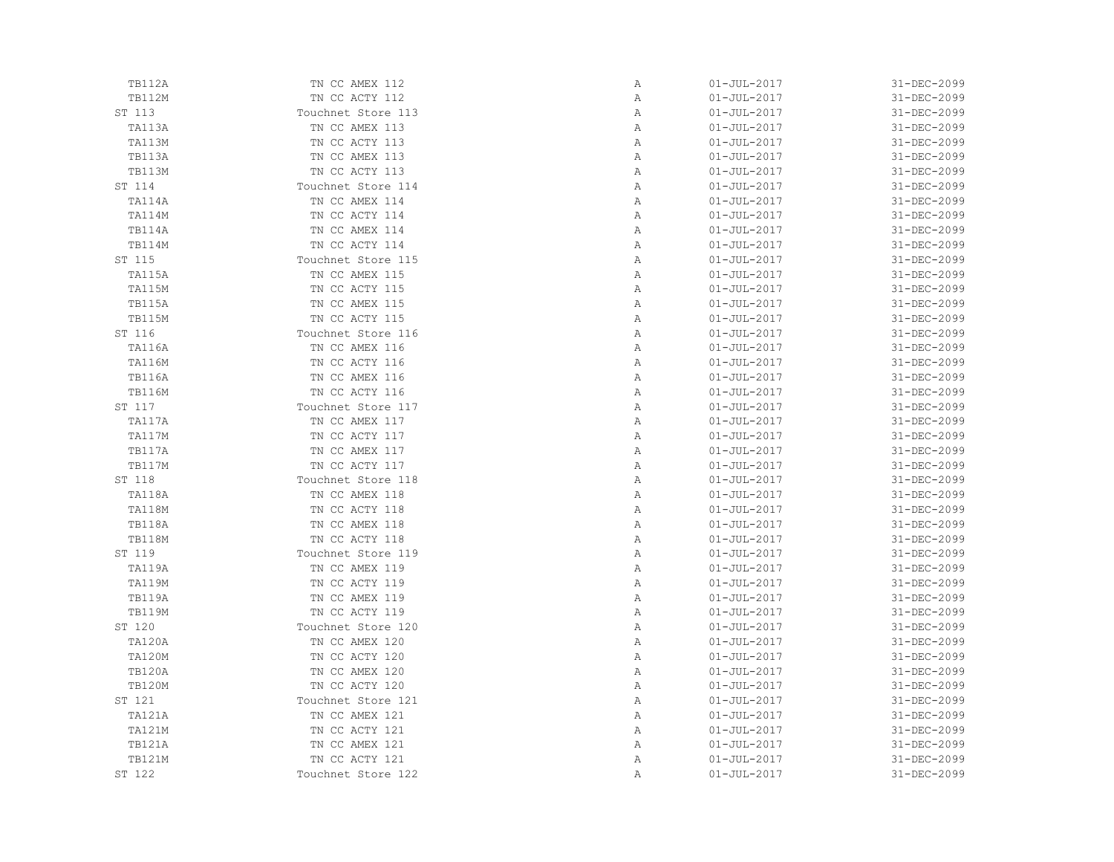| TB112A        | TN CC AMEX 112     | Α            | $01 - JUL - 2017$ | 31-DEC-2099 |
|---------------|--------------------|--------------|-------------------|-------------|
| <b>TB112M</b> | TN CC ACTY 112     | Α            | $01 - JUL - 2017$ | 31-DEC-2099 |
| ST 113        | Touchnet Store 113 | Α            | $01 - JUL - 2017$ | 31-DEC-2099 |
| TA113A        | TN CC AMEX 113     | Α            | $01 - JUL - 2017$ | 31-DEC-2099 |
| TA113M        | TN CC ACTY 113     | Α            | $01 - JUL - 2017$ | 31-DEC-2099 |
| TB113A        | TN CC AMEX 113     | Α            | $01 - JUL - 2017$ | 31-DEC-2099 |
| <b>TB113M</b> | TN CC ACTY 113     | Α            | $01 - JUL - 2017$ | 31-DEC-2099 |
| ST 114        | Touchnet Store 114 | Α            | $01 - JUL - 2017$ | 31-DEC-2099 |
| TA114A        | TN CC AMEX 114     | Α            | $01 - JUL - 2017$ | 31-DEC-2099 |
| TA114M        | TN CC ACTY 114     | Α            | $01 - JUL - 2017$ | 31-DEC-2099 |
| TB114A        | TN CC AMEX 114     | Α            | $01 - JUL - 2017$ | 31-DEC-2099 |
| <b>TB114M</b> | TN CC ACTY 114     | Α            | $01 - JUL - 2017$ | 31-DEC-2099 |
| ST 115        | Touchnet Store 115 | Α            | $01 - JUL - 2017$ | 31-DEC-2099 |
| TA115A        | TN CC AMEX 115     | Α            | $01 - JUL - 2017$ | 31-DEC-2099 |
| <b>TA115M</b> | TN CC ACTY 115     | Α            | $01 - JUL - 2017$ | 31-DEC-2099 |
| <b>TB115A</b> | TN CC AMEX 115     | Α            | $01 - JUL - 2017$ | 31-DEC-2099 |
| <b>TB115M</b> | TN CC ACTY 115     | Α            | $01 - JUL - 2017$ | 31-DEC-2099 |
| ST 116        | Touchnet Store 116 | Α            | $01 - JUL - 2017$ | 31-DEC-2099 |
| TA116A        | TN CC AMEX 116     | Α            | $01 - JUL - 2017$ | 31-DEC-2099 |
| <b>TA116M</b> | TN CC ACTY 116     | Α            | $01 - JUL - 2017$ | 31-DEC-2099 |
| <b>TB116A</b> | TN CC AMEX 116     | Α            | $01 - JUL - 2017$ | 31-DEC-2099 |
| <b>TB116M</b> | TN CC ACTY 116     | Α            | $01 - JUL - 2017$ | 31-DEC-2099 |
| ST 117        | Touchnet Store 117 | Α            | $01 - JUL - 2017$ | 31-DEC-2099 |
| TA117A        | TN CC AMEX 117     | Α            | $01 - JUL - 2017$ | 31-DEC-2099 |
| TA117M        | TN CC ACTY 117     | Α            | $01 - JUL - 2017$ | 31-DEC-2099 |
| TB117A        | TN CC AMEX 117     | Α            | $01 - JUL - 2017$ | 31-DEC-2099 |
| <b>TB117M</b> | TN CC ACTY 117     | Α            | $01 - JUL - 2017$ | 31-DEC-2099 |
| ST 118        | Touchnet Store 118 | Α            | $01 - JUL - 2017$ | 31-DEC-2099 |
| TA118A        | TN CC AMEX 118     | $\mathbb{A}$ | $01 - JUL - 2017$ | 31-DEC-2099 |
| TA118M        | TN CC ACTY 118     | $\mathbb{A}$ | $01 - JUL - 2017$ | 31-DEC-2099 |
| TB118A        | TN CC AMEX 118     | Α            | $01 - JUL - 2017$ | 31-DEC-2099 |
| <b>TB118M</b> | TN CC ACTY 118     | Α            | $01 - JUL - 2017$ | 31-DEC-2099 |
| ST 119        | Touchnet Store 119 | Α            | $01 - JUL - 2017$ | 31-DEC-2099 |
| TA119A        | TN CC AMEX 119     | Α            | $01 - JUL - 2017$ | 31-DEC-2099 |
| <b>TA119M</b> | TN CC ACTY 119     | Α            | $01 - JUL - 2017$ | 31-DEC-2099 |
| TB119A        | TN CC AMEX 119     | Α            | $01 - JUL - 2017$ | 31-DEC-2099 |
| <b>TB119M</b> | TN CC ACTY 119     | $\mathbb{A}$ | $01 - JUL - 2017$ | 31-DEC-2099 |
| ST 120        | Touchnet Store 120 | Α            | $01 - JUL - 2017$ | 31-DEC-2099 |
| <b>TA120A</b> | TN CC AMEX 120     | Α            | $01 - JUL - 2017$ | 31-DEC-2099 |
| <b>TA120M</b> | TN CC ACTY 120     | Α            | $01 - JUL - 2017$ | 31-DEC-2099 |
| <b>TB120A</b> | TN CC AMEX 120     | Α            | $01 - JUL - 2017$ | 31-DEC-2099 |
| <b>TB120M</b> | TN CC ACTY 120     | Α            | $01 - JUL - 2017$ | 31-DEC-2099 |
| ST 121        | Touchnet Store 121 | Α            | $01 - JUL - 2017$ | 31-DEC-2099 |
| TA121A        | TN CC AMEX 121     | Α            | $01 - JUL - 2017$ | 31-DEC-2099 |
| <b>TA121M</b> | TN CC ACTY 121     | Α            | $01 - JUL - 2017$ | 31-DEC-2099 |
| <b>TB121A</b> | TN CC AMEX 121     | Α            | $01 - JUL - 2017$ | 31-DEC-2099 |
| <b>TB121M</b> | TN CC ACTY 121     | Α            | $01 - JUL - 2017$ | 31-DEC-2099 |
| ST 122        | Touchnet Store 122 | Α            | $01 - JUL - 2017$ | 31-DEC-2099 |
|               |                    |              |                   |             |

| Α      | 01-JUL-2017       | 31-DEC-2099 |
|--------|-------------------|-------------|
| Α      | 01-JUL-2017       | 31-DEC-2099 |
| Α      | $01 - JUL - 2017$ | 31-DEC-2099 |
| Α      | 01-JUL-2017       | 31-DEC-2099 |
| Α      | $01 - JUL - 2017$ | 31-DEC-2099 |
| Α      | 01-JUL-2017       | 31-DEC-2099 |
| Α      | $01 - JUL - 2017$ | 31-DEC-2099 |
| Α      | $01 - JUL - 2017$ | 31-DEC-2099 |
| Α      | 01-JUL-2017       | 31-DEC-2099 |
| Α      | 01-JUL-2017       | 31-DEC-2099 |
| Α      | 01-JUL-2017       | 31-DEC-2099 |
| Α      | $01 - JUL - 2017$ | 31-DEC-2099 |
| Α      | $01 - JUL - 2017$ | 31-DEC-2099 |
| Α      | $01 - JUL - 2017$ | 31-DEC-2099 |
| Α      | $01 - JUL - 2017$ | 31-DEC-2099 |
| Α      | 01-JUL-2017       | 31-DEC-2099 |
| Α      | $01 - JUL - 2017$ | 31-DEC-2099 |
| Α      | $01 - JUL - 2017$ | 31-DEC-2099 |
| Α      | $01 - JUL - 2017$ | 31-DEC-2099 |
| Α      | 01-JUL-2017       | 31-DEC-2099 |
| Α      | $01 - JUL - 2017$ | 31-DEC-2099 |
| Α      | $01 - JUL - 2017$ | 31-DEC-2099 |
| Α      | $01 - JUL - 2017$ | 31-DEC-2099 |
| Α      | $01 - JUL - 2017$ | 31-DEC-2099 |
| Α      | $01 - JUL - 2017$ | 31-DEC-2099 |
| Α      | 01-JUL-2017       | 31-DEC-2099 |
| Α      | 01-JUL-2017       | 31-DEC-2099 |
|        | $01 - JUL - 2017$ | 31-DEC-2099 |
| Α<br>Α | $01 - JUL - 2017$ | 31-DEC-2099 |
| Α      | $01 - JUL - 2017$ | 31-DEC-2099 |
|        | $01 - JUL - 2017$ |             |
| Α      |                   | 31-DEC-2099 |
| Α      | 01-JUL-2017       | 31-DEC-2099 |
| Α      | $01 - JUL - 2017$ | 31-DEC-2099 |
| Α      | $01 - JUL - 2017$ | 31-DEC-2099 |
| Α      | $01 - JUL - 2017$ | 31-DEC-2099 |
| Α      | 01-JUL-2017       | 31-DEC-2099 |
| Α      | $01 - JUL - 2017$ | 31-DEC-2099 |
| Α      | $01 - JUL - 2017$ | 31-DEC-2099 |
| Α      | $01 - JUL - 2017$ | 31-DEC-2099 |
| Α      | $01 - JUL - 2017$ | 31-DEC-2099 |
| Α      | $01 - JUL - 2017$ | 31-DEC-2099 |
| Α      | 01-JUL-2017       | 31-DEC-2099 |
| Α      | 01-JUL-2017       | 31-DEC-2099 |
| Α      | $01 - JUL - 2017$ | 31-DEC-2099 |
| Α      | $01 - JUL - 2017$ | 31-DEC-2099 |
| Α      | $01 - JUL - 2017$ | 31-DEC-2099 |
| Α      | $01 - JUL - 2017$ | 31-DEC-2099 |
| Α      | 01-JUL-2017       | 31-DEC-2099 |